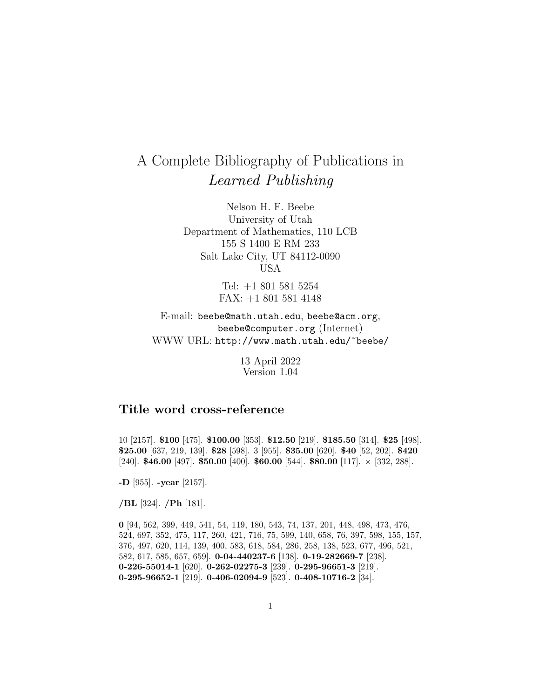## A Complete Bibliography of Publications in Learned Publishing

Nelson H. F. Beebe University of Utah Department of Mathematics, 110 LCB 155 S 1400 E RM 233 Salt Lake City, UT 84112-0090 USA

> Tel: +1 801 581 5254 FAX: +1 801 581 4148

E-mail: beebe@math.utah.edu, beebe@acm.org, beebe@computer.org (Internet) WWW URL: http://www.math.utah.edu/~beebe/

> 13 April 2022 Version 1.04

## **Title word cross-reference**

10 [2157]. **\$100** [475]. **\$100.00** [353]. **\$12.50** [219]. **\$185.50** [314]. **\$25** [498]. **\$25.00** [637, 219, 139]. **\$28** [598]. 3 [955]. **\$35.00** [620]. **\$40** [52, 202]. **\$420** [240]. **\$46.00** [497]. **\$50.00** [400]. **\$60.00** [544]. **\$80.00** [117]. × [332, 288].

**-D** [955]. **-year** [2157].

**/BL** [324]. **/Ph** [181].

**0** [94, 562, 399, 449, 541, 54, 119, 180, 543, 74, 137, 201, 448, 498, 473, 476, 524, 697, 352, 475, 117, 260, 421, 716, 75, 599, 140, 658, 76, 397, 598, 155, 157, 376, 497, 620, 114, 139, 400, 583, 618, 584, 286, 258, 138, 523, 677, 496, 521, 582, 617, 585, 657, 659]. **0-04-440237-6** [138]. **0-19-282669-7** [238]. **0-226-55014-1** [620]. **0-262-02275-3** [239]. **0-295-96651-3** [219]. **0-295-96652-1** [219]. **0-406-02094-9** [523]. **0-408-10716-2** [34].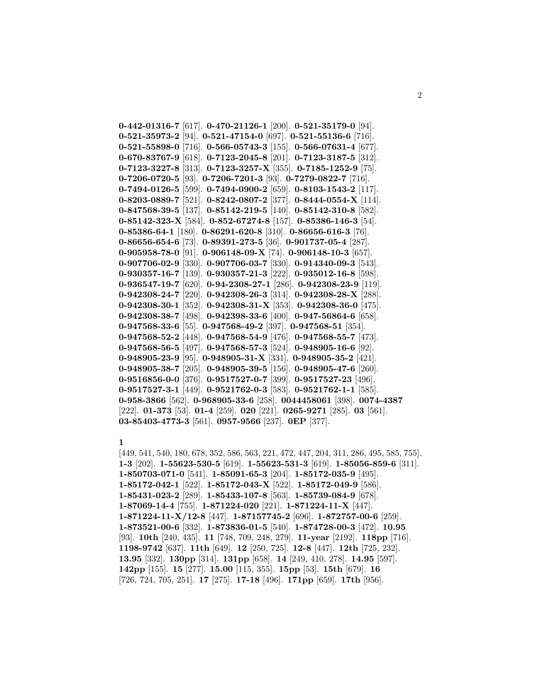**0-442-01316-7** [617]. **0-470-21126-1** [200]. **0-521-35179-0** [94]. **0-521-35973-2** [94]. **0-521-47154-0** [697]. **0-521-55136-6** [716]. **0-521-55898-0** [716]. **0-566-05743-3** [155]. **0-566-07631-4** [677]. **0-670-83767-9** [618]. **0-7123-2045-8** [201]. **0-7123-3187-5** [312]. **0-7123-3227-8** [313]. **0-7123-3257-X** [355]. **0-7185-1252-9** [75]. **0-7206-0720-5** [93]. **0-7206-7201-3** [93]. **0-7279-0822-7** [716]. **0-7494-0126-5** [599]. **0-7494-0900-2** [659]. **0-8103-1543-2** [117]. **0-8203-0889-7** [521]. **0-8242-0807-2** [377]. **0-8444-0554-X** [114]. **0-847568-39-5** [137]. **0-85142-219-5** [140]. **0-85142-310-8** [582]. **0-85142-323-X** [584]. **0-852-67274-8** [157]. **0-85386-146-3** [54]. **0-85386-64-1** [180]. **0-86291-620-8** [310]. **0-86656-616-3** [76]. **0-86656-654-6** [73]. **0-89391-273-5** [36]. **0-901737-05-4** [287]. **0-905958-78-0** [91]. **0-906148-09-X** [74]. **0-906148-10-3** [657]. **0-907706-02-9** [330]. **0-907706-03-7** [330]. **0-914340-09-3** [543]. **0-930357-16-7** [139]. **0-930357-21-3** [222]. **0-935012-16-8** [598]. **0-936547-19-7** [620]. **0-94-2308-27-1** [286]. **0-942308-23-9** [119]. **0-942308-24-7** [220]. **0-942308-26-3** [314]. **0-942308-28-X** [288]. **0-942308-30-1** [352]. **0-942308-31-X** [353]. **0-942308-36-0** [475]. **0-942308-38-7** [498]. **0-942398-33-6** [400]. **0-947-56864-6** [658]. **0-947568-33-6** [55]. **0-947568-49-2** [397]. **0-947568-51** [354]. **0-947568-52-2** [448]. **0-947568-54-9** [476]. **0-947568-55-7** [473]. **0-947568-56-5** [497]. **0-947568-57-3** [524]. **0-948905-16-6** [92]. **0-948905-23-9** [95]. **0-948905-31-X** [331]. **0-948905-35-2** [421]. **0-948905-38-7** [205]. **0-948905-39-5** [156]. **0-948905-47-6** [260]. **0-9516856-0-0** [376]. **0-9517527-0-7** [399]. **0-9517527-23** [496]. **0-9517527-3-1** [449]. **0-9521762-0-3** [583]. **0-9521762-1-1** [585]. **0-958-3866** [562]. **0-968905-33-6** [258]. **0044458061** [398]. **0074-4387** [222]. **01-373** [53]. **01-4** [259]. **020** [221]. **0265-9271** [285]. **03** [561]. **03-85403-4773-3** [561]. **0957-9566** [237]. **0EP** [377].

## **1**

[449, 541, 540, 180, 678, 352, 586, 563, 221, 472, 447, 204, 311, 286, 495, 585, 755]. **1-3** [202]. **1-55623-530-5** [619]. **1-55623-531-3** [619]. **1-85056-859-6** [311]. **1-850703-071-0** [541]. **1-85091-65-3** [204]. **1-85172-035-9** [495]. **1-85172-042-1** [522]. **1-85172-043-X** [522]. **1-85172-049-9** [586]. **1-85431-023-2** [289]. **1-85433-107-8** [563]. **1-85739-084-9** [678]. **1-87069-14-4** [755]. **1-871224-020** [221]. **1-871224-11-X** [447]. **1-871224-11-X/12-8** [447]. **1-87157745-2** [696]. **1-872757-00-6** [259]. **1-873521-00-6** [332]. **1-873836-01-5** [540]. **1-874728-00-3** [472]. **10.95** [93]. **10th** [240, 435]. **11** [748, 709, 248, 279]. **11-year** [2192]. **118pp** [716]. **1198-9742** [637]. **11th** [649]. **12** [250, 725]. **12-8** [447]. **12th** [725, 232]. **13.95** [332]. **130pp** [314]. **131pp** [658]. **14** [249, 410, 278]. **14.95** [597]. **142pp** [155]. **15** [277]. **15.00** [115, 355]. **15pp** [53]. **15th** [679]. **16** [726, 724, 705, 251]. **17** [275]. **17-18** [496]. **171pp** [659]. **17th** [956].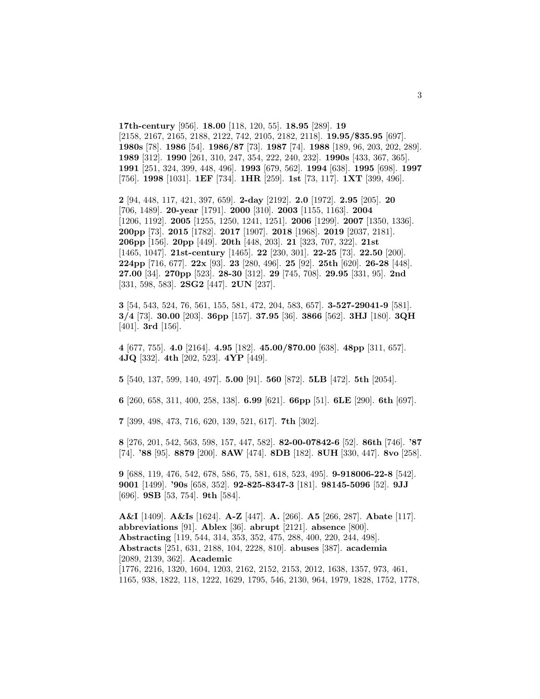**17th-century** [956]. **18.00** [118, 120, 55]. **18.95** [289]. **19** [2158, 2167, 2165, 2188, 2122, 742, 2105, 2182, 2118]. **19.95/\$35.95** [697]. **1980s** [78]. **1986** [54]. **1986/87** [73]. **1987** [74]. **1988** [189, 96, 203, 202, 289]. **1989** [312]. **1990** [261, 310, 247, 354, 222, 240, 232]. **1990s** [433, 367, 365]. **1991** [251, 324, 399, 448, 496]. **1993** [679, 562]. **1994** [638]. **1995** [698]. **1997** [756]. **1998** [1031]. **1EF** [734]. **1HR** [259]. **1st** [73, 117]. **1XT** [399, 496].

**2** [94, 448, 117, 421, 397, 659]. **2-day** [2192]. **2.0** [1972]. **2.95** [205]. **20** [706, 1489]. **20-year** [1791]. **2000** [310]. **2003** [1155, 1163]. **2004** [1206, 1192]. **2005** [1255, 1250, 1241, 1251]. **2006** [1299]. **2007** [1350, 1336]. **200pp** [73]. **2015** [1782]. **2017** [1907]. **2018** [1968]. **2019** [2037, 2181]. **206pp** [156]. **20pp** [449]. **20th** [448, 203]. **21** [323, 707, 322]. **21st** [1465, 1047]. **21st-century** [1465]. **22** [230, 301]. **22-25** [73]. **22.50** [200]. **224pp** [716, 677]. **22x** [93]. **23** [280, 496]. **25** [92]. **25th** [620]. **26-28** [448]. **27.00** [34]. **270pp** [523]. **28-30** [312]. **29** [745, 708]. **29.95** [331, 95]. **2nd** [331, 598, 583]. **2SG2** [447]. **2UN** [237].

**3** [54, 543, 524, 76, 561, 155, 581, 472, 204, 583, 657]. **3-527-29041-9** [581]. **3/4** [73]. **30.00** [203]. **36pp** [157]. **37.95** [36]. **3866** [562]. **3HJ** [180]. **3QH** [401]. **3rd** [156].

**4** [677, 755]. **4.0** [2164]. **4.95** [182]. **45.00/\$70.00** [638]. **48pp** [311, 657]. **4JQ** [332]. **4th** [202, 523]. **4YP** [449].

**5** [540, 137, 599, 140, 497]. **5.00** [91]. **560** [872]. **5LB** [472]. **5th** [2054].

**6** [260, 658, 311, 400, 258, 138]. **6.99** [621]. **66pp** [51]. **6LE** [290]. **6th** [697].

**7** [399, 498, 473, 716, 620, 139, 521, 617]. **7th** [302].

**8** [276, 201, 542, 563, 598, 157, 447, 582]. **82-00-07842-6** [52]. **86th** [746]. **'87** [74]. **'88** [95]. **8879** [200]. **8AW** [474]. **8DB** [182]. **8UH** [330, 447]. **8vo** [258].

**9** [688, 119, 476, 542, 678, 586, 75, 581, 618, 523, 495]. **9-918006-22-8** [542]. **9001** [1499]. **'90s** [658, 352]. **92-825-8347-3** [181]. **98145-5096** [52]. **9JJ** [696]. **9SB** [53, 754]. **9th** [584].

**A&I** [1409]. **A&Is** [1624]. **A-Z** [447]. **A.** [266]. **A5** [266, 287]. **Abate** [117]. **abbreviations** [91]. **Ablex** [36]. **abrupt** [2121]. **absence** [800]. **Abstracting** [119, 544, 314, 353, 352, 475, 288, 400, 220, 244, 498]. **Abstracts** [251, 631, 2188, 104, 2228, 810]. **abuses** [387]. **academia** [2089, 2139, 362]. **Academic** [1776, 2216, 1320, 1604, 1203, 2162, 2152, 2153, 2012, 1638, 1357, 973, 461, 1165, 938, 1822, 118, 1222, 1629, 1795, 546, 2130, 964, 1979, 1828, 1752, 1778,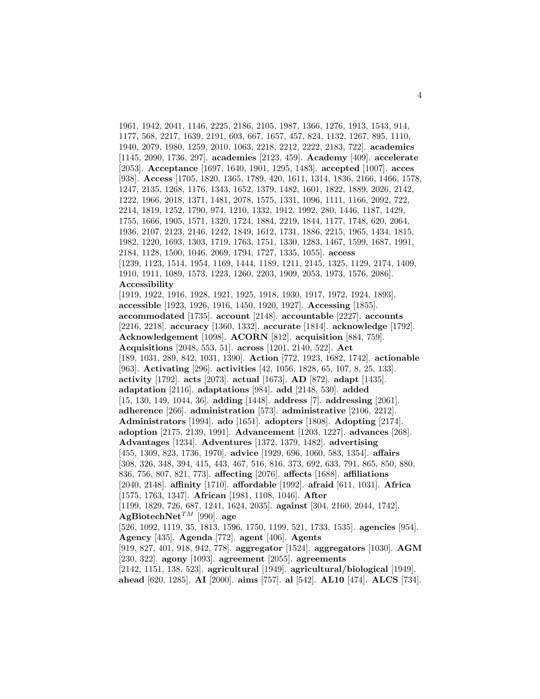1961, 1942, 2041, 1146, 2225, 2186, 2105, 1987, 1366, 1276, 1913, 1543, 914, 1177, 568, 2217, 1639, 2191, 603, 667, 1657, 457, 824, 1132, 1267, 895, 1110, 1940, 2079, 1980, 1259, 2010, 1063, 2218, 2212, 2222, 2183, 722]. **academics** [1145, 2090, 1736, 297]. **academies** [2123, 459]. **Academy** [409]. **accelerate** [2053]. **Acceptance** [1697, 1640, 1901, 1295, 1483]. **accepted** [1007]. **acces** [938]. **Access** [1705, 1820, 1365, 1789, 420, 1611, 1314, 1836, 2166, 1466, 1578, 1247, 2135, 1268, 1176, 1343, 1652, 1379, 1482, 1601, 1822, 1889, 2026, 2142, 1222, 1966, 2018, 1371, 1481, 2078, 1575, 1331, 1096, 1111, 1166, 2092, 722, 2214, 1819, 1252, 1790, 974, 1210, 1332, 1912, 1992, 280, 1446, 1187, 1429, 1755, 1666, 1905, 1571, 1320, 1724, 1884, 2219, 1844, 1177, 1748, 620, 2064, 1936, 2107, 2123, 2146, 1242, 1849, 1612, 1731, 1886, 2215, 1965, 1434, 1815, 1982, 1220, 1693, 1303, 1719, 1763, 1751, 1330, 1283, 1467, 1599, 1687, 1991, 2184, 1128, 1500, 1046, 2069, 1794, 1727, 1335, 1055]. **access** [1239, 1123, 1514, 1954, 1169, 1444, 1189, 1211, 2145, 1325, 1129, 2174, 1409, 1910, 1911, 1089, 1573, 1223, 1260, 2203, 1909, 2053, 1973, 1576, 2086]. **Accessibility** [1919, 1922, 1916, 1928, 1921, 1925, 1918, 1930, 1917, 1972, 1924, 1893]. **accessible** [1923, 1926, 1916, 1450, 1920, 1927]. **Accessing** [1855]. **accommodated** [1735]. **account** [2148]. **accountable** [2227]. **accounts** [2216, 2218]. **accuracy** [1360, 1332]. **accurate** [1814]. **acknowledge** [1792]. **Acknowledgement** [1098]. **ACORN** [812]. **acquisition** [884, 759]. **Acquisitions** [2048, 553, 51]. **across** [1201, 2140, 522]. **Act** [189, 1031, 289, 842, 1031, 1390]. **Action** [772, 1923, 1682, 1742]. **actionable** [963]. **Activating** [296]. **activities** [42, 1056, 1828, 65, 107, 8, 25, 133]. **activity** [1792]. **acts** [2073]. **actual** [1673]. **AD** [872]. **adapt** [1435]. **adaptation** [2116]. **adaptations** [984]. **add** [2148, 530]. **added** [15, 130, 149, 1044, 36]. **adding** [1448]. **address** [7]. **addressing** [2061]. **adherence** [266]. **administration** [573]. **administrative** [2106, 2212]. **Administrators** [1994]. **ado** [1651]. **adopters** [1808]. **Adopting** [2174]. **adoption** [2175, 2139, 1991]. **Advancement** [1203, 1227]. **advances** [268]. **Advantages** [1234]. **Adventures** [1372, 1379, 1482]. **advertising** [455, 1309, 823, 1736, 1970]. **advice** [1929, 696, 1060, 583, 1354]. **affairs** [308, 326, 348, 394, 415, 443, 467, 516, 816, 373, 692, 633, 791, 865, 850, 880, 836, 756, 807, 821, 773]. **affecting** [2076]. **affects** [1688]. **affiliations** [2040, 2148]. **affinity** [1710]. **affordable** [1992]. **afraid** [611, 1031]. **Africa** [1575, 1763, 1347]. **African** [1981, 1108, 1046]. **After** [1199, 1829, 726, 687, 1241, 1624, 2035]. **against** [304, 2160, 2044, 1742]. AgBiotechNet<sup>TM</sup> [990]. age [526, 1092, 1119, 35, 1813, 1596, 1750, 1199, 521, 1733, 1535]. **agencies** [954]. **Agency** [435]. **Agenda** [772]. **agent** [406]. **Agents** [919, 827, 401, 918, 942, 778]. **aggregator** [1524]. **aggregators** [1030]. **AGM** [230, 322]. **agony** [1093]. **agreement** [2055]. **agreements** [2142, 1151, 138, 523]. **agricultural** [1949]. **agricultural/biological** [1949]. **ahead** [620, 1285]. **AI** [2000]. **aims** [757]. **al** [542]. **AL10** [474]. **ALCS** [734].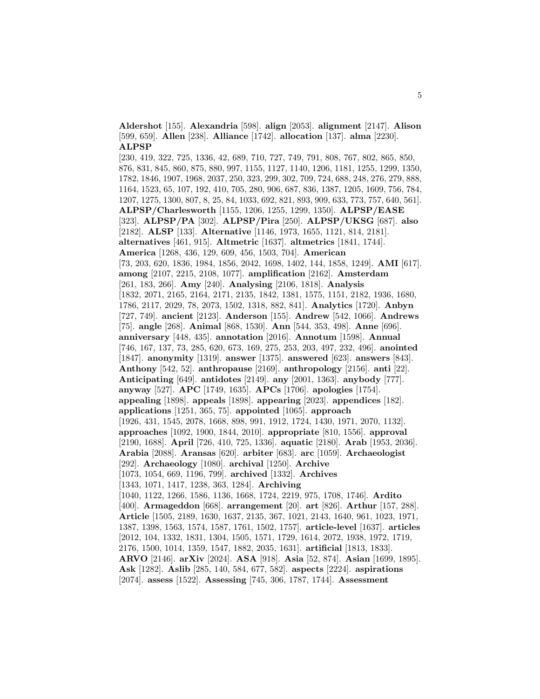**Aldershot** [155]. **Alexandria** [598]. **align** [2053]. **alignment** [2147]. **Alison** [599, 659]. **Allen** [238]. **Alliance** [1742]. **allocation** [137]. **alma** [2230]. **ALPSP**

[230, 419, 322, 725, 1336, 42, 689, 710, 727, 749, 791, 808, 767, 802, 865, 850, 876, 831, 845, 860, 875, 880, 997, 1155, 1127, 1140, 1206, 1181, 1255, 1299, 1350, 1782, 1846, 1907, 1968, 2037, 250, 323, 299, 302, 709, 724, 688, 248, 276, 279, 888, 1164, 1523, 65, 107, 192, 410, 705, 280, 906, 687, 836, 1387, 1205, 1609, 756, 784, 1207, 1275, 1300, 807, 8, 25, 84, 1033, 692, 821, 893, 909, 633, 773, 757, 640, 561]. **ALPSP/Charlesworth** [1155, 1206, 1255, 1299, 1350]. **ALPSP/EASE** [323]. **ALPSP/PA** [302]. **ALPSP/Pira** [250]. **ALPSP/UKSG** [687]. **also** [2182]. **ALSP** [133]. **Alternative** [1146, 1973, 1655, 1121, 814, 2181]. **alternatives** [461, 915]. **Altmetric** [1637]. **altmetrics** [1841, 1744]. **America** [1268, 436, 129, 609, 456, 1503, 704]. **American** [73, 203, 620, 1836, 1984, 1856, 2042, 1698, 1402, 144, 1858, 1249]. **AMI** [617]. **among** [2107, 2215, 2108, 1077]. **amplification** [2162]. **Amsterdam** [261, 183, 266]. **Amy** [240]. **Analysing** [2106, 1818]. **Analysis** [1832, 2071, 2165, 2164, 2171, 2135, 1842, 1381, 1575, 1151, 2182, 1936, 1680, 1786, 2117, 2029, 78, 2073, 1502, 1318, 882, 841]. **Analytics** [1720]. **Anbyn** [727, 749]. **ancient** [2123]. **Anderson** [155]. **Andrew** [542, 1066]. **Andrews** [75]. **angle** [268]. **Animal** [868, 1530]. **Ann** [544, 353, 498]. **Anne** [696]. **anniversary** [448, 435]. **annotation** [2016]. **Annotum** [1598]. **Annual** [746, 167, 137, 73, 285, 620, 673, 169, 275, 253, 203, 497, 232, 496]. **anointed** [1847]. **anonymity** [1319]. **answer** [1375]. **answered** [623]. **answers** [843]. **Anthony** [542, 52]. **anthropause** [2169]. **anthropology** [2156]. **anti** [22]. **Anticipating** [649]. **antidotes** [2149]. **any** [2001, 1363]. **anybody** [777]. **anyway** [527]. **APC** [1749, 1635]. **APCs** [1706]. **apologies** [1754]. **appealing** [1898]. **appeals** [1898]. **appearing** [2023]. **appendices** [182]. **applications** [1251, 365, 75]. **appointed** [1065]. **approach** [1926, 431, 1545, 2078, 1668, 898, 991, 1912, 1724, 1430, 1971, 2070, 1132]. **approaches** [1092, 1900, 1844, 2010]. **appropriate** [810, 1556]. **approval** [2190, 1688]. **April** [726, 410, 725, 1336]. **aquatic** [2180]. **Arab** [1953, 2036]. **Arabia** [2088]. **Aransas** [620]. **arbiter** [683]. **arc** [1059]. **Archaeologist** [292]. **Archaeology** [1080]. **archival** [1250]. **Archive** [1073, 1054, 669, 1196, 799]. **archived** [1332]. **Archives** [1343, 1071, 1417, 1238, 363, 1284]. **Archiving** [1040, 1122, 1266, 1586, 1136, 1668, 1724, 2219, 975, 1708, 1746]. **Ardito** [400]. **Armageddon** [668]. **arrangement** [20]. **art** [826]. **Arthur** [157, 288]. **Article** [1505, 2189, 1630, 1637, 2135, 367, 1021, 2143, 1640, 961, 1023, 1971, 1387, 1398, 1563, 1574, 1587, 1761, 1502, 1757]. **article-level** [1637]. **articles** [2012, 104, 1332, 1831, 1304, 1505, 1571, 1729, 1614, 2072, 1938, 1972, 1719, 2176, 1500, 1014, 1359, 1547, 1882, 2035, 1631]. **artificial** [1813, 1833]. **ARVO** [2146]. **arXiv** [2024]. **ASA** [918]. **Asia** [52, 874]. **Asian** [1699, 1895]. **Ask** [1282]. **Aslib** [285, 140, 584, 677, 582]. **aspects** [2224]. **aspirations** [2074]. **assess** [1522]. **Assessing** [745, 306, 1787, 1744]. **Assessment**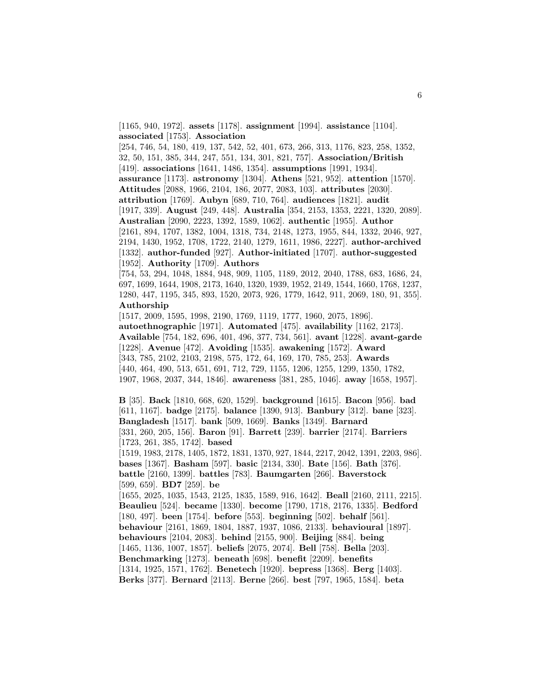[1165, 940, 1972]. **assets** [1178]. **assignment** [1994]. **assistance** [1104]. **associated** [1753]. **Association**

[254, 746, 54, 180, 419, 137, 542, 52, 401, 673, 266, 313, 1176, 823, 258, 1352, 32, 50, 151, 385, 344, 247, 551, 134, 301, 821, 757]. **Association/British** [419]. **associations** [1641, 1486, 1354]. **assumptions** [1991, 1934]. **assurance** [1173]. **astronomy** [1304]. **Athens** [521, 952]. **attention** [1570]. **Attitudes** [2088, 1966, 2104, 186, 2077, 2083, 103]. **attributes** [2030]. **attribution** [1769]. **Aubyn** [689, 710, 764]. **audiences** [1821]. **audit** [1917, 339]. **August** [249, 448]. **Australia** [354, 2153, 1353, 2221, 1320, 2089]. **Australian** [2090, 2223, 1392, 1589, 1062]. **authentic** [1955]. **Author** [2161, 894, 1707, 1382, 1004, 1318, 734, 2148, 1273, 1955, 844, 1332, 2046, 927, 2194, 1430, 1952, 1708, 1722, 2140, 1279, 1611, 1986, 2227]. **author-archived** [1332]. **author-funded** [927]. **Author-initiated** [1707]. **author-suggested** [1952]. **Authority** [1709]. **Authors**

[754, 53, 294, 1048, 1884, 948, 909, 1105, 1189, 2012, 2040, 1788, 683, 1686, 24, 697, 1699, 1644, 1908, 2173, 1640, 1320, 1939, 1952, 2149, 1544, 1660, 1768, 1237, 1280, 447, 1195, 345, 893, 1520, 2073, 926, 1779, 1642, 911, 2069, 180, 91, 355]. **Authorship**

[1517, 2009, 1595, 1998, 2190, 1769, 1119, 1777, 1960, 2075, 1896]. **autoethnographic** [1971]. **Automated** [475]. **availability** [1162, 2173]. **Available** [754, 182, 696, 401, 496, 377, 734, 561]. **avant** [1228]. **avant-garde** [1228]. **Avenue** [472]. **Avoiding** [1535]. **awakening** [1572]. **Award** [343, 785, 2102, 2103, 2198, 575, 172, 64, 169, 170, 785, 253]. **Awards** [440, 464, 490, 513, 651, 691, 712, 729, 1155, 1206, 1255, 1299, 1350, 1782, 1907, 1968, 2037, 344, 1846]. **awareness** [381, 285, 1046]. **away** [1658, 1957].

**B** [35]. **Back** [1810, 668, 620, 1529]. **background** [1615]. **Bacon** [956]. **bad** [611, 1167]. **badge** [2175]. **balance** [1390, 913]. **Banbury** [312]. **bane** [323]. **Bangladesh** [1517]. **bank** [509, 1669]. **Banks** [1349]. **Barnard** [331, 260, 205, 156]. **Baron** [91]. **Barrett** [239]. **barrier** [2174]. **Barriers** [1723, 261, 385, 1742]. **based** [1519, 1983, 2178, 1405, 1872, 1831, 1370, 927, 1844, 2217, 2042, 1391, 2203, 986].

**bases** [1367]. **Basham** [597]. **basic** [2134, 330]. **Bate** [156]. **Bath** [376]. **battle** [2160, 1399]. **battles** [783]. **Baumgarten** [266]. **Baverstock** [599, 659]. **BD7** [259]. **be**

[1655, 2025, 1035, 1543, 2125, 1835, 1589, 916, 1642]. **Beall** [2160, 2111, 2215]. **Beaulieu** [524]. **became** [1330]. **become** [1790, 1718, 2176, 1335]. **Bedford** [180, 497]. **been** [1754]. **before** [553]. **beginning** [502]. **behalf** [561]. **behaviour** [2161, 1869, 1804, 1887, 1937, 1086, 2133]. **behavioural** [1897]. **behaviours** [2104, 2083]. **behind** [2155, 900]. **Beijing** [884]. **being** [1465, 1136, 1007, 1857]. **beliefs** [2075, 2074]. **Bell** [758]. **Bella** [203]. **Benchmarking** [1273]. **beneath** [698]. **benefit** [2209]. **benefits** [1314, 1925, 1571, 1762]. **Benetech** [1920]. **bepress** [1368]. **Berg** [1403]. **Berks** [377]. **Bernard** [2113]. **Berne** [266]. **best** [797, 1965, 1584]. **beta**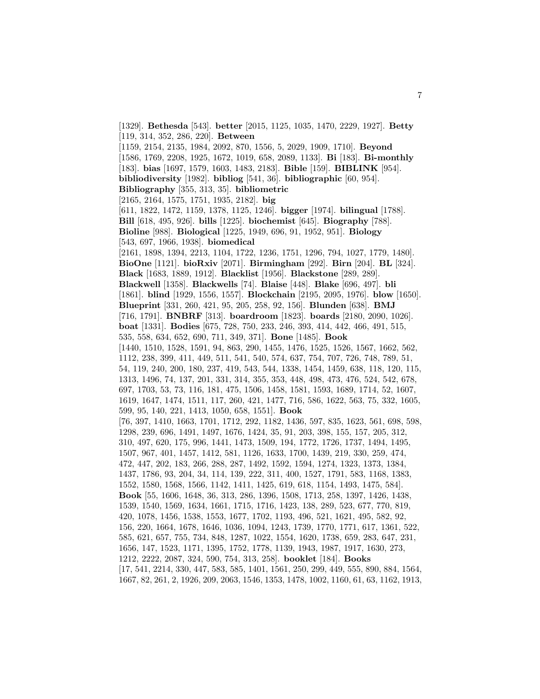[1329]. **Bethesda** [543]. **better** [2015, 1125, 1035, 1470, 2229, 1927]. **Betty** [119, 314, 352, 286, 220]. **Between** [1159, 2154, 2135, 1984, 2092, 870, 1556, 5, 2029, 1909, 1710]. **Beyond** [1586, 1769, 2208, 1925, 1672, 1019, 658, 2089, 1133]. **Bi** [183]. **Bi-monthly** [183]. **bias** [1697, 1579, 1603, 1483, 2183]. **Bible** [159]. **BIBLINK** [954]. **bibliodiversity** [1982]. **bibliog** [541, 36]. **bibliographic** [60, 954]. **Bibliography** [355, 313, 35]. **bibliometric** [2165, 2164, 1575, 1751, 1935, 2182]. **big** [611, 1822, 1472, 1159, 1378, 1125, 1246]. **bigger** [1974]. **bilingual** [1788]. **Bill** [618, 495, 926]. **bills** [1225]. **biochemist** [645]. **Biography** [788]. **Bioline** [988]. **Biological** [1225, 1949, 696, 91, 1952, 951]. **Biology** [543, 697, 1966, 1938]. **biomedical** [2161, 1898, 1394, 2213, 1104, 1722, 1236, 1751, 1296, 794, 1027, 1779, 1480]. **BioOne** [1121]. **bioRxiv** [2071]. **Birmingham** [292]. **Birn** [204]. **BL** [324]. **Black** [1683, 1889, 1912]. **Blacklist** [1956]. **Blackstone** [289, 289]. **Blackwell** [1358]. **Blackwells** [74]. **Blaise** [448]. **Blake** [696, 497]. **bli** [1861]. **blind** [1929, 1556, 1557]. **Blockchain** [2195, 2095, 1976]. **blow** [1650]. **Blueprint** [331, 260, 421, 95, 205, 258, 92, 156]. **Blunden** [638]. **BMJ** [716, 1791]. **BNBRF** [313]. **boardroom** [1823]. **boards** [2180, 2090, 1026]. **boat** [1331]. **Bodies** [675, 728, 750, 233, 246, 393, 414, 442, 466, 491, 515, 535, 558, 634, 652, 690, 711, 349, 371]. **Bone** [1485]. **Book** [1440, 1510, 1528, 1591, 94, 863, 290, 1455, 1476, 1525, 1526, 1567, 1662, 562, 1112, 238, 399, 411, 449, 511, 541, 540, 574, 637, 754, 707, 726, 748, 789, 51, 54, 119, 240, 200, 180, 237, 419, 543, 544, 1338, 1454, 1459, 638, 118, 120, 115, 1313, 1496, 74, 137, 201, 331, 314, 355, 353, 448, 498, 473, 476, 524, 542, 678, 697, 1703, 53, 73, 116, 181, 475, 1506, 1458, 1581, 1593, 1689, 1714, 52, 1607, 1619, 1647, 1474, 1511, 117, 260, 421, 1477, 716, 586, 1622, 563, 75, 332, 1605, 599, 95, 140, 221, 1413, 1050, 658, 1551]. **Book** [76, 397, 1410, 1663, 1701, 1712, 292, 1182, 1436, 597, 835, 1623, 561, 698, 598, 1298, 239, 696, 1491, 1497, 1676, 1424, 35, 91, 203, 398, 155, 157, 205, 312, 310, 497, 620, 175, 996, 1441, 1473, 1509, 194, 1772, 1726, 1737, 1494, 1495, 1507, 967, 401, 1457, 1412, 581, 1126, 1633, 1700, 1439, 219, 330, 259, 474, 472, 447, 202, 183, 266, 288, 287, 1492, 1592, 1594, 1274, 1323, 1373, 1384, 1437, 1786, 93, 204, 34, 114, 139, 222, 311, 400, 1527, 1791, 583, 1168, 1383, 1552, 1580, 1568, 1566, 1142, 1411, 1425, 619, 618, 1154, 1493, 1475, 584]. **Book** [55, 1606, 1648, 36, 313, 286, 1396, 1508, 1713, 258, 1397, 1426, 1438, 1539, 1540, 1569, 1634, 1661, 1715, 1716, 1423, 138, 289, 523, 677, 770, 819, 420, 1078, 1456, 1538, 1553, 1677, 1702, 1193, 496, 521, 1621, 495, 582, 92, 156, 220, 1664, 1678, 1646, 1036, 1094, 1243, 1739, 1770, 1771, 617, 1361, 522, 585, 621, 657, 755, 734, 848, 1287, 1022, 1554, 1620, 1738, 659, 283, 647, 231, 1656, 147, 1523, 1171, 1395, 1752, 1778, 1139, 1943, 1987, 1917, 1630, 273, 1212, 2222, 2087, 324, 590, 754, 313, 258]. **booklet** [184]. **Books** [17, 541, 2214, 330, 447, 583, 585, 1401, 1561, 250, 299, 449, 555, 890, 884, 1564, 1667, 82, 261, 2, 1926, 209, 2063, 1546, 1353, 1478, 1002, 1160, 61, 63, 1162, 1913,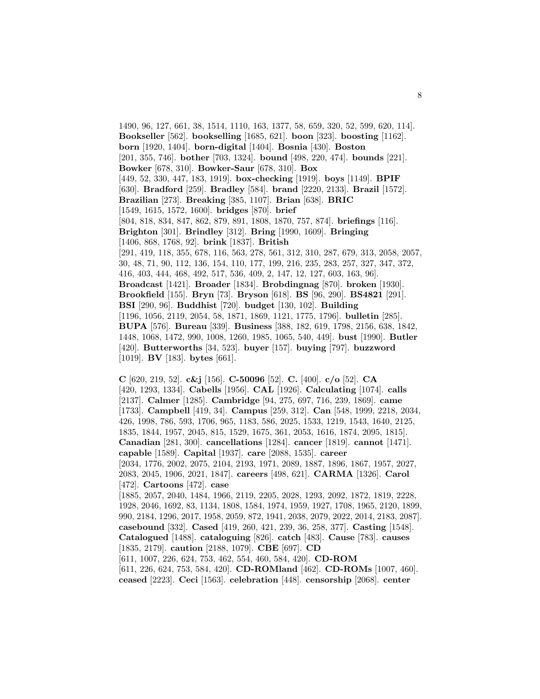1490, 96, 127, 661, 38, 1514, 1110, 163, 1377, 58, 659, 320, 52, 599, 620, 114]. **Bookseller** [562]. **bookselling** [1685, 621]. **boon** [323]. **boosting** [1162]. **born** [1920, 1404]. **born-digital** [1404]. **Bosnia** [430]. **Boston** [201, 355, 746]. **bother** [703, 1324]. **bound** [498, 220, 474]. **bounds** [221]. **Bowker** [678, 310]. **Bowker-Saur** [678, 310]. **Box** [449, 52, 330, 447, 183, 1919]. **box-checking** [1919]. **boys** [1149]. **BPIF** [630]. **Bradford** [259]. **Bradley** [584]. **brand** [2220, 2133]. **Brazil** [1572]. **Brazilian** [273]. **Breaking** [385, 1107]. **Brian** [638]. **BRIC** [1549, 1615, 1572, 1600]. **bridges** [870]. **brief** [804, 818, 834, 847, 862, 879, 891, 1808, 1870, 757, 874]. **briefings** [116]. **Brighton** [301]. **Brindley** [312]. **Bring** [1990, 1609]. **Bringing** [1406, 868, 1768, 92]. **brink** [1837]. **British** [291, 419, 118, 355, 678, 116, 563, 278, 561, 312, 310, 287, 679, 313, 2058, 2057, 30, 48, 71, 90, 112, 136, 154, 110, 177, 199, 216, 235, 283, 257, 327, 347, 372, 416, 403, 444, 468, 492, 517, 536, 409, 2, 147, 12, 127, 603, 163, 96]. **Broadcast** [1421]. **Broader** [1834]. **Brobdingnag** [870]. **broken** [1930]. **Brookfield** [155]. **Bryn** [73]. **Bryson** [618]. **BS** [96, 290]. **BS4821** [291]. **BSI** [290, 96]. **Buddhist** [720]. **budget** [130, 102]. **Building** [1196, 1056, 2119, 2054, 58, 1871, 1869, 1121, 1775, 1796]. **bulletin** [285]. **BUPA** [576]. **Bureau** [339]. **Business** [388, 182, 619, 1798, 2156, 638, 1842, 1448, 1068, 1472, 990, 1008, 1260, 1985, 1065, 540, 449]. **bust** [1990]. **Butler** [420]. **Butterworths** [34, 523]. **buyer** [157]. **buying** [797]. **buzzword** [1019]. **BV** [183]. **bytes** [661].

8

**C** [620, 219, 52]. **c&j** [156]. **C-50096** [52]. **C.** [400]. **c/o** [52]. **CA** [420, 1293, 1334]. **Cabells** [1956]. **CAL** [1926]. **Calculating** [1074]. **calls** [2137]. **Calmer** [1285]. **Cambridge** [94, 275, 697, 716, 239, 1869]. **came** [1733]. **Campbell** [419, 34]. **Campus** [259, 312]. **Can** [548, 1999, 2218, 2034, 426, 1998, 786, 593, 1706, 965, 1183, 586, 2025, 1533, 1219, 1543, 1640, 2125, 1835, 1844, 1957, 2045, 815, 1529, 1675, 361, 2053, 1616, 1874, 2095, 1815]. **Canadian** [281, 300]. **cancellations** [1284]. **cancer** [1819]. **cannot** [1471]. **capable** [1589]. **Capital** [1937]. **care** [2088, 1535]. **career** [2034, 1776, 2002, 2075, 2104, 2193, 1971, 2089, 1887, 1896, 1867, 1957, 2027, 2083, 2045, 1906, 2021, 1847]. **careers** [498, 621]. **CARMA** [1326]. **Carol** [472]. **Cartoons** [472]. **case** [1885, 2057, 2040, 1484, 1966, 2119, 2205, 2028, 1293, 2092, 1872, 1819, 2228, 1928, 2046, 1692, 83, 1134, 1808, 1584, 1974, 1959, 1927, 1708, 1965, 2120, 1899, 990, 2184, 1296, 2017, 1958, 2059, 872, 1941, 2038, 2079, 2022, 2014, 2183, 2087]. **casebound** [332]. **Cased** [419, 260, 421, 239, 36, 258, 377]. **Casting** [1548]. **Catalogued** [1488]. **cataloguing** [826]. **catch** [483]. **Cause** [783]. **causes** [1835, 2179]. **caution** [2188, 1079]. **CBE** [697]. **CD** [611, 1007, 226, 624, 753, 462, 554, 460, 584, 420]. **CD-ROM** [611, 226, 624, 753, 584, 420]. **CD-ROMland** [462]. **CD-ROMs** [1007, 460].

**ceased** [2223]. **Ceci** [1563]. **celebration** [448]. **censorship** [2068]. **center**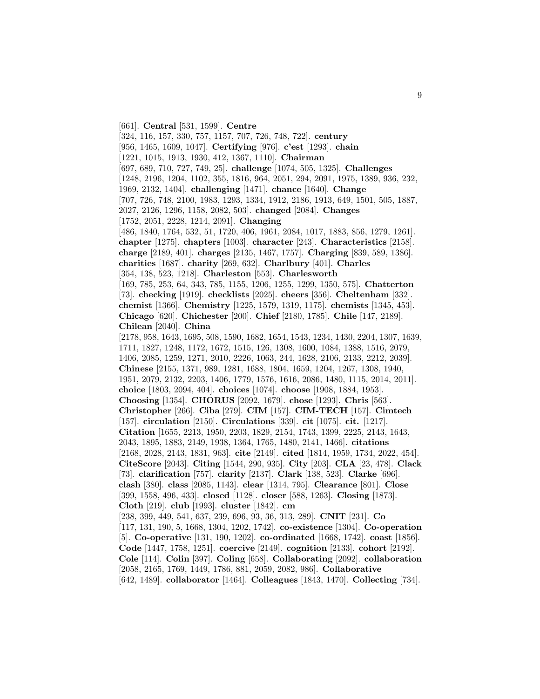[661]. **Central** [531, 1599]. **Centre** [324, 116, 157, 330, 757, 1157, 707, 726, 748, 722]. **century** [956, 1465, 1609, 1047]. **Certifying** [976]. **c'est** [1293]. **chain** [1221, 1015, 1913, 1930, 412, 1367, 1110]. **Chairman** [697, 689, 710, 727, 749, 25]. **challenge** [1074, 505, 1325]. **Challenges** [1248, 2196, 1204, 1102, 355, 1816, 964, 2051, 294, 2091, 1975, 1389, 936, 232, 1969, 2132, 1404]. **challenging** [1471]. **chance** [1640]. **Change** [707, 726, 748, 2100, 1983, 1293, 1334, 1912, 2186, 1913, 649, 1501, 505, 1887, 2027, 2126, 1296, 1158, 2082, 503]. **changed** [2084]. **Changes** [1752, 2051, 2228, 1214, 2091]. **Changing** [486, 1840, 1764, 532, 51, 1720, 406, 1961, 2084, 1017, 1883, 856, 1279, 1261]. **chapter** [1275]. **chapters** [1003]. **character** [243]. **Characteristics** [2158]. **charge** [2189, 401]. **charges** [2135, 1467, 1757]. **Charging** [839, 589, 1386]. **charities** [1687]. **charity** [269, 632]. **Charlbury** [401]. **Charles** [354, 138, 523, 1218]. **Charleston** [553]. **Charlesworth** [169, 785, 253, 64, 343, 785, 1155, 1206, 1255, 1299, 1350, 575]. **Chatterton** [73]. **checking** [1919]. **checklists** [2025]. **cheers** [356]. **Cheltenham** [332]. **chemist** [1366]. **Chemistry** [1225, 1579, 1319, 1175]. **chemists** [1345, 453]. **Chicago** [620]. **Chichester** [200]. **Chief** [2180, 1785]. **Chile** [147, 2189]. **Chilean** [2040]. **China** [2178, 958, 1643, 1695, 508, 1590, 1682, 1654, 1543, 1234, 1430, 2204, 1307, 1639, 1711, 1827, 1248, 1172, 1672, 1515, 126, 1308, 1600, 1084, 1388, 1516, 2079, 1406, 2085, 1259, 1271, 2010, 2226, 1063, 244, 1628, 2106, 2133, 2212, 2039]. **Chinese** [2155, 1371, 989, 1281, 1688, 1804, 1659, 1204, 1267, 1308, 1940, 1951, 2079, 2132, 2203, 1406, 1779, 1576, 1616, 2086, 1480, 1115, 2014, 2011]. **choice** [1803, 2094, 404]. **choices** [1074]. **choose** [1908, 1884, 1953]. **Choosing** [1354]. **CHORUS** [2092, 1679]. **chose** [1293]. **Chris** [563]. **Christopher** [266]. **Ciba** [279]. **CIM** [157]. **CIM-TECH** [157]. **Cimtech** [157]. **circulation** [2150]. **Circulations** [339]. **cit** [1075]. **cit.** [1217]. **Citation** [1655, 2213, 1950, 2203, 1829, 2154, 1743, 1399, 2225, 2143, 1643, 2043, 1895, 1883, 2149, 1938, 1364, 1765, 1480, 2141, 1466]. **citations** [2168, 2028, 2143, 1831, 963]. **cite** [2149]. **cited** [1814, 1959, 1734, 2022, 454]. **CiteScore** [2043]. **Citing** [1544, 290, 935]. **City** [203]. **CLA** [23, 478]. **Clack** [73]. **clarification** [757]. **clarity** [2137]. **Clark** [138, 523]. **Clarke** [696]. **clash** [380]. **class** [2085, 1143]. **clear** [1314, 795]. **Clearance** [801]. **Close** [399, 1558, 496, 433]. **closed** [1128]. **closer** [588, 1263]. **Closing** [1873]. **Cloth** [219]. **club** [1993]. **cluster** [1842]. **cm** [238, 399, 449, 541, 637, 239, 696, 93, 36, 313, 289]. **CNIT** [231]. **Co** [117, 131, 190, 5, 1668, 1304, 1202, 1742]. **co-existence** [1304]. **Co-operation** [5]. **Co-operative** [131, 190, 1202]. **co-ordinated** [1668, 1742]. **coast** [1856]. **Code** [1447, 1758, 1251]. **coercive** [2149]. **cognition** [2133]. **cohort** [2192]. **Cole** [114]. **Colin** [397]. **Coling** [658]. **Collaborating** [2092]. **collaboration** [2058, 2165, 1769, 1449, 1786, 881, 2059, 2082, 986]. **Collaborative** [642, 1489]. **collaborator** [1464]. **Colleagues** [1843, 1470]. **Collecting** [734].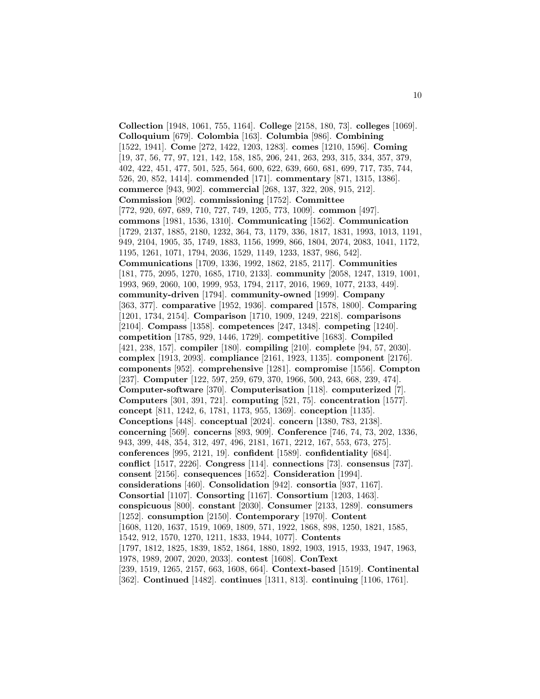**Collection** [1948, 1061, 755, 1164]. **College** [2158, 180, 73]. **colleges** [1069]. **Colloquium** [679]. **Colombia** [163]. **Columbia** [986]. **Combining** [1522, 1941]. **Come** [272, 1422, 1203, 1283]. **comes** [1210, 1596]. **Coming** [19, 37, 56, 77, 97, 121, 142, 158, 185, 206, 241, 263, 293, 315, 334, 357, 379, 402, 422, 451, 477, 501, 525, 564, 600, 622, 639, 660, 681, 699, 717, 735, 744, 526, 20, 852, 1414]. **commended** [171]. **commentary** [871, 1315, 1386]. **commerce** [943, 902]. **commercial** [268, 137, 322, 208, 915, 212]. **Commission** [902]. **commissioning** [1752]. **Committee** [772, 920, 697, 689, 710, 727, 749, 1205, 773, 1009]. **common** [497]. **commons** [1981, 1536, 1310]. **Communicating** [1562]. **Communication** [1729, 2137, 1885, 2180, 1232, 364, 73, 1179, 336, 1817, 1831, 1993, 1013, 1191, 949, 2104, 1905, 35, 1749, 1883, 1156, 1999, 866, 1804, 2074, 2083, 1041, 1172, 1195, 1261, 1071, 1794, 2036, 1529, 1149, 1233, 1837, 986, 542]. **Communications** [1709, 1336, 1992, 1862, 2185, 2117]. **Communities** [181, 775, 2095, 1270, 1685, 1710, 2133]. **community** [2058, 1247, 1319, 1001, 1993, 969, 2060, 100, 1999, 953, 1794, 2117, 2016, 1969, 1077, 2133, 449]. **community-driven** [1794]. **community-owned** [1999]. **Company** [363, 377]. **comparative** [1952, 1936]. **compared** [1578, 1800]. **Comparing** [1201, 1734, 2154]. **Comparison** [1710, 1909, 1249, 2218]. **comparisons** [2104]. **Compass** [1358]. **competences** [247, 1348]. **competing** [1240]. **competition** [1785, 929, 1446, 1729]. **competitive** [1683]. **Compiled** [421, 238, 157]. **compiler** [180]. **compiling** [210]. **complete** [94, 57, 2030]. **complex** [1913, 2093]. **compliance** [2161, 1923, 1135]. **component** [2176]. **components** [952]. **comprehensive** [1281]. **compromise** [1556]. **Compton** [237]. **Computer** [122, 597, 259, 679, 370, 1966, 500, 243, 668, 239, 474]. **Computer-software** [370]. **Computerisation** [118]. **computerized** [7]. **Computers** [301, 391, 721]. **computing** [521, 75]. **concentration** [1577]. **concept** [811, 1242, 6, 1781, 1173, 955, 1369]. **conception** [1135]. **Conceptions** [448]. **conceptual** [2024]. **concern** [1380, 783, 2138]. **concerning** [569]. **concerns** [893, 909]. **Conference** [746, 74, 73, 202, 1336, 943, 399, 448, 354, 312, 497, 496, 2181, 1671, 2212, 167, 553, 673, 275]. **conferences** [995, 2121, 19]. **confident** [1589]. **confidentiality** [684]. **conflict** [1517, 2226]. **Congress** [114]. **connections** [73]. **consensus** [737]. **consent** [2156]. **consequences** [1652]. **Consideration** [1994]. **considerations** [460]. **Consolidation** [942]. **consortia** [937, 1167]. **Consortial** [1107]. **Consorting** [1167]. **Consortium** [1203, 1463]. **conspicuous** [800]. **constant** [2030]. **Consumer** [2133, 1289]. **consumers** [1252]. **consumption** [2150]. **Contemporary** [1970]. **Content** [1608, 1120, 1637, 1519, 1069, 1809, 571, 1922, 1868, 898, 1250, 1821, 1585, 1542, 912, 1570, 1270, 1211, 1833, 1944, 1077]. **Contents** [1797, 1812, 1825, 1839, 1852, 1864, 1880, 1892, 1903, 1915, 1933, 1947, 1963, 1978, 1989, 2007, 2020, 2033]. **contest** [1608]. **ConText** [239, 1519, 1265, 2157, 663, 1608, 664]. **Context-based** [1519]. **Continental** [362]. **Continued** [1482]. **continues** [1311, 813]. **continuing** [1106, 1761].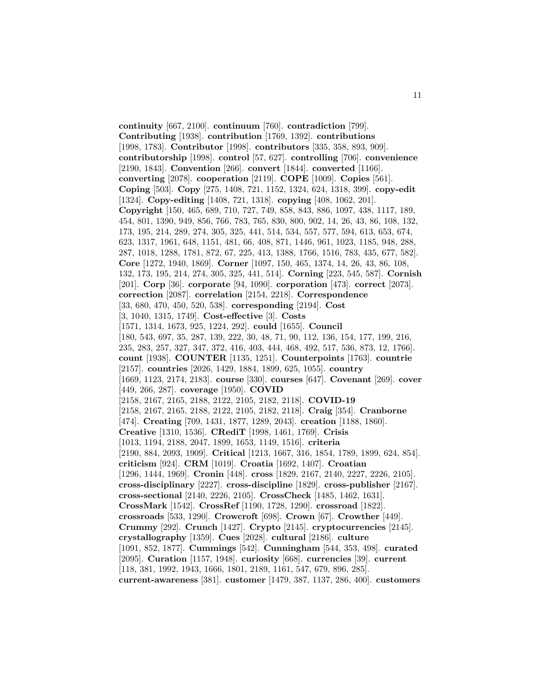**continuity** [667, 2100]. **continuum** [760]. **contradiction** [799]. **Contributing** [1938]. **contribution** [1769, 1392]. **contributions** [1998, 1783]. **Contributor** [1998]. **contributors** [335, 358, 893, 909]. **contributorship** [1998]. **control** [57, 627]. **controlling** [706]. **convenience** [2190, 1843]. **Convention** [266]. **convert** [1844]. **converted** [1166]. **converting** [2078]. **cooperation** [2119]. **COPE** [1009]. **Copies** [561]. **Coping** [503]. **Copy** [275, 1408, 721, 1152, 1324, 624, 1318, 399]. **copy-edit** [1324]. **Copy-editing** [1408, 721, 1318]. **copying** [408, 1062, 201]. **Copyright** [150, 465, 689, 710, 727, 749, 858, 843, 886, 1097, 438, 1117, 189, 454, 801, 1390, 949, 856, 766, 783, 765, 830, 800, 902, 14, 26, 43, 86, 108, 132, 173, 195, 214, 289, 274, 305, 325, 441, 514, 534, 557, 577, 594, 613, 653, 674, 623, 1317, 1961, 648, 1151, 481, 66, 408, 871, 1446, 961, 1023, 1185, 948, 288, 287, 1018, 1288, 1781, 872, 67, 225, 413, 1388, 1766, 1516, 783, 435, 677, 582]. **Core** [1272, 1940, 1869]. **Corner** [1097, 150, 465, 1374, 14, 26, 43, 86, 108, 132, 173, 195, 214, 274, 305, 325, 441, 514]. **Corning** [223, 545, 587]. **Cornish** [201]. **Corp** [36]. **corporate** [94, 1090]. **corporation** [473]. **correct** [2073]. **correction** [2087]. **correlation** [2154, 2218]. **Correspondence** [33, 680, 470, 450, 520, 538]. **corresponding** [2194]. **Cost** [3, 1040, 1315, 1749]. **Cost-effective** [3]. **Costs** [1571, 1314, 1673, 925, 1224, 292]. **could** [1655]. **Council** [180, 543, 697, 35, 287, 139, 222, 30, 48, 71, 90, 112, 136, 154, 177, 199, 216, 235, 283, 257, 327, 347, 372, 416, 403, 444, 468, 492, 517, 536, 873, 12, 1766]. **count** [1938]. **COUNTER** [1135, 1251]. **Counterpoints** [1763]. **countrie** [2157]. **countries** [2026, 1429, 1884, 1899, 625, 1055]. **country** [1669, 1123, 2174, 2183]. **course** [330]. **courses** [647]. **Covenant** [269]. **cover** [449, 266, 287]. **coverage** [1950]. **COVID** [2158, 2167, 2165, 2188, 2122, 2105, 2182, 2118]. **COVID-19** [2158, 2167, 2165, 2188, 2122, 2105, 2182, 2118]. **Craig** [354]. **Cranborne** [474]. **Creating** [709, 1431, 1877, 1289, 2043]. **creation** [1188, 1860]. **Creative** [1310, 1536]. **CRediT** [1998, 1461, 1769]. **Crisis** [1013, 1194, 2188, 2047, 1899, 1653, 1149, 1516]. **criteria** [2190, 884, 2093, 1909]. **Critical** [1213, 1667, 316, 1854, 1789, 1899, 624, 854]. **criticism** [924]. **CRM** [1019]. **Croatia** [1692, 1407]. **Croatian** [1296, 1444, 1969]. **Cronin** [448]. **cross** [1829, 2167, 2140, 2227, 2226, 2105]. **cross-disciplinary** [2227]. **cross-discipline** [1829]. **cross-publisher** [2167]. **cross-sectional** [2140, 2226, 2105]. **CrossCheck** [1485, 1462, 1631]. **CrossMark** [1542]. **CrossRef** [1190, 1728, 1290]. **crossroad** [1822]. **crossroads** [533, 1290]. **Crowcroft** [698]. **Crown** [67]. **Crowther** [449]. **Crummy** [292]. **Crunch** [1427]. **Crypto** [2145]. **cryptocurrencies** [2145]. **crystallography** [1359]. **Cues** [2028]. **cultural** [2186]. **culture** [1091, 852, 1877]. **Cummings** [542]. **Cunningham** [544, 353, 498]. **curated** [2095]. **Curation** [1157, 1948]. **curiosity** [668]. **currencies** [39]. **current** [118, 381, 1992, 1943, 1666, 1801, 2189, 1161, 547, 679, 896, 285]. **current-awareness** [381]. **customer** [1479, 387, 1137, 286, 400]. **customers**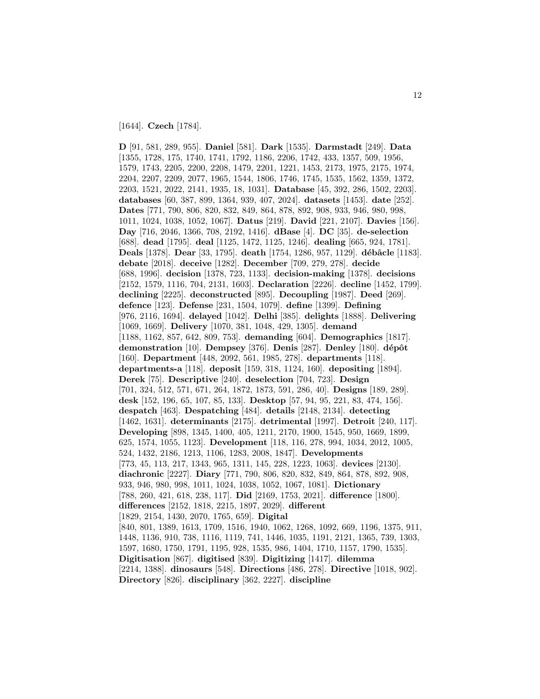[1644]. **Czech** [1784].

**D** [91, 581, 289, 955]. **Daniel** [581]. **Dark** [1535]. **Darmstadt** [249]. **Data** [1355, 1728, 175, 1740, 1741, 1792, 1186, 2206, 1742, 433, 1357, 509, 1956, 1579, 1743, 2205, 2200, 2208, 1479, 2201, 1221, 1453, 2173, 1975, 2175, 1974, 2204, 2207, 2209, 2077, 1965, 1544, 1806, 1746, 1745, 1535, 1562, 1359, 1372, 2203, 1521, 2022, 2141, 1935, 18, 1031]. **Database** [45, 392, 286, 1502, 2203]. **databases** [60, 387, 899, 1364, 939, 407, 2024]. **datasets** [1453]. **date** [252]. **Dates** [771, 790, 806, 820, 832, 849, 864, 878, 892, 908, 933, 946, 980, 998, 1011, 1024, 1038, 1052, 1067]. **Datus** [219]. **David** [221, 2107]. **Davies** [156]. **Day** [716, 2046, 1366, 708, 2192, 1416]. **dBase** [4]. **DC** [35]. **de-selection** [688]. **dead** [1795]. **deal** [1125, 1472, 1125, 1246]. **dealing** [665, 924, 1781]. Deals<sup>[1378]</sup>. Dear<sup>[33, 1795]. **death** [1754, 1286, 957, 1129]. **débâcle** [1183].</sup> **debate** [2018]. **deceive** [1282]. **December** [709, 279, 278]. **decide** [688, 1996]. **decision** [1378, 723, 1133]. **decision-making** [1378]. **decisions** [2152, 1579, 1116, 704, 2131, 1603]. **Declaration** [2226]. **decline** [1452, 1799]. **declining** [2225]. **deconstructed** [895]. **Decoupling** [1987]. **Deed** [269]. **defence** [123]. **Defense** [231, 1504, 1079]. **define** [1399]. **Defining** [976, 2116, 1694]. **delayed** [1042]. **Delhi** [385]. **delights** [1888]. **Delivering** [1069, 1669]. **Delivery** [1070, 381, 1048, 429, 1305]. **demand** [1188, 1162, 857, 642, 809, 753]. **demanding** [604]. **Demographics** [1817]. **demonstration** [10]. **Dempsey** [376]. **Denis** [287]. **Denley** [180]. **dépôt** [160]. **Department** [448, 2092, 561, 1985, 278]. **departments** [118]. **departments-a** [118]. **deposit** [159, 318, 1124, 160]. **depositing** [1894]. **Derek** [75]. **Descriptive** [240]. **deselection** [704, 723]. **Design** [701, 324, 512, 571, 671, 264, 1872, 1873, 591, 286, 40]. **Designs** [189, 289]. **desk** [152, 196, 65, 107, 85, 133]. **Desktop** [57, 94, 95, 221, 83, 474, 156]. **despatch** [463]. **Despatching** [484]. **details** [2148, 2134]. **detecting** [1462, 1631]. **determinants** [2175]. **detrimental** [1997]. **Detroit** [240, 117]. **Developing** [898, 1345, 1400, 405, 1211, 2170, 1900, 1545, 950, 1669, 1899, 625, 1574, 1055, 1123]. **Development** [118, 116, 278, 994, 1034, 2012, 1005, 524, 1432, 2186, 1213, 1106, 1283, 2008, 1847]. **Developments** [773, 45, 113, 217, 1343, 965, 1311, 145, 228, 1223, 1063]. **devices** [2130]. **diachronic** [2227]. **Diary** [771, 790, 806, 820, 832, 849, 864, 878, 892, 908, 933, 946, 980, 998, 1011, 1024, 1038, 1052, 1067, 1081]. **Dictionary** [788, 260, 421, 618, 238, 117]. **Did** [2169, 1753, 2021]. **difference** [1800]. **differences** [2152, 1818, 2215, 1897, 2029]. **different** [1829, 2154, 1430, 2070, 1765, 659]. **Digital** [840, 801, 1389, 1613, 1709, 1516, 1940, 1062, 1268, 1092, 669, 1196, 1375, 911, 1448, 1136, 910, 738, 1116, 1119, 741, 1446, 1035, 1191, 2121, 1365, 739, 1303, 1597, 1680, 1750, 1791, 1195, 928, 1535, 986, 1404, 1710, 1157, 1790, 1535]. **Digitisation** [867]. **digitised** [839]. **Digitizing** [1417]. **dilemma** [2214, 1388]. **dinosaurs** [548]. **Directions** [486, 278]. **Directive** [1018, 902]. **Directory** [826]. **disciplinary** [362, 2227]. **discipline**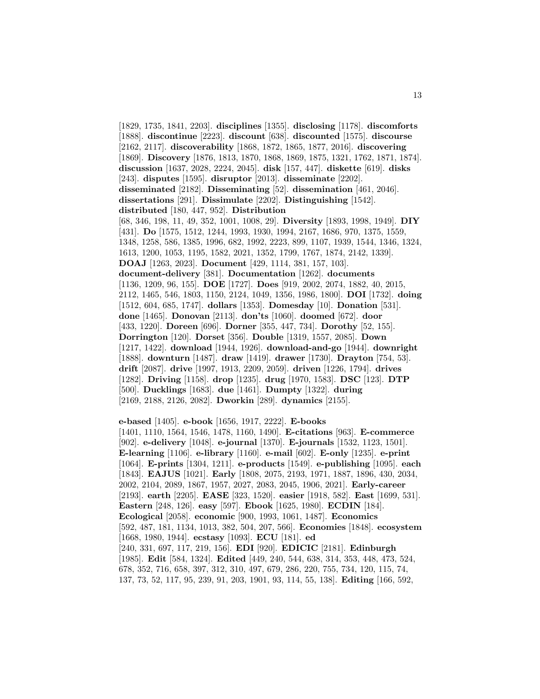[1829, 1735, 1841, 2203]. **disciplines** [1355]. **disclosing** [1178]. **discomforts** [1888]. **discontinue** [2223]. **discount** [638]. **discounted** [1575]. **discourse** [2162, 2117]. **discoverability** [1868, 1872, 1865, 1877, 2016]. **discovering** [1869]. **Discovery** [1876, 1813, 1870, 1868, 1869, 1875, 1321, 1762, 1871, 1874]. **discussion** [1637, 2028, 2224, 2045]. **disk** [157, 447]. **diskette** [619]. **disks** [243]. **disputes** [1595]. **disruptor** [2013]. **disseminate** [2202]. **disseminated** [2182]. **Disseminating** [52]. **dissemination** [461, 2046]. **dissertations** [291]. **Dissimulate** [2202]. **Distinguishing** [1542]. **distributed** [180, 447, 952]. **Distribution** [68, 346, 198, 11, 49, 352, 1001, 1008, 29]. **Diversity** [1893, 1998, 1949]. **DIY** [431]. **Do** [1575, 1512, 1244, 1993, 1930, 1994, 2167, 1686, 970, 1375, 1559, 1348, 1258, 586, 1385, 1996, 682, 1992, 2223, 899, 1107, 1939, 1544, 1346, 1324, 1613, 1200, 1053, 1195, 1582, 2021, 1352, 1799, 1767, 1874, 2142, 1339]. **DOAJ** [1263, 2023]. **Document** [429, 1114, 381, 157, 103]. **document-delivery** [381]. **Documentation** [1262]. **documents** [1136, 1209, 96, 155]. **DOE** [1727]. **Does** [919, 2002, 2074, 1882, 40, 2015, 2112, 1465, 546, 1803, 1150, 2124, 1049, 1356, 1986, 1800]. **DOI** [1732]. **doing** [1512, 604, 685, 1747]. **dollars** [1353]. **Domesday** [10]. **Donation** [531]. **done** [1465]. **Donovan** [2113]. **don'ts** [1060]. **doomed** [672]. **door** [433, 1220]. **Doreen** [696]. **Dorner** [355, 447, 734]. **Dorothy** [52, 155]. **Dorrington** [120]. **Dorset** [356]. **Double** [1319, 1557, 2085]. **Down** [1217, 1422]. **download** [1944, 1926]. **download-and-go** [1944]. **downright** [1888]. **downturn** [1487]. **draw** [1419]. **drawer** [1730]. **Drayton** [754, 53]. **drift** [2087]. **drive** [1997, 1913, 2209, 2059]. **driven** [1226, 1794]. **drives** [1282]. **Driving** [1158]. **drop** [1235]. **drug** [1970, 1583]. **DSC** [123]. **DTP** [500]. **Ducklings** [1683]. **due** [1461]. **Dumpty** [1322]. **during** [2169, 2188, 2126, 2082]. **Dworkin** [289]. **dynamics** [2155].

**e-based** [1405]. **e-book** [1656, 1917, 2222]. **E-books** [1401, 1110, 1564, 1546, 1478, 1160, 1490]. **E-citations** [963]. **E-commerce** [902]. **e-delivery** [1048]. **e-journal** [1370]. **E-journals** [1532, 1123, 1501]. **E-learning** [1106]. **e-library** [1160]. **e-mail** [602]. **E-only** [1235]. **e-print** [1064]. **E-prints** [1304, 1211]. **e-products** [1549]. **e-publishing** [1095]. **each** [1843]. **EAJUS** [1021]. **Early** [1808, 2075, 2193, 1971, 1887, 1896, 430, 2034, 2002, 2104, 2089, 1867, 1957, 2027, 2083, 2045, 1906, 2021]. **Early-career** [2193]. **earth** [2205]. **EASE** [323, 1520]. **easier** [1918, 582]. **East** [1699, 531]. **Eastern** [248, 126]. **easy** [597]. **Ebook** [1625, 1980]. **ECDIN** [184]. **Ecological** [2058]. **economic** [900, 1993, 1061, 1487]. **Economics** [592, 487, 181, 1134, 1013, 382, 504, 207, 566]. **Economies** [1848]. **ecosystem** [1668, 1980, 1944]. **ecstasy** [1093]. **ECU** [181]. **ed** [240, 331, 697, 117, 219, 156]. **EDI** [920]. **EDICIC** [2181]. **Edinburgh** [1985]. **Edit** [584, 1324]. **Edited** [449, 240, 544, 638, 314, 353, 448, 473, 524, 678, 352, 716, 658, 397, 312, 310, 497, 679, 286, 220, 755, 734, 120, 115, 74, 137, 73, 52, 117, 95, 239, 91, 203, 1901, 93, 114, 55, 138]. **Editing** [166, 592,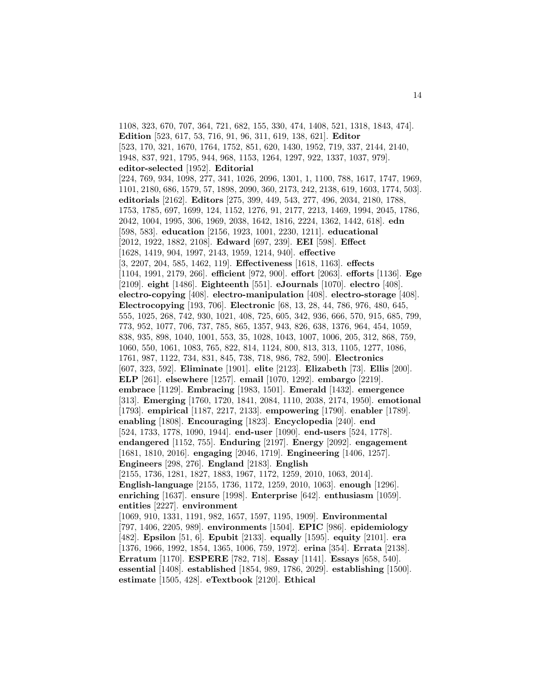1108, 323, 670, 707, 364, 721, 682, 155, 330, 474, 1408, 521, 1318, 1843, 474]. **Edition** [523, 617, 53, 716, 91, 96, 311, 619, 138, 621]. **Editor** [523, 170, 321, 1670, 1764, 1752, 851, 620, 1430, 1952, 719, 337, 2144, 2140, 1948, 837, 921, 1795, 944, 968, 1153, 1264, 1297, 922, 1337, 1037, 979]. **editor-selected** [1952]. **Editorial** [224, 769, 934, 1098, 277, 341, 1026, 2096, 1301, 1, 1100, 788, 1617, 1747, 1969, 1101, 2180, 686, 1579, 57, 1898, 2090, 360, 2173, 242, 2138, 619, 1603, 1774, 503]. **editorials** [2162]. **Editors** [275, 399, 449, 543, 277, 496, 2034, 2180, 1788, 1753, 1785, 697, 1699, 124, 1152, 1276, 91, 2177, 2213, 1469, 1994, 2045, 1786, 2042, 1004, 1995, 306, 1969, 2038, 1642, 1816, 2224, 1362, 1442, 618]. **edn** [598, 583]. **education** [2156, 1923, 1001, 2230, 1211]. **educational** [2012, 1922, 1882, 2108]. **Edward** [697, 239]. **EEI** [598]. **Effect** [1628, 1419, 904, 1997, 2143, 1959, 1214, 940]. **effective** [3, 2207, 204, 585, 1462, 119]. **Effectiveness** [1618, 1163]. **effects** [1104, 1991, 2179, 266]. **efficient** [972, 900]. **effort** [2063]. **efforts** [1136]. **Ege** [2109]. **eight** [1486]. **Eighteenth** [551]. **eJournals** [1070]. **electro** [408]. **electro-copying** [408]. **electro-manipulation** [408]. **electro-storage** [408]. **Electrocopying** [193, 706]. **Electronic** [68, 13, 28, 44, 786, 976, 480, 645, 555, 1025, 268, 742, 930, 1021, 408, 725, 605, 342, 936, 666, 570, 915, 685, 799, 773, 952, 1077, 706, 737, 785, 865, 1357, 943, 826, 638, 1376, 964, 454, 1059, 838, 935, 898, 1040, 1001, 553, 35, 1028, 1043, 1007, 1006, 205, 312, 868, 759, 1060, 550, 1061, 1083, 765, 822, 814, 1124, 800, 813, 313, 1105, 1277, 1086, 1761, 987, 1122, 734, 831, 845, 738, 718, 986, 782, 590]. **Electronics** [607, 323, 592]. **Eliminate** [1901]. **elite** [2123]. **Elizabeth** [73]. **Ellis** [200]. **ELP** [261]. **elsewhere** [1257]. **email** [1070, 1292]. **embargo** [2219]. **embrace** [1129]. **Embracing** [1983, 1501]. **Emerald** [1432]. **emergence** [313]. **Emerging** [1760, 1720, 1841, 2084, 1110, 2038, 2174, 1950]. **emotional** [1793]. **empirical** [1187, 2217, 2133]. **empowering** [1790]. **enabler** [1789]. **enabling** [1808]. **Encouraging** [1823]. **Encyclopedia** [240]. **end** [524, 1733, 1778, 1090, 1944]. **end-user** [1090]. **end-users** [524, 1778]. **endangered** [1152, 755]. **Enduring** [2197]. **Energy** [2092]. **engagement** [1681, 1810, 2016]. **engaging** [2046, 1719]. **Engineering** [1406, 1257]. **Engineers** [298, 276]. **England** [2183]. **English** [2155, 1736, 1281, 1827, 1883, 1967, 1172, 1259, 2010, 1063, 2014]. **English-language** [2155, 1736, 1172, 1259, 2010, 1063]. **enough** [1296]. **enriching** [1637]. **ensure** [1998]. **Enterprise** [642]. **enthusiasm** [1059]. **entities** [2227]. **environment** [1069, 910, 1331, 1191, 982, 1657, 1597, 1195, 1909]. **Environmental** [797, 1406, 2205, 989]. **environments** [1504]. **EPIC** [986]. **epidemiology** [482]. **Epsilon** [51, 6]. **Epubit** [2133]. **equally** [1595]. **equity** [2101]. **era** [1376, 1966, 1992, 1854, 1365, 1006, 759, 1972]. **erina** [354]. **Errata** [2138]. **Erratum** [1170]. **ESPERE** [782, 718]. **Essay** [1141]. **Essays** [658, 540]. **essential** [1408]. **established** [1854, 989, 1786, 2029]. **establishing** [1500]. **estimate** [1505, 428]. **eTextbook** [2120]. **Ethical**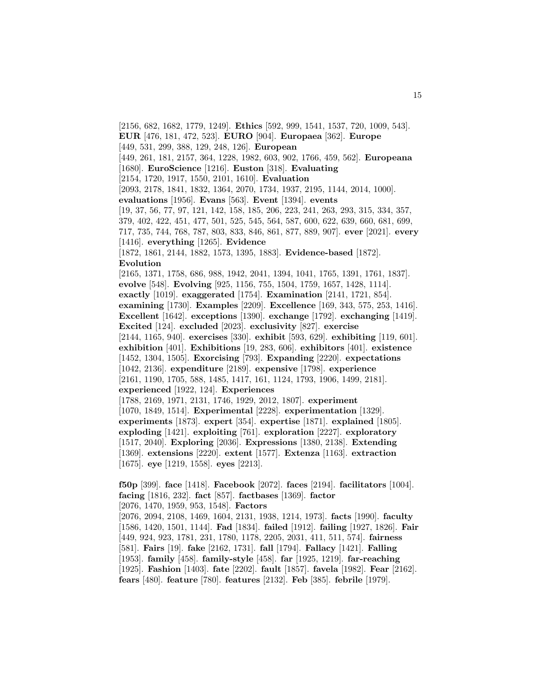[2156, 682, 1682, 1779, 1249]. **Ethics** [592, 999, 1541, 1537, 720, 1009, 543]. **EUR** [476, 181, 472, 523]. **EURO** [904]. **Europaea** [362]. **Europe** [449, 531, 299, 388, 129, 248, 126]. **European** [449, 261, 181, 2157, 364, 1228, 1982, 603, 902, 1766, 459, 562]. **Europeana** [1680]. **EuroScience** [1216]. **Euston** [318]. **Evaluating** [2154, 1720, 1917, 1550, 2101, 1610]. **Evaluation** [2093, 2178, 1841, 1832, 1364, 2070, 1734, 1937, 2195, 1144, 2014, 1000]. **evaluations** [1956]. **Evans** [563]. **Event** [1394]. **events** [19, 37, 56, 77, 97, 121, 142, 158, 185, 206, 223, 241, 263, 293, 315, 334, 357, 379, 402, 422, 451, 477, 501, 525, 545, 564, 587, 600, 622, 639, 660, 681, 699, 717, 735, 744, 768, 787, 803, 833, 846, 861, 877, 889, 907]. **ever** [2021]. **every** [1416]. **everything** [1265]. **Evidence** [1872, 1861, 2144, 1882, 1573, 1395, 1883]. **Evidence-based** [1872]. **Evolution** [2165, 1371, 1758, 686, 988, 1942, 2041, 1394, 1041, 1765, 1391, 1761, 1837]. **evolve** [548]. **Evolving** [925, 1156, 755, 1504, 1759, 1657, 1428, 1114]. **exactly** [1019]. **exaggerated** [1754]. **Examination** [2141, 1721, 854]. **examining** [1730]. **Examples** [2209]. **Excellence** [169, 343, 575, 253, 1416]. **Excellent** [1642]. **exceptions** [1390]. **exchange** [1792]. **exchanging** [1419]. **Excited** [124]. **excluded** [2023]. **exclusivity** [827]. **exercise** [2144, 1165, 940]. **exercises** [330]. **exhibit** [593, 629]. **exhibiting** [119, 601]. **exhibition** [401]. **Exhibitions** [19, 283, 606]. **exhibitors** [401]. **existence** [1452, 1304, 1505]. **Exorcising** [793]. **Expanding** [2220]. **expectations** [1042, 2136]. **expenditure** [2189]. **expensive** [1798]. **experience** [2161, 1190, 1705, 588, 1485, 1417, 161, 1124, 1793, 1906, 1499, 2181]. **experienced** [1922, 124]. **Experiences** [1788, 2169, 1971, 2131, 1746, 1929, 2012, 1807]. **experiment** [1070, 1849, 1514]. **Experimental** [2228]. **experimentation** [1329]. **experiments** [1873]. **expert** [354]. **expertise** [1871]. **explained** [1805]. **exploding** [1421]. **exploiting** [761]. **exploration** [2227]. **exploratory** [1517, 2040]. **Exploring** [2036]. **Expressions** [1380, 2138]. **Extending** [1369]. **extensions** [2220]. **extent** [1577]. **Extenza** [1163]. **extraction** [1675]. **eye** [1219, 1558]. **eyes** [2213]. **f50p** [399]. **face** [1418]. **Facebook** [2072]. **faces** [2194]. **facilitators** [1004]. **facing** [1816, 232]. **fact** [857]. **factbases** [1369]. **factor** [2076, 1470, 1959, 953, 1548]. **Factors**

[2076, 2094, 2108, 1469, 1604, 2131, 1938, 1214, 1973]. **facts** [1990]. **faculty** [1586, 1420, 1501, 1144]. **Fad** [1834]. **failed** [1912]. **failing** [1927, 1826]. **Fair** [449, 924, 923, 1781, 231, 1780, 1178, 2205, 2031, 411, 511, 574]. **fairness** [581]. **Fairs** [19]. **fake** [2162, 1731]. **fall** [1794]. **Fallacy** [1421]. **Falling** [1953]. **family** [458]. **family-style** [458]. **far** [1925, 1219]. **far-reaching** [1925]. **Fashion** [1403]. **fate** [2202]. **fault** [1857]. **favela** [1982]. **Fear** [2162]. **fears** [480]. **feature** [780]. **features** [2132]. **Feb** [385]. **febrile** [1979].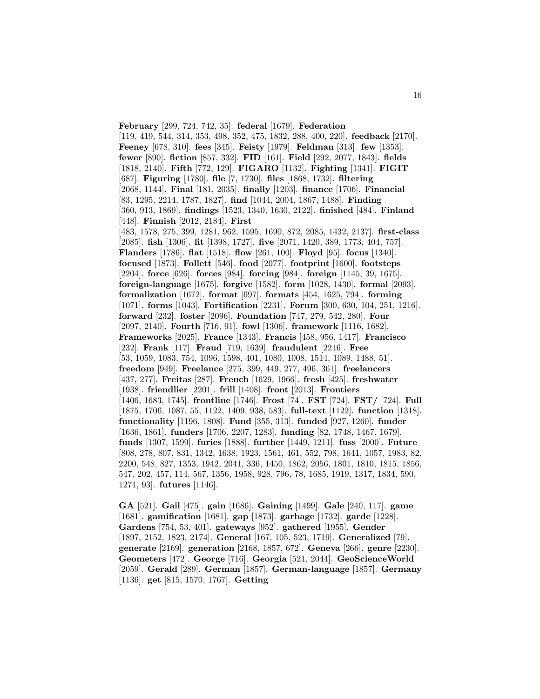**February** [299, 724, 742, 35]. **federal** [1679]. **Federation** [119, 419, 544, 314, 353, 498, 352, 475, 1832, 288, 400, 220]. **feedback** [2170]. **Feeney** [678, 310]. **fees** [345]. **Feisty** [1979]. **Feldman** [313]. **few** [1353]. **fewer** [890]. **fiction** [857, 332]. **FID** [161]. **Field** [292, 2077, 1843]. **fields** [1818, 2140]. **Fifth** [772, 129]. **FIGARO** [1132]. **Fighting** [1341]. **FIGIT** [687]. **Figuring** [1780]. **file** [7, 1730]. **files** [1868, 1732]. **filtering** [2068, 1144]. **Final** [181, 2035]. **finally** [1203]. **finance** [1706]. **Financial** [83, 1295, 2214, 1787, 1827]. **find** [1044, 2004, 1867, 1488]. **Finding** [360, 913, 1869]. **findings** [1523, 1340, 1630, 2122]. **finished** [484]. **Finland** [448]. **Finnish** [2012, 2184]. **First** [483, 1578, 275, 399, 1281, 962, 1595, 1690, 872, 2085, 1432, 2137]. **first-class** [2085]. **fish** [1306]. **fit** [1398, 1727]. **five** [2071, 1420, 389, 1773, 404, 757]. **Flanders** [1786]. **flat** [1518]. **flow** [261, 100]. **Floyd** [95]. **focus** [1340]. **focused** [1873]. **Follett** [546]. **food** [2077]. **footprint** [1600]. **footsteps** [2204]. **force** [626]. **forces** [984]. **forcing** [984]. **foreign** [1145, 39, 1675]. **foreign-language** [1675]. **forgive** [1582]. **form** [1028, 1430]. **formal** [2093]. **formalization** [1672]. **format** [697]. **formats** [454, 1625, 794]. **forming** [1071]. **forms** [1043]. **Fortification** [2231]. **Forum** [300, 630, 104, 251, 1216]. **forward** [232]. **foster** [2096]. **Foundation** [747, 279, 542, 280]. **Four** [2097, 2140]. **Fourth** [716, 91]. **fowl** [1306]. **framework** [1116, 1682]. **Frameworks** [2025]. **France** [1343]. **Francis** [458, 956, 1417]. **Francisco** [232]. **Frank** [117]. **Fraud** [719, 1639]. **fraudulent** [2216]. **Free** [53, 1059, 1083, 754, 1096, 1598, 401, 1080, 1008, 1514, 1089, 1488, 51]. **freedom** [949]. **Freelance** [275, 399, 449, 277, 496, 361]. **freelancers** [437, 277]. **Freitas** [287]. **French** [1629, 1966]. **fresh** [425]. **freshwater** [1938]. **friendlier** [2201]. **frill** [1408]. **front** [2013]. **Frontiers** [1406, 1683, 1745]. **frontline** [1746]. **Frost** [74]. **FST** [724]. **FST/** [724]. **Full** [1875, 1706, 1087, 55, 1122, 1409, 938, 583]. **full-text** [1122]. **function** [1318]. **functionality** [1196, 1808]. **Fund** [355, 313]. **funded** [927, 1260]. **funder** [1636, 1861]. **funders** [1706, 2207, 1283]. **funding** [82, 1748, 1467, 1679]. **funds** [1307, 1599]. **furies** [1888]. **further** [1449, 1211]. **fuss** [2000]. **Future** [808, 278, 807, 831, 1342, 1638, 1923, 1561, 461, 552, 798, 1641, 1057, 1983, 82, 2200, 548, 827, 1353, 1942, 2041, 336, 1450, 1862, 2056, 1801, 1810, 1815, 1856, 547, 202, 457, 114, 567, 1356, 1958, 928, 796, 78, 1685, 1919, 1317, 1834, 590, 1271, 93]. **futures** [1146].

**GA** [521]. **Gail** [475]. **gain** [1686]. **Gaining** [1499]. **Gale** [240, 117]. **game** [1681]. **gamification** [1681]. **gap** [1873]. **garbage** [1732]. **garde** [1228]. **Gardens** [754, 53, 401]. **gateways** [952]. **gathered** [1955]. **Gender** [1897, 2152, 1823, 2174]. **General** [167, 105, 523, 1719]. **Generalized** [79]. **generate** [2169]. **generation** [2168, 1857, 672]. **Geneva** [266]. **genre** [2230]. **Geometers** [472]. **George** [716]. **Georgia** [521, 2044]. **GeoScienceWorld** [2059]. **Gerald** [289]. **German** [1857]. **German-language** [1857]. **Germany** [1136]. **get** [815, 1570, 1767]. **Getting**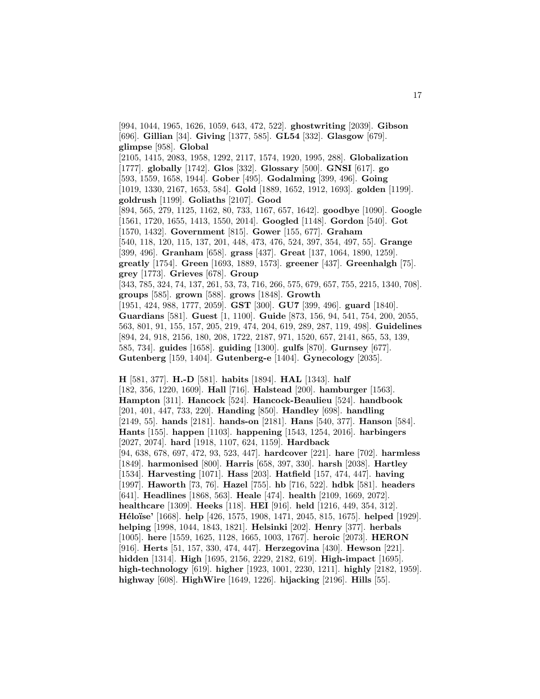[994, 1044, 1965, 1626, 1059, 643, 472, 522]. **ghostwriting** [2039]. **Gibson** [696]. **Gillian** [34]. **Giving** [1377, 585]. **GL54** [332]. **Glasgow** [679]. **glimpse** [958]. **Global** [2105, 1415, 2083, 1958, 1292, 2117, 1574, 1920, 1995, 288]. **Globalization** [1777]. **globally** [1742]. **Glos** [332]. **Glossary** [500]. **GNSI** [617]. **go** [593, 1559, 1658, 1944]. **Gober** [495]. **Godalming** [399, 496]. **Going** [1019, 1330, 2167, 1653, 584]. **Gold** [1889, 1652, 1912, 1693]. **golden** [1199]. **goldrush** [1199]. **Goliaths** [2107]. **Good** [894, 565, 279, 1125, 1162, 80, 733, 1167, 657, 1642]. **goodbye** [1090]. **Google** [1561, 1720, 1655, 1413, 1550, 2014]. **Googled** [1148]. **Gordon** [540]. **Got** [1570, 1432]. **Government** [815]. **Gower** [155, 677]. **Graham** [540, 118, 120, 115, 137, 201, 448, 473, 476, 524, 397, 354, 497, 55]. **Grange** [399, 496]. **Granham** [658]. **grass** [437]. **Great** [137, 1064, 1890, 1259]. **greatly** [1754]. **Green** [1693, 1889, 1573]. **greener** [437]. **Greenhalgh** [75]. **grey** [1773]. **Grieves** [678]. **Group** [343, 785, 324, 74, 137, 261, 53, 73, 716, 266, 575, 679, 657, 755, 2215, 1340, 708]. **groups** [585]. **grown** [588]. **grows** [1848]. **Growth** [1951, 424, 988, 1777, 2059]. **GST** [300]. **GU7** [399, 496]. **guard** [1840]. **Guardians** [581]. **Guest** [1, 1100]. **Guide** [873, 156, 94, 541, 754, 200, 2055, 563, 801, 91, 155, 157, 205, 219, 474, 204, 619, 289, 287, 119, 498]. **Guidelines** [894, 24, 918, 2156, 180, 208, 1722, 2187, 971, 1520, 657, 2141, 865, 53, 139, 585, 734]. **guides** [1658]. **guiding** [1300]. **gulfs** [870]. **Gurnsey** [677]. **Gutenberg** [159, 1404]. **Gutenberg-e** [1404]. **Gynecology** [2035].

**H** [581, 377]. **H.-D** [581]. **habits** [1894]. **HAL** [1343]. **half** [182, 356, 1220, 1609]. **Hall** [716]. **Halstead** [200]. **hamburger** [1563]. **Hampton** [311]. **Hancock** [524]. **Hancock-Beaulieu** [524]. **handbook** [201, 401, 447, 733, 220]. **Handing** [850]. **Handley** [698]. **handling** [2149, 55]. **hands** [2181]. **hands-on** [2181]. **Hans** [540, 377]. **Hanson** [584]. **Hants** [155]. **happen** [1103]. **happening** [1543, 1254, 2016]. **harbingers** [2027, 2074]. **hard** [1918, 1107, 624, 1159]. **Hardback** [94, 638, 678, 697, 472, 93, 523, 447]. **hardcover** [221]. **hare** [702]. **harmless** [1849]. **harmonised** [800]. **Harris** [658, 397, 330]. **harsh** [2038]. **Hartley** [1534]. **Harvesting** [1071]. **Hass** [203]. **Hatfield** [157, 474, 447]. **having** [1997]. **Haworth** [73, 76]. **Hazel** [755]. **hb** [716, 522]. **hdbk** [581]. **headers** [641]. **Headlines** [1868, 563]. **Heale** [474]. **health** [2109, 1669, 2072]. **healthcare** [1309]. **Heeks** [118]. **HEI** [916]. **held** [1216, 449, 354, 312]. **H´elo¨ıse'** [1668]. **help** [426, 1575, 1908, 1471, 2045, 815, 1675]. **helped** [1929]. **helping** [1998, 1044, 1843, 1821]. **Helsinki** [202]. **Henry** [377]. **herbals** [1005]. **here** [1559, 1625, 1128, 1665, 1003, 1767]. **heroic** [2073]. **HERON** [916]. **Herts** [51, 157, 330, 474, 447]. **Herzegovina** [430]. **Hewson** [221]. **hidden** [1314]. **High** [1695, 2156, 2229, 2182, 619]. **High-impact** [1695]. **high-technology** [619]. **higher** [1923, 1001, 2230, 1211]. **highly** [2182, 1959]. **highway** [608]. **HighWire** [1649, 1226]. **hijacking** [2196]. **Hills** [55].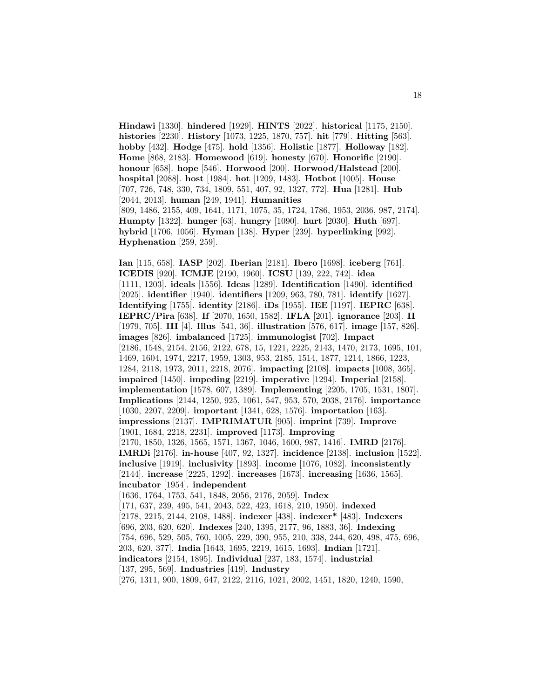**Hindawi** [1330]. **hindered** [1929]. **HINTS** [2022]. **historical** [1175, 2150]. **histories** [2230]. **History** [1073, 1225, 1870, 757]. **hit** [779]. **Hitting** [563]. **hobby** [432]. **Hodge** [475]. **hold** [1356]. **Holistic** [1877]. **Holloway** [182]. **Home** [868, 2183]. **Homewood** [619]. **honesty** [670]. **Honorific** [2190]. **honour** [658]. **hope** [546]. **Horwood** [200]. **Horwood/Halstead** [200]. **hospital** [2088]. **host** [1984]. **hot** [1209, 1483]. **Hotbot** [1005]. **House** [707, 726, 748, 330, 734, 1809, 551, 407, 92, 1327, 772]. **Hua** [1281]. **Hub** [2044, 2013]. **human** [249, 1941]. **Humanities** [809, 1486, 2155, 409, 1641, 1171, 1075, 35, 1724, 1786, 1953, 2036, 987, 2174]. **Humpty** [1322]. **hunger** [63]. **hungry** [1090]. **hurt** [2030]. **Huth** [697]. **hybrid** [1706, 1056]. **Hyman** [138]. **Hyper** [239]. **hyperlinking** [992]. **Hyphenation** [259, 259].

**Ian** [115, 658]. **IASP** [202]. **Iberian** [2181]. **Ibero** [1698]. **iceberg** [761]. **ICEDIS** [920]. **ICMJE** [2190, 1960]. **ICSU** [139, 222, 742]. **idea** [1111, 1203]. **ideals** [1556]. **Ideas** [1289]. **Identification** [1490]. **identified** [2025]. **identifier** [1940]. **identifiers** [1209, 963, 780, 781]. **identify** [1627]. **Identifying** [1755]. **identity** [2186]. **iDs** [1955]. **IEE** [1197]. **IEPRC** [638]. **IEPRC/Pira** [638]. **If** [2070, 1650, 1582]. **IFLA** [201]. **ignorance** [203]. **II** [1979, 705]. **III** [4]. **Illus** [541, 36]. **illustration** [576, 617]. **image** [157, 826]. **images** [826]. **imbalanced** [1725]. **immunologist** [702]. **Impact** [2186, 1548, 2154, 2156, 2122, 678, 15, 1221, 2225, 2143, 1470, 2173, 1695, 101, 1469, 1604, 1974, 2217, 1959, 1303, 953, 2185, 1514, 1877, 1214, 1866, 1223, 1284, 2118, 1973, 2011, 2218, 2076]. **impacting** [2108]. **impacts** [1008, 365]. **impaired** [1450]. **impeding** [2219]. **imperative** [1294]. **Imperial** [2158]. **implementation** [1578, 607, 1389]. **Implementing** [2205, 1705, 1531, 1807]. **Implications** [2144, 1250, 925, 1061, 547, 953, 570, 2038, 2176]. **importance** [1030, 2207, 2209]. **important** [1341, 628, 1576]. **importation** [163]. **impressions** [2137]. **IMPRIMATUR** [905]. **imprint** [739]. **Improve** [1901, 1684, 2218, 2231]. **improved** [1173]. **Improving** [2170, 1850, 1326, 1565, 1571, 1367, 1046, 1600, 987, 1416]. **IMRD** [2176]. **IMRDi** [2176]. **in-house** [407, 92, 1327]. **incidence** [2138]. **inclusion** [1522]. **inclusive** [1919]. **inclusivity** [1893]. **income** [1076, 1082]. **inconsistently** [2144]. **increase** [2225, 1292]. **increases** [1673]. **increasing** [1636, 1565]. **incubator** [1954]. **independent** [1636, 1764, 1753, 541, 1848, 2056, 2176, 2059]. **Index** [171, 637, 239, 495, 541, 2043, 522, 423, 1618, 210, 1950]. **indexed** [2178, 2215, 2144, 2108, 1488]. **indexer** [438]. **indexer\*** [483]. **Indexers** [696, 203, 620, 620]. **Indexes** [240, 1395, 2177, 96, 1883, 36]. **Indexing** [754, 696, 529, 505, 760, 1005, 229, 390, 955, 210, 338, 244, 620, 498, 475, 696, 203, 620, 377]. **India** [1643, 1695, 2219, 1615, 1693]. **Indian** [1721]. **indicators** [2154, 1895]. **Individual** [237, 183, 1574]. **industrial** [137, 295, 569]. **Industries** [419]. **Industry** [276, 1311, 900, 1809, 647, 2122, 2116, 1021, 2002, 1451, 1820, 1240, 1590,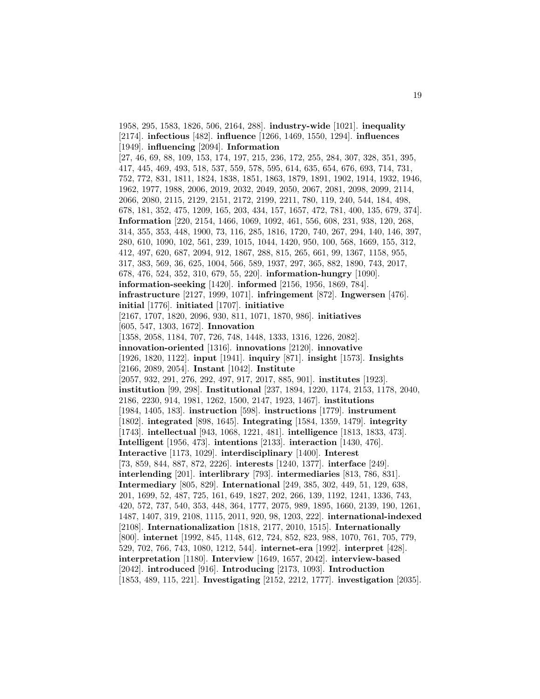1958, 295, 1583, 1826, 506, 2164, 288]. **industry-wide** [1021]. **inequality** [2174]. **infectious** [482]. **influence** [1266, 1469, 1550, 1294]. **influences** [1949]. **influencing** [2094]. **Information** [27, 46, 69, 88, 109, 153, 174, 197, 215, 236, 172, 255, 284, 307, 328, 351, 395, 417, 445, 469, 493, 518, 537, 559, 578, 595, 614, 635, 654, 676, 693, 714, 731, 752, 772, 831, 1811, 1824, 1838, 1851, 1863, 1879, 1891, 1902, 1914, 1932, 1946, 1962, 1977, 1988, 2006, 2019, 2032, 2049, 2050, 2067, 2081, 2098, 2099, 2114, 2066, 2080, 2115, 2129, 2151, 2172, 2199, 2211, 780, 119, 240, 544, 184, 498, 678, 181, 352, 475, 1209, 165, 203, 434, 157, 1657, 472, 781, 400, 135, 679, 374]. **Information** [220, 2154, 1466, 1069, 1092, 461, 556, 608, 231, 938, 120, 268, 314, 355, 353, 448, 1900, 73, 116, 285, 1816, 1720, 740, 267, 294, 140, 146, 397, 280, 610, 1090, 102, 561, 239, 1015, 1044, 1420, 950, 100, 568, 1669, 155, 312, 412, 497, 620, 687, 2094, 912, 1867, 288, 815, 265, 661, 99, 1367, 1158, 955, 317, 383, 569, 36, 625, 1004, 566, 589, 1937, 297, 365, 882, 1890, 743, 2017, 678, 476, 524, 352, 310, 679, 55, 220]. **information-hungry** [1090]. **information-seeking** [1420]. **informed** [2156, 1956, 1869, 784]. **infrastructure** [2127, 1999, 1071]. **infringement** [872]. **Ingwersen** [476]. **initial** [1776]. **initiated** [1707]. **initiative** [2167, 1707, 1820, 2096, 930, 811, 1071, 1870, 986]. **initiatives** [605, 547, 1303, 1672]. **Innovation** [1358, 2058, 1184, 707, 726, 748, 1448, 1333, 1316, 1226, 2082]. **innovation-oriented** [1316]. **innovations** [2120]. **innovative** [1926, 1820, 1122]. **input** [1941]. **inquiry** [871]. **insight** [1573]. **Insights** [2166, 2089, 2054]. **Instant** [1042]. **Institute** [2057, 932, 291, 276, 292, 497, 917, 2017, 885, 901]. **institutes** [1923]. **institution** [99, 298]. **Institutional** [237, 1894, 1220, 1174, 2153, 1178, 2040, 2186, 2230, 914, 1981, 1262, 1500, 2147, 1923, 1467]. **institutions** [1984, 1405, 183]. **instruction** [598]. **instructions** [1779]. **instrument** [1802]. **integrated** [898, 1645]. **Integrating** [1584, 1359, 1479]. **integrity** [1743]. **intellectual** [943, 1068, 1221, 481]. **intelligence** [1813, 1833, 473]. **Intelligent** [1956, 473]. **intentions** [2133]. **interaction** [1430, 476]. **Interactive** [1173, 1029]. **interdisciplinary** [1400]. **Interest** [73, 859, 844, 887, 872, 2226]. **interests** [1240, 1377]. **interface** [249]. **interlending** [201]. **interlibrary** [793]. **intermediaries** [813, 786, 831]. **Intermediary** [805, 829]. **International** [249, 385, 302, 449, 51, 129, 638, 201, 1699, 52, 487, 725, 161, 649, 1827, 202, 266, 139, 1192, 1241, 1336, 743, 420, 572, 737, 540, 353, 448, 364, 1777, 2075, 989, 1895, 1660, 2139, 190, 1261, 1487, 1407, 319, 2108, 1115, 2011, 920, 98, 1203, 222]. **international-indexed** [2108]. **Internationalization** [1818, 2177, 2010, 1515]. **Internationally** [800]. **internet** [1992, 845, 1148, 612, 724, 852, 823, 988, 1070, 761, 705, 779, 529, 702, 766, 743, 1080, 1212, 544]. **internet-era** [1992]. **interpret** [428]. **interpretation** [1180]. **Interview** [1649, 1657, 2042]. **interview-based** [2042]. **introduced** [916]. **Introducing** [2173, 1093]. **Introduction** [1853, 489, 115, 221]. **Investigating** [2152, 2212, 1777]. **investigation** [2035].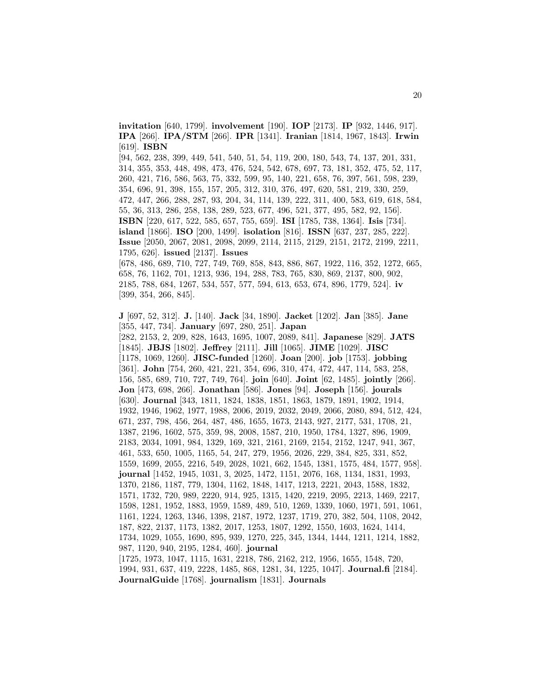**invitation** [640, 1799]. **involvement** [190]. **IOP** [2173]. **IP** [932, 1446, 917]. **IPA** [266]. **IPA/STM** [266]. **IPR** [1341]. **Iranian** [1814, 1967, 1843]. **Irwin** [619]. **ISBN**

[94, 562, 238, 399, 449, 541, 540, 51, 54, 119, 200, 180, 543, 74, 137, 201, 331, 314, 355, 353, 448, 498, 473, 476, 524, 542, 678, 697, 73, 181, 352, 475, 52, 117, 260, 421, 716, 586, 563, 75, 332, 599, 95, 140, 221, 658, 76, 397, 561, 598, 239, 354, 696, 91, 398, 155, 157, 205, 312, 310, 376, 497, 620, 581, 219, 330, 259, 472, 447, 266, 288, 287, 93, 204, 34, 114, 139, 222, 311, 400, 583, 619, 618, 584, 55, 36, 313, 286, 258, 138, 289, 523, 677, 496, 521, 377, 495, 582, 92, 156]. **ISBN** [220, 617, 522, 585, 657, 755, 659]. **ISI** [1785, 738, 1364]. **Isis** [734]. **island** [1866]. **ISO** [200, 1499]. **isolation** [816]. **ISSN** [637, 237, 285, 222]. **Issue** [2050, 2067, 2081, 2098, 2099, 2114, 2115, 2129, 2151, 2172, 2199, 2211, 1795, 626]. **issued** [2137]. **Issues** [678, 486, 689, 710, 727, 749, 769, 858, 843, 886, 867, 1922, 116, 352, 1272, 665,

658, 76, 1162, 701, 1213, 936, 194, 288, 783, 765, 830, 869, 2137, 800, 902, 2185, 788, 684, 1267, 534, 557, 577, 594, 613, 653, 674, 896, 1779, 524]. **iv** [399, 354, 266, 845].

**J** [697, 52, 312]. **J.** [140]. **Jack** [34, 1890]. **Jacket** [1202]. **Jan** [385]. **Jane** [355, 447, 734]. **January** [697, 280, 251]. **Japan** [282, 2153, 2, 209, 828, 1643, 1695, 1007, 2089, 841]. **Japanese** [829]. **JATS** [1845]. **JBJS** [1802]. **Jeffrey** [2111]. **Jill** [1065]. **JIME** [1029]. **JISC** [1178, 1069, 1260]. **JISC-funded** [1260]. **Joan** [200]. **job** [1753]. **jobbing** [361]. **John** [754, 260, 421, 221, 354, 696, 310, 474, 472, 447, 114, 583, 258, 156, 585, 689, 710, 727, 749, 764]. **join** [640]. **Joint** [62, 1485]. **jointly** [266]. **Jon** [473, 698, 266]. **Jonathan** [586]. **Jones** [94]. **Joseph** [156]. **jourals** [630]. **Journal** [343, 1811, 1824, 1838, 1851, 1863, 1879, 1891, 1902, 1914, 1932, 1946, 1962, 1977, 1988, 2006, 2019, 2032, 2049, 2066, 2080, 894, 512, 424, 671, 237, 798, 456, 264, 487, 486, 1655, 1673, 2143, 927, 2177, 531, 1708, 21, 1387, 2196, 1602, 575, 359, 98, 2008, 1587, 210, 1950, 1784, 1327, 896, 1909, 2183, 2034, 1091, 984, 1329, 169, 321, 2161, 2169, 2154, 2152, 1247, 941, 367, 461, 533, 650, 1005, 1165, 54, 247, 279, 1956, 2026, 229, 384, 825, 331, 852, 1559, 1699, 2055, 2216, 549, 2028, 1021, 662, 1545, 1381, 1575, 484, 1577, 958]. **journal** [1452, 1945, 1031, 3, 2025, 1472, 1151, 2076, 168, 1134, 1831, 1993, 1370, 2186, 1187, 779, 1304, 1162, 1848, 1417, 1213, 2221, 2043, 1588, 1832, 1571, 1732, 720, 989, 2220, 914, 925, 1315, 1420, 2219, 2095, 2213, 1469, 2217, 1598, 1281, 1952, 1883, 1959, 1589, 489, 510, 1269, 1339, 1060, 1971, 591, 1061, 1161, 1224, 1263, 1346, 1398, 2187, 1972, 1237, 1719, 270, 382, 504, 1108, 2042, 187, 822, 2137, 1173, 1382, 2017, 1253, 1807, 1292, 1550, 1603, 1624, 1414, 1734, 1029, 1055, 1690, 895, 939, 1270, 225, 345, 1344, 1444, 1211, 1214, 1882, 987, 1120, 940, 2195, 1284, 460]. **journal** [1725, 1973, 1047, 1115, 1631, 2218, 786, 2162, 212, 1956, 1655, 1548, 720, 1994, 931, 637, 419, 2228, 1485, 868, 1281, 34, 1225, 1047]. **Journal.fi** [2184]. **JournalGuide** [1768]. **journalism** [1831]. **Journals**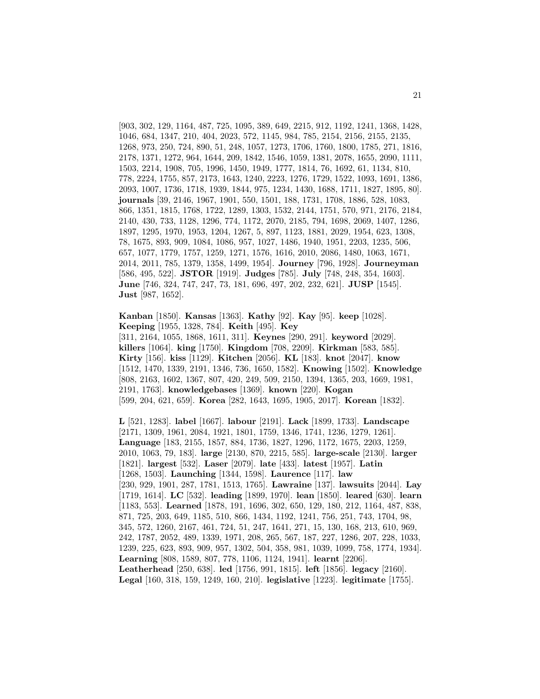[903, 302, 129, 1164, 487, 725, 1095, 389, 649, 2215, 912, 1192, 1241, 1368, 1428, 1046, 684, 1347, 210, 404, 2023, 572, 1145, 984, 785, 2154, 2156, 2155, 2135, 1268, 973, 250, 724, 890, 51, 248, 1057, 1273, 1706, 1760, 1800, 1785, 271, 1816, 2178, 1371, 1272, 964, 1644, 209, 1842, 1546, 1059, 1381, 2078, 1655, 2090, 1111, 1503, 2214, 1908, 705, 1996, 1450, 1949, 1777, 1814, 76, 1692, 61, 1134, 810, 778, 2224, 1755, 857, 2173, 1643, 1240, 2223, 1276, 1729, 1522, 1093, 1691, 1386, 2093, 1007, 1736, 1718, 1939, 1844, 975, 1234, 1430, 1688, 1711, 1827, 1895, 80]. **journals** [39, 2146, 1967, 1901, 550, 1501, 188, 1731, 1708, 1886, 528, 1083, 866, 1351, 1815, 1768, 1722, 1289, 1303, 1532, 2144, 1751, 570, 971, 2176, 2184, 2140, 430, 733, 1128, 1296, 774, 1172, 2070, 2185, 794, 1698, 2069, 1407, 1286, 1897, 1295, 1970, 1953, 1204, 1267, 5, 897, 1123, 1881, 2029, 1954, 623, 1308, 78, 1675, 893, 909, 1084, 1086, 957, 1027, 1486, 1940, 1951, 2203, 1235, 506, 657, 1077, 1779, 1757, 1259, 1271, 1576, 1616, 2010, 2086, 1480, 1063, 1671, 2014, 2011, 785, 1379, 1358, 1499, 1954]. **Journey** [796, 1928]. **Journeyman** [586, 495, 522]. **JSTOR** [1919]. **Judges** [785]. **July** [748, 248, 354, 1603]. **June** [746, 324, 747, 247, 73, 181, 696, 497, 202, 232, 621]. **JUSP** [1545]. **Just** [987, 1652].

**Kanban** [1850]. **Kansas** [1363]. **Kathy** [92]. **Kay** [95]. **keep** [1028]. **Keeping** [1955, 1328, 784]. **Keith** [495]. **Key** [311, 2164, 1055, 1868, 1611, 311]. **Keynes** [290, 291]. **keyword** [2029]. **killers** [1064]. **king** [1750]. **Kingdom** [708, 2209]. **Kirkman** [583, 585]. **Kirty** [156]. **kiss** [1129]. **Kitchen** [2056]. **KL** [183]. **knot** [2047]. **know** [1512, 1470, 1339, 2191, 1346, 736, 1650, 1582]. **Knowing** [1502]. **Knowledge** [808, 2163, 1602, 1367, 807, 420, 249, 509, 2150, 1394, 1365, 203, 1669, 1981, 2191, 1763]. **knowledgebases** [1369]. **known** [220]. **Kogan** [599, 204, 621, 659]. **Korea** [282, 1643, 1695, 1905, 2017]. **Korean** [1832].

**L** [521, 1283]. **label** [1667]. **labour** [2191]. **Lack** [1899, 1733]. **Landscape** [2171, 1309, 1961, 2084, 1921, 1801, 1759, 1346, 1741, 1236, 1279, 1261]. **Language** [183, 2155, 1857, 884, 1736, 1827, 1296, 1172, 1675, 2203, 1259, 2010, 1063, 79, 183]. **large** [2130, 870, 2215, 585]. **large-scale** [2130]. **larger** [1821]. **largest** [532]. **Laser** [2079]. **late** [433]. **latest** [1957]. **Latin** [1268, 1503]. **Launching** [1344, 1598]. **Laurence** [117]. **law** [230, 929, 1901, 287, 1781, 1513, 1765]. **Lawraine** [137]. **lawsuits** [2044]. **Lay** [1719, 1614]. **LC** [532]. **leading** [1899, 1970]. **lean** [1850]. **leared** [630]. **learn** [1183, 553]. **Learned** [1878, 191, 1696, 302, 650, 129, 180, 212, 1164, 487, 838, 871, 725, 203, 649, 1185, 510, 866, 1434, 1192, 1241, 756, 251, 743, 1704, 98, 345, 572, 1260, 2167, 461, 724, 51, 247, 1641, 271, 15, 130, 168, 213, 610, 969, 242, 1787, 2052, 489, 1339, 1971, 208, 265, 567, 187, 227, 1286, 207, 228, 1033, 1239, 225, 623, 893, 909, 957, 1302, 504, 358, 981, 1039, 1099, 758, 1774, 1934]. **Learning** [808, 1589, 807, 778, 1106, 1124, 1941]. **learnt** [2206]. **Leatherhead** [250, 638]. **led** [1756, 991, 1815]. **left** [1856]. **legacy** [2160]. **Legal** [160, 318, 159, 1249, 160, 210]. **legislative** [1223]. **legitimate** [1755].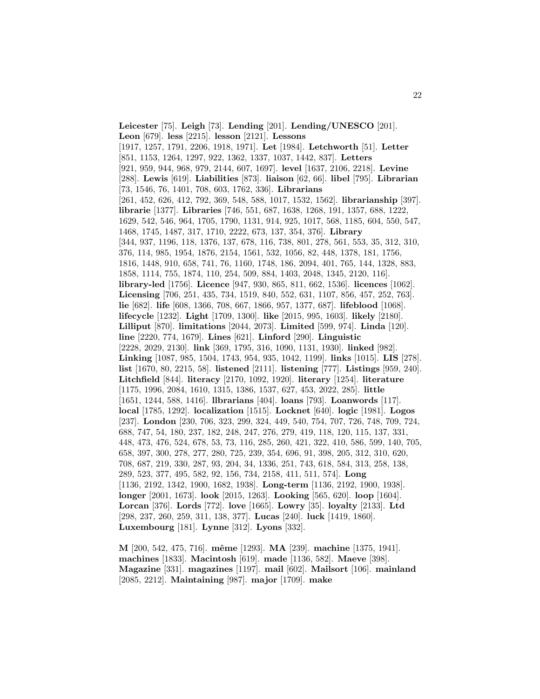**Leicester** [75]. **Leigh** [73]. **Lending** [201]. **Lending/UNESCO** [201]. **Leon** [679]. **less** [2215]. **lesson** [2121]. **Lessons** [1917, 1257, 1791, 2206, 1918, 1971]. **Let** [1984]. **Letchworth** [51]. **Letter** [851, 1153, 1264, 1297, 922, 1362, 1337, 1037, 1442, 837]. **Letters** [921, 959, 944, 968, 979, 2144, 607, 1697]. **level** [1637, 2106, 2218]. **Levine** [288]. **Lewis** [619]. **Liabilities** [873]. **liaison** [62, 66]. **libel** [795]. **Librarian** [73, 1546, 76, 1401, 708, 603, 1762, 336]. **Librarians** [261, 452, 626, 412, 792, 369, 548, 588, 1017, 1532, 1562]. **librarianship** [397]. **librarie** [1377]. **Libraries** [746, 551, 687, 1638, 1268, 191, 1357, 688, 1222, 1629, 542, 546, 964, 1705, 1790, 1131, 914, 925, 1017, 568, 1185, 604, 550, 547, 1468, 1745, 1487, 317, 1710, 2222, 673, 137, 354, 376]. **Library** [344, 937, 1196, 118, 1376, 137, 678, 116, 738, 801, 278, 561, 553, 35, 312, 310, 376, 114, 985, 1954, 1876, 2154, 1561, 532, 1056, 82, 448, 1378, 181, 1756, 1816, 1448, 910, 658, 741, 76, 1160, 1748, 186, 2094, 401, 765, 144, 1328, 883, 1858, 1114, 755, 1874, 110, 254, 509, 884, 1403, 2048, 1345, 2120, 116]. **library-led** [1756]. **Licence** [947, 930, 865, 811, 662, 1536]. **licences** [1062]. **Licensing** [706, 251, 435, 734, 1519, 840, 552, 631, 1107, 856, 457, 252, 763]. **lie** [682]. **life** [608, 1366, 708, 667, 1866, 957, 1377, 687]. **lifeblood** [1068]. **lifecycle** [1232]. **Light** [1709, 1300]. **like** [2015, 995, 1603]. **likely** [2180]. **Lilliput** [870]. **limitations** [2044, 2073]. **Limited** [599, 974]. **Linda** [120]. **line** [2220, 774, 1679]. **Lines** [621]. **Linford** [290]. **Linguistic** [2228, 2029, 2130]. **link** [369, 1795, 316, 1090, 1131, 1930]. **linked** [982]. **Linking** [1087, 985, 1504, 1743, 954, 935, 1042, 1199]. **links** [1015]. **LIS** [278]. **list** [1670, 80, 2215, 58]. **listened** [2111]. **listening** [777]. **Listings** [959, 240]. **Litchfield** [844]. **literacy** [2170, 1092, 1920]. **literary** [1254]. **literature** [1175, 1996, 2084, 1610, 1315, 1386, 1537, 627, 453, 2022, 285]. **little** [1651, 1244, 588, 1416]. **llbrarians** [404]. **loans** [793]. **Loanwords** [117]. **local** [1785, 1292]. **localization** [1515]. **Locknet** [640]. **logic** [1981]. **Logos** [237]. **London** [230, 706, 323, 299, 324, 449, 540, 754, 707, 726, 748, 709, 724, 688, 747, 54, 180, 237, 182, 248, 247, 276, 279, 419, 118, 120, 115, 137, 331, 448, 473, 476, 524, 678, 53, 73, 116, 285, 260, 421, 322, 410, 586, 599, 140, 705, 658, 397, 300, 278, 277, 280, 725, 239, 354, 696, 91, 398, 205, 312, 310, 620, 708, 687, 219, 330, 287, 93, 204, 34, 1336, 251, 743, 618, 584, 313, 258, 138, 289, 523, 377, 495, 582, 92, 156, 734, 2158, 411, 511, 574]. **Long** [1136, 2192, 1342, 1900, 1682, 1938]. **Long-term** [1136, 2192, 1900, 1938]. **longer** [2001, 1673]. **look** [2015, 1263]. **Looking** [565, 620]. **loop** [1604]. **Lorcan** [376]. **Lords** [772]. **love** [1665]. **Lowry** [35]. **loyalty** [2133]. **Ltd** [298, 237, 260, 259, 311, 138, 377]. **Lucas** [240]. **luck** [1419, 1860]. **Luxembourg** [181]. **Lynne** [312]. **Lyons** [332].

**M** [200, 542, 475, 716]. **mˆeme** [1293]. **MA** [239]. **machine** [1375, 1941]. **machines** [1833]. **Macintosh** [619]. **made** [1136, 582]. **Maeve** [398]. **Magazine** [331]. **magazines** [1197]. **mail** [602]. **Mailsort** [106]. **mainland** [2085, 2212]. **Maintaining** [987]. **major** [1709]. **make**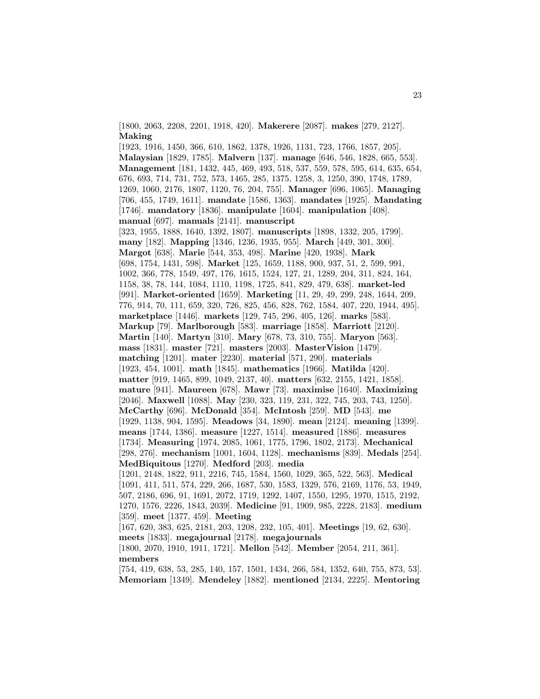[1800, 2063, 2208, 2201, 1918, 420]. **Makerere** [2087]. **makes** [279, 2127]. **Making**

[1923, 1916, 1450, 366, 610, 1862, 1378, 1926, 1131, 723, 1766, 1857, 205]. **Malaysian** [1829, 1785]. **Malvern** [137]. **manage** [646, 546, 1828, 665, 553]. **Management** [181, 1432, 445, 469, 493, 518, 537, 559, 578, 595, 614, 635, 654, 676, 693, 714, 731, 752, 573, 1465, 285, 1375, 1258, 3, 1250, 390, 1748, 1789, 1269, 1060, 2176, 1807, 1120, 76, 204, 755]. **Manager** [696, 1065]. **Managing** [706, 455, 1749, 1611]. **mandate** [1586, 1363]. **mandates** [1925]. **Mandating** [1746]. **mandatory** [1836]. **manipulate** [1604]. **manipulation** [408]. **manual** [697]. **manuals** [2141]. **manuscript** [323, 1955, 1888, 1640, 1392, 1807]. **manuscripts** [1898, 1332, 205, 1799]. **many** [182]. **Mapping** [1346, 1236, 1935, 955]. **March** [449, 301, 300]. **Margot** [638]. **Marie** [544, 353, 498]. **Marine** [420, 1938]. **Mark** [698, 1754, 1431, 598]. **Market** [125, 1659, 1188, 900, 937, 51, 2, 599, 991, 1002, 366, 778, 1549, 497, 176, 1615, 1524, 127, 21, 1289, 204, 311, 824, 164, 1158, 38, 78, 144, 1084, 1110, 1198, 1725, 841, 829, 479, 638]. **market-led** [991]. **Market-oriented** [1659]. **Marketing** [11, 29, 49, 299, 248, 1644, 209, 776, 914, 70, 111, 659, 320, 726, 825, 456, 828, 762, 1584, 407, 220, 1944, 495]. **marketplace** [1446]. **markets** [129, 745, 296, 405, 126]. **marks** [583]. **Markup** [79]. **Marlborough** [583]. **marriage** [1858]. **Marriott** [2120]. **Martin** [140]. **Martyn** [310]. **Mary** [678, 73, 310, 755]. **Maryon** [563]. **mass** [1831]. **master** [721]. **masters** [2003]. **MasterVision** [1479]. **matching** [1201]. **mater** [2230]. **material** [571, 290]. **materials** [1923, 454, 1001]. **math** [1845]. **mathematics** [1966]. **Matilda** [420]. **matter** [919, 1465, 899, 1049, 2137, 40]. **matters** [632, 2155, 1421, 1858]. **mature** [941]. **Maureen** [678]. **Mawr** [73]. **maximise** [1640]. **Maximizing** [2046]. **Maxwell** [1088]. **May** [230, 323, 119, 231, 322, 745, 203, 743, 1250]. **McCarthy** [696]. **McDonald** [354]. **McIntosh** [259]. **MD** [543]. **me** [1929, 1138, 904, 1595]. **Meadows** [34, 1890]. **mean** [2124]. **meaning** [1399]. **means** [1744, 1386]. **measure** [1227, 1514]. **measured** [1886]. **measures** [1734]. **Measuring** [1974, 2085, 1061, 1775, 1796, 1802, 2173]. **Mechanical** [298, 276]. **mechanism** [1001, 1604, 1128]. **mechanisms** [839]. **Medals** [254]. **MedBiquitous** [1270]. **Medford** [203]. **media** [1201, 2148, 1822, 911, 2216, 745, 1584, 1560, 1029, 365, 522, 563]. **Medical**

[1091, 411, 511, 574, 229, 266, 1687, 530, 1583, 1329, 576, 2169, 1176, 53, 1949, 507, 2186, 696, 91, 1691, 2072, 1719, 1292, 1407, 1550, 1295, 1970, 1515, 2192, 1270, 1576, 2226, 1843, 2039]. **Medicine** [91, 1909, 985, 2228, 2183]. **medium** [359]. **meet** [1377, 459]. **Meeting**

[167, 620, 383, 625, 2181, 203, 1208, 232, 105, 401]. **Meetings** [19, 62, 630]. **meets** [1833]. **megajournal** [2178]. **megajournals**

[1800, 2070, 1910, 1911, 1721]. **Mellon** [542]. **Member** [2054, 211, 361]. **members**

[754, 419, 638, 53, 285, 140, 157, 1501, 1434, 266, 584, 1352, 640, 755, 873, 53]. **Memoriam** [1349]. **Mendeley** [1882]. **mentioned** [2134, 2225]. **Mentoring**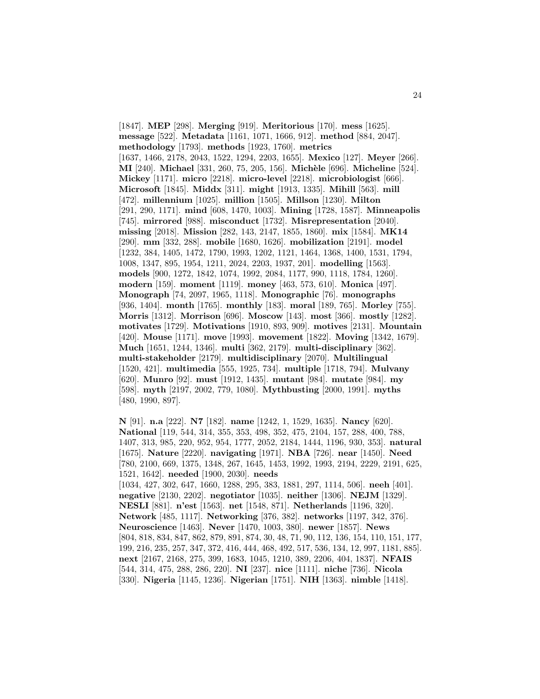[1847]. **MEP** [298]. **Merging** [919]. **Meritorious** [170]. **mess** [1625]. **message** [522]. **Metadata** [1161, 1071, 1666, 912]. **method** [884, 2047]. **methodology** [1793]. **methods** [1923, 1760]. **metrics** [1637, 1466, 2178, 2043, 1522, 1294, 2203, 1655]. **Mexico** [127]. **Meyer** [266]. **MI** [240]. **Michael** [331, 260, 75, 205, 156]. **Mich`ele** [696]. **Micheline** [524]. **Mickey** [1171]. **micro** [2218]. **micro-level** [2218]. **microbiologist** [666]. **Microsoft** [1845]. **Middx** [311]. **might** [1913, 1335]. **Mihill** [563]. **mill** [472]. **millennium** [1025]. **million** [1505]. **Millson** [1230]. **Milton** [291, 290, 1171]. **mind** [608, 1470, 1003]. **Mining** [1728, 1587]. **Minneapolis** [745]. **mirrored** [988]. **misconduct** [1732]. **Misrepresentation** [2040]. **missing** [2018]. **Mission** [282, 143, 2147, 1855, 1860]. **mix** [1584]. **MK14** [290]. **mm** [332, 288]. **mobile** [1680, 1626]. **mobilization** [2191]. **model** [1232, 384, 1405, 1472, 1790, 1993, 1202, 1121, 1464, 1368, 1400, 1531, 1794, 1008, 1347, 895, 1954, 1211, 2024, 2203, 1937, 201]. **modelling** [1563]. **models** [900, 1272, 1842, 1074, 1992, 2084, 1177, 990, 1118, 1784, 1260]. **modern** [159]. **moment** [1119]. **money** [463, 573, 610]. **Monica** [497]. **Monograph** [74, 2097, 1965, 1118]. **Monographic** [76]. **monographs** [936, 1404]. **month** [1765]. **monthly** [183]. **moral** [189, 765]. **Morley** [755]. **Morris** [1312]. **Morrison** [696]. **Moscow** [143]. **most** [366]. **mostly** [1282]. **motivates** [1729]. **Motivations** [1910, 893, 909]. **motives** [2131]. **Mountain** [420]. **Mouse** [1171]. **move** [1993]. **movement** [1822]. **Moving** [1342, 1679]. **Much** [1651, 1244, 1346]. **multi** [362, 2179]. **multi-disciplinary** [362]. **multi-stakeholder** [2179]. **multidisciplinary** [2070]. **Multilingual** [1520, 421]. **multimedia** [555, 1925, 734]. **multiple** [1718, 794]. **Mulvany** [620]. **Munro** [92]. **must** [1912, 1435]. **mutant** [984]. **mutate** [984]. **my** [598]. **myth** [2197, 2002, 779, 1080]. **Mythbusting** [2000, 1991]. **myths** [480, 1990, 897].

**N** [91]. **n.a** [222]. **N7** [182]. **name** [1242, 1, 1529, 1635]. **Nancy** [620]. **National** [119, 544, 314, 355, 353, 498, 352, 475, 2104, 157, 288, 400, 788, 1407, 313, 985, 220, 952, 954, 1777, 2052, 2184, 1444, 1196, 930, 353]. **natural** [1675]. **Nature** [2220]. **navigating** [1971]. **NBA** [726]. **near** [1450]. **Need** [780, 2100, 669, 1375, 1348, 267, 1645, 1453, 1992, 1993, 2194, 2229, 2191, 625, 1521, 1642]. **needed** [1900, 2030]. **needs** [1034, 427, 302, 647, 1660, 1288, 295, 383, 1881, 297, 1114, 506]. **neeh** [401]. **negative** [2130, 2202]. **negotiator** [1035]. **neither** [1306]. **NEJM** [1329]. **NESLI** [881]. **n'est** [1563]. **net** [1548, 871]. **Netherlands** [1196, 320]. **Network** [485, 1117]. **Networking** [376, 382]. **networks** [1197, 342, 376]. **Neuroscience** [1463]. **Never** [1470, 1003, 380]. **newer** [1857]. **News** [804, 818, 834, 847, 862, 879, 891, 874, 30, 48, 71, 90, 112, 136, 154, 110, 151, 177, 199, 216, 235, 257, 347, 372, 416, 444, 468, 492, 517, 536, 134, 12, 997, 1181, 885]. **next** [2167, 2168, 275, 399, 1683, 1045, 1210, 389, 2206, 404, 1837]. **NFAIS** [544, 314, 475, 288, 286, 220]. **NI** [237]. **nice** [1111]. **niche** [736]. **Nicola** [330]. **Nigeria** [1145, 1236]. **Nigerian** [1751]. **NIH** [1363]. **nimble** [1418].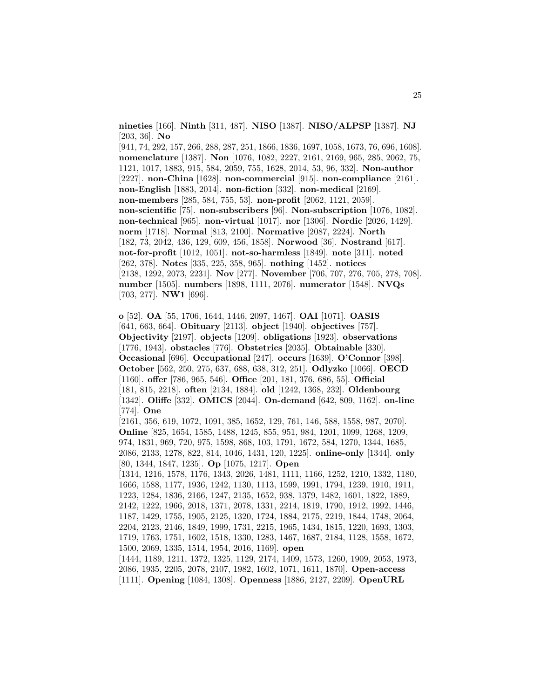**nineties** [166]. **Ninth** [311, 487]. **NISO** [1387]. **NISO/ALPSP** [1387]. **NJ** [203, 36]. **No**

[941, 74, 292, 157, 266, 288, 287, 251, 1866, 1836, 1697, 1058, 1673, 76, 696, 1608]. **nomenclature** [1387]. **Non** [1076, 1082, 2227, 2161, 2169, 965, 285, 2062, 75, 1121, 1017, 1883, 915, 584, 2059, 755, 1628, 2014, 53, 96, 332]. **Non-author** [2227]. **non-China** [1628]. **non-commercial** [915]. **non-compliance** [2161]. **non-English** [1883, 2014]. **non-fiction** [332]. **non-medical** [2169]. **non-members** [285, 584, 755, 53]. **non-profit** [2062, 1121, 2059]. **non-scientific** [75]. **non-subscribers** [96]. **Non-subscription** [1076, 1082]. **non-technical** [965]. **non-virtual** [1017]. **nor** [1306]. **Nordic** [2026, 1429]. **norm** [1718]. **Normal** [813, 2100]. **Normative** [2087, 2224]. **North** [182, 73, 2042, 436, 129, 609, 456, 1858]. **Norwood** [36]. **Nostrand** [617]. **not-for-profit** [1012, 1051]. **not-so-harmless** [1849]. **note** [311]. **noted** [262, 378]. **Notes** [335, 225, 358, 965]. **nothing** [1452]. **notices** [2138, 1292, 2073, 2231]. **Nov** [277]. **November** [706, 707, 276, 705, 278, 708]. **number** [1505]. **numbers** [1898, 1111, 2076]. **numerator** [1548]. **NVQs** [703, 277]. **NW1** [696].

**o** [52]. **OA** [55, 1706, 1644, 1446, 2097, 1467]. **OAI** [1071]. **OASIS** [641, 663, 664]. **Obituary** [2113]. **object** [1940]. **objectives** [757]. **Objectivity** [2197]. **objects** [1209]. **obligations** [1923]. **observations** [1776, 1943]. **obstacles** [776]. **Obstetrics** [2035]. **Obtainable** [330]. **Occasional** [696]. **Occupational** [247]. **occurs** [1639]. **O'Connor** [398]. **October** [562, 250, 275, 637, 688, 638, 312, 251]. **Odlyzko** [1066]. **OECD** [1160]. **offer** [786, 965, 546]. **Office** [201, 181, 376, 686, 55]. **Official** [181, 815, 2218]. **often** [2134, 1884]. **old** [1242, 1368, 232]. **Oldenbourg** [1342]. **Oliffe** [332]. **OMICS** [2044]. **On-demand** [642, 809, 1162]. **on-line** [774]. **One**

[2161, 356, 619, 1072, 1091, 385, 1652, 129, 761, 146, 588, 1558, 987, 2070]. **Online** [825, 1654, 1585, 1488, 1245, 855, 951, 984, 1201, 1099, 1268, 1209, 974, 1831, 969, 720, 975, 1598, 868, 103, 1791, 1672, 584, 1270, 1344, 1685, 2086, 2133, 1278, 822, 814, 1046, 1431, 120, 1225]. **online-only** [1344]. **only** [80, 1344, 1847, 1235]. **Op** [1075, 1217]. **Open**

[1314, 1216, 1578, 1176, 1343, 2026, 1481, 1111, 1166, 1252, 1210, 1332, 1180, 1666, 1588, 1177, 1936, 1242, 1130, 1113, 1599, 1991, 1794, 1239, 1910, 1911, 1223, 1284, 1836, 2166, 1247, 2135, 1652, 938, 1379, 1482, 1601, 1822, 1889, 2142, 1222, 1966, 2018, 1371, 2078, 1331, 2214, 1819, 1790, 1912, 1992, 1446, 1187, 1429, 1755, 1905, 2125, 1320, 1724, 1884, 2175, 2219, 1844, 1748, 2064, 2204, 2123, 2146, 1849, 1999, 1731, 2215, 1965, 1434, 1815, 1220, 1693, 1303, 1719, 1763, 1751, 1602, 1518, 1330, 1283, 1467, 1687, 2184, 1128, 1558, 1672, 1500, 2069, 1335, 1514, 1954, 2016, 1169]. **open** [1444, 1189, 1211, 1372, 1325, 1129, 2174, 1409, 1573, 1260, 1909, 2053, 1973, 2086, 1935, 2205, 2078, 2107, 1982, 1602, 1071, 1611, 1870]. **Open-access**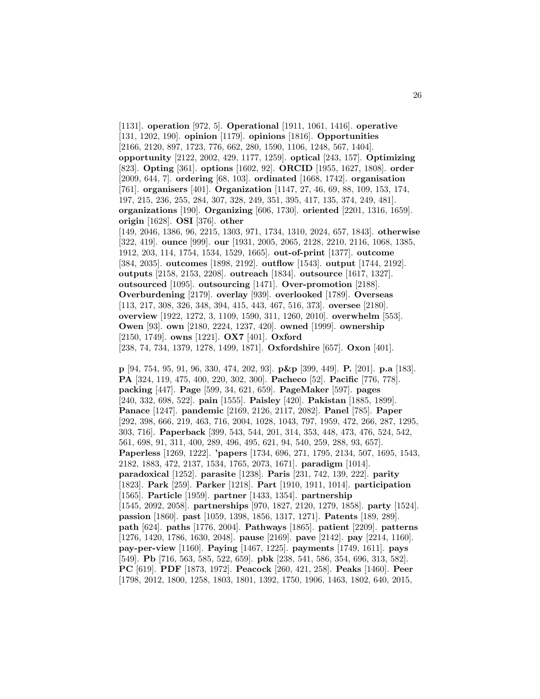[1131]. **operation** [972, 5]. **Operational** [1911, 1061, 1416]. **operative** [131, 1202, 190]. **opinion** [1179]. **opinions** [1816]. **Opportunities** [2166, 2120, 897, 1723, 776, 662, 280, 1590, 1106, 1248, 567, 1404]. **opportunity** [2122, 2002, 429, 1177, 1259]. **optical** [243, 157]. **Optimizing** [823]. **Opting** [361]. **options** [1602, 92]. **ORCID** [1955, 1627, 1808]. **order** [2009, 644, 7]. **ordering** [68, 103]. **ordinated** [1668, 1742]. **organisation** [761]. **organisers** [401]. **Organization** [1147, 27, 46, 69, 88, 109, 153, 174, 197, 215, 236, 255, 284, 307, 328, 249, 351, 395, 417, 135, 374, 249, 481]. **organizations** [190]. **Organizing** [606, 1730]. **oriented** [2201, 1316, 1659]. **origin** [1628]. **OSI** [376]. **other** [149, 2046, 1386, 96, 2215, 1303, 971, 1734, 1310, 2024, 657, 1843]. **otherwise** [322, 419]. **ounce** [999]. **our** [1931, 2005, 2065, 2128, 2210, 2116, 1068, 1385, 1912, 203, 114, 1754, 1534, 1529, 1665]. **out-of-print** [1377]. **outcome** [384, 2035]. **outcomes** [1898, 2192]. **outflow** [1543]. **output** [1744, 2192]. **outputs** [2158, 2153, 2208]. **outreach** [1834]. **outsource** [1617, 1327]. **outsourced** [1095]. **outsourcing** [1471]. **Over-promotion** [2188]. **Overburdening** [2179]. **overlay** [939]. **overlooked** [1789]. **Overseas** [113, 217, 308, 326, 348, 394, 415, 443, 467, 516, 373]. **oversee** [2180]. **overview** [1922, 1272, 3, 1109, 1590, 311, 1260, 2010]. **overwhelm** [553]. **Owen** [93]. **own** [2180, 2224, 1237, 420]. **owned** [1999]. **ownership** [2150, 1749]. **owns** [1221]. **OX7** [401]. **Oxford** [238, 74, 734, 1379, 1278, 1499, 1871]. **Oxfordshire** [657]. **Oxon** [401].

**p** [94, 754, 95, 91, 96, 330, 474, 202, 93]. **p&p** [399, 449]. **P.** [201]. **p.a** [183]. **PA** [324, 119, 475, 400, 220, 302, 300]. **Pacheco** [52]. **Pacific** [776, 778]. **packing** [447]. **Page** [599, 34, 621, 659]. **PageMaker** [597]. **pages** [240, 332, 698, 522]. **pain** [1555]. **Paisley** [420]. **Pakistan** [1885, 1899]. **Panace** [1247]. **pandemic** [2169, 2126, 2117, 2082]. **Panel** [785]. **Paper** [292, 398, 666, 219, 463, 716, 2004, 1028, 1043, 797, 1959, 472, 266, 287, 1295, 303, 716]. **Paperback** [399, 543, 544, 201, 314, 353, 448, 473, 476, 524, 542, 561, 698, 91, 311, 400, 289, 496, 495, 621, 94, 540, 259, 288, 93, 657]. **Paperless** [1269, 1222]. **'papers** [1734, 696, 271, 1795, 2134, 507, 1695, 1543, 2182, 1883, 472, 2137, 1534, 1765, 2073, 1671]. **paradigm** [1014]. **paradoxical** [1252]. **parasite** [1238]. **Paris** [231, 742, 139, 222]. **parity** [1823]. **Park** [259]. **Parker** [1218]. **Part** [1910, 1911, 1014]. **participation** [1565]. **Particle** [1959]. **partner** [1433, 1354]. **partnership** [1545, 2092, 2058]. **partnerships** [970, 1827, 2120, 1279, 1858]. **party** [1524]. **passion** [1860]. **past** [1059, 1398, 1856, 1317, 1271]. **Patents** [189, 289]. **path** [624]. **paths** [1776, 2004]. **Pathways** [1865]. **patient** [2209]. **patterns** [1276, 1420, 1786, 1630, 2048]. **pause** [2169]. **pave** [2142]. **pay** [2214, 1160]. **pay-per-view** [1160]. **Paying** [1467, 1225]. **payments** [1749, 1611]. **pays** [549]. **Pb** [716, 563, 585, 522, 659]. **pbk** [238, 541, 586, 354, 696, 313, 582]. **PC** [619]. **PDF** [1873, 1972]. **Peacock** [260, 421, 258]. **Peaks** [1460]. **Peer** [1798, 2012, 1800, 1258, 1803, 1801, 1392, 1750, 1906, 1463, 1802, 640, 2015,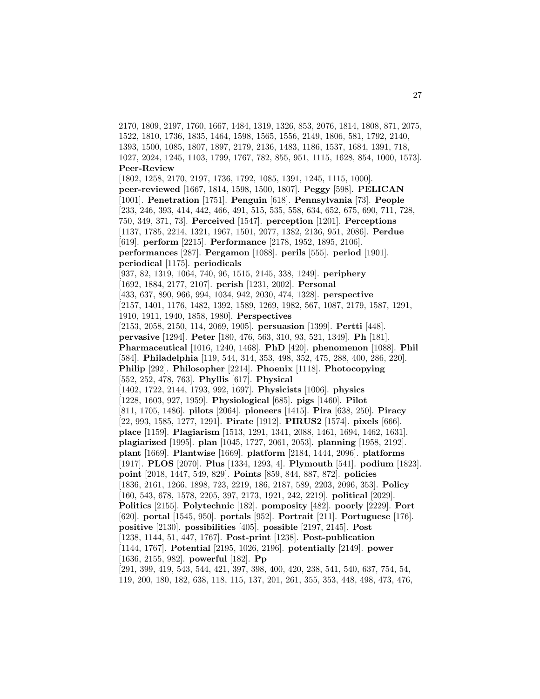2170, 1809, 2197, 1760, 1667, 1484, 1319, 1326, 853, 2076, 1814, 1808, 871, 2075, 1522, 1810, 1736, 1835, 1464, 1598, 1565, 1556, 2149, 1806, 581, 1792, 2140, 1393, 1500, 1085, 1807, 1897, 2179, 2136, 1483, 1186, 1537, 1684, 1391, 718, 1027, 2024, 1245, 1103, 1799, 1767, 782, 855, 951, 1115, 1628, 854, 1000, 1573]. **Peer-Review** [1802, 1258, 2170, 2197, 1736, 1792, 1085, 1391, 1245, 1115, 1000]. **peer-reviewed** [1667, 1814, 1598, 1500, 1807]. **Peggy** [598]. **PELICAN** [1001]. **Penetration** [1751]. **Penguin** [618]. **Pennsylvania** [73]. **People** [233, 246, 393, 414, 442, 466, 491, 515, 535, 558, 634, 652, 675, 690, 711, 728, 750, 349, 371, 73]. **Perceived** [1547]. **perception** [1201]. **Perceptions** [1137, 1785, 2214, 1321, 1967, 1501, 2077, 1382, 2136, 951, 2086]. **Perdue** [619]. **perform** [2215]. **Performance** [2178, 1952, 1895, 2106]. **performances** [287]. **Pergamon** [1088]. **perils** [555]. **period** [1901]. **periodical** [1175]. **periodicals** [937, 82, 1319, 1064, 740, 96, 1515, 2145, 338, 1249]. **periphery** [1692, 1884, 2177, 2107]. **perish** [1231, 2002]. **Personal** [433, 637, 890, 966, 994, 1034, 942, 2030, 474, 1328]. **perspective** [2157, 1401, 1176, 1482, 1392, 1589, 1269, 1982, 567, 1087, 2179, 1587, 1291, 1910, 1911, 1940, 1858, 1980]. **Perspectives** [2153, 2058, 2150, 114, 2069, 1905]. **persuasion** [1399]. **Pertti** [448]. **pervasive** [1294]. **Peter** [180, 476, 563, 310, 93, 521, 1349]. **Ph** [181]. **Pharmaceutical** [1016, 1240, 1468]. **PhD** [420]. **phenomenon** [1088]. **Phil** [584]. **Philadelphia** [119, 544, 314, 353, 498, 352, 475, 288, 400, 286, 220]. **Philip** [292]. **Philosopher** [2214]. **Phoenix** [1118]. **Photocopying** [552, 252, 478, 763]. **Phyllis** [617]. **Physical** [1402, 1722, 2144, 1793, 992, 1697]. **Physicists** [1006]. **physics** [1228, 1603, 927, 1959]. **Physiological** [685]. **pigs** [1460]. **Pilot** [811, 1705, 1486]. **pilots** [2064]. **pioneers** [1415]. **Pira** [638, 250]. **Piracy** [22, 993, 1585, 1277, 1291]. **Pirate** [1912]. **PIRUS2** [1574]. **pixels** [666]. **place** [1159]. **Plagiarism** [1513, 1291, 1341, 2088, 1461, 1694, 1462, 1631]. **plagiarized** [1995]. **plan** [1045, 1727, 2061, 2053]. **planning** [1958, 2192]. **plant** [1669]. **Plantwise** [1669]. **platform** [2184, 1444, 2096]. **platforms** [1917]. **PLOS** [2070]. **Plus** [1334, 1293, 4]. **Plymouth** [541]. **podium** [1823]. **point** [2018, 1447, 549, 829]. **Points** [859, 844, 887, 872]. **policies** [1836, 2161, 1266, 1898, 723, 2219, 186, 2187, 589, 2203, 2096, 353]. **Policy** [160, 543, 678, 1578, 2205, 397, 2173, 1921, 242, 2219]. **political** [2029]. **Politics** [2155]. **Polytechnic** [182]. **pomposity** [482]. **poorly** [2229]. **Port** [620]. **portal** [1545, 950]. **portals** [952]. **Portrait** [211]. **Portuguese** [176]. **positive** [2130]. **possibilities** [405]. **possible** [2197, 2145]. **Post** [1238, 1144, 51, 447, 1767]. **Post-print** [1238]. **Post-publication** [1144, 1767]. **Potential** [2195, 1026, 2196]. **potentially** [2149]. **power** [1636, 2155, 982]. **powerful** [182]. **Pp** [291, 399, 419, 543, 544, 421, 397, 398, 400, 420, 238, 541, 540, 637, 754, 54, 119, 200, 180, 182, 638, 118, 115, 137, 201, 261, 355, 353, 448, 498, 473, 476,

27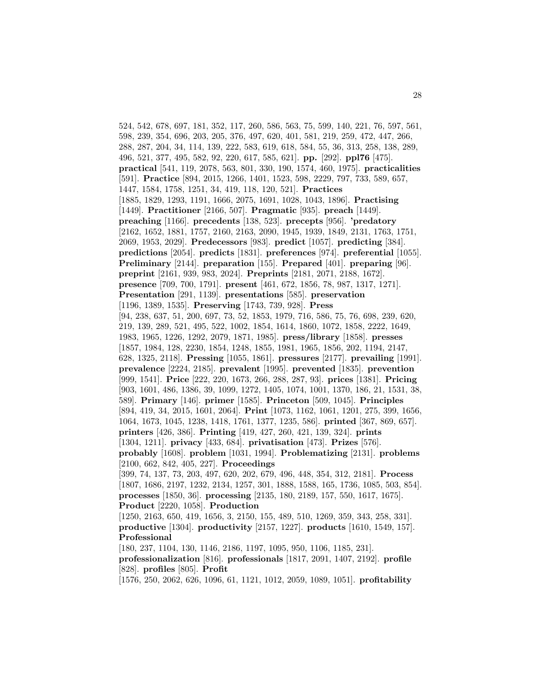524, 542, 678, 697, 181, 352, 117, 260, 586, 563, 75, 599, 140, 221, 76, 597, 561, 598, 239, 354, 696, 203, 205, 376, 497, 620, 401, 581, 219, 259, 472, 447, 266, 288, 287, 204, 34, 114, 139, 222, 583, 619, 618, 584, 55, 36, 313, 258, 138, 289, 496, 521, 377, 495, 582, 92, 220, 617, 585, 621]. **pp.** [292]. **ppl76** [475]. **practical** [541, 119, 2078, 563, 801, 330, 190, 1574, 460, 1975]. **practicalities** [591]. **Practice** [894, 2015, 1266, 1401, 1523, 598, 2229, 797, 733, 589, 657, 1447, 1584, 1758, 1251, 34, 419, 118, 120, 521]. **Practices** [1885, 1829, 1293, 1191, 1666, 2075, 1691, 1028, 1043, 1896]. **Practising** [1449]. **Practitioner** [2166, 507]. **Pragmatic** [935]. **preach** [1449]. **preaching** [1166]. **precedents** [138, 523]. **precepts** [956]. **'predatory** [2162, 1652, 1881, 1757, 2160, 2163, 2090, 1945, 1939, 1849, 2131, 1763, 1751, 2069, 1953, 2029]. **Predecessors** [983]. **predict** [1057]. **predicting** [384]. **predictions** [2054]. **predicts** [1831]. **preferences** [974]. **preferential** [1055]. **Preliminary** [2144]. **preparation** [155]. **Prepared** [401]. **preparing** [96]. **preprint** [2161, 939, 983, 2024]. **Preprints** [2181, 2071, 2188, 1672]. **presence** [709, 700, 1791]. **present** [461, 672, 1856, 78, 987, 1317, 1271]. **Presentation** [291, 1139]. **presentations** [585]. **preservation** [1196, 1389, 1535]. **Preserving** [1743, 739, 928]. **Press** [94, 238, 637, 51, 200, 697, 73, 52, 1853, 1979, 716, 586, 75, 76, 698, 239, 620, 219, 139, 289, 521, 495, 522, 1002, 1854, 1614, 1860, 1072, 1858, 2222, 1649, 1983, 1965, 1226, 1292, 2079, 1871, 1985]. **press/library** [1858]. **presses** [1857, 1984, 128, 2230, 1854, 1248, 1855, 1981, 1965, 1856, 202, 1194, 2147, 628, 1325, 2118]. **Pressing** [1055, 1861]. **pressures** [2177]. **prevailing** [1991]. **prevalence** [2224, 2185]. **prevalent** [1995]. **prevented** [1835]. **prevention** [999, 1541]. **Price** [222, 220, 1673, 266, 288, 287, 93]. **prices** [1381]. **Pricing** [903, 1601, 486, 1386, 39, 1099, 1272, 1405, 1074, 1001, 1370, 186, 21, 1531, 38, 589]. **Primary** [146]. **primer** [1585]. **Princeton** [509, 1045]. **Principles** [894, 419, 34, 2015, 1601, 2064]. **Print** [1073, 1162, 1061, 1201, 275, 399, 1656, 1064, 1673, 1045, 1238, 1418, 1761, 1377, 1235, 586]. **printed** [367, 869, 657]. **printers** [426, 386]. **Printing** [419, 427, 260, 421, 139, 324]. **prints** [1304, 1211]. **privacy** [433, 684]. **privatisation** [473]. **Prizes** [576]. **probably** [1608]. **problem** [1031, 1994]. **Problematizing** [2131]. **problems** [2100, 662, 842, 405, 227]. **Proceedings** [399, 74, 137, 73, 203, 497, 620, 202, 679, 496, 448, 354, 312, 2181]. **Process** [1807, 1686, 2197, 1232, 2134, 1257, 301, 1888, 1588, 165, 1736, 1085, 503, 854]. **processes** [1850, 36]. **processing** [2135, 180, 2189, 157, 550, 1617, 1675]. **Product** [2220, 1058]. **Production** [1250, 2163, 650, 419, 1656, 3, 2150, 155, 489, 510, 1269, 359, 343, 258, 331]. **productive** [1304]. **productivity** [2157, 1227]. **products** [1610, 1549, 157]. **Professional** [180, 237, 1104, 130, 1146, 2186, 1197, 1095, 950, 1106, 1185, 231]. **professionalization** [816]. **professionals** [1817, 2091, 1407, 2192]. **profile** [828]. **profiles** [805]. **Profit**

[1576, 250, 2062, 626, 1096, 61, 1121, 1012, 2059, 1089, 1051]. **profitability**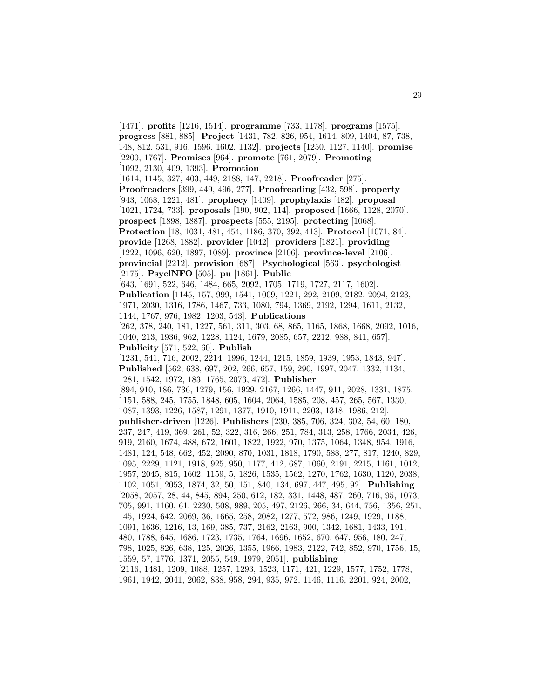[1471]. **profits** [1216, 1514]. **programme** [733, 1178]. **programs** [1575]. **progress** [881, 885]. **Project** [1431, 782, 826, 954, 1614, 809, 1404, 87, 738, 148, 812, 531, 916, 1596, 1602, 1132]. **projects** [1250, 1127, 1140]. **promise** [2200, 1767]. **Promises** [964]. **promote** [761, 2079]. **Promoting** [1092, 2130, 409, 1393]. **Promotion** [1614, 1145, 327, 403, 449, 2188, 147, 2218]. **Proofreader** [275]. **Proofreaders** [399, 449, 496, 277]. **Proofreading** [432, 598]. **property** [943, 1068, 1221, 481]. **prophecy** [1409]. **prophylaxis** [482]. **proposal** [1021, 1724, 733]. **proposals** [190, 902, 114]. **proposed** [1666, 1128, 2070]. **prospect** [1898, 1887]. **prospects** [555, 2195]. **protecting** [1068]. **Protection** [18, 1031, 481, 454, 1186, 370, 392, 413]. **Protocol** [1071, 84]. **provide** [1268, 1882]. **provider** [1042]. **providers** [1821]. **providing** [1222, 1096, 620, 1897, 1089]. **province** [2106]. **province-level** [2106]. **provincial** [2212]. **provision** [687]. **Psychological** [563]. **psychologist** [2175]. **PsyclNFO** [505]. **pu** [1861]. **Public** [643, 1691, 522, 646, 1484, 665, 2092, 1705, 1719, 1727, 2117, 1602]. **Publication** [1145, 157, 999, 1541, 1009, 1221, 292, 2109, 2182, 2094, 2123, 1971, 2030, 1316, 1786, 1467, 733, 1080, 794, 1369, 2192, 1294, 1611, 2132, 1144, 1767, 976, 1982, 1203, 543]. **Publications** [262, 378, 240, 181, 1227, 561, 311, 303, 68, 865, 1165, 1868, 1668, 2092, 1016, 1040, 213, 1936, 962, 1228, 1124, 1679, 2085, 657, 2212, 988, 841, 657]. **Publicity** [571, 522, 60]. **Publish** [1231, 541, 716, 2002, 2214, 1996, 1244, 1215, 1859, 1939, 1953, 1843, 947]. **Published** [562, 638, 697, 202, 266, 657, 159, 290, 1997, 2047, 1332, 1134, 1281, 1542, 1972, 183, 1765, 2073, 472]. **Publisher** [894, 910, 186, 736, 1279, 156, 1929, 2167, 1266, 1447, 911, 2028, 1331, 1875, 1151, 588, 245, 1755, 1848, 605, 1604, 2064, 1585, 208, 457, 265, 567, 1330, 1087, 1393, 1226, 1587, 1291, 1377, 1910, 1911, 2203, 1318, 1986, 212]. **publisher-driven** [1226]. **Publishers** [230, 385, 706, 324, 302, 54, 60, 180, 237, 247, 419, 369, 261, 52, 322, 316, 266, 251, 784, 313, 258, 1766, 2034, 426, 919, 2160, 1674, 488, 672, 1601, 1822, 1922, 970, 1375, 1064, 1348, 954, 1916, 1481, 124, 548, 662, 452, 2090, 870, 1031, 1818, 1790, 588, 277, 817, 1240, 829, 1095, 2229, 1121, 1918, 925, 950, 1177, 412, 687, 1060, 2191, 2215, 1161, 1012, 1957, 2045, 815, 1602, 1159, 5, 1826, 1535, 1562, 1270, 1762, 1630, 1120, 2038, 1102, 1051, 2053, 1874, 32, 50, 151, 840, 134, 697, 447, 495, 92]. **Publishing** [2058, 2057, 28, 44, 845, 894, 250, 612, 182, 331, 1448, 487, 260, 716, 95, 1073, 705, 991, 1160, 61, 2230, 508, 989, 205, 497, 2126, 266, 34, 644, 756, 1356, 251, 145, 1924, 642, 2069, 36, 1665, 258, 2082, 1277, 572, 986, 1249, 1929, 1188, 1091, 1636, 1216, 13, 169, 385, 737, 2162, 2163, 900, 1342, 1681, 1433, 191, 480, 1788, 645, 1686, 1723, 1735, 1764, 1696, 1652, 670, 647, 956, 180, 247, 798, 1025, 826, 638, 125, 2026, 1355, 1966, 1983, 2122, 742, 852, 970, 1756, 15, 1559, 57, 1776, 1371, 2055, 549, 1979, 2051]. **publishing** [2116, 1481, 1209, 1088, 1257, 1293, 1523, 1171, 421, 1229, 1577, 1752, 1778, 1961, 1942, 2041, 2062, 838, 958, 294, 935, 972, 1146, 1116, 2201, 924, 2002,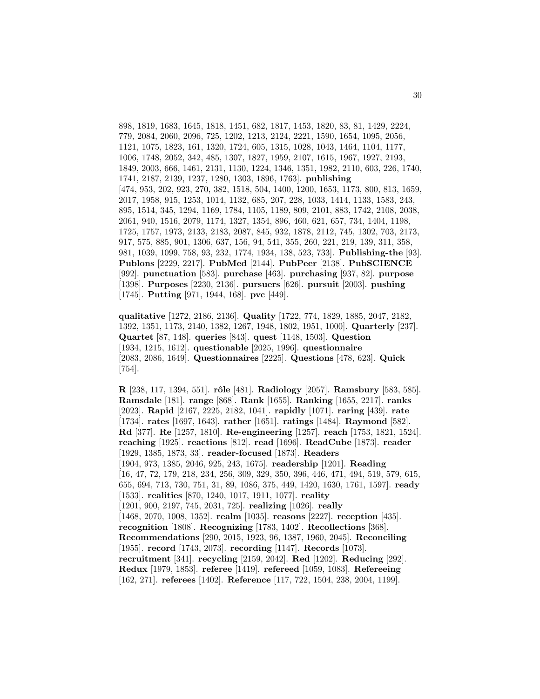898, 1819, 1683, 1645, 1818, 1451, 682, 1817, 1453, 1820, 83, 81, 1429, 2224, 779, 2084, 2060, 2096, 725, 1202, 1213, 2124, 2221, 1590, 1654, 1095, 2056, 1121, 1075, 1823, 161, 1320, 1724, 605, 1315, 1028, 1043, 1464, 1104, 1177, 1006, 1748, 2052, 342, 485, 1307, 1827, 1959, 2107, 1615, 1967, 1927, 2193, 1849, 2003, 666, 1461, 2131, 1130, 1224, 1346, 1351, 1982, 2110, 603, 226, 1740, 1741, 2187, 2139, 1237, 1280, 1303, 1896, 1763]. **publishing** [474, 953, 202, 923, 270, 382, 1518, 504, 1400, 1200, 1653, 1173, 800, 813, 1659, 2017, 1958, 915, 1253, 1014, 1132, 685, 207, 228, 1033, 1414, 1133, 1583, 243, 895, 1514, 345, 1294, 1169, 1784, 1105, 1189, 809, 2101, 883, 1742, 2108, 2038, 2061, 940, 1516, 2079, 1174, 1327, 1354, 896, 460, 621, 657, 734, 1404, 1198, 1725, 1757, 1973, 2133, 2183, 2087, 845, 932, 1878, 2112, 745, 1302, 703, 2173, 917, 575, 885, 901, 1306, 637, 156, 94, 541, 355, 260, 221, 219, 139, 311, 358, 981, 1039, 1099, 758, 93, 232, 1774, 1934, 138, 523, 733]. **Publishing-the** [93]. **Publons** [2229, 2217]. **PubMed** [2144]. **PubPeer** [2138]. **PubSCIENCE** [992]. **punctuation** [583]. **purchase** [463]. **purchasing** [937, 82]. **purpose** [1398]. **Purposes** [2230, 2136]. **pursuers** [626]. **pursuit** [2003]. **pushing** [1745]. **Putting** [971, 1944, 168]. **pvc** [449].

**qualitative** [1272, 2186, 2136]. **Quality** [1722, 774, 1829, 1885, 2047, 2182, 1392, 1351, 1173, 2140, 1382, 1267, 1948, 1802, 1951, 1000]. **Quarterly** [237]. **Quartet** [87, 148]. **queries** [843]. **quest** [1148, 1503]. **Question** [1934, 1215, 1612]. **questionable** [2025, 1996]. **questionnaire** [2083, 2086, 1649]. **Questionnaires** [2225]. **Questions** [478, 623]. **Quick** [754].

**R** [238, 117, 1394, 551]. **rˆole** [481]. **Radiology** [2057]. **Ramsbury** [583, 585]. **Ramsdale** [181]. **range** [868]. **Rank** [1655]. **Ranking** [1655, 2217]. **ranks** [2023]. **Rapid** [2167, 2225, 2182, 1041]. **rapidly** [1071]. **raring** [439]. **rate** [1734]. **rates** [1697, 1643]. **rather** [1651]. **ratings** [1484]. **Raymond** [582]. **Rd** [377]. **Re** [1257, 1810]. **Re-engineering** [1257]. **reach** [1753, 1821, 1524]. **reaching** [1925]. **reactions** [812]. **read** [1696]. **ReadCube** [1873]. **reader** [1929, 1385, 1873, 33]. **reader-focused** [1873]. **Readers** [1904, 973, 1385, 2046, 925, 243, 1675]. **readership** [1201]. **Reading** [16, 47, 72, 179, 218, 234, 256, 309, 329, 350, 396, 446, 471, 494, 519, 579, 615, 655, 694, 713, 730, 751, 31, 89, 1086, 375, 449, 1420, 1630, 1761, 1597]. **ready** [1533]. **realities** [870, 1240, 1017, 1911, 1077]. **reality** [1201, 900, 2197, 745, 2031, 725]. **realizing** [1026]. **really** [1468, 2070, 1008, 1352]. **realm** [1035]. **reasons** [2227]. **reception** [435]. **recognition** [1808]. **Recognizing** [1783, 1402]. **Recollections** [368]. **Recommendations** [290, 2015, 1923, 96, 1387, 1960, 2045]. **Reconciling** [1955]. **record** [1743, 2073]. **recording** [1147]. **Records** [1073]. **recruitment** [341]. **recycling** [2159, 2042]. **Red** [1202]. **Reducing** [292]. **Redux** [1979, 1853]. **referee** [1419]. **refereed** [1059, 1083]. **Refereeing** [162, 271]. **referees** [1402]. **Reference** [117, 722, 1504, 238, 2004, 1199].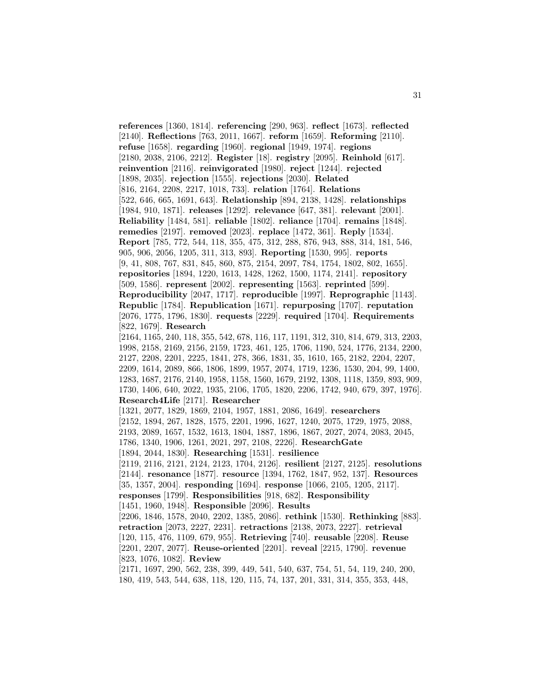**references** [1360, 1814]. **referencing** [290, 963]. **reflect** [1673]. **reflected** [2140]. **Reflections** [763, 2011, 1667]. **reform** [1659]. **Reforming** [2110]. **refuse** [1658]. **regarding** [1960]. **regional** [1949, 1974]. **regions** [2180, 2038, 2106, 2212]. **Register** [18]. **registry** [2095]. **Reinhold** [617]. **reinvention** [2116]. **reinvigorated** [1980]. **reject** [1244]. **rejected** [1898, 2035]. **rejection** [1555]. **rejections** [2030]. **Related** [816, 2164, 2208, 2217, 1018, 733]. **relation** [1764]. **Relations** [522, 646, 665, 1691, 643]. **Relationship** [894, 2138, 1428]. **relationships** [1984, 910, 1871]. **releases** [1292]. **relevance** [647, 381]. **relevant** [2001]. **Reliability** [1484, 581]. **reliable** [1802]. **reliance** [1704]. **remains** [1848]. **remedies** [2197]. **removed** [2023]. **replace** [1472, 361]. **Reply** [1534]. **Report** [785, 772, 544, 118, 355, 475, 312, 288, 876, 943, 888, 314, 181, 546, 905, 906, 2056, 1205, 311, 313, 893]. **Reporting** [1530, 995]. **reports** [9, 41, 808, 767, 831, 845, 860, 875, 2154, 2097, 784, 1754, 1802, 802, 1655]. **repositories** [1894, 1220, 1613, 1428, 1262, 1500, 1174, 2141]. **repository** [509, 1586]. **represent** [2002]. **representing** [1563]. **reprinted** [599]. **Reproducibility** [2047, 1717]. **reproducible** [1997]. **Reprographic** [1143]. **Republic** [1784]. **Republication** [1671]. **repurposing** [1707]. **reputation** [2076, 1775, 1796, 1830]. **requests** [2229]. **required** [1704]. **Requirements** [822, 1679]. **Research** [2164, 1165, 240, 118, 355, 542, 678, 116, 117, 1191, 312, 310, 814, 679, 313, 2203, 1998, 2158, 2169, 2156, 2159, 1723, 461, 125, 1706, 1190, 524, 1776, 2134, 2200, 2127, 2208, 2201, 2225, 1841, 278, 366, 1831, 35, 1610, 165, 2182, 2204, 2207, 2209, 1614, 2089, 866, 1806, 1899, 1957, 2074, 1719, 1236, 1530, 204, 99, 1400, 1283, 1687, 2176, 2140, 1958, 1158, 1560, 1679, 2192, 1308, 1118, 1359, 893, 909, 1730, 1406, 640, 2022, 1935, 2106, 1705, 1820, 2206, 1742, 940, 679, 397, 1976]. **Research4Life** [2171]. **Researcher** [1321, 2077, 1829, 1869, 2104, 1957, 1881, 2086, 1649]. **researchers** [2152, 1894, 267, 1828, 1575, 2201, 1996, 1627, 1240, 2075, 1729, 1975, 2088, 2193, 2089, 1657, 1532, 1613, 1804, 1887, 1896, 1867, 2027, 2074, 2083, 2045, 1786, 1340, 1906, 1261, 2021, 297, 2108, 2226]. **ResearchGate** [1894, 2044, 1830]. **Researching** [1531]. **resilience** [2119, 2116, 2121, 2124, 2123, 1704, 2126]. **resilient** [2127, 2125]. **resolutions** [2144]. **resonance** [1877]. **resource** [1394, 1762, 1847, 952, 137]. **Resources** [35, 1357, 2004]. **responding** [1694]. **response** [1066, 2105, 1205, 2117]. **responses** [1799]. **Responsibilities** [918, 682]. **Responsibility** [1451, 1960, 1948]. **Responsible** [2096]. **Results** [2206, 1846, 1578, 2040, 2202, 1385, 2086]. **rethink** [1530]. **Rethinking** [883]. **retraction** [2073, 2227, 2231]. **retractions** [2138, 2073, 2227]. **retrieval** [120, 115, 476, 1109, 679, 955]. **Retrieving** [740]. **reusable** [2208]. **Reuse** [2201, 2207, 2077]. **Reuse-oriented** [2201]. **reveal** [2215, 1790]. **revenue** [823, 1076, 1082]. **Review** [2171, 1697, 290, 562, 238, 399, 449, 541, 540, 637, 754, 51, 54, 119, 240, 200, 180, 419, 543, 544, 638, 118, 120, 115, 74, 137, 201, 331, 314, 355, 353, 448,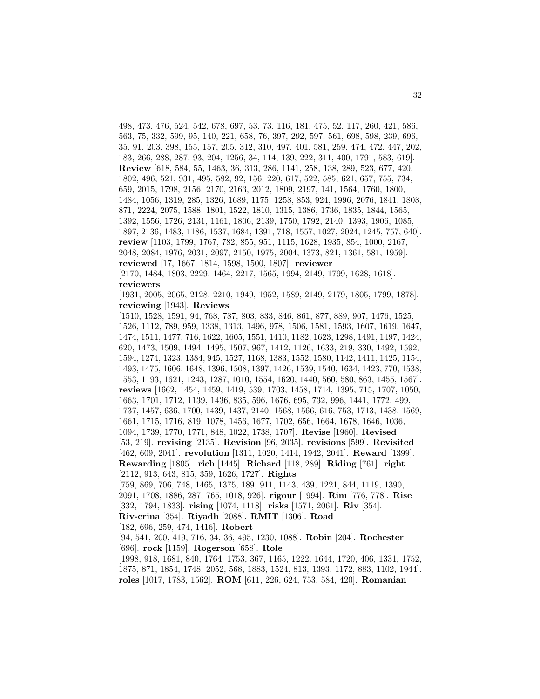498, 473, 476, 524, 542, 678, 697, 53, 73, 116, 181, 475, 52, 117, 260, 421, 586, 563, 75, 332, 599, 95, 140, 221, 658, 76, 397, 292, 597, 561, 698, 598, 239, 696, 35, 91, 203, 398, 155, 157, 205, 312, 310, 497, 401, 581, 259, 474, 472, 447, 202, 183, 266, 288, 287, 93, 204, 1256, 34, 114, 139, 222, 311, 400, 1791, 583, 619]. **Review** [618, 584, 55, 1463, 36, 313, 286, 1141, 258, 138, 289, 523, 677, 420, 1802, 496, 521, 931, 495, 582, 92, 156, 220, 617, 522, 585, 621, 657, 755, 734, 659, 2015, 1798, 2156, 2170, 2163, 2012, 1809, 2197, 141, 1564, 1760, 1800, 1484, 1056, 1319, 285, 1326, 1689, 1175, 1258, 853, 924, 1996, 2076, 1841, 1808, 871, 2224, 2075, 1588, 1801, 1522, 1810, 1315, 1386, 1736, 1835, 1844, 1565, 1392, 1556, 1726, 2131, 1161, 1806, 2139, 1750, 1792, 2140, 1393, 1906, 1085, 1897, 2136, 1483, 1186, 1537, 1684, 1391, 718, 1557, 1027, 2024, 1245, 757, 640]. **review** [1103, 1799, 1767, 782, 855, 951, 1115, 1628, 1935, 854, 1000, 2167, 2048, 2084, 1976, 2031, 2097, 2150, 1975, 2004, 1373, 821, 1361, 581, 1959]. **reviewed** [17, 1667, 1814, 1598, 1500, 1807]. **reviewer** [2170, 1484, 1803, 2229, 1464, 2217, 1565, 1994, 2149, 1799, 1628, 1618].

**reviewers**

[1931, 2005, 2065, 2128, 2210, 1949, 1952, 1589, 2149, 2179, 1805, 1799, 1878]. **reviewing** [1943]. **Reviews**

[1510, 1528, 1591, 94, 768, 787, 803, 833, 846, 861, 877, 889, 907, 1476, 1525, 1526, 1112, 789, 959, 1338, 1313, 1496, 978, 1506, 1581, 1593, 1607, 1619, 1647, 1474, 1511, 1477, 716, 1622, 1605, 1551, 1410, 1182, 1623, 1298, 1491, 1497, 1424, 620, 1473, 1509, 1494, 1495, 1507, 967, 1412, 1126, 1633, 219, 330, 1492, 1592, 1594, 1274, 1323, 1384, 945, 1527, 1168, 1383, 1552, 1580, 1142, 1411, 1425, 1154, 1493, 1475, 1606, 1648, 1396, 1508, 1397, 1426, 1539, 1540, 1634, 1423, 770, 1538, 1553, 1193, 1621, 1243, 1287, 1010, 1554, 1620, 1440, 560, 580, 863, 1455, 1567]. **reviews** [1662, 1454, 1459, 1419, 539, 1703, 1458, 1714, 1395, 715, 1707, 1050, 1663, 1701, 1712, 1139, 1436, 835, 596, 1676, 695, 732, 996, 1441, 1772, 499, 1737, 1457, 636, 1700, 1439, 1437, 2140, 1568, 1566, 616, 753, 1713, 1438, 1569, 1661, 1715, 1716, 819, 1078, 1456, 1677, 1702, 656, 1664, 1678, 1646, 1036, 1094, 1739, 1770, 1771, 848, 1022, 1738, 1707]. **Revise** [1960]. **Revised** [53, 219]. **revising** [2135]. **Revision** [96, 2035]. **revisions** [599]. **Revisited** [462, 609, 2041]. **revolution** [1311, 1020, 1414, 1942, 2041]. **Reward** [1399]. **Rewarding** [1805]. **rich** [1445]. **Richard** [118, 289]. **Riding** [761]. **right** [2112, 913, 643, 815, 359, 1626, 1727]. **Rights** [759, 869, 706, 748, 1465, 1375, 189, 911, 1143, 439, 1221, 844, 1119, 1390, 2091, 1708, 1886, 287, 765, 1018, 926]. **rigour** [1994]. **Rim** [776, 778]. **Rise** [332, 1794, 1833]. **rising** [1074, 1118]. **risks** [1571, 2061]. **Riv** [354]. **Riv-erina** [354]. **Riyadh** [2088]. **RMIT** [1306]. **Road** [182, 696, 259, 474, 1416]. **Robert** [94, 541, 200, 419, 716, 34, 36, 495, 1230, 1088]. **Robin** [204]. **Rochester** [696]. **rock** [1159]. **Rogerson** [658]. **Role**

[1998, 918, 1681, 840, 1764, 1753, 367, 1165, 1222, 1644, 1720, 406, 1331, 1752, 1875, 871, 1854, 1748, 2052, 568, 1883, 1524, 813, 1393, 1172, 883, 1102, 1944]. **roles** [1017, 1783, 1562]. **ROM** [611, 226, 624, 753, 584, 420]. **Romanian**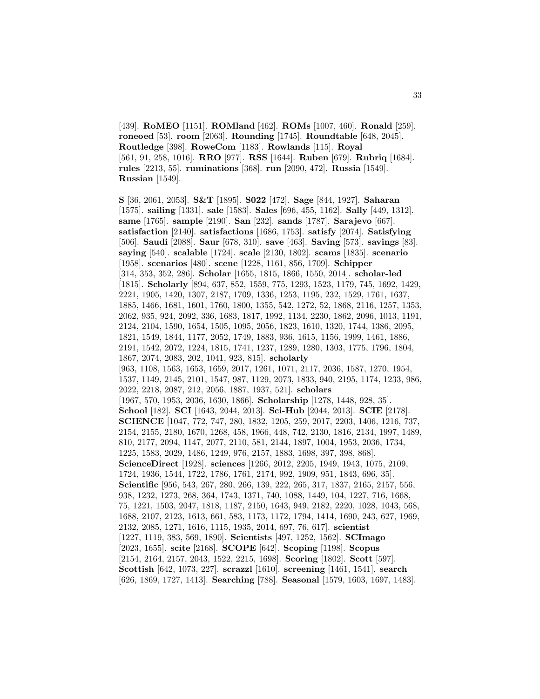[439]. **RoMEO** [1151]. **ROMland** [462]. **ROMs** [1007, 460]. **Ronald** [259]. **roneoed** [53]. **room** [2063]. **Rounding** [1745]. **Roundtable** [648, 2045]. **Routledge** [398]. **RoweCom** [1183]. **Rowlands** [115]. **Royal** [561, 91, 258, 1016]. **RRO** [977]. **RSS** [1644]. **Ruben** [679]. **Rubriq** [1684]. **rules** [2213, 55]. **ruminations** [368]. **run** [2090, 472]. **Russia** [1549]. **Russian** [1549].

**S** [36, 2061, 2053]. **S&T** [1895]. **S022** [472]. **Sage** [844, 1927]. **Saharan** [1575]. **sailing** [1331]. **sale** [1583]. **Sales** [696, 455, 1162]. **Sally** [449, 1312]. **same** [1765]. **sample** [2190]. **San** [232]. **sands** [1787]. **Sarajevo** [667]. **satisfaction** [2140]. **satisfactions** [1686, 1753]. **satisfy** [2074]. **Satisfying** [506]. **Saudi** [2088]. **Saur** [678, 310]. **save** [463]. **Saving** [573]. **savings** [83]. **saying** [540]. **scalable** [1724]. **scale** [2130, 1802]. **scams** [1835]. **scenario** [1958]. **scenarios** [480]. **scene** [1228, 1161, 856, 1709]. **Schipper** [314, 353, 352, 286]. **Scholar** [1655, 1815, 1866, 1550, 2014]. **scholar-led** [1815]. **Scholarly** [894, 637, 852, 1559, 775, 1293, 1523, 1179, 745, 1692, 1429, 2221, 1905, 1420, 1307, 2187, 1709, 1336, 1253, 1195, 232, 1529, 1761, 1637, 1885, 1466, 1681, 1601, 1760, 1800, 1355, 542, 1272, 52, 1868, 2116, 1257, 1353, 2062, 935, 924, 2092, 336, 1683, 1817, 1992, 1134, 2230, 1862, 2096, 1013, 1191, 2124, 2104, 1590, 1654, 1505, 1095, 2056, 1823, 1610, 1320, 1744, 1386, 2095, 1821, 1549, 1844, 1177, 2052, 1749, 1883, 936, 1615, 1156, 1999, 1461, 1886, 2191, 1542, 2072, 1224, 1815, 1741, 1237, 1289, 1280, 1303, 1775, 1796, 1804, 1867, 2074, 2083, 202, 1041, 923, 815]. **scholarly** [963, 1108, 1563, 1653, 1659, 2017, 1261, 1071, 2117, 2036, 1587, 1270, 1954, 1537, 1149, 2145, 2101, 1547, 987, 1129, 2073, 1833, 940, 2195, 1174, 1233, 986, 2022, 2218, 2087, 212, 2056, 1887, 1937, 521]. **scholars** [1967, 570, 1953, 2036, 1630, 1866]. **Scholarship** [1278, 1448, 928, 35]. **School** [182]. **SCI** [1643, 2044, 2013]. **Sci-Hub** [2044, 2013]. **SCIE** [2178]. **SCIENCE** [1047, 772, 747, 280, 1832, 1205, 259, 2017, 2203, 1406, 1216, 737, 2154, 2155, 2180, 1670, 1268, 458, 1966, 448, 742, 2130, 1816, 2134, 1997, 1489, 810, 2177, 2094, 1147, 2077, 2110, 581, 2144, 1897, 1004, 1953, 2036, 1734, 1225, 1583, 2029, 1486, 1249, 976, 2157, 1883, 1698, 397, 398, 868]. **ScienceDirect** [1928]. **sciences** [1266, 2012, 2205, 1949, 1943, 1075, 2109, 1724, 1936, 1544, 1722, 1786, 1761, 2174, 992, 1909, 951, 1843, 696, 35]. **Scientific** [956, 543, 267, 280, 266, 139, 222, 265, 317, 1837, 2165, 2157, 556, 938, 1232, 1273, 268, 364, 1743, 1371, 740, 1088, 1449, 104, 1227, 716, 1668, 75, 1221, 1503, 2047, 1818, 1187, 2150, 1643, 949, 2182, 2220, 1028, 1043, 568, 1688, 2107, 2123, 1613, 661, 583, 1173, 1172, 1794, 1414, 1690, 243, 627, 1969, 2132, 2085, 1271, 1616, 1115, 1935, 2014, 697, 76, 617]. **scientist** [1227, 1119, 383, 569, 1890]. **Scientists** [497, 1252, 1562]. **SCImago** [2023, 1655]. **scite** [2168]. **SCOPE** [642]. **Scoping** [1198]. **Scopus** [2154, 2164, 2157, 2043, 1522, 2215, 1698]. **Scoring** [1802]. **Scott** [597]. **Scottish** [642, 1073, 227]. **scrazzl** [1610]. **screening** [1461, 1541]. **search** [626, 1869, 1727, 1413]. **Searching** [788]. **Seasonal** [1579, 1603, 1697, 1483].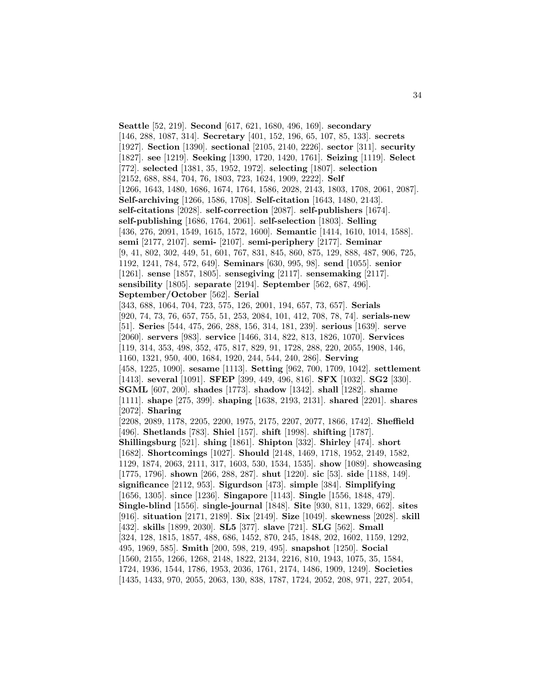**Seattle** [52, 219]. **Second** [617, 621, 1680, 496, 169]. **secondary** [146, 288, 1087, 314]. **Secretary** [401, 152, 196, 65, 107, 85, 133]. **secrets** [1927]. **Section** [1390]. **sectional** [2105, 2140, 2226]. **sector** [311]. **security** [1827]. **see** [1219]. **Seeking** [1390, 1720, 1420, 1761]. **Seizing** [1119]. **Select** [772]. **selected** [1381, 35, 1952, 1972]. **selecting** [1807]. **selection** [2152, 688, 884, 704, 76, 1803, 723, 1624, 1909, 2222]. **Self** [1266, 1643, 1480, 1686, 1674, 1764, 1586, 2028, 2143, 1803, 1708, 2061, 2087]. **Self-archiving** [1266, 1586, 1708]. **Self-citation** [1643, 1480, 2143]. **self-citations** [2028]. **self-correction** [2087]. **self-publishers** [1674]. **self-publishing** [1686, 1764, 2061]. **self-selection** [1803]. **Selling** [436, 276, 2091, 1549, 1615, 1572, 1600]. **Semantic** [1414, 1610, 1014, 1588]. **semi** [2177, 2107]. **semi-** [2107]. **semi-periphery** [2177]. **Seminar** [9, 41, 802, 302, 449, 51, 601, 767, 831, 845, 860, 875, 129, 888, 487, 906, 725, 1192, 1241, 784, 572, 649]. **Seminars** [630, 995, 98]. **send** [1055]. **senior** [1261]. **sense** [1857, 1805]. **sensegiving** [2117]. **sensemaking** [2117]. **sensibility** [1805]. **separate** [2194]. **September** [562, 687, 496]. **September/October** [562]. **Serial** [343, 688, 1064, 704, 723, 575, 126, 2001, 194, 657, 73, 657]. **Serials** [920, 74, 73, 76, 657, 755, 51, 253, 2084, 101, 412, 708, 78, 74]. **serials-new** [51]. **Series** [544, 475, 266, 288, 156, 314, 181, 239]. **serious** [1639]. **serve** [2060]. **servers** [983]. **service** [1466, 314, 822, 813, 1826, 1070]. **Services** [119, 314, 353, 498, 352, 475, 817, 829, 91, 1728, 288, 220, 2055, 1908, 146, 1160, 1321, 950, 400, 1684, 1920, 244, 544, 240, 286]. **Serving** [458, 1225, 1090]. **sesame** [1113]. **Setting** [962, 700, 1709, 1042]. **settlement** [1413]. **several** [1091]. **SFEP** [399, 449, 496, 816]. **SFX** [1032]. **SG2** [330]. **SGML** [607, 200]. **shades** [1773]. **shadow** [1342]. **shall** [1282]. **shame** [1111]. **shape** [275, 399]. **shaping** [1638, 2193, 2131]. **shared** [2201]. **shares** [2072]. **Sharing** [2208, 2089, 1178, 2205, 2200, 1975, 2175, 2207, 2077, 1866, 1742]. **Sheffield** [496]. **Shetlands** [783]. **Shiel** [157]. **shift** [1998]. **shifting** [1787]. **Shillingsburg** [521]. **shing** [1861]. **Shipton** [332]. **Shirley** [474]. **short** [1682]. **Shortcomings** [1027]. **Should** [2148, 1469, 1718, 1952, 2149, 1582, 1129, 1874, 2063, 2111, 317, 1603, 530, 1534, 1535]. **show** [1089]. **showcasing** [1775, 1796]. **shown** [266, 288, 287]. **shut** [1220]. **sic** [53]. **side** [1188, 149]. **significance** [2112, 953]. **Sigurdson** [473]. **simple** [384]. **Simplifying** [1656, 1305]. **since** [1236]. **Singapore** [1143]. **Single** [1556, 1848, 479]. **Single-blind** [1556]. **single-journal** [1848]. **Site** [930, 811, 1329, 662]. **sites** [916]. **situation** [2171, 2189]. **Six** [2149]. **Size** [1049]. **skewness** [2028]. **skill** [432]. **skills** [1899, 2030]. **SL5** [377]. **slave** [721]. **SLG** [562]. **Small** [324, 128, 1815, 1857, 488, 686, 1452, 870, 245, 1848, 202, 1602, 1159, 1292, 495, 1969, 585]. **Smith** [200, 598, 219, 495]. **snapshot** [1250]. **Social** [1560, 2155, 1266, 1268, 2148, 1822, 2134, 2216, 810, 1943, 1075, 35, 1584, 1724, 1936, 1544, 1786, 1953, 2036, 1761, 2174, 1486, 1909, 1249]. **Societies** [1435, 1433, 970, 2055, 2063, 130, 838, 1787, 1724, 2052, 208, 971, 227, 2054,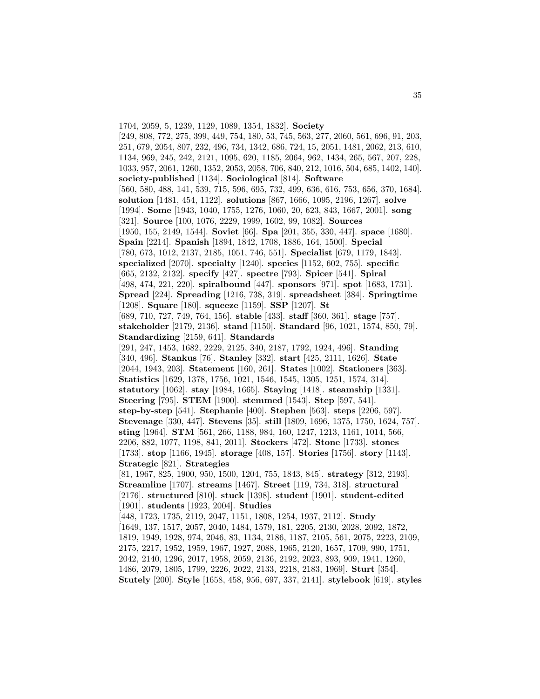1704, 2059, 5, 1239, 1129, 1089, 1354, 1832]. **Society** [249, 808, 772, 275, 399, 449, 754, 180, 53, 745, 563, 277, 2060, 561, 696, 91, 203, 251, 679, 2054, 807, 232, 496, 734, 1342, 686, 724, 15, 2051, 1481, 2062, 213, 610, 1134, 969, 245, 242, 2121, 1095, 620, 1185, 2064, 962, 1434, 265, 567, 207, 228, 1033, 957, 2061, 1260, 1352, 2053, 2058, 706, 840, 212, 1016, 504, 685, 1402, 140]. **society-published** [1134]. **Sociological** [814]. **Software** [560, 580, 488, 141, 539, 715, 596, 695, 732, 499, 636, 616, 753, 656, 370, 1684]. **solution** [1481, 454, 1122]. **solutions** [867, 1666, 1095, 2196, 1267]. **solve** [1994]. **Some** [1943, 1040, 1755, 1276, 1060, 20, 623, 843, 1667, 2001]. **song** [321]. **Source** [100, 1076, 2229, 1999, 1602, 99, 1082]. **Sources** [1950, 155, 2149, 1544]. **Soviet** [66]. **Spa** [201, 355, 330, 447]. **space** [1680]. **Spain** [2214]. **Spanish** [1894, 1842, 1708, 1886, 164, 1500]. **Special** [780, 673, 1012, 2137, 2185, 1051, 746, 551]. **Specialist** [679, 1179, 1843]. **specialized** [2070]. **specialty** [1240]. **species** [1152, 602, 755]. **specific** [665, 2132, 2132]. **specify** [427]. **spectre** [793]. **Spicer** [541]. **Spiral** [498, 474, 221, 220]. **spiralbound** [447]. **sponsors** [971]. **spot** [1683, 1731]. **Spread** [224]. **Spreading** [1216, 738, 319]. **spreadsheet** [384]. **Springtime** [1208]. **Square** [180]. **squeeze** [1159]. **SSP** [1207]. **St** [689, 710, 727, 749, 764, 156]. **stable** [433]. **staff** [360, 361]. **stage** [757]. **stakeholder** [2179, 2136]. **stand** [1150]. **Standard** [96, 1021, 1574, 850, 79]. **Standardizing** [2159, 641]. **Standards** [291, 247, 1453, 1682, 2229, 2125, 340, 2187, 1792, 1924, 496]. **Standing** [340, 496]. **Stankus** [76]. **Stanley** [332]. **start** [425, 2111, 1626]. **State** [2044, 1943, 203]. **Statement** [160, 261]. **States** [1002]. **Stationers** [363]. **Statistics** [1629, 1378, 1756, 1021, 1546, 1545, 1305, 1251, 1574, 314]. **statutory** [1062]. **stay** [1984, 1665]. **Staying** [1418]. **steamship** [1331]. **Steering** [795]. **STEM** [1900]. **stemmed** [1543]. **Step** [597, 541]. **step-by-step** [541]. **Stephanie** [400]. **Stephen** [563]. **steps** [2206, 597]. **Stevenage** [330, 447]. **Stevens** [35]. **still** [1809, 1696, 1375, 1750, 1624, 757]. **sting** [1964]. **STM** [561, 266, 1188, 984, 160, 1247, 1213, 1161, 1014, 566, 2206, 882, 1077, 1198, 841, 2011]. **Stockers** [472]. **Stone** [1733]. **stones** [1733]. **stop** [1166, 1945]. **storage** [408, 157]. **Stories** [1756]. **story** [1143]. **Strategic** [821]. **Strategies** [81, 1967, 825, 1900, 950, 1500, 1204, 755, 1843, 845]. **strategy** [312, 2193]. **Streamline** [1707]. **streams** [1467]. **Street** [119, 734, 318]. **structural** [2176]. **structured** [810]. **stuck** [1398]. **student** [1901]. **student-edited** [1901]. **students** [1923, 2004]. **Studies** [448, 1723, 1735, 2119, 2047, 1151, 1808, 1254, 1937, 2112]. **Study** [1649, 137, 1517, 2057, 2040, 1484, 1579, 181, 2205, 2130, 2028, 2092, 1872, 1819, 1949, 1928, 974, 2046, 83, 1134, 2186, 1187, 2105, 561, 2075, 2223, 2109, 2175, 2217, 1952, 1959, 1967, 1927, 2088, 1965, 2120, 1657, 1709, 990, 1751, 2042, 2140, 1296, 2017, 1958, 2059, 2136, 2192, 2023, 893, 909, 1941, 1260, 1486, 2079, 1805, 1799, 2226, 2022, 2133, 2218, 2183, 1969]. **Sturt** [354]. **Stutely** [200]. **Style** [1658, 458, 956, 697, 337, 2141]. **stylebook** [619]. **styles**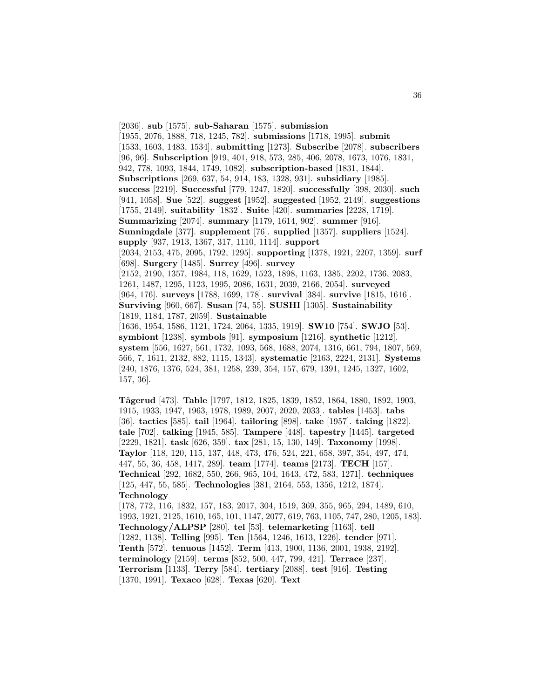[2036]. **sub** [1575]. **sub-Saharan** [1575]. **submission** [1955, 2076, 1888, 718, 1245, 782]. **submissions** [1718, 1995]. **submit** [1533, 1603, 1483, 1534]. **submitting** [1273]. **Subscribe** [2078]. **subscribers** [96, 96]. **Subscription** [919, 401, 918, 573, 285, 406, 2078, 1673, 1076, 1831, 942, 778, 1093, 1844, 1749, 1082]. **subscription-based** [1831, 1844]. **Subscriptions** [269, 637, 54, 914, 183, 1328, 931]. **subsidiary** [1985]. **success** [2219]. **Successful** [779, 1247, 1820]. **successfully** [398, 2030]. **such** [941, 1058]. **Sue** [522]. **suggest** [1952]. **suggested** [1952, 2149]. **suggestions** [1755, 2149]. **suitability** [1832]. **Suite** [420]. **summaries** [2228, 1719]. **Summarizing** [2074]. **summary** [1179, 1614, 902]. **summer** [916]. **Sunningdale** [377]. **supplement** [76]. **supplied** [1357]. **suppliers** [1524]. **supply** [937, 1913, 1367, 317, 1110, 1114]. **support** [2034, 2153, 475, 2095, 1792, 1295]. **supporting** [1378, 1921, 2207, 1359]. **surf** [698]. **Surgery** [1485]. **Surrey** [496]. **survey** [2152, 2190, 1357, 1984, 118, 1629, 1523, 1898, 1163, 1385, 2202, 1736, 2083, 1261, 1487, 1295, 1123, 1995, 2086, 1631, 2039, 2166, 2054]. **surveyed** [964, 176]. **surveys** [1788, 1699, 178]. **survival** [384]. **survive** [1815, 1616]. **Surviving** [960, 667]. **Susan** [74, 55]. **SUSHI** [1305]. **Sustainability** [1819, 1184, 1787, 2059]. **Sustainable** [1636, 1954, 1586, 1121, 1724, 2064, 1335, 1919]. **SW10** [754]. **SWJO** [53]. **symbiont** [1238]. **symbols** [91]. **symposium** [1216]. **synthetic** [1212]. **system** [556, 1627, 561, 1732, 1093, 568, 1688, 2074, 1316, 661, 794, 1807, 569, 566, 7, 1611, 2132, 882, 1115, 1343]. **systematic** [2163, 2224, 2131]. **Systems** [240, 1876, 1376, 524, 381, 1258, 239, 354, 157, 679, 1391, 1245, 1327, 1602, 157, 36].

**T˚agerud** [473]. **Table** [1797, 1812, 1825, 1839, 1852, 1864, 1880, 1892, 1903, 1915, 1933, 1947, 1963, 1978, 1989, 2007, 2020, 2033]. **tables** [1453]. **tabs** [36]. **tactics** [585]. **tail** [1964]. **tailoring** [898]. **take** [1957]. **taking** [1822]. **tale** [702]. **talking** [1945, 585]. **Tampere** [448]. **tapestry** [1445]. **targeted** [2229, 1821]. **task** [626, 359]. **tax** [281, 15, 130, 149]. **Taxonomy** [1998]. **Taylor** [118, 120, 115, 137, 448, 473, 476, 524, 221, 658, 397, 354, 497, 474, 447, 55, 36, 458, 1417, 289]. **team** [1774]. **teams** [2173]. **TECH** [157]. **Technical** [292, 1682, 550, 266, 965, 104, 1643, 472, 583, 1271]. **techniques** [125, 447, 55, 585]. **Technologies** [381, 2164, 553, 1356, 1212, 1874]. **Technology**

[178, 772, 116, 1832, 157, 183, 2017, 304, 1519, 369, 355, 965, 294, 1489, 610, 1993, 1921, 2125, 1610, 165, 101, 1147, 2077, 619, 763, 1105, 747, 280, 1205, 183]. **Technology/ALPSP** [280]. **tel** [53]. **telemarketing** [1163]. **tell** [1282, 1138]. **Telling** [995]. **Ten** [1564, 1246, 1613, 1226]. **tender** [971]. **Tenth** [572]. **tenuous** [1452]. **Term** [413, 1900, 1136, 2001, 1938, 2192]. **terminology** [2159]. **terms** [852, 500, 447, 799, 421]. **Terrace** [237]. **Terrorism** [1133]. **Terry** [584]. **tertiary** [2088]. **test** [916]. **Testing** [1370, 1991]. **Texaco** [628]. **Texas** [620]. **Text**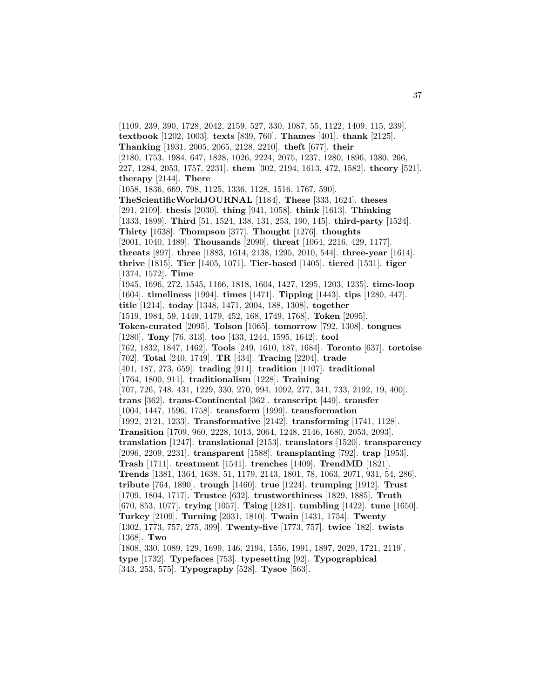[1109, 239, 390, 1728, 2042, 2159, 527, 330, 1087, 55, 1122, 1409, 115, 239]. **textbook** [1202, 1003]. **texts** [839, 760]. **Thames** [401]. **thank** [2125]. **Thanking** [1931, 2005, 2065, 2128, 2210]. **theft** [677]. **their** [2180, 1753, 1984, 647, 1828, 1026, 2224, 2075, 1237, 1280, 1896, 1380, 266, 227, 1284, 2053, 1757, 2231]. **them** [302, 2194, 1613, 472, 1582]. **theory** [521]. **therapy** [2144]. **There** [1058, 1836, 669, 798, 1125, 1336, 1128, 1516, 1767, 590]. **TheScientificWorldJOURNAL** [1184]. **These** [333, 1624]. **theses** [291, 2109]. **thesis** [2030]. **thing** [941, 1058]. **think** [1613]. **Thinking** [1333, 1899]. **Third** [51, 1524, 138, 131, 253, 190, 145]. **third-party** [1524]. **Thirty** [1638]. **Thompson** [377]. **Thought** [1276]. **thoughts** [2001, 1040, 1489]. **Thousands** [2090]. **threat** [1064, 2216, 429, 1177]. **threats** [897]. **three** [1883, 1614, 2138, 1295, 2010, 544]. **three-year** [1614]. **thrive** [1815]. **Tier** [1405, 1071]. **Tier-based** [1405]. **tiered** [1531]. **tiger** [1374, 1572]. **Time** [1945, 1696, 272, 1545, 1166, 1818, 1604, 1427, 1295, 1203, 1235]. **time-loop** [1604]. **timeliness** [1994]. **times** [1471]. **Tipping** [1443]. **tips** [1280, 447]. **title** [1214]. **today** [1348, 1471, 2004, 188, 1308]. **together** [1519, 1984, 59, 1449, 1479, 452, 168, 1749, 1768]. **Token** [2095]. **Token-curated** [2095]. **Tolson** [1065]. **tomorrow** [792, 1308]. **tongues** [1280]. **Tony** [76, 313]. **too** [433, 1244, 1595, 1642]. **tool** [762, 1832, 1847, 1462]. **Tools** [249, 1610, 187, 1684]. **Toronto** [637]. **tortoise** [702]. **Total** [240, 1749]. **TR** [434]. **Tracing** [2204]. **trade** [401, 187, 273, 659]. **trading** [911]. **tradition** [1107]. **traditional** [1764, 1800, 911]. **traditionalism** [1228]. **Training** [707, 726, 748, 431, 1229, 330, 270, 994, 1092, 277, 341, 733, 2192, 19, 400]. **trans** [362]. **trans-Continental** [362]. **transcript** [449]. **transfer** [1004, 1447, 1596, 1758]. **transform** [1999]. **transformation** [1992, 2121, 1233]. **Transformative** [2142]. **transforming** [1741, 1128]. **Transition** [1709, 960, 2228, 1013, 2064, 1248, 2146, 1680, 2053, 2093]. **translation** [1247]. **translational** [2153]. **translators** [1520]. **transparency** [2096, 2209, 2231]. **transparent** [1588]. **transplanting** [792]. **trap** [1953]. **Trash** [1711]. **treatment** [1541]. **trenches** [1409]. **TrendMD** [1821]. **Trends** [1381, 1364, 1638, 51, 1179, 2143, 1801, 78, 1063, 2071, 931, 54, 286]. **tribute** [764, 1890]. **trough** [1460]. **true** [1224]. **trumping** [1912]. **Trust** [1709, 1804, 1717]. **Trustee** [632]. **trustworthiness** [1829, 1885]. **Truth** [670, 853, 1077]. **trying** [1057]. **Tsing** [1281]. **tumbling** [1422]. **tune** [1650]. **Turkey** [2109]. **Turning** [2031, 1810]. **Twain** [1431, 1754]. **Twenty** [1302, 1773, 757, 275, 399]. **Twenty-five** [1773, 757]. **twice** [182]. **twists** [1368]. **Two** [1808, 330, 1089, 129, 1699, 146, 2194, 1556, 1991, 1897, 2029, 1721, 2119]. **type** [1732]. **Typefaces** [753]. **typesetting** [92]. **Typographical**

[343, 253, 575]. **Typography** [528]. **Tysoe** [563].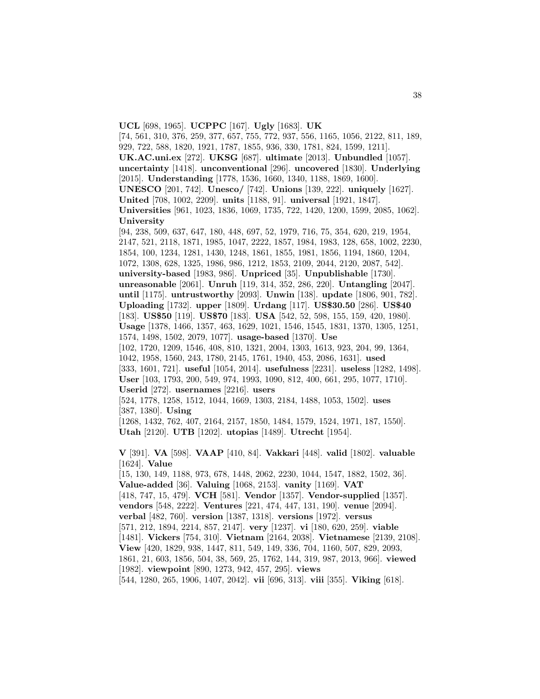[74, 561, 310, 376, 259, 377, 657, 755, 772, 937, 556, 1165, 1056, 2122, 811, 189, 929, 722, 588, 1820, 1921, 1787, 1855, 936, 330, 1781, 824, 1599, 1211]. **UK.AC.uni.ex** [272]. **UKSG** [687]. **ultimate** [2013]. **Unbundled** [1057]. **uncertainty** [1418]. **unconventional** [296]. **uncovered** [1830]. **Underlying** [2015]. **Understanding** [1778, 1536, 1660, 1340, 1188, 1869, 1600]. **UNESCO** [201, 742]. **Unesco/** [742]. **Unions** [139, 222]. **uniquely** [1627]. **United** [708, 1002, 2209]. **units** [1188, 91]. **universal** [1921, 1847]. **Universities** [961, 1023, 1836, 1069, 1735, 722, 1420, 1200, 1599, 2085, 1062]. **University** [94, 238, 509, 637, 647, 180, 448, 697, 52, 1979, 716, 75, 354, 620, 219, 1954, 2147, 521, 2118, 1871, 1985, 1047, 2222, 1857, 1984, 1983, 128, 658, 1002, 2230, 1854, 100, 1234, 1281, 1430, 1248, 1861, 1855, 1981, 1856, 1194, 1860, 1204, 1072, 1308, 628, 1325, 1986, 986, 1212, 1853, 2109, 2044, 2120, 2087, 542]. **university-based** [1983, 986]. **Unpriced** [35]. **Unpublishable** [1730]. **unreasonable** [2061]. **Unruh** [119, 314, 352, 286, 220]. **Untangling** [2047]. **until** [1175]. **untrustworthy** [2093]. **Unwin** [138]. **update** [1806, 901, 782]. **Uploading** [1732]. **upper** [1809]. **Urdang** [117]. **US\$30.50** [286]. **US\$40** [183]. **US\$50** [119]. **US\$70** [183]. **USA** [542, 52, 598, 155, 159, 420, 1980]. **Usage** [1378, 1466, 1357, 463, 1629, 1021, 1546, 1545, 1831, 1370, 1305, 1251, 1574, 1498, 1502, 2079, 1077]. **usage-based** [1370]. **Use** [102, 1720, 1209, 1546, 408, 810, 1321, 2004, 1303, 1613, 923, 204, 99, 1364, 1042, 1958, 1560, 243, 1780, 2145, 1761, 1940, 453, 2086, 1631]. **used** [333, 1601, 721]. **useful** [1054, 2014]. **usefulness** [2231]. **useless** [1282, 1498]. **User** [103, 1793, 200, 549, 974, 1993, 1090, 812, 400, 661, 295, 1077, 1710]. **Userid** [272]. **usernames** [2216]. **users** [524, 1778, 1258, 1512, 1044, 1669, 1303, 2184, 1488, 1053, 1502]. **uses** [387, 1380]. **Using** [1268, 1432, 762, 407, 2164, 2157, 1850, 1484, 1579, 1524, 1971, 187, 1550]. **Utah** [2120]. **UTB** [1202]. **utopias** [1489]. **Utrecht** [1954]. **V** [391]. **VA** [598]. **VAAP** [410, 84]. **Vakkari** [448]. **valid** [1802]. **valuable** [1624]. **Value** [15, 130, 149, 1188, 973, 678, 1448, 2062, 2230, 1044, 1547, 1882, 1502, 36]. **Value-added** [36]. **Valuing** [1068, 2153]. **vanity** [1169]. **VAT** [418, 747, 15, 479]. **VCH** [581]. **Vendor** [1357]. **Vendor-supplied** [1357]. **vendors** [548, 2222]. **Ventures** [221, 474, 447, 131, 190]. **venue** [2094]. **verbal** [482, 760]. **version** [1387, 1318]. **versions** [1972]. **versus** [571, 212, 1894, 2214, 857, 2147]. **very** [1237]. **vi** [180, 620, 259]. **viable** [1481]. **Vickers** [754, 310]. **Vietnam** [2164, 2038]. **Vietnamese** [2139, 2108]. **View** [420, 1829, 938, 1447, 811, 549, 149, 336, 704, 1160, 507, 829, 2093, 1861, 21, 603, 1856, 504, 38, 569, 25, 1762, 144, 319, 987, 2013, 966]. **viewed** [1982]. **viewpoint** [890, 1273, 942, 457, 295]. **views** [544, 1280, 265, 1906, 1407, 2042]. **vii** [696, 313]. **viii** [355]. **Viking** [618].

**UCL** [698, 1965]. **UCPPC** [167]. **Ugly** [1683]. **UK**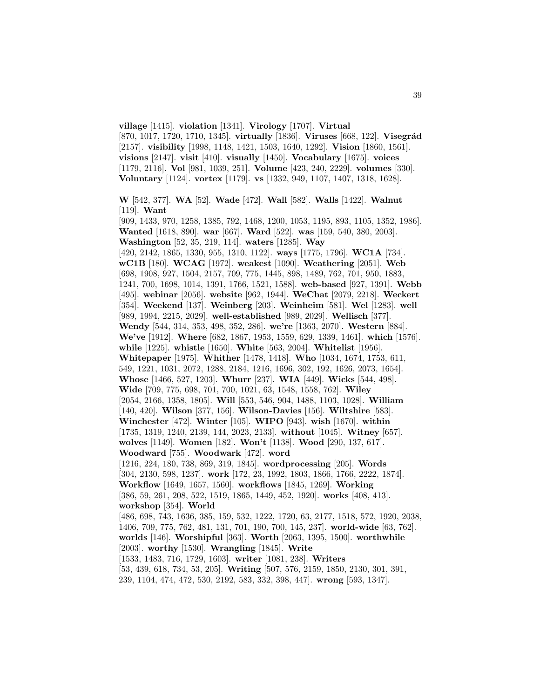[870, 1017, 1720, 1710, 1345]. **virtually** [1836]. **Viruses** [668, 122]. **Visegrád** [2157]. **visibility** [1998, 1148, 1421, 1503, 1640, 1292]. **Vision** [1860, 1561]. **visions** [2147]. **visit** [410]. **visually** [1450]. **Vocabulary** [1675]. **voices** [1179, 2116]. **Vol** [981, 1039, 251]. **Volume** [423, 240, 2229]. **volumes** [330]. **Voluntary** [1124]. **vortex** [1179]. **vs** [1332, 949, 1107, 1407, 1318, 1628]. **W** [542, 377]. **WA** [52]. **Wade** [472]. **Wall** [582]. **Walls** [1422]. **Walnut** [119]. **Want** [909, 1433, 970, 1258, 1385, 792, 1468, 1200, 1053, 1195, 893, 1105, 1352, 1986]. **Wanted** [1618, 890]. **war** [667]. **Ward** [522]. **was** [159, 540, 380, 2003]. **Washington** [52, 35, 219, 114]. **waters** [1285]. **Way** [420, 2142, 1865, 1330, 955, 1310, 1122]. **ways** [1775, 1796]. **WC1A** [734]. **wC1B** [180]. **WCAG** [1972]. **weakest** [1090]. **Weathering** [2051]. **Web** [698, 1908, 927, 1504, 2157, 709, 775, 1445, 898, 1489, 762, 701, 950, 1883, 1241, 700, 1698, 1014, 1391, 1766, 1521, 1588]. **web-based** [927, 1391]. **Webb** [495]. **webinar** [2056]. **website** [962, 1944]. **WeChat** [2079, 2218]. **Weckert** [354]. **Weekend** [137]. **Weinberg** [203]. **Weinheim** [581]. **Wel** [1283]. **well** [989, 1994, 2215, 2029]. **well-established** [989, 2029]. **Wellisch** [377]. **Wendy** [544, 314, 353, 498, 352, 286]. **we're** [1363, 2070]. **Western** [884]. **We've** [1912]. **Where** [682, 1867, 1953, 1559, 629, 1339, 1461]. **which** [1576]. **while** [1225]. **whistle** [1650]. **White** [563, 2004]. **Whitelist** [1956]. **Whitepaper** [1975]. **Whither** [1478, 1418]. **Who** [1034, 1674, 1753, 611, 549, 1221, 1031, 2072, 1288, 2184, 1216, 1696, 302, 192, 1626, 2073, 1654]. **Whose** [1466, 527, 1203]. **Whurr** [237]. **WIA** [449]. **Wicks** [544, 498]. **Wide** [709, 775, 698, 701, 700, 1021, 63, 1548, 1558, 762]. **Wiley** [2054, 2166, 1358, 1805]. **Will** [553, 546, 904, 1488, 1103, 1028]. **William** [140, 420]. **Wilson** [377, 156]. **Wilson-Davies** [156]. **Wiltshire** [583]. **Winchester** [472]. **Winter** [105]. **WIPO** [943]. **wish** [1670]. **within** [1735, 1319, 1240, 2139, 144, 2023, 2133]. **without** [1045]. **Witney** [657]. **wolves** [1149]. **Women** [182]. **Won't** [1138]. **Wood** [290, 137, 617]. **Woodward** [755]. **Woodwark** [472]. **word** [1216, 224, 180, 738, 869, 319, 1845]. **wordprocessing** [205]. **Words** [304, 2130, 598, 1237]. **work** [172, 23, 1992, 1803, 1866, 1766, 2222, 1874]. **Workflow** [1649, 1657, 1560]. **workflows** [1845, 1269]. **Working** [386, 59, 261, 208, 522, 1519, 1865, 1449, 452, 1920]. **works** [408, 413]. **workshop** [354]. **World** [486, 698, 743, 1636, 385, 159, 532, 1222, 1720, 63, 2177, 1518, 572, 1920, 2038, 1406, 709, 775, 762, 481, 131, 701, 190, 700, 145, 237]. **world-wide** [63, 762]. **worlds** [146]. **Worshipful** [363]. **Worth** [2063, 1395, 1500]. **worthwhile** [2003]. **worthy** [1530]. **Wrangling** [1845]. **Write** [1533, 1483, 716, 1729, 1603]. **writer** [1081, 238]. **Writers** [53, 439, 618, 734, 53, 205]. **Writing** [507, 576, 2159, 1850, 2130, 301, 391, 239, 1104, 474, 472, 530, 2192, 583, 332, 398, 447]. **wrong** [593, 1347].

**village** [1415]. **violation** [1341]. **Virology** [1707]. **Virtual**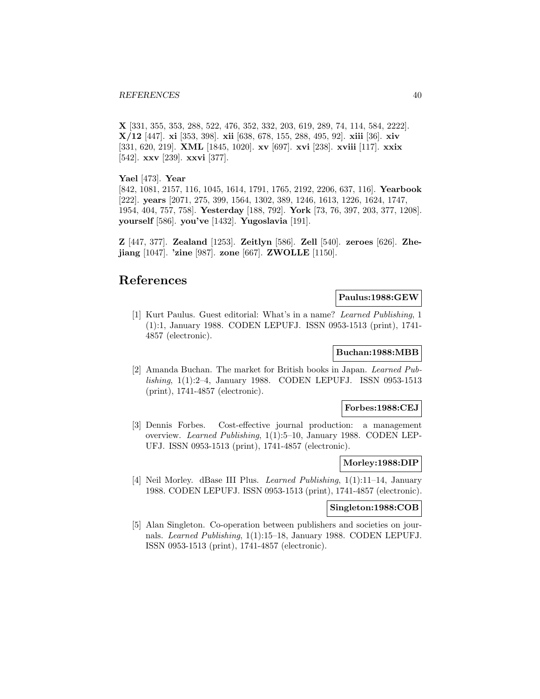#### *REFERENCES* 40

**X** [331, 355, 353, 288, 522, 476, 352, 332, 203, 619, 289, 74, 114, 584, 2222]. **X/12** [447]. **xi** [353, 398]. **xii** [638, 678, 155, 288, 495, 92]. **xiii** [36]. **xiv** [331, 620, 219]. **XML** [1845, 1020]. **xv** [697]. **xvi** [238]. **xviii** [117]. **xxix** [542]. **xxv** [239]. **xxvi** [377].

### **Yael** [473]. **Year**

[842, 1081, 2157, 116, 1045, 1614, 1791, 1765, 2192, 2206, 637, 116]. **Yearbook** [222]. **years** [2071, 275, 399, 1564, 1302, 389, 1246, 1613, 1226, 1624, 1747, 1954, 404, 757, 758]. **Yesterday** [188, 792]. **York** [73, 76, 397, 203, 377, 1208]. **yourself** [586]. **you've** [1432]. **Yugoslavia** [191].

**Z** [447, 377]. **Zealand** [1253]. **Zeitlyn** [586]. **Zell** [540]. **zeroes** [626]. **Zhejiang** [1047]. **'zine** [987]. **zone** [667]. **ZWOLLE** [1150].

# **References**

### **Paulus:1988:GEW**

[1] Kurt Paulus. Guest editorial: What's in a name? Learned Publishing, 1 (1):1, January 1988. CODEN LEPUFJ. ISSN 0953-1513 (print), 1741- 4857 (electronic).

### **Buchan:1988:MBB**

[2] Amanda Buchan. The market for British books in Japan. Learned Publishing, 1(1):2–4, January 1988. CODEN LEPUFJ. ISSN 0953-1513 (print), 1741-4857 (electronic).

### **Forbes:1988:CEJ**

[3] Dennis Forbes. Cost-effective journal production: a management overview. Learned Publishing, 1(1):5–10, January 1988. CODEN LEP-UFJ. ISSN 0953-1513 (print), 1741-4857 (electronic).

### **Morley:1988:DIP**

[4] Neil Morley. dBase III Plus. Learned Publishing, 1(1):11–14, January 1988. CODEN LEPUFJ. ISSN 0953-1513 (print), 1741-4857 (electronic).

### **Singleton:1988:COB**

[5] Alan Singleton. Co-operation between publishers and societies on journals. Learned Publishing, 1(1):15–18, January 1988. CODEN LEPUFJ. ISSN 0953-1513 (print), 1741-4857 (electronic).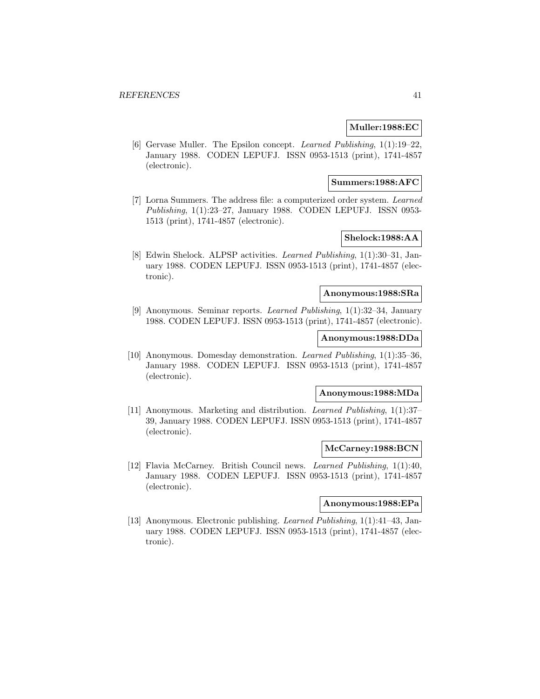### **Muller:1988:EC**

[6] Gervase Muller. The Epsilon concept. Learned Publishing, 1(1):19–22, January 1988. CODEN LEPUFJ. ISSN 0953-1513 (print), 1741-4857 (electronic).

### **Summers:1988:AFC**

[7] Lorna Summers. The address file: a computerized order system. Learned Publishing, 1(1):23–27, January 1988. CODEN LEPUFJ. ISSN 0953- 1513 (print), 1741-4857 (electronic).

# **Shelock:1988:AA**

[8] Edwin Shelock. ALPSP activities. Learned Publishing, 1(1):30–31, January 1988. CODEN LEPUFJ. ISSN 0953-1513 (print), 1741-4857 (electronic).

### **Anonymous:1988:SRa**

[9] Anonymous. Seminar reports. Learned Publishing, 1(1):32–34, January 1988. CODEN LEPUFJ. ISSN 0953-1513 (print), 1741-4857 (electronic).

## **Anonymous:1988:DDa**

[10] Anonymous. Domesday demonstration. Learned Publishing, 1(1):35–36, January 1988. CODEN LEPUFJ. ISSN 0953-1513 (print), 1741-4857 (electronic).

## **Anonymous:1988:MDa**

[11] Anonymous. Marketing and distribution. Learned Publishing, 1(1):37– 39, January 1988. CODEN LEPUFJ. ISSN 0953-1513 (print), 1741-4857 (electronic).

### **McCarney:1988:BCN**

[12] Flavia McCarney. British Council news. Learned Publishing, 1(1):40, January 1988. CODEN LEPUFJ. ISSN 0953-1513 (print), 1741-4857 (electronic).

### **Anonymous:1988:EPa**

[13] Anonymous. Electronic publishing. Learned Publishing, 1(1):41–43, January 1988. CODEN LEPUFJ. ISSN 0953-1513 (print), 1741-4857 (electronic).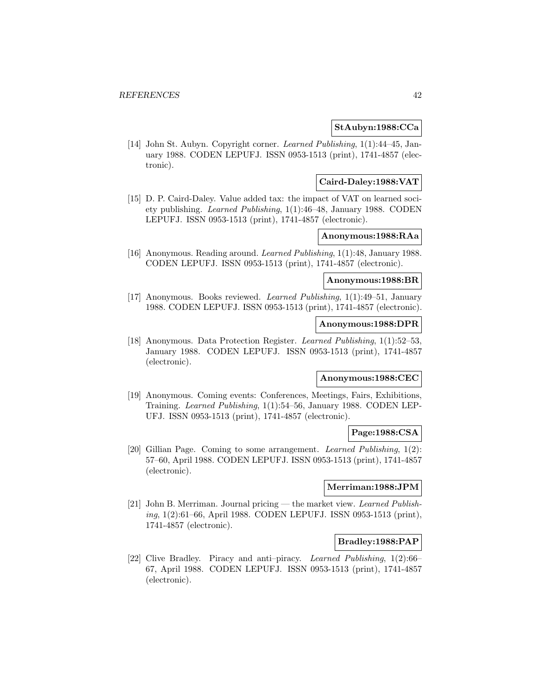## **StAubyn:1988:CCa**

[14] John St. Aubyn. Copyright corner. Learned Publishing, 1(1):44–45, January 1988. CODEN LEPUFJ. ISSN 0953-1513 (print), 1741-4857 (electronic).

## **Caird-Daley:1988:VAT**

[15] D. P. Caird-Daley. Value added tax: the impact of VAT on learned soci-ety publishing. Learned Publishing, 1(1):46–48, January 1988. CODEN LEPUFJ. ISSN 0953-1513 (print), 1741-4857 (electronic).

## **Anonymous:1988:RAa**

[16] Anonymous. Reading around. Learned Publishing, 1(1):48, January 1988. CODEN LEPUFJ. ISSN 0953-1513 (print), 1741-4857 (electronic).

### **Anonymous:1988:BR**

[17] Anonymous. Books reviewed. Learned Publishing, 1(1):49–51, January 1988. CODEN LEPUFJ. ISSN 0953-1513 (print), 1741-4857 (electronic).

# **Anonymous:1988:DPR**

[18] Anonymous. Data Protection Register. Learned Publishing, 1(1):52–53, January 1988. CODEN LEPUFJ. ISSN 0953-1513 (print), 1741-4857 (electronic).

## **Anonymous:1988:CEC**

[19] Anonymous. Coming events: Conferences, Meetings, Fairs, Exhibitions, Training. Learned Publishing, 1(1):54–56, January 1988. CODEN LEP-UFJ. ISSN 0953-1513 (print), 1741-4857 (electronic).

### **Page:1988:CSA**

[20] Gillian Page. Coming to some arrangement. Learned Publishing, 1(2): 57–60, April 1988. CODEN LEPUFJ. ISSN 0953-1513 (print), 1741-4857 (electronic).

### **Merriman:1988:JPM**

[21] John B. Merriman. Journal pricing — the market view. Learned Publishing, 1(2):61–66, April 1988. CODEN LEPUFJ. ISSN 0953-1513 (print), 1741-4857 (electronic).

### **Bradley:1988:PAP**

[22] Clive Bradley. Piracy and anti–piracy. Learned Publishing, 1(2):66– 67, April 1988. CODEN LEPUFJ. ISSN 0953-1513 (print), 1741-4857 (electronic).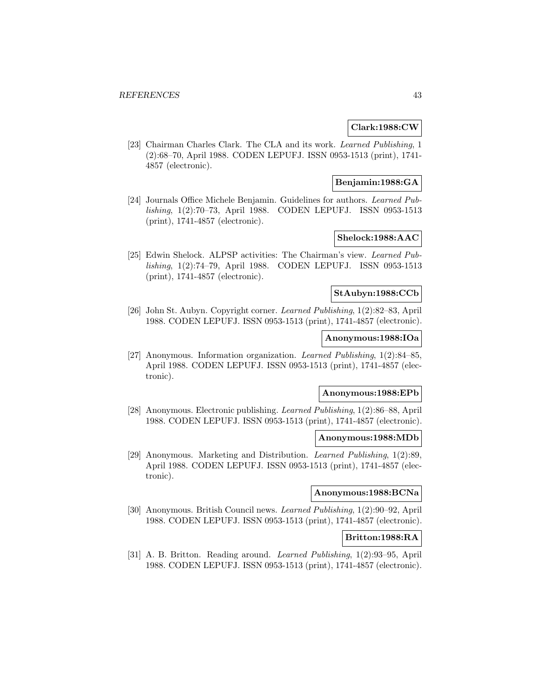### **Clark:1988:CW**

[23] Chairman Charles Clark. The CLA and its work. Learned Publishing, 1 (2):68–70, April 1988. CODEN LEPUFJ. ISSN 0953-1513 (print), 1741- 4857 (electronic).

## **Benjamin:1988:GA**

[24] Journals Office Michele Benjamin. Guidelines for authors. Learned Publishing, 1(2):70–73, April 1988. CODEN LEPUFJ. ISSN 0953-1513 (print), 1741-4857 (electronic).

## **Shelock:1988:AAC**

[25] Edwin Shelock. ALPSP activities: The Chairman's view. Learned Publishing, 1(2):74–79, April 1988. CODEN LEPUFJ. ISSN 0953-1513 (print), 1741-4857 (electronic).

### **StAubyn:1988:CCb**

[26] John St. Aubyn. Copyright corner. Learned Publishing, 1(2):82–83, April 1988. CODEN LEPUFJ. ISSN 0953-1513 (print), 1741-4857 (electronic).

### **Anonymous:1988:IOa**

[27] Anonymous. Information organization. Learned Publishing, 1(2):84–85, April 1988. CODEN LEPUFJ. ISSN 0953-1513 (print), 1741-4857 (electronic).

### **Anonymous:1988:EPb**

[28] Anonymous. Electronic publishing. Learned Publishing, 1(2):86–88, April 1988. CODEN LEPUFJ. ISSN 0953-1513 (print), 1741-4857 (electronic).

### **Anonymous:1988:MDb**

[29] Anonymous. Marketing and Distribution. Learned Publishing, 1(2):89, April 1988. CODEN LEPUFJ. ISSN 0953-1513 (print), 1741-4857 (electronic).

## **Anonymous:1988:BCNa**

[30] Anonymous. British Council news. Learned Publishing, 1(2):90–92, April 1988. CODEN LEPUFJ. ISSN 0953-1513 (print), 1741-4857 (electronic).

## **Britton:1988:RA**

[31] A. B. Britton. Reading around. Learned Publishing, 1(2):93–95, April 1988. CODEN LEPUFJ. ISSN 0953-1513 (print), 1741-4857 (electronic).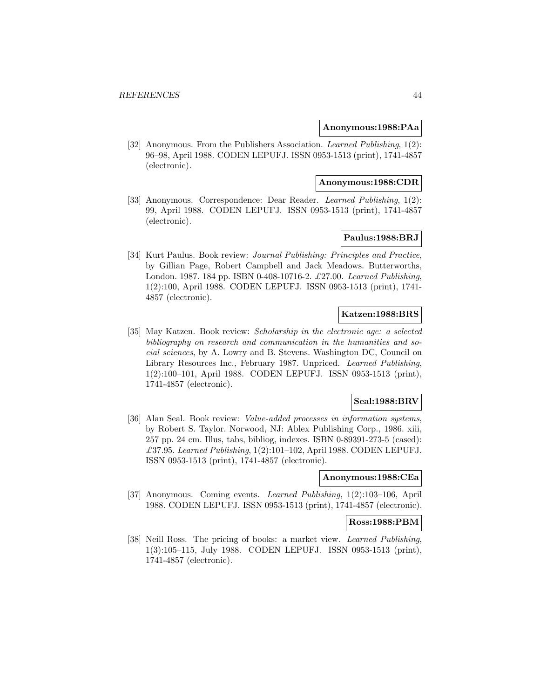### **Anonymous:1988:PAa**

[32] Anonymous. From the Publishers Association. Learned Publishing, 1(2): 96–98, April 1988. CODEN LEPUFJ. ISSN 0953-1513 (print), 1741-4857 (electronic).

#### **Anonymous:1988:CDR**

[33] Anonymous. Correspondence: Dear Reader. Learned Publishing, 1(2): 99, April 1988. CODEN LEPUFJ. ISSN 0953-1513 (print), 1741-4857 (electronic).

## **Paulus:1988:BRJ**

[34] Kurt Paulus. Book review: Journal Publishing: Principles and Practice, by Gillian Page, Robert Campbell and Jack Meadows. Butterworths, London. 1987. 184 pp. ISBN 0-408-10716-2. £27.00. Learned Publishing, 1(2):100, April 1988. CODEN LEPUFJ. ISSN 0953-1513 (print), 1741- 4857 (electronic).

## **Katzen:1988:BRS**

[35] May Katzen. Book review: Scholarship in the electronic age: a selected bibliography on research and communication in the humanities and social sciences, by A. Lowry and B. Stevens. Washington DC, Council on Library Resources Inc., February 1987. Unpriced. Learned Publishing, 1(2):100–101, April 1988. CODEN LEPUFJ. ISSN 0953-1513 (print), 1741-4857 (electronic).

### **Seal:1988:BRV**

[36] Alan Seal. Book review: *Value-added processes in information systems*, by Robert S. Taylor. Norwood, NJ: Ablex Publishing Corp., 1986. xiii, 257 pp. 24 cm. Illus, tabs, bibliog, indexes. ISBN 0-89391-273-5 (cased): £37.95. Learned Publishing,  $1(2):101-102$ , April 1988. CODEN LEPUFJ. ISSN 0953-1513 (print), 1741-4857 (electronic).

### **Anonymous:1988:CEa**

[37] Anonymous. Coming events. Learned Publishing, 1(2):103–106, April 1988. CODEN LEPUFJ. ISSN 0953-1513 (print), 1741-4857 (electronic).

#### **Ross:1988:PBM**

[38] Neill Ross. The pricing of books: a market view. Learned Publishing, 1(3):105–115, July 1988. CODEN LEPUFJ. ISSN 0953-1513 (print), 1741-4857 (electronic).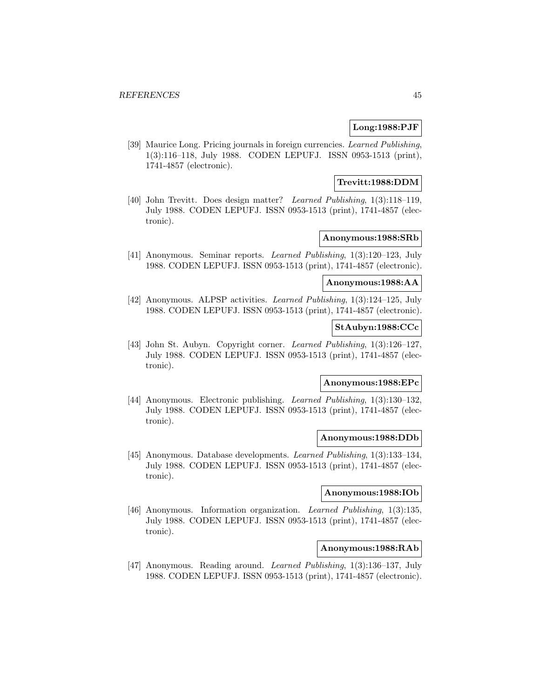## **Long:1988:PJF**

[39] Maurice Long. Pricing journals in foreign currencies. Learned Publishing, 1(3):116–118, July 1988. CODEN LEPUFJ. ISSN 0953-1513 (print), 1741-4857 (electronic).

### **Trevitt:1988:DDM**

[40] John Trevitt. Does design matter? Learned Publishing, 1(3):118–119, July 1988. CODEN LEPUFJ. ISSN 0953-1513 (print), 1741-4857 (electronic).

## **Anonymous:1988:SRb**

[41] Anonymous. Seminar reports. Learned Publishing, 1(3):120–123, July 1988. CODEN LEPUFJ. ISSN 0953-1513 (print), 1741-4857 (electronic).

## **Anonymous:1988:AA**

[42] Anonymous. ALPSP activities. Learned Publishing, 1(3):124–125, July 1988. CODEN LEPUFJ. ISSN 0953-1513 (print), 1741-4857 (electronic).

## **StAubyn:1988:CCc**

[43] John St. Aubyn. Copyright corner. Learned Publishing, 1(3):126–127, July 1988. CODEN LEPUFJ. ISSN 0953-1513 (print), 1741-4857 (electronic).

# **Anonymous:1988:EPc**

[44] Anonymous. Electronic publishing. Learned Publishing, 1(3):130–132, July 1988. CODEN LEPUFJ. ISSN 0953-1513 (print), 1741-4857 (electronic).

### **Anonymous:1988:DDb**

[45] Anonymous. Database developments. Learned Publishing, 1(3):133–134, July 1988. CODEN LEPUFJ. ISSN 0953-1513 (print), 1741-4857 (electronic).

#### **Anonymous:1988:IOb**

[46] Anonymous. Information organization. Learned Publishing, 1(3):135, July 1988. CODEN LEPUFJ. ISSN 0953-1513 (print), 1741-4857 (electronic).

### **Anonymous:1988:RAb**

[47] Anonymous. Reading around. Learned Publishing, 1(3):136–137, July 1988. CODEN LEPUFJ. ISSN 0953-1513 (print), 1741-4857 (electronic).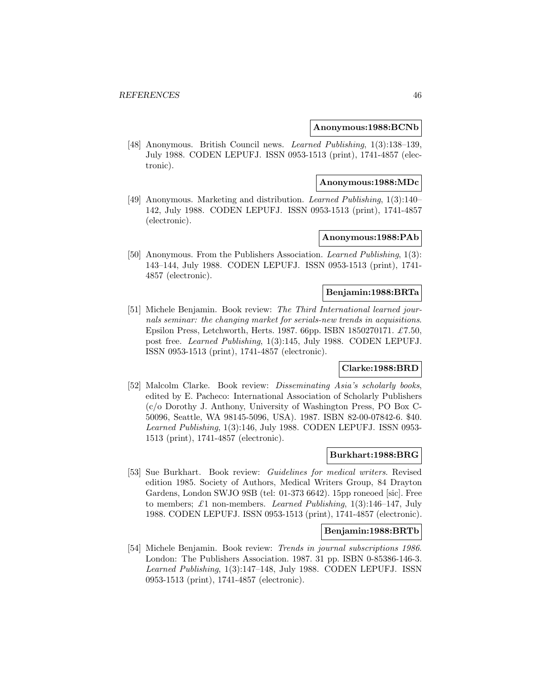#### **Anonymous:1988:BCNb**

[48] Anonymous. British Council news. Learned Publishing, 1(3):138–139, July 1988. CODEN LEPUFJ. ISSN 0953-1513 (print), 1741-4857 (electronic).

### **Anonymous:1988:MDc**

[49] Anonymous. Marketing and distribution. Learned Publishing, 1(3):140– 142, July 1988. CODEN LEPUFJ. ISSN 0953-1513 (print), 1741-4857 (electronic).

## **Anonymous:1988:PAb**

[50] Anonymous. From the Publishers Association. Learned Publishing, 1(3): 143–144, July 1988. CODEN LEPUFJ. ISSN 0953-1513 (print), 1741- 4857 (electronic).

### **Benjamin:1988:BRTa**

[51] Michele Benjamin. Book review: The Third International learned journals seminar: the changing market for serials-new trends in acquisitions. Epsilon Press, Letchworth, Herts. 1987. 66pp. ISBN 1850270171.  $\pounds$ 7.50, post free. Learned Publishing, 1(3):145, July 1988. CODEN LEPUFJ. ISSN 0953-1513 (print), 1741-4857 (electronic).

### **Clarke:1988:BRD**

[52] Malcolm Clarke. Book review: Disseminating Asia's scholarly books, edited by E. Pacheco: International Association of Scholarly Publishers (c/o Dorothy J. Anthony, University of Washington Press, PO Box C-50096, Seattle, WA 98145-5096, USA). 1987. ISBN 82-00-07842-6. \$40. Learned Publishing, 1(3):146, July 1988. CODEN LEPUFJ. ISSN 0953- 1513 (print), 1741-4857 (electronic).

### **Burkhart:1988:BRG**

[53] Sue Burkhart. Book review: Guidelines for medical writers. Revised edition 1985. Society of Authors, Medical Writers Group, 84 Drayton Gardens, London SWJO 9SB (tel: 01-373 6642). 15pp roneoed [sic]. Free to members;  $\pounds 1$  non-members. Learned Publishing, 1(3):146-147, July 1988. CODEN LEPUFJ. ISSN 0953-1513 (print), 1741-4857 (electronic).

### **Benjamin:1988:BRTb**

[54] Michele Benjamin. Book review: Trends in journal subscriptions 1986. London: The Publishers Association. 1987. 31 pp. ISBN 0-85386-146-3. Learned Publishing, 1(3):147–148, July 1988. CODEN LEPUFJ. ISSN 0953-1513 (print), 1741-4857 (electronic).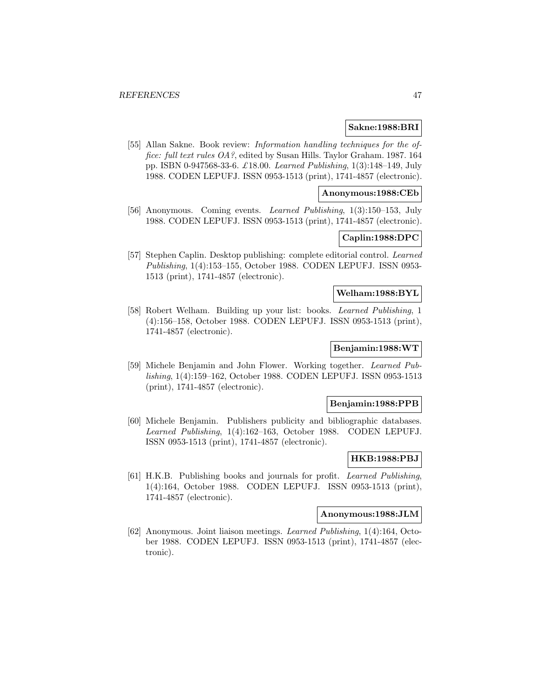### **Sakne:1988:BRI**

[55] Allan Sakne. Book review: *Information handling techniques for the of*fice: full text rules OA?, edited by Susan Hills. Taylor Graham. 1987. 164 pp. ISBN 0-947568-33-6. £18.00. Learned Publishing, 1(3):148–149, July 1988. CODEN LEPUFJ. ISSN 0953-1513 (print), 1741-4857 (electronic).

## **Anonymous:1988:CEb**

[56] Anonymous. Coming events. Learned Publishing, 1(3):150–153, July 1988. CODEN LEPUFJ. ISSN 0953-1513 (print), 1741-4857 (electronic).

# **Caplin:1988:DPC**

[57] Stephen Caplin. Desktop publishing: complete editorial control. Learned Publishing, 1(4):153–155, October 1988. CODEN LEPUFJ. ISSN 0953- 1513 (print), 1741-4857 (electronic).

## **Welham:1988:BYL**

[58] Robert Welham. Building up your list: books. Learned Publishing, 1 (4):156–158, October 1988. CODEN LEPUFJ. ISSN 0953-1513 (print), 1741-4857 (electronic).

# **Benjamin:1988:WT**

[59] Michele Benjamin and John Flower. Working together. Learned Publishing, 1(4):159–162, October 1988. CODEN LEPUFJ. ISSN 0953-1513 (print), 1741-4857 (electronic).

### **Benjamin:1988:PPB**

[60] Michele Benjamin. Publishers publicity and bibliographic databases. Learned Publishing, 1(4):162–163, October 1988. CODEN LEPUFJ. ISSN 0953-1513 (print), 1741-4857 (electronic).

#### **HKB:1988:PBJ**

[61] H.K.B. Publishing books and journals for profit. Learned Publishing, 1(4):164, October 1988. CODEN LEPUFJ. ISSN 0953-1513 (print), 1741-4857 (electronic).

### **Anonymous:1988:JLM**

[62] Anonymous. Joint liaison meetings. Learned Publishing, 1(4):164, October 1988. CODEN LEPUFJ. ISSN 0953-1513 (print), 1741-4857 (electronic).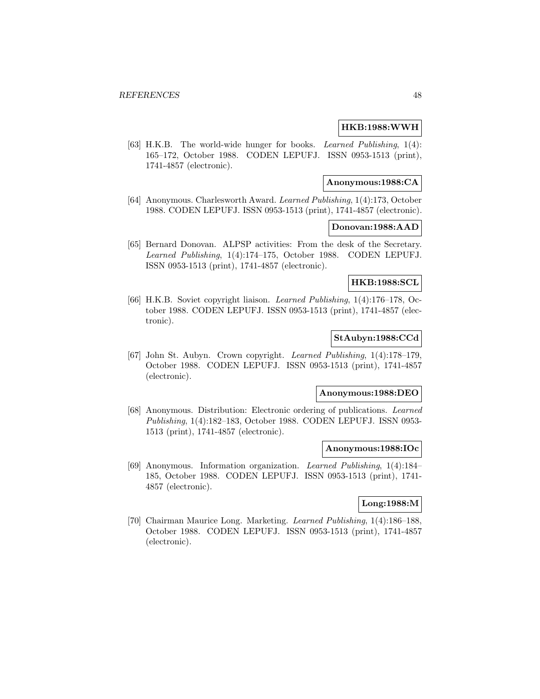### **HKB:1988:WWH**

[63] H.K.B. The world-wide hunger for books. Learned Publishing, 1(4): 165–172, October 1988. CODEN LEPUFJ. ISSN 0953-1513 (print), 1741-4857 (electronic).

### **Anonymous:1988:CA**

[64] Anonymous. Charlesworth Award. Learned Publishing, 1(4):173, October 1988. CODEN LEPUFJ. ISSN 0953-1513 (print), 1741-4857 (electronic).

### **Donovan:1988:AAD**

[65] Bernard Donovan. ALPSP activities: From the desk of the Secretary. Learned Publishing, 1(4):174–175, October 1988. CODEN LEPUFJ. ISSN 0953-1513 (print), 1741-4857 (electronic).

### **HKB:1988:SCL**

[66] H.K.B. Soviet copyright liaison. Learned Publishing, 1(4):176–178, October 1988. CODEN LEPUFJ. ISSN 0953-1513 (print), 1741-4857 (electronic).

## **StAubyn:1988:CCd**

[67] John St. Aubyn. Crown copyright. Learned Publishing, 1(4):178–179, October 1988. CODEN LEPUFJ. ISSN 0953-1513 (print), 1741-4857 (electronic).

### **Anonymous:1988:DEO**

[68] Anonymous. Distribution: Electronic ordering of publications. Learned Publishing, 1(4):182–183, October 1988. CODEN LEPUFJ. ISSN 0953- 1513 (print), 1741-4857 (electronic).

#### **Anonymous:1988:IOc**

[69] Anonymous. Information organization. Learned Publishing, 1(4):184– 185, October 1988. CODEN LEPUFJ. ISSN 0953-1513 (print), 1741- 4857 (electronic).

## **Long:1988:M**

[70] Chairman Maurice Long. Marketing. Learned Publishing, 1(4):186–188, October 1988. CODEN LEPUFJ. ISSN 0953-1513 (print), 1741-4857 (electronic).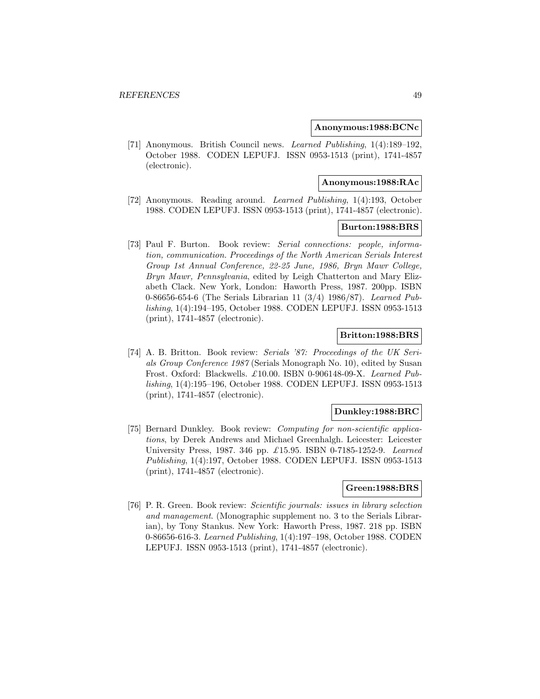#### **Anonymous:1988:BCNc**

[71] Anonymous. British Council news. Learned Publishing, 1(4):189–192, October 1988. CODEN LEPUFJ. ISSN 0953-1513 (print), 1741-4857 (electronic).

#### **Anonymous:1988:RAc**

[72] Anonymous. Reading around. Learned Publishing, 1(4):193, October 1988. CODEN LEPUFJ. ISSN 0953-1513 (print), 1741-4857 (electronic).

### **Burton:1988:BRS**

[73] Paul F. Burton. Book review: Serial connections: people, information, communication. Proceedings of the North American Serials Interest Group 1st Annual Conference, 22-25 June, 1986, Bryn Mawr College, Bryn Mawr, Pennsylvania, edited by Leigh Chatterton and Mary Elizabeth Clack. New York, London: Haworth Press, 1987. 200pp. ISBN 0-86656-654-6 (The Serials Librarian 11 (3/4) 1986/87). Learned Publishing, 1(4):194–195, October 1988. CODEN LEPUFJ. ISSN 0953-1513 (print), 1741-4857 (electronic).

### **Britton:1988:BRS**

[74] A. B. Britton. Book review: Serials '87: Proceedings of the UK Serials Group Conference 1987 (Serials Monograph No. 10), edited by Susan Frost. Oxford: Blackwells. £10.00. ISBN 0-906148-09-X. Learned Publishing, 1(4):195–196, October 1988. CODEN LEPUFJ. ISSN 0953-1513 (print), 1741-4857 (electronic).

### **Dunkley:1988:BRC**

[75] Bernard Dunkley. Book review: Computing for non-scientific applications, by Derek Andrews and Michael Greenhalgh. Leicester: Leicester University Press, 1987. 346 pp. £15.95. ISBN 0-7185-1252-9. Learned Publishing, 1(4):197, October 1988. CODEN LEPUFJ. ISSN 0953-1513 (print), 1741-4857 (electronic).

### **Green:1988:BRS**

[76] P. R. Green. Book review: Scientific journals: issues in library selection and management. (Monographic supplement no. 3 to the Serials Librarian), by Tony Stankus. New York: Haworth Press, 1987. 218 pp. ISBN 0-86656-616-3. Learned Publishing, 1(4):197–198, October 1988. CODEN LEPUFJ. ISSN 0953-1513 (print), 1741-4857 (electronic).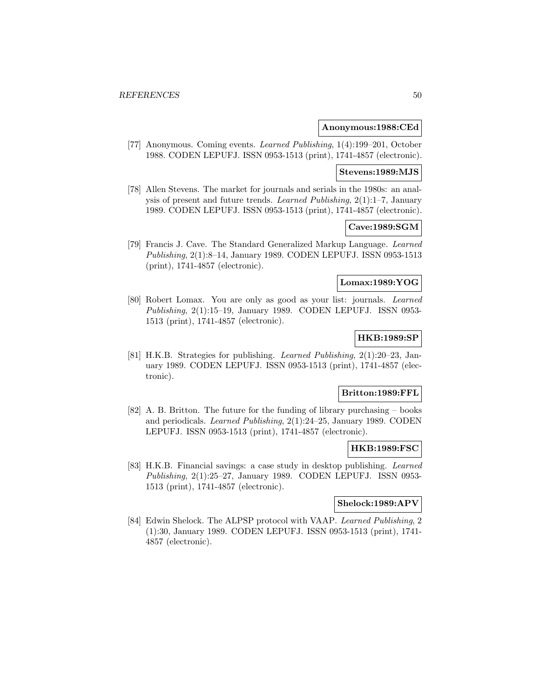### **Anonymous:1988:CEd**

[77] Anonymous. Coming events. Learned Publishing, 1(4):199–201, October 1988. CODEN LEPUFJ. ISSN 0953-1513 (print), 1741-4857 (electronic).

#### **Stevens:1989:MJS**

[78] Allen Stevens. The market for journals and serials in the 1980s: an analysis of present and future trends. Learned Publishing, 2(1):1–7, January 1989. CODEN LEPUFJ. ISSN 0953-1513 (print), 1741-4857 (electronic).

### **Cave:1989:SGM**

[79] Francis J. Cave. The Standard Generalized Markup Language. Learned Publishing, 2(1):8–14, January 1989. CODEN LEPUFJ. ISSN 0953-1513 (print), 1741-4857 (electronic).

### **Lomax:1989:YOG**

[80] Robert Lomax. You are only as good as your list: journals. Learned Publishing, 2(1):15–19, January 1989. CODEN LEPUFJ. ISSN 0953- 1513 (print), 1741-4857 (electronic).

### **HKB:1989:SP**

[81] H.K.B. Strategies for publishing. Learned Publishing, 2(1):20–23, January 1989. CODEN LEPUFJ. ISSN 0953-1513 (print), 1741-4857 (electronic).

## **Britton:1989:FFL**

[82] A. B. Britton. The future for the funding of library purchasing – books and periodicals. Learned Publishing, 2(1):24–25, January 1989. CODEN LEPUFJ. ISSN 0953-1513 (print), 1741-4857 (electronic).

#### **HKB:1989:FSC**

[83] H.K.B. Financial savings: a case study in desktop publishing. Learned Publishing, 2(1):25–27, January 1989. CODEN LEPUFJ. ISSN 0953- 1513 (print), 1741-4857 (electronic).

### **Shelock:1989:APV**

[84] Edwin Shelock. The ALPSP protocol with VAAP. Learned Publishing, 2 (1):30, January 1989. CODEN LEPUFJ. ISSN 0953-1513 (print), 1741- 4857 (electronic).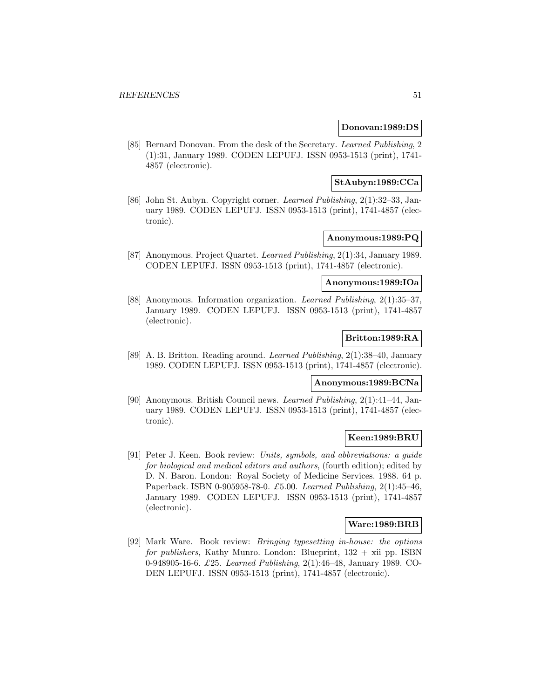### **Donovan:1989:DS**

[85] Bernard Donovan. From the desk of the Secretary. Learned Publishing, 2 (1):31, January 1989. CODEN LEPUFJ. ISSN 0953-1513 (print), 1741- 4857 (electronic).

### **StAubyn:1989:CCa**

[86] John St. Aubyn. Copyright corner. Learned Publishing, 2(1):32–33, January 1989. CODEN LEPUFJ. ISSN 0953-1513 (print), 1741-4857 (electronic).

## **Anonymous:1989:PQ**

[87] Anonymous. Project Quartet. Learned Publishing, 2(1):34, January 1989. CODEN LEPUFJ. ISSN 0953-1513 (print), 1741-4857 (electronic).

#### **Anonymous:1989:IOa**

[88] Anonymous. Information organization. Learned Publishing, 2(1):35–37, January 1989. CODEN LEPUFJ. ISSN 0953-1513 (print), 1741-4857 (electronic).

## **Britton:1989:RA**

[89] A. B. Britton. Reading around. Learned Publishing, 2(1):38–40, January 1989. CODEN LEPUFJ. ISSN 0953-1513 (print), 1741-4857 (electronic).

## **Anonymous:1989:BCNa**

[90] Anonymous. British Council news. Learned Publishing, 2(1):41–44, January 1989. CODEN LEPUFJ. ISSN 0953-1513 (print), 1741-4857 (electronic).

# **Keen:1989:BRU**

[91] Peter J. Keen. Book review: Units, symbols, and abbreviations: a guide for biological and medical editors and authors, (fourth edition); edited by D. N. Baron. London: Royal Society of Medicine Services. 1988. 64 p. Paperback. ISBN 0-905958-78-0. £5.00. Learned Publishing, 2(1):45–46, January 1989. CODEN LEPUFJ. ISSN 0953-1513 (print), 1741-4857 (electronic).

## **Ware:1989:BRB**

[92] Mark Ware. Book review: Bringing typesetting in-house: the options for publishers, Kathy Munro. London: Blueprint,  $132 + xii$  pp. ISBN 0-948905-16-6. £25. Learned Publishing, 2(1):46–48, January 1989. CO-DEN LEPUFJ. ISSN 0953-1513 (print), 1741-4857 (electronic).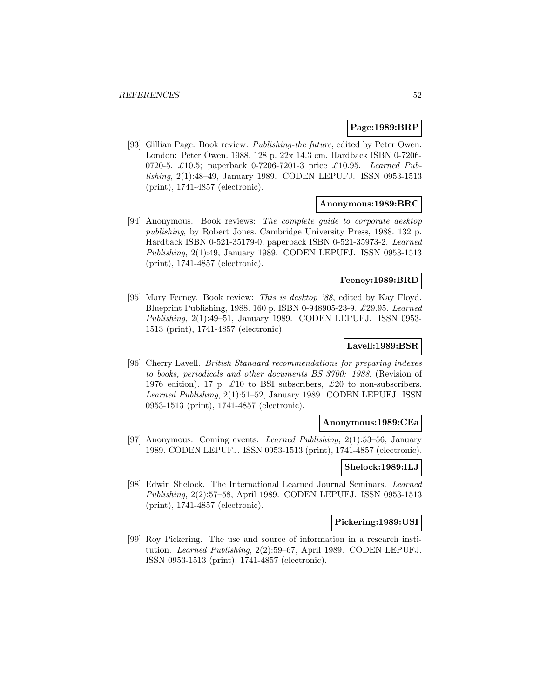### **Page:1989:BRP**

[93] Gillian Page. Book review: Publishing-the future, edited by Peter Owen. London: Peter Owen. 1988. 128 p. 22x 14.3 cm. Hardback ISBN 0-7206- 0720-5. £10.5; paperback 0-7206-7201-3 price £10.95. Learned Publishing, 2(1):48–49, January 1989. CODEN LEPUFJ. ISSN 0953-1513 (print), 1741-4857 (electronic).

## **Anonymous:1989:BRC**

[94] Anonymous. Book reviews: The complete guide to corporate desktop publishing, by Robert Jones. Cambridge University Press, 1988. 132 p. Hardback ISBN 0-521-35179-0; paperback ISBN 0-521-35973-2. Learned Publishing, 2(1):49, January 1989. CODEN LEPUFJ. ISSN 0953-1513 (print), 1741-4857 (electronic).

## **Feeney:1989:BRD**

[95] Mary Feeney. Book review: This is desktop '88, edited by Kay Floyd. Blueprint Publishing, 1988. 160 p. ISBN 0-948905-23-9. £29.95. Learned Publishing, 2(1):49–51, January 1989. CODEN LEPUFJ. ISSN 0953- 1513 (print), 1741-4857 (electronic).

### **Lavell:1989:BSR**

[96] Cherry Lavell. British Standard recommendations for preparing indexes to books, periodicals and other documents BS 3700: 1988. (Revision of 1976 edition). 17 p.  $\pounds 10$  to BSI subscribers,  $\pounds 20$  to non-subscribers. Learned Publishing, 2(1):51–52, January 1989. CODEN LEPUFJ. ISSN 0953-1513 (print), 1741-4857 (electronic).

### **Anonymous:1989:CEa**

[97] Anonymous. Coming events. Learned Publishing, 2(1):53–56, January 1989. CODEN LEPUFJ. ISSN 0953-1513 (print), 1741-4857 (electronic).

## **Shelock:1989:ILJ**

[98] Edwin Shelock. The International Learned Journal Seminars. Learned Publishing, 2(2):57–58, April 1989. CODEN LEPUFJ. ISSN 0953-1513 (print), 1741-4857 (electronic).

### **Pickering:1989:USI**

[99] Roy Pickering. The use and source of information in a research institution. Learned Publishing, 2(2):59–67, April 1989. CODEN LEPUFJ. ISSN 0953-1513 (print), 1741-4857 (electronic).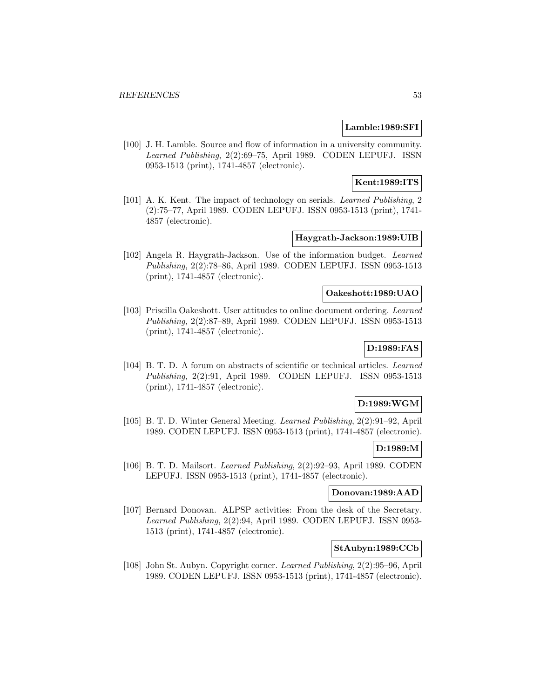### **Lamble:1989:SFI**

[100] J. H. Lamble. Source and flow of information in a university community. Learned Publishing, 2(2):69–75, April 1989. CODEN LEPUFJ. ISSN 0953-1513 (print), 1741-4857 (electronic).

**Kent:1989:ITS**

[101] A. K. Kent. The impact of technology on serials. *Learned Publishing*, 2 (2):75–77, April 1989. CODEN LEPUFJ. ISSN 0953-1513 (print), 1741- 4857 (electronic).

### **Haygrath-Jackson:1989:UIB**

[102] Angela R. Haygrath-Jackson. Use of the information budget. Learned Publishing, 2(2):78–86, April 1989. CODEN LEPUFJ. ISSN 0953-1513 (print), 1741-4857 (electronic).

### **Oakeshott:1989:UAO**

[103] Priscilla Oakeshott. User attitudes to online document ordering. Learned Publishing, 2(2):87–89, April 1989. CODEN LEPUFJ. ISSN 0953-1513 (print), 1741-4857 (electronic).

# **D:1989:FAS**

[104] B. T. D. A forum on abstracts of scientific or technical articles. Learned Publishing, 2(2):91, April 1989. CODEN LEPUFJ. ISSN 0953-1513 (print), 1741-4857 (electronic).

## **D:1989:WGM**

[105] B. T. D. Winter General Meeting. Learned Publishing, 2(2):91–92, April 1989. CODEN LEPUFJ. ISSN 0953-1513 (print), 1741-4857 (electronic).

### **D:1989:M**

[106] B. T. D. Mailsort. Learned Publishing, 2(2):92–93, April 1989. CODEN LEPUFJ. ISSN 0953-1513 (print), 1741-4857 (electronic).

## **Donovan:1989:AAD**

[107] Bernard Donovan. ALPSP activities: From the desk of the Secretary. Learned Publishing, 2(2):94, April 1989. CODEN LEPUFJ. ISSN 0953- 1513 (print), 1741-4857 (electronic).

### **StAubyn:1989:CCb**

[108] John St. Aubyn. Copyright corner. Learned Publishing, 2(2):95–96, April 1989. CODEN LEPUFJ. ISSN 0953-1513 (print), 1741-4857 (electronic).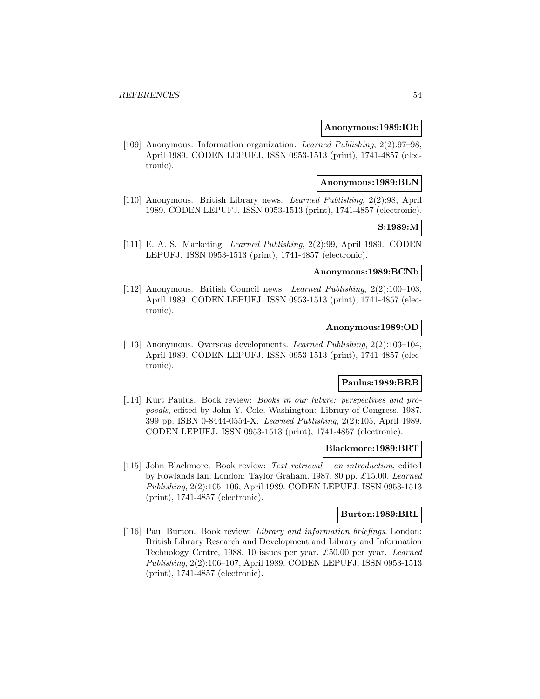### **Anonymous:1989:IOb**

[109] Anonymous. Information organization. Learned Publishing, 2(2):97–98, April 1989. CODEN LEPUFJ. ISSN 0953-1513 (print), 1741-4857 (electronic).

### **Anonymous:1989:BLN**

[110] Anonymous. British Library news. Learned Publishing, 2(2):98, April 1989. CODEN LEPUFJ. ISSN 0953-1513 (print), 1741-4857 (electronic).

## **S:1989:M**

[111] E. A. S. Marketing. Learned Publishing, 2(2):99, April 1989. CODEN LEPUFJ. ISSN 0953-1513 (print), 1741-4857 (electronic).

## **Anonymous:1989:BCNb**

[112] Anonymous. British Council news. Learned Publishing, 2(2):100–103, April 1989. CODEN LEPUFJ. ISSN 0953-1513 (print), 1741-4857 (electronic).

### **Anonymous:1989:OD**

[113] Anonymous. Overseas developments. Learned Publishing, 2(2):103–104, April 1989. CODEN LEPUFJ. ISSN 0953-1513 (print), 1741-4857 (electronic).

## **Paulus:1989:BRB**

[114] Kurt Paulus. Book review: Books in our future: perspectives and proposals, edited by John Y. Cole. Washington: Library of Congress. 1987. 399 pp. ISBN 0-8444-0554-X. Learned Publishing, 2(2):105, April 1989. CODEN LEPUFJ. ISSN 0953-1513 (print), 1741-4857 (electronic).

#### **Blackmore:1989:BRT**

[115] John Blackmore. Book review: Text retrieval – an introduction, edited by Rowlands Ian. London: Taylor Graham. 1987. 80 pp. £15.00. Learned Publishing, 2(2):105–106, April 1989. CODEN LEPUFJ. ISSN 0953-1513 (print), 1741-4857 (electronic).

### **Burton:1989:BRL**

[116] Paul Burton. Book review: Library and information briefings. London: British Library Research and Development and Library and Information Technology Centre, 1988. 10 issues per year. £50.00 per year. Learned Publishing, 2(2):106–107, April 1989. CODEN LEPUFJ. ISSN 0953-1513 (print), 1741-4857 (electronic).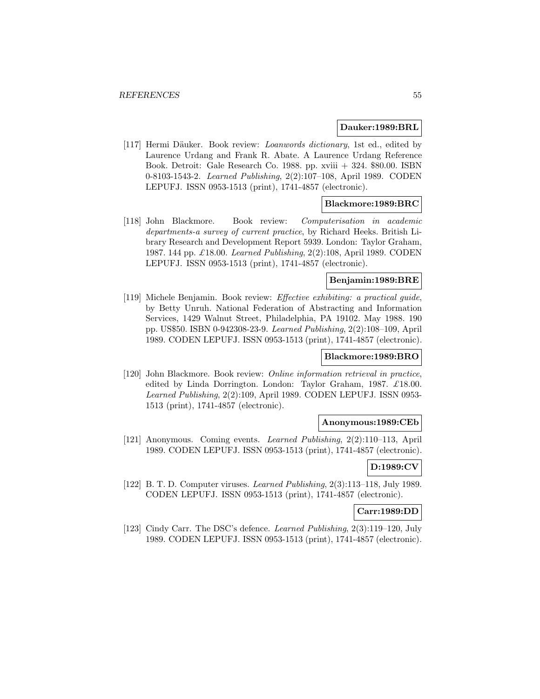#### **Dauker:1989:BRL**

[117] Hermi Däuker. Book review: *Loanwords dictionary*, 1st ed., edited by Laurence Urdang and Frank R. Abate. A Laurence Urdang Reference Book. Detroit: Gale Research Co. 1988. pp. xviii + 324. \$80.00. ISBN 0-8103-1543-2. Learned Publishing, 2(2):107–108, April 1989. CODEN LEPUFJ. ISSN 0953-1513 (print), 1741-4857 (electronic).

### **Blackmore:1989:BRC**

[118] John Blackmore. Book review: Computerisation in academic departments-a survey of current practice, by Richard Heeks. British Library Research and Development Report 5939. London: Taylor Graham, 1987. 144 pp. £18.00. Learned Publishing, 2(2):108, April 1989. CODEN LEPUFJ. ISSN 0953-1513 (print), 1741-4857 (electronic).

## **Benjamin:1989:BRE**

[119] Michele Benjamin. Book review: Effective exhibiting: a practical guide, by Betty Unruh. National Federation of Abstracting and Information Services, 1429 Walnut Street, Philadelphia, PA 19102. May 1988. 190 pp. US\$50. ISBN 0-942308-23-9. Learned Publishing, 2(2):108–109, April 1989. CODEN LEPUFJ. ISSN 0953-1513 (print), 1741-4857 (electronic).

### **Blackmore:1989:BRO**

[120] John Blackmore. Book review: Online information retrieval in practice, edited by Linda Dorrington. London: Taylor Graham, 1987. £18.00. Learned Publishing, 2(2):109, April 1989. CODEN LEPUFJ. ISSN 0953- 1513 (print), 1741-4857 (electronic).

## **Anonymous:1989:CEb**

[121] Anonymous. Coming events. Learned Publishing, 2(2):110–113, April 1989. CODEN LEPUFJ. ISSN 0953-1513 (print), 1741-4857 (electronic).

# **D:1989:CV**

[122] B. T. D. Computer viruses. Learned Publishing, 2(3):113–118, July 1989. CODEN LEPUFJ. ISSN 0953-1513 (print), 1741-4857 (electronic).

#### **Carr:1989:DD**

[123] Cindy Carr. The DSC's defence. Learned Publishing, 2(3):119–120, July 1989. CODEN LEPUFJ. ISSN 0953-1513 (print), 1741-4857 (electronic).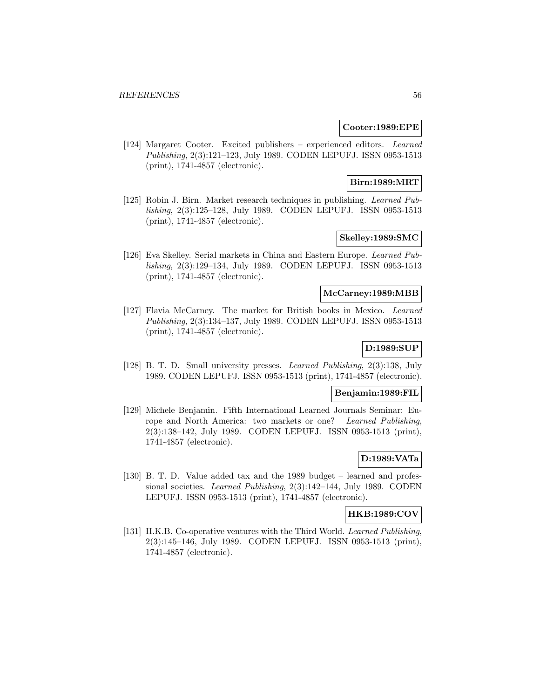### **Cooter:1989:EPE**

[124] Margaret Cooter. Excited publishers – experienced editors. Learned Publishing, 2(3):121–123, July 1989. CODEN LEPUFJ. ISSN 0953-1513 (print), 1741-4857 (electronic).

## **Birn:1989:MRT**

[125] Robin J. Birn. Market research techniques in publishing. Learned Publishing, 2(3):125–128, July 1989. CODEN LEPUFJ. ISSN 0953-1513 (print), 1741-4857 (electronic).

## **Skelley:1989:SMC**

[126] Eva Skelley. Serial markets in China and Eastern Europe. Learned Publishing, 2(3):129–134, July 1989. CODEN LEPUFJ. ISSN 0953-1513 (print), 1741-4857 (electronic).

### **McCarney:1989:MBB**

[127] Flavia McCarney. The market for British books in Mexico. Learned Publishing, 2(3):134–137, July 1989. CODEN LEPUFJ. ISSN 0953-1513 (print), 1741-4857 (electronic).

# **D:1989:SUP**

[128] B. T. D. Small university presses. Learned Publishing, 2(3):138, July 1989. CODEN LEPUFJ. ISSN 0953-1513 (print), 1741-4857 (electronic).

#### **Benjamin:1989:FIL**

[129] Michele Benjamin. Fifth International Learned Journals Seminar: Europe and North America: two markets or one? Learned Publishing, 2(3):138–142, July 1989. CODEN LEPUFJ. ISSN 0953-1513 (print), 1741-4857 (electronic).

## **D:1989:VATa**

[130] B. T. D. Value added tax and the 1989 budget – learned and professional societies. Learned Publishing, 2(3):142–144, July 1989. CODEN LEPUFJ. ISSN 0953-1513 (print), 1741-4857 (electronic).

### **HKB:1989:COV**

[131] H.K.B. Co-operative ventures with the Third World. Learned Publishing, 2(3):145–146, July 1989. CODEN LEPUFJ. ISSN 0953-1513 (print), 1741-4857 (electronic).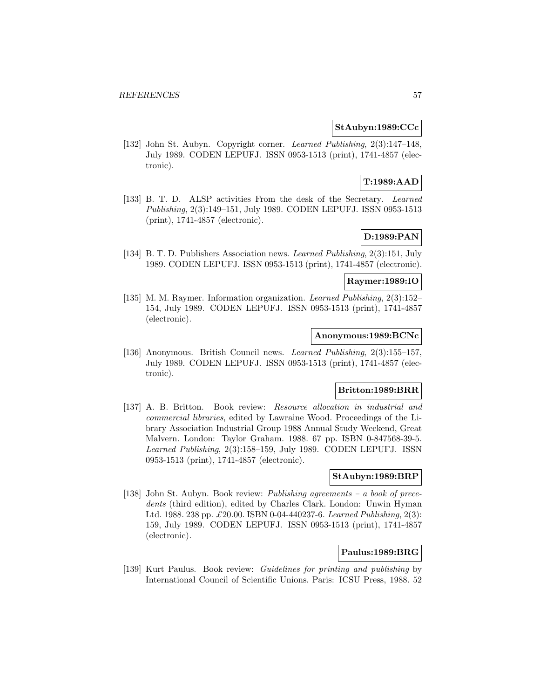## **StAubyn:1989:CCc**

[132] John St. Aubyn. Copyright corner. Learned Publishing, 2(3):147–148, July 1989. CODEN LEPUFJ. ISSN 0953-1513 (print), 1741-4857 (electronic).

# **T:1989:AAD**

[133] B. T. D. ALSP activities From the desk of the Secretary. Learned Publishing, 2(3):149–151, July 1989. CODEN LEPUFJ. ISSN 0953-1513 (print), 1741-4857 (electronic).

# **D:1989:PAN**

[134] B. T. D. Publishers Association news. Learned Publishing, 2(3):151, July 1989. CODEN LEPUFJ. ISSN 0953-1513 (print), 1741-4857 (electronic).

## **Raymer:1989:IO**

[135] M. M. Raymer. Information organization. Learned Publishing, 2(3):152– 154, July 1989. CODEN LEPUFJ. ISSN 0953-1513 (print), 1741-4857 (electronic).

## **Anonymous:1989:BCNc**

[136] Anonymous. British Council news. Learned Publishing, 2(3):155–157, July 1989. CODEN LEPUFJ. ISSN 0953-1513 (print), 1741-4857 (electronic).

#### **Britton:1989:BRR**

[137] A. B. Britton. Book review: Resource allocation in industrial and commercial libraries, edited by Lawraine Wood. Proceedings of the Library Association Industrial Group 1988 Annual Study Weekend, Great Malvern. London: Taylor Graham. 1988. 67 pp. ISBN 0-847568-39-5. Learned Publishing, 2(3):158–159, July 1989. CODEN LEPUFJ. ISSN 0953-1513 (print), 1741-4857 (electronic).

### **StAubyn:1989:BRP**

[138] John St. Aubyn. Book review: Publishing agreements – a book of precedents (third edition), edited by Charles Clark. London: Unwin Hyman Ltd. 1988. 238 pp. £20.00. ISBN 0-04-440237-6. Learned Publishing, 2(3): 159, July 1989. CODEN LEPUFJ. ISSN 0953-1513 (print), 1741-4857 (electronic).

## **Paulus:1989:BRG**

[139] Kurt Paulus. Book review: Guidelines for printing and publishing by International Council of Scientific Unions. Paris: ICSU Press, 1988. 52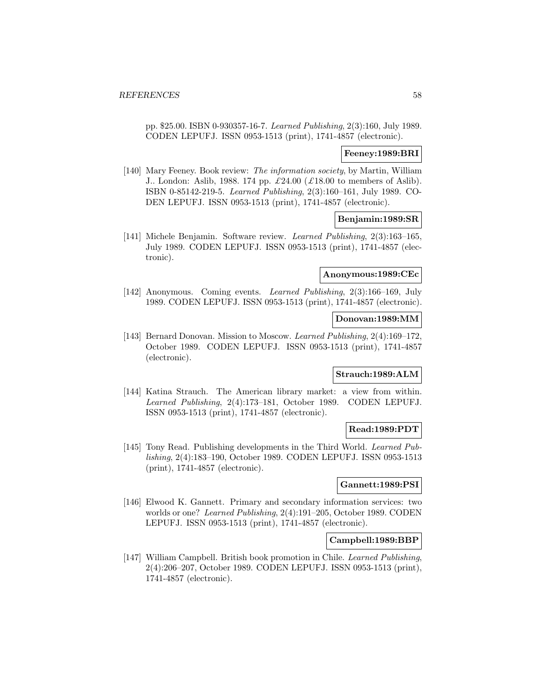pp. \$25.00. ISBN 0-930357-16-7. Learned Publishing, 2(3):160, July 1989. CODEN LEPUFJ. ISSN 0953-1513 (print), 1741-4857 (electronic).

### **Feeney:1989:BRI**

[140] Mary Feeney. Book review: The information society, by Martin, William J.. London: Aslib, 1988. 174 pp.  $\pounds 24.00 \pounds 18.00$  to members of Aslib). ISBN 0-85142-219-5. Learned Publishing, 2(3):160–161, July 1989. CO-DEN LEPUFJ. ISSN 0953-1513 (print), 1741-4857 (electronic).

### **Benjamin:1989:SR**

[141] Michele Benjamin. Software review. Learned Publishing, 2(3):163–165, July 1989. CODEN LEPUFJ. ISSN 0953-1513 (print), 1741-4857 (electronic).

#### **Anonymous:1989:CEc**

[142] Anonymous. Coming events. Learned Publishing, 2(3):166–169, July 1989. CODEN LEPUFJ. ISSN 0953-1513 (print), 1741-4857 (electronic).

## **Donovan:1989:MM**

[143] Bernard Donovan. Mission to Moscow. Learned Publishing, 2(4):169–172. October 1989. CODEN LEPUFJ. ISSN 0953-1513 (print), 1741-4857 (electronic).

#### **Strauch:1989:ALM**

[144] Katina Strauch. The American library market: a view from within. Learned Publishing, 2(4):173–181, October 1989. CODEN LEPUFJ. ISSN 0953-1513 (print), 1741-4857 (electronic).

### **Read:1989:PDT**

[145] Tony Read. Publishing developments in the Third World. Learned Publishing, 2(4):183–190, October 1989. CODEN LEPUFJ. ISSN 0953-1513 (print), 1741-4857 (electronic).

## **Gannett:1989:PSI**

[146] Elwood K. Gannett. Primary and secondary information services: two worlds or one? Learned Publishing, 2(4):191–205, October 1989. CODEN LEPUFJ. ISSN 0953-1513 (print), 1741-4857 (electronic).

#### **Campbell:1989:BBP**

[147] William Campbell. British book promotion in Chile. Learned Publishing, 2(4):206–207, October 1989. CODEN LEPUFJ. ISSN 0953-1513 (print), 1741-4857 (electronic).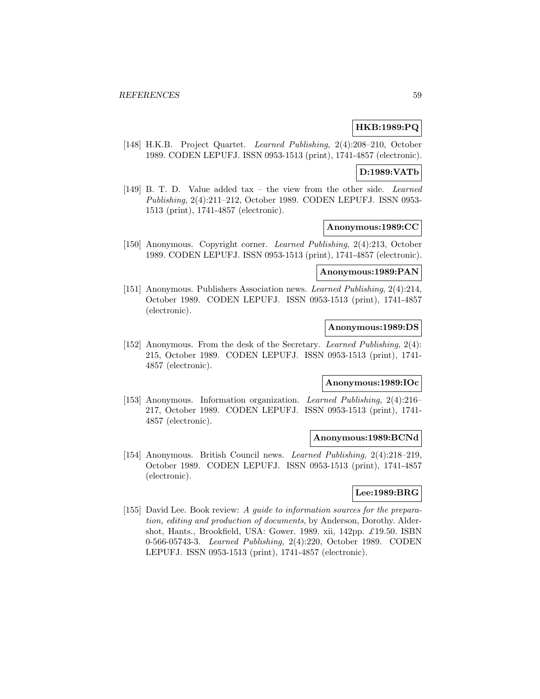## **HKB:1989:PQ**

[148] H.K.B. Project Quartet. Learned Publishing, 2(4):208–210, October 1989. CODEN LEPUFJ. ISSN 0953-1513 (print), 1741-4857 (electronic).

### **D:1989:VATb**

[149] B. T. D. Value added tax – the view from the other side. Learned Publishing, 2(4):211–212, October 1989. CODEN LEPUFJ. ISSN 0953- 1513 (print), 1741-4857 (electronic).

### **Anonymous:1989:CC**

[150] Anonymous. Copyright corner. Learned Publishing, 2(4):213, October 1989. CODEN LEPUFJ. ISSN 0953-1513 (print), 1741-4857 (electronic).

#### **Anonymous:1989:PAN**

[151] Anonymous. Publishers Association news. Learned Publishing, 2(4):214, October 1989. CODEN LEPUFJ. ISSN 0953-1513 (print), 1741-4857 (electronic).

### **Anonymous:1989:DS**

[152] Anonymous. From the desk of the Secretary. Learned Publishing, 2(4): 215, October 1989. CODEN LEPUFJ. ISSN 0953-1513 (print), 1741- 4857 (electronic).

## **Anonymous:1989:IOc**

[153] Anonymous. Information organization. Learned Publishing, 2(4):216– 217, October 1989. CODEN LEPUFJ. ISSN 0953-1513 (print), 1741- 4857 (electronic).

## **Anonymous:1989:BCNd**

[154] Anonymous. British Council news. Learned Publishing, 2(4):218–219, October 1989. CODEN LEPUFJ. ISSN 0953-1513 (print), 1741-4857 (electronic).

## **Lee:1989:BRG**

[155] David Lee. Book review: A guide to information sources for the preparation, editing and production of documents, by Anderson, Dorothy. Aldershot, Hants., Brookfield, USA: Gower. 1989. xii, 142pp.  $\pounds$ 19.50. ISBN 0-566-05743-3. Learned Publishing, 2(4):220, October 1989. CODEN LEPUFJ. ISSN 0953-1513 (print), 1741-4857 (electronic).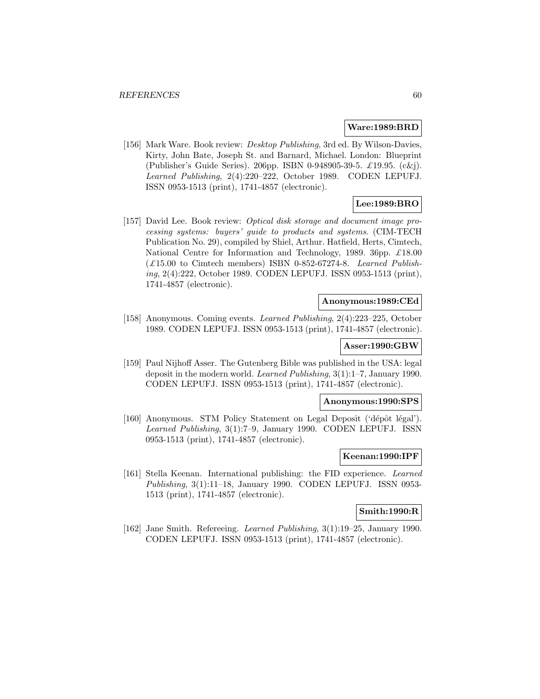#### **Ware:1989:BRD**

[156] Mark Ware. Book review: Desktop Publishing, 3rd ed. By Wilson-Davies, Kirty, John Bate, Joseph St. and Barnard, Michael. London: Blueprint (Publisher's Guide Series). 206pp. ISBN 0-948905-39-5. £19.95. (c&j). Learned Publishing, 2(4):220–222, October 1989. CODEN LEPUFJ. ISSN 0953-1513 (print), 1741-4857 (electronic).

# **Lee:1989:BRO**

[157] David Lee. Book review: Optical disk storage and document image processing systems: buyers' guide to products and systems. (CIM-TECH Publication No. 29), compiled by Shiel, Arthur. Hatfield, Herts, Cimtech, National Centre for Information and Technology, 1989. 36pp. £18.00 (£15.00 to Cimtech members) ISBN 0-852-67274-8. Learned Publishing, 2(4):222, October 1989. CODEN LEPUFJ. ISSN 0953-1513 (print), 1741-4857 (electronic).

#### **Anonymous:1989:CEd**

[158] Anonymous. Coming events. Learned Publishing, 2(4):223–225, October 1989. CODEN LEPUFJ. ISSN 0953-1513 (print), 1741-4857 (electronic).

### **Asser:1990:GBW**

[159] Paul Nijhoff Asser. The Gutenberg Bible was published in the USA: legal deposit in the modern world. Learned Publishing, 3(1):1–7, January 1990. CODEN LEPUFJ. ISSN 0953-1513 (print), 1741-4857 (electronic).

#### **Anonymous:1990:SPS**

[160] Anonymous. STM Policy Statement on Legal Deposit ('dépôt légal'). Learned Publishing, 3(1):7–9, January 1990. CODEN LEPUFJ. ISSN 0953-1513 (print), 1741-4857 (electronic).

### **Keenan:1990:IPF**

[161] Stella Keenan. International publishing: the FID experience. Learned Publishing, 3(1):11-18, January 1990. CODEN LEPUFJ. ISSN 0953-1513 (print), 1741-4857 (electronic).

### **Smith:1990:R**

[162] Jane Smith. Refereeing. Learned Publishing, 3(1):19–25, January 1990. CODEN LEPUFJ. ISSN 0953-1513 (print), 1741-4857 (electronic).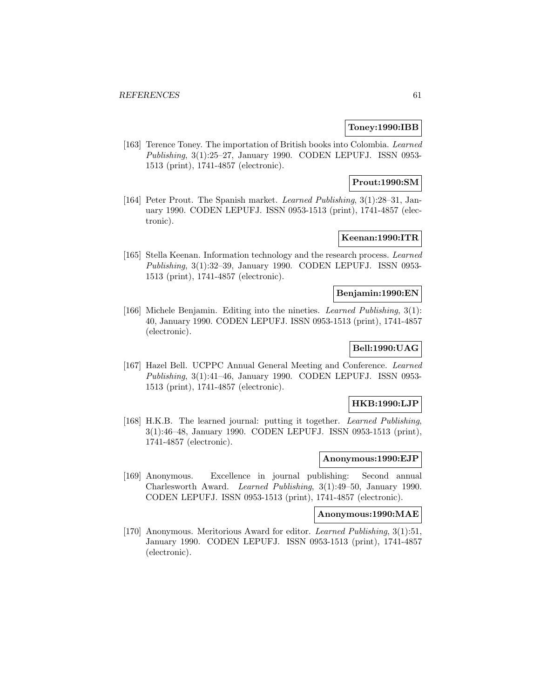## **Toney:1990:IBB**

[163] Terence Toney. The importation of British books into Colombia. Learned Publishing, 3(1):25–27, January 1990. CODEN LEPUFJ. ISSN 0953- 1513 (print), 1741-4857 (electronic).

## **Prout:1990:SM**

[164] Peter Prout. The Spanish market. Learned Publishing, 3(1):28–31, January 1990. CODEN LEPUFJ. ISSN 0953-1513 (print), 1741-4857 (electronic).

## **Keenan:1990:ITR**

[165] Stella Keenan. Information technology and the research process. Learned Publishing, 3(1):32–39, January 1990. CODEN LEPUFJ. ISSN 0953- 1513 (print), 1741-4857 (electronic).

### **Benjamin:1990:EN**

[166] Michele Benjamin. Editing into the nineties. Learned Publishing, 3(1): 40, January 1990. CODEN LEPUFJ. ISSN 0953-1513 (print), 1741-4857 (electronic).

# **Bell:1990:UAG**

[167] Hazel Bell. UCPPC Annual General Meeting and Conference. Learned Publishing, 3(1):41–46, January 1990. CODEN LEPUFJ. ISSN 0953- 1513 (print), 1741-4857 (electronic).

## **HKB:1990:LJP**

[168] H.K.B. The learned journal: putting it together. Learned Publishing, 3(1):46–48, January 1990. CODEN LEPUFJ. ISSN 0953-1513 (print), 1741-4857 (electronic).

#### **Anonymous:1990:EJP**

[169] Anonymous. Excellence in journal publishing: Second annual Charlesworth Award. Learned Publishing, 3(1):49–50, January 1990. CODEN LEPUFJ. ISSN 0953-1513 (print), 1741-4857 (electronic).

### **Anonymous:1990:MAE**

[170] Anonymous. Meritorious Award for editor. Learned Publishing, 3(1):51, January 1990. CODEN LEPUFJ. ISSN 0953-1513 (print), 1741-4857 (electronic).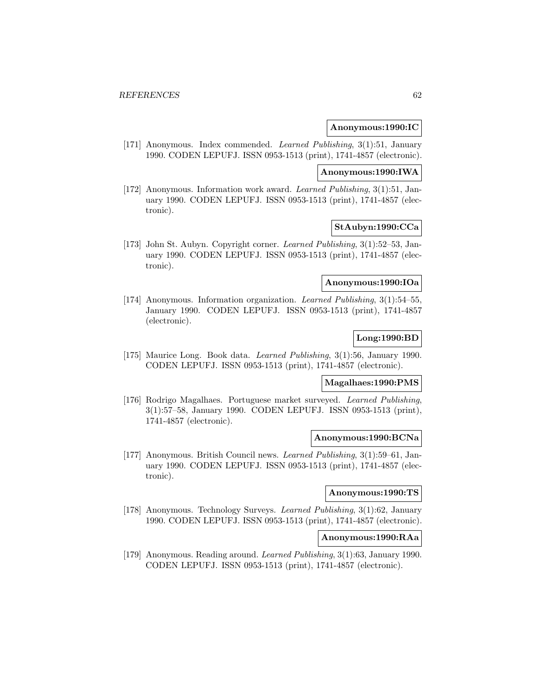#### **Anonymous:1990:IC**

[171] Anonymous. Index commended. Learned Publishing, 3(1):51, January 1990. CODEN LEPUFJ. ISSN 0953-1513 (print), 1741-4857 (electronic).

#### **Anonymous:1990:IWA**

[172] Anonymous. Information work award. Learned Publishing, 3(1):51, January 1990. CODEN LEPUFJ. ISSN 0953-1513 (print), 1741-4857 (electronic).

## **StAubyn:1990:CCa**

[173] John St. Aubyn. Copyright corner. Learned Publishing, 3(1):52–53, January 1990. CODEN LEPUFJ. ISSN 0953-1513 (print), 1741-4857 (electronic).

### **Anonymous:1990:IOa**

[174] Anonymous. Information organization. Learned Publishing, 3(1):54–55, January 1990. CODEN LEPUFJ. ISSN 0953-1513 (print), 1741-4857 (electronic).

# **Long:1990:BD**

[175] Maurice Long. Book data. Learned Publishing, 3(1):56, January 1990. CODEN LEPUFJ. ISSN 0953-1513 (print), 1741-4857 (electronic).

### **Magalhaes:1990:PMS**

[176] Rodrigo Magalhaes. Portuguese market surveyed. Learned Publishing, 3(1):57–58, January 1990. CODEN LEPUFJ. ISSN 0953-1513 (print), 1741-4857 (electronic).

## **Anonymous:1990:BCNa**

[177] Anonymous. British Council news. Learned Publishing, 3(1):59–61, January 1990. CODEN LEPUFJ. ISSN 0953-1513 (print), 1741-4857 (electronic).

#### **Anonymous:1990:TS**

[178] Anonymous. Technology Surveys. Learned Publishing, 3(1):62, January 1990. CODEN LEPUFJ. ISSN 0953-1513 (print), 1741-4857 (electronic).

## **Anonymous:1990:RAa**

[179] Anonymous. Reading around. Learned Publishing, 3(1):63, January 1990. CODEN LEPUFJ. ISSN 0953-1513 (print), 1741-4857 (electronic).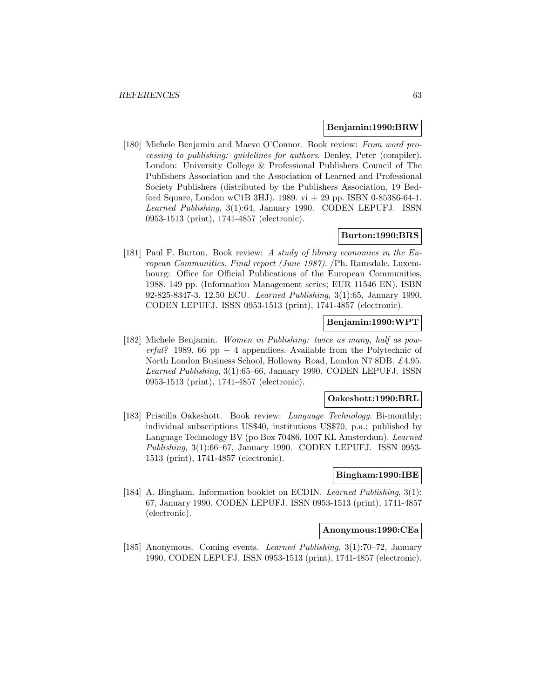#### **Benjamin:1990:BRW**

[180] Michele Benjamin and Maeve O'Connor. Book review: From word processing to publishing: guidelines for authors. Denley, Peter (compiler). London: University College & Professional Publishers Council of The Publishers Association and the Association of Learned and Professional Society Publishers (distributed by the Publishers Association, 19 Bedford Square, London wC1B 3HJ). 1989. vi  $+29$  pp. ISBN 0-85386-64-1. Learned Publishing, 3(1):64, January 1990. CODEN LEPUFJ. ISSN 0953-1513 (print), 1741-4857 (electronic).

## **Burton:1990:BRS**

[181] Paul F. Burton. Book review: A study of library economics in the European Communities. Final report (June 1987). /Ph. Ramsdale. Luxembourg: Office for Official Publications of the European Communities, 1988. 149 pp. (Information Management series; EUR 11546 EN). ISBN 92-825-8347-3. 12.50 ECU. Learned Publishing, 3(1):65, January 1990. CODEN LEPUFJ. ISSN 0953-1513 (print), 1741-4857 (electronic).

## **Benjamin:1990:WPT**

[182] Michele Benjamin. Women in Publishing: twice as many, half as powerful? 1989. 66 pp + 4 appendices. Available from the Polytechnic of North London Business School, Holloway Road, London N7 8DB. £4.95. Learned Publishing, 3(1):65–66, January 1990. CODEN LEPUFJ. ISSN 0953-1513 (print), 1741-4857 (electronic).

### **Oakeshott:1990:BRL**

[183] Priscilla Oakeshott. Book review: *Language Technology*. Bi-monthly; individual subscriptions US\$40, institutions US\$70, p.a.; published by Language Technology BV (po Box 70486, 1007 KL Amsterdam). Learned Publishing, 3(1):66–67, January 1990. CODEN LEPUFJ. ISSN 0953- 1513 (print), 1741-4857 (electronic).

#### **Bingham:1990:IBE**

[184] A. Bingham. Information booklet on ECDIN. Learned Publishing, 3(1): 67, January 1990. CODEN LEPUFJ. ISSN 0953-1513 (print), 1741-4857 (electronic).

#### **Anonymous:1990:CEa**

[185] Anonymous. Coming events. Learned Publishing, 3(1):70–72, January 1990. CODEN LEPUFJ. ISSN 0953-1513 (print), 1741-4857 (electronic).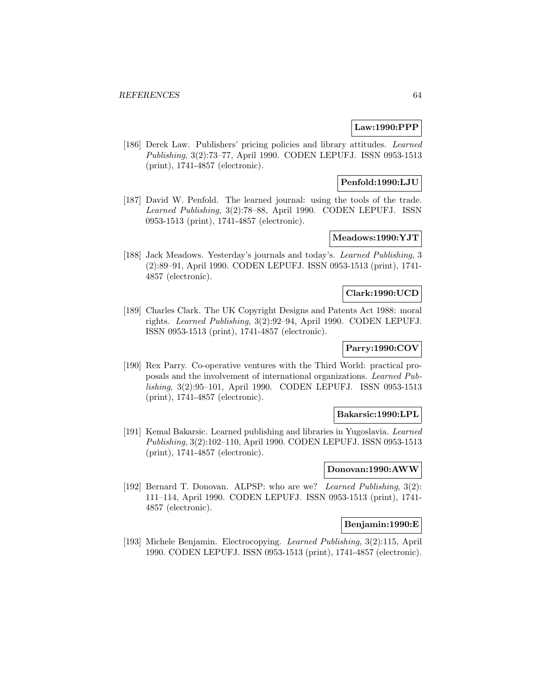## **Law:1990:PPP**

[186] Derek Law. Publishers' pricing policies and library attitudes. Learned Publishing, 3(2):73–77, April 1990. CODEN LEPUFJ. ISSN 0953-1513 (print), 1741-4857 (electronic).

# **Penfold:1990:LJU**

[187] David W. Penfold. The learned journal: using the tools of the trade. Learned Publishing, 3(2):78–88, April 1990. CODEN LEPUFJ. ISSN 0953-1513 (print), 1741-4857 (electronic).

# **Meadows:1990:YJT**

[188] Jack Meadows. Yesterday's journals and today's. Learned Publishing, 3 (2):89–91, April 1990. CODEN LEPUFJ. ISSN 0953-1513 (print), 1741- 4857 (electronic).

### **Clark:1990:UCD**

[189] Charles Clark. The UK Copyright Designs and Patents Act 1988: moral rights. Learned Publishing, 3(2):92–94, April 1990. CODEN LEPUFJ. ISSN 0953-1513 (print), 1741-4857 (electronic).

# **Parry:1990:COV**

[190] Rex Parry. Co-operative ventures with the Third World: practical proposals and the involvement of international organizations. Learned Publishing, 3(2):95–101, April 1990. CODEN LEPUFJ. ISSN 0953-1513 (print), 1741-4857 (electronic).

### **Bakarsic:1990:LPL**

[191] Kemal Bakarsic. Learned publishing and libraries in Yugoslavia. Learned Publishing, 3(2):102–110, April 1990. CODEN LEPUFJ. ISSN 0953-1513 (print), 1741-4857 (electronic).

### **Donovan:1990:AWW**

[192] Bernard T. Donovan. ALPSP: who are we? Learned Publishing, 3(2): 111–114, April 1990. CODEN LEPUFJ. ISSN 0953-1513 (print), 1741- 4857 (electronic).

# **Benjamin:1990:E**

[193] Michele Benjamin. Electrocopying. Learned Publishing, 3(2):115, April 1990. CODEN LEPUFJ. ISSN 0953-1513 (print), 1741-4857 (electronic).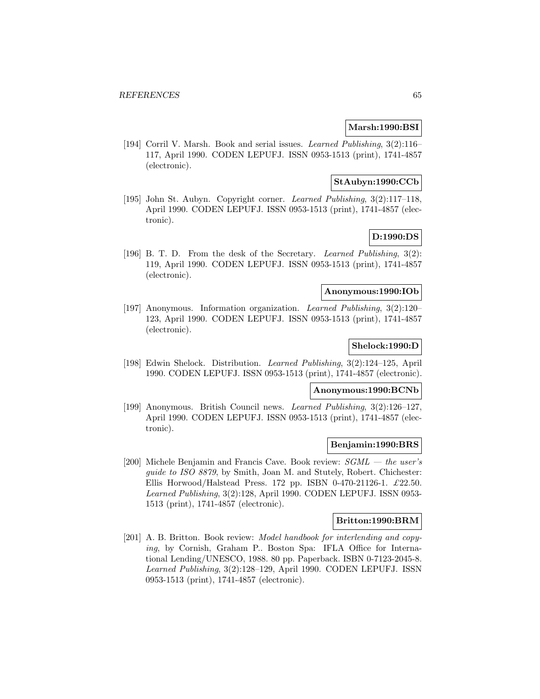### **Marsh:1990:BSI**

[194] Corril V. Marsh. Book and serial issues. Learned Publishing, 3(2):116– 117, April 1990. CODEN LEPUFJ. ISSN 0953-1513 (print), 1741-4857 (electronic).

### **StAubyn:1990:CCb**

[195] John St. Aubyn. Copyright corner. Learned Publishing, 3(2):117–118, April 1990. CODEN LEPUFJ. ISSN 0953-1513 (print), 1741-4857 (electronic).

## **D:1990:DS**

[196] B. T. D. From the desk of the Secretary. Learned Publishing, 3(2): 119, April 1990. CODEN LEPUFJ. ISSN 0953-1513 (print), 1741-4857 (electronic).

### **Anonymous:1990:IOb**

[197] Anonymous. Information organization. Learned Publishing, 3(2):120– 123, April 1990. CODEN LEPUFJ. ISSN 0953-1513 (print), 1741-4857 (electronic).

### **Shelock:1990:D**

[198] Edwin Shelock. Distribution. Learned Publishing, 3(2):124–125, April 1990. CODEN LEPUFJ. ISSN 0953-1513 (print), 1741-4857 (electronic).

#### **Anonymous:1990:BCNb**

[199] Anonymous. British Council news. Learned Publishing, 3(2):126–127, April 1990. CODEN LEPUFJ. ISSN 0953-1513 (print), 1741-4857 (electronic).

#### **Benjamin:1990:BRS**

[200] Michele Benjamin and Francis Cave. Book review:  $SGML - the$  user's guide to ISO 8879, by Smith, Joan M. and Stutely, Robert. Chichester: Ellis Horwood/Halstead Press. 172 pp. ISBN 0-470-21126-1. £22.50. Learned Publishing, 3(2):128, April 1990. CODEN LEPUFJ. ISSN 0953- 1513 (print), 1741-4857 (electronic).

#### **Britton:1990:BRM**

[201] A. B. Britton. Book review: Model handbook for interlending and copying, by Cornish, Graham P.. Boston Spa: IFLA Office for International Lending/UNESCO, 1988. 80 pp. Paperback. ISBN 0-7123-2045-8. Learned Publishing, 3(2):128–129, April 1990. CODEN LEPUFJ. ISSN 0953-1513 (print), 1741-4857 (electronic).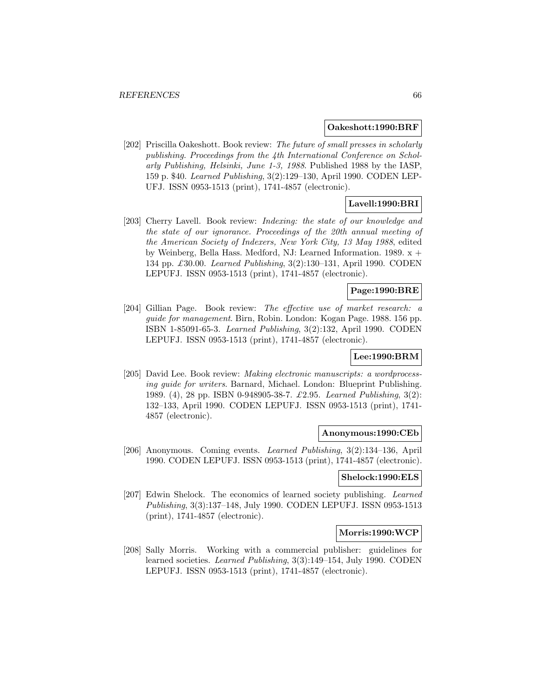#### **Oakeshott:1990:BRF**

[202] Priscilla Oakeshott. Book review: The future of small presses in scholarly publishing. Proceedings from the 4th International Conference on Scholarly Publishing, Helsinki, June 1-3, 1988. Published 1988 by the IASP, 159 p. \$40. Learned Publishing, 3(2):129–130, April 1990. CODEN LEP-UFJ. ISSN 0953-1513 (print), 1741-4857 (electronic).

### **Lavell:1990:BRI**

[203] Cherry Lavell. Book review: Indexing: the state of our knowledge and the state of our ignorance. Proceedings of the 20th annual meeting of the American Society of Indexers, New York City, 13 May 1988, edited by Weinberg, Bella Hass. Medford, NJ: Learned Information. 1989. x + 134 pp. £30.00. Learned Publishing, 3(2):130–131, April 1990. CODEN LEPUFJ. ISSN 0953-1513 (print), 1741-4857 (electronic).

# **Page:1990:BRE**

[204] Gillian Page. Book review: The effective use of market research: a guide for management. Birn, Robin. London: Kogan Page. 1988. 156 pp. ISBN 1-85091-65-3. Learned Publishing, 3(2):132, April 1990. CODEN LEPUFJ. ISSN 0953-1513 (print), 1741-4857 (electronic).

### **Lee:1990:BRM**

[205] David Lee. Book review: Making electronic manuscripts: a wordprocessing guide for writers. Barnard, Michael. London: Blueprint Publishing. 1989. (4), 28 pp. ISBN 0-948905-38-7. £2.95. Learned Publishing, 3(2): 132–133, April 1990. CODEN LEPUFJ. ISSN 0953-1513 (print), 1741- 4857 (electronic).

#### **Anonymous:1990:CEb**

[206] Anonymous. Coming events. Learned Publishing, 3(2):134–136, April 1990. CODEN LEPUFJ. ISSN 0953-1513 (print), 1741-4857 (electronic).

#### **Shelock:1990:ELS**

[207] Edwin Shelock. The economics of learned society publishing. Learned Publishing, 3(3):137–148, July 1990. CODEN LEPUFJ. ISSN 0953-1513 (print), 1741-4857 (electronic).

#### **Morris:1990:WCP**

[208] Sally Morris. Working with a commercial publisher: guidelines for learned societies. Learned Publishing, 3(3):149–154, July 1990. CODEN LEPUFJ. ISSN 0953-1513 (print), 1741-4857 (electronic).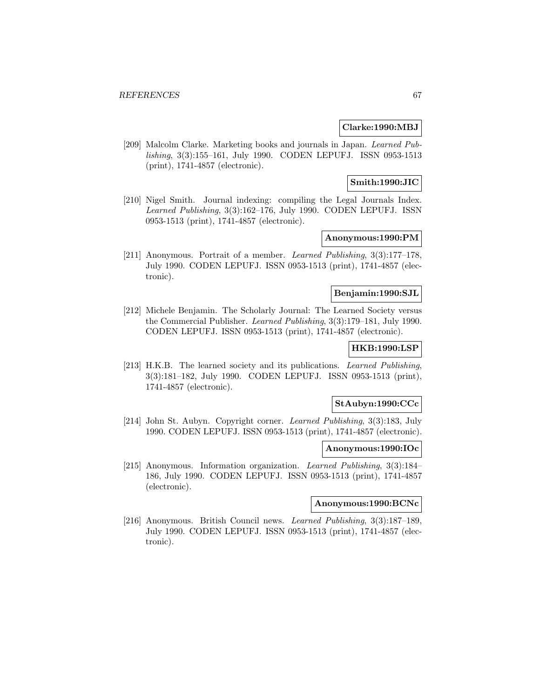### **Clarke:1990:MBJ**

[209] Malcolm Clarke. Marketing books and journals in Japan. Learned Publishing, 3(3):155–161, July 1990. CODEN LEPUFJ. ISSN 0953-1513 (print), 1741-4857 (electronic).

## **Smith:1990:JIC**

[210] Nigel Smith. Journal indexing: compiling the Legal Journals Index. Learned Publishing, 3(3):162–176, July 1990. CODEN LEPUFJ. ISSN 0953-1513 (print), 1741-4857 (electronic).

## **Anonymous:1990:PM**

[211] Anonymous. Portrait of a member. Learned Publishing, 3(3):177–178, July 1990. CODEN LEPUFJ. ISSN 0953-1513 (print), 1741-4857 (electronic).

### **Benjamin:1990:SJL**

[212] Michele Benjamin. The Scholarly Journal: The Learned Society versus the Commercial Publisher. Learned Publishing, 3(3):179–181, July 1990. CODEN LEPUFJ. ISSN 0953-1513 (print), 1741-4857 (electronic).

# **HKB:1990:LSP**

[213] H.K.B. The learned society and its publications. Learned Publishing, 3(3):181–182, July 1990. CODEN LEPUFJ. ISSN 0953-1513 (print), 1741-4857 (electronic).

### **StAubyn:1990:CCc**

[214] John St. Aubyn. Copyright corner. Learned Publishing, 3(3):183, July 1990. CODEN LEPUFJ. ISSN 0953-1513 (print), 1741-4857 (electronic).

#### **Anonymous:1990:IOc**

[215] Anonymous. Information organization. Learned Publishing, 3(3):184– 186, July 1990. CODEN LEPUFJ. ISSN 0953-1513 (print), 1741-4857 (electronic).

### **Anonymous:1990:BCNc**

[216] Anonymous. British Council news. Learned Publishing, 3(3):187–189, July 1990. CODEN LEPUFJ. ISSN 0953-1513 (print), 1741-4857 (electronic).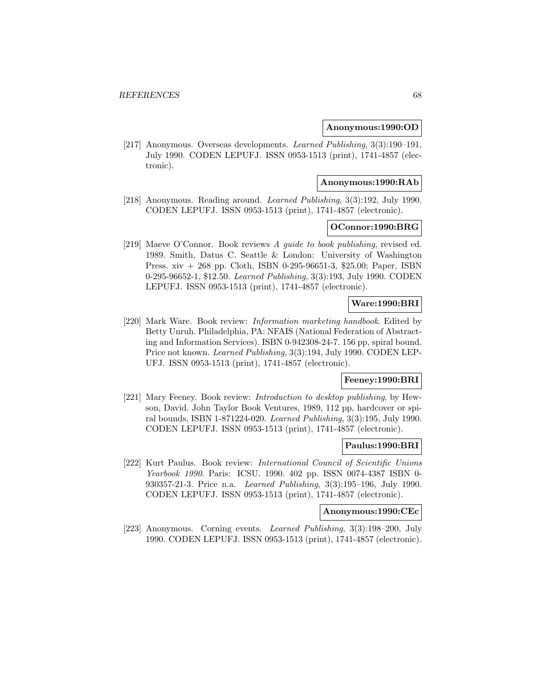### **Anonymous:1990:OD**

[217] Anonymous. Overseas developments. Learned Publishing, 3(3):190–191, July 1990. CODEN LEPUFJ. ISSN 0953-1513 (print), 1741-4857 (electronic).

#### **Anonymous:1990:RAb**

[218] Anonymous. Reading around. Learned Publishing, 3(3):192, July 1990. CODEN LEPUFJ. ISSN 0953-1513 (print), 1741-4857 (electronic).

### **OConnor:1990:BRG**

[219] Maeve O'Connor. Book reviews A guide to book publishing, revised ed. 1989. Smith, Datus C. Seattle & London: University of Washington Press. xiv + 268 pp. Cloth, ISBN 0-295-96651-3, \$25.00; Paper, ISBN 0-295-96652-1, \$12.50. Learned Publishing, 3(3):193, July 1990. CODEN LEPUFJ. ISSN 0953-1513 (print), 1741-4857 (electronic).

## **Ware:1990:BRI**

[220] Mark Ware. Book review: *Information marketing handbook*. Edited by Betty Unruh. Philadelphia, PA: NFAIS (National Federation of Abstracting and Information Services). ISBN 0-942308-24-7. 156 pp, spiral bound. Price not known. Learned Publishing, 3(3):194, July 1990. CODEN LEP-UFJ. ISSN 0953-1513 (print), 1741-4857 (electronic).

## **Feeney:1990:BRI**

[221] Mary Feeney. Book review: Introduction to desktop publishing, by Hewson, David. John Taylor Book Ventures, 1989, 112 pp, hardcover or spiral bounds, ISBN 1-871224-020. Learned Publishing, 3(3):195, July 1990. CODEN LEPUFJ. ISSN 0953-1513 (print), 1741-4857 (electronic).

#### **Paulus:1990:BRI**

[222] Kurt Paulus. Book review: International Council of Scientific Unions Yearbook 1990. Paris: ICSU. 1990. 402 pp. ISSN 0074-4387 ISBN 0- 930357-21-3. Price n.a. Learned Publishing, 3(3):195–196, July 1990. CODEN LEPUFJ. ISSN 0953-1513 (print), 1741-4857 (electronic).

#### **Anonymous:1990:CEc**

[223] Anonymous. Corning events. Learned Publishing, 3(3):198–200, July 1990. CODEN LEPUFJ. ISSN 0953-1513 (print), 1741-4857 (electronic).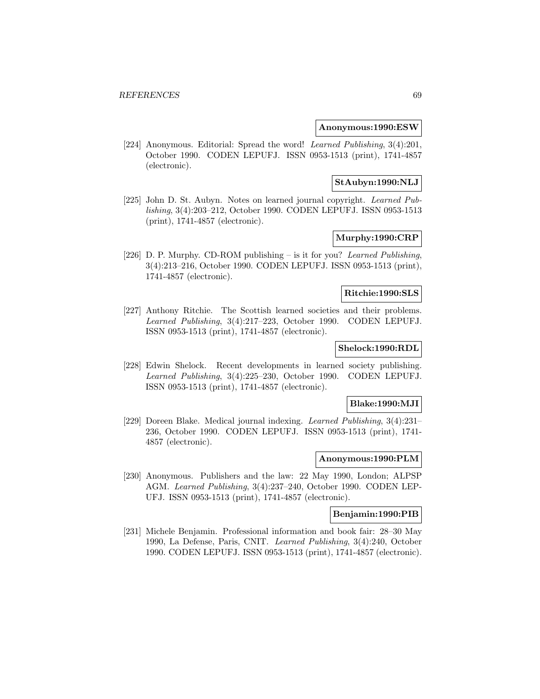### **Anonymous:1990:ESW**

[224] Anonymous. Editorial: Spread the word! Learned Publishing, 3(4):201, October 1990. CODEN LEPUFJ. ISSN 0953-1513 (print), 1741-4857 (electronic).

## **StAubyn:1990:NLJ**

[225] John D. St. Aubyn. Notes on learned journal copyright. Learned Publishing, 3(4):203–212, October 1990. CODEN LEPUFJ. ISSN 0953-1513 (print), 1741-4857 (electronic).

## **Murphy:1990:CRP**

[226] D. P. Murphy. CD-ROM publishing – is it for you? Learned Publishing, 3(4):213–216, October 1990. CODEN LEPUFJ. ISSN 0953-1513 (print), 1741-4857 (electronic).

### **Ritchie:1990:SLS**

[227] Anthony Ritchie. The Scottish learned societies and their problems. Learned Publishing, 3(4):217–223, October 1990. CODEN LEPUFJ. ISSN 0953-1513 (print), 1741-4857 (electronic).

### **Shelock:1990:RDL**

[228] Edwin Shelock. Recent developments in learned society publishing. Learned Publishing, 3(4):225–230, October 1990. CODEN LEPUFJ. ISSN 0953-1513 (print), 1741-4857 (electronic).

### **Blake:1990:MJI**

[229] Doreen Blake. Medical journal indexing. Learned Publishing, 3(4):231– 236, October 1990. CODEN LEPUFJ. ISSN 0953-1513 (print), 1741- 4857 (electronic).

#### **Anonymous:1990:PLM**

[230] Anonymous. Publishers and the law: 22 May 1990, London; ALPSP AGM. Learned Publishing, 3(4):237–240, October 1990. CODEN LEP-UFJ. ISSN 0953-1513 (print), 1741-4857 (electronic).

### **Benjamin:1990:PIB**

[231] Michele Benjamin. Professional information and book fair: 28–30 May 1990, La Defense, Paris, CNIT. Learned Publishing, 3(4):240, October 1990. CODEN LEPUFJ. ISSN 0953-1513 (print), 1741-4857 (electronic).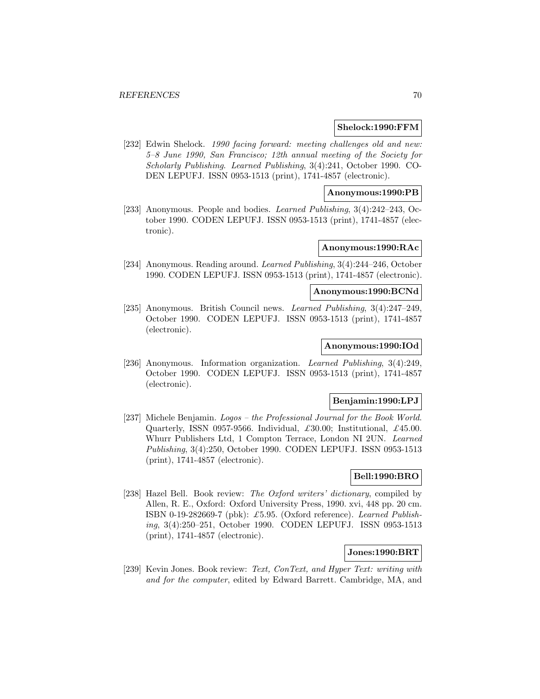### **Shelock:1990:FFM**

[232] Edwin Shelock. 1990 facing forward: meeting challenges old and new: 5–8 June 1990, San Francisco; 12th annual meeting of the Society for Scholarly Publishing. Learned Publishing, 3(4):241, October 1990. CO-DEN LEPUFJ. ISSN 0953-1513 (print), 1741-4857 (electronic).

# **Anonymous:1990:PB**

[233] Anonymous. People and bodies. Learned Publishing, 3(4):242–243, October 1990. CODEN LEPUFJ. ISSN 0953-1513 (print), 1741-4857 (electronic).

## **Anonymous:1990:RAc**

[234] Anonymous. Reading around. Learned Publishing, 3(4):244–246, October 1990. CODEN LEPUFJ. ISSN 0953-1513 (print), 1741-4857 (electronic).

## **Anonymous:1990:BCNd**

[235] Anonymous. British Council news. Learned Publishing, 3(4):247–249, October 1990. CODEN LEPUFJ. ISSN 0953-1513 (print), 1741-4857 (electronic).

#### **Anonymous:1990:IOd**

[236] Anonymous. Information organization. Learned Publishing, 3(4):249, October 1990. CODEN LEPUFJ. ISSN 0953-1513 (print), 1741-4857 (electronic).

### **Benjamin:1990:LPJ**

[237] Michele Benjamin. Logos – the Professional Journal for the Book World. Quarterly, ISSN 0957-9566. Individual,  $\pounds 30.00$ ; Institutional,  $\pounds 45.00$ . Whurr Publishers Ltd, 1 Compton Terrace, London NI 2UN. Learned Publishing, 3(4):250, October 1990. CODEN LEPUFJ. ISSN 0953-1513 (print), 1741-4857 (electronic).

# **Bell:1990:BRO**

[238] Hazel Bell. Book review: The Oxford writers' dictionary, compiled by Allen, R. E., Oxford: Oxford University Press, 1990. xvi, 448 pp. 20 cm. ISBN 0-19-282669-7 (pbk): £5.95. (Oxford reference). Learned Publishing, 3(4):250–251, October 1990. CODEN LEPUFJ. ISSN 0953-1513 (print), 1741-4857 (electronic).

# **Jones:1990:BRT**

[239] Kevin Jones. Book review: Text, ConText, and Hyper Text: writing with and for the computer, edited by Edward Barrett. Cambridge, MA, and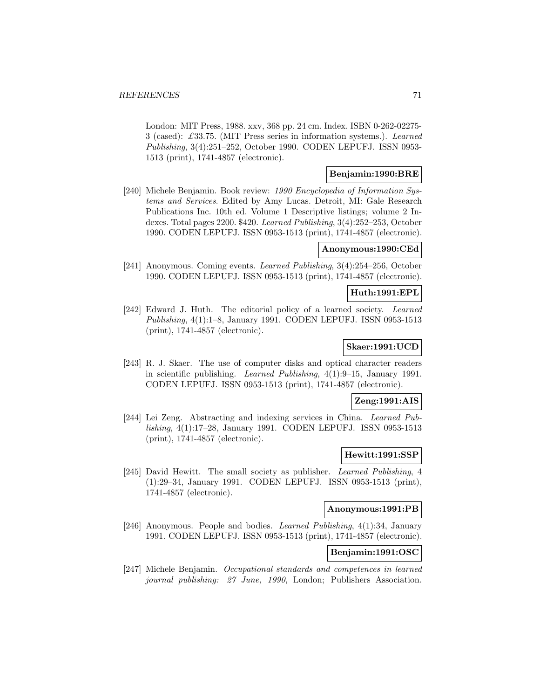London: MIT Press, 1988. xxv, 368 pp. 24 cm. Index. ISBN 0-262-02275- 3 (cased): £33.75. (MIT Press series in information systems.). Learned Publishing, 3(4):251–252, October 1990. CODEN LEPUFJ. ISSN 0953- 1513 (print), 1741-4857 (electronic).

### **Benjamin:1990:BRE**

[240] Michele Benjamin. Book review: 1990 Encyclopedia of Information Systems and Services. Edited by Amy Lucas. Detroit, MI: Gale Research Publications Inc. 10th ed. Volume 1 Descriptive listings; volume 2 Indexes. Total pages 2200. \$420. Learned Publishing, 3(4):252–253, October 1990. CODEN LEPUFJ. ISSN 0953-1513 (print), 1741-4857 (electronic).

### **Anonymous:1990:CEd**

[241] Anonymous. Coming events. Learned Publishing, 3(4):254–256, October 1990. CODEN LEPUFJ. ISSN 0953-1513 (print), 1741-4857 (electronic).

### **Huth:1991:EPL**

[242] Edward J. Huth. The editorial policy of a learned society. Learned Publishing, 4(1):1–8, January 1991. CODEN LEPUFJ. ISSN 0953-1513 (print), 1741-4857 (electronic).

### **Skaer:1991:UCD**

[243] R. J. Skaer. The use of computer disks and optical character readers in scientific publishing. Learned Publishing, 4(1):9–15, January 1991. CODEN LEPUFJ. ISSN 0953-1513 (print), 1741-4857 (electronic).

#### **Zeng:1991:AIS**

[244] Lei Zeng. Abstracting and indexing services in China. Learned Publishing, 4(1):17–28, January 1991. CODEN LEPUFJ. ISSN 0953-1513 (print), 1741-4857 (electronic).

### **Hewitt:1991:SSP**

[245] David Hewitt. The small society as publisher. Learned Publishing, 4 (1):29–34, January 1991. CODEN LEPUFJ. ISSN 0953-1513 (print), 1741-4857 (electronic).

## **Anonymous:1991:PB**

[246] Anonymous. People and bodies. Learned Publishing, 4(1):34, January 1991. CODEN LEPUFJ. ISSN 0953-1513 (print), 1741-4857 (electronic).

### **Benjamin:1991:OSC**

[247] Michele Benjamin. Occupational standards and competences in learned journal publishing: 27 June, 1990, London; Publishers Association.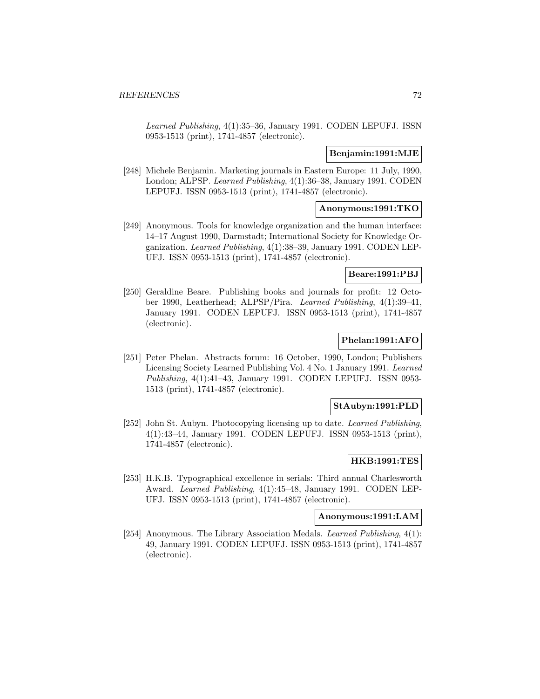Learned Publishing, 4(1):35–36, January 1991. CODEN LEPUFJ. ISSN 0953-1513 (print), 1741-4857 (electronic).

### **Benjamin:1991:MJE**

[248] Michele Benjamin. Marketing journals in Eastern Europe: 11 July, 1990, London; ALPSP. Learned Publishing, 4(1):36–38, January 1991. CODEN LEPUFJ. ISSN 0953-1513 (print), 1741-4857 (electronic).

### **Anonymous:1991:TKO**

[249] Anonymous. Tools for knowledge organization and the human interface: 14–17 August 1990, Darmstadt; International Society for Knowledge Organization. Learned Publishing, 4(1):38–39, January 1991. CODEN LEP-UFJ. ISSN 0953-1513 (print), 1741-4857 (electronic).

### **Beare:1991:PBJ**

[250] Geraldine Beare. Publishing books and journals for profit: 12 October 1990, Leatherhead; ALPSP/Pira. Learned Publishing, 4(1):39–41, January 1991. CODEN LEPUFJ. ISSN 0953-1513 (print), 1741-4857 (electronic).

## **Phelan:1991:AFO**

[251] Peter Phelan. Abstracts forum: 16 October, 1990, London; Publishers Licensing Society Learned Publishing Vol. 4 No. 1 January 1991. Learned Publishing, 4(1):41–43, January 1991. CODEN LEPUFJ. ISSN 0953- 1513 (print), 1741-4857 (electronic).

### **StAubyn:1991:PLD**

[252] John St. Aubyn. Photocopying licensing up to date. Learned Publishing, 4(1):43–44, January 1991. CODEN LEPUFJ. ISSN 0953-1513 (print), 1741-4857 (electronic).

#### **HKB:1991:TES**

[253] H.K.B. Typographical excellence in serials: Third annual Charlesworth Award. Learned Publishing, 4(1):45–48, January 1991. CODEN LEP-UFJ. ISSN 0953-1513 (print), 1741-4857 (electronic).

#### **Anonymous:1991:LAM**

[254] Anonymous. The Library Association Medals. *Learned Publishing*, 4(1): 49, January 1991. CODEN LEPUFJ. ISSN 0953-1513 (print), 1741-4857 (electronic).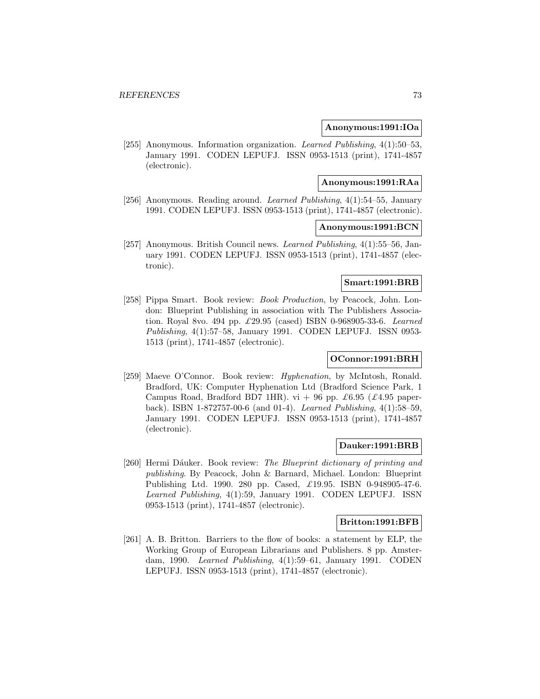#### **Anonymous:1991:IOa**

[255] Anonymous. Information organization. Learned Publishing, 4(1):50–53, January 1991. CODEN LEPUFJ. ISSN 0953-1513 (print), 1741-4857 (electronic).

#### **Anonymous:1991:RAa**

[256] Anonymous. Reading around. Learned Publishing, 4(1):54–55, January 1991. CODEN LEPUFJ. ISSN 0953-1513 (print), 1741-4857 (electronic).

#### **Anonymous:1991:BCN**

[257] Anonymous. British Council news. Learned Publishing, 4(1):55–56, January 1991. CODEN LEPUFJ. ISSN 0953-1513 (print), 1741-4857 (electronic).

## **Smart:1991:BRB**

[258] Pippa Smart. Book review: Book Production, by Peacock, John. London: Blueprint Publishing in association with The Publishers Association. Royal 8vo. 494 pp. £29.95 (cased) ISBN 0-968905-33-6. Learned Publishing, 4(1):57–58, January 1991. CODEN LEPUFJ. ISSN 0953- 1513 (print), 1741-4857 (electronic).

## **OConnor:1991:BRH**

[259] Maeve O'Connor. Book review: *Hyphenation*, by McIntosh, Ronald. Bradford, UK: Computer Hyphenation Ltd (Bradford Science Park, 1 Campus Road, Bradford BD7 1HR). vi + 96 pp. £6.95 (£4.95 paperback). ISBN 1-872757-00-6 (and 01-4). Learned Publishing, 4(1):58–59, January 1991. CODEN LEPUFJ. ISSN 0953-1513 (print), 1741-4857 (electronic).

#### **Dauker:1991:BRB**

[260] Hermi Dáuker. Book review: The Blueprint dictionary of printing and publishing. By Peacock, John & Barnard, Michael. London: Blueprint Publishing Ltd. 1990. 280 pp. Cased, £19.95. ISBN 0-948905-47-6. Learned Publishing, 4(1):59, January 1991. CODEN LEPUFJ. ISSN 0953-1513 (print), 1741-4857 (electronic).

#### **Britton:1991:BFB**

[261] A. B. Britton. Barriers to the flow of books: a statement by ELP, the Working Group of European Librarians and Publishers. 8 pp. Amsterdam, 1990. Learned Publishing, 4(1):59–61, January 1991. CODEN LEPUFJ. ISSN 0953-1513 (print), 1741-4857 (electronic).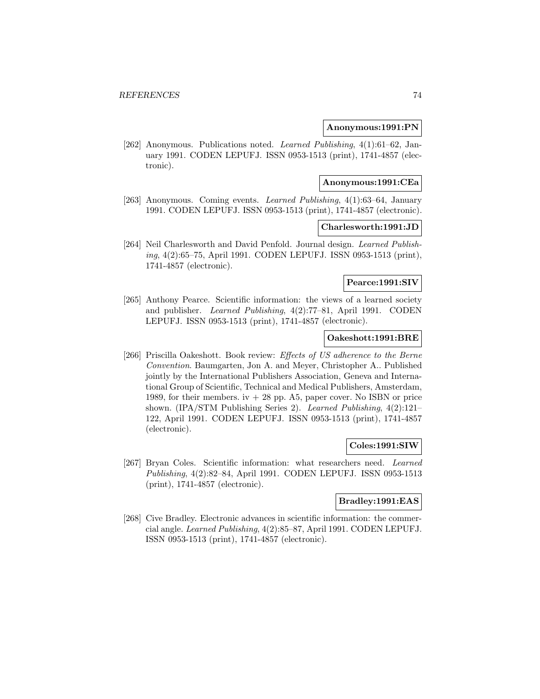#### **Anonymous:1991:PN**

[262] Anonymous. Publications noted. Learned Publishing, 4(1):61–62, January 1991. CODEN LEPUFJ. ISSN 0953-1513 (print), 1741-4857 (electronic).

#### **Anonymous:1991:CEa**

[263] Anonymous. Coming events. Learned Publishing, 4(1):63–64, January 1991. CODEN LEPUFJ. ISSN 0953-1513 (print), 1741-4857 (electronic).

#### **Charlesworth:1991:JD**

[264] Neil Charlesworth and David Penfold. Journal design. Learned Publishing, 4(2):65–75, April 1991. CODEN LEPUFJ. ISSN 0953-1513 (print), 1741-4857 (electronic).

## **Pearce:1991:SIV**

[265] Anthony Pearce. Scientific information: the views of a learned society and publisher. Learned Publishing, 4(2):77–81, April 1991. CODEN LEPUFJ. ISSN 0953-1513 (print), 1741-4857 (electronic).

#### **Oakeshott:1991:BRE**

[266] Priscilla Oakeshott. Book review: Effects of US adherence to the Berne Convention. Baumgarten, Jon A. and Meyer, Christopher A.. Published jointly by the International Publishers Association, Geneva and International Group of Scientific, Technical and Medical Publishers, Amsterdam, 1989, for their members.  $iv + 28$  pp. A5, paper cover. No ISBN or price shown. (IPA/STM Publishing Series 2). Learned Publishing, 4(2):121– 122, April 1991. CODEN LEPUFJ. ISSN 0953-1513 (print), 1741-4857 (electronic).

## **Coles:1991:SIW**

[267] Bryan Coles. Scientific information: what researchers need. Learned Publishing, 4(2):82–84, April 1991. CODEN LEPUFJ. ISSN 0953-1513 (print), 1741-4857 (electronic).

## **Bradley:1991:EAS**

[268] Cive Bradley. Electronic advances in scientific information: the commercial angle. Learned Publishing, 4(2):85–87, April 1991. CODEN LEPUFJ. ISSN 0953-1513 (print), 1741-4857 (electronic).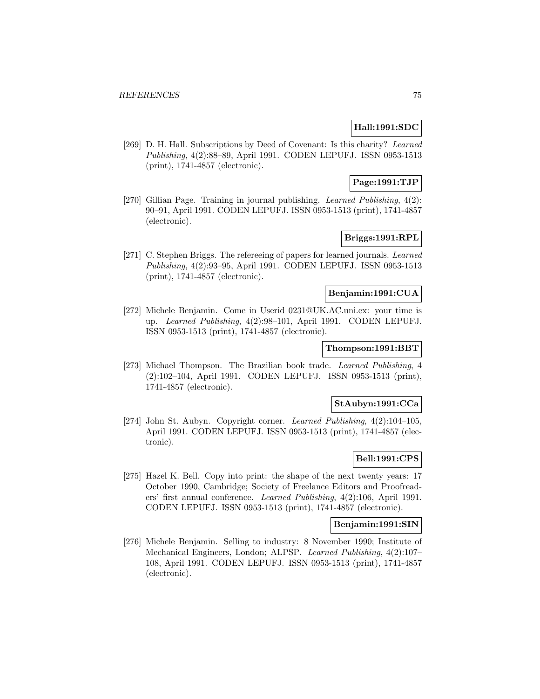# **Hall:1991:SDC**

[269] D. H. Hall. Subscriptions by Deed of Covenant: Is this charity? Learned Publishing, 4(2):88–89, April 1991. CODEN LEPUFJ. ISSN 0953-1513 (print), 1741-4857 (electronic).

# **Page:1991:TJP**

[270] Gillian Page. Training in journal publishing. Learned Publishing, 4(2): 90–91, April 1991. CODEN LEPUFJ. ISSN 0953-1513 (print), 1741-4857 (electronic).

# **Briggs:1991:RPL**

[271] C. Stephen Briggs. The refereeing of papers for learned journals. Learned Publishing, 4(2):93–95, April 1991. CODEN LEPUFJ. ISSN 0953-1513 (print), 1741-4857 (electronic).

## **Benjamin:1991:CUA**

[272] Michele Benjamin. Come in Userid 0231@UK.AC.uni.ex: your time is up. Learned Publishing, 4(2):98–101, April 1991. CODEN LEPUFJ. ISSN 0953-1513 (print), 1741-4857 (electronic).

# **Thompson:1991:BBT**

[273] Michael Thompson. The Brazilian book trade. Learned Publishing, 4 (2):102–104, April 1991. CODEN LEPUFJ. ISSN 0953-1513 (print), 1741-4857 (electronic).

## **StAubyn:1991:CCa**

[274] John St. Aubyn. Copyright corner. Learned Publishing, 4(2):104–105, April 1991. CODEN LEPUFJ. ISSN 0953-1513 (print), 1741-4857 (electronic).

# **Bell:1991:CPS**

[275] Hazel K. Bell. Copy into print: the shape of the next twenty years: 17 October 1990, Cambridge; Society of Freelance Editors and Proofreaders' first annual conference. Learned Publishing, 4(2):106, April 1991. CODEN LEPUFJ. ISSN 0953-1513 (print), 1741-4857 (electronic).

## **Benjamin:1991:SIN**

[276] Michele Benjamin. Selling to industry: 8 November 1990; Institute of Mechanical Engineers, London; ALPSP. Learned Publishing, 4(2):107– 108, April 1991. CODEN LEPUFJ. ISSN 0953-1513 (print), 1741-4857 (electronic).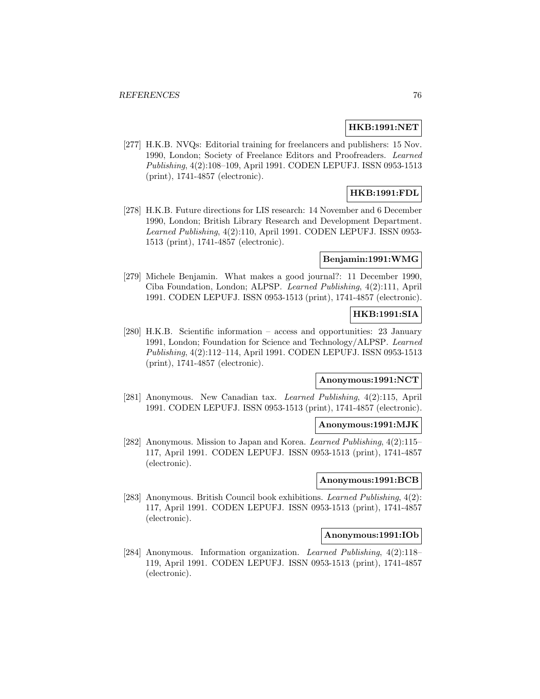## **HKB:1991:NET**

[277] H.K.B. NVQs: Editorial training for freelancers and publishers: 15 Nov. 1990, London; Society of Freelance Editors and Proofreaders. Learned Publishing, 4(2):108–109, April 1991. CODEN LEPUFJ. ISSN 0953-1513 (print), 1741-4857 (electronic).

# **HKB:1991:FDL**

[278] H.K.B. Future directions for LIS research: 14 November and 6 December 1990, London; British Library Research and Development Department. Learned Publishing, 4(2):110, April 1991. CODEN LEPUFJ. ISSN 0953- 1513 (print), 1741-4857 (electronic).

#### **Benjamin:1991:WMG**

[279] Michele Benjamin. What makes a good journal?: 11 December 1990, Ciba Foundation, London; ALPSP. Learned Publishing, 4(2):111, April 1991. CODEN LEPUFJ. ISSN 0953-1513 (print), 1741-4857 (electronic).

# **HKB:1991:SIA**

[280] H.K.B. Scientific information – access and opportunities: 23 January 1991, London; Foundation for Science and Technology/ALPSP. Learned Publishing, 4(2):112–114, April 1991. CODEN LEPUFJ. ISSN 0953-1513 (print), 1741-4857 (electronic).

# **Anonymous:1991:NCT**

[281] Anonymous. New Canadian tax. Learned Publishing, 4(2):115, April 1991. CODEN LEPUFJ. ISSN 0953-1513 (print), 1741-4857 (electronic).

#### **Anonymous:1991:MJK**

[282] Anonymous. Mission to Japan and Korea. Learned Publishing, 4(2):115– 117, April 1991. CODEN LEPUFJ. ISSN 0953-1513 (print), 1741-4857 (electronic).

# **Anonymous:1991:BCB**

[283] Anonymous. British Council book exhibitions. Learned Publishing, 4(2): 117, April 1991. CODEN LEPUFJ. ISSN 0953-1513 (print), 1741-4857 (electronic).

#### **Anonymous:1991:IOb**

[284] Anonymous. Information organization. Learned Publishing, 4(2):118– 119, April 1991. CODEN LEPUFJ. ISSN 0953-1513 (print), 1741-4857 (electronic).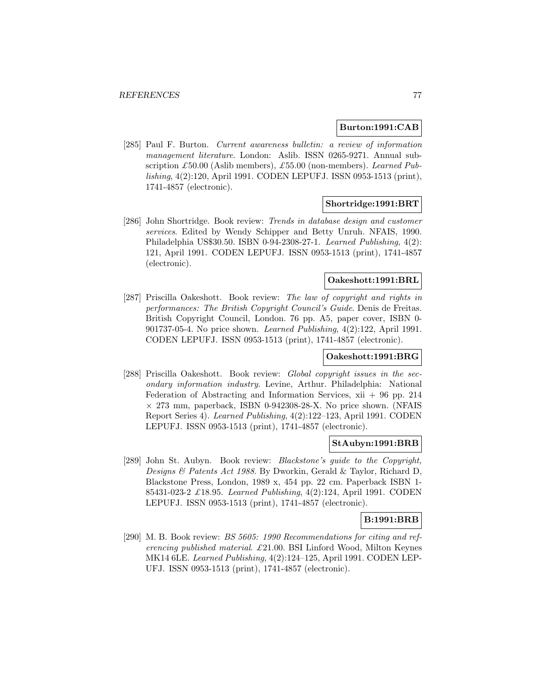#### **Burton:1991:CAB**

[285] Paul F. Burton. Current awareness bulletin: a review of information management literature. London: Aslib. ISSN 0265-9271. Annual subscription £50.00 (Aslib members), £55.00 (non-members). Learned Publishing, 4(2):120, April 1991. CODEN LEPUFJ. ISSN 0953-1513 (print), 1741-4857 (electronic).

## **Shortridge:1991:BRT**

[286] John Shortridge. Book review: Trends in database design and customer services. Edited by Wendy Schipper and Betty Unruh. NFAIS, 1990. Philadelphia US\$30.50. ISBN 0-94-2308-27-1. Learned Publishing, 4(2): 121, April 1991. CODEN LEPUFJ. ISSN 0953-1513 (print), 1741-4857 (electronic).

# **Oakeshott:1991:BRL**

[287] Priscilla Oakeshott. Book review: The law of copyright and rights in performances: The British Copyright Council's Guide. Denis de Freitas. British Copyright Council, London. 76 pp. A5, paper cover, ISBN 0- 901737-05-4. No price shown. Learned Publishing, 4(2):122, April 1991. CODEN LEPUFJ. ISSN 0953-1513 (print), 1741-4857 (electronic).

## **Oakeshott:1991:BRG**

[288] Priscilla Oakeshott. Book review: *Global copyright issues in the sec*ondary information industry. Levine, Arthur. Philadelphia: National Federation of Abstracting and Information Services,  $xii + 96$  pp. 214  $\times$  273 mm, paperback, ISBN 0-942308-28-X. No price shown. (NFAIS Report Series 4). Learned Publishing, 4(2):122–123, April 1991. CODEN LEPUFJ. ISSN 0953-1513 (print), 1741-4857 (electronic).

#### **StAubyn:1991:BRB**

[289] John St. Aubyn. Book review: *Blackstone's guide to the Copyright*, Designs & Patents Act 1988. By Dworkin, Gerald & Taylor, Richard D, Blackstone Press, London, 1989 x, 454 pp. 22 cm. Paperback ISBN 1- 85431-023-2 £18.95. Learned Publishing, 4(2):124, April 1991. CODEN LEPUFJ. ISSN 0953-1513 (print), 1741-4857 (electronic).

## **B:1991:BRB**

[290] M. B. Book review: BS 5605: 1990 Recommendations for citing and referencing published material. £21.00. BSI Linford Wood, Milton Keynes MK14 6LE. Learned Publishing, 4(2):124–125, April 1991. CODEN LEP-UFJ. ISSN 0953-1513 (print), 1741-4857 (electronic).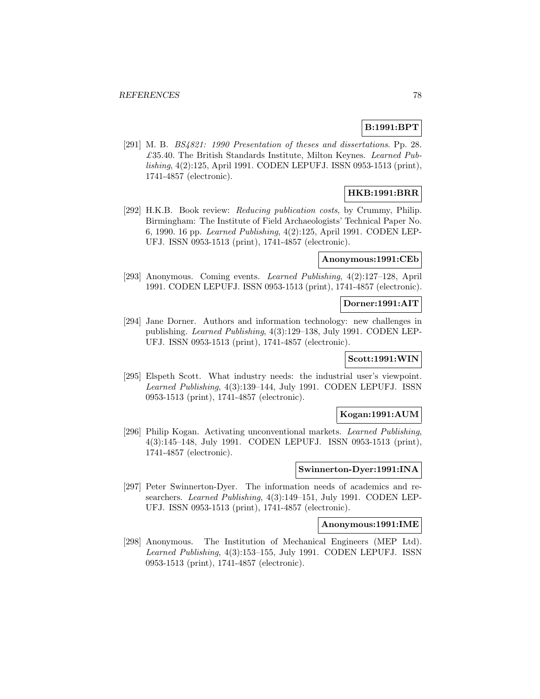# **B:1991:BPT**

[291] M. B. BS4821: 1990 Presentation of theses and dissertations. Pp. 28.  $£35.40.$  The British Standards Institute, Milton Keynes. Learned Publishing, 4(2):125, April 1991. CODEN LEPUFJ. ISSN 0953-1513 (print), 1741-4857 (electronic).

# **HKB:1991:BRR**

[292] H.K.B. Book review: Reducing publication costs, by Crummy, Philip. Birmingham: The Institute of Field Archaeologists' Technical Paper No. 6, 1990. 16 pp. Learned Publishing, 4(2):125, April 1991. CODEN LEP-UFJ. ISSN 0953-1513 (print), 1741-4857 (electronic).

#### **Anonymous:1991:CEb**

[293] Anonymous. Coming events. Learned Publishing, 4(2):127–128, April 1991. CODEN LEPUFJ. ISSN 0953-1513 (print), 1741-4857 (electronic).

#### **Dorner:1991:AIT**

[294] Jane Dorner. Authors and information technology: new challenges in publishing. Learned Publishing, 4(3):129–138, July 1991. CODEN LEP-UFJ. ISSN 0953-1513 (print), 1741-4857 (electronic).

## **Scott:1991:WIN**

[295] Elspeth Scott. What industry needs: the industrial user's viewpoint. Learned Publishing, 4(3):139–144, July 1991. CODEN LEPUFJ. ISSN 0953-1513 (print), 1741-4857 (electronic).

#### **Kogan:1991:AUM**

[296] Philip Kogan. Activating unconventional markets. Learned Publishing, 4(3):145–148, July 1991. CODEN LEPUFJ. ISSN 0953-1513 (print), 1741-4857 (electronic).

#### **Swinnerton-Dyer:1991:INA**

[297] Peter Swinnerton-Dyer. The information needs of academics and researchers. Learned Publishing, 4(3):149–151, July 1991. CODEN LEP-UFJ. ISSN 0953-1513 (print), 1741-4857 (electronic).

## **Anonymous:1991:IME**

[298] Anonymous. The Institution of Mechanical Engineers (MEP Ltd). Learned Publishing, 4(3):153–155, July 1991. CODEN LEPUFJ. ISSN 0953-1513 (print), 1741-4857 (electronic).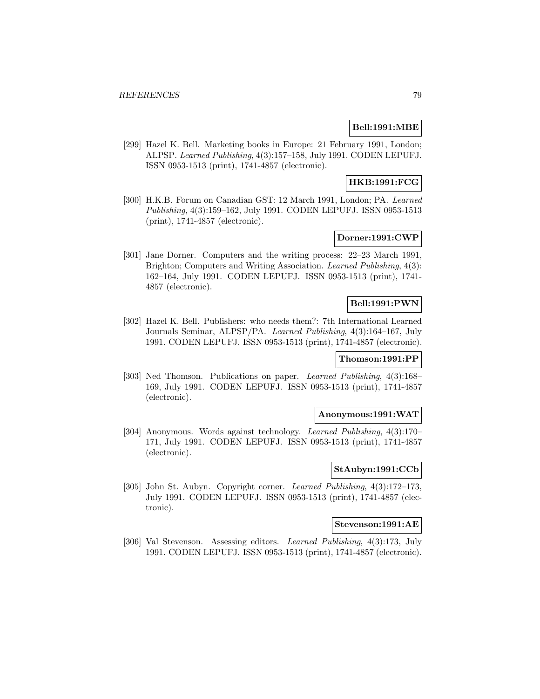## **Bell:1991:MBE**

[299] Hazel K. Bell. Marketing books in Europe: 21 February 1991, London; ALPSP. Learned Publishing, 4(3):157–158, July 1991. CODEN LEPUFJ. ISSN 0953-1513 (print), 1741-4857 (electronic).

# **HKB:1991:FCG**

[300] H.K.B. Forum on Canadian GST: 12 March 1991, London; PA. Learned Publishing, 4(3):159–162, July 1991. CODEN LEPUFJ. ISSN 0953-1513 (print), 1741-4857 (electronic).

# **Dorner:1991:CWP**

[301] Jane Dorner. Computers and the writing process: 22–23 March 1991, Brighton; Computers and Writing Association. Learned Publishing, 4(3): 162–164, July 1991. CODEN LEPUFJ. ISSN 0953-1513 (print), 1741- 4857 (electronic).

# **Bell:1991:PWN**

[302] Hazel K. Bell. Publishers: who needs them?: 7th International Learned Journals Seminar, ALPSP/PA. Learned Publishing, 4(3):164–167, July 1991. CODEN LEPUFJ. ISSN 0953-1513 (print), 1741-4857 (electronic).

# **Thomson:1991:PP**

[303] Ned Thomson. Publications on paper. Learned Publishing, 4(3):168– 169, July 1991. CODEN LEPUFJ. ISSN 0953-1513 (print), 1741-4857 (electronic).

## **Anonymous:1991:WAT**

[304] Anonymous. Words against technology. Learned Publishing, 4(3):170– 171, July 1991. CODEN LEPUFJ. ISSN 0953-1513 (print), 1741-4857 (electronic).

# **StAubyn:1991:CCb**

[305] John St. Aubyn. Copyright corner. Learned Publishing, 4(3):172–173, July 1991. CODEN LEPUFJ. ISSN 0953-1513 (print), 1741-4857 (electronic).

## **Stevenson:1991:AE**

[306] Val Stevenson. Assessing editors. Learned Publishing, 4(3):173, July 1991. CODEN LEPUFJ. ISSN 0953-1513 (print), 1741-4857 (electronic).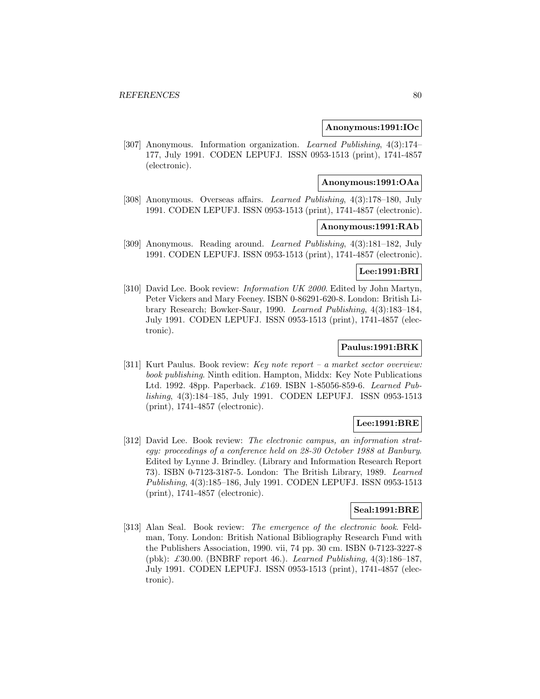#### **Anonymous:1991:IOc**

[307] Anonymous. Information organization. Learned Publishing, 4(3):174– 177, July 1991. CODEN LEPUFJ. ISSN 0953-1513 (print), 1741-4857 (electronic).

#### **Anonymous:1991:OAa**

[308] Anonymous. Overseas affairs. Learned Publishing, 4(3):178–180, July 1991. CODEN LEPUFJ. ISSN 0953-1513 (print), 1741-4857 (electronic).

## **Anonymous:1991:RAb**

[309] Anonymous. Reading around. Learned Publishing, 4(3):181–182, July 1991. CODEN LEPUFJ. ISSN 0953-1513 (print), 1741-4857 (electronic).

## **Lee:1991:BRI**

[310] David Lee. Book review: Information UK 2000. Edited by John Martyn, Peter Vickers and Mary Feeney. ISBN 0-86291-620-8. London: British Library Research; Bowker-Saur, 1990. Learned Publishing, 4(3):183–184, July 1991. CODEN LEPUFJ. ISSN 0953-1513 (print), 1741-4857 (electronic).

## **Paulus:1991:BRK**

[311] Kurt Paulus. Book review: Key note report – a market sector overview: book publishing. Ninth edition. Hampton, Middx: Key Note Publications Ltd. 1992. 48pp. Paperback. £169. ISBN 1-85056-859-6. Learned Publishing, 4(3):184–185, July 1991. CODEN LEPUFJ. ISSN 0953-1513 (print), 1741-4857 (electronic).

## **Lee:1991:BRE**

[312] David Lee. Book review: The electronic campus, an information strategy: proceedings of a conference held on 28-30 October 1988 at Banbury. Edited by Lynne J. Brindley. (Library and Information Research Report 73). ISBN 0-7123-3187-5. London: The British Library, 1989. Learned Publishing, 4(3):185–186, July 1991. CODEN LEPUFJ. ISSN 0953-1513 (print), 1741-4857 (electronic).

# **Seal:1991:BRE**

[313] Alan Seal. Book review: *The emergence of the electronic book*. Feldman, Tony. London: British National Bibliography Research Fund with the Publishers Association, 1990. vii, 74 pp. 30 cm. ISBN 0-7123-3227-8 (pbk): £30.00. (BNBRF report 46.). Learned Publishing,  $4(3)$ :186-187, July 1991. CODEN LEPUFJ. ISSN 0953-1513 (print), 1741-4857 (electronic).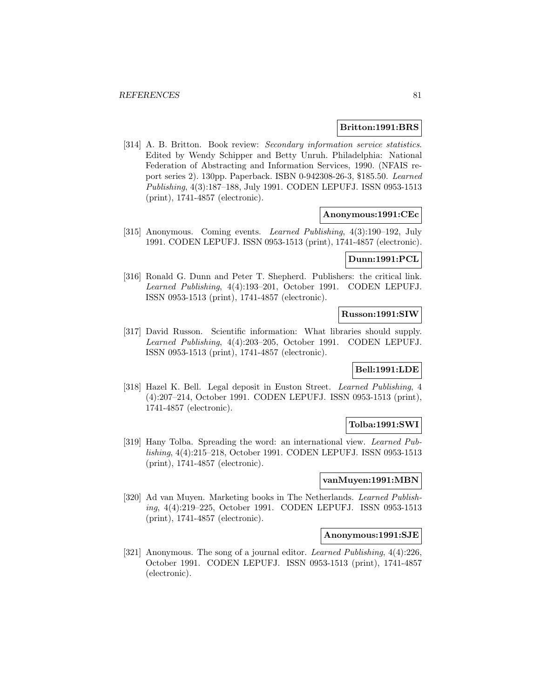#### **Britton:1991:BRS**

[314] A. B. Britton. Book review: Secondary information service statistics. Edited by Wendy Schipper and Betty Unruh. Philadelphia: National Federation of Abstracting and Information Services, 1990. (NFAIS report series 2). 130pp. Paperback. ISBN 0-942308-26-3, \$185.50. Learned Publishing, 4(3):187–188, July 1991. CODEN LEPUFJ. ISSN 0953-1513 (print), 1741-4857 (electronic).

#### **Anonymous:1991:CEc**

[315] Anonymous. Coming events. Learned Publishing, 4(3):190–192, July 1991. CODEN LEPUFJ. ISSN 0953-1513 (print), 1741-4857 (electronic).

#### **Dunn:1991:PCL**

[316] Ronald G. Dunn and Peter T. Shepherd. Publishers: the critical link. Learned Publishing, 4(4):193–201, October 1991. CODEN LEPUFJ. ISSN 0953-1513 (print), 1741-4857 (electronic).

## **Russon:1991:SIW**

[317] David Russon. Scientific information: What libraries should supply. Learned Publishing, 4(4):203–205, October 1991. CODEN LEPUFJ. ISSN 0953-1513 (print), 1741-4857 (electronic).

## **Bell:1991:LDE**

[318] Hazel K. Bell. Legal deposit in Euston Street. Learned Publishing, 4 (4):207–214, October 1991. CODEN LEPUFJ. ISSN 0953-1513 (print), 1741-4857 (electronic).

## **Tolba:1991:SWI**

[319] Hany Tolba. Spreading the word: an international view. Learned Publishing, 4(4):215–218, October 1991. CODEN LEPUFJ. ISSN 0953-1513 (print), 1741-4857 (electronic).

# **vanMuyen:1991:MBN**

[320] Ad van Muyen. Marketing books in The Netherlands. Learned Publishing, 4(4):219–225, October 1991. CODEN LEPUFJ. ISSN 0953-1513 (print), 1741-4857 (electronic).

#### **Anonymous:1991:SJE**

[321] Anonymous. The song of a journal editor. Learned Publishing, 4(4):226, October 1991. CODEN LEPUFJ. ISSN 0953-1513 (print), 1741-4857 (electronic).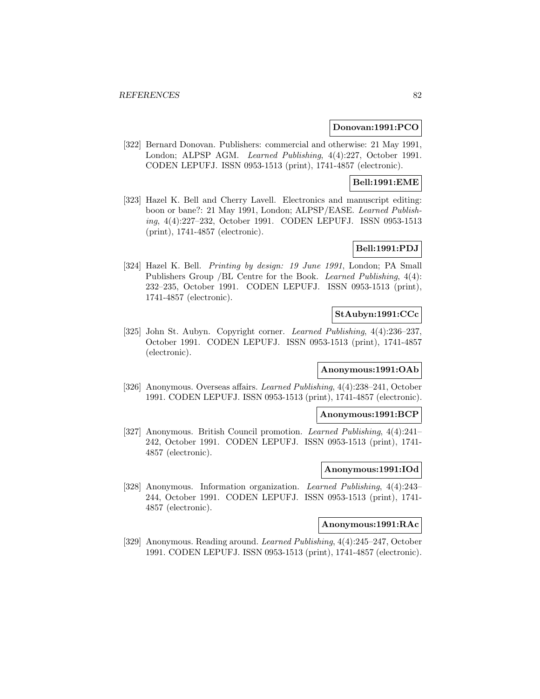#### **Donovan:1991:PCO**

[322] Bernard Donovan. Publishers: commercial and otherwise: 21 May 1991, London; ALPSP AGM. Learned Publishing, 4(4):227, October 1991. CODEN LEPUFJ. ISSN 0953-1513 (print), 1741-4857 (electronic).

# **Bell:1991:EME**

[323] Hazel K. Bell and Cherry Lavell. Electronics and manuscript editing: boon or bane?: 21 May 1991, London; ALPSP/EASE. Learned Publishing, 4(4):227–232, October 1991. CODEN LEPUFJ. ISSN 0953-1513 (print), 1741-4857 (electronic).

## **Bell:1991:PDJ**

[324] Hazel K. Bell. Printing by design: 19 June 1991, London; PA Small Publishers Group /BL Centre for the Book. Learned Publishing, 4(4): 232–235, October 1991. CODEN LEPUFJ. ISSN 0953-1513 (print), 1741-4857 (electronic).

## **StAubyn:1991:CCc**

[325] John St. Aubyn. Copyright corner. Learned Publishing, 4(4):236–237, October 1991. CODEN LEPUFJ. ISSN 0953-1513 (print), 1741-4857 (electronic).

## **Anonymous:1991:OAb**

[326] Anonymous. Overseas affairs. Learned Publishing, 4(4):238–241, October 1991. CODEN LEPUFJ. ISSN 0953-1513 (print), 1741-4857 (electronic).

#### **Anonymous:1991:BCP**

[327] Anonymous. British Council promotion. Learned Publishing, 4(4):241– 242, October 1991. CODEN LEPUFJ. ISSN 0953-1513 (print), 1741- 4857 (electronic).

#### **Anonymous:1991:IOd**

[328] Anonymous. Information organization. Learned Publishing, 4(4):243– 244, October 1991. CODEN LEPUFJ. ISSN 0953-1513 (print), 1741- 4857 (electronic).

# **Anonymous:1991:RAc**

[329] Anonymous. Reading around. Learned Publishing, 4(4):245–247, October 1991. CODEN LEPUFJ. ISSN 0953-1513 (print), 1741-4857 (electronic).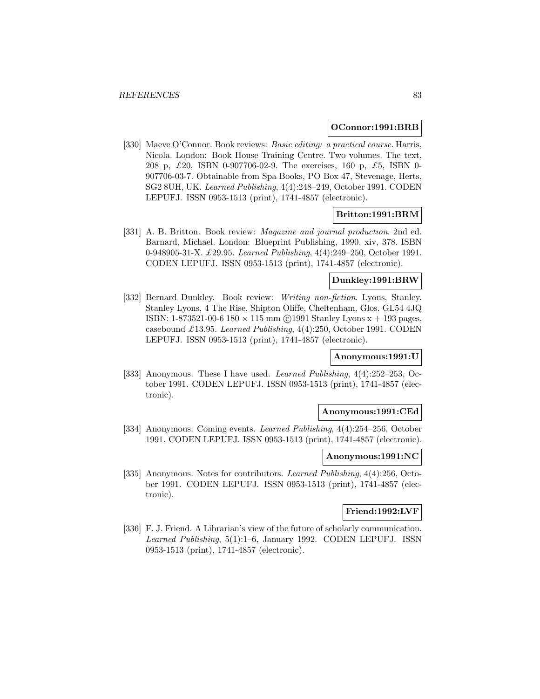#### **OConnor:1991:BRB**

[330] Maeve O'Connor. Book reviews: Basic editing: a practical course. Harris, Nicola. London: Book House Training Centre. Two volumes. The text, 208 p, £20, ISBN 0-907706-02-9. The exercises, 160 p, £5, ISBN 0- 907706-03-7. Obtainable from Spa Books, PO Box 47, Stevenage, Herts, SG2 8UH, UK. Learned Publishing, 4(4):248–249, October 1991. CODEN LEPUFJ. ISSN 0953-1513 (print), 1741-4857 (electronic).

#### **Britton:1991:BRM**

[331] A. B. Britton. Book review: *Magazine and journal production*. 2nd ed. Barnard, Michael. London: Blueprint Publishing, 1990. xiv, 378. ISBN 0-948905-31-X. £29.95. Learned Publishing, 4(4):249–250, October 1991. CODEN LEPUFJ. ISSN 0953-1513 (print), 1741-4857 (electronic).

# **Dunkley:1991:BRW**

[332] Bernard Dunkley. Book review: Writing non-fiction. Lyons, Stanley. Stanley Lyons, 4 The Rise, Shipton Oliffe, Cheltenham, Glos. GL54 4JQ ISBN: 1-873521-00-6 180  $\times$  115 mm (c) 1991 Stanley Lyons  $x + 193$  pages, casebound £13.95. Learned Publishing, 4(4):250, October 1991. CODEN LEPUFJ. ISSN 0953-1513 (print), 1741-4857 (electronic).

## **Anonymous:1991:U**

[333] Anonymous. These I have used. *Learned Publishing*, 4(4):252–253, October 1991. CODEN LEPUFJ. ISSN 0953-1513 (print), 1741-4857 (electronic).

#### **Anonymous:1991:CEd**

[334] Anonymous. Coming events. *Learned Publishing*, 4(4):254–256, October 1991. CODEN LEPUFJ. ISSN 0953-1513 (print), 1741-4857 (electronic).

# **Anonymous:1991:NC**

[335] Anonymous. Notes for contributors. Learned Publishing, 4(4):256, October 1991. CODEN LEPUFJ. ISSN 0953-1513 (print), 1741-4857 (electronic).

## **Friend:1992:LVF**

[336] F. J. Friend. A Librarian's view of the future of scholarly communication. Learned Publishing, 5(1):1–6, January 1992. CODEN LEPUFJ. ISSN 0953-1513 (print), 1741-4857 (electronic).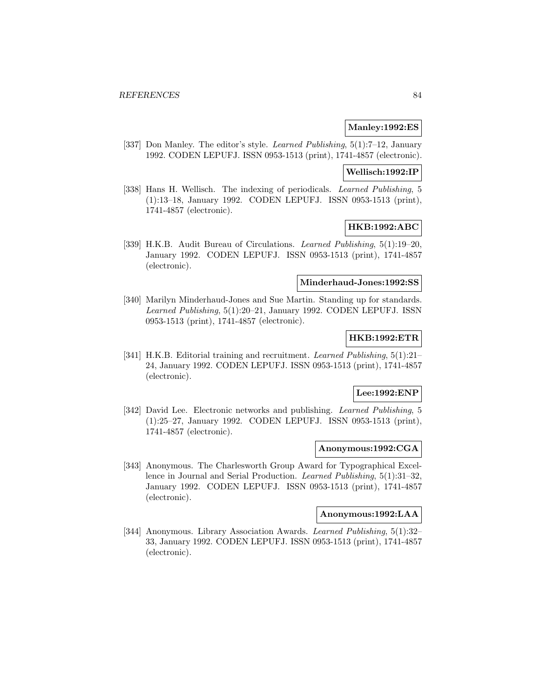## **Manley:1992:ES**

[337] Don Manley. The editor's style. *Learned Publishing*, 5(1):7–12, January 1992. CODEN LEPUFJ. ISSN 0953-1513 (print), 1741-4857 (electronic).

## **Wellisch:1992:IP**

[338] Hans H. Wellisch. The indexing of periodicals. Learned Publishing, 5 (1):13–18, January 1992. CODEN LEPUFJ. ISSN 0953-1513 (print), 1741-4857 (electronic).

# **HKB:1992:ABC**

[339] H.K.B. Audit Bureau of Circulations. Learned Publishing, 5(1):19–20, January 1992. CODEN LEPUFJ. ISSN 0953-1513 (print), 1741-4857 (electronic).

## **Minderhaud-Jones:1992:SS**

[340] Marilyn Minderhaud-Jones and Sue Martin. Standing up for standards. Learned Publishing, 5(1):20–21, January 1992. CODEN LEPUFJ. ISSN 0953-1513 (print), 1741-4857 (electronic).

## **HKB:1992:ETR**

[341] H.K.B. Editorial training and recruitment. *Learned Publishing*, 5(1):21– 24, January 1992. CODEN LEPUFJ. ISSN 0953-1513 (print), 1741-4857 (electronic).

# **Lee:1992:ENP**

[342] David Lee. Electronic networks and publishing. Learned Publishing, 5 (1):25–27, January 1992. CODEN LEPUFJ. ISSN 0953-1513 (print), 1741-4857 (electronic).

#### **Anonymous:1992:CGA**

[343] Anonymous. The Charlesworth Group Award for Typographical Excellence in Journal and Serial Production. Learned Publishing, 5(1):31–32, January 1992. CODEN LEPUFJ. ISSN 0953-1513 (print), 1741-4857 (electronic).

# **Anonymous:1992:LAA**

[344] Anonymous. Library Association Awards. Learned Publishing, 5(1):32– 33, January 1992. CODEN LEPUFJ. ISSN 0953-1513 (print), 1741-4857 (electronic).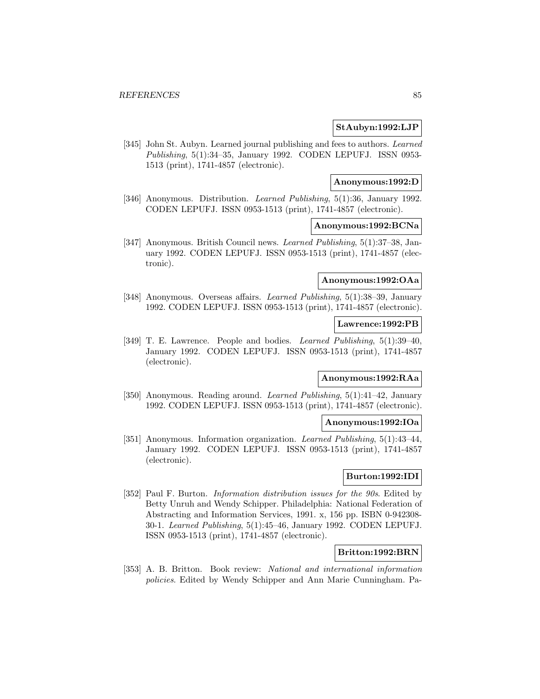#### **StAubyn:1992:LJP**

[345] John St. Aubyn. Learned journal publishing and fees to authors. Learned Publishing, 5(1):34–35, January 1992. CODEN LEPUFJ. ISSN 0953- 1513 (print), 1741-4857 (electronic).

#### **Anonymous:1992:D**

[346] Anonymous. Distribution. *Learned Publishing*, 5(1):36, January 1992. CODEN LEPUFJ. ISSN 0953-1513 (print), 1741-4857 (electronic).

#### **Anonymous:1992:BCNa**

[347] Anonymous. British Council news. Learned Publishing, 5(1):37–38, January 1992. CODEN LEPUFJ. ISSN 0953-1513 (print), 1741-4857 (electronic).

## **Anonymous:1992:OAa**

[348] Anonymous. Overseas affairs. Learned Publishing, 5(1):38–39, January 1992. CODEN LEPUFJ. ISSN 0953-1513 (print), 1741-4857 (electronic).

## **Lawrence:1992:PB**

[349] T. E. Lawrence. People and bodies. Learned Publishing, 5(1):39–40, January 1992. CODEN LEPUFJ. ISSN 0953-1513 (print), 1741-4857 (electronic).

# **Anonymous:1992:RAa**

[350] Anonymous. Reading around. Learned Publishing, 5(1):41–42, January 1992. CODEN LEPUFJ. ISSN 0953-1513 (print), 1741-4857 (electronic).

## **Anonymous:1992:IOa**

[351] Anonymous. Information organization. Learned Publishing, 5(1):43–44, January 1992. CODEN LEPUFJ. ISSN 0953-1513 (print), 1741-4857 (electronic).

#### **Burton:1992:IDI**

[352] Paul F. Burton. *Information distribution issues for the 90s*. Edited by Betty Unruh and Wendy Schipper. Philadelphia: National Federation of Abstracting and Information Services, 1991. x, 156 pp. ISBN 0-942308- 30-1. Learned Publishing, 5(1):45–46, January 1992. CODEN LEPUFJ. ISSN 0953-1513 (print), 1741-4857 (electronic).

# **Britton:1992:BRN**

[353] A. B. Britton. Book review: National and international information policies. Edited by Wendy Schipper and Ann Marie Cunningham. Pa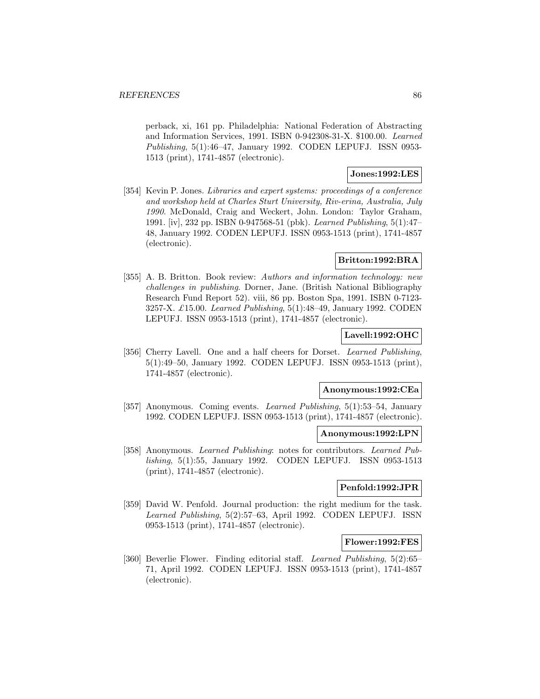perback, xi, 161 pp. Philadelphia: National Federation of Abstracting and Information Services, 1991. ISBN 0-942308-31-X. \$100.00. Learned Publishing, 5(1):46–47, January 1992. CODEN LEPUFJ. ISSN 0953- 1513 (print), 1741-4857 (electronic).

## **Jones:1992:LES**

[354] Kevin P. Jones. Libraries and expert systems: proceedings of a conference and workshop held at Charles Sturt University, Riv-erina, Australia, July 1990. McDonald, Craig and Weckert, John. London: Taylor Graham, 1991. [iv], 232 pp. ISBN 0-947568-51 (pbk). Learned Publishing, 5(1):47– 48, January 1992. CODEN LEPUFJ. ISSN 0953-1513 (print), 1741-4857 (electronic).

## **Britton:1992:BRA**

[355] A. B. Britton. Book review: Authors and information technology: new challenges in publishing. Dorner, Jane. (British National Bibliography Research Fund Report 52). viii, 86 pp. Boston Spa, 1991. ISBN 0-7123- 3257-X. £15.00. Learned Publishing, 5(1):48–49, January 1992. CODEN LEPUFJ. ISSN 0953-1513 (print), 1741-4857 (electronic).

#### **Lavell:1992:OHC**

[356] Cherry Lavell. One and a half cheers for Dorset. *Learned Publishing*, 5(1):49–50, January 1992. CODEN LEPUFJ. ISSN 0953-1513 (print), 1741-4857 (electronic).

#### **Anonymous:1992:CEa**

[357] Anonymous. Coming events. Learned Publishing, 5(1):53–54, January 1992. CODEN LEPUFJ. ISSN 0953-1513 (print), 1741-4857 (electronic).

#### **Anonymous:1992:LPN**

[358] Anonymous. Learned Publishing: notes for contributors. Learned Publishing, 5(1):55, January 1992. CODEN LEPUFJ. ISSN 0953-1513 (print), 1741-4857 (electronic).

## **Penfold:1992:JPR**

[359] David W. Penfold. Journal production: the right medium for the task. Learned Publishing, 5(2):57–63, April 1992. CODEN LEPUFJ. ISSN 0953-1513 (print), 1741-4857 (electronic).

## **Flower:1992:FES**

[360] Beverlie Flower. Finding editorial staff. Learned Publishing, 5(2):65– 71, April 1992. CODEN LEPUFJ. ISSN 0953-1513 (print), 1741-4857 (electronic).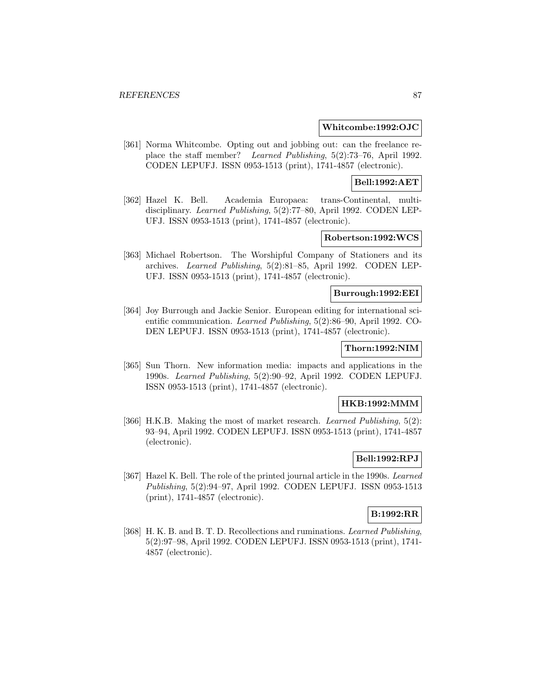#### **Whitcombe:1992:OJC**

[361] Norma Whitcombe. Opting out and jobbing out: can the freelance replace the staff member? Learned Publishing, 5(2):73–76, April 1992. CODEN LEPUFJ. ISSN 0953-1513 (print), 1741-4857 (electronic).

## **Bell:1992:AET**

[362] Hazel K. Bell. Academia Europaea: trans-Continental, multidisciplinary. Learned Publishing, 5(2):77–80, April 1992. CODEN LEP-UFJ. ISSN 0953-1513 (print), 1741-4857 (electronic).

#### **Robertson:1992:WCS**

[363] Michael Robertson. The Worshipful Company of Stationers and its archives. Learned Publishing, 5(2):81–85, April 1992. CODEN LEP-UFJ. ISSN 0953-1513 (print), 1741-4857 (electronic).

#### **Burrough:1992:EEI**

[364] Joy Burrough and Jackie Senior. European editing for international scientific communication. Learned Publishing, 5(2):86–90, April 1992. CO-DEN LEPUFJ. ISSN 0953-1513 (print), 1741-4857 (electronic).

# **Thorn:1992:NIM**

[365] Sun Thorn. New information media: impacts and applications in the 1990s. Learned Publishing, 5(2):90–92, April 1992. CODEN LEPUFJ. ISSN 0953-1513 (print), 1741-4857 (electronic).

#### **HKB:1992:MMM**

[366] H.K.B. Making the most of market research. *Learned Publishing*, 5(2): 93–94, April 1992. CODEN LEPUFJ. ISSN 0953-1513 (print), 1741-4857 (electronic).

## **Bell:1992:RPJ**

[367] Hazel K. Bell. The role of the printed journal article in the 1990s. Learned Publishing, 5(2):94–97, April 1992. CODEN LEPUFJ. ISSN 0953-1513 (print), 1741-4857 (electronic).

# **B:1992:RR**

[368] H. K. B. and B. T. D. Recollections and ruminations. Learned Publishing, 5(2):97–98, April 1992. CODEN LEPUFJ. ISSN 0953-1513 (print), 1741- 4857 (electronic).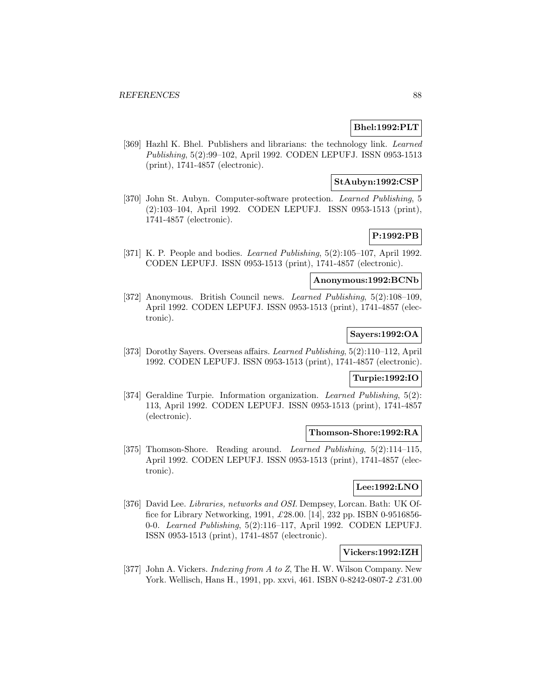## **Bhel:1992:PLT**

[369] Hazhl K. Bhel. Publishers and librarians: the technology link. Learned Publishing, 5(2):99–102, April 1992. CODEN LEPUFJ. ISSN 0953-1513 (print), 1741-4857 (electronic).

## **StAubyn:1992:CSP**

[370] John St. Aubyn. Computer-software protection. Learned Publishing, 5 (2):103–104, April 1992. CODEN LEPUFJ. ISSN 0953-1513 (print), 1741-4857 (electronic).

# **P:1992:PB**

[371] K. P. People and bodies. Learned Publishing, 5(2):105–107, April 1992. CODEN LEPUFJ. ISSN 0953-1513 (print), 1741-4857 (electronic).

# **Anonymous:1992:BCNb**

[372] Anonymous. British Council news. Learned Publishing, 5(2):108–109, April 1992. CODEN LEPUFJ. ISSN 0953-1513 (print), 1741-4857 (electronic).

# **Sayers:1992:OA**

[373] Dorothy Sayers. Overseas affairs. Learned Publishing, 5(2):110–112, April 1992. CODEN LEPUFJ. ISSN 0953-1513 (print), 1741-4857 (electronic).

# **Turpie:1992:IO**

[374] Geraldine Turpie. Information organization. Learned Publishing, 5(2): 113, April 1992. CODEN LEPUFJ. ISSN 0953-1513 (print), 1741-4857 (electronic).

#### **Thomson-Shore:1992:RA**

[375] Thomson-Shore. Reading around. *Learned Publishing*, 5(2):114–115, April 1992. CODEN LEPUFJ. ISSN 0953-1513 (print), 1741-4857 (electronic).

## **Lee:1992:LNO**

[376] David Lee. Libraries, networks and OSI. Dempsey, Lorcan. Bath: UK Office for Library Networking, 1991, £28.00. [14], 232 pp. ISBN 0-9516856- 0-0. Learned Publishing, 5(2):116–117, April 1992. CODEN LEPUFJ. ISSN 0953-1513 (print), 1741-4857 (electronic).

# **Vickers:1992:IZH**

[377] John A. Vickers. *Indexing from A to Z*, The H. W. Wilson Company. New York. Wellisch, Hans H., 1991, pp. xxvi, 461. ISBN 0-8242-0807-2 £31.00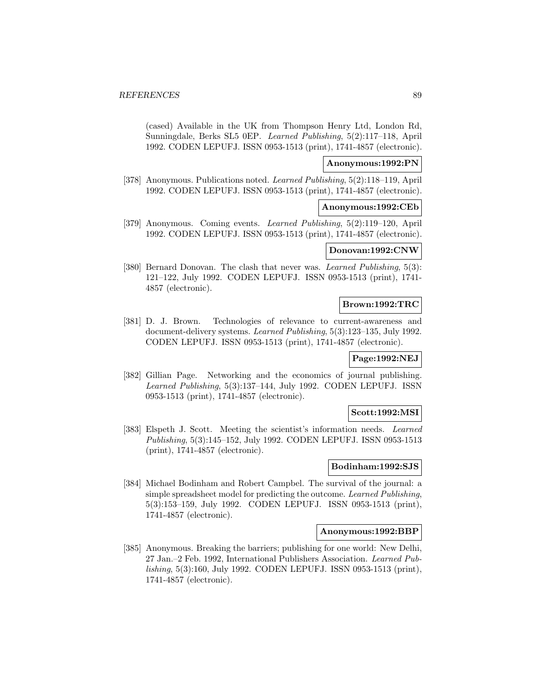(cased) Available in the UK from Thompson Henry Ltd, London Rd, Sunningdale, Berks SL5 0EP. Learned Publishing, 5(2):117–118, April 1992. CODEN LEPUFJ. ISSN 0953-1513 (print), 1741-4857 (electronic).

## **Anonymous:1992:PN**

[378] Anonymous. Publications noted. Learned Publishing, 5(2):118–119, April 1992. CODEN LEPUFJ. ISSN 0953-1513 (print), 1741-4857 (electronic).

#### **Anonymous:1992:CEb**

[379] Anonymous. Coming events. Learned Publishing, 5(2):119–120, April 1992. CODEN LEPUFJ. ISSN 0953-1513 (print), 1741-4857 (electronic).

#### **Donovan:1992:CNW**

[380] Bernard Donovan. The clash that never was. Learned Publishing, 5(3): 121–122, July 1992. CODEN LEPUFJ. ISSN 0953-1513 (print), 1741- 4857 (electronic).

## **Brown:1992:TRC**

[381] D. J. Brown. Technologies of relevance to current-awareness and document-delivery systems. Learned Publishing, 5(3):123–135, July 1992. CODEN LEPUFJ. ISSN 0953-1513 (print), 1741-4857 (electronic).

## **Page:1992:NEJ**

[382] Gillian Page. Networking and the economics of journal publishing. Learned Publishing, 5(3):137–144, July 1992. CODEN LEPUFJ. ISSN 0953-1513 (print), 1741-4857 (electronic).

#### **Scott:1992:MSI**

[383] Elspeth J. Scott. Meeting the scientist's information needs. Learned Publishing, 5(3):145–152, July 1992. CODEN LEPUFJ. ISSN 0953-1513 (print), 1741-4857 (electronic).

#### **Bodinham:1992:SJS**

[384] Michael Bodinham and Robert Campbel. The survival of the journal: a simple spreadsheet model for predicting the outcome. Learned Publishing, 5(3):153–159, July 1992. CODEN LEPUFJ. ISSN 0953-1513 (print), 1741-4857 (electronic).

#### **Anonymous:1992:BBP**

[385] Anonymous. Breaking the barriers; publishing for one world: New Delhi, 27 Jan.–2 Feb. 1992, International Publishers Association. Learned Publishing, 5(3):160, July 1992. CODEN LEPUFJ. ISSN 0953-1513 (print), 1741-4857 (electronic).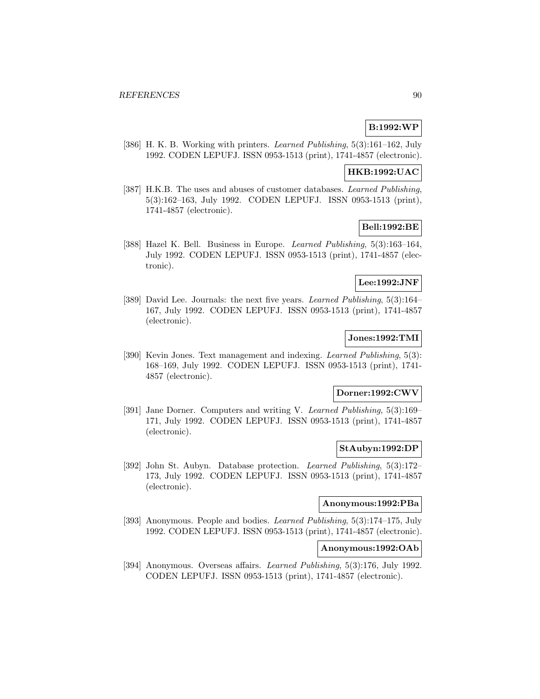# **B:1992:WP**

[386] H. K. B. Working with printers. Learned Publishing, 5(3):161–162, July 1992. CODEN LEPUFJ. ISSN 0953-1513 (print), 1741-4857 (electronic).

#### **HKB:1992:UAC**

[387] H.K.B. The uses and abuses of customer databases. Learned Publishing, 5(3):162–163, July 1992. CODEN LEPUFJ. ISSN 0953-1513 (print), 1741-4857 (electronic).

## **Bell:1992:BE**

[388] Hazel K. Bell. Business in Europe. Learned Publishing, 5(3):163–164, July 1992. CODEN LEPUFJ. ISSN 0953-1513 (print), 1741-4857 (electronic).

#### **Lee:1992:JNF**

[389] David Lee. Journals: the next five years. Learned Publishing, 5(3):164– 167, July 1992. CODEN LEPUFJ. ISSN 0953-1513 (print), 1741-4857 (electronic).

# **Jones:1992:TMI**

[390] Kevin Jones. Text management and indexing. Learned Publishing, 5(3): 168–169, July 1992. CODEN LEPUFJ. ISSN 0953-1513 (print), 1741- 4857 (electronic).

## **Dorner:1992:CWV**

[391] Jane Dorner. Computers and writing V. Learned Publishing, 5(3):169– 171, July 1992. CODEN LEPUFJ. ISSN 0953-1513 (print), 1741-4857 (electronic).

#### **StAubyn:1992:DP**

[392] John St. Aubyn. Database protection. Learned Publishing, 5(3):172– 173, July 1992. CODEN LEPUFJ. ISSN 0953-1513 (print), 1741-4857 (electronic).

#### **Anonymous:1992:PBa**

[393] Anonymous. People and bodies. Learned Publishing, 5(3):174–175, July 1992. CODEN LEPUFJ. ISSN 0953-1513 (print), 1741-4857 (electronic).

## **Anonymous:1992:OAb**

[394] Anonymous. Overseas affairs. Learned Publishing, 5(3):176, July 1992. CODEN LEPUFJ. ISSN 0953-1513 (print), 1741-4857 (electronic).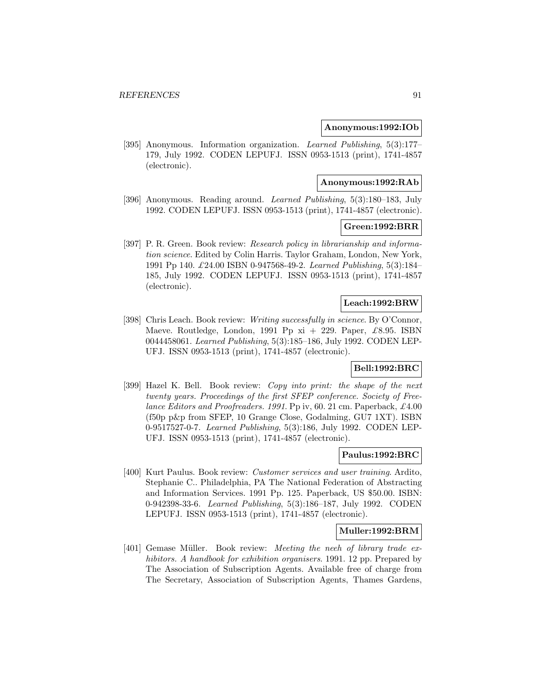#### **Anonymous:1992:IOb**

[395] Anonymous. Information organization. Learned Publishing, 5(3):177– 179, July 1992. CODEN LEPUFJ. ISSN 0953-1513 (print), 1741-4857 (electronic).

#### **Anonymous:1992:RAb**

[396] Anonymous. Reading around. Learned Publishing, 5(3):180–183, July 1992. CODEN LEPUFJ. ISSN 0953-1513 (print), 1741-4857 (electronic).

#### **Green:1992:BRR**

[397] P. R. Green. Book review: Research policy in librarianship and information science. Edited by Colin Harris. Taylor Graham, London, New York, 1991 Pp 140. £24.00 ISBN 0-947568-49-2. Learned Publishing, 5(3):184– 185, July 1992. CODEN LEPUFJ. ISSN 0953-1513 (print), 1741-4857 (electronic).

#### **Leach:1992:BRW**

[398] Chris Leach. Book review: Writing successfully in science. By O'Connor, Maeve. Routledge, London, 1991 Pp  $xi + 229$ . Paper, £8.95. ISBN 0044458061. Learned Publishing, 5(3):185–186, July 1992. CODEN LEP-UFJ. ISSN 0953-1513 (print), 1741-4857 (electronic).

# **Bell:1992:BRC**

[399] Hazel K. Bell. Book review: Copy into print: the shape of the next twenty years. Proceedings of the first SFEP conference. Society of Freelance Editors and Proofreaders. 1991. Pp iv, 60. 21 cm. Paperback, £4.00 (f50p p&p from SFEP, 10 Grange Close, Godalming, GU7 1XT). ISBN 0-9517527-0-7. Learned Publishing, 5(3):186, July 1992. CODEN LEP-UFJ. ISSN 0953-1513 (print), 1741-4857 (electronic).

#### **Paulus:1992:BRC**

[400] Kurt Paulus. Book review: Customer services and user training. Ardito, Stephanie C.. Philadelphia, PA The National Federation of Abstracting and Information Services. 1991 Pp. 125. Paperback, US \$50.00. ISBN: 0-942398-33-6. Learned Publishing, 5(3):186–187, July 1992. CODEN LEPUFJ. ISSN 0953-1513 (print), 1741-4857 (electronic).

## **Muller:1992:BRM**

[401] Gemase Müller. Book review: Meeting the neeh of library trade exhibitors. A handbook for exhibition organisers. 1991. 12 pp. Prepared by The Association of Subscription Agents. Available free of charge from The Secretary, Association of Subscription Agents, Thames Gardens,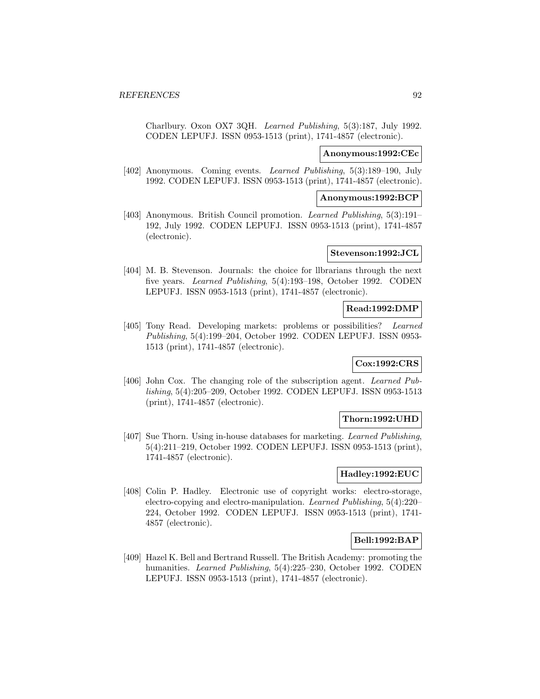Charlbury. Oxon OX7 3QH. Learned Publishing, 5(3):187, July 1992. CODEN LEPUFJ. ISSN 0953-1513 (print), 1741-4857 (electronic).

#### **Anonymous:1992:CEc**

[402] Anonymous. Coming events. Learned Publishing, 5(3):189–190, July 1992. CODEN LEPUFJ. ISSN 0953-1513 (print), 1741-4857 (electronic).

#### **Anonymous:1992:BCP**

[403] Anonymous. British Council promotion. Learned Publishing, 5(3):191– 192, July 1992. CODEN LEPUFJ. ISSN 0953-1513 (print), 1741-4857 (electronic).

## **Stevenson:1992:JCL**

[404] M. B. Stevenson. Journals: the choice for llbrarians through the next five years. Learned Publishing, 5(4):193–198, October 1992. CODEN LEPUFJ. ISSN 0953-1513 (print), 1741-4857 (electronic).

## **Read:1992:DMP**

[405] Tony Read. Developing markets: problems or possibilities? Learned Publishing, 5(4):199–204, October 1992. CODEN LEPUFJ. ISSN 0953- 1513 (print), 1741-4857 (electronic).

# **Cox:1992:CRS**

[406] John Cox. The changing role of the subscription agent. Learned Publishing, 5(4):205–209, October 1992. CODEN LEPUFJ. ISSN 0953-1513 (print), 1741-4857 (electronic).

#### **Thorn:1992:UHD**

[407] Sue Thorn. Using in-house databases for marketing. Learned Publishing, 5(4):211–219, October 1992. CODEN LEPUFJ. ISSN 0953-1513 (print), 1741-4857 (electronic).

#### **Hadley:1992:EUC**

[408] Colin P. Hadley. Electronic use of copyright works: electro-storage, electro-copying and electro-manipulation. Learned Publishing, 5(4):220– 224, October 1992. CODEN LEPUFJ. ISSN 0953-1513 (print), 1741- 4857 (electronic).

## **Bell:1992:BAP**

[409] Hazel K. Bell and Bertrand Russell. The British Academy: promoting the humanities. Learned Publishing, 5(4):225–230, October 1992. CODEN LEPUFJ. ISSN 0953-1513 (print), 1741-4857 (electronic).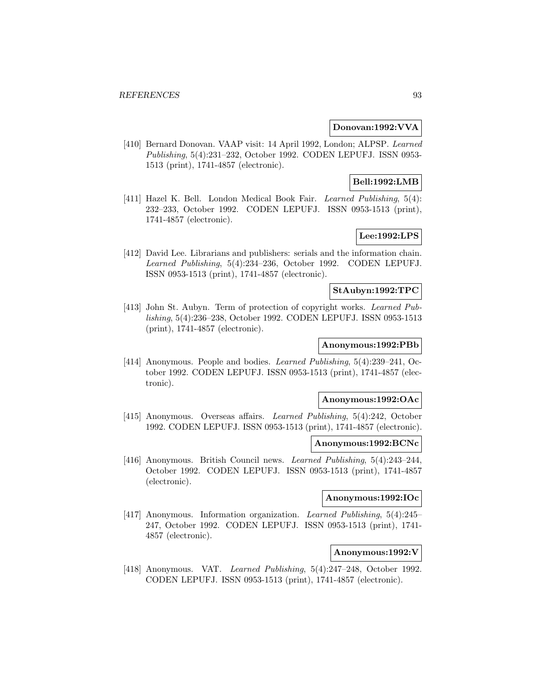#### **Donovan:1992:VVA**

[410] Bernard Donovan. VAAP visit: 14 April 1992, London; ALPSP. Learned Publishing, 5(4):231–232, October 1992. CODEN LEPUFJ. ISSN 0953- 1513 (print), 1741-4857 (electronic).

## **Bell:1992:LMB**

[411] Hazel K. Bell. London Medical Book Fair. Learned Publishing, 5(4): 232–233, October 1992. CODEN LEPUFJ. ISSN 0953-1513 (print), 1741-4857 (electronic).

# **Lee:1992:LPS**

[412] David Lee. Librarians and publishers: serials and the information chain. Learned Publishing, 5(4):234–236, October 1992. CODEN LEPUFJ. ISSN 0953-1513 (print), 1741-4857 (electronic).

# **StAubyn:1992:TPC**

[413] John St. Aubyn. Term of protection of copyright works. Learned Publishing, 5(4):236–238, October 1992. CODEN LEPUFJ. ISSN 0953-1513 (print), 1741-4857 (electronic).

#### **Anonymous:1992:PBb**

[414] Anonymous. People and bodies. Learned Publishing, 5(4):239–241, October 1992. CODEN LEPUFJ. ISSN 0953-1513 (print), 1741-4857 (electronic).

#### **Anonymous:1992:OAc**

[415] Anonymous. Overseas affairs. Learned Publishing, 5(4):242, October 1992. CODEN LEPUFJ. ISSN 0953-1513 (print), 1741-4857 (electronic).

#### **Anonymous:1992:BCNc**

[416] Anonymous. British Council news. Learned Publishing, 5(4):243–244, October 1992. CODEN LEPUFJ. ISSN 0953-1513 (print), 1741-4857 (electronic).

## **Anonymous:1992:IOc**

[417] Anonymous. Information organization. Learned Publishing, 5(4):245– 247, October 1992. CODEN LEPUFJ. ISSN 0953-1513 (print), 1741- 4857 (electronic).

# **Anonymous:1992:V**

[418] Anonymous. VAT. Learned Publishing, 5(4):247–248, October 1992. CODEN LEPUFJ. ISSN 0953-1513 (print), 1741-4857 (electronic).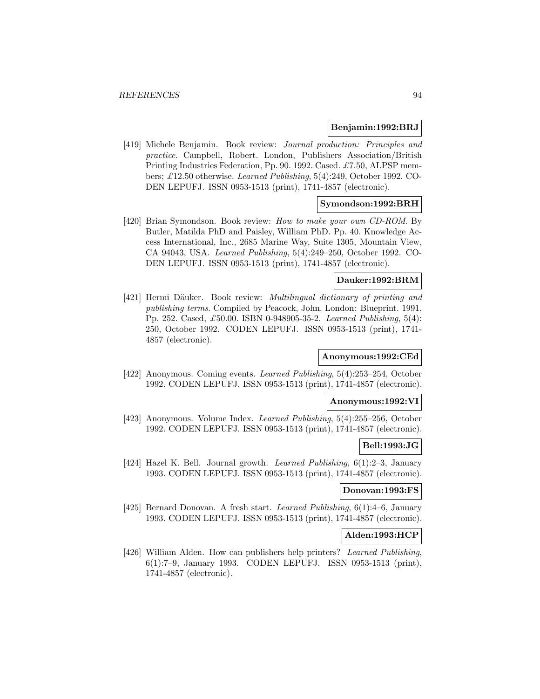#### **Benjamin:1992:BRJ**

[419] Michele Benjamin. Book review: Journal production: Principles and practice. Campbell, Robert. London, Publishers Association/British Printing Industries Federation, Pp. 90. 1992. Cased. £7.50, ALPSP members; £12.50 otherwise. Learned Publishing, 5(4):249, October 1992. CO-DEN LEPUFJ. ISSN 0953-1513 (print), 1741-4857 (electronic).

## **Symondson:1992:BRH**

[420] Brian Symondson. Book review: How to make your own CD-ROM. By Butler, Matilda PhD and Paisley, William PhD. Pp. 40. Knowledge Access International, Inc., 2685 Marine Way, Suite 1305, Mountain View, CA 94043, USA. Learned Publishing, 5(4):249–250, October 1992. CO-DEN LEPUFJ. ISSN 0953-1513 (print), 1741-4857 (electronic).

## **Dauker:1992:BRM**

[421] Hermi Däuker. Book review: *Multilingual dictionary of printing and* publishing terms. Compiled by Peacock, John. London: Blueprint. 1991. Pp. 252. Cased, £50.00. ISBN 0-948905-35-2. Learned Publishing, 5(4): 250, October 1992. CODEN LEPUFJ. ISSN 0953-1513 (print), 1741- 4857 (electronic).

#### **Anonymous:1992:CEd**

[422] Anonymous. Coming events. Learned Publishing, 5(4):253–254, October 1992. CODEN LEPUFJ. ISSN 0953-1513 (print), 1741-4857 (electronic).

#### **Anonymous:1992:VI**

[423] Anonymous. Volume Index. Learned Publishing, 5(4):255–256, October 1992. CODEN LEPUFJ. ISSN 0953-1513 (print), 1741-4857 (electronic).

#### **Bell:1993:JG**

[424] Hazel K. Bell. Journal growth. Learned Publishing, 6(1):2–3, January 1993. CODEN LEPUFJ. ISSN 0953-1513 (print), 1741-4857 (electronic).

#### **Donovan:1993:FS**

[425] Bernard Donovan. A fresh start. Learned Publishing, 6(1):4–6, January 1993. CODEN LEPUFJ. ISSN 0953-1513 (print), 1741-4857 (electronic).

#### **Alden:1993:HCP**

[426] William Alden. How can publishers help printers? Learned Publishing, 6(1):7–9, January 1993. CODEN LEPUFJ. ISSN 0953-1513 (print), 1741-4857 (electronic).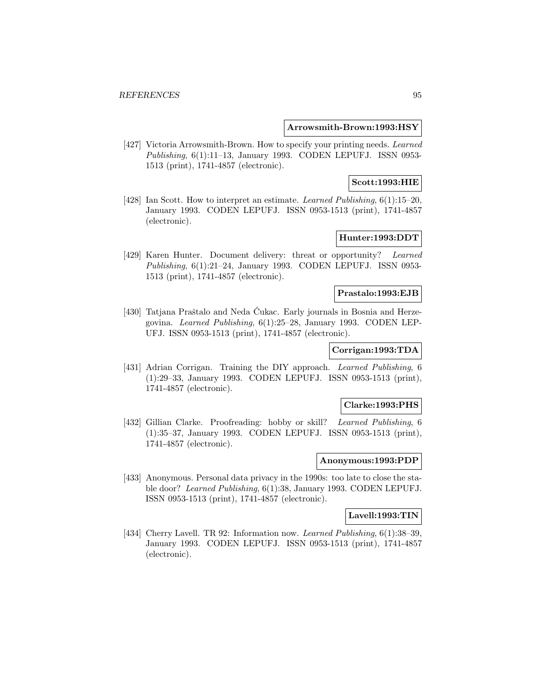#### **Arrowsmith-Brown:1993:HSY**

[427] Victoria Arrowsmith-Brown. How to specify your printing needs. Learned Publishing, 6(1):11–13, January 1993. CODEN LEPUFJ. ISSN 0953- 1513 (print), 1741-4857 (electronic).

#### **Scott:1993:HIE**

[428] Ian Scott. How to interpret an estimate. Learned Publishing, 6(1):15–20, January 1993. CODEN LEPUFJ. ISSN 0953-1513 (print), 1741-4857 (electronic).

# **Hunter:1993:DDT**

[429] Karen Hunter. Document delivery: threat or opportunity? Learned Publishing, 6(1):21–24, January 1993. CODEN LEPUFJ. ISSN 0953- 1513 (print), 1741-4857 (electronic).

#### **Prastalo:1993:EJB**

[430] Tatjana Praštalo and Neda Cukac. Early journals in Bosnia and Herzegovina. Learned Publishing, 6(1):25–28, January 1993. CODEN LEP-UFJ. ISSN 0953-1513 (print), 1741-4857 (electronic).

# **Corrigan:1993:TDA**

[431] Adrian Corrigan. Training the DIY approach. Learned Publishing, 6 (1):29–33, January 1993. CODEN LEPUFJ. ISSN 0953-1513 (print), 1741-4857 (electronic).

## **Clarke:1993:PHS**

[432] Gillian Clarke. Proofreading: hobby or skill? Learned Publishing, 6 (1):35–37, January 1993. CODEN LEPUFJ. ISSN 0953-1513 (print), 1741-4857 (electronic).

#### **Anonymous:1993:PDP**

[433] Anonymous. Personal data privacy in the 1990s: too late to close the stable door? Learned Publishing, 6(1):38, January 1993. CODEN LEPUFJ. ISSN 0953-1513 (print), 1741-4857 (electronic).

#### **Lavell:1993:TIN**

[434] Cherry Lavell. TR 92: Information now. *Learned Publishing*, 6(1):38–39, January 1993. CODEN LEPUFJ. ISSN 0953-1513 (print), 1741-4857 (electronic).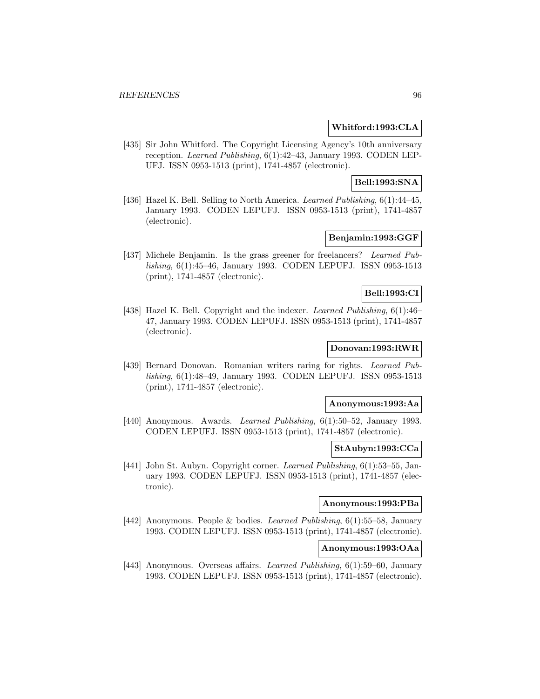#### **Whitford:1993:CLA**

[435] Sir John Whitford. The Copyright Licensing Agency's 10th anniversary reception. Learned Publishing, 6(1):42–43, January 1993. CODEN LEP-UFJ. ISSN 0953-1513 (print), 1741-4857 (electronic).

# **Bell:1993:SNA**

[436] Hazel K. Bell. Selling to North America. Learned Publishing, 6(1):44-45, January 1993. CODEN LEPUFJ. ISSN 0953-1513 (print), 1741-4857 (electronic).

# **Benjamin:1993:GGF**

[437] Michele Benjamin. Is the grass greener for freelancers? Learned Publishing, 6(1):45–46, January 1993. CODEN LEPUFJ. ISSN 0953-1513 (print), 1741-4857 (electronic).

#### **Bell:1993:CI**

[438] Hazel K. Bell. Copyright and the indexer. Learned Publishing, 6(1):46– 47, January 1993. CODEN LEPUFJ. ISSN 0953-1513 (print), 1741-4857 (electronic).

# **Donovan:1993:RWR**

[439] Bernard Donovan. Romanian writers raring for rights. Learned Publishing, 6(1):48–49, January 1993. CODEN LEPUFJ. ISSN 0953-1513 (print), 1741-4857 (electronic).

## **Anonymous:1993:Aa**

[440] Anonymous. Awards. Learned Publishing, 6(1):50–52, January 1993. CODEN LEPUFJ. ISSN 0953-1513 (print), 1741-4857 (electronic).

# **StAubyn:1993:CCa**

[441] John St. Aubyn. Copyright corner. Learned Publishing, 6(1):53–55, January 1993. CODEN LEPUFJ. ISSN 0953-1513 (print), 1741-4857 (electronic).

#### **Anonymous:1993:PBa**

[442] Anonymous. People & bodies. Learned Publishing, 6(1):55–58, January 1993. CODEN LEPUFJ. ISSN 0953-1513 (print), 1741-4857 (electronic).

## **Anonymous:1993:OAa**

[443] Anonymous. Overseas affairs. Learned Publishing, 6(1):59–60, January 1993. CODEN LEPUFJ. ISSN 0953-1513 (print), 1741-4857 (electronic).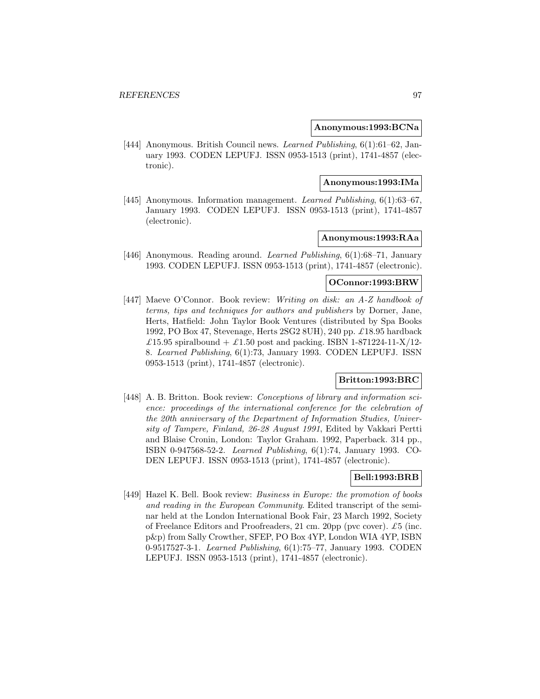**Anonymous:1993:BCNa**

[444] Anonymous. British Council news. Learned Publishing, 6(1):61-62, January 1993. CODEN LEPUFJ. ISSN 0953-1513 (print), 1741-4857 (electronic).

#### **Anonymous:1993:IMa**

[445] Anonymous. Information management. Learned Publishing, 6(1):63–67, January 1993. CODEN LEPUFJ. ISSN 0953-1513 (print), 1741-4857 (electronic).

# **Anonymous:1993:RAa**

[446] Anonymous. Reading around. Learned Publishing, 6(1):68–71, January 1993. CODEN LEPUFJ. ISSN 0953-1513 (print), 1741-4857 (electronic).

## **OConnor:1993:BRW**

[447] Maeve O'Connor. Book review: Writing on disk: an A-Z handbook of terms, tips and techniques for authors and publishers by Dorner, Jane, Herts, Hatfield: John Taylor Book Ventures (distributed by Spa Books 1992, PO Box 47, Stevenage, Herts 2SG2 8UH), 240 pp. £18.95 hardback £15.95 spiralbound + £1.50 post and packing. ISBN 1-871224-11-X/12-8. Learned Publishing, 6(1):73, January 1993. CODEN LEPUFJ. ISSN 0953-1513 (print), 1741-4857 (electronic).

# **Britton:1993:BRC**

[448] A. B. Britton. Book review: *Conceptions of library and information sci*ence: proceedings of the international conference for the celebration of the 20th anniversary of the Department of Information Studies, University of Tampere, Finland, 26-28 August 1991, Edited by Vakkari Pertti and Blaise Cronin, London: Taylor Graham. 1992, Paperback. 314 pp., ISBN 0-947568-52-2. Learned Publishing, 6(1):74, January 1993. CO-DEN LEPUFJ. ISSN 0953-1513 (print), 1741-4857 (electronic).

# **Bell:1993:BRB**

[449] Hazel K. Bell. Book review: Business in Europe: the promotion of books and reading in the European Community. Edited transcript of the seminar held at the London International Book Fair, 23 March 1992, Society of Freelance Editors and Proofreaders, 21 cm. 20pp (pvc cover).  $\pounds 5$  (inc. p&p) from Sally Crowther, SFEP, PO Box 4YP, London WIA 4YP, ISBN 0-9517527-3-1. Learned Publishing, 6(1):75–77, January 1993. CODEN LEPUFJ. ISSN 0953-1513 (print), 1741-4857 (electronic).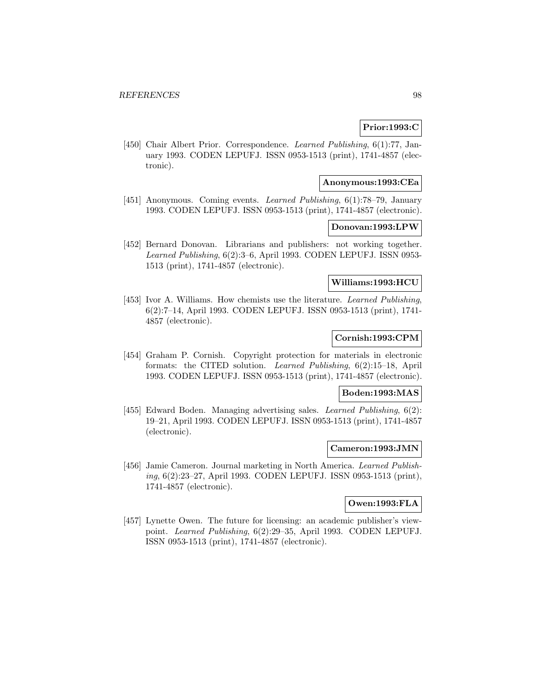# **Prior:1993:C**

[450] Chair Albert Prior. Correspondence. Learned Publishing, 6(1):77, January 1993. CODEN LEPUFJ. ISSN 0953-1513 (print), 1741-4857 (electronic).

## **Anonymous:1993:CEa**

[451] Anonymous. Coming events. Learned Publishing, 6(1):78–79, January 1993. CODEN LEPUFJ. ISSN 0953-1513 (print), 1741-4857 (electronic).

#### **Donovan:1993:LPW**

[452] Bernard Donovan. Librarians and publishers: not working together. Learned Publishing, 6(2):3–6, April 1993. CODEN LEPUFJ. ISSN 0953- 1513 (print), 1741-4857 (electronic).

# **Williams:1993:HCU**

[453] Ivor A. Williams. How chemists use the literature. Learned Publishing, 6(2):7–14, April 1993. CODEN LEPUFJ. ISSN 0953-1513 (print), 1741- 4857 (electronic).

# **Cornish:1993:CPM**

[454] Graham P. Cornish. Copyright protection for materials in electronic formats: the CITED solution. Learned Publishing, 6(2):15–18, April 1993. CODEN LEPUFJ. ISSN 0953-1513 (print), 1741-4857 (electronic).

## **Boden:1993:MAS**

[455] Edward Boden. Managing advertising sales. Learned Publishing, 6(2): 19–21, April 1993. CODEN LEPUFJ. ISSN 0953-1513 (print), 1741-4857 (electronic).

#### **Cameron:1993:JMN**

[456] Jamie Cameron. Journal marketing in North America. Learned Publishing, 6(2):23–27, April 1993. CODEN LEPUFJ. ISSN 0953-1513 (print), 1741-4857 (electronic).

## **Owen:1993:FLA**

[457] Lynette Owen. The future for licensing: an academic publisher's viewpoint. Learned Publishing, 6(2):29–35, April 1993. CODEN LEPUFJ. ISSN 0953-1513 (print), 1741-4857 (electronic).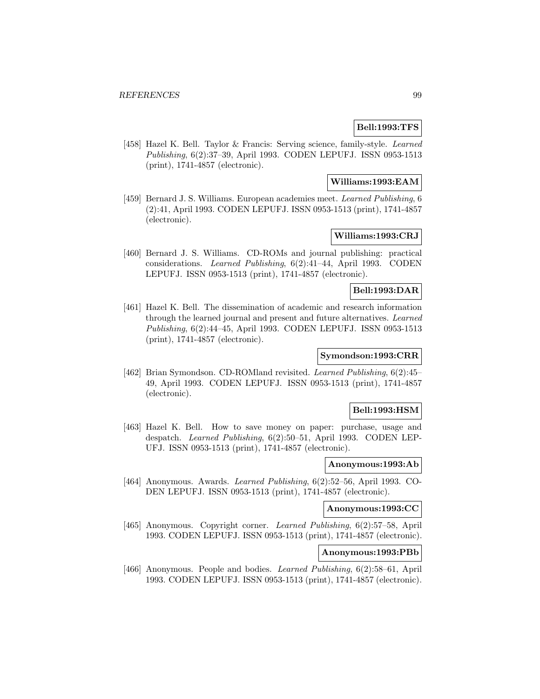# **Bell:1993:TFS**

[458] Hazel K. Bell. Taylor & Francis: Serving science, family-style. Learned Publishing, 6(2):37–39, April 1993. CODEN LEPUFJ. ISSN 0953-1513 (print), 1741-4857 (electronic).

# **Williams:1993:EAM**

[459] Bernard J. S. Williams. European academies meet. Learned Publishing, 6 (2):41, April 1993. CODEN LEPUFJ. ISSN 0953-1513 (print), 1741-4857 (electronic).

# **Williams:1993:CRJ**

[460] Bernard J. S. Williams. CD-ROMs and journal publishing: practical considerations. Learned Publishing, 6(2):41–44, April 1993. CODEN LEPUFJ. ISSN 0953-1513 (print), 1741-4857 (electronic).

# **Bell:1993:DAR**

[461] Hazel K. Bell. The dissemination of academic and research information through the learned journal and present and future alternatives. Learned Publishing, 6(2):44–45, April 1993. CODEN LEPUFJ. ISSN 0953-1513 (print), 1741-4857 (electronic).

## **Symondson:1993:CRR**

[462] Brian Symondson. CD-ROMland revisited. Learned Publishing, 6(2):45– 49, April 1993. CODEN LEPUFJ. ISSN 0953-1513 (print), 1741-4857 (electronic).

# **Bell:1993:HSM**

[463] Hazel K. Bell. How to save money on paper: purchase, usage and despatch. Learned Publishing, 6(2):50–51, April 1993. CODEN LEP-UFJ. ISSN 0953-1513 (print), 1741-4857 (electronic).

# **Anonymous:1993:Ab**

[464] Anonymous. Awards. Learned Publishing, 6(2):52–56, April 1993. CO-DEN LEPUFJ. ISSN 0953-1513 (print), 1741-4857 (electronic).

# **Anonymous:1993:CC**

[465] Anonymous. Copyright corner. Learned Publishing, 6(2):57–58, April 1993. CODEN LEPUFJ. ISSN 0953-1513 (print), 1741-4857 (electronic).

# **Anonymous:1993:PBb**

[466] Anonymous. People and bodies. Learned Publishing, 6(2):58–61, April 1993. CODEN LEPUFJ. ISSN 0953-1513 (print), 1741-4857 (electronic).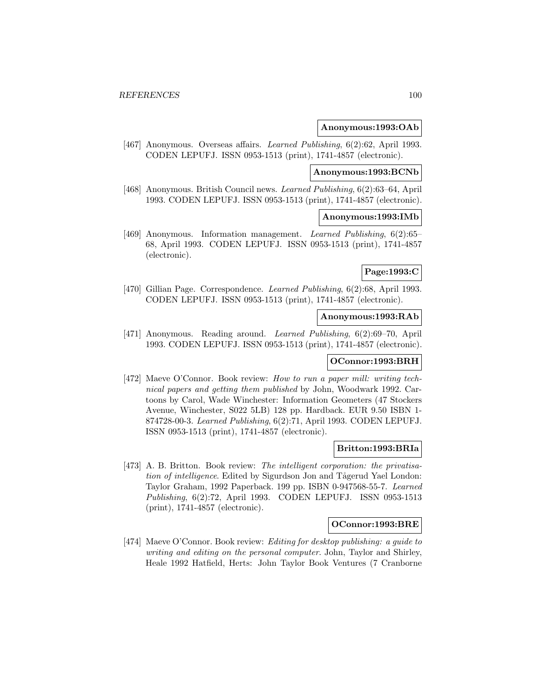#### **Anonymous:1993:OAb**

[467] Anonymous. Overseas affairs. *Learned Publishing*, 6(2):62, April 1993. CODEN LEPUFJ. ISSN 0953-1513 (print), 1741-4857 (electronic).

# **Anonymous:1993:BCNb**

[468] Anonymous. British Council news. Learned Publishing, 6(2):63–64, April 1993. CODEN LEPUFJ. ISSN 0953-1513 (print), 1741-4857 (electronic).

## **Anonymous:1993:IMb**

[469] Anonymous. Information management. Learned Publishing, 6(2):65– 68, April 1993. CODEN LEPUFJ. ISSN 0953-1513 (print), 1741-4857 (electronic).

## **Page:1993:C**

[470] Gillian Page. Correspondence. Learned Publishing, 6(2):68, April 1993. CODEN LEPUFJ. ISSN 0953-1513 (print), 1741-4857 (electronic).

#### **Anonymous:1993:RAb**

[471] Anonymous. Reading around. Learned Publishing, 6(2):69–70, April 1993. CODEN LEPUFJ. ISSN 0953-1513 (print), 1741-4857 (electronic).

#### **OConnor:1993:BRH**

[472] Maeve O'Connor. Book review: How to run a paper mill: writing technical papers and getting them published by John, Woodwark 1992. Cartoons by Carol, Wade Winchester: Information Geometers (47 Stockers Avenue, Winchester, S022 5LB) 128 pp. Hardback. EUR 9.50 ISBN 1- 874728-00-3. Learned Publishing, 6(2):71, April 1993. CODEN LEPUFJ. ISSN 0953-1513 (print), 1741-4857 (electronic).

#### **Britton:1993:BRIa**

[473] A. B. Britton. Book review: The intelligent corporation: the privatisation of intelligence. Edited by Sigurdson Jon and Tågerud Yael London: Taylor Graham, 1992 Paperback. 199 pp. ISBN 0-947568-55-7. Learned Publishing, 6(2):72, April 1993. CODEN LEPUFJ. ISSN 0953-1513 (print), 1741-4857 (electronic).

#### **OConnor:1993:BRE**

[474] Maeve O'Connor. Book review: Editing for desktop publishing: a guide to writing and editing on the personal computer. John, Taylor and Shirley, Heale 1992 Hatfield, Herts: John Taylor Book Ventures (7 Cranborne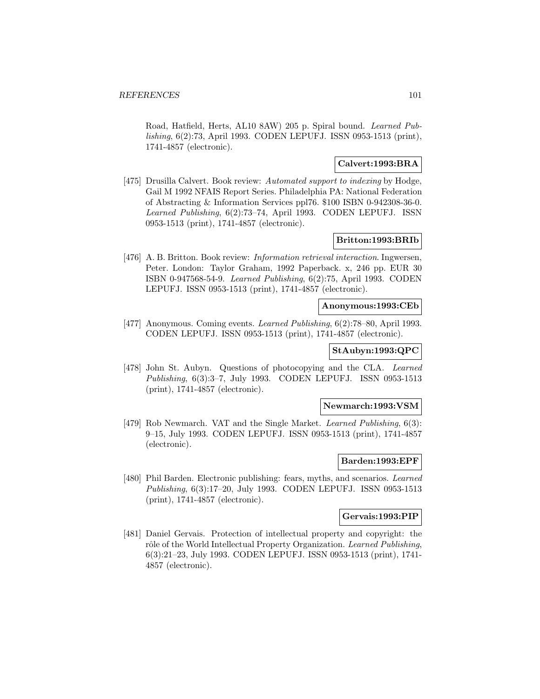Road, Hatfield, Herts, AL10 8AW) 205 p. Spiral bound. Learned Publishing, 6(2):73, April 1993. CODEN LEPUFJ. ISSN 0953-1513 (print), 1741-4857 (electronic).

## **Calvert:1993:BRA**

[475] Drusilla Calvert. Book review: Automated support to indexing by Hodge, Gail M 1992 NFAIS Report Series. Philadelphia PA: National Federation of Abstracting & Information Services ppl76. \$100 ISBN 0-942308-36-0. Learned Publishing, 6(2):73–74, April 1993. CODEN LEPUFJ. ISSN 0953-1513 (print), 1741-4857 (electronic).

## **Britton:1993:BRIb**

[476] A. B. Britton. Book review: Information retrieval interaction. Ingwersen, Peter. London: Taylor Graham, 1992 Paperback. x, 246 pp. EUR 30 ISBN 0-947568-54-9. Learned Publishing, 6(2):75, April 1993. CODEN LEPUFJ. ISSN 0953-1513 (print), 1741-4857 (electronic).

## **Anonymous:1993:CEb**

[477] Anonymous. Coming events. Learned Publishing, 6(2):78–80, April 1993. CODEN LEPUFJ. ISSN 0953-1513 (print), 1741-4857 (electronic).

# **StAubyn:1993:QPC**

[478] John St. Aubyn. Questions of photocopying and the CLA. Learned Publishing, 6(3):3–7, July 1993. CODEN LEPUFJ. ISSN 0953-1513 (print), 1741-4857 (electronic).

#### **Newmarch:1993:VSM**

[479] Rob Newmarch. VAT and the Single Market. Learned Publishing, 6(3): 9–15, July 1993. CODEN LEPUFJ. ISSN 0953-1513 (print), 1741-4857 (electronic).

#### **Barden:1993:EPF**

[480] Phil Barden. Electronic publishing: fears, myths, and scenarios. Learned Publishing, 6(3):17–20, July 1993. CODEN LEPUFJ. ISSN 0953-1513 (print), 1741-4857 (electronic).

## **Gervais:1993:PIP**

[481] Daniel Gervais. Protection of intellectual property and copyright: the rôle of the World Intellectual Property Organization. Learned Publishing, 6(3):21–23, July 1993. CODEN LEPUFJ. ISSN 0953-1513 (print), 1741- 4857 (electronic).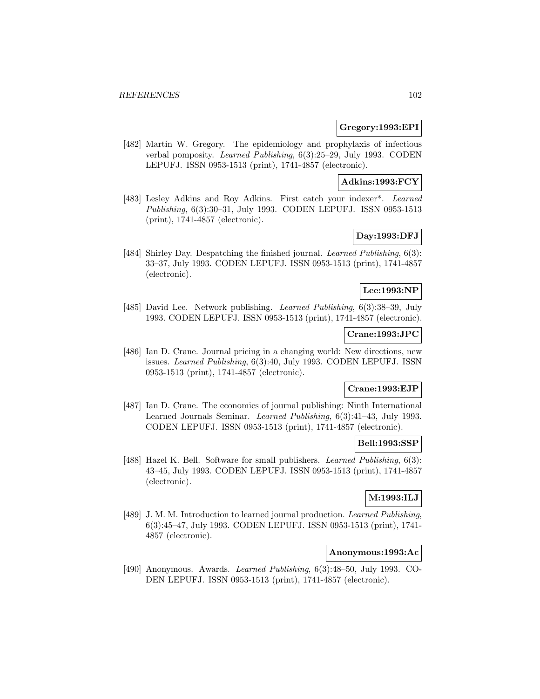#### **Gregory:1993:EPI**

[482] Martin W. Gregory. The epidemiology and prophylaxis of infectious verbal pomposity. Learned Publishing, 6(3):25–29, July 1993. CODEN LEPUFJ. ISSN 0953-1513 (print), 1741-4857 (electronic).

# **Adkins:1993:FCY**

[483] Lesley Adkins and Roy Adkins. First catch your indexer\*. Learned Publishing, 6(3):30–31, July 1993. CODEN LEPUFJ. ISSN 0953-1513 (print), 1741-4857 (electronic).

# **Day:1993:DFJ**

[484] Shirley Day. Despatching the finished journal. Learned Publishing, 6(3): 33–37, July 1993. CODEN LEPUFJ. ISSN 0953-1513 (print), 1741-4857 (electronic).

# **Lee:1993:NP**

[485] David Lee. Network publishing. Learned Publishing, 6(3):38–39, July 1993. CODEN LEPUFJ. ISSN 0953-1513 (print), 1741-4857 (electronic).

# **Crane:1993:JPC**

[486] Ian D. Crane. Journal pricing in a changing world: New directions, new issues. Learned Publishing, 6(3):40, July 1993. CODEN LEPUFJ. ISSN 0953-1513 (print), 1741-4857 (electronic).

# **Crane:1993:EJP**

[487] Ian D. Crane. The economics of journal publishing: Ninth International Learned Journals Seminar. Learned Publishing, 6(3):41–43, July 1993. CODEN LEPUFJ. ISSN 0953-1513 (print), 1741-4857 (electronic).

## **Bell:1993:SSP**

[488] Hazel K. Bell. Software for small publishers. *Learned Publishing*, 6(3): 43–45, July 1993. CODEN LEPUFJ. ISSN 0953-1513 (print), 1741-4857 (electronic).

# **M:1993:ILJ**

[489] J. M. M. Introduction to learned journal production. Learned Publishing, 6(3):45–47, July 1993. CODEN LEPUFJ. ISSN 0953-1513 (print), 1741- 4857 (electronic).

## **Anonymous:1993:Ac**

[490] Anonymous. Awards. Learned Publishing, 6(3):48–50, July 1993. CO-DEN LEPUFJ. ISSN 0953-1513 (print), 1741-4857 (electronic).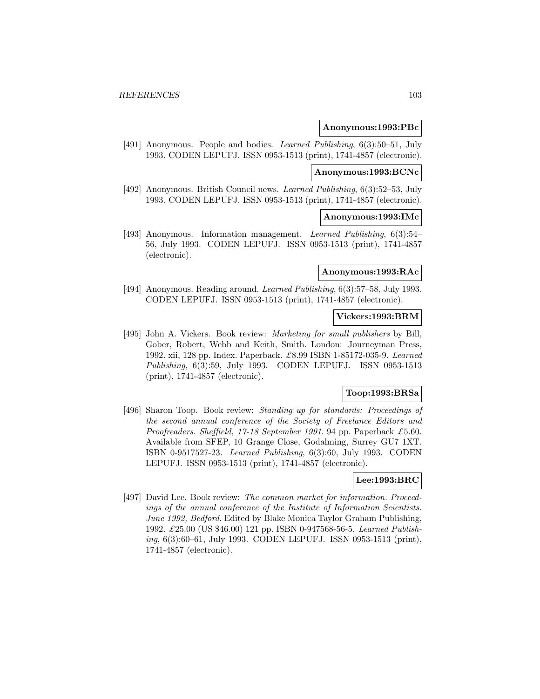#### **Anonymous:1993:PBc**

[491] Anonymous. People and bodies. *Learned Publishing*, 6(3):50–51, July 1993. CODEN LEPUFJ. ISSN 0953-1513 (print), 1741-4857 (electronic).

#### **Anonymous:1993:BCNc**

[492] Anonymous. British Council news. Learned Publishing, 6(3):52–53, July 1993. CODEN LEPUFJ. ISSN 0953-1513 (print), 1741-4857 (electronic).

## **Anonymous:1993:IMc**

[493] Anonymous. Information management. Learned Publishing, 6(3):54– 56, July 1993. CODEN LEPUFJ. ISSN 0953-1513 (print), 1741-4857 (electronic).

#### **Anonymous:1993:RAc**

[494] Anonymous. Reading around. Learned Publishing, 6(3):57–58, July 1993. CODEN LEPUFJ. ISSN 0953-1513 (print), 1741-4857 (electronic).

#### **Vickers:1993:BRM**

[495] John A. Vickers. Book review: *Marketing for small publishers* by Bill, Gober, Robert, Webb and Keith, Smith. London: Journeyman Press, 1992. xii, 128 pp. Index. Paperback. £8.99 ISBN 1-85172-035-9. Learned Publishing, 6(3):59, July 1993. CODEN LEPUFJ. ISSN 0953-1513 (print), 1741-4857 (electronic).

# **Toop:1993:BRSa**

[496] Sharon Toop. Book review: Standing up for standards: Proceedings of the second annual conference of the Society of Freelance Editors and Proofreaders. Sheffield, 17-18 September 1991. 94 pp. Paperback £5.60. Available from SFEP, 10 Grange Close, Godalming, Surrey GU7 1XT. ISBN 0-9517527-23. Learned Publishing, 6(3):60, July 1993. CODEN LEPUFJ. ISSN 0953-1513 (print), 1741-4857 (electronic).

## **Lee:1993:BRC**

[497] David Lee. Book review: The common market for information. Proceedings of the annual conference of the Institute of Information Scientists. June 1992, Bedford. Edited by Blake Monica Taylor Graham Publishing, 1992. £25.00 (US \$46.00) 121 pp. ISBN 0-947568-56-5. Learned Publishing, 6(3):60–61, July 1993. CODEN LEPUFJ. ISSN 0953-1513 (print), 1741-4857 (electronic).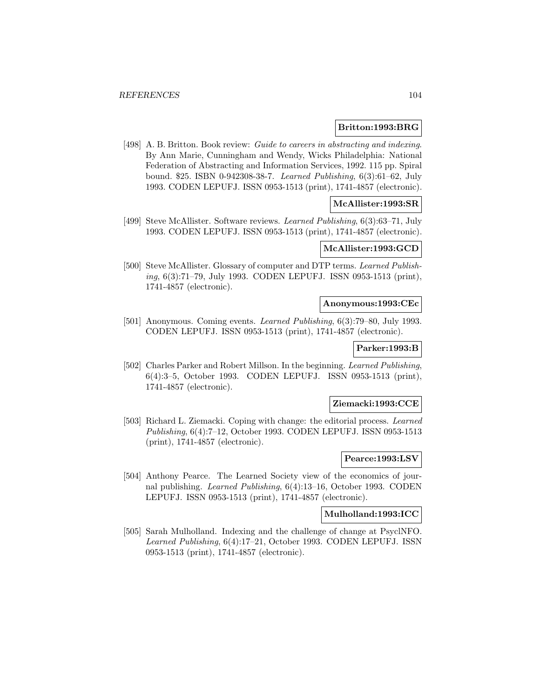#### **Britton:1993:BRG**

[498] A. B. Britton. Book review: Guide to careers in abstracting and indexing. By Ann Marie, Cunningham and Wendy, Wicks Philadelphia: National Federation of Abstracting and Information Services, 1992. 115 pp. Spiral bound. \$25. ISBN 0-942308-38-7. Learned Publishing, 6(3):61–62, July 1993. CODEN LEPUFJ. ISSN 0953-1513 (print), 1741-4857 (electronic).

# **McAllister:1993:SR**

[499] Steve McAllister. Software reviews. Learned Publishing, 6(3):63–71, July 1993. CODEN LEPUFJ. ISSN 0953-1513 (print), 1741-4857 (electronic).

## **McAllister:1993:GCD**

[500] Steve McAllister. Glossary of computer and DTP terms. Learned Publishing, 6(3):71–79, July 1993. CODEN LEPUFJ. ISSN 0953-1513 (print), 1741-4857 (electronic).

#### **Anonymous:1993:CEc**

[501] Anonymous. Coming events. Learned Publishing, 6(3):79–80, July 1993. CODEN LEPUFJ. ISSN 0953-1513 (print), 1741-4857 (electronic).

## **Parker:1993:B**

[502] Charles Parker and Robert Millson. In the beginning. Learned Publishing, 6(4):3–5, October 1993. CODEN LEPUFJ. ISSN 0953-1513 (print), 1741-4857 (electronic).

#### **Ziemacki:1993:CCE**

[503] Richard L. Ziemacki. Coping with change: the editorial process. Learned Publishing, 6(4):7–12, October 1993. CODEN LEPUFJ. ISSN 0953-1513 (print), 1741-4857 (electronic).

#### **Pearce:1993:LSV**

[504] Anthony Pearce. The Learned Society view of the economics of journal publishing. Learned Publishing, 6(4):13–16, October 1993. CODEN LEPUFJ. ISSN 0953-1513 (print), 1741-4857 (electronic).

## **Mulholland:1993:ICC**

[505] Sarah Mulholland. Indexing and the challenge of change at PsyclNFO. Learned Publishing, 6(4):17–21, October 1993. CODEN LEPUFJ. ISSN 0953-1513 (print), 1741-4857 (electronic).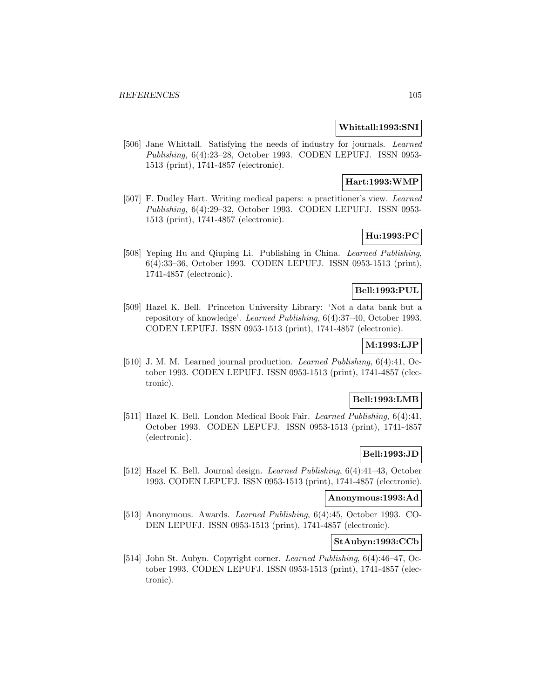#### **Whittall:1993:SNI**

[506] Jane Whittall. Satisfying the needs of industry for journals. Learned Publishing, 6(4):23–28, October 1993. CODEN LEPUFJ. ISSN 0953- 1513 (print), 1741-4857 (electronic).

# **Hart:1993:WMP**

[507] F. Dudley Hart. Writing medical papers: a practitioner's view. Learned Publishing, 6(4):29–32, October 1993. CODEN LEPUFJ. ISSN 0953- 1513 (print), 1741-4857 (electronic).

# **Hu:1993:PC**

[508] Yeping Hu and Qiuping Li. Publishing in China. Learned Publishing, 6(4):33–36, October 1993. CODEN LEPUFJ. ISSN 0953-1513 (print), 1741-4857 (electronic).

# **Bell:1993:PUL**

[509] Hazel K. Bell. Princeton University Library: 'Not a data bank but a repository of knowledge'. Learned Publishing, 6(4):37–40, October 1993. CODEN LEPUFJ. ISSN 0953-1513 (print), 1741-4857 (electronic).

# **M:1993:LJP**

[510] J. M. M. Learned journal production. Learned Publishing, 6(4):41, October 1993. CODEN LEPUFJ. ISSN 0953-1513 (print), 1741-4857 (electronic).

## **Bell:1993:LMB**

[511] Hazel K. Bell. London Medical Book Fair. Learned Publishing, 6(4):41, October 1993. CODEN LEPUFJ. ISSN 0953-1513 (print), 1741-4857 (electronic).

# **Bell:1993:JD**

[512] Hazel K. Bell. Journal design. Learned Publishing, 6(4):41–43, October 1993. CODEN LEPUFJ. ISSN 0953-1513 (print), 1741-4857 (electronic).

## **Anonymous:1993:Ad**

[513] Anonymous. Awards. Learned Publishing, 6(4):45, October 1993. CO-DEN LEPUFJ. ISSN 0953-1513 (print), 1741-4857 (electronic).

# **StAubyn:1993:CCb**

[514] John St. Aubyn. Copyright corner. Learned Publishing, 6(4):46–47, October 1993. CODEN LEPUFJ. ISSN 0953-1513 (print), 1741-4857 (electronic).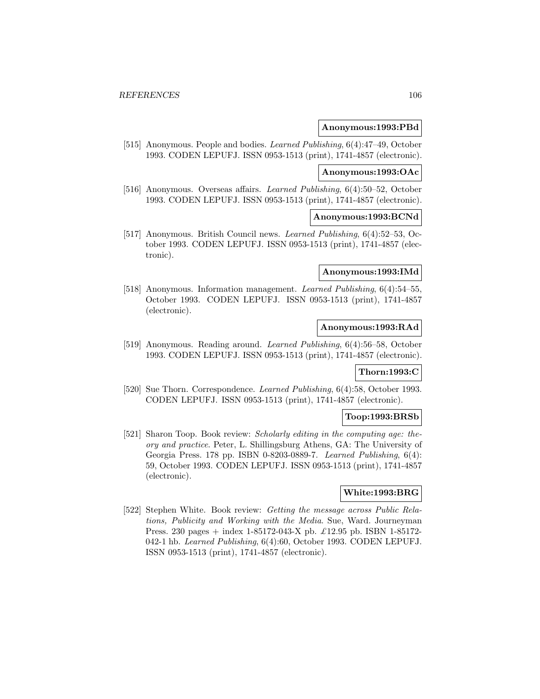#### **Anonymous:1993:PBd**

[515] Anonymous. People and bodies. Learned Publishing, 6(4):47–49, October 1993. CODEN LEPUFJ. ISSN 0953-1513 (print), 1741-4857 (electronic).

#### **Anonymous:1993:OAc**

[516] Anonymous. Overseas affairs. Learned Publishing, 6(4):50–52, October 1993. CODEN LEPUFJ. ISSN 0953-1513 (print), 1741-4857 (electronic).

## **Anonymous:1993:BCNd**

[517] Anonymous. British Council news. Learned Publishing, 6(4):52–53, October 1993. CODEN LEPUFJ. ISSN 0953-1513 (print), 1741-4857 (electronic).

#### **Anonymous:1993:IMd**

[518] Anonymous. Information management. Learned Publishing, 6(4):54–55, October 1993. CODEN LEPUFJ. ISSN 0953-1513 (print), 1741-4857 (electronic).

## **Anonymous:1993:RAd**

[519] Anonymous. Reading around. Learned Publishing, 6(4):56–58, October 1993. CODEN LEPUFJ. ISSN 0953-1513 (print), 1741-4857 (electronic).

## **Thorn:1993:C**

[520] Sue Thorn. Correspondence. *Learned Publishing*, 6(4):58, October 1993. CODEN LEPUFJ. ISSN 0953-1513 (print), 1741-4857 (electronic).

#### **Toop:1993:BRSb**

[521] Sharon Toop. Book review: Scholarly editing in the computing age: theory and practice. Peter, L. Shillingsburg Athens, GA: The University of Georgia Press. 178 pp. ISBN 0-8203-0889-7. Learned Publishing, 6(4): 59, October 1993. CODEN LEPUFJ. ISSN 0953-1513 (print), 1741-4857 (electronic).

## **White:1993:BRG**

[522] Stephen White. Book review: Getting the message across Public Relations, Publicity and Working with the Media. Sue, Ward. Journeyman Press. 230 pages + index 1-85172-043-X pb. £12.95 pb. ISBN 1-85172- 042-1 hb. Learned Publishing, 6(4):60, October 1993. CODEN LEPUFJ. ISSN 0953-1513 (print), 1741-4857 (electronic).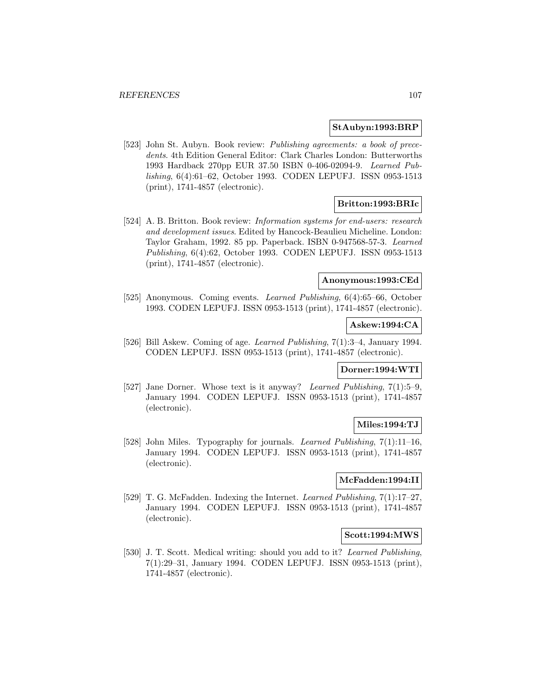#### **StAubyn:1993:BRP**

[523] John St. Aubyn. Book review: Publishing agreements: a book of precedents. 4th Edition General Editor: Clark Charles London: Butterworths 1993 Hardback 270pp EUR 37.50 ISBN 0-406-02094-9. Learned Publishing, 6(4):61–62, October 1993. CODEN LEPUFJ. ISSN 0953-1513 (print), 1741-4857 (electronic).

## **Britton:1993:BRIc**

[524] A. B. Britton. Book review: Information systems for end-users: research and development issues. Edited by Hancock-Beaulieu Micheline. London: Taylor Graham, 1992. 85 pp. Paperback. ISBN 0-947568-57-3. Learned Publishing, 6(4):62, October 1993. CODEN LEPUFJ. ISSN 0953-1513 (print), 1741-4857 (electronic).

# **Anonymous:1993:CEd**

[525] Anonymous. Coming events. Learned Publishing, 6(4):65–66, October 1993. CODEN LEPUFJ. ISSN 0953-1513 (print), 1741-4857 (electronic).

# **Askew:1994:CA**

[526] Bill Askew. Coming of age. Learned Publishing, 7(1):3–4, January 1994. CODEN LEPUFJ. ISSN 0953-1513 (print), 1741-4857 (electronic).

#### **Dorner:1994:WTI**

[527] Jane Dorner. Whose text is it anyway? Learned Publishing, 7(1):5–9, January 1994. CODEN LEPUFJ. ISSN 0953-1513 (print), 1741-4857 (electronic).

# **Miles:1994:TJ**

[528] John Miles. Typography for journals. Learned Publishing, 7(1):11–16, January 1994. CODEN LEPUFJ. ISSN 0953-1513 (print), 1741-4857 (electronic).

# **McFadden:1994:II**

[529] T. G. McFadden. Indexing the Internet. Learned Publishing, 7(1):17–27, January 1994. CODEN LEPUFJ. ISSN 0953-1513 (print), 1741-4857 (electronic).

#### **Scott:1994:MWS**

[530] J. T. Scott. Medical writing: should you add to it? Learned Publishing, 7(1):29–31, January 1994. CODEN LEPUFJ. ISSN 0953-1513 (print), 1741-4857 (electronic).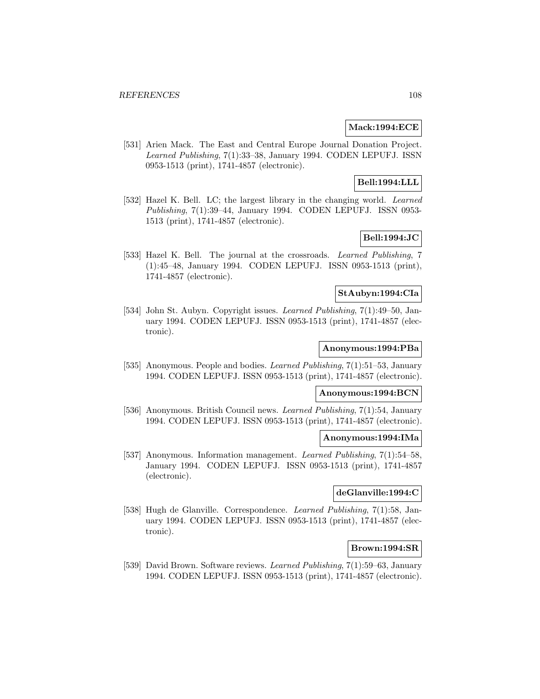## **Mack:1994:ECE**

[531] Arien Mack. The East and Central Europe Journal Donation Project. Learned Publishing, 7(1):33–38, January 1994. CODEN LEPUFJ. ISSN 0953-1513 (print), 1741-4857 (electronic).

# **Bell:1994:LLL**

[532] Hazel K. Bell. LC; the largest library in the changing world. Learned Publishing, 7(1):39–44, January 1994. CODEN LEPUFJ. ISSN 0953- 1513 (print), 1741-4857 (electronic).

# **Bell:1994:JC**

[533] Hazel K. Bell. The journal at the crossroads. Learned Publishing, 7 (1):45–48, January 1994. CODEN LEPUFJ. ISSN 0953-1513 (print), 1741-4857 (electronic).

#### **StAubyn:1994:CIa**

[534] John St. Aubyn. Copyright issues. Learned Publishing, 7(1):49–50, January 1994. CODEN LEPUFJ. ISSN 0953-1513 (print), 1741-4857 (electronic).

# **Anonymous:1994:PBa**

[535] Anonymous. People and bodies. *Learned Publishing*,  $7(1):51-53$ , January 1994. CODEN LEPUFJ. ISSN 0953-1513 (print), 1741-4857 (electronic).

#### **Anonymous:1994:BCN**

[536] Anonymous. British Council news. Learned Publishing, 7(1):54, January 1994. CODEN LEPUFJ. ISSN 0953-1513 (print), 1741-4857 (electronic).

## **Anonymous:1994:IMa**

[537] Anonymous. Information management. Learned Publishing, 7(1):54–58, January 1994. CODEN LEPUFJ. ISSN 0953-1513 (print), 1741-4857 (electronic).

## **deGlanville:1994:C**

[538] Hugh de Glanville. Correspondence. Learned Publishing, 7(1):58, January 1994. CODEN LEPUFJ. ISSN 0953-1513 (print), 1741-4857 (electronic).

# **Brown:1994:SR**

[539] David Brown. Software reviews. Learned Publishing, 7(1):59–63, January 1994. CODEN LEPUFJ. ISSN 0953-1513 (print), 1741-4857 (electronic).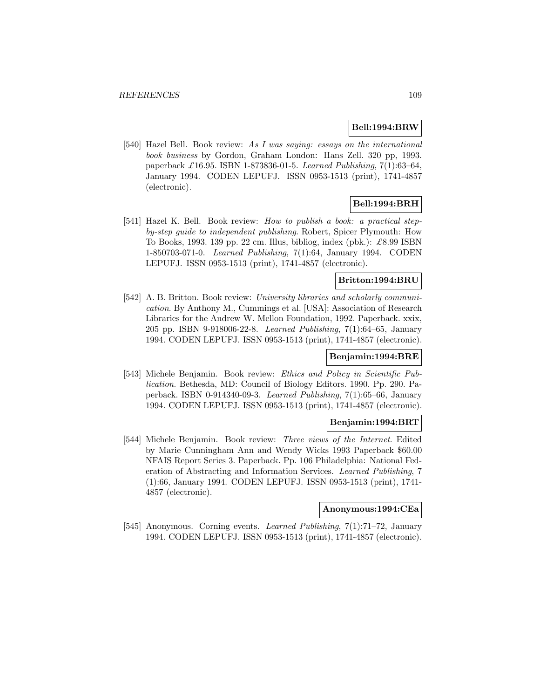### **Bell:1994:BRW**

[540] Hazel Bell. Book review: As I was saying: essays on the international book business by Gordon, Graham London: Hans Zell. 320 pp, 1993. paperback £16.95. ISBN 1-873836-01-5. Learned Publishing,  $7(1):63-64$ , January 1994. CODEN LEPUFJ. ISSN 0953-1513 (print), 1741-4857 (electronic).

# **Bell:1994:BRH**

[541] Hazel K. Bell. Book review: How to publish a book: a practical stepby-step guide to independent publishing. Robert, Spicer Plymouth: How To Books, 1993. 139 pp. 22 cm. Illus, bibliog, index (pbk.):  $\pounds 8.99$  ISBN 1-850703-071-0. Learned Publishing, 7(1):64, January 1994. CODEN LEPUFJ. ISSN 0953-1513 (print), 1741-4857 (electronic).

# **Britton:1994:BRU**

[542] A. B. Britton. Book review: University libraries and scholarly communication. By Anthony M., Cummings et al. [USA]: Association of Research Libraries for the Andrew W. Mellon Foundation, 1992. Paperback. xxix, 205 pp. ISBN 9-918006-22-8. Learned Publishing, 7(1):64–65, January 1994. CODEN LEPUFJ. ISSN 0953-1513 (print), 1741-4857 (electronic).

### **Benjamin:1994:BRE**

[543] Michele Benjamin. Book review: Ethics and Policy in Scientific Publication. Bethesda, MD: Council of Biology Editors. 1990. Pp. 290. Paperback. ISBN 0-914340-09-3. Learned Publishing, 7(1):65–66, January 1994. CODEN LEPUFJ. ISSN 0953-1513 (print), 1741-4857 (electronic).

### **Benjamin:1994:BRT**

[544] Michele Benjamin. Book review: Three views of the Internet. Edited by Marie Cunningham Ann and Wendy Wicks 1993 Paperback \$60.00 NFAIS Report Series 3. Paperback. Pp. 106 Philadelphia: National Federation of Abstracting and Information Services. Learned Publishing, 7 (1):66, January 1994. CODEN LEPUFJ. ISSN 0953-1513 (print), 1741- 4857 (electronic).

# **Anonymous:1994:CEa**

[545] Anonymous. Corning events. Learned Publishing, 7(1):71–72, January 1994. CODEN LEPUFJ. ISSN 0953-1513 (print), 1741-4857 (electronic).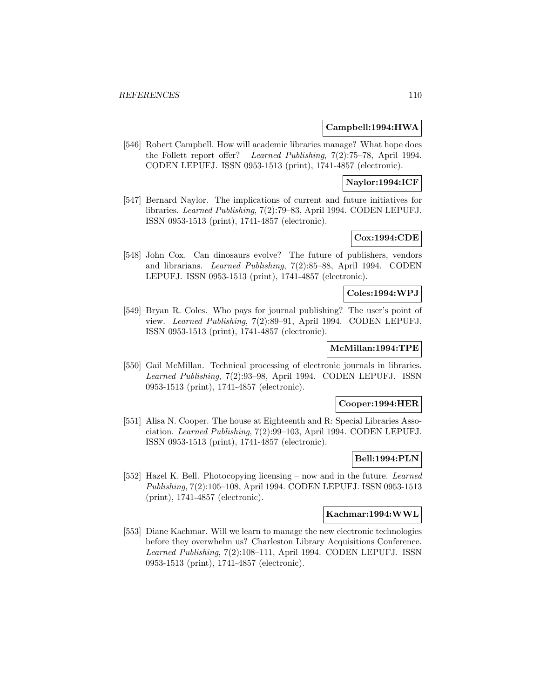### **Campbell:1994:HWA**

[546] Robert Campbell. How will academic libraries manage? What hope does the Follett report offer? Learned Publishing, 7(2):75–78, April 1994. CODEN LEPUFJ. ISSN 0953-1513 (print), 1741-4857 (electronic).

# **Naylor:1994:ICF**

[547] Bernard Naylor. The implications of current and future initiatives for libraries. Learned Publishing, 7(2):79–83, April 1994. CODEN LEPUFJ. ISSN 0953-1513 (print), 1741-4857 (electronic).

# **Cox:1994:CDE**

[548] John Cox. Can dinosaurs evolve? The future of publishers, vendors and librarians. Learned Publishing, 7(2):85–88, April 1994. CODEN LEPUFJ. ISSN 0953-1513 (print), 1741-4857 (electronic).

#### **Coles:1994:WPJ**

[549] Bryan R. Coles. Who pays for journal publishing? The user's point of view. Learned Publishing, 7(2):89–91, April 1994. CODEN LEPUFJ. ISSN 0953-1513 (print), 1741-4857 (electronic).

# **McMillan:1994:TPE**

[550] Gail McMillan. Technical processing of electronic journals in libraries. Learned Publishing, 7(2):93–98, April 1994. CODEN LEPUFJ. ISSN 0953-1513 (print), 1741-4857 (electronic).

### **Cooper:1994:HER**

[551] Alisa N. Cooper. The house at Eighteenth and R: Special Libraries Association. Learned Publishing, 7(2):99–103, April 1994. CODEN LEPUFJ. ISSN 0953-1513 (print), 1741-4857 (electronic).

### **Bell:1994:PLN**

[552] Hazel K. Bell. Photocopying licensing – now and in the future. Learned Publishing, 7(2):105–108, April 1994. CODEN LEPUFJ. ISSN 0953-1513 (print), 1741-4857 (electronic).

# **Kachmar:1994:WWL**

[553] Diane Kachmar. Will we learn to manage the new electronic technologies before they overwhelm us? Charleston Library Acquisitions Conference. Learned Publishing, 7(2):108–111, April 1994. CODEN LEPUFJ. ISSN 0953-1513 (print), 1741-4857 (electronic).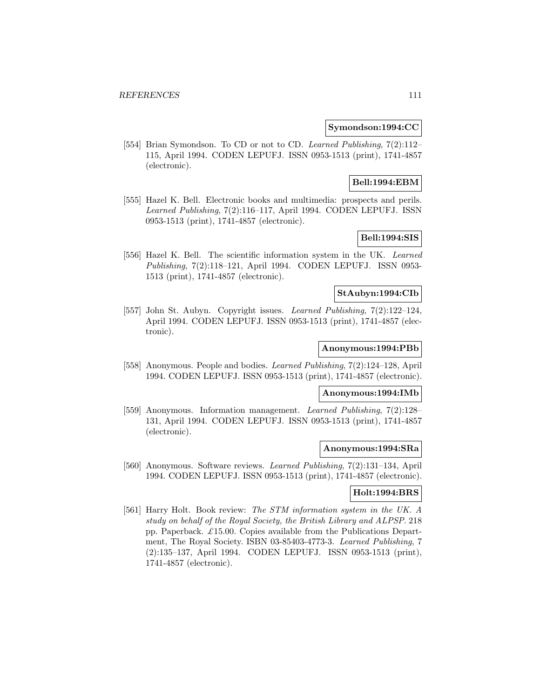#### **Symondson:1994:CC**

[554] Brian Symondson. To CD or not to CD. Learned Publishing, 7(2):112-115, April 1994. CODEN LEPUFJ. ISSN 0953-1513 (print), 1741-4857 (electronic).

# **Bell:1994:EBM**

[555] Hazel K. Bell. Electronic books and multimedia: prospects and perils. Learned Publishing, 7(2):116–117, April 1994. CODEN LEPUFJ. ISSN 0953-1513 (print), 1741-4857 (electronic).

# **Bell:1994:SIS**

[556] Hazel K. Bell. The scientific information system in the UK. Learned Publishing, 7(2):118–121, April 1994. CODEN LEPUFJ. ISSN 0953- 1513 (print), 1741-4857 (electronic).

### **StAubyn:1994:CIb**

[557] John St. Aubyn. Copyright issues. Learned Publishing, 7(2):122–124, April 1994. CODEN LEPUFJ. ISSN 0953-1513 (print), 1741-4857 (electronic).

# **Anonymous:1994:PBb**

[558] Anonymous. People and bodies. Learned Publishing, 7(2):124–128, April 1994. CODEN LEPUFJ. ISSN 0953-1513 (print), 1741-4857 (electronic).

### **Anonymous:1994:IMb**

[559] Anonymous. Information management. Learned Publishing, 7(2):128– 131, April 1994. CODEN LEPUFJ. ISSN 0953-1513 (print), 1741-4857 (electronic).

#### **Anonymous:1994:SRa**

[560] Anonymous. Software reviews. Learned Publishing, 7(2):131–134, April 1994. CODEN LEPUFJ. ISSN 0953-1513 (print), 1741-4857 (electronic).

### **Holt:1994:BRS**

[561] Harry Holt. Book review: The STM information system in the UK. A study on behalf of the Royal Society, the British Library and ALPSP. 218 pp. Paperback.  $\pounds$ 15.00. Copies available from the Publications Department, The Royal Society. ISBN 03-85403-4773-3. Learned Publishing, 7 (2):135–137, April 1994. CODEN LEPUFJ. ISSN 0953-1513 (print), 1741-4857 (electronic).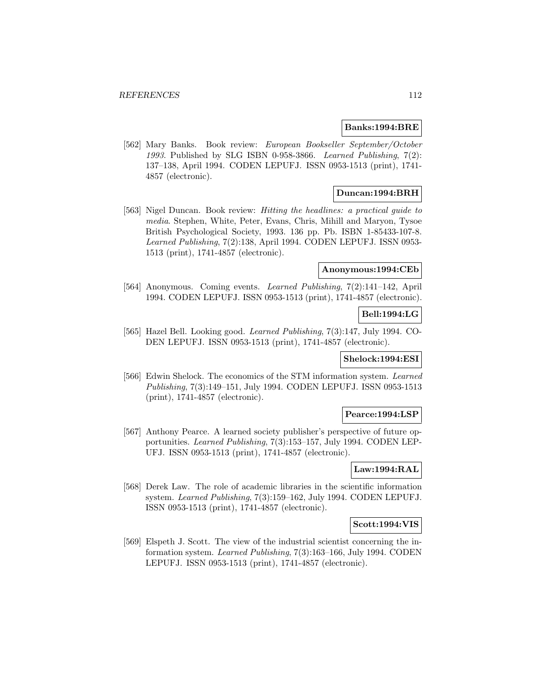#### **Banks:1994:BRE**

[562] Mary Banks. Book review: European Bookseller September/October 1993. Published by SLG ISBN 0-958-3866. Learned Publishing, 7(2): 137–138, April 1994. CODEN LEPUFJ. ISSN 0953-1513 (print), 1741- 4857 (electronic).

# **Duncan:1994:BRH**

[563] Nigel Duncan. Book review: Hitting the headlines: a practical guide to media. Stephen, White, Peter, Evans, Chris, Mihill and Maryon, Tysoe British Psychological Society, 1993. 136 pp. Pb. ISBN 1-85433-107-8. Learned Publishing, 7(2):138, April 1994. CODEN LEPUFJ. ISSN 0953- 1513 (print), 1741-4857 (electronic).

#### **Anonymous:1994:CEb**

[564] Anonymous. Coming events. Learned Publishing, 7(2):141–142, April 1994. CODEN LEPUFJ. ISSN 0953-1513 (print), 1741-4857 (electronic).

### **Bell:1994:LG**

[565] Hazel Bell. Looking good. Learned Publishing, 7(3):147, July 1994. CO-DEN LEPUFJ. ISSN 0953-1513 (print), 1741-4857 (electronic).

### **Shelock:1994:ESI**

[566] Edwin Shelock. The economics of the STM information system. Learned Publishing, 7(3):149–151, July 1994. CODEN LEPUFJ. ISSN 0953-1513 (print), 1741-4857 (electronic).

#### **Pearce:1994:LSP**

[567] Anthony Pearce. A learned society publisher's perspective of future opportunities. Learned Publishing, 7(3):153–157, July 1994. CODEN LEP-UFJ. ISSN 0953-1513 (print), 1741-4857 (electronic).

# **Law:1994:RAL**

[568] Derek Law. The role of academic libraries in the scientific information system. Learned Publishing, 7(3):159–162, July 1994. CODEN LEPUFJ. ISSN 0953-1513 (print), 1741-4857 (electronic).

# **Scott:1994:VIS**

[569] Elspeth J. Scott. The view of the industrial scientist concerning the information system. Learned Publishing, 7(3):163–166, July 1994. CODEN LEPUFJ. ISSN 0953-1513 (print), 1741-4857 (electronic).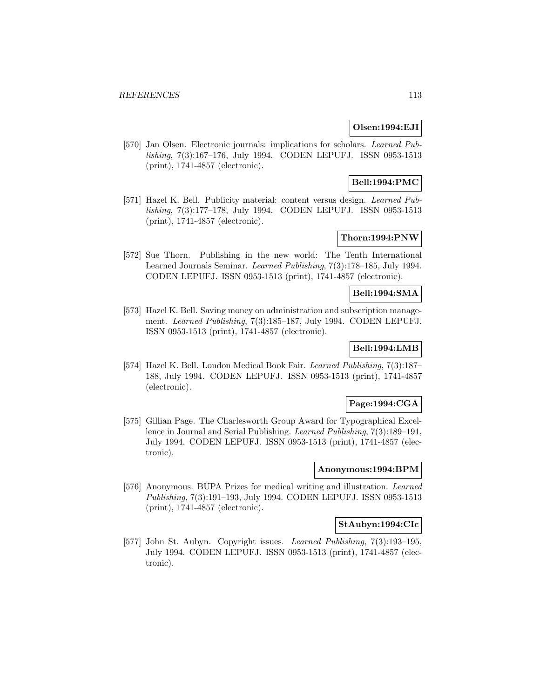# **Olsen:1994:EJI**

[570] Jan Olsen. Electronic journals: implications for scholars. Learned Publishing, 7(3):167–176, July 1994. CODEN LEPUFJ. ISSN 0953-1513 (print), 1741-4857 (electronic).

# **Bell:1994:PMC**

[571] Hazel K. Bell. Publicity material: content versus design. Learned Publishing, 7(3):177–178, July 1994. CODEN LEPUFJ. ISSN 0953-1513 (print), 1741-4857 (electronic).

# **Thorn:1994:PNW**

[572] Sue Thorn. Publishing in the new world: The Tenth International Learned Journals Seminar. Learned Publishing, 7(3):178–185, July 1994. CODEN LEPUFJ. ISSN 0953-1513 (print), 1741-4857 (electronic).

# **Bell:1994:SMA**

[573] Hazel K. Bell. Saving money on administration and subscription management. Learned Publishing, 7(3):185–187, July 1994. CODEN LEPUFJ. ISSN 0953-1513 (print), 1741-4857 (electronic).

# **Bell:1994:LMB**

[574] Hazel K. Bell. London Medical Book Fair. Learned Publishing, 7(3):187– 188, July 1994. CODEN LEPUFJ. ISSN 0953-1513 (print), 1741-4857 (electronic).

# **Page:1994:CGA**

[575] Gillian Page. The Charlesworth Group Award for Typographical Excellence in Journal and Serial Publishing. Learned Publishing, 7(3):189–191, July 1994. CODEN LEPUFJ. ISSN 0953-1513 (print), 1741-4857 (electronic).

### **Anonymous:1994:BPM**

[576] Anonymous. BUPA Prizes for medical writing and illustration. Learned Publishing, 7(3):191–193, July 1994. CODEN LEPUFJ. ISSN 0953-1513 (print), 1741-4857 (electronic).

# **StAubyn:1994:CIc**

[577] John St. Aubyn. Copyright issues. Learned Publishing, 7(3):193–195, July 1994. CODEN LEPUFJ. ISSN 0953-1513 (print), 1741-4857 (electronic).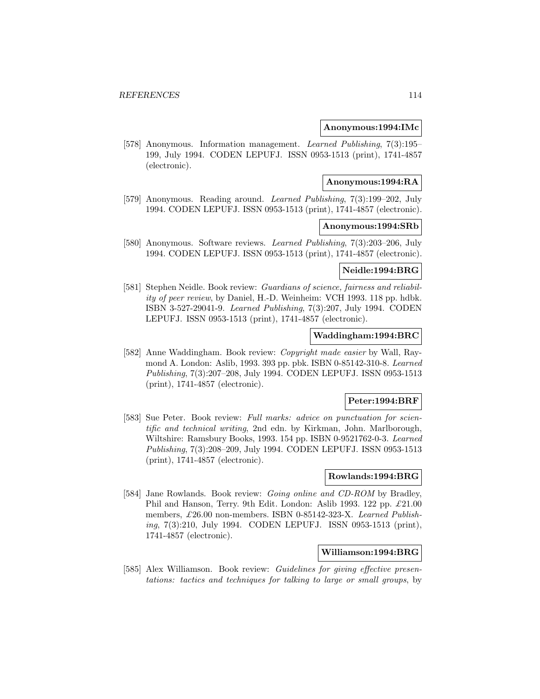#### **Anonymous:1994:IMc**

[578] Anonymous. Information management. Learned Publishing, 7(3):195– 199, July 1994. CODEN LEPUFJ. ISSN 0953-1513 (print), 1741-4857 (electronic).

#### **Anonymous:1994:RA**

[579] Anonymous. Reading around. Learned Publishing, 7(3):199–202, July 1994. CODEN LEPUFJ. ISSN 0953-1513 (print), 1741-4857 (electronic).

## **Anonymous:1994:SRb**

[580] Anonymous. Software reviews. Learned Publishing, 7(3):203–206, July 1994. CODEN LEPUFJ. ISSN 0953-1513 (print), 1741-4857 (electronic).

#### **Neidle:1994:BRG**

[581] Stephen Neidle. Book review: Guardians of science, fairness and reliability of peer review, by Daniel, H.-D. Weinheim: VCH 1993. 118 pp. hdbk. ISBN 3-527-29041-9. Learned Publishing, 7(3):207, July 1994. CODEN LEPUFJ. ISSN 0953-1513 (print), 1741-4857 (electronic).

# **Waddingham:1994:BRC**

[582] Anne Waddingham. Book review: Copyright made easier by Wall, Raymond A. London: Aslib, 1993. 393 pp. pbk. ISBN 0-85142-310-8. Learned Publishing, 7(3):207–208, July 1994. CODEN LEPUFJ. ISSN 0953-1513 (print), 1741-4857 (electronic).

### **Peter:1994:BRF**

[583] Sue Peter. Book review: Full marks: advice on punctuation for scientific and technical writing, 2nd edn. by Kirkman, John. Marlborough, Wiltshire: Ramsbury Books, 1993. 154 pp. ISBN 0-9521762-0-3. Learned Publishing, 7(3):208–209, July 1994. CODEN LEPUFJ. ISSN 0953-1513 (print), 1741-4857 (electronic).

### **Rowlands:1994:BRG**

[584] Jane Rowlands. Book review: *Going online and CD-ROM* by Bradley, Phil and Hanson, Terry. 9th Edit. London: Aslib 1993. 122 pp. £21.00 members, £26.00 non-members. ISBN 0-85142-323-X. Learned Publishing, 7(3):210, July 1994. CODEN LEPUFJ. ISSN 0953-1513 (print), 1741-4857 (electronic).

# **Williamson:1994:BRG**

[585] Alex Williamson. Book review: *Guidelines for giving effective presen*tations: tactics and techniques for talking to large or small groups, by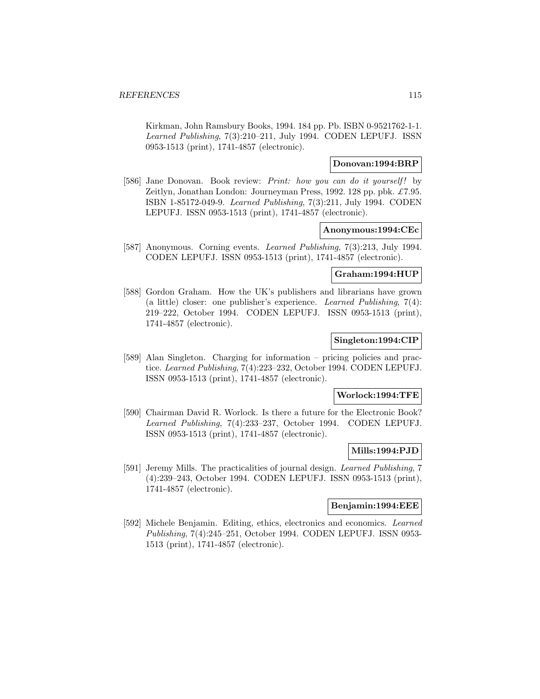Kirkman, John Ramsbury Books, 1994. 184 pp. Pb. ISBN 0-9521762-1-1. Learned Publishing, 7(3):210–211, July 1994. CODEN LEPUFJ. ISSN 0953-1513 (print), 1741-4857 (electronic).

# **Donovan:1994:BRP**

[586] Jane Donovan. Book review: *Print: how you can do it yourself!* by Zeitlyn, Jonathan London: Journeyman Press, 1992. 128 pp. pbk. £7.95. ISBN 1-85172-049-9. Learned Publishing, 7(3):211, July 1994. CODEN LEPUFJ. ISSN 0953-1513 (print), 1741-4857 (electronic).

#### **Anonymous:1994:CEc**

[587] Anonymous. Corning events. Learned Publishing, 7(3):213, July 1994. CODEN LEPUFJ. ISSN 0953-1513 (print), 1741-4857 (electronic).

#### **Graham:1994:HUP**

[588] Gordon Graham. How the UK's publishers and librarians have grown (a little) closer: one publisher's experience. Learned Publishing, 7(4): 219–222, October 1994. CODEN LEPUFJ. ISSN 0953-1513 (print), 1741-4857 (electronic).

# **Singleton:1994:CIP**

[589] Alan Singleton. Charging for information – pricing policies and practice. Learned Publishing, 7(4):223–232, October 1994. CODEN LEPUFJ. ISSN 0953-1513 (print), 1741-4857 (electronic).

#### **Worlock:1994:TFE**

[590] Chairman David R. Worlock. Is there a future for the Electronic Book? Learned Publishing, 7(4):233–237, October 1994. CODEN LEPUFJ. ISSN 0953-1513 (print), 1741-4857 (electronic).

# **Mills:1994:PJD**

[591] Jeremy Mills. The practicalities of journal design. Learned Publishing, 7 (4):239–243, October 1994. CODEN LEPUFJ. ISSN 0953-1513 (print), 1741-4857 (electronic).

#### **Benjamin:1994:EEE**

[592] Michele Benjamin. Editing, ethics, electronics and economics. Learned Publishing, 7(4):245–251, October 1994. CODEN LEPUFJ. ISSN 0953- 1513 (print), 1741-4857 (electronic).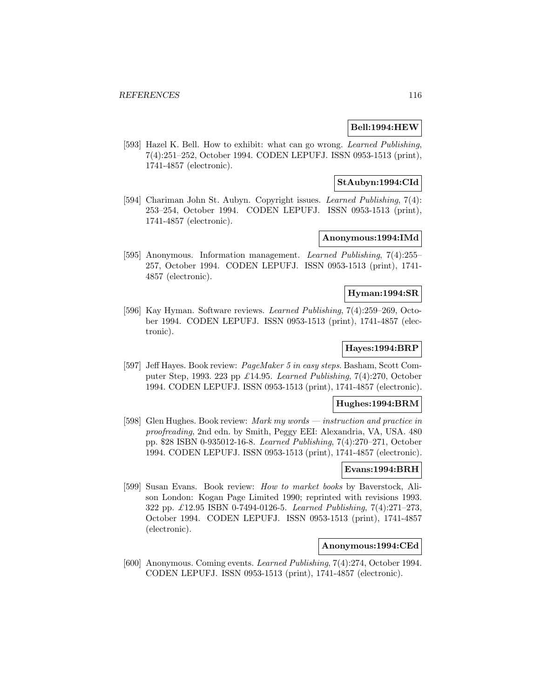### **Bell:1994:HEW**

[593] Hazel K. Bell. How to exhibit: what can go wrong. *Learned Publishing*, 7(4):251–252, October 1994. CODEN LEPUFJ. ISSN 0953-1513 (print), 1741-4857 (electronic).

### **StAubyn:1994:CId**

[594] Chariman John St. Aubyn. Copyright issues. Learned Publishing, 7(4): 253–254, October 1994. CODEN LEPUFJ. ISSN 0953-1513 (print), 1741-4857 (electronic).

# **Anonymous:1994:IMd**

[595] Anonymous. Information management. Learned Publishing, 7(4):255– 257, October 1994. CODEN LEPUFJ. ISSN 0953-1513 (print), 1741- 4857 (electronic).

### **Hyman:1994:SR**

[596] Kay Hyman. Software reviews. Learned Publishing, 7(4):259–269, October 1994. CODEN LEPUFJ. ISSN 0953-1513 (print), 1741-4857 (electronic).

# **Hayes:1994:BRP**

[597] Jeff Hayes. Book review: PageMaker 5 in easy steps. Basham, Scott Computer Step, 1993. 223 pp  $\pounds$ 14.95. Learned Publishing, 7(4):270, October 1994. CODEN LEPUFJ. ISSN 0953-1513 (print), 1741-4857 (electronic).

# **Hughes:1994:BRM**

[598] Glen Hughes. Book review: Mark my words — instruction and practice in proofreading, 2nd edn. by Smith, Peggy EEI: Alexandria, VA, USA. 480 pp. \$28 ISBN 0-935012-16-8. Learned Publishing, 7(4):270–271, October 1994. CODEN LEPUFJ. ISSN 0953-1513 (print), 1741-4857 (electronic).

# **Evans:1994:BRH**

[599] Susan Evans. Book review: How to market books by Baverstock, Alison London: Kogan Page Limited 1990; reprinted with revisions 1993. 322 pp. £12.95 ISBN 0-7494-0126-5. Learned Publishing, 7(4):271–273, October 1994. CODEN LEPUFJ. ISSN 0953-1513 (print), 1741-4857 (electronic).

### **Anonymous:1994:CEd**

[600] Anonymous. Coming events. Learned Publishing, 7(4):274, October 1994. CODEN LEPUFJ. ISSN 0953-1513 (print), 1741-4857 (electronic).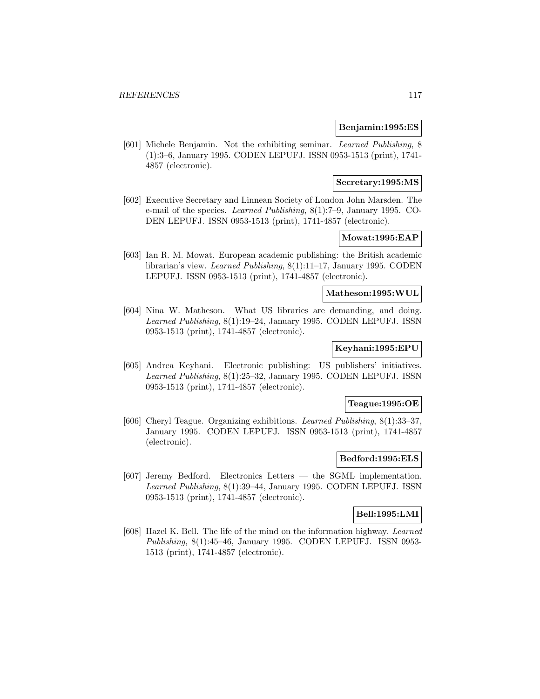#### **Benjamin:1995:ES**

[601] Michele Benjamin. Not the exhibiting seminar. Learned Publishing, 8 (1):3–6, January 1995. CODEN LEPUFJ. ISSN 0953-1513 (print), 1741- 4857 (electronic).

### **Secretary:1995:MS**

[602] Executive Secretary and Linnean Society of London John Marsden. The e-mail of the species. Learned Publishing, 8(1):7–9, January 1995. CO-DEN LEPUFJ. ISSN 0953-1513 (print), 1741-4857 (electronic).

# **Mowat:1995:EAP**

[603] Ian R. M. Mowat. European academic publishing: the British academic librarian's view. Learned Publishing, 8(1):11–17, January 1995. CODEN LEPUFJ. ISSN 0953-1513 (print), 1741-4857 (electronic).

#### **Matheson:1995:WUL**

[604] Nina W. Matheson. What US libraries are demanding, and doing. Learned Publishing, 8(1):19–24, January 1995. CODEN LEPUFJ. ISSN 0953-1513 (print), 1741-4857 (electronic).

# **Keyhani:1995:EPU**

[605] Andrea Keyhani. Electronic publishing: US publishers' initiatives. Learned Publishing, 8(1):25–32, January 1995. CODEN LEPUFJ. ISSN 0953-1513 (print), 1741-4857 (electronic).

### **Teague:1995:OE**

[606] Cheryl Teague. Organizing exhibitions. Learned Publishing, 8(1):33–37, January 1995. CODEN LEPUFJ. ISSN 0953-1513 (print), 1741-4857 (electronic).

### **Bedford:1995:ELS**

[607] Jeremy Bedford. Electronics Letters — the SGML implementation. Learned Publishing, 8(1):39–44, January 1995. CODEN LEPUFJ. ISSN 0953-1513 (print), 1741-4857 (electronic).

# **Bell:1995:LMI**

[608] Hazel K. Bell. The life of the mind on the information highway. Learned Publishing, 8(1):45–46, January 1995. CODEN LEPUFJ. ISSN 0953- 1513 (print), 1741-4857 (electronic).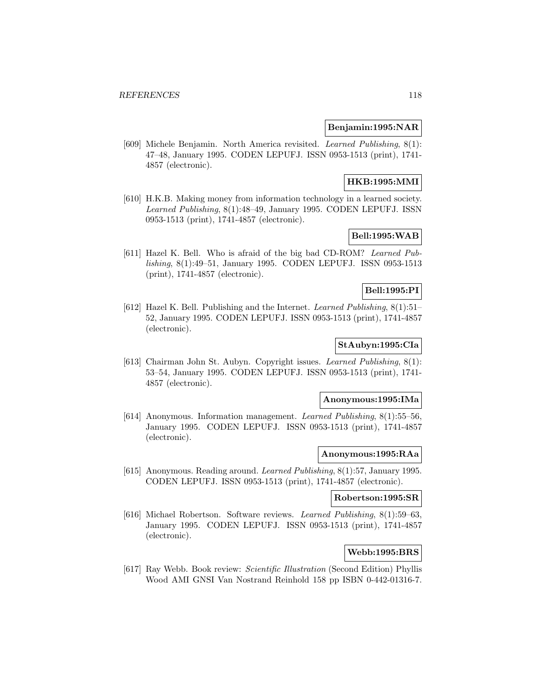### **Benjamin:1995:NAR**

[609] Michele Benjamin. North America revisited. Learned Publishing, 8(1): 47–48, January 1995. CODEN LEPUFJ. ISSN 0953-1513 (print), 1741- 4857 (electronic).

# **HKB:1995:MMI**

[610] H.K.B. Making money from information technology in a learned society. Learned Publishing, 8(1):48–49, January 1995. CODEN LEPUFJ. ISSN 0953-1513 (print), 1741-4857 (electronic).

# **Bell:1995:WAB**

[611] Hazel K. Bell. Who is afraid of the big bad CD-ROM? Learned Publishing, 8(1):49–51, January 1995. CODEN LEPUFJ. ISSN 0953-1513 (print), 1741-4857 (electronic).

# **Bell:1995:PI**

[612] Hazel K. Bell. Publishing and the Internet. Learned Publishing, 8(1):51– 52, January 1995. CODEN LEPUFJ. ISSN 0953-1513 (print), 1741-4857 (electronic).

#### **StAubyn:1995:CIa**

[613] Chairman John St. Aubyn. Copyright issues. Learned Publishing, 8(1): 53–54, January 1995. CODEN LEPUFJ. ISSN 0953-1513 (print), 1741- 4857 (electronic).

#### **Anonymous:1995:IMa**

[614] Anonymous. Information management. Learned Publishing, 8(1):55–56, January 1995. CODEN LEPUFJ. ISSN 0953-1513 (print), 1741-4857 (electronic).

#### **Anonymous:1995:RAa**

[615] Anonymous. Reading around. Learned Publishing, 8(1):57, January 1995. CODEN LEPUFJ. ISSN 0953-1513 (print), 1741-4857 (electronic).

#### **Robertson:1995:SR**

[616] Michael Robertson. Software reviews. Learned Publishing, 8(1):59–63, January 1995. CODEN LEPUFJ. ISSN 0953-1513 (print), 1741-4857 (electronic).

# **Webb:1995:BRS**

[617] Ray Webb. Book review: Scientific Illustration (Second Edition) Phyllis Wood AMI GNSI Van Nostrand Reinhold 158 pp ISBN 0-442-01316-7.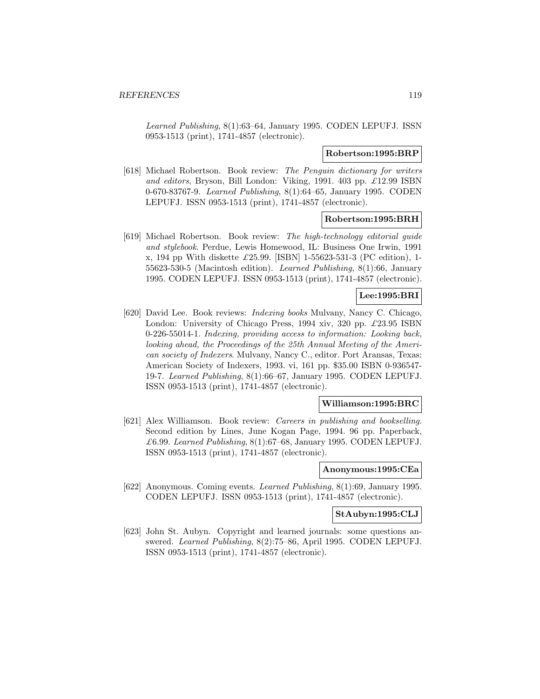Learned Publishing, 8(1):63–64, January 1995. CODEN LEPUFJ. ISSN 0953-1513 (print), 1741-4857 (electronic).

#### **Robertson:1995:BRP**

[618] Michael Robertson. Book review: The Penguin dictionary for writers and editors, Bryson, Bill London: Viking, 1991. 403 pp.  $\pounds$ 12.99 ISBN 0-670-83767-9. Learned Publishing, 8(1):64–65, January 1995. CODEN LEPUFJ. ISSN 0953-1513 (print), 1741-4857 (electronic).

#### **Robertson:1995:BRH**

[619] Michael Robertson. Book review: The high-technology editorial guide and stylebook. Perdue, Lewis Homewood, IL: Business One Irwin, 1991 x, 194 pp With diskette £25.99. [ISBN] 1-55623-531-3 (PC edition), 1- 55623-530-5 (Macintosh edition). Learned Publishing, 8(1):66, January 1995. CODEN LEPUFJ. ISSN 0953-1513 (print), 1741-4857 (electronic).

### **Lee:1995:BRI**

[620] David Lee. Book reviews: Indexing books Mulvany, Nancy C. Chicago, London: University of Chicago Press, 1994 xiv, 320 pp.  $\pounds$ 23.95 ISBN 0-226-55014-1. Indexing, providing access to information: Looking back, looking ahead, the Proceedings of the 25th Annual Meeting of the American society of Indexers. Mulvany, Nancy C., editor. Port Aransas, Texas: American Society of Indexers, 1993. vi, 161 pp. \$35.00 ISBN 0-936547- 19-7. Learned Publishing, 8(1):66–67, January 1995. CODEN LEPUFJ. ISSN 0953-1513 (print), 1741-4857 (electronic).

### **Williamson:1995:BRC**

[621] Alex Williamson. Book review: Careers in publishing and bookselling. Second edition by Lines, June Kogan Page, 1994. 96 pp. Paperback, £6.99. Learned Publishing,  $8(1):67-68$ , January 1995. CODEN LEPUFJ. ISSN 0953-1513 (print), 1741-4857 (electronic).

#### **Anonymous:1995:CEa**

[622] Anonymous. Coming events. Learned Publishing, 8(1):69, January 1995. CODEN LEPUFJ. ISSN 0953-1513 (print), 1741-4857 (electronic).

#### **StAubyn:1995:CLJ**

[623] John St. Aubyn. Copyright and learned journals: some questions answered. Learned Publishing, 8(2):75–86, April 1995. CODEN LEPUFJ. ISSN 0953-1513 (print), 1741-4857 (electronic).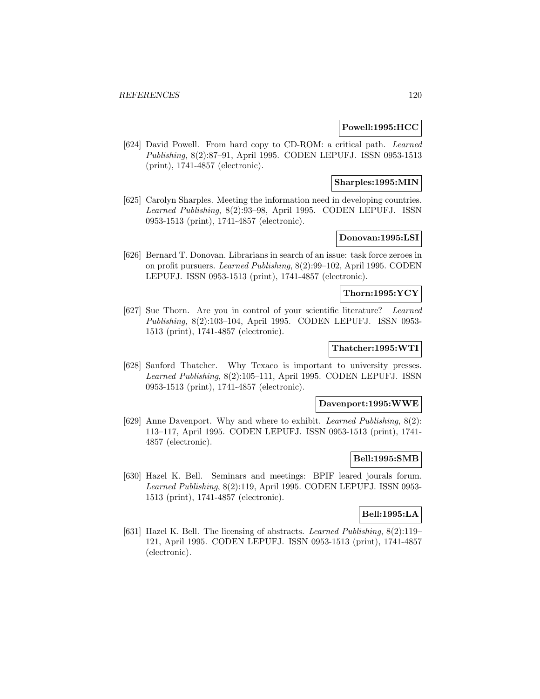### **Powell:1995:HCC**

[624] David Powell. From hard copy to CD-ROM: a critical path. Learned Publishing, 8(2):87–91, April 1995. CODEN LEPUFJ. ISSN 0953-1513 (print), 1741-4857 (electronic).

### **Sharples:1995:MIN**

[625] Carolyn Sharples. Meeting the information need in developing countries. Learned Publishing, 8(2):93–98, April 1995. CODEN LEPUFJ. ISSN 0953-1513 (print), 1741-4857 (electronic).

# **Donovan:1995:LSI**

[626] Bernard T. Donovan. Librarians in search of an issue: task force zeroes in on profit pursuers. Learned Publishing, 8(2):99–102, April 1995. CODEN LEPUFJ. ISSN 0953-1513 (print), 1741-4857 (electronic).

### **Thorn:1995:YCY**

[627] Sue Thorn. Are you in control of your scientific literature? Learned Publishing, 8(2):103–104, April 1995. CODEN LEPUFJ. ISSN 0953- 1513 (print), 1741-4857 (electronic).

# **Thatcher:1995:WTI**

[628] Sanford Thatcher. Why Texaco is important to university presses. Learned Publishing, 8(2):105–111, April 1995. CODEN LEPUFJ. ISSN 0953-1513 (print), 1741-4857 (electronic).

### **Davenport:1995:WWE**

[629] Anne Davenport. Why and where to exhibit. Learned Publishing, 8(2): 113–117, April 1995. CODEN LEPUFJ. ISSN 0953-1513 (print), 1741- 4857 (electronic).

### **Bell:1995:SMB**

[630] Hazel K. Bell. Seminars and meetings: BPIF leared jourals forum. Learned Publishing, 8(2):119, April 1995. CODEN LEPUFJ. ISSN 0953- 1513 (print), 1741-4857 (electronic).

# **Bell:1995:LA**

[631] Hazel K. Bell. The licensing of abstracts. Learned Publishing, 8(2):119– 121, April 1995. CODEN LEPUFJ. ISSN 0953-1513 (print), 1741-4857 (electronic).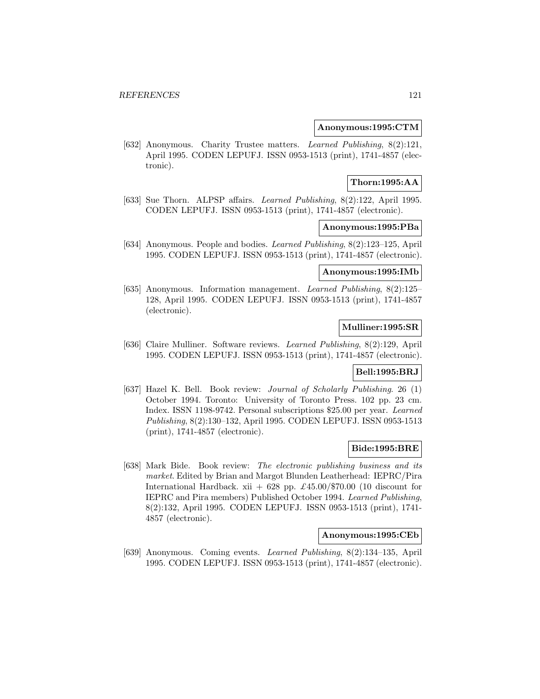#### **Anonymous:1995:CTM**

[632] Anonymous. Charity Trustee matters. Learned Publishing, 8(2):121, April 1995. CODEN LEPUFJ. ISSN 0953-1513 (print), 1741-4857 (electronic).

# **Thorn:1995:AA**

[633] Sue Thorn. ALPSP affairs. Learned Publishing, 8(2):122, April 1995. CODEN LEPUFJ. ISSN 0953-1513 (print), 1741-4857 (electronic).

### **Anonymous:1995:PBa**

[634] Anonymous. People and bodies. Learned Publishing, 8(2):123–125, April 1995. CODEN LEPUFJ. ISSN 0953-1513 (print), 1741-4857 (electronic).

#### **Anonymous:1995:IMb**

[635] Anonymous. Information management. Learned Publishing, 8(2):125– 128, April 1995. CODEN LEPUFJ. ISSN 0953-1513 (print), 1741-4857 (electronic).

# **Mulliner:1995:SR**

[636] Claire Mulliner. Software reviews. Learned Publishing, 8(2):129, April 1995. CODEN LEPUFJ. ISSN 0953-1513 (print), 1741-4857 (electronic).

# **Bell:1995:BRJ**

[637] Hazel K. Bell. Book review: Journal of Scholarly Publishing. 26 (1) October 1994. Toronto: University of Toronto Press. 102 pp. 23 cm. Index. ISSN 1198-9742. Personal subscriptions \$25.00 per year. Learned Publishing, 8(2):130–132, April 1995. CODEN LEPUFJ. ISSN 0953-1513 (print), 1741-4857 (electronic).

### **Bide:1995:BRE**

[638] Mark Bide. Book review: The electronic publishing business and its market. Edited by Brian and Margot Blunden Leatherhead: IEPRC/Pira International Hardback. xii + 628 pp.  $\pounds 45.00/\pounds 70.00$  (10 discount for IEPRC and Pira members) Published October 1994. Learned Publishing, 8(2):132, April 1995. CODEN LEPUFJ. ISSN 0953-1513 (print), 1741- 4857 (electronic).

#### **Anonymous:1995:CEb**

[639] Anonymous. Coming events. Learned Publishing, 8(2):134–135, April 1995. CODEN LEPUFJ. ISSN 0953-1513 (print), 1741-4857 (electronic).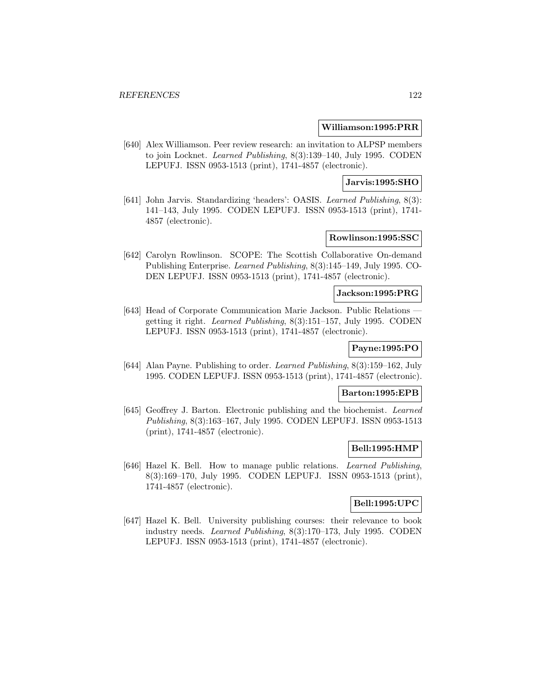#### **Williamson:1995:PRR**

[640] Alex Williamson. Peer review research: an invitation to ALPSP members to join Locknet. Learned Publishing, 8(3):139–140, July 1995. CODEN LEPUFJ. ISSN 0953-1513 (print), 1741-4857 (electronic).

### **Jarvis:1995:SHO**

[641] John Jarvis. Standardizing 'headers': OASIS. Learned Publishing, 8(3): 141–143, July 1995. CODEN LEPUFJ. ISSN 0953-1513 (print), 1741- 4857 (electronic).

# **Rowlinson:1995:SSC**

[642] Carolyn Rowlinson. SCOPE: The Scottish Collaborative On-demand Publishing Enterprise. Learned Publishing, 8(3):145–149, July 1995. CO-DEN LEPUFJ. ISSN 0953-1513 (print), 1741-4857 (electronic).

#### **Jackson:1995:PRG**

[643] Head of Corporate Communication Marie Jackson. Public Relations getting it right. Learned Publishing, 8(3):151–157, July 1995. CODEN LEPUFJ. ISSN 0953-1513 (print), 1741-4857 (electronic).

# **Payne:1995:PO**

[644] Alan Payne. Publishing to order. Learned Publishing, 8(3):159–162, July 1995. CODEN LEPUFJ. ISSN 0953-1513 (print), 1741-4857 (electronic).

# **Barton:1995:EPB**

[645] Geoffrey J. Barton. Electronic publishing and the biochemist. Learned Publishing, 8(3):163–167, July 1995. CODEN LEPUFJ. ISSN 0953-1513 (print), 1741-4857 (electronic).

#### **Bell:1995:HMP**

[646] Hazel K. Bell. How to manage public relations. Learned Publishing, 8(3):169–170, July 1995. CODEN LEPUFJ. ISSN 0953-1513 (print), 1741-4857 (electronic).

# **Bell:1995:UPC**

[647] Hazel K. Bell. University publishing courses: their relevance to book industry needs. Learned Publishing, 8(3):170–173, July 1995. CODEN LEPUFJ. ISSN 0953-1513 (print), 1741-4857 (electronic).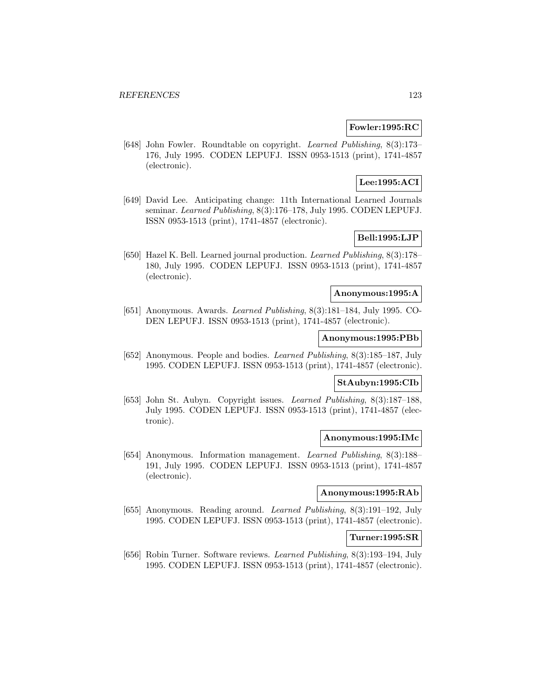# **Fowler:1995:RC**

[648] John Fowler. Roundtable on copyright. Learned Publishing, 8(3):173– 176, July 1995. CODEN LEPUFJ. ISSN 0953-1513 (print), 1741-4857 (electronic).

# **Lee:1995:ACI**

[649] David Lee. Anticipating change: 11th International Learned Journals seminar. Learned Publishing, 8(3):176–178, July 1995. CODEN LEPUFJ. ISSN 0953-1513 (print), 1741-4857 (electronic).

# **Bell:1995:LJP**

[650] Hazel K. Bell. Learned journal production. Learned Publishing, 8(3):178– 180, July 1995. CODEN LEPUFJ. ISSN 0953-1513 (print), 1741-4857 (electronic).

#### **Anonymous:1995:A**

[651] Anonymous. Awards. Learned Publishing, 8(3):181–184, July 1995. CO-DEN LEPUFJ. ISSN 0953-1513 (print), 1741-4857 (electronic).

#### **Anonymous:1995:PBb**

[652] Anonymous. People and bodies. Learned Publishing, 8(3):185–187, July 1995. CODEN LEPUFJ. ISSN 0953-1513 (print), 1741-4857 (electronic).

# **StAubyn:1995:CIb**

[653] John St. Aubyn. Copyright issues. Learned Publishing, 8(3):187–188, July 1995. CODEN LEPUFJ. ISSN 0953-1513 (print), 1741-4857 (electronic).

# **Anonymous:1995:IMc**

[654] Anonymous. Information management. Learned Publishing, 8(3):188– 191, July 1995. CODEN LEPUFJ. ISSN 0953-1513 (print), 1741-4857 (electronic).

# **Anonymous:1995:RAb**

[655] Anonymous. Reading around. Learned Publishing, 8(3):191–192, July 1995. CODEN LEPUFJ. ISSN 0953-1513 (print), 1741-4857 (electronic).

### **Turner:1995:SR**

[656] Robin Turner. Software reviews. Learned Publishing, 8(3):193–194, July 1995. CODEN LEPUFJ. ISSN 0953-1513 (print), 1741-4857 (electronic).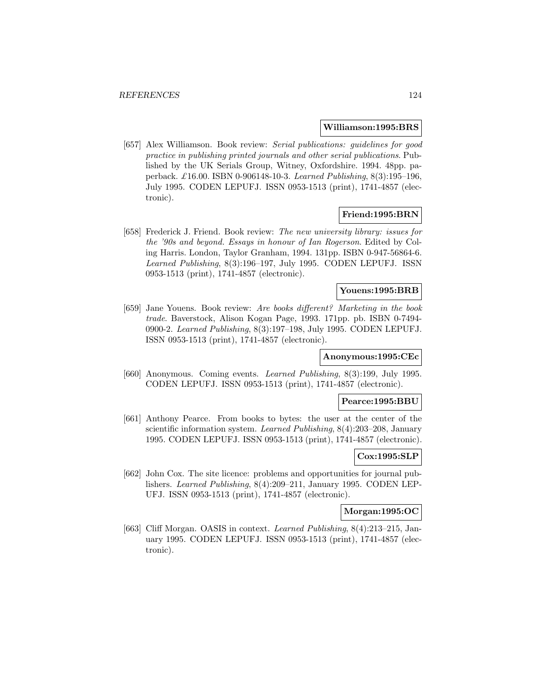#### **Williamson:1995:BRS**

[657] Alex Williamson. Book review: Serial publications: guidelines for good practice in publishing printed journals and other serial publications. Published by the UK Serials Group, Witney, Oxfordshire. 1994. 48pp. paperback. £16.00. ISBN 0-906148-10-3. Learned Publishing, 8(3):195–196, July 1995. CODEN LEPUFJ. ISSN 0953-1513 (print), 1741-4857 (electronic).

### **Friend:1995:BRN**

[658] Frederick J. Friend. Book review: The new university library: issues for the '90s and beyond. Essays in honour of Ian Rogerson. Edited by Coling Harris. London, Taylor Granham, 1994. 131pp. ISBN 0-947-56864-6. Learned Publishing, 8(3):196–197, July 1995. CODEN LEPUFJ. ISSN 0953-1513 (print), 1741-4857 (electronic).

# **Youens:1995:BRB**

[659] Jane Youens. Book review: Are books different? Marketing in the book trade. Baverstock, Alison Kogan Page, 1993. 171pp. pb. ISBN 0-7494- 0900-2. Learned Publishing, 8(3):197–198, July 1995. CODEN LEPUFJ. ISSN 0953-1513 (print), 1741-4857 (electronic).

#### **Anonymous:1995:CEc**

[660] Anonymous. Coming events. Learned Publishing, 8(3):199, July 1995. CODEN LEPUFJ. ISSN 0953-1513 (print), 1741-4857 (electronic).

#### **Pearce:1995:BBU**

[661] Anthony Pearce. From books to bytes: the user at the center of the scientific information system. Learned Publishing, 8(4):203–208, January 1995. CODEN LEPUFJ. ISSN 0953-1513 (print), 1741-4857 (electronic).

### **Cox:1995:SLP**

[662] John Cox. The site licence: problems and opportunities for journal publishers. Learned Publishing, 8(4):209–211, January 1995. CODEN LEP-UFJ. ISSN 0953-1513 (print), 1741-4857 (electronic).

### **Morgan:1995:OC**

[663] Cliff Morgan. OASIS in context. Learned Publishing, 8(4):213–215, January 1995. CODEN LEPUFJ. ISSN 0953-1513 (print), 1741-4857 (electronic).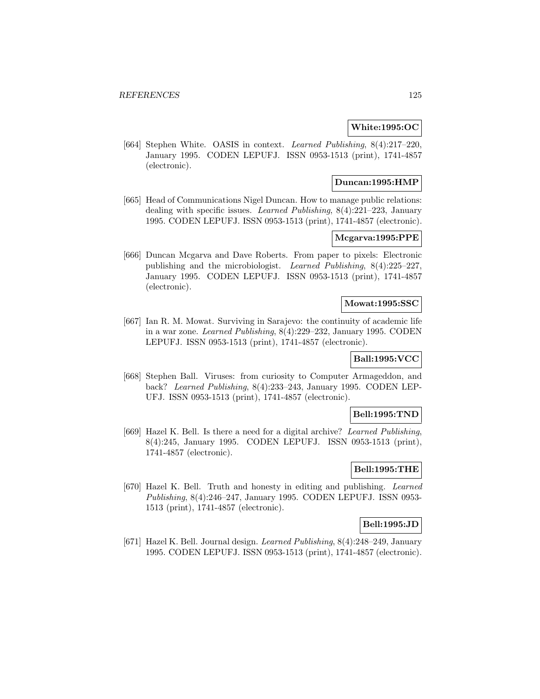### **White:1995:OC**

[664] Stephen White. OASIS in context. Learned Publishing, 8(4):217–220, January 1995. CODEN LEPUFJ. ISSN 0953-1513 (print), 1741-4857 (electronic).

# **Duncan:1995:HMP**

[665] Head of Communications Nigel Duncan. How to manage public relations: dealing with specific issues. Learned Publishing, 8(4):221–223, January 1995. CODEN LEPUFJ. ISSN 0953-1513 (print), 1741-4857 (electronic).

# **Mcgarva:1995:PPE**

[666] Duncan Mcgarva and Dave Roberts. From paper to pixels: Electronic publishing and the microbiologist. Learned Publishing, 8(4):225–227, January 1995. CODEN LEPUFJ. ISSN 0953-1513 (print), 1741-4857 (electronic).

### **Mowat:1995:SSC**

[667] Ian R. M. Mowat. Surviving in Sarajevo: the continuity of academic life in a war zone. Learned Publishing, 8(4):229–232, January 1995. CODEN LEPUFJ. ISSN 0953-1513 (print), 1741-4857 (electronic).

# **Ball:1995:VCC**

[668] Stephen Ball. Viruses: from curiosity to Computer Armageddon, and back? Learned Publishing, 8(4):233–243, January 1995. CODEN LEP-UFJ. ISSN 0953-1513 (print), 1741-4857 (electronic).

### **Bell:1995:TND**

[669] Hazel K. Bell. Is there a need for a digital archive? Learned Publishing, 8(4):245, January 1995. CODEN LEPUFJ. ISSN 0953-1513 (print), 1741-4857 (electronic).

# **Bell:1995:THE**

[670] Hazel K. Bell. Truth and honesty in editing and publishing. Learned Publishing, 8(4):246–247, January 1995. CODEN LEPUFJ. ISSN 0953- 1513 (print), 1741-4857 (electronic).

# **Bell:1995:JD**

[671] Hazel K. Bell. Journal design. Learned Publishing, 8(4):248–249, January 1995. CODEN LEPUFJ. ISSN 0953-1513 (print), 1741-4857 (electronic).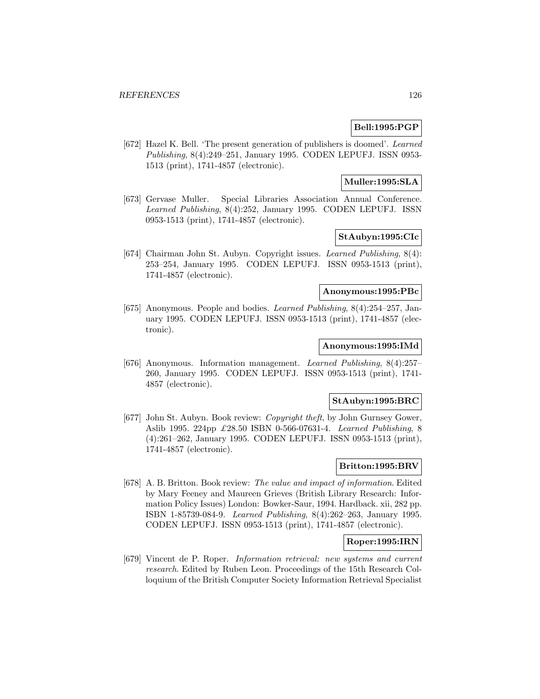# **Bell:1995:PGP**

[672] Hazel K. Bell. 'The present generation of publishers is doomed'. Learned Publishing, 8(4):249–251, January 1995. CODEN LEPUFJ. ISSN 0953- 1513 (print), 1741-4857 (electronic).

# **Muller:1995:SLA**

[673] Gervase Muller. Special Libraries Association Annual Conference. Learned Publishing, 8(4):252, January 1995. CODEN LEPUFJ. ISSN 0953-1513 (print), 1741-4857 (electronic).

# **StAubyn:1995:CIc**

[674] Chairman John St. Aubyn. Copyright issues. Learned Publishing, 8(4): 253–254, January 1995. CODEN LEPUFJ. ISSN 0953-1513 (print), 1741-4857 (electronic).

# **Anonymous:1995:PBc**

[675] Anonymous. People and bodies. Learned Publishing, 8(4):254–257, January 1995. CODEN LEPUFJ. ISSN 0953-1513 (print), 1741-4857 (electronic).

#### **Anonymous:1995:IMd**

[676] Anonymous. Information management. Learned Publishing, 8(4):257– 260, January 1995. CODEN LEPUFJ. ISSN 0953-1513 (print), 1741- 4857 (electronic).

## **StAubyn:1995:BRC**

[677] John St. Aubyn. Book review: Copyright theft, by John Gurnsey Gower, Aslib 1995. 224pp £28.50 ISBN 0-566-07631-4. Learned Publishing, 8 (4):261–262, January 1995. CODEN LEPUFJ. ISSN 0953-1513 (print), 1741-4857 (electronic).

# **Britton:1995:BRV**

[678] A. B. Britton. Book review: The value and impact of information. Edited by Mary Feeney and Maureen Grieves (British Library Research: Information Policy Issues) London: Bowker-Saur, 1994. Hardback. xii, 282 pp. ISBN 1-85739-084-9. Learned Publishing, 8(4):262–263, January 1995. CODEN LEPUFJ. ISSN 0953-1513 (print), 1741-4857 (electronic).

### **Roper:1995:IRN**

[679] Vincent de P. Roper. Information retrieval: new systems and current research. Edited by Ruben Leon. Proceedings of the 15th Research Colloquium of the British Computer Society Information Retrieval Specialist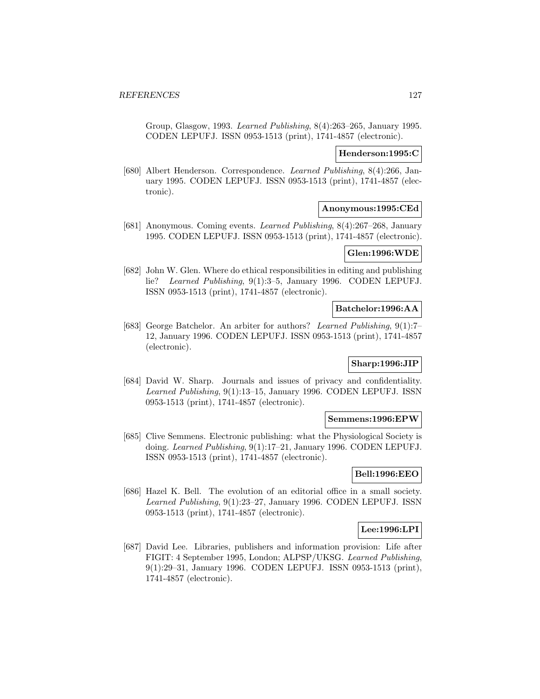Group, Glasgow, 1993. Learned Publishing, 8(4):263–265, January 1995. CODEN LEPUFJ. ISSN 0953-1513 (print), 1741-4857 (electronic).

### **Henderson:1995:C**

[680] Albert Henderson. Correspondence. Learned Publishing, 8(4):266, January 1995. CODEN LEPUFJ. ISSN 0953-1513 (print), 1741-4857 (electronic).

#### **Anonymous:1995:CEd**

[681] Anonymous. Coming events. Learned Publishing, 8(4):267–268, January 1995. CODEN LEPUFJ. ISSN 0953-1513 (print), 1741-4857 (electronic).

# **Glen:1996:WDE**

[682] John W. Glen. Where do ethical responsibilities in editing and publishing lie? Learned Publishing, 9(1):3–5, January 1996. CODEN LEPUFJ. ISSN 0953-1513 (print), 1741-4857 (electronic).

# **Batchelor:1996:AA**

[683] George Batchelor. An arbiter for authors? Learned Publishing, 9(1):7– 12, January 1996. CODEN LEPUFJ. ISSN 0953-1513 (print), 1741-4857 (electronic).

### **Sharp:1996:JIP**

[684] David W. Sharp. Journals and issues of privacy and confidentiality. Learned Publishing, 9(1):13–15, January 1996. CODEN LEPUFJ. ISSN 0953-1513 (print), 1741-4857 (electronic).

#### **Semmens:1996:EPW**

[685] Clive Semmens. Electronic publishing: what the Physiological Society is doing. Learned Publishing, 9(1):17–21, January 1996. CODEN LEPUFJ. ISSN 0953-1513 (print), 1741-4857 (electronic).

# **Bell:1996:EEO**

[686] Hazel K. Bell. The evolution of an editorial office in a small society. Learned Publishing, 9(1):23–27, January 1996. CODEN LEPUFJ. ISSN 0953-1513 (print), 1741-4857 (electronic).

### **Lee:1996:LPI**

[687] David Lee. Libraries, publishers and information provision: Life after FIGIT: 4 September 1995, London; ALPSP/UKSG. Learned Publishing, 9(1):29–31, January 1996. CODEN LEPUFJ. ISSN 0953-1513 (print), 1741-4857 (electronic).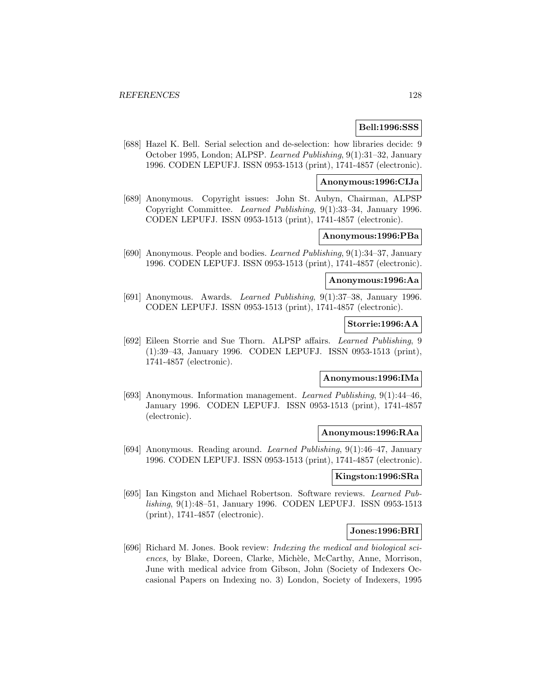# **Bell:1996:SSS**

[688] Hazel K. Bell. Serial selection and de-selection: how libraries decide: 9 October 1995, London; ALPSP. Learned Publishing, 9(1):31–32, January 1996. CODEN LEPUFJ. ISSN 0953-1513 (print), 1741-4857 (electronic).

# **Anonymous:1996:CIJa**

[689] Anonymous. Copyright issues: John St. Aubyn, Chairman, ALPSP Copyright Committee. Learned Publishing, 9(1):33–34, January 1996. CODEN LEPUFJ. ISSN 0953-1513 (print), 1741-4857 (electronic).

# **Anonymous:1996:PBa**

[690] Anonymous. People and bodies. Learned Publishing, 9(1):34–37, January 1996. CODEN LEPUFJ. ISSN 0953-1513 (print), 1741-4857 (electronic).

### **Anonymous:1996:Aa**

[691] Anonymous. Awards. Learned Publishing, 9(1):37–38, January 1996. CODEN LEPUFJ. ISSN 0953-1513 (print), 1741-4857 (electronic).

## **Storrie:1996:AA**

[692] Eileen Storrie and Sue Thorn. ALPSP affairs. Learned Publishing, 9 (1):39–43, January 1996. CODEN LEPUFJ. ISSN 0953-1513 (print), 1741-4857 (electronic).

# **Anonymous:1996:IMa**

[693] Anonymous. Information management. Learned Publishing, 9(1):44–46, January 1996. CODEN LEPUFJ. ISSN 0953-1513 (print), 1741-4857 (electronic).

#### **Anonymous:1996:RAa**

[694] Anonymous. Reading around. Learned Publishing, 9(1):46–47, January 1996. CODEN LEPUFJ. ISSN 0953-1513 (print), 1741-4857 (electronic).

#### **Kingston:1996:SRa**

[695] Ian Kingston and Michael Robertson. Software reviews. Learned Publishing, 9(1):48–51, January 1996. CODEN LEPUFJ. ISSN 0953-1513 (print), 1741-4857 (electronic).

### **Jones:1996:BRI**

[696] Richard M. Jones. Book review: Indexing the medical and biological sciences, by Blake, Doreen, Clarke, Michèle, McCarthy, Anne, Morrison, June with medical advice from Gibson, John (Society of Indexers Occasional Papers on Indexing no. 3) London, Society of Indexers, 1995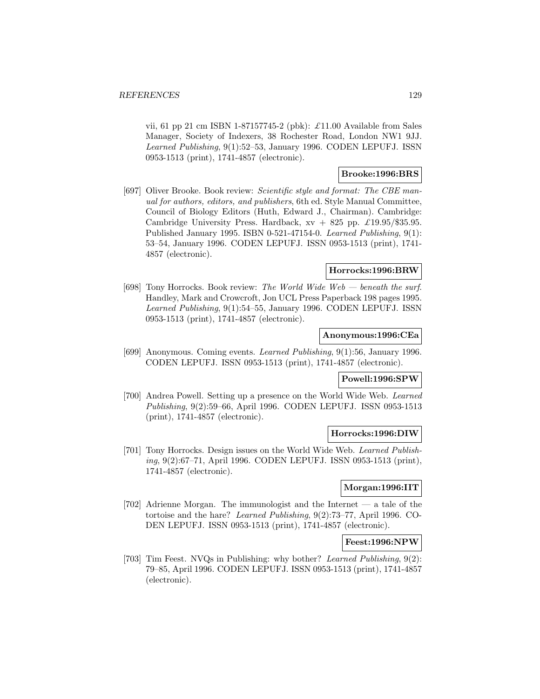vii, 61 pp 21 cm ISBN 1-87157745-2 (pbk):  $\pounds$ 11.00 Available from Sales Manager, Society of Indexers, 38 Rochester Road, London NW1 9JJ. Learned Publishing, 9(1):52–53, January 1996. CODEN LEPUFJ. ISSN 0953-1513 (print), 1741-4857 (electronic).

# **Brooke:1996:BRS**

[697] Oliver Brooke. Book review: Scientific style and format: The CBE manual for authors, editors, and publishers, 6th ed. Style Manual Committee, Council of Biology Editors (Huth, Edward J., Chairman). Cambridge: Cambridge University Press. Hardback,  $xy + 825$  pp.  $\pounds$ 19.95/\$35.95. Published January 1995. ISBN 0-521-47154-0. Learned Publishing, 9(1): 53–54, January 1996. CODEN LEPUFJ. ISSN 0953-1513 (print), 1741- 4857 (electronic).

### **Horrocks:1996:BRW**

[698] Tony Horrocks. Book review: The World Wide Web — beneath the surf. Handley, Mark and Crowcroft, Jon UCL Press Paperback 198 pages 1995. Learned Publishing, 9(1):54–55, January 1996. CODEN LEPUFJ. ISSN 0953-1513 (print), 1741-4857 (electronic).

## **Anonymous:1996:CEa**

[699] Anonymous. Coming events. Learned Publishing, 9(1):56, January 1996. CODEN LEPUFJ. ISSN 0953-1513 (print), 1741-4857 (electronic).

#### **Powell:1996:SPW**

[700] Andrea Powell. Setting up a presence on the World Wide Web. Learned Publishing, 9(2):59–66, April 1996. CODEN LEPUFJ. ISSN 0953-1513 (print), 1741-4857 (electronic).

#### **Horrocks:1996:DIW**

[701] Tony Horrocks. Design issues on the World Wide Web. Learned Publishing, 9(2):67–71, April 1996. CODEN LEPUFJ. ISSN 0953-1513 (print), 1741-4857 (electronic).

# **Morgan:1996:IIT**

[702] Adrienne Morgan. The immunologist and the Internet — a tale of the tortoise and the hare? Learned Publishing, 9(2):73–77, April 1996. CO-DEN LEPUFJ. ISSN 0953-1513 (print), 1741-4857 (electronic).

# **Feest:1996:NPW**

[703] Tim Feest. NVQs in Publishing: why bother? Learned Publishing, 9(2): 79–85, April 1996. CODEN LEPUFJ. ISSN 0953-1513 (print), 1741-4857 (electronic).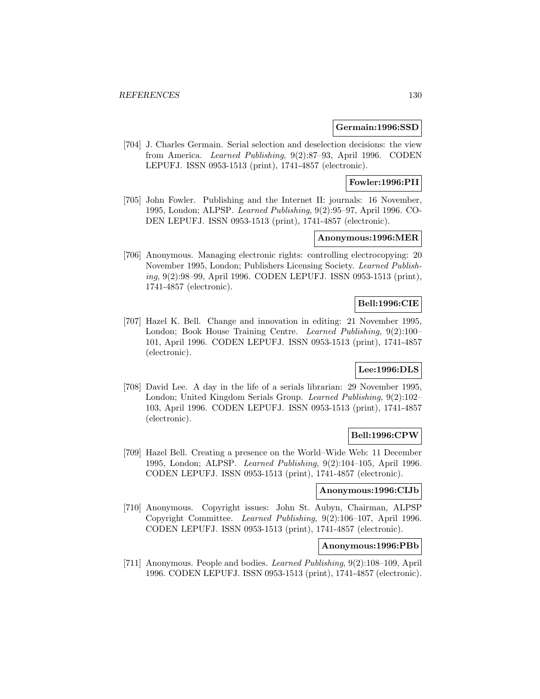### **Germain:1996:SSD**

[704] J. Charles Germain. Serial selection and deselection decisions: the view from America. Learned Publishing, 9(2):87–93, April 1996. CODEN LEPUFJ. ISSN 0953-1513 (print), 1741-4857 (electronic).

**Fowler:1996:PII**

[705] John Fowler. Publishing and the Internet II: journals: 16 November, 1995, London; ALPSP. Learned Publishing, 9(2):95–97, April 1996. CO-DEN LEPUFJ. ISSN 0953-1513 (print), 1741-4857 (electronic).

## **Anonymous:1996:MER**

[706] Anonymous. Managing electronic rights: controlling electrocopying: 20 November 1995, London; Publishers Licensing Society. Learned Publishing, 9(2):98–99, April 1996. CODEN LEPUFJ. ISSN 0953-1513 (print), 1741-4857 (electronic).

## **Bell:1996:CIE**

[707] Hazel K. Bell. Change and innovation in editing: 21 November 1995, London; Book House Training Centre. Learned Publishing, 9(2):100– 101, April 1996. CODEN LEPUFJ. ISSN 0953-1513 (print), 1741-4857 (electronic).

### **Lee:1996:DLS**

[708] David Lee. A day in the life of a serials librarian: 29 November 1995, London; United Kingdom Serials Group. Learned Publishing, 9(2):102– 103, April 1996. CODEN LEPUFJ. ISSN 0953-1513 (print), 1741-4857 (electronic).

## **Bell:1996:CPW**

[709] Hazel Bell. Creating a presence on the World–Wide Web: 11 December 1995, London; ALPSP. Learned Publishing, 9(2):104–105, April 1996. CODEN LEPUFJ. ISSN 0953-1513 (print), 1741-4857 (electronic).

### **Anonymous:1996:CIJb**

[710] Anonymous. Copyright issues: John St. Aubyn, Chairman, ALPSP Copyright Committee. Learned Publishing, 9(2):106–107, April 1996. CODEN LEPUFJ. ISSN 0953-1513 (print), 1741-4857 (electronic).

#### **Anonymous:1996:PBb**

[711] Anonymous. People and bodies. Learned Publishing, 9(2):108–109, April 1996. CODEN LEPUFJ. ISSN 0953-1513 (print), 1741-4857 (electronic).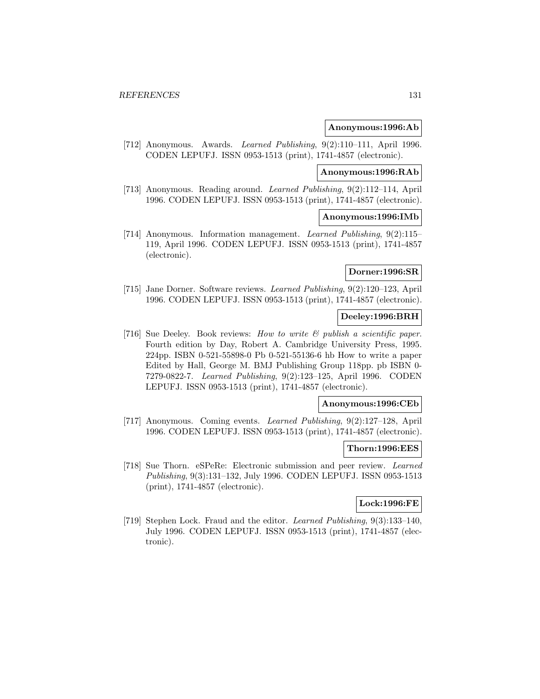#### **Anonymous:1996:Ab**

[712] Anonymous. Awards. Learned Publishing, 9(2):110–111, April 1996. CODEN LEPUFJ. ISSN 0953-1513 (print), 1741-4857 (electronic).

# **Anonymous:1996:RAb**

[713] Anonymous. Reading around. Learned Publishing, 9(2):112–114, April 1996. CODEN LEPUFJ. ISSN 0953-1513 (print), 1741-4857 (electronic).

### **Anonymous:1996:IMb**

[714] Anonymous. Information management. Learned Publishing, 9(2):115– 119, April 1996. CODEN LEPUFJ. ISSN 0953-1513 (print), 1741-4857 (electronic).

### **Dorner:1996:SR**

[715] Jane Dorner. Software reviews. Learned Publishing, 9(2):120–123, April 1996. CODEN LEPUFJ. ISSN 0953-1513 (print), 1741-4857 (electronic).

### **Deeley:1996:BRH**

[716] Sue Deeley. Book reviews: How to write  $\mathcal C$  publish a scientific paper. Fourth edition by Day, Robert A. Cambridge University Press, 1995. 224pp. ISBN 0-521-55898-0 Pb 0-521-55136-6 hb How to write a paper Edited by Hall, George M. BMJ Publishing Group 118pp. pb ISBN 0- 7279-0822-7. Learned Publishing, 9(2):123–125, April 1996. CODEN LEPUFJ. ISSN 0953-1513 (print), 1741-4857 (electronic).

# **Anonymous:1996:CEb**

[717] Anonymous. Coming events. Learned Publishing, 9(2):127–128, April 1996. CODEN LEPUFJ. ISSN 0953-1513 (print), 1741-4857 (electronic).

#### **Thorn:1996:EES**

[718] Sue Thorn. eSPeRe: Electronic submission and peer review. Learned Publishing, 9(3):131–132, July 1996. CODEN LEPUFJ. ISSN 0953-1513 (print), 1741-4857 (electronic).

### **Lock:1996:FE**

[719] Stephen Lock. Fraud and the editor. Learned Publishing, 9(3):133–140, July 1996. CODEN LEPUFJ. ISSN 0953-1513 (print), 1741-4857 (electronic).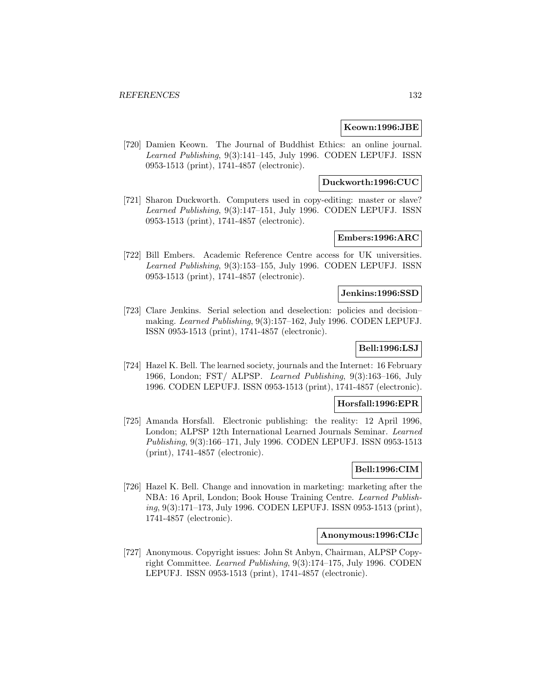### **Keown:1996:JBE**

[720] Damien Keown. The Journal of Buddhist Ethics: an online journal. Learned Publishing, 9(3):141–145, July 1996. CODEN LEPUFJ. ISSN 0953-1513 (print), 1741-4857 (electronic).

# **Duckworth:1996:CUC**

[721] Sharon Duckworth. Computers used in copy-editing: master or slave? Learned Publishing, 9(3):147–151, July 1996. CODEN LEPUFJ. ISSN 0953-1513 (print), 1741-4857 (electronic).

# **Embers:1996:ARC**

[722] Bill Embers. Academic Reference Centre access for UK universities. Learned Publishing, 9(3):153–155, July 1996. CODEN LEPUFJ. ISSN 0953-1513 (print), 1741-4857 (electronic).

### **Jenkins:1996:SSD**

[723] Clare Jenkins. Serial selection and deselection: policies and decision– making. Learned Publishing, 9(3):157–162, July 1996. CODEN LEPUFJ. ISSN 0953-1513 (print), 1741-4857 (electronic).

# **Bell:1996:LSJ**

[724] Hazel K. Bell. The learned society, journals and the Internet: 16 February 1966, London; FST/ ALPSP. Learned Publishing, 9(3):163–166, July 1996. CODEN LEPUFJ. ISSN 0953-1513 (print), 1741-4857 (electronic).

### **Horsfall:1996:EPR**

[725] Amanda Horsfall. Electronic publishing: the reality: 12 April 1996, London; ALPSP 12th International Learned Journals Seminar. Learned Publishing, 9(3):166–171, July 1996. CODEN LEPUFJ. ISSN 0953-1513 (print), 1741-4857 (electronic).

# **Bell:1996:CIM**

[726] Hazel K. Bell. Change and innovation in marketing: marketing after the NBA: 16 April, London; Book House Training Centre. Learned Publishing, 9(3):171–173, July 1996. CODEN LEPUFJ. ISSN 0953-1513 (print), 1741-4857 (electronic).

#### **Anonymous:1996:CIJc**

[727] Anonymous. Copyright issues: John St Anbyn, Chairman, ALPSP Copyright Committee. Learned Publishing, 9(3):174–175, July 1996. CODEN LEPUFJ. ISSN 0953-1513 (print), 1741-4857 (electronic).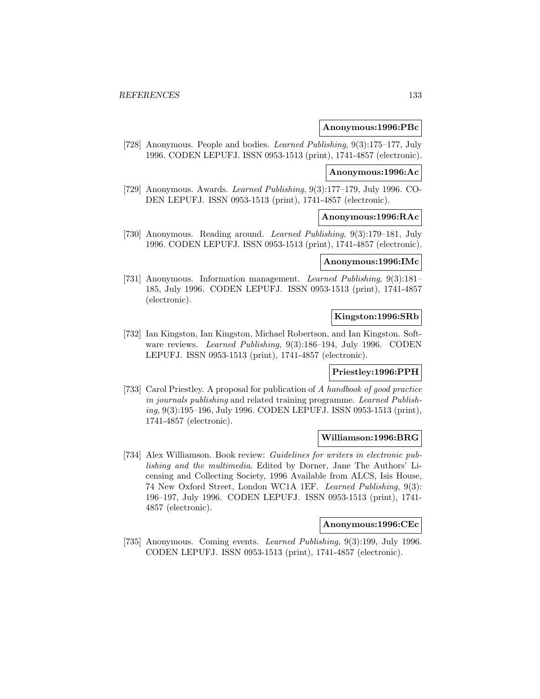#### **Anonymous:1996:PBc**

[728] Anonymous. People and bodies. Learned Publishing, 9(3):175–177, July 1996. CODEN LEPUFJ. ISSN 0953-1513 (print), 1741-4857 (electronic).

#### **Anonymous:1996:Ac**

[729] Anonymous. Awards. Learned Publishing, 9(3):177–179, July 1996. CO-DEN LEPUFJ. ISSN 0953-1513 (print), 1741-4857 (electronic).

#### **Anonymous:1996:RAc**

[730] Anonymous. Reading around. Learned Publishing, 9(3):179–181, July 1996. CODEN LEPUFJ. ISSN 0953-1513 (print), 1741-4857 (electronic).

# **Anonymous:1996:IMc**

[731] Anonymous. Information management. Learned Publishing, 9(3):181– 185, July 1996. CODEN LEPUFJ. ISSN 0953-1513 (print), 1741-4857 (electronic).

### **Kingston:1996:SRb**

[732] Ian Kingston, Ian Kingston, Michael Robertson, and Ian Kingston. Software reviews. Learned Publishing, 9(3):186–194, July 1996. CODEN LEPUFJ. ISSN 0953-1513 (print), 1741-4857 (electronic).

#### **Priestley:1996:PPH**

[733] Carol Priestley. A proposal for publication of A handbook of good practice in journals publishing and related training programme. Learned Publishing, 9(3):195–196, July 1996. CODEN LEPUFJ. ISSN 0953-1513 (print), 1741-4857 (electronic).

#### **Williamson:1996:BRG**

[734] Alex Williamson. Book review: Guidelines for writers in electronic publishing and the multimedia. Edited by Dorner, Jane The Authors' Licensing and Collecting Society, 1996 Available from ALCS, Isis House, 74 New Oxford Street, London WC1A 1EF. Learned Publishing, 9(3): 196–197, July 1996. CODEN LEPUFJ. ISSN 0953-1513 (print), 1741- 4857 (electronic).

# **Anonymous:1996:CEc**

[735] Anonymous. Coming events. Learned Publishing, 9(3):199, July 1996. CODEN LEPUFJ. ISSN 0953-1513 (print), 1741-4857 (electronic).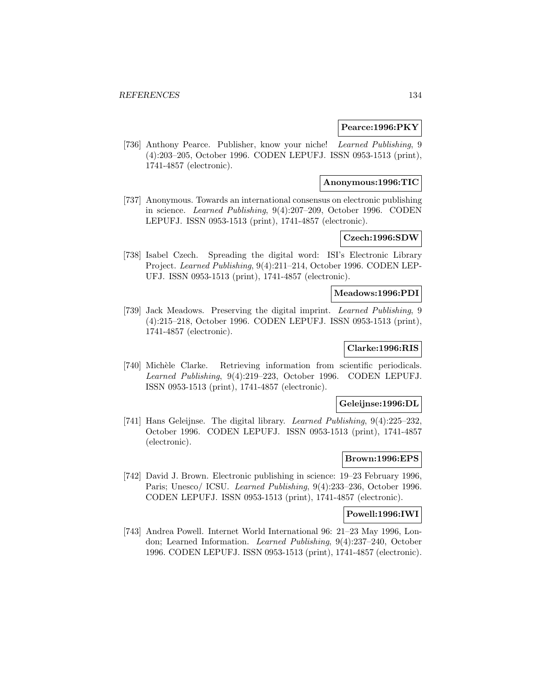### **Pearce:1996:PKY**

[736] Anthony Pearce. Publisher, know your niche! Learned Publishing, 9 (4):203–205, October 1996. CODEN LEPUFJ. ISSN 0953-1513 (print), 1741-4857 (electronic).

### **Anonymous:1996:TIC**

[737] Anonymous. Towards an international consensus on electronic publishing in science. Learned Publishing, 9(4):207–209, October 1996. CODEN LEPUFJ. ISSN 0953-1513 (print), 1741-4857 (electronic).

# **Czech:1996:SDW**

[738] Isabel Czech. Spreading the digital word: ISI's Electronic Library Project. Learned Publishing, 9(4):211–214, October 1996. CODEN LEP-UFJ. ISSN 0953-1513 (print), 1741-4857 (electronic).

#### **Meadows:1996:PDI**

[739] Jack Meadows. Preserving the digital imprint. Learned Publishing, 9 (4):215–218, October 1996. CODEN LEPUFJ. ISSN 0953-1513 (print), 1741-4857 (electronic).

# **Clarke:1996:RIS**

[740] Michèle Clarke. Retrieving information from scientific periodicals. Learned Publishing, 9(4):219–223, October 1996. CODEN LEPUFJ. ISSN 0953-1513 (print), 1741-4857 (electronic).

#### **Geleijnse:1996:DL**

[741] Hans Geleijnse. The digital library. Learned Publishing, 9(4):225–232, October 1996. CODEN LEPUFJ. ISSN 0953-1513 (print), 1741-4857 (electronic).

#### **Brown:1996:EPS**

[742] David J. Brown. Electronic publishing in science: 19–23 February 1996, Paris; Unesco/ ICSU. Learned Publishing, 9(4):233–236, October 1996. CODEN LEPUFJ. ISSN 0953-1513 (print), 1741-4857 (electronic).

#### **Powell:1996:IWI**

[743] Andrea Powell. Internet World International 96: 21–23 May 1996, London; Learned Information. Learned Publishing, 9(4):237–240, October 1996. CODEN LEPUFJ. ISSN 0953-1513 (print), 1741-4857 (electronic).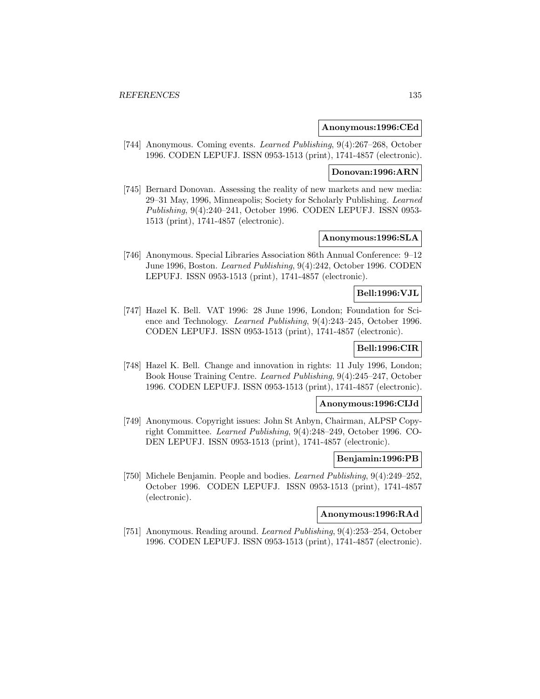#### **Anonymous:1996:CEd**

[744] Anonymous. Coming events. Learned Publishing, 9(4):267–268, October 1996. CODEN LEPUFJ. ISSN 0953-1513 (print), 1741-4857 (electronic).

#### **Donovan:1996:ARN**

[745] Bernard Donovan. Assessing the reality of new markets and new media: 29–31 May, 1996, Minneapolis; Society for Scholarly Publishing. Learned Publishing, 9(4):240–241, October 1996. CODEN LEPUFJ. ISSN 0953- 1513 (print), 1741-4857 (electronic).

# **Anonymous:1996:SLA**

[746] Anonymous. Special Libraries Association 86th Annual Conference: 9–12 June 1996, Boston. Learned Publishing, 9(4):242, October 1996. CODEN LEPUFJ. ISSN 0953-1513 (print), 1741-4857 (electronic).

# **Bell:1996:VJL**

[747] Hazel K. Bell. VAT 1996: 28 June 1996, London; Foundation for Science and Technology. Learned Publishing, 9(4):243–245, October 1996. CODEN LEPUFJ. ISSN 0953-1513 (print), 1741-4857 (electronic).

# **Bell:1996:CIR**

[748] Hazel K. Bell. Change and innovation in rights: 11 July 1996, London; Book House Training Centre. Learned Publishing, 9(4):245–247, October 1996. CODEN LEPUFJ. ISSN 0953-1513 (print), 1741-4857 (electronic).

### **Anonymous:1996:CIJd**

[749] Anonymous. Copyright issues: John St Anbyn, Chairman, ALPSP Copyright Committee. Learned Publishing, 9(4):248–249, October 1996. CO-DEN LEPUFJ. ISSN 0953-1513 (print), 1741-4857 (electronic).

#### **Benjamin:1996:PB**

[750] Michele Benjamin. People and bodies. Learned Publishing, 9(4):249–252, October 1996. CODEN LEPUFJ. ISSN 0953-1513 (print), 1741-4857 (electronic).

### **Anonymous:1996:RAd**

[751] Anonymous. Reading around. Learned Publishing, 9(4):253–254, October 1996. CODEN LEPUFJ. ISSN 0953-1513 (print), 1741-4857 (electronic).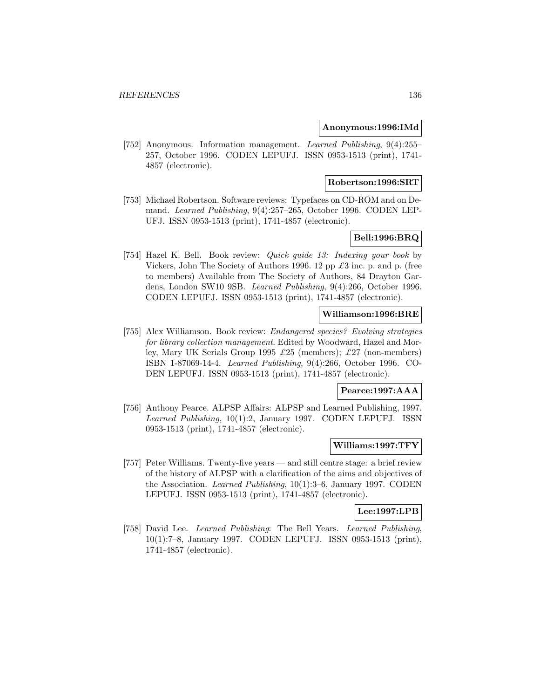#### **Anonymous:1996:IMd**

[752] Anonymous. Information management. Learned Publishing, 9(4):255– 257, October 1996. CODEN LEPUFJ. ISSN 0953-1513 (print), 1741- 4857 (electronic).

#### **Robertson:1996:SRT**

[753] Michael Robertson. Software reviews: Typefaces on CD-ROM and on Demand. Learned Publishing, 9(4):257–265, October 1996. CODEN LEP-UFJ. ISSN 0953-1513 (print), 1741-4857 (electronic).

## **Bell:1996:BRQ**

[754] Hazel K. Bell. Book review: Quick guide 13: Indexing your book by Vickers, John The Society of Authors 1996. 12 pp  $\pounds 3$  inc. p. and p. (free to members) Available from The Society of Authors, 84 Drayton Gardens, London SW10 9SB. Learned Publishing, 9(4):266, October 1996. CODEN LEPUFJ. ISSN 0953-1513 (print), 1741-4857 (electronic).

### **Williamson:1996:BRE**

[755] Alex Williamson. Book review: Endangered species? Evolving strategies for library collection management. Edited by Woodward, Hazel and Morley, Mary UK Serials Group 1995 £25 (members); £27 (non-members) ISBN 1-87069-14-4. Learned Publishing, 9(4):266, October 1996. CO-DEN LEPUFJ. ISSN 0953-1513 (print), 1741-4857 (electronic).

#### **Pearce:1997:AAA**

[756] Anthony Pearce. ALPSP Affairs: ALPSP and Learned Publishing, 1997. Learned Publishing, 10(1):2, January 1997. CODEN LEPUFJ. ISSN 0953-1513 (print), 1741-4857 (electronic).

#### **Williams:1997:TFY**

[757] Peter Williams. Twenty-five years — and still centre stage: a brief review of the history of ALPSP with a clarification of the aims and objectives of the Association. Learned Publishing, 10(1):3–6, January 1997. CODEN LEPUFJ. ISSN 0953-1513 (print), 1741-4857 (electronic).

#### **Lee:1997:LPB**

[758] David Lee. Learned Publishing: The Bell Years. Learned Publishing, 10(1):7–8, January 1997. CODEN LEPUFJ. ISSN 0953-1513 (print), 1741-4857 (electronic).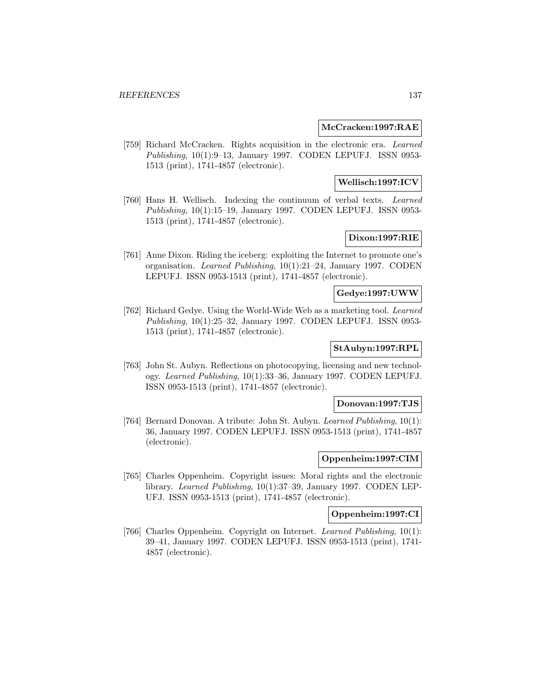### **McCracken:1997:RAE**

[759] Richard McCracken. Rights acquisition in the electronic era. Learned Publishing, 10(1):9–13, January 1997. CODEN LEPUFJ. ISSN 0953- 1513 (print), 1741-4857 (electronic).

# **Wellisch:1997:ICV**

[760] Hans H. Wellisch. Indexing the continuum of verbal texts. Learned Publishing, 10(1):15–19, January 1997. CODEN LEPUFJ. ISSN 0953- 1513 (print), 1741-4857 (electronic).

# **Dixon:1997:RIE**

[761] Anne Dixon. Riding the iceberg: exploiting the Internet to promote one's organisation. Learned Publishing, 10(1):21–24, January 1997. CODEN LEPUFJ. ISSN 0953-1513 (print), 1741-4857 (electronic).

## **Gedye:1997:UWW**

[762] Richard Gedye. Using the World-Wide Web as a marketing tool. Learned Publishing, 10(1):25–32, January 1997. CODEN LEPUFJ. ISSN 0953- 1513 (print), 1741-4857 (electronic).

# **StAubyn:1997:RPL**

[763] John St. Aubyn. Reflections on photocopying, licensing and new technology. Learned Publishing, 10(1):33–36, January 1997. CODEN LEPUFJ. ISSN 0953-1513 (print), 1741-4857 (electronic).

### **Donovan:1997:TJS**

[764] Bernard Donovan. A tribute: John St. Aubyn. Learned Publishing, 10(1): 36, January 1997. CODEN LEPUFJ. ISSN 0953-1513 (print), 1741-4857 (electronic).

#### **Oppenheim:1997:CIM**

[765] Charles Oppenheim. Copyright issues: Moral rights and the electronic library. Learned Publishing, 10(1):37–39, January 1997. CODEN LEP-UFJ. ISSN 0953-1513 (print), 1741-4857 (electronic).

# **Oppenheim:1997:CI**

[766] Charles Oppenheim. Copyright on Internet. Learned Publishing, 10(1): 39–41, January 1997. CODEN LEPUFJ. ISSN 0953-1513 (print), 1741- 4857 (electronic).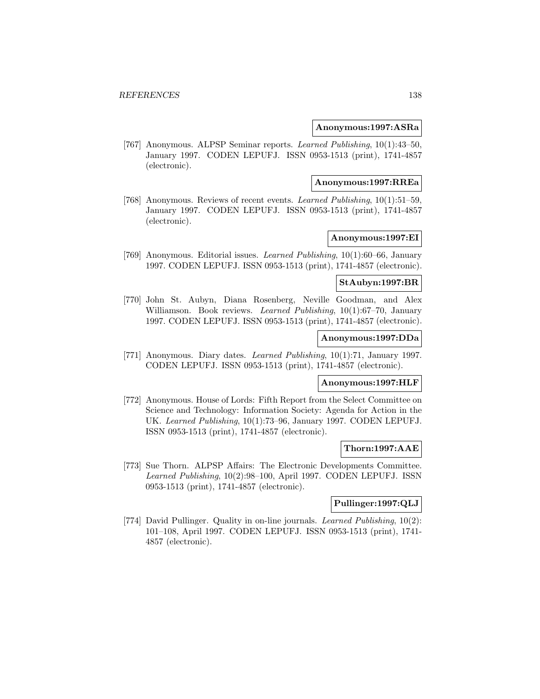#### **Anonymous:1997:ASRa**

[767] Anonymous. ALPSP Seminar reports. Learned Publishing, 10(1):43–50, January 1997. CODEN LEPUFJ. ISSN 0953-1513 (print), 1741-4857 (electronic).

#### **Anonymous:1997:RREa**

[768] Anonymous. Reviews of recent events. Learned Publishing, 10(1):51–59, January 1997. CODEN LEPUFJ. ISSN 0953-1513 (print), 1741-4857 (electronic).

# **Anonymous:1997:EI**

[769] Anonymous. Editorial issues. Learned Publishing, 10(1):60–66, January 1997. CODEN LEPUFJ. ISSN 0953-1513 (print), 1741-4857 (electronic).

## **StAubyn:1997:BR**

[770] John St. Aubyn, Diana Rosenberg, Neville Goodman, and Alex Williamson. Book reviews. *Learned Publishing*, 10(1):67-70, January 1997. CODEN LEPUFJ. ISSN 0953-1513 (print), 1741-4857 (electronic).

# **Anonymous:1997:DDa**

[771] Anonymous. Diary dates. Learned Publishing, 10(1):71, January 1997. CODEN LEPUFJ. ISSN 0953-1513 (print), 1741-4857 (electronic).

### **Anonymous:1997:HLF**

[772] Anonymous. House of Lords: Fifth Report from the Select Committee on Science and Technology: Information Society: Agenda for Action in the UK. Learned Publishing, 10(1):73–96, January 1997. CODEN LEPUFJ. ISSN 0953-1513 (print), 1741-4857 (electronic).

#### **Thorn:1997:AAE**

[773] Sue Thorn. ALPSP Affairs: The Electronic Developments Committee. Learned Publishing, 10(2):98–100, April 1997. CODEN LEPUFJ. ISSN 0953-1513 (print), 1741-4857 (electronic).

# **Pullinger:1997:QLJ**

[774] David Pullinger. Quality in on-line journals. Learned Publishing, 10(2): 101–108, April 1997. CODEN LEPUFJ. ISSN 0953-1513 (print), 1741- 4857 (electronic).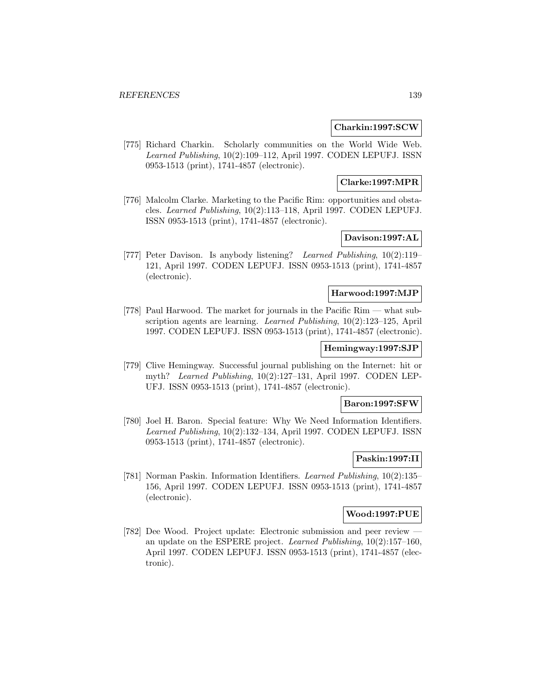#### **Charkin:1997:SCW**

[775] Richard Charkin. Scholarly communities on the World Wide Web. Learned Publishing, 10(2):109–112, April 1997. CODEN LEPUFJ. ISSN 0953-1513 (print), 1741-4857 (electronic).

# **Clarke:1997:MPR**

[776] Malcolm Clarke. Marketing to the Pacific Rim: opportunities and obstacles. Learned Publishing, 10(2):113–118, April 1997. CODEN LEPUFJ. ISSN 0953-1513 (print), 1741-4857 (electronic).

# **Davison:1997:AL**

[777] Peter Davison. Is anybody listening? Learned Publishing, 10(2):119– 121, April 1997. CODEN LEPUFJ. ISSN 0953-1513 (print), 1741-4857 (electronic).

#### **Harwood:1997:MJP**

[778] Paul Harwood. The market for journals in the Pacific Rim — what subscription agents are learning. Learned Publishing, 10(2):123–125, April 1997. CODEN LEPUFJ. ISSN 0953-1513 (print), 1741-4857 (electronic).

# **Hemingway:1997:SJP**

[779] Clive Hemingway. Successful journal publishing on the Internet: hit or myth? Learned Publishing, 10(2):127–131, April 1997. CODEN LEP-UFJ. ISSN 0953-1513 (print), 1741-4857 (electronic).

### **Baron:1997:SFW**

[780] Joel H. Baron. Special feature: Why We Need Information Identifiers. Learned Publishing, 10(2):132–134, April 1997. CODEN LEPUFJ. ISSN 0953-1513 (print), 1741-4857 (electronic).

### **Paskin:1997:II**

[781] Norman Paskin. Information Identifiers. Learned Publishing, 10(2):135– 156, April 1997. CODEN LEPUFJ. ISSN 0953-1513 (print), 1741-4857 (electronic).

# **Wood:1997:PUE**

[782] Dee Wood. Project update: Electronic submission and peer review an update on the ESPERE project. Learned Publishing, 10(2):157–160, April 1997. CODEN LEPUFJ. ISSN 0953-1513 (print), 1741-4857 (electronic).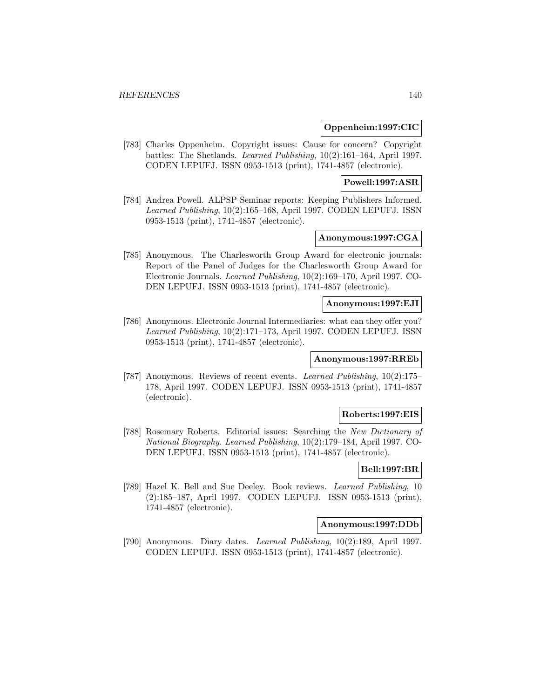### **Oppenheim:1997:CIC**

[783] Charles Oppenheim. Copyright issues: Cause for concern? Copyright battles: The Shetlands. Learned Publishing, 10(2):161–164, April 1997. CODEN LEPUFJ. ISSN 0953-1513 (print), 1741-4857 (electronic).

### **Powell:1997:ASR**

[784] Andrea Powell. ALPSP Seminar reports: Keeping Publishers Informed. Learned Publishing, 10(2):165–168, April 1997. CODEN LEPUFJ. ISSN 0953-1513 (print), 1741-4857 (electronic).

# **Anonymous:1997:CGA**

[785] Anonymous. The Charlesworth Group Award for electronic journals: Report of the Panel of Judges for the Charlesworth Group Award for Electronic Journals. Learned Publishing, 10(2):169–170, April 1997. CO-DEN LEPUFJ. ISSN 0953-1513 (print), 1741-4857 (electronic).

### **Anonymous:1997:EJI**

[786] Anonymous. Electronic Journal Intermediaries: what can they offer you? Learned Publishing, 10(2):171–173, April 1997. CODEN LEPUFJ. ISSN 0953-1513 (print), 1741-4857 (electronic).

### **Anonymous:1997:RREb**

[787] Anonymous. Reviews of recent events. Learned Publishing, 10(2):175– 178, April 1997. CODEN LEPUFJ. ISSN 0953-1513 (print), 1741-4857 (electronic).

#### **Roberts:1997:EIS**

[788] Rosemary Roberts. Editorial issues: Searching the New Dictionary of National Biography. Learned Publishing, 10(2):179–184, April 1997. CO-DEN LEPUFJ. ISSN 0953-1513 (print), 1741-4857 (electronic).

### **Bell:1997:BR**

[789] Hazel K. Bell and Sue Deeley. Book reviews. Learned Publishing, 10 (2):185–187, April 1997. CODEN LEPUFJ. ISSN 0953-1513 (print), 1741-4857 (electronic).

# **Anonymous:1997:DDb**

[790] Anonymous. Diary dates. Learned Publishing, 10(2):189, April 1997. CODEN LEPUFJ. ISSN 0953-1513 (print), 1741-4857 (electronic).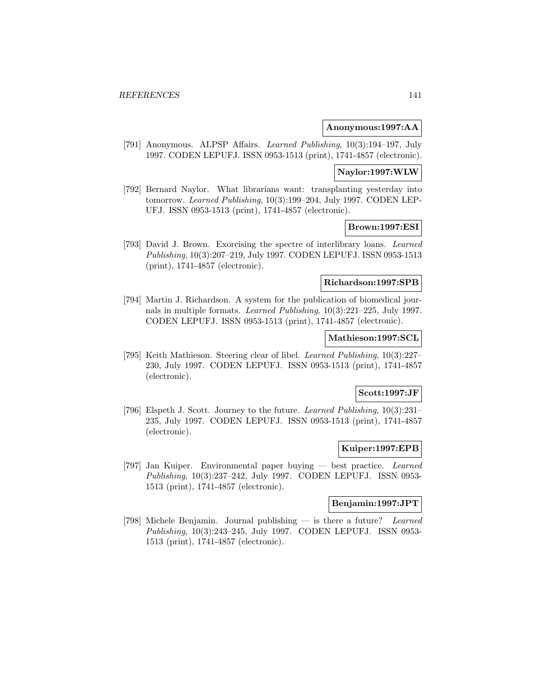### **Anonymous:1997:AA**

[791] Anonymous. ALPSP Affairs. Learned Publishing, 10(3):194–197, July 1997. CODEN LEPUFJ. ISSN 0953-1513 (print), 1741-4857 (electronic).

#### **Naylor:1997:WLW**

[792] Bernard Naylor. What librarians want: transplanting yesterday into tomorrow. Learned Publishing, 10(3):199–204, July 1997. CODEN LEP-UFJ. ISSN 0953-1513 (print), 1741-4857 (electronic).

### **Brown:1997:ESI**

[793] David J. Brown. Exorcising the spectre of interlibrary loans. Learned Publishing, 10(3):207–219, July 1997. CODEN LEPUFJ. ISSN 0953-1513 (print), 1741-4857 (electronic).

### **Richardson:1997:SPB**

[794] Martin J. Richardson. A system for the publication of biomedical journals in multiple formats. Learned Publishing, 10(3):221–225, July 1997. CODEN LEPUFJ. ISSN 0953-1513 (print), 1741-4857 (electronic).

### **Mathieson:1997:SCL**

[795] Keith Mathieson. Steering clear of libel. Learned Publishing, 10(3):227– 230, July 1997. CODEN LEPUFJ. ISSN 0953-1513 (print), 1741-4857 (electronic).

# **Scott:1997:JF**

[796] Elspeth J. Scott. Journey to the future. Learned Publishing, 10(3):231– 235, July 1997. CODEN LEPUFJ. ISSN 0953-1513 (print), 1741-4857 (electronic).

# **Kuiper:1997:EPB**

[797] Jan Kuiper. Environmental paper buying — best practice. Learned Publishing, 10(3):237–242, July 1997. CODEN LEPUFJ. ISSN 0953- 1513 (print), 1741-4857 (electronic).

# **Benjamin:1997:JPT**

[798] Michele Benjamin. Journal publishing — is there a future? Learned Publishing, 10(3):243–245, July 1997. CODEN LEPUFJ. ISSN 0953- 1513 (print), 1741-4857 (electronic).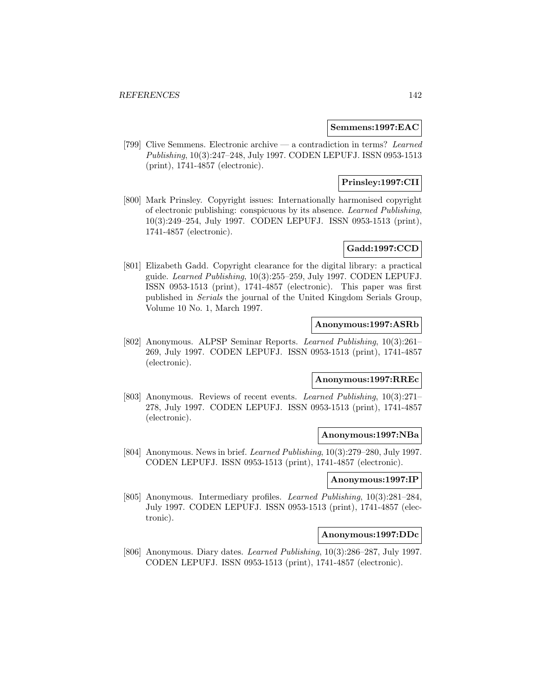#### **Semmens:1997:EAC**

[799] Clive Semmens. Electronic archive — a contradiction in terms? Learned Publishing, 10(3):247–248, July 1997. CODEN LEPUFJ. ISSN 0953-1513 (print), 1741-4857 (electronic).

# **Prinsley:1997:CII**

[800] Mark Prinsley. Copyright issues: Internationally harmonised copyright of electronic publishing: conspicuous by its absence. Learned Publishing, 10(3):249–254, July 1997. CODEN LEPUFJ. ISSN 0953-1513 (print), 1741-4857 (electronic).

# **Gadd:1997:CCD**

[801] Elizabeth Gadd. Copyright clearance for the digital library: a practical guide. Learned Publishing, 10(3):255–259, July 1997. CODEN LEPUFJ. ISSN 0953-1513 (print), 1741-4857 (electronic). This paper was first published in Serials the journal of the United Kingdom Serials Group, Volume 10 No. 1, March 1997.

# **Anonymous:1997:ASRb**

[802] Anonymous. ALPSP Seminar Reports. Learned Publishing, 10(3):261– 269, July 1997. CODEN LEPUFJ. ISSN 0953-1513 (print), 1741-4857 (electronic).

# **Anonymous:1997:RREc**

[803] Anonymous. Reviews of recent events. Learned Publishing, 10(3):271– 278, July 1997. CODEN LEPUFJ. ISSN 0953-1513 (print), 1741-4857 (electronic).

#### **Anonymous:1997:NBa**

[804] Anonymous. News in brief. Learned Publishing, 10(3):279–280, July 1997. CODEN LEPUFJ. ISSN 0953-1513 (print), 1741-4857 (electronic).

### **Anonymous:1997:IP**

[805] Anonymous. Intermediary profiles. Learned Publishing, 10(3):281–284, July 1997. CODEN LEPUFJ. ISSN 0953-1513 (print), 1741-4857 (electronic).

### **Anonymous:1997:DDc**

[806] Anonymous. Diary dates. Learned Publishing, 10(3):286–287, July 1997. CODEN LEPUFJ. ISSN 0953-1513 (print), 1741-4857 (electronic).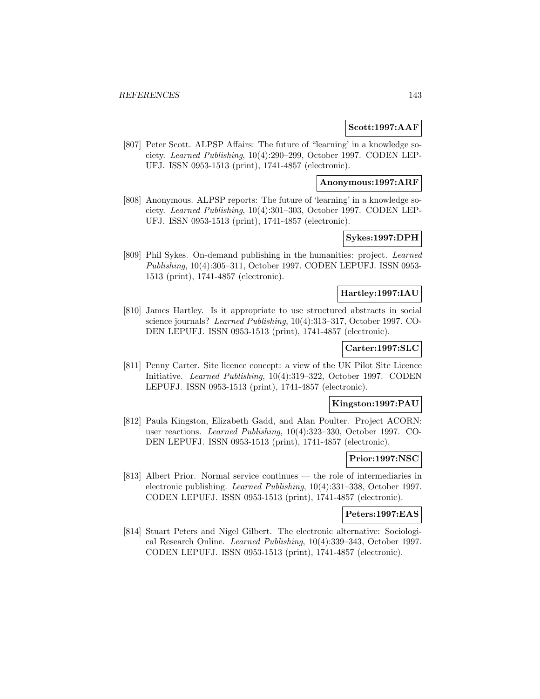### **Scott:1997:AAF**

[807] Peter Scott. ALPSP Affairs: The future of "learning' in a knowledge society. Learned Publishing, 10(4):290–299, October 1997. CODEN LEP-UFJ. ISSN 0953-1513 (print), 1741-4857 (electronic).

### **Anonymous:1997:ARF**

[808] Anonymous. ALPSP reports: The future of 'learning' in a knowledge society. Learned Publishing, 10(4):301–303, October 1997. CODEN LEP-UFJ. ISSN 0953-1513 (print), 1741-4857 (electronic).

# **Sykes:1997:DPH**

[809] Phil Sykes. On-demand publishing in the humanities: project. Learned Publishing, 10(4):305–311, October 1997. CODEN LEPUFJ. ISSN 0953- 1513 (print), 1741-4857 (electronic).

#### **Hartley:1997:IAU**

[810] James Hartley. Is it appropriate to use structured abstracts in social science journals? Learned Publishing, 10(4):313–317, October 1997. CO-DEN LEPUFJ. ISSN 0953-1513 (print), 1741-4857 (electronic).

# **Carter:1997:SLC**

[811] Penny Carter. Site licence concept: a view of the UK Pilot Site Licence Initiative. Learned Publishing, 10(4):319–322, October 1997. CODEN LEPUFJ. ISSN 0953-1513 (print), 1741-4857 (electronic).

### **Kingston:1997:PAU**

[812] Paula Kingston, Elizabeth Gadd, and Alan Poulter. Project ACORN: user reactions. Learned Publishing, 10(4):323–330, October 1997. CO-DEN LEPUFJ. ISSN 0953-1513 (print), 1741-4857 (electronic).

#### **Prior:1997:NSC**

[813] Albert Prior. Normal service continues — the role of intermediaries in electronic publishing. Learned Publishing, 10(4):331–338, October 1997. CODEN LEPUFJ. ISSN 0953-1513 (print), 1741-4857 (electronic).

#### **Peters:1997:EAS**

[814] Stuart Peters and Nigel Gilbert. The electronic alternative: Sociological Research Online. Learned Publishing, 10(4):339–343, October 1997. CODEN LEPUFJ. ISSN 0953-1513 (print), 1741-4857 (electronic).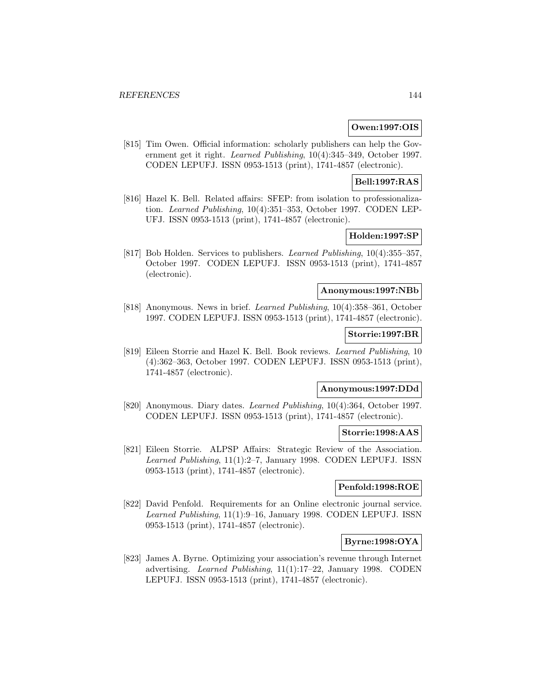#### **Owen:1997:OIS**

[815] Tim Owen. Official information: scholarly publishers can help the Government get it right. Learned Publishing, 10(4):345–349, October 1997. CODEN LEPUFJ. ISSN 0953-1513 (print), 1741-4857 (electronic).

### **Bell:1997:RAS**

[816] Hazel K. Bell. Related affairs: SFEP: from isolation to professionalization. Learned Publishing, 10(4):351–353, October 1997. CODEN LEP-UFJ. ISSN 0953-1513 (print), 1741-4857 (electronic).

# **Holden:1997:SP**

[817] Bob Holden. Services to publishers. Learned Publishing, 10(4):355–357, October 1997. CODEN LEPUFJ. ISSN 0953-1513 (print), 1741-4857 (electronic).

# **Anonymous:1997:NBb**

[818] Anonymous. News in brief. Learned Publishing, 10(4):358–361, October 1997. CODEN LEPUFJ. ISSN 0953-1513 (print), 1741-4857 (electronic).

#### **Storrie:1997:BR**

[819] Eileen Storrie and Hazel K. Bell. Book reviews. Learned Publishing, 10 (4):362–363, October 1997. CODEN LEPUFJ. ISSN 0953-1513 (print), 1741-4857 (electronic).

#### **Anonymous:1997:DDd**

[820] Anonymous. Diary dates. Learned Publishing, 10(4):364, October 1997. CODEN LEPUFJ. ISSN 0953-1513 (print), 1741-4857 (electronic).

#### **Storrie:1998:AAS**

[821] Eileen Storrie. ALPSP Affairs: Strategic Review of the Association. Learned Publishing, 11(1):2–7, January 1998. CODEN LEPUFJ. ISSN 0953-1513 (print), 1741-4857 (electronic).

### **Penfold:1998:ROE**

[822] David Penfold. Requirements for an Online electronic journal service. Learned Publishing, 11(1):9–16, January 1998. CODEN LEPUFJ. ISSN 0953-1513 (print), 1741-4857 (electronic).

# **Byrne:1998:OYA**

[823] James A. Byrne. Optimizing your association's revenue through Internet advertising. Learned Publishing, 11(1):17–22, January 1998. CODEN LEPUFJ. ISSN 0953-1513 (print), 1741-4857 (electronic).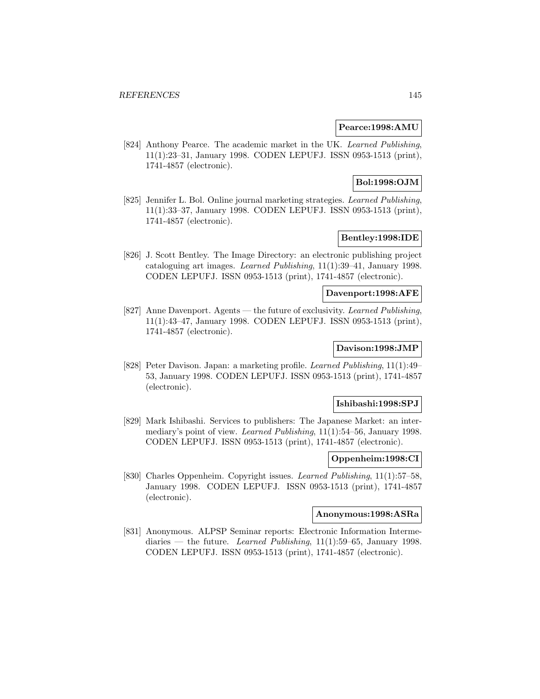#### **Pearce:1998:AMU**

[824] Anthony Pearce. The academic market in the UK. Learned Publishing, 11(1):23–31, January 1998. CODEN LEPUFJ. ISSN 0953-1513 (print), 1741-4857 (electronic).

# **Bol:1998:OJM**

[825] Jennifer L. Bol. Online journal marketing strategies. Learned Publishing, 11(1):33–37, January 1998. CODEN LEPUFJ. ISSN 0953-1513 (print), 1741-4857 (electronic).

# **Bentley:1998:IDE**

[826] J. Scott Bentley. The Image Directory: an electronic publishing project cataloguing art images. Learned Publishing, 11(1):39–41, January 1998. CODEN LEPUFJ. ISSN 0953-1513 (print), 1741-4857 (electronic).

#### **Davenport:1998:AFE**

[827] Anne Davenport. Agents — the future of exclusivity. Learned Publishing, 11(1):43–47, January 1998. CODEN LEPUFJ. ISSN 0953-1513 (print), 1741-4857 (electronic).

# **Davison:1998:JMP**

[828] Peter Davison. Japan: a marketing profile. Learned Publishing, 11(1):49– 53, January 1998. CODEN LEPUFJ. ISSN 0953-1513 (print), 1741-4857 (electronic).

#### **Ishibashi:1998:SPJ**

[829] Mark Ishibashi. Services to publishers: The Japanese Market: an intermediary's point of view. Learned Publishing, 11(1):54–56, January 1998. CODEN LEPUFJ. ISSN 0953-1513 (print), 1741-4857 (electronic).

#### **Oppenheim:1998:CI**

[830] Charles Oppenheim. Copyright issues. Learned Publishing, 11(1):57–58, January 1998. CODEN LEPUFJ. ISSN 0953-1513 (print), 1741-4857 (electronic).

## **Anonymous:1998:ASRa**

[831] Anonymous. ALPSP Seminar reports: Electronic Information Intermediaries — the future. Learned Publishing,  $11(1):59-65$ , January 1998. CODEN LEPUFJ. ISSN 0953-1513 (print), 1741-4857 (electronic).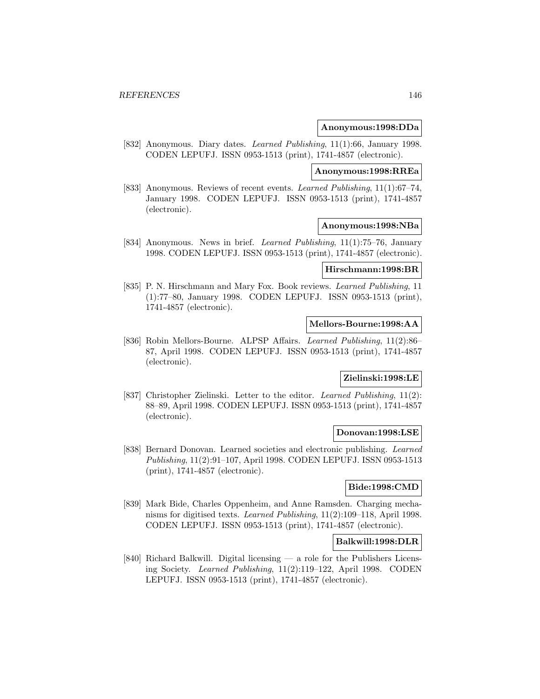#### **Anonymous:1998:DDa**

[832] Anonymous. Diary dates. *Learned Publishing*, 11(1):66, January 1998. CODEN LEPUFJ. ISSN 0953-1513 (print), 1741-4857 (electronic).

# **Anonymous:1998:RREa**

[833] Anonymous. Reviews of recent events. Learned Publishing, 11(1):67–74, January 1998. CODEN LEPUFJ. ISSN 0953-1513 (print), 1741-4857 (electronic).

#### **Anonymous:1998:NBa**

[834] Anonymous. News in brief. Learned Publishing, 11(1):75–76, January 1998. CODEN LEPUFJ. ISSN 0953-1513 (print), 1741-4857 (electronic).

#### **Hirschmann:1998:BR**

[835] P. N. Hirschmann and Mary Fox. Book reviews. Learned Publishing, 11 (1):77–80, January 1998. CODEN LEPUFJ. ISSN 0953-1513 (print), 1741-4857 (electronic).

## **Mellors-Bourne:1998:AA**

[836] Robin Mellors-Bourne. ALPSP Affairs. Learned Publishing, 11(2):86– 87, April 1998. CODEN LEPUFJ. ISSN 0953-1513 (print), 1741-4857 (electronic).

# **Zielinski:1998:LE**

[837] Christopher Zielinski. Letter to the editor. Learned Publishing, 11(2): 88–89, April 1998. CODEN LEPUFJ. ISSN 0953-1513 (print), 1741-4857 (electronic).

#### **Donovan:1998:LSE**

[838] Bernard Donovan. Learned societies and electronic publishing. Learned Publishing, 11(2):91–107, April 1998. CODEN LEPUFJ. ISSN 0953-1513 (print), 1741-4857 (electronic).

## **Bide:1998:CMD**

[839] Mark Bide, Charles Oppenheim, and Anne Ramsden. Charging mechanisms for digitised texts. Learned Publishing, 11(2):109–118, April 1998. CODEN LEPUFJ. ISSN 0953-1513 (print), 1741-4857 (electronic).

## **Balkwill:1998:DLR**

[840] Richard Balkwill. Digital licensing — a role for the Publishers Licensing Society. Learned Publishing, 11(2):119–122, April 1998. CODEN LEPUFJ. ISSN 0953-1513 (print), 1741-4857 (electronic).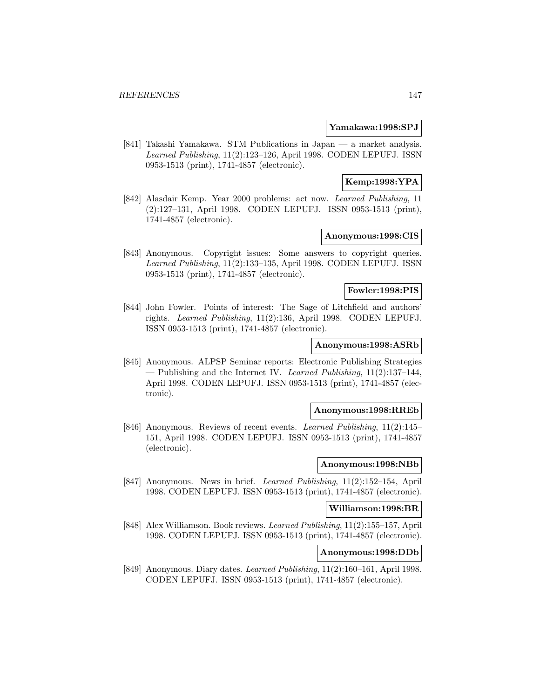#### **Yamakawa:1998:SPJ**

[841] Takashi Yamakawa. STM Publications in Japan — a market analysis. Learned Publishing, 11(2):123–126, April 1998. CODEN LEPUFJ. ISSN 0953-1513 (print), 1741-4857 (electronic).

# **Kemp:1998:YPA**

[842] Alasdair Kemp. Year 2000 problems: act now. Learned Publishing, 11 (2):127–131, April 1998. CODEN LEPUFJ. ISSN 0953-1513 (print), 1741-4857 (electronic).

## **Anonymous:1998:CIS**

[843] Anonymous. Copyright issues: Some answers to copyright queries. Learned Publishing, 11(2):133–135, April 1998. CODEN LEPUFJ. ISSN 0953-1513 (print), 1741-4857 (electronic).

## **Fowler:1998:PIS**

[844] John Fowler. Points of interest: The Sage of Litchfield and authors' rights. Learned Publishing, 11(2):136, April 1998. CODEN LEPUFJ. ISSN 0953-1513 (print), 1741-4857 (electronic).

#### **Anonymous:1998:ASRb**

[845] Anonymous. ALPSP Seminar reports: Electronic Publishing Strategies  $-$  Publishing and the Internet IV. Learned Publishing, 11(2):137–144, April 1998. CODEN LEPUFJ. ISSN 0953-1513 (print), 1741-4857 (electronic).

#### **Anonymous:1998:RREb**

[846] Anonymous. Reviews of recent events. Learned Publishing, 11(2):145– 151, April 1998. CODEN LEPUFJ. ISSN 0953-1513 (print), 1741-4857 (electronic).

# **Anonymous:1998:NBb**

[847] Anonymous. News in brief. Learned Publishing, 11(2):152–154, April 1998. CODEN LEPUFJ. ISSN 0953-1513 (print), 1741-4857 (electronic).

## **Williamson:1998:BR**

[848] Alex Williamson. Book reviews. Learned Publishing, 11(2):155–157, April 1998. CODEN LEPUFJ. ISSN 0953-1513 (print), 1741-4857 (electronic).

# **Anonymous:1998:DDb**

[849] Anonymous. Diary dates. Learned Publishing, 11(2):160–161, April 1998. CODEN LEPUFJ. ISSN 0953-1513 (print), 1741-4857 (electronic).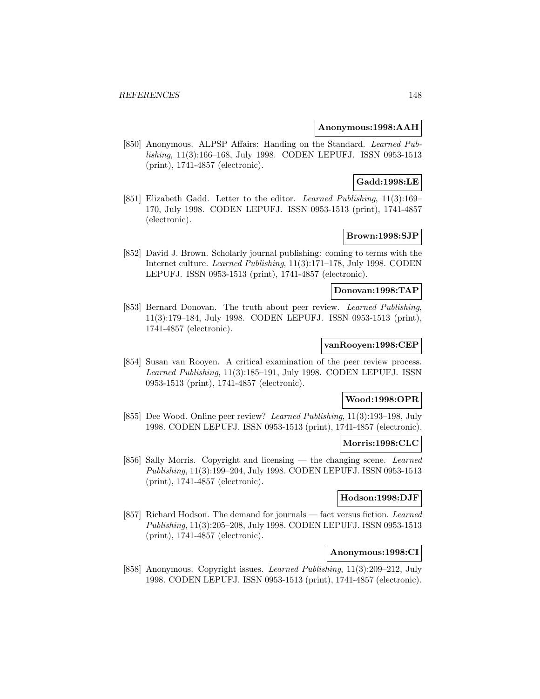## **Anonymous:1998:AAH**

[850] Anonymous. ALPSP Affairs: Handing on the Standard. Learned Publishing, 11(3):166–168, July 1998. CODEN LEPUFJ. ISSN 0953-1513 (print), 1741-4857 (electronic).

## **Gadd:1998:LE**

[851] Elizabeth Gadd. Letter to the editor. Learned Publishing, 11(3):169– 170, July 1998. CODEN LEPUFJ. ISSN 0953-1513 (print), 1741-4857 (electronic).

# **Brown:1998:SJP**

[852] David J. Brown. Scholarly journal publishing: coming to terms with the Internet culture. Learned Publishing, 11(3):171–178, July 1998. CODEN LEPUFJ. ISSN 0953-1513 (print), 1741-4857 (electronic).

# **Donovan:1998:TAP**

[853] Bernard Donovan. The truth about peer review. Learned Publishing, 11(3):179–184, July 1998. CODEN LEPUFJ. ISSN 0953-1513 (print), 1741-4857 (electronic).

#### **vanRooyen:1998:CEP**

[854] Susan van Rooyen. A critical examination of the peer review process. Learned Publishing, 11(3):185–191, July 1998. CODEN LEPUFJ. ISSN 0953-1513 (print), 1741-4857 (electronic).

## **Wood:1998:OPR**

[855] Dee Wood. Online peer review? Learned Publishing, 11(3):193–198, July 1998. CODEN LEPUFJ. ISSN 0953-1513 (print), 1741-4857 (electronic).

## **Morris:1998:CLC**

[856] Sally Morris. Copyright and licensing — the changing scene. Learned Publishing, 11(3):199–204, July 1998. CODEN LEPUFJ. ISSN 0953-1513 (print), 1741-4857 (electronic).

## **Hodson:1998:DJF**

[857] Richard Hodson. The demand for journals — fact versus fiction. Learned Publishing, 11(3):205–208, July 1998. CODEN LEPUFJ. ISSN 0953-1513 (print), 1741-4857 (electronic).

# **Anonymous:1998:CI**

[858] Anonymous. Copyright issues. Learned Publishing, 11(3):209–212, July 1998. CODEN LEPUFJ. ISSN 0953-1513 (print), 1741-4857 (electronic).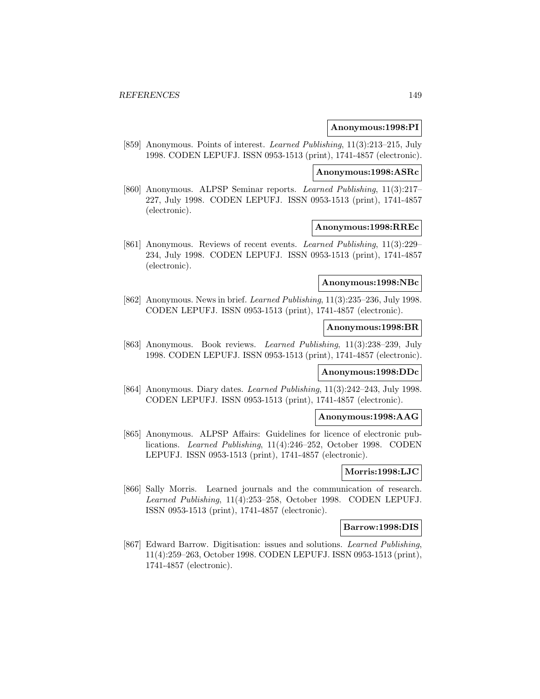#### **Anonymous:1998:PI**

[859] Anonymous. Points of interest. Learned Publishing, 11(3):213–215, July 1998. CODEN LEPUFJ. ISSN 0953-1513 (print), 1741-4857 (electronic).

#### **Anonymous:1998:ASRc**

[860] Anonymous. ALPSP Seminar reports. Learned Publishing, 11(3):217– 227, July 1998. CODEN LEPUFJ. ISSN 0953-1513 (print), 1741-4857 (electronic).

#### **Anonymous:1998:RREc**

[861] Anonymous. Reviews of recent events. Learned Publishing, 11(3):229– 234, July 1998. CODEN LEPUFJ. ISSN 0953-1513 (print), 1741-4857 (electronic).

## **Anonymous:1998:NBc**

[862] Anonymous. News in brief. Learned Publishing, 11(3):235–236, July 1998. CODEN LEPUFJ. ISSN 0953-1513 (print), 1741-4857 (electronic).

#### **Anonymous:1998:BR**

[863] Anonymous. Book reviews. Learned Publishing, 11(3):238–239, July 1998. CODEN LEPUFJ. ISSN 0953-1513 (print), 1741-4857 (electronic).

#### **Anonymous:1998:DDc**

[864] Anonymous. Diary dates. Learned Publishing, 11(3):242–243, July 1998. CODEN LEPUFJ. ISSN 0953-1513 (print), 1741-4857 (electronic).

#### **Anonymous:1998:AAG**

[865] Anonymous. ALPSP Affairs: Guidelines for licence of electronic publications. Learned Publishing, 11(4):246–252, October 1998. CODEN LEPUFJ. ISSN 0953-1513 (print), 1741-4857 (electronic).

#### **Morris:1998:LJC**

[866] Sally Morris. Learned journals and the communication of research. Learned Publishing, 11(4):253–258, October 1998. CODEN LEPUFJ. ISSN 0953-1513 (print), 1741-4857 (electronic).

#### **Barrow:1998:DIS**

[867] Edward Barrow. Digitisation: issues and solutions. Learned Publishing, 11(4):259–263, October 1998. CODEN LEPUFJ. ISSN 0953-1513 (print), 1741-4857 (electronic).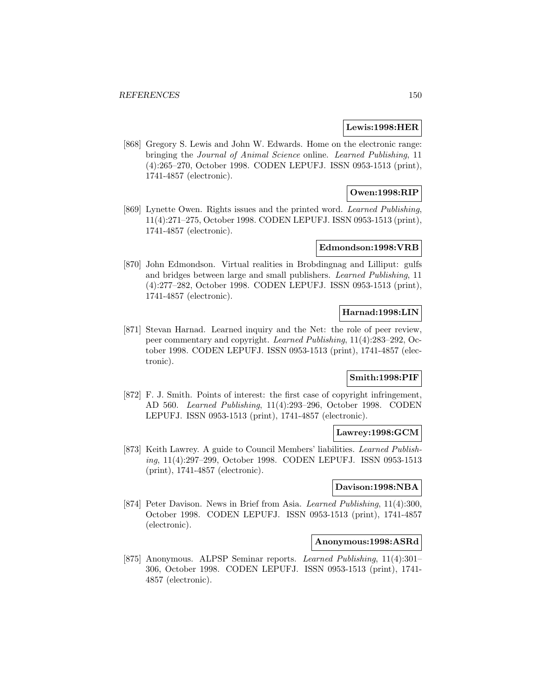## **Lewis:1998:HER**

[868] Gregory S. Lewis and John W. Edwards. Home on the electronic range: bringing the Journal of Animal Science online. Learned Publishing, 11 (4):265–270, October 1998. CODEN LEPUFJ. ISSN 0953-1513 (print), 1741-4857 (electronic).

# **Owen:1998:RIP**

[869] Lynette Owen. Rights issues and the printed word. Learned Publishing, 11(4):271–275, October 1998. CODEN LEPUFJ. ISSN 0953-1513 (print), 1741-4857 (electronic).

## **Edmondson:1998:VRB**

[870] John Edmondson. Virtual realities in Brobdingnag and Lilliput: gulfs and bridges between large and small publishers. Learned Publishing, 11 (4):277–282, October 1998. CODEN LEPUFJ. ISSN 0953-1513 (print), 1741-4857 (electronic).

# **Harnad:1998:LIN**

[871] Stevan Harnad. Learned inquiry and the Net: the role of peer review, peer commentary and copyright. Learned Publishing, 11(4):283–292, October 1998. CODEN LEPUFJ. ISSN 0953-1513 (print), 1741-4857 (electronic).

# **Smith:1998:PIF**

[872] F. J. Smith. Points of interest: the first case of copyright infringement, AD 560. Learned Publishing, 11(4):293–296, October 1998. CODEN LEPUFJ. ISSN 0953-1513 (print), 1741-4857 (electronic).

#### **Lawrey:1998:GCM**

[873] Keith Lawrey. A guide to Council Members' liabilities. Learned Publishing, 11(4):297–299, October 1998. CODEN LEPUFJ. ISSN 0953-1513 (print), 1741-4857 (electronic).

#### **Davison:1998:NBA**

[874] Peter Davison. News in Brief from Asia. Learned Publishing, 11(4):300, October 1998. CODEN LEPUFJ. ISSN 0953-1513 (print), 1741-4857 (electronic).

## **Anonymous:1998:ASRd**

[875] Anonymous. ALPSP Seminar reports. Learned Publishing, 11(4):301– 306, October 1998. CODEN LEPUFJ. ISSN 0953-1513 (print), 1741- 4857 (electronic).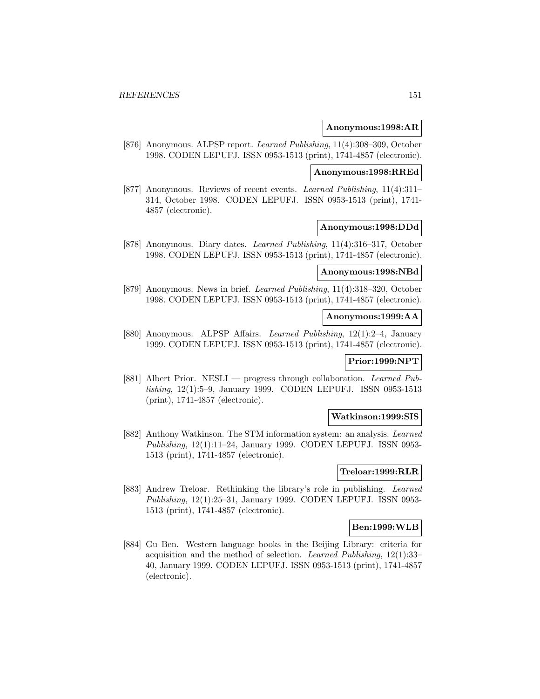#### **Anonymous:1998:AR**

[876] Anonymous. ALPSP report. Learned Publishing, 11(4):308–309, October 1998. CODEN LEPUFJ. ISSN 0953-1513 (print), 1741-4857 (electronic).

#### **Anonymous:1998:RREd**

[877] Anonymous. Reviews of recent events. Learned Publishing, 11(4):311– 314, October 1998. CODEN LEPUFJ. ISSN 0953-1513 (print), 1741- 4857 (electronic).

#### **Anonymous:1998:DDd**

[878] Anonymous. Diary dates. Learned Publishing, 11(4):316–317, October 1998. CODEN LEPUFJ. ISSN 0953-1513 (print), 1741-4857 (electronic).

#### **Anonymous:1998:NBd**

[879] Anonymous. News in brief. Learned Publishing, 11(4):318–320, October 1998. CODEN LEPUFJ. ISSN 0953-1513 (print), 1741-4857 (electronic).

#### **Anonymous:1999:AA**

[880] Anonymous. ALPSP Affairs. Learned Publishing, 12(1):2–4, January 1999. CODEN LEPUFJ. ISSN 0953-1513 (print), 1741-4857 (electronic).

#### **Prior:1999:NPT**

[881] Albert Prior. NESLI — progress through collaboration. Learned Publishing, 12(1):5–9, January 1999. CODEN LEPUFJ. ISSN 0953-1513 (print), 1741-4857 (electronic).

#### **Watkinson:1999:SIS**

[882] Anthony Watkinson. The STM information system: an analysis. Learned Publishing, 12(1):11–24, January 1999. CODEN LEPUFJ. ISSN 0953- 1513 (print), 1741-4857 (electronic).

#### **Treloar:1999:RLR**

[883] Andrew Treloar. Rethinking the library's role in publishing. Learned Publishing, 12(1):25–31, January 1999. CODEN LEPUFJ. ISSN 0953- 1513 (print), 1741-4857 (electronic).

## **Ben:1999:WLB**

[884] Gu Ben. Western language books in the Beijing Library: criteria for acquisition and the method of selection. Learned Publishing, 12(1):33– 40, January 1999. CODEN LEPUFJ. ISSN 0953-1513 (print), 1741-4857 (electronic).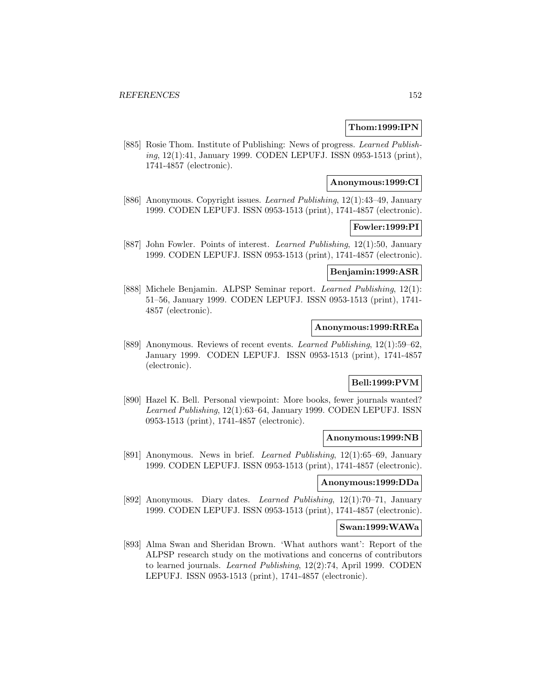## **Thom:1999:IPN**

[885] Rosie Thom. Institute of Publishing: News of progress. Learned Publishing, 12(1):41, January 1999. CODEN LEPUFJ. ISSN 0953-1513 (print), 1741-4857 (electronic).

#### **Anonymous:1999:CI**

[886] Anonymous. Copyright issues. Learned Publishing, 12(1):43–49, January 1999. CODEN LEPUFJ. ISSN 0953-1513 (print), 1741-4857 (electronic).

#### **Fowler:1999:PI**

[887] John Fowler. Points of interest. Learned Publishing, 12(1):50, January 1999. CODEN LEPUFJ. ISSN 0953-1513 (print), 1741-4857 (electronic).

## **Benjamin:1999:ASR**

[888] Michele Benjamin. ALPSP Seminar report. Learned Publishing, 12(1): 51–56, January 1999. CODEN LEPUFJ. ISSN 0953-1513 (print), 1741- 4857 (electronic).

#### **Anonymous:1999:RREa**

[889] Anonymous. Reviews of recent events. Learned Publishing, 12(1):59–62, January 1999. CODEN LEPUFJ. ISSN 0953-1513 (print), 1741-4857 (electronic).

# **Bell:1999:PVM**

[890] Hazel K. Bell. Personal viewpoint: More books, fewer journals wanted? Learned Publishing, 12(1):63–64, January 1999. CODEN LEPUFJ. ISSN 0953-1513 (print), 1741-4857 (electronic).

#### **Anonymous:1999:NB**

[891] Anonymous. News in brief. Learned Publishing, 12(1):65–69, January 1999. CODEN LEPUFJ. ISSN 0953-1513 (print), 1741-4857 (electronic).

#### **Anonymous:1999:DDa**

[892] Anonymous. Diary dates. Learned Publishing, 12(1):70–71, January 1999. CODEN LEPUFJ. ISSN 0953-1513 (print), 1741-4857 (electronic).

## **Swan:1999:WAWa**

[893] Alma Swan and Sheridan Brown. 'What authors want': Report of the ALPSP research study on the motivations and concerns of contributors to learned journals. Learned Publishing, 12(2):74, April 1999. CODEN LEPUFJ. ISSN 0953-1513 (print), 1741-4857 (electronic).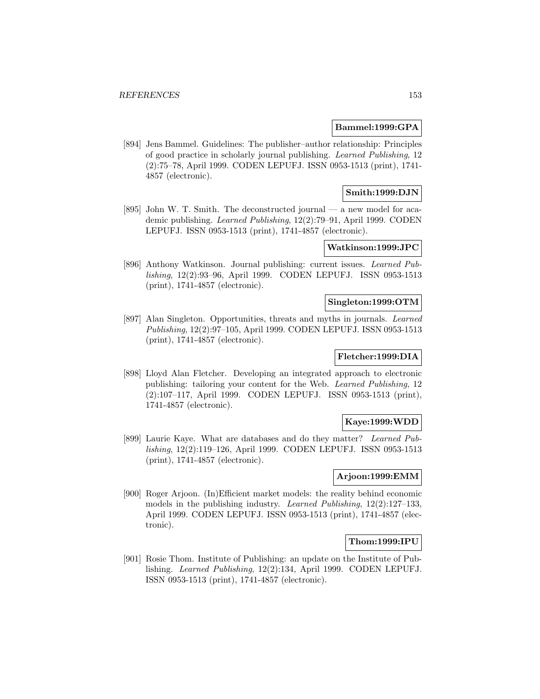## **Bammel:1999:GPA**

[894] Jens Bammel. Guidelines: The publisher–author relationship: Principles of good practice in scholarly journal publishing. Learned Publishing, 12 (2):75–78, April 1999. CODEN LEPUFJ. ISSN 0953-1513 (print), 1741- 4857 (electronic).

# **Smith:1999:DJN**

[895] John W. T. Smith. The deconstructed journal — a new model for academic publishing. Learned Publishing, 12(2):79–91, April 1999. CODEN LEPUFJ. ISSN 0953-1513 (print), 1741-4857 (electronic).

# **Watkinson:1999:JPC**

[896] Anthony Watkinson. Journal publishing: current issues. Learned Publishing, 12(2):93–96, April 1999. CODEN LEPUFJ. ISSN 0953-1513 (print), 1741-4857 (electronic).

#### **Singleton:1999:OTM**

[897] Alan Singleton. Opportunities, threats and myths in journals. Learned Publishing, 12(2):97–105, April 1999. CODEN LEPUFJ. ISSN 0953-1513 (print), 1741-4857 (electronic).

# **Fletcher:1999:DIA**

[898] Lloyd Alan Fletcher. Developing an integrated approach to electronic publishing: tailoring your content for the Web. Learned Publishing, 12 (2):107–117, April 1999. CODEN LEPUFJ. ISSN 0953-1513 (print), 1741-4857 (electronic).

# **Kaye:1999:WDD**

[899] Laurie Kaye. What are databases and do they matter? Learned Publishing, 12(2):119–126, April 1999. CODEN LEPUFJ. ISSN 0953-1513 (print), 1741-4857 (electronic).

## **Arjoon:1999:EMM**

[900] Roger Arjoon. (In)Efficient market models: the reality behind economic models in the publishing industry. Learned Publishing, 12(2):127–133, April 1999. CODEN LEPUFJ. ISSN 0953-1513 (print), 1741-4857 (electronic).

## **Thom:1999:IPU**

[901] Rosie Thom. Institute of Publishing: an update on the Institute of Publishing. Learned Publishing, 12(2):134, April 1999. CODEN LEPUFJ. ISSN 0953-1513 (print), 1741-4857 (electronic).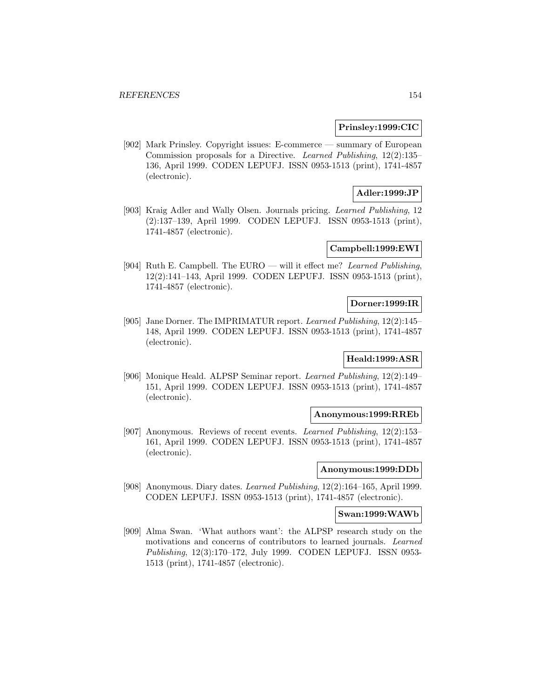#### **Prinsley:1999:CIC**

[902] Mark Prinsley. Copyright issues: E-commerce — summary of European Commission proposals for a Directive. Learned Publishing, 12(2):135– 136, April 1999. CODEN LEPUFJ. ISSN 0953-1513 (print), 1741-4857 (electronic).

# **Adler:1999:JP**

[903] Kraig Adler and Wally Olsen. Journals pricing. Learned Publishing, 12 (2):137–139, April 1999. CODEN LEPUFJ. ISSN 0953-1513 (print), 1741-4857 (electronic).

#### **Campbell:1999:EWI**

[904] Ruth E. Campbell. The EURO — will it effect me? Learned Publishing, 12(2):141–143, April 1999. CODEN LEPUFJ. ISSN 0953-1513 (print), 1741-4857 (electronic).

## **Dorner:1999:IR**

[905] Jane Dorner. The IMPRIMATUR report. Learned Publishing, 12(2):145– 148, April 1999. CODEN LEPUFJ. ISSN 0953-1513 (print), 1741-4857 (electronic).

# **Heald:1999:ASR**

[906] Monique Heald. ALPSP Seminar report. Learned Publishing, 12(2):149– 151, April 1999. CODEN LEPUFJ. ISSN 0953-1513 (print), 1741-4857 (electronic).

#### **Anonymous:1999:RREb**

[907] Anonymous. Reviews of recent events. Learned Publishing, 12(2):153– 161, April 1999. CODEN LEPUFJ. ISSN 0953-1513 (print), 1741-4857 (electronic).

## **Anonymous:1999:DDb**

[908] Anonymous. Diary dates. Learned Publishing, 12(2):164–165, April 1999. CODEN LEPUFJ. ISSN 0953-1513 (print), 1741-4857 (electronic).

#### **Swan:1999:WAWb**

[909] Alma Swan. 'What authors want': the ALPSP research study on the motivations and concerns of contributors to learned journals. Learned Publishing, 12(3):170–172, July 1999. CODEN LEPUFJ. ISSN 0953- 1513 (print), 1741-4857 (electronic).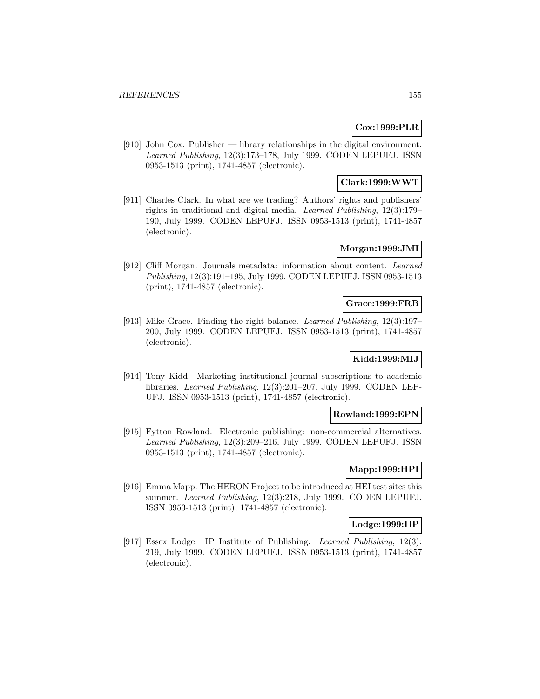# **Cox:1999:PLR**

[910] John Cox. Publisher — library relationships in the digital environment. Learned Publishing, 12(3):173–178, July 1999. CODEN LEPUFJ. ISSN 0953-1513 (print), 1741-4857 (electronic).

# **Clark:1999:WWT**

[911] Charles Clark. In what are we trading? Authors' rights and publishers' rights in traditional and digital media. Learned Publishing, 12(3):179– 190, July 1999. CODEN LEPUFJ. ISSN 0953-1513 (print), 1741-4857 (electronic).

## **Morgan:1999:JMI**

[912] Cliff Morgan. Journals metadata: information about content. Learned Publishing, 12(3):191–195, July 1999. CODEN LEPUFJ. ISSN 0953-1513 (print), 1741-4857 (electronic).

# **Grace:1999:FRB**

[913] Mike Grace. Finding the right balance. Learned Publishing, 12(3):197– 200, July 1999. CODEN LEPUFJ. ISSN 0953-1513 (print), 1741-4857 (electronic).

# **Kidd:1999:MIJ**

[914] Tony Kidd. Marketing institutional journal subscriptions to academic libraries. Learned Publishing, 12(3):201–207, July 1999. CODEN LEP-UFJ. ISSN 0953-1513 (print), 1741-4857 (electronic).

## **Rowland:1999:EPN**

[915] Fytton Rowland. Electronic publishing: non-commercial alternatives. Learned Publishing, 12(3):209–216, July 1999. CODEN LEPUFJ. ISSN 0953-1513 (print), 1741-4857 (electronic).

# **Mapp:1999:HPI**

[916] Emma Mapp. The HERON Project to be introduced at HEI test sites this summer. Learned Publishing, 12(3):218, July 1999. CODEN LEPUFJ. ISSN 0953-1513 (print), 1741-4857 (electronic).

# **Lodge:1999:IIP**

[917] Essex Lodge. IP Institute of Publishing. Learned Publishing, 12(3): 219, July 1999. CODEN LEPUFJ. ISSN 0953-1513 (print), 1741-4857 (electronic).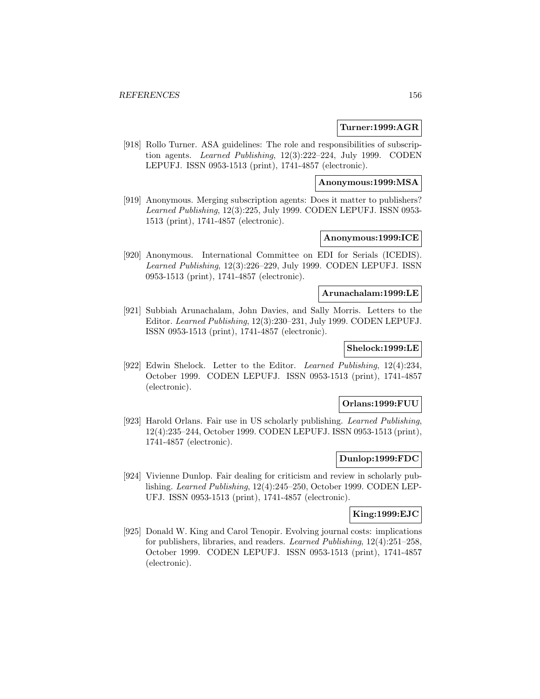#### **Turner:1999:AGR**

[918] Rollo Turner. ASA guidelines: The role and responsibilities of subscription agents. Learned Publishing, 12(3):222–224, July 1999. CODEN LEPUFJ. ISSN 0953-1513 (print), 1741-4857 (electronic).

## **Anonymous:1999:MSA**

[919] Anonymous. Merging subscription agents: Does it matter to publishers? Learned Publishing, 12(3):225, July 1999. CODEN LEPUFJ. ISSN 0953- 1513 (print), 1741-4857 (electronic).

# **Anonymous:1999:ICE**

[920] Anonymous. International Committee on EDI for Serials (ICEDIS). Learned Publishing, 12(3):226–229, July 1999. CODEN LEPUFJ. ISSN 0953-1513 (print), 1741-4857 (electronic).

#### **Arunachalam:1999:LE**

[921] Subbiah Arunachalam, John Davies, and Sally Morris. Letters to the Editor. Learned Publishing, 12(3):230–231, July 1999. CODEN LEPUFJ. ISSN 0953-1513 (print), 1741-4857 (electronic).

# **Shelock:1999:LE**

[922] Edwin Shelock. Letter to the Editor. Learned Publishing, 12(4):234, October 1999. CODEN LEPUFJ. ISSN 0953-1513 (print), 1741-4857 (electronic).

#### **Orlans:1999:FUU**

[923] Harold Orlans. Fair use in US scholarly publishing. Learned Publishing, 12(4):235–244, October 1999. CODEN LEPUFJ. ISSN 0953-1513 (print), 1741-4857 (electronic).

#### **Dunlop:1999:FDC**

[924] Vivienne Dunlop. Fair dealing for criticism and review in scholarly publishing. Learned Publishing, 12(4):245–250, October 1999. CODEN LEP-UFJ. ISSN 0953-1513 (print), 1741-4857 (electronic).

## **King:1999:EJC**

[925] Donald W. King and Carol Tenopir. Evolving journal costs: implications for publishers, libraries, and readers. Learned Publishing, 12(4):251–258, October 1999. CODEN LEPUFJ. ISSN 0953-1513 (print), 1741-4857 (electronic).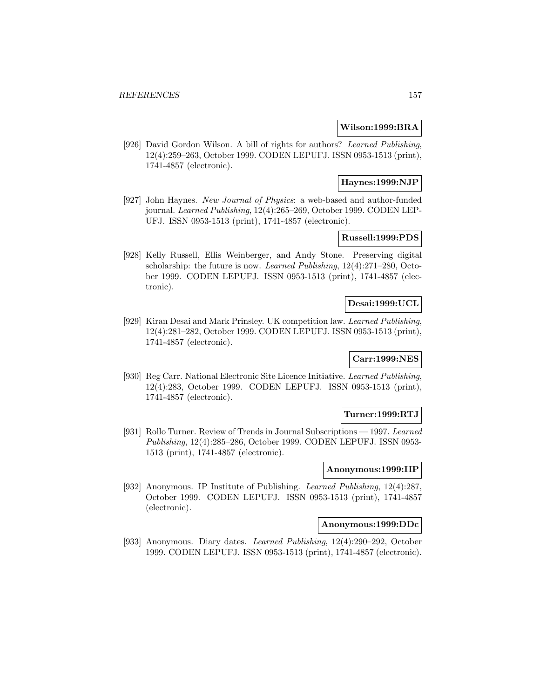#### **Wilson:1999:BRA**

[926] David Gordon Wilson. A bill of rights for authors? Learned Publishing, 12(4):259–263, October 1999. CODEN LEPUFJ. ISSN 0953-1513 (print), 1741-4857 (electronic).

# **Haynes:1999:NJP**

[927] John Haynes. New Journal of Physics: a web-based and author-funded journal. Learned Publishing, 12(4):265–269, October 1999. CODEN LEP-UFJ. ISSN 0953-1513 (print), 1741-4857 (electronic).

# **Russell:1999:PDS**

[928] Kelly Russell, Ellis Weinberger, and Andy Stone. Preserving digital scholarship: the future is now. Learned Publishing, 12(4):271–280, October 1999. CODEN LEPUFJ. ISSN 0953-1513 (print), 1741-4857 (electronic).

## **Desai:1999:UCL**

[929] Kiran Desai and Mark Prinsley. UK competition law. Learned Publishing, 12(4):281–282, October 1999. CODEN LEPUFJ. ISSN 0953-1513 (print), 1741-4857 (electronic).

# **Carr:1999:NES**

[930] Reg Carr. National Electronic Site Licence Initiative. Learned Publishing, 12(4):283, October 1999. CODEN LEPUFJ. ISSN 0953-1513 (print), 1741-4857 (electronic).

#### **Turner:1999:RTJ**

[931] Rollo Turner. Review of Trends in Journal Subscriptions — 1997. Learned Publishing, 12(4):285–286, October 1999. CODEN LEPUFJ. ISSN 0953- 1513 (print), 1741-4857 (electronic).

#### **Anonymous:1999:IIP**

[932] Anonymous. IP Institute of Publishing. Learned Publishing, 12(4):287, October 1999. CODEN LEPUFJ. ISSN 0953-1513 (print), 1741-4857 (electronic).

# **Anonymous:1999:DDc**

[933] Anonymous. Diary dates. Learned Publishing, 12(4):290–292, October 1999. CODEN LEPUFJ. ISSN 0953-1513 (print), 1741-4857 (electronic).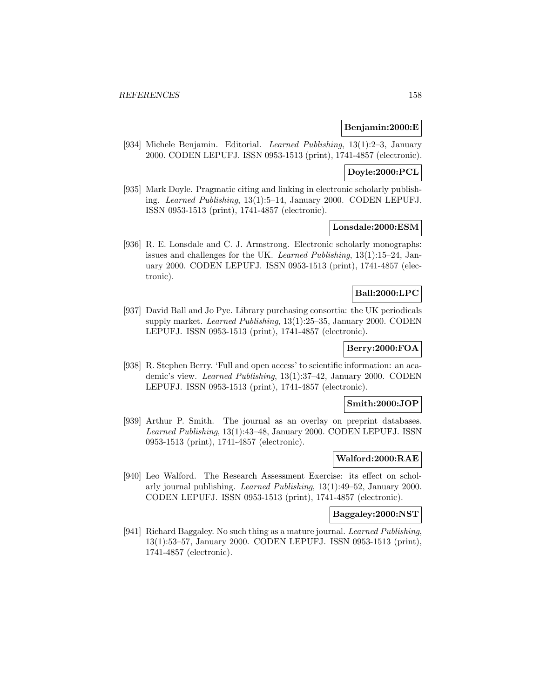#### **Benjamin:2000:E**

[934] Michele Benjamin. Editorial. Learned Publishing, 13(1):2–3, January 2000. CODEN LEPUFJ. ISSN 0953-1513 (print), 1741-4857 (electronic).

#### **Doyle:2000:PCL**

[935] Mark Doyle. Pragmatic citing and linking in electronic scholarly publishing. Learned Publishing, 13(1):5–14, January 2000. CODEN LEPUFJ. ISSN 0953-1513 (print), 1741-4857 (electronic).

## **Lonsdale:2000:ESM**

[936] R. E. Lonsdale and C. J. Armstrong. Electronic scholarly monographs: issues and challenges for the UK. Learned Publishing, 13(1):15–24, January 2000. CODEN LEPUFJ. ISSN 0953-1513 (print), 1741-4857 (electronic).

# **Ball:2000:LPC**

[937] David Ball and Jo Pye. Library purchasing consortia: the UK periodicals supply market. Learned Publishing, 13(1):25–35, January 2000. CODEN LEPUFJ. ISSN 0953-1513 (print), 1741-4857 (electronic).

# **Berry:2000:FOA**

[938] R. Stephen Berry. 'Full and open access' to scientific information: an academic's view. Learned Publishing, 13(1):37–42, January 2000. CODEN LEPUFJ. ISSN 0953-1513 (print), 1741-4857 (electronic).

#### **Smith:2000:JOP**

[939] Arthur P. Smith. The journal as an overlay on preprint databases. Learned Publishing, 13(1):43–48, January 2000. CODEN LEPUFJ. ISSN 0953-1513 (print), 1741-4857 (electronic).

#### **Walford:2000:RAE**

[940] Leo Walford. The Research Assessment Exercise: its effect on scholarly journal publishing. Learned Publishing, 13(1):49–52, January 2000. CODEN LEPUFJ. ISSN 0953-1513 (print), 1741-4857 (electronic).

## **Baggaley:2000:NST**

[941] Richard Baggaley. No such thing as a mature journal. Learned Publishing, 13(1):53–57, January 2000. CODEN LEPUFJ. ISSN 0953-1513 (print), 1741-4857 (electronic).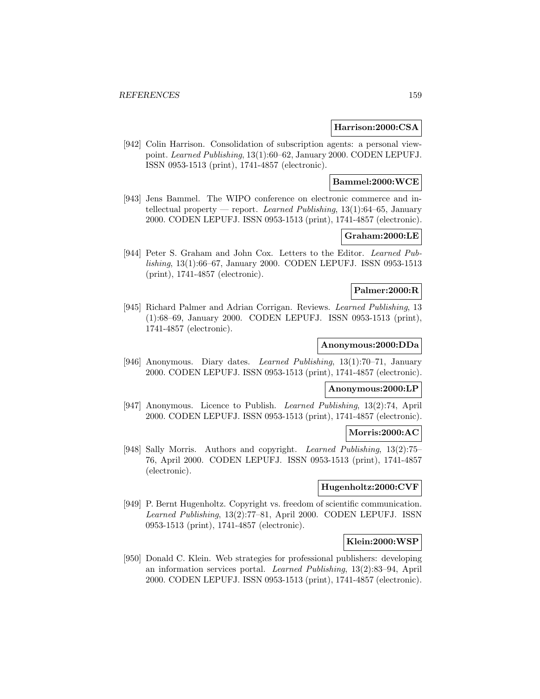#### **Harrison:2000:CSA**

[942] Colin Harrison. Consolidation of subscription agents: a personal viewpoint. Learned Publishing, 13(1):60–62, January 2000. CODEN LEPUFJ. ISSN 0953-1513 (print), 1741-4857 (electronic).

#### **Bammel:2000:WCE**

[943] Jens Bammel. The WIPO conference on electronic commerce and intellectual property — report. Learned Publishing,  $13(1)$ :64–65, January 2000. CODEN LEPUFJ. ISSN 0953-1513 (print), 1741-4857 (electronic).

# **Graham:2000:LE**

[944] Peter S. Graham and John Cox. Letters to the Editor. Learned Publishing, 13(1):66–67, January 2000. CODEN LEPUFJ. ISSN 0953-1513 (print), 1741-4857 (electronic).

# **Palmer:2000:R**

[945] Richard Palmer and Adrian Corrigan. Reviews. Learned Publishing, 13 (1):68–69, January 2000. CODEN LEPUFJ. ISSN 0953-1513 (print), 1741-4857 (electronic).

#### **Anonymous:2000:DDa**

[946] Anonymous. Diary dates. Learned Publishing, 13(1):70–71, January 2000. CODEN LEPUFJ. ISSN 0953-1513 (print), 1741-4857 (electronic).

#### **Anonymous:2000:LP**

[947] Anonymous. Licence to Publish. Learned Publishing, 13(2):74, April 2000. CODEN LEPUFJ. ISSN 0953-1513 (print), 1741-4857 (electronic).

#### **Morris:2000:AC**

[948] Sally Morris. Authors and copyright. Learned Publishing, 13(2):75– 76, April 2000. CODEN LEPUFJ. ISSN 0953-1513 (print), 1741-4857 (electronic).

## **Hugenholtz:2000:CVF**

[949] P. Bernt Hugenholtz. Copyright vs. freedom of scientific communication. Learned Publishing, 13(2):77–81, April 2000. CODEN LEPUFJ. ISSN 0953-1513 (print), 1741-4857 (electronic).

# **Klein:2000:WSP**

[950] Donald C. Klein. Web strategies for professional publishers: developing an information services portal. Learned Publishing, 13(2):83–94, April 2000. CODEN LEPUFJ. ISSN 0953-1513 (print), 1741-4857 (electronic).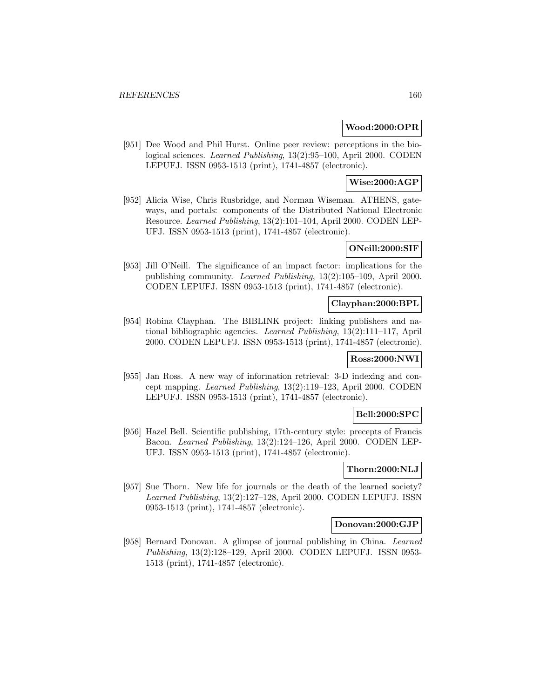#### **Wood:2000:OPR**

[951] Dee Wood and Phil Hurst. Online peer review: perceptions in the biological sciences. Learned Publishing, 13(2):95–100, April 2000. CODEN LEPUFJ. ISSN 0953-1513 (print), 1741-4857 (electronic).

**Wise:2000:AGP**

[952] Alicia Wise, Chris Rusbridge, and Norman Wiseman. ATHENS, gateways, and portals: components of the Distributed National Electronic Resource. Learned Publishing, 13(2):101–104, April 2000. CODEN LEP-UFJ. ISSN 0953-1513 (print), 1741-4857 (electronic).

#### **ONeill:2000:SIF**

[953] Jill O'Neill. The significance of an impact factor: implications for the publishing community. Learned Publishing, 13(2):105–109, April 2000. CODEN LEPUFJ. ISSN 0953-1513 (print), 1741-4857 (electronic).

# **Clayphan:2000:BPL**

[954] Robina Clayphan. The BIBLINK project: linking publishers and national bibliographic agencies. Learned Publishing, 13(2):111–117, April 2000. CODEN LEPUFJ. ISSN 0953-1513 (print), 1741-4857 (electronic).

## **Ross:2000:NWI**

[955] Jan Ross. A new way of information retrieval: 3-D indexing and concept mapping. Learned Publishing, 13(2):119–123, April 2000. CODEN LEPUFJ. ISSN 0953-1513 (print), 1741-4857 (electronic).

## **Bell:2000:SPC**

[956] Hazel Bell. Scientific publishing, 17th-century style: precepts of Francis Bacon. Learned Publishing, 13(2):124–126, April 2000. CODEN LEP-UFJ. ISSN 0953-1513 (print), 1741-4857 (electronic).

# **Thorn:2000:NLJ**

[957] Sue Thorn. New life for journals or the death of the learned society? Learned Publishing, 13(2):127–128, April 2000. CODEN LEPUFJ. ISSN 0953-1513 (print), 1741-4857 (electronic).

# **Donovan:2000:GJP**

[958] Bernard Donovan. A glimpse of journal publishing in China. Learned Publishing, 13(2):128–129, April 2000. CODEN LEPUFJ. ISSN 0953- 1513 (print), 1741-4857 (electronic).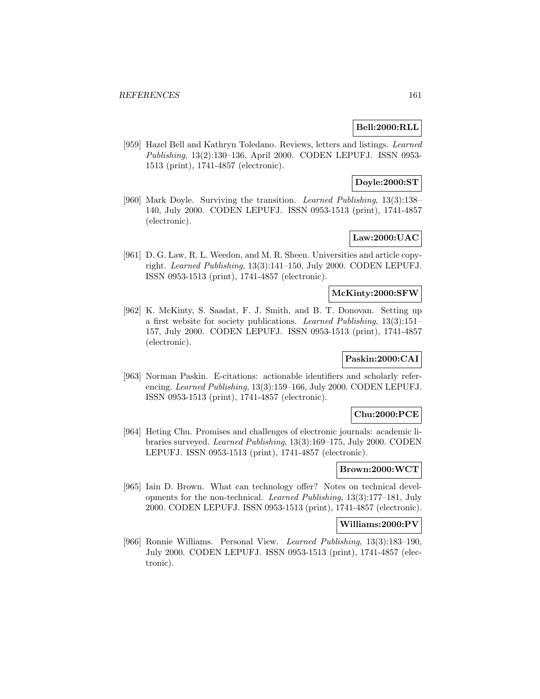# **Bell:2000:RLL**

[959] Hazel Bell and Kathryn Toledano. Reviews, letters and listings. Learned Publishing, 13(2):130–136, April 2000. CODEN LEPUFJ. ISSN 0953- 1513 (print), 1741-4857 (electronic).

# **Doyle:2000:ST**

[960] Mark Doyle. Surviving the transition. Learned Publishing, 13(3):138– 140, July 2000. CODEN LEPUFJ. ISSN 0953-1513 (print), 1741-4857 (electronic).

# **Law:2000:UAC**

[961] D. G. Law, R. L. Weedon, and M. R. Sheen. Universities and article copyright. Learned Publishing, 13(3):141–150, July 2000. CODEN LEPUFJ. ISSN 0953-1513 (print), 1741-4857 (electronic).

## **McKinty:2000:SFW**

[962] K. McKinty, S. Saadat, F. J. Smith, and B. T. Donovan. Setting up a first website for society publications. Learned Publishing, 13(3):151– 157, July 2000. CODEN LEPUFJ. ISSN 0953-1513 (print), 1741-4857 (electronic).

# **Paskin:2000:CAI**

[963] Norman Paskin. E-citations: actionable identifiers and scholarly referencing. Learned Publishing, 13(3):159–166, July 2000. CODEN LEPUFJ. ISSN 0953-1513 (print), 1741-4857 (electronic).

## **Chu:2000:PCE**

[964] Heting Chu. Promises and challenges of electronic journals: academic libraries surveyed. Learned Publishing, 13(3):169–175, July 2000. CODEN LEPUFJ. ISSN 0953-1513 (print), 1741-4857 (electronic).

## **Brown:2000:WCT**

[965] Iain D. Brown. What can technology offer? Notes on technical developments for the non-technical. Learned Publishing, 13(3):177–181, July 2000. CODEN LEPUFJ. ISSN 0953-1513 (print), 1741-4857 (electronic).

## **Williams:2000:PV**

[966] Ronnie Williams. Personal View. Learned Publishing, 13(3):183–190, July 2000. CODEN LEPUFJ. ISSN 0953-1513 (print), 1741-4857 (electronic).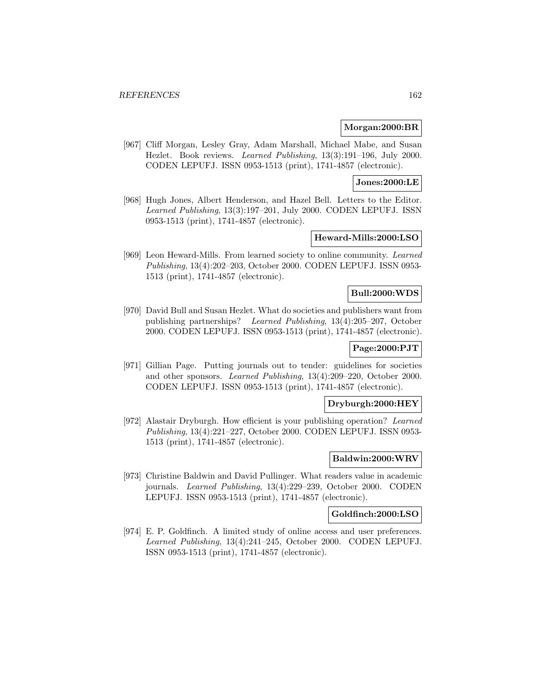#### **Morgan:2000:BR**

[967] Cliff Morgan, Lesley Gray, Adam Marshall, Michael Mabe, and Susan Hezlet. Book reviews. Learned Publishing, 13(3):191–196, July 2000. CODEN LEPUFJ. ISSN 0953-1513 (print), 1741-4857 (electronic).

# **Jones:2000:LE**

[968] Hugh Jones, Albert Henderson, and Hazel Bell. Letters to the Editor. Learned Publishing, 13(3):197–201, July 2000. CODEN LEPUFJ. ISSN 0953-1513 (print), 1741-4857 (electronic).

## **Heward-Mills:2000:LSO**

[969] Leon Heward-Mills. From learned society to online community. Learned Publishing, 13(4):202–203, October 2000. CODEN LEPUFJ. ISSN 0953- 1513 (print), 1741-4857 (electronic).

# **Bull:2000:WDS**

[970] David Bull and Susan Hezlet. What do societies and publishers want from publishing partnerships? Learned Publishing, 13(4):205–207, October 2000. CODEN LEPUFJ. ISSN 0953-1513 (print), 1741-4857 (electronic).

# **Page:2000:PJT**

[971] Gillian Page. Putting journals out to tender: guidelines for societies and other sponsors. Learned Publishing, 13(4):209–220, October 2000. CODEN LEPUFJ. ISSN 0953-1513 (print), 1741-4857 (electronic).

#### **Dryburgh:2000:HEY**

[972] Alastair Dryburgh. How efficient is your publishing operation? Learned Publishing, 13(4):221–227, October 2000. CODEN LEPUFJ. ISSN 0953- 1513 (print), 1741-4857 (electronic).

#### **Baldwin:2000:WRV**

[973] Christine Baldwin and David Pullinger. What readers value in academic journals. Learned Publishing, 13(4):229–239, October 2000. CODEN LEPUFJ. ISSN 0953-1513 (print), 1741-4857 (electronic).

#### **Goldfinch:2000:LSO**

[974] E. P. Goldfinch. A limited study of online access and user preferences. Learned Publishing, 13(4):241–245, October 2000. CODEN LEPUFJ. ISSN 0953-1513 (print), 1741-4857 (electronic).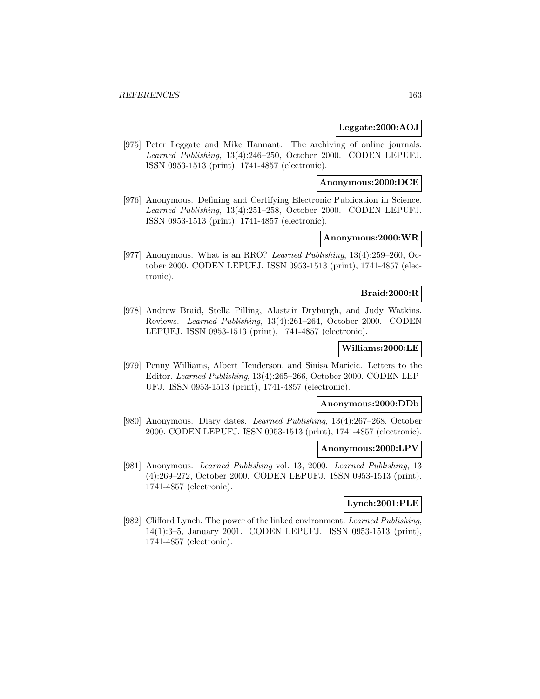#### **Leggate:2000:AOJ**

[975] Peter Leggate and Mike Hannant. The archiving of online journals. Learned Publishing, 13(4):246–250, October 2000. CODEN LEPUFJ. ISSN 0953-1513 (print), 1741-4857 (electronic).

## **Anonymous:2000:DCE**

[976] Anonymous. Defining and Certifying Electronic Publication in Science. Learned Publishing, 13(4):251–258, October 2000. CODEN LEPUFJ. ISSN 0953-1513 (print), 1741-4857 (electronic).

# **Anonymous:2000:WR**

[977] Anonymous. What is an RRO? Learned Publishing, 13(4):259–260, October 2000. CODEN LEPUFJ. ISSN 0953-1513 (print), 1741-4857 (electronic).

#### **Braid:2000:R**

[978] Andrew Braid, Stella Pilling, Alastair Dryburgh, and Judy Watkins. Reviews. Learned Publishing, 13(4):261–264, October 2000. CODEN LEPUFJ. ISSN 0953-1513 (print), 1741-4857 (electronic).

# **Williams:2000:LE**

[979] Penny Williams, Albert Henderson, and Sinisa Maricic. Letters to the Editor. Learned Publishing, 13(4):265–266, October 2000. CODEN LEP-UFJ. ISSN 0953-1513 (print), 1741-4857 (electronic).

## **Anonymous:2000:DDb**

[980] Anonymous. Diary dates. Learned Publishing, 13(4):267–268, October 2000. CODEN LEPUFJ. ISSN 0953-1513 (print), 1741-4857 (electronic).

#### **Anonymous:2000:LPV**

[981] Anonymous. Learned Publishing vol. 13, 2000. Learned Publishing, 13 (4):269–272, October 2000. CODEN LEPUFJ. ISSN 0953-1513 (print), 1741-4857 (electronic).

#### **Lynch:2001:PLE**

[982] Clifford Lynch. The power of the linked environment. Learned Publishing, 14(1):3–5, January 2001. CODEN LEPUFJ. ISSN 0953-1513 (print), 1741-4857 (electronic).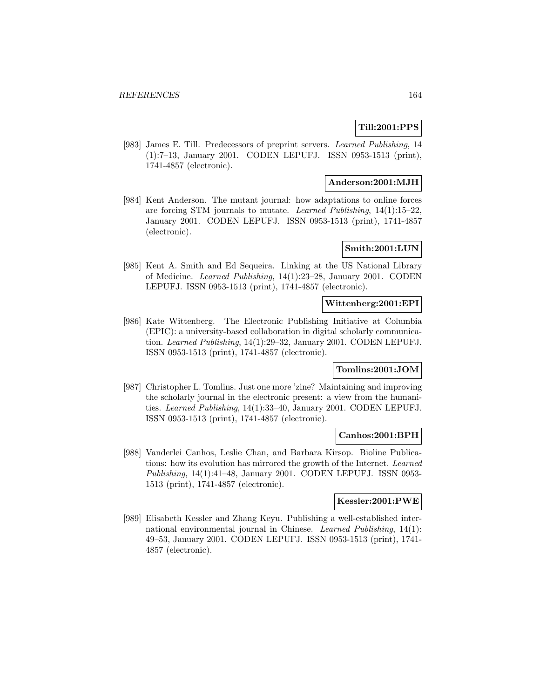# **Till:2001:PPS**

[983] James E. Till. Predecessors of preprint servers. Learned Publishing, 14 (1):7–13, January 2001. CODEN LEPUFJ. ISSN 0953-1513 (print), 1741-4857 (electronic).

# **Anderson:2001:MJH**

[984] Kent Anderson. The mutant journal: how adaptations to online forces are forcing STM journals to mutate. Learned Publishing, 14(1):15–22, January 2001. CODEN LEPUFJ. ISSN 0953-1513 (print), 1741-4857 (electronic).

# **Smith:2001:LUN**

[985] Kent A. Smith and Ed Sequeira. Linking at the US National Library of Medicine. Learned Publishing, 14(1):23–28, January 2001. CODEN LEPUFJ. ISSN 0953-1513 (print), 1741-4857 (electronic).

## **Wittenberg:2001:EPI**

[986] Kate Wittenberg. The Electronic Publishing Initiative at Columbia (EPIC): a university-based collaboration in digital scholarly communication. Learned Publishing, 14(1):29–32, January 2001. CODEN LEPUFJ. ISSN 0953-1513 (print), 1741-4857 (electronic).

## **Tomlins:2001:JOM**

[987] Christopher L. Tomlins. Just one more 'zine? Maintaining and improving the scholarly journal in the electronic present: a view from the humanities. Learned Publishing, 14(1):33–40, January 2001. CODEN LEPUFJ. ISSN 0953-1513 (print), 1741-4857 (electronic).

#### **Canhos:2001:BPH**

[988] Vanderlei Canhos, Leslie Chan, and Barbara Kirsop. Bioline Publications: how its evolution has mirrored the growth of the Internet. Learned Publishing, 14(1):41–48, January 2001. CODEN LEPUFJ. ISSN 0953- 1513 (print), 1741-4857 (electronic).

#### **Kessler:2001:PWE**

[989] Elisabeth Kessler and Zhang Keyu. Publishing a well-established international environmental journal in Chinese. Learned Publishing, 14(1): 49–53, January 2001. CODEN LEPUFJ. ISSN 0953-1513 (print), 1741- 4857 (electronic).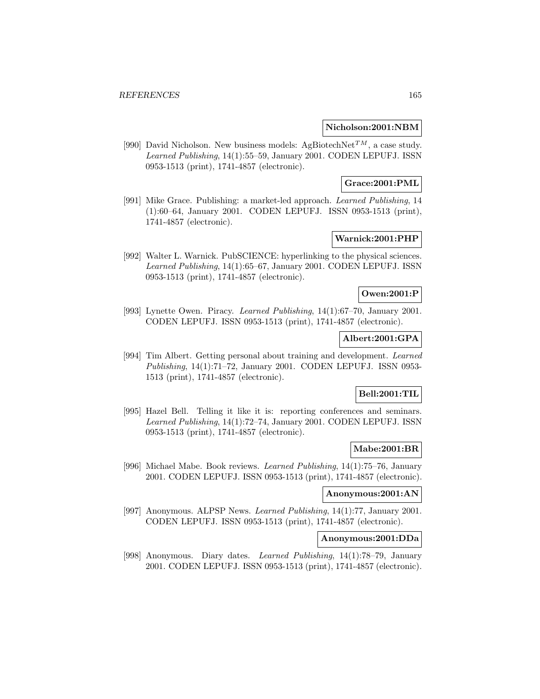#### **Nicholson:2001:NBM**

[990] David Nicholson. New business models: AgBiotechNet<sup>TM</sup>, a case study. Learned Publishing, 14(1):55–59, January 2001. CODEN LEPUFJ. ISSN 0953-1513 (print), 1741-4857 (electronic).

# **Grace:2001:PML**

[991] Mike Grace. Publishing: a market-led approach. Learned Publishing, 14 (1):60–64, January 2001. CODEN LEPUFJ. ISSN 0953-1513 (print), 1741-4857 (electronic).

# **Warnick:2001:PHP**

[992] Walter L. Warnick. PubSCIENCE: hyperlinking to the physical sciences. Learned Publishing, 14(1):65–67, January 2001. CODEN LEPUFJ. ISSN 0953-1513 (print), 1741-4857 (electronic).

## **Owen:2001:P**

[993] Lynette Owen. Piracy. Learned Publishing, 14(1):67–70, January 2001. CODEN LEPUFJ. ISSN 0953-1513 (print), 1741-4857 (electronic).

# **Albert:2001:GPA**

[994] Tim Albert. Getting personal about training and development. Learned Publishing, 14(1):71–72, January 2001. CODEN LEPUFJ. ISSN 0953- 1513 (print), 1741-4857 (electronic).

# **Bell:2001:TIL**

[995] Hazel Bell. Telling it like it is: reporting conferences and seminars. Learned Publishing, 14(1):72–74, January 2001. CODEN LEPUFJ. ISSN 0953-1513 (print), 1741-4857 (electronic).

## **Mabe:2001:BR**

[996] Michael Mabe. Book reviews. Learned Publishing, 14(1):75–76, January 2001. CODEN LEPUFJ. ISSN 0953-1513 (print), 1741-4857 (electronic).

# **Anonymous:2001:AN**

[997] Anonymous. ALPSP News. Learned Publishing, 14(1):77, January 2001. CODEN LEPUFJ. ISSN 0953-1513 (print), 1741-4857 (electronic).

# **Anonymous:2001:DDa**

[998] Anonymous. Diary dates. Learned Publishing, 14(1):78–79, January 2001. CODEN LEPUFJ. ISSN 0953-1513 (print), 1741-4857 (electronic).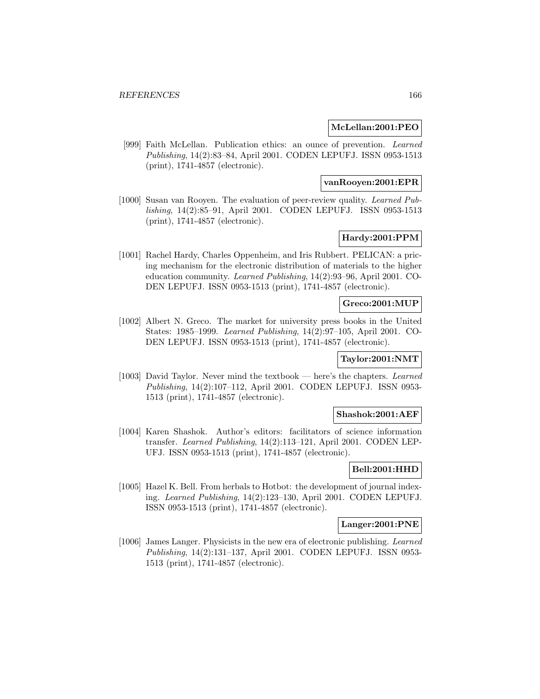## **McLellan:2001:PEO**

[999] Faith McLellan. Publication ethics: an ounce of prevention. Learned Publishing, 14(2):83–84, April 2001. CODEN LEPUFJ. ISSN 0953-1513 (print), 1741-4857 (electronic).

## **vanRooyen:2001:EPR**

[1000] Susan van Rooyen. The evaluation of peer-review quality. Learned Publishing, 14(2):85–91, April 2001. CODEN LEPUFJ. ISSN 0953-1513 (print), 1741-4857 (electronic).

# **Hardy:2001:PPM**

[1001] Rachel Hardy, Charles Oppenheim, and Iris Rubbert. PELICAN: a pricing mechanism for the electronic distribution of materials to the higher education community. Learned Publishing, 14(2):93–96, April 2001. CO-DEN LEPUFJ. ISSN 0953-1513 (print), 1741-4857 (electronic).

## **Greco:2001:MUP**

[1002] Albert N. Greco. The market for university press books in the United States: 1985–1999. Learned Publishing, 14(2):97–105, April 2001. CO-DEN LEPUFJ. ISSN 0953-1513 (print), 1741-4857 (electronic).

## **Taylor:2001:NMT**

[1003] David Taylor. Never mind the textbook — here's the chapters. Learned Publishing, 14(2):107–112, April 2001. CODEN LEPUFJ. ISSN 0953- 1513 (print), 1741-4857 (electronic).

#### **Shashok:2001:AEF**

[1004] Karen Shashok. Author's editors: facilitators of science information transfer. Learned Publishing, 14(2):113–121, April 2001. CODEN LEP-UFJ. ISSN 0953-1513 (print), 1741-4857 (electronic).

## **Bell:2001:HHD**

[1005] Hazel K. Bell. From herbals to Hotbot: the development of journal indexing. Learned Publishing, 14(2):123–130, April 2001. CODEN LEPUFJ. ISSN 0953-1513 (print), 1741-4857 (electronic).

## **Langer:2001:PNE**

[1006] James Langer. Physicists in the new era of electronic publishing. Learned Publishing, 14(2):131–137, April 2001. CODEN LEPUFJ. ISSN 0953- 1513 (print), 1741-4857 (electronic).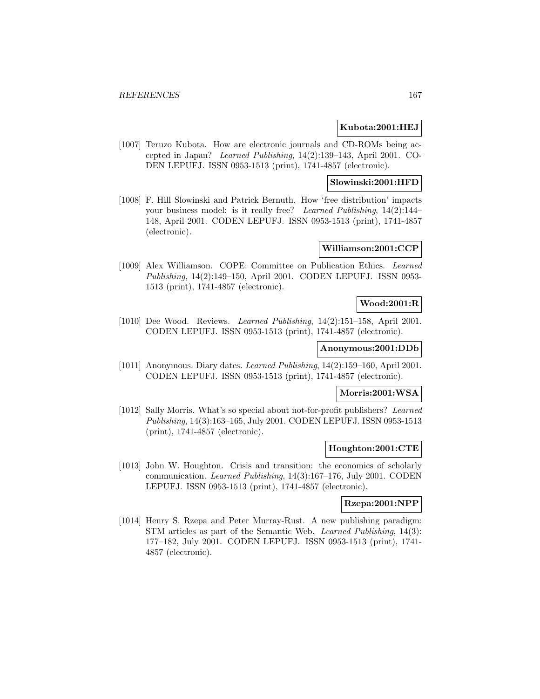#### **Kubota:2001:HEJ**

[1007] Teruzo Kubota. How are electronic journals and CD-ROMs being accepted in Japan? Learned Publishing, 14(2):139–143, April 2001. CO-DEN LEPUFJ. ISSN 0953-1513 (print), 1741-4857 (electronic).

# **Slowinski:2001:HFD**

[1008] F. Hill Slowinski and Patrick Bernuth. How 'free distribution' impacts your business model: is it really free? Learned Publishing, 14(2):144– 148, April 2001. CODEN LEPUFJ. ISSN 0953-1513 (print), 1741-4857 (electronic).

## **Williamson:2001:CCP**

[1009] Alex Williamson. COPE: Committee on Publication Ethics. Learned Publishing, 14(2):149–150, April 2001. CODEN LEPUFJ. ISSN 0953- 1513 (print), 1741-4857 (electronic).

## **Wood:2001:R**

[1010] Dee Wood. Reviews. Learned Publishing, 14(2):151–158, April 2001. CODEN LEPUFJ. ISSN 0953-1513 (print), 1741-4857 (electronic).

# **Anonymous:2001:DDb**

[1011] Anonymous. Diary dates. Learned Publishing, 14(2):159–160, April 2001. CODEN LEPUFJ. ISSN 0953-1513 (print), 1741-4857 (electronic).

## **Morris:2001:WSA**

[1012] Sally Morris. What's so special about not-for-profit publishers? Learned Publishing, 14(3):163–165, July 2001. CODEN LEPUFJ. ISSN 0953-1513 (print), 1741-4857 (electronic).

#### **Houghton:2001:CTE**

[1013] John W. Houghton. Crisis and transition: the economics of scholarly communication. Learned Publishing, 14(3):167–176, July 2001. CODEN LEPUFJ. ISSN 0953-1513 (print), 1741-4857 (electronic).

# **Rzepa:2001:NPP**

[1014] Henry S. Rzepa and Peter Murray-Rust. A new publishing paradigm: STM articles as part of the Semantic Web. Learned Publishing, 14(3): 177–182, July 2001. CODEN LEPUFJ. ISSN 0953-1513 (print), 1741- 4857 (electronic).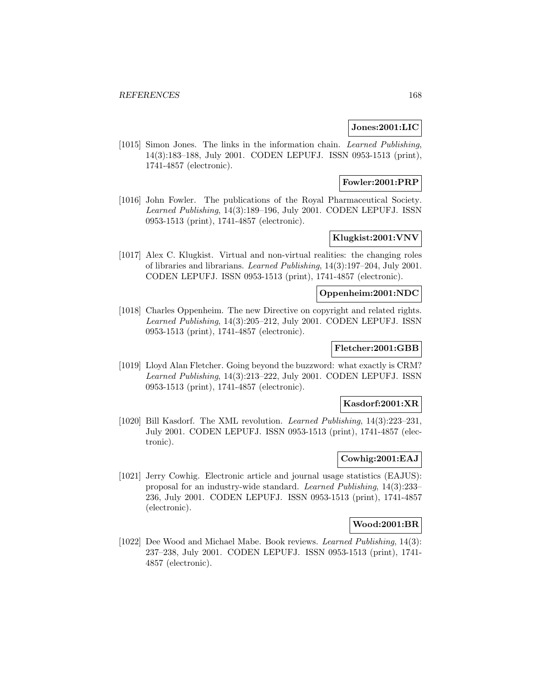## **Jones:2001:LIC**

[1015] Simon Jones. The links in the information chain. Learned Publishing, 14(3):183–188, July 2001. CODEN LEPUFJ. ISSN 0953-1513 (print), 1741-4857 (electronic).

# **Fowler:2001:PRP**

[1016] John Fowler. The publications of the Royal Pharmaceutical Society. Learned Publishing, 14(3):189–196, July 2001. CODEN LEPUFJ. ISSN 0953-1513 (print), 1741-4857 (electronic).

# **Klugkist:2001:VNV**

[1017] Alex C. Klugkist. Virtual and non-virtual realities: the changing roles of libraries and librarians. Learned Publishing, 14(3):197–204, July 2001. CODEN LEPUFJ. ISSN 0953-1513 (print), 1741-4857 (electronic).

#### **Oppenheim:2001:NDC**

[1018] Charles Oppenheim. The new Directive on copyright and related rights. Learned Publishing, 14(3):205–212, July 2001. CODEN LEPUFJ. ISSN 0953-1513 (print), 1741-4857 (electronic).

# **Fletcher:2001:GBB**

[1019] Lloyd Alan Fletcher. Going beyond the buzzword: what exactly is CRM? Learned Publishing, 14(3):213–222, July 2001. CODEN LEPUFJ. ISSN 0953-1513 (print), 1741-4857 (electronic).

#### **Kasdorf:2001:XR**

[1020] Bill Kasdorf. The XML revolution. Learned Publishing, 14(3):223–231, July 2001. CODEN LEPUFJ. ISSN 0953-1513 (print), 1741-4857 (electronic).

## **Cowhig:2001:EAJ**

[1021] Jerry Cowhig. Electronic article and journal usage statistics (EAJUS): proposal for an industry-wide standard. Learned Publishing, 14(3):233– 236, July 2001. CODEN LEPUFJ. ISSN 0953-1513 (print), 1741-4857 (electronic).

# **Wood:2001:BR**

[1022] Dee Wood and Michael Mabe. Book reviews. Learned Publishing, 14(3): 237–238, July 2001. CODEN LEPUFJ. ISSN 0953-1513 (print), 1741- 4857 (electronic).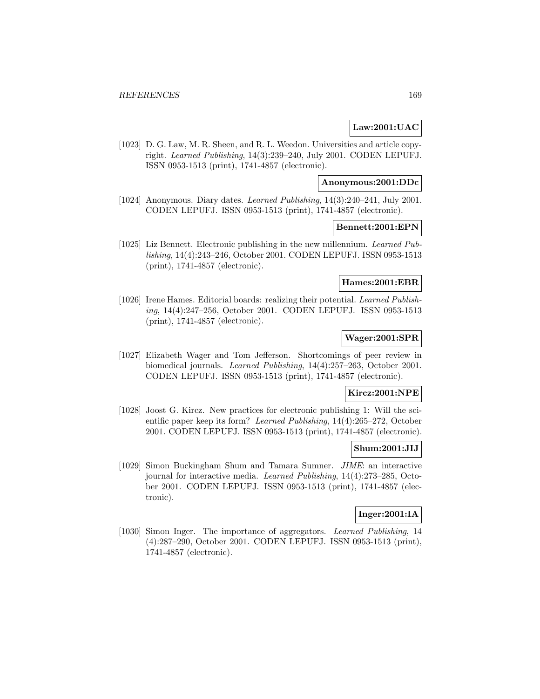# **Law:2001:UAC**

[1023] D. G. Law, M. R. Sheen, and R. L. Weedon. Universities and article copyright. Learned Publishing, 14(3):239–240, July 2001. CODEN LEPUFJ. ISSN 0953-1513 (print), 1741-4857 (electronic).

#### **Anonymous:2001:DDc**

[1024] Anonymous. Diary dates. Learned Publishing, 14(3):240–241, July 2001. CODEN LEPUFJ. ISSN 0953-1513 (print), 1741-4857 (electronic).

#### **Bennett:2001:EPN**

[1025] Liz Bennett. Electronic publishing in the new millennium. Learned Publishing, 14(4):243–246, October 2001. CODEN LEPUFJ. ISSN 0953-1513 (print), 1741-4857 (electronic).

# **Hames:2001:EBR**

[1026] Irene Hames. Editorial boards: realizing their potential. Learned Publishing, 14(4):247–256, October 2001. CODEN LEPUFJ. ISSN 0953-1513 (print), 1741-4857 (electronic).

# **Wager:2001:SPR**

[1027] Elizabeth Wager and Tom Jefferson. Shortcomings of peer review in biomedical journals. Learned Publishing, 14(4):257–263, October 2001. CODEN LEPUFJ. ISSN 0953-1513 (print), 1741-4857 (electronic).

# **Kircz:2001:NPE**

[1028] Joost G. Kircz. New practices for electronic publishing 1: Will the scientific paper keep its form? Learned Publishing, 14(4):265–272, October 2001. CODEN LEPUFJ. ISSN 0953-1513 (print), 1741-4857 (electronic).

## **Shum:2001:JIJ**

[1029] Simon Buckingham Shum and Tamara Sumner. JIME: an interactive journal for interactive media. Learned Publishing, 14(4):273–285, October 2001. CODEN LEPUFJ. ISSN 0953-1513 (print), 1741-4857 (electronic).

# **Inger:2001:IA**

[1030] Simon Inger. The importance of aggregators. Learned Publishing, 14 (4):287–290, October 2001. CODEN LEPUFJ. ISSN 0953-1513 (print), 1741-4857 (electronic).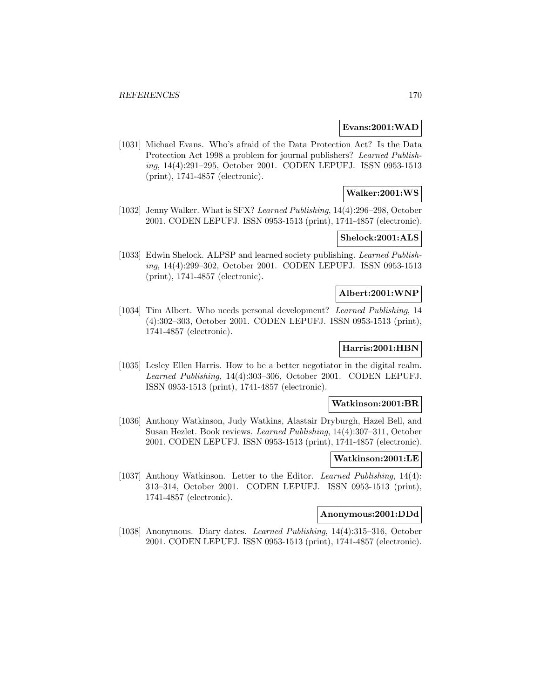#### **Evans:2001:WAD**

[1031] Michael Evans. Who's afraid of the Data Protection Act? Is the Data Protection Act 1998 a problem for journal publishers? Learned Publishing, 14(4):291–295, October 2001. CODEN LEPUFJ. ISSN 0953-1513 (print), 1741-4857 (electronic).

# **Walker:2001:WS**

[1032] Jenny Walker. What is SFX? Learned Publishing, 14(4):296–298, October 2001. CODEN LEPUFJ. ISSN 0953-1513 (print), 1741-4857 (electronic).

# **Shelock:2001:ALS**

[1033] Edwin Shelock. ALPSP and learned society publishing. Learned Publishing, 14(4):299–302, October 2001. CODEN LEPUFJ. ISSN 0953-1513 (print), 1741-4857 (electronic).

#### **Albert:2001:WNP**

[1034] Tim Albert. Who needs personal development? Learned Publishing, 14 (4):302–303, October 2001. CODEN LEPUFJ. ISSN 0953-1513 (print), 1741-4857 (electronic).

# **Harris:2001:HBN**

[1035] Lesley Ellen Harris. How to be a better negotiator in the digital realm. Learned Publishing, 14(4):303–306, October 2001. CODEN LEPUFJ. ISSN 0953-1513 (print), 1741-4857 (electronic).

## **Watkinson:2001:BR**

[1036] Anthony Watkinson, Judy Watkins, Alastair Dryburgh, Hazel Bell, and Susan Hezlet. Book reviews. Learned Publishing, 14(4):307–311, October 2001. CODEN LEPUFJ. ISSN 0953-1513 (print), 1741-4857 (electronic).

#### **Watkinson:2001:LE**

[1037] Anthony Watkinson. Letter to the Editor. Learned Publishing, 14(4): 313–314, October 2001. CODEN LEPUFJ. ISSN 0953-1513 (print), 1741-4857 (electronic).

### **Anonymous:2001:DDd**

[1038] Anonymous. Diary dates. Learned Publishing, 14(4):315–316, October 2001. CODEN LEPUFJ. ISSN 0953-1513 (print), 1741-4857 (electronic).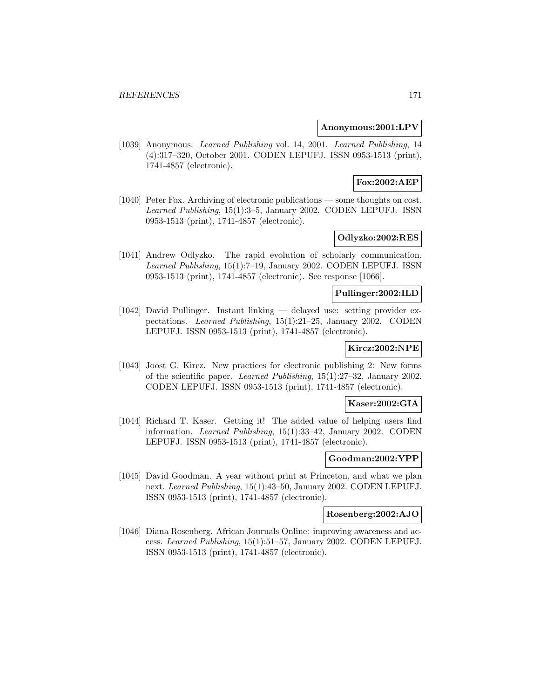#### **Anonymous:2001:LPV**

[1039] Anonymous. *Learned Publishing* vol. 14, 2001. *Learned Publishing*, 14 (4):317–320, October 2001. CODEN LEPUFJ. ISSN 0953-1513 (print), 1741-4857 (electronic).

# **Fox:2002:AEP**

[1040] Peter Fox. Archiving of electronic publications — some thoughts on cost. Learned Publishing, 15(1):3–5, January 2002. CODEN LEPUFJ. ISSN 0953-1513 (print), 1741-4857 (electronic).

# **Odlyzko:2002:RES**

[1041] Andrew Odlyzko. The rapid evolution of scholarly communication. Learned Publishing, 15(1):7–19, January 2002. CODEN LEPUFJ. ISSN 0953-1513 (print), 1741-4857 (electronic). See response [1066].

## **Pullinger:2002:ILD**

[1042] David Pullinger. Instant linking — delayed use: setting provider expectations. Learned Publishing, 15(1):21–25, January 2002. CODEN LEPUFJ. ISSN 0953-1513 (print), 1741-4857 (electronic).

# **Kircz:2002:NPE**

[1043] Joost G. Kircz. New practices for electronic publishing 2: New forms of the scientific paper. Learned Publishing, 15(1):27–32, January 2002. CODEN LEPUFJ. ISSN 0953-1513 (print), 1741-4857 (electronic).

# **Kaser:2002:GIA**

[1044] Richard T. Kaser. Getting it! The added value of helping users find information. Learned Publishing, 15(1):33–42, January 2002. CODEN LEPUFJ. ISSN 0953-1513 (print), 1741-4857 (electronic).

#### **Goodman:2002:YPP**

[1045] David Goodman. A year without print at Princeton, and what we plan next. Learned Publishing, 15(1):43–50, January 2002. CODEN LEPUFJ. ISSN 0953-1513 (print), 1741-4857 (electronic).

## **Rosenberg:2002:AJO**

[1046] Diana Rosenberg. African Journals Online: improving awareness and access. Learned Publishing, 15(1):51–57, January 2002. CODEN LEPUFJ. ISSN 0953-1513 (print), 1741-4857 (electronic).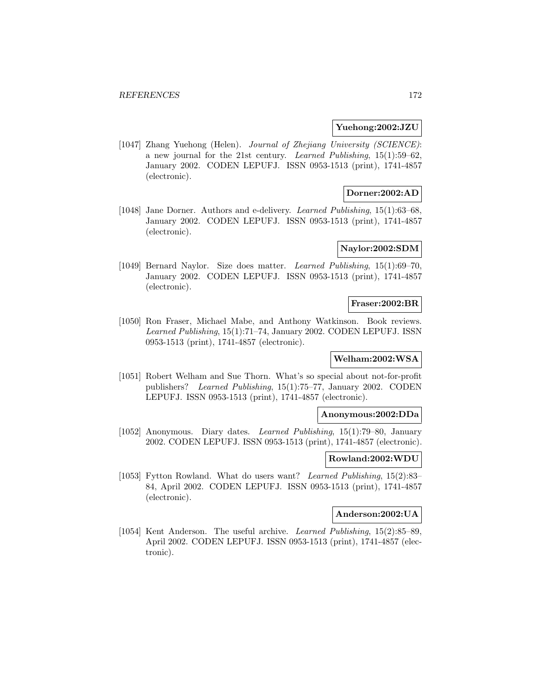#### **Yuehong:2002:JZU**

[1047] Zhang Yuehong (Helen). Journal of Zhejiang University (SCIENCE): a new journal for the 21st century. Learned Publishing, 15(1):59–62, January 2002. CODEN LEPUFJ. ISSN 0953-1513 (print), 1741-4857 (electronic).

# **Dorner:2002:AD**

[1048] Jane Dorner. Authors and e-delivery. Learned Publishing, 15(1):63–68, January 2002. CODEN LEPUFJ. ISSN 0953-1513 (print), 1741-4857 (electronic).

# **Naylor:2002:SDM**

[1049] Bernard Naylor. Size does matter. Learned Publishing, 15(1):69–70, January 2002. CODEN LEPUFJ. ISSN 0953-1513 (print), 1741-4857 (electronic).

#### **Fraser:2002:BR**

[1050] Ron Fraser, Michael Mabe, and Anthony Watkinson. Book reviews. Learned Publishing, 15(1):71–74, January 2002. CODEN LEPUFJ. ISSN 0953-1513 (print), 1741-4857 (electronic).

# **Welham:2002:WSA**

[1051] Robert Welham and Sue Thorn. What's so special about not-for-profit publishers? Learned Publishing, 15(1):75–77, January 2002. CODEN LEPUFJ. ISSN 0953-1513 (print), 1741-4857 (electronic).

#### **Anonymous:2002:DDa**

[1052] Anonymous. Diary dates. Learned Publishing, 15(1):79–80, January 2002. CODEN LEPUFJ. ISSN 0953-1513 (print), 1741-4857 (electronic).

#### **Rowland:2002:WDU**

[1053] Fytton Rowland. What do users want? Learned Publishing, 15(2):83– 84, April 2002. CODEN LEPUFJ. ISSN 0953-1513 (print), 1741-4857 (electronic).

# **Anderson:2002:UA**

[1054] Kent Anderson. The useful archive. Learned Publishing, 15(2):85–89, April 2002. CODEN LEPUFJ. ISSN 0953-1513 (print), 1741-4857 (electronic).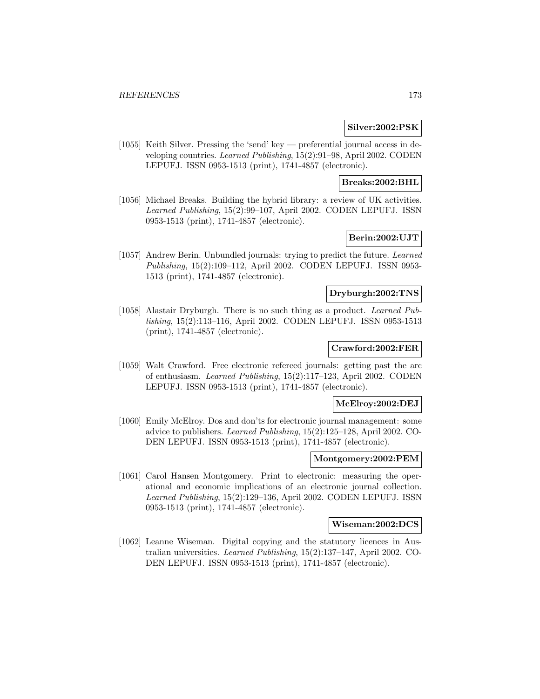#### **Silver:2002:PSK**

[1055] Keith Silver. Pressing the 'send' key — preferential journal access in developing countries. Learned Publishing, 15(2):91–98, April 2002. CODEN LEPUFJ. ISSN 0953-1513 (print), 1741-4857 (electronic).

## **Breaks:2002:BHL**

[1056] Michael Breaks. Building the hybrid library: a review of UK activities. Learned Publishing, 15(2):99–107, April 2002. CODEN LEPUFJ. ISSN 0953-1513 (print), 1741-4857 (electronic).

# **Berin:2002:UJT**

[1057] Andrew Berin. Unbundled journals: trying to predict the future. Learned Publishing, 15(2):109–112, April 2002. CODEN LEPUFJ. ISSN 0953- 1513 (print), 1741-4857 (electronic).

## **Dryburgh:2002:TNS**

[1058] Alastair Dryburgh. There is no such thing as a product. Learned Publishing, 15(2):113–116, April 2002. CODEN LEPUFJ. ISSN 0953-1513 (print), 1741-4857 (electronic).

# **Crawford:2002:FER**

[1059] Walt Crawford. Free electronic refereed journals: getting past the arc of enthusiasm. Learned Publishing, 15(2):117–123, April 2002. CODEN LEPUFJ. ISSN 0953-1513 (print), 1741-4857 (electronic).

#### **McElroy:2002:DEJ**

[1060] Emily McElroy. Dos and don'ts for electronic journal management: some advice to publishers. Learned Publishing, 15(2):125–128, April 2002. CO-DEN LEPUFJ. ISSN 0953-1513 (print), 1741-4857 (electronic).

#### **Montgomery:2002:PEM**

[1061] Carol Hansen Montgomery. Print to electronic: measuring the operational and economic implications of an electronic journal collection. Learned Publishing, 15(2):129–136, April 2002. CODEN LEPUFJ. ISSN 0953-1513 (print), 1741-4857 (electronic).

#### **Wiseman:2002:DCS**

[1062] Leanne Wiseman. Digital copying and the statutory licences in Australian universities. Learned Publishing, 15(2):137–147, April 2002. CO-DEN LEPUFJ. ISSN 0953-1513 (print), 1741-4857 (electronic).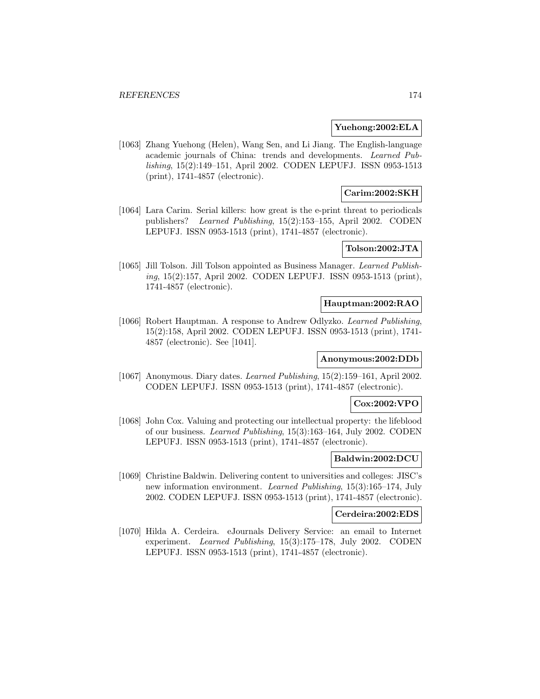#### **Yuehong:2002:ELA**

[1063] Zhang Yuehong (Helen), Wang Sen, and Li Jiang. The English-language academic journals of China: trends and developments. Learned Publishing, 15(2):149–151, April 2002. CODEN LEPUFJ. ISSN 0953-1513 (print), 1741-4857 (electronic).

# **Carim:2002:SKH**

[1064] Lara Carim. Serial killers: how great is the e-print threat to periodicals publishers? Learned Publishing, 15(2):153–155, April 2002. CODEN LEPUFJ. ISSN 0953-1513 (print), 1741-4857 (electronic).

# **Tolson:2002:JTA**

[1065] Jill Tolson. Jill Tolson appointed as Business Manager. Learned Publishing, 15(2):157, April 2002. CODEN LEPUFJ. ISSN 0953-1513 (print), 1741-4857 (electronic).

#### **Hauptman:2002:RAO**

[1066] Robert Hauptman. A response to Andrew Odlyzko. Learned Publishing, 15(2):158, April 2002. CODEN LEPUFJ. ISSN 0953-1513 (print), 1741- 4857 (electronic). See [1041].

#### **Anonymous:2002:DDb**

[1067] Anonymous. Diary dates. Learned Publishing, 15(2):159–161, April 2002. CODEN LEPUFJ. ISSN 0953-1513 (print), 1741-4857 (electronic).

# **Cox:2002:VPO**

[1068] John Cox. Valuing and protecting our intellectual property: the lifeblood of our business. Learned Publishing, 15(3):163–164, July 2002. CODEN LEPUFJ. ISSN 0953-1513 (print), 1741-4857 (electronic).

#### **Baldwin:2002:DCU**

[1069] Christine Baldwin. Delivering content to universities and colleges: JISC's new information environment. Learned Publishing, 15(3):165–174, July 2002. CODEN LEPUFJ. ISSN 0953-1513 (print), 1741-4857 (electronic).

### **Cerdeira:2002:EDS**

[1070] Hilda A. Cerdeira. eJournals Delivery Service: an email to Internet experiment. Learned Publishing, 15(3):175–178, July 2002. CODEN LEPUFJ. ISSN 0953-1513 (print), 1741-4857 (electronic).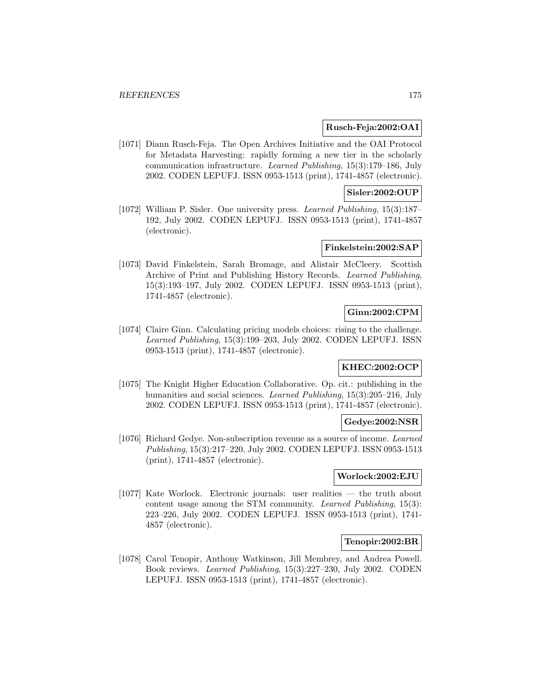#### **Rusch-Feja:2002:OAI**

[1071] Diann Rusch-Feja. The Open Archives Initiative and the OAI Protocol for Metadata Harvesting: rapidly forming a new tier in the scholarly communication infrastructure. Learned Publishing, 15(3):179–186, July 2002. CODEN LEPUFJ. ISSN 0953-1513 (print), 1741-4857 (electronic).

## **Sisler:2002:OUP**

[1072] William P. Sisler. One university press. Learned Publishing, 15(3):187– 192, July 2002. CODEN LEPUFJ. ISSN 0953-1513 (print), 1741-4857 (electronic).

## **Finkelstein:2002:SAP**

[1073] David Finkelstein, Sarah Bromage, and Alistair McCleery. Scottish Archive of Print and Publishing History Records. Learned Publishing, 15(3):193–197, July 2002. CODEN LEPUFJ. ISSN 0953-1513 (print), 1741-4857 (electronic).

# **Ginn:2002:CPM**

[1074] Claire Ginn. Calculating pricing models choices: rising to the challenge. Learned Publishing, 15(3):199–203, July 2002. CODEN LEPUFJ. ISSN 0953-1513 (print), 1741-4857 (electronic).

# **KHEC:2002:OCP**

[1075] The Knight Higher Education Collaborative. Op. cit.: publishing in the humanities and social sciences. Learned Publishing, 15(3):205–216, July 2002. CODEN LEPUFJ. ISSN 0953-1513 (print), 1741-4857 (electronic).

#### **Gedye:2002:NSR**

[1076] Richard Gedye. Non-subscription revenue as a source of income. Learned Publishing, 15(3):217–220, July 2002. CODEN LEPUFJ. ISSN 0953-1513 (print), 1741-4857 (electronic).

# **Worlock:2002:EJU**

[1077] Kate Worlock. Electronic journals: user realities — the truth about content usage among the STM community. Learned Publishing, 15(3): 223–226, July 2002. CODEN LEPUFJ. ISSN 0953-1513 (print), 1741- 4857 (electronic).

#### **Tenopir:2002:BR**

[1078] Carol Tenopir, Anthony Watkinson, Jill Membrey, and Andrea Powell. Book reviews. Learned Publishing, 15(3):227–230, July 2002. CODEN LEPUFJ. ISSN 0953-1513 (print), 1741-4857 (electronic).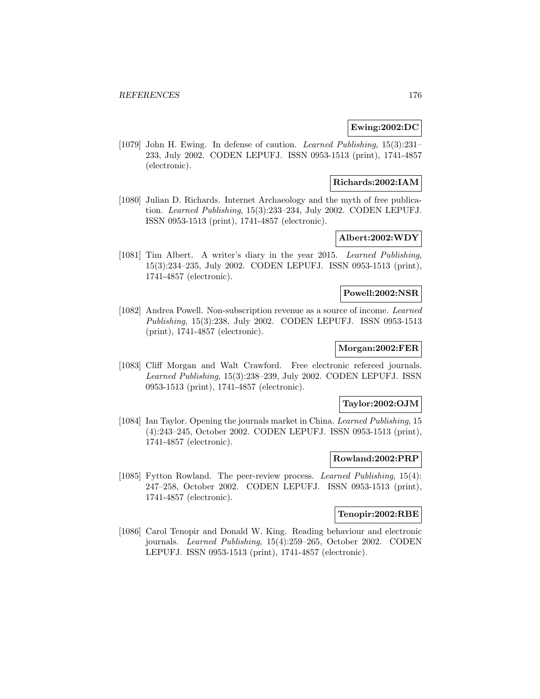## **Ewing:2002:DC**

[1079] John H. Ewing. In defense of caution. Learned Publishing, 15(3):231– 233, July 2002. CODEN LEPUFJ. ISSN 0953-1513 (print), 1741-4857 (electronic).

## **Richards:2002:IAM**

[1080] Julian D. Richards. Internet Archaeology and the myth of free publication. Learned Publishing, 15(3):233–234, July 2002. CODEN LEPUFJ. ISSN 0953-1513 (print), 1741-4857 (electronic).

# **Albert:2002:WDY**

[1081] Tim Albert. A writer's diary in the year 2015. Learned Publishing, 15(3):234–235, July 2002. CODEN LEPUFJ. ISSN 0953-1513 (print), 1741-4857 (electronic).

## **Powell:2002:NSR**

[1082] Andrea Powell. Non-subscription revenue as a source of income. Learned Publishing, 15(3):238, July 2002. CODEN LEPUFJ. ISSN 0953-1513 (print), 1741-4857 (electronic).

## **Morgan:2002:FER**

[1083] Cliff Morgan and Walt Crawford. Free electronic refereed journals. Learned Publishing, 15(3):238–239, July 2002. CODEN LEPUFJ. ISSN 0953-1513 (print), 1741-4857 (electronic).

#### **Taylor:2002:OJM**

[1084] Ian Taylor. Opening the journals market in China. Learned Publishing, 15 (4):243–245, October 2002. CODEN LEPUFJ. ISSN 0953-1513 (print), 1741-4857 (electronic).

#### **Rowland:2002:PRP**

[1085] Fytton Rowland. The peer-review process. Learned Publishing, 15(4): 247–258, October 2002. CODEN LEPUFJ. ISSN 0953-1513 (print), 1741-4857 (electronic).

# **Tenopir:2002:RBE**

[1086] Carol Tenopir and Donald W. King. Reading behaviour and electronic journals. Learned Publishing, 15(4):259–265, October 2002. CODEN LEPUFJ. ISSN 0953-1513 (print), 1741-4857 (electronic).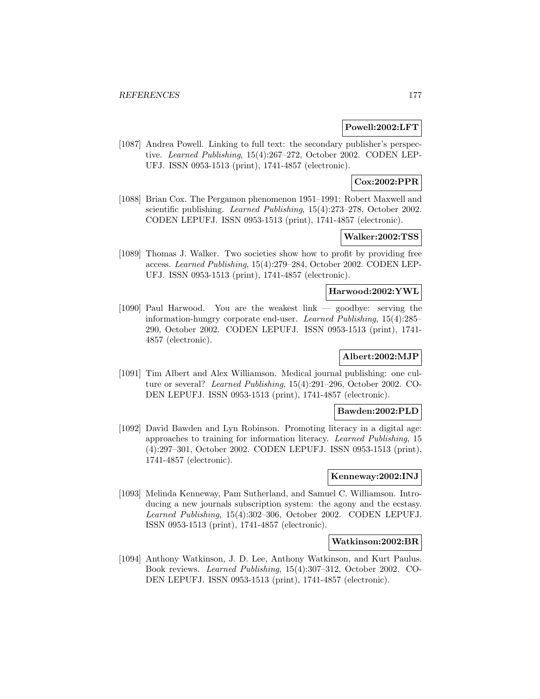#### **Powell:2002:LFT**

[1087] Andrea Powell. Linking to full text: the secondary publisher's perspective. Learned Publishing, 15(4):267–272, October 2002. CODEN LEP-UFJ. ISSN 0953-1513 (print), 1741-4857 (electronic).

# **Cox:2002:PPR**

[1088] Brian Cox. The Pergamon phenomenon 1951–1991: Robert Maxwell and scientific publishing. Learned Publishing, 15(4):273–278, October 2002. CODEN LEPUFJ. ISSN 0953-1513 (print), 1741-4857 (electronic).

# **Walker:2002:TSS**

[1089] Thomas J. Walker. Two societies show how to profit by providing free access. Learned Publishing, 15(4):279–284, October 2002. CODEN LEP-UFJ. ISSN 0953-1513 (print), 1741-4857 (electronic).

## **Harwood:2002:YWL**

[1090] Paul Harwood. You are the weakest link — goodbye: serving the information-hungry corporate end-user. Learned Publishing, 15(4):285– 290, October 2002. CODEN LEPUFJ. ISSN 0953-1513 (print), 1741- 4857 (electronic).

# **Albert:2002:MJP**

[1091] Tim Albert and Alex Williamson. Medical journal publishing: one culture or several? Learned Publishing, 15(4):291–296, October 2002. CO-DEN LEPUFJ. ISSN 0953-1513 (print), 1741-4857 (electronic).

#### **Bawden:2002:PLD**

[1092] David Bawden and Lyn Robinson. Promoting literacy in a digital age: approaches to training for information literacy. Learned Publishing, 15 (4):297–301, October 2002. CODEN LEPUFJ. ISSN 0953-1513 (print), 1741-4857 (electronic).

## **Kenneway:2002:INJ**

[1093] Melinda Kenneway, Pam Sutherland, and Samuel C. Williamson. Introducing a new journals subscription system: the agony and the ecstasy. Learned Publishing, 15(4):302–306, October 2002. CODEN LEPUFJ. ISSN 0953-1513 (print), 1741-4857 (electronic).

#### **Watkinson:2002:BR**

[1094] Anthony Watkinson, J. D. Lee, Anthony Watkinson, and Kurt Paulus. Book reviews. Learned Publishing, 15(4):307–312, October 2002. CO-DEN LEPUFJ. ISSN 0953-1513 (print), 1741-4857 (electronic).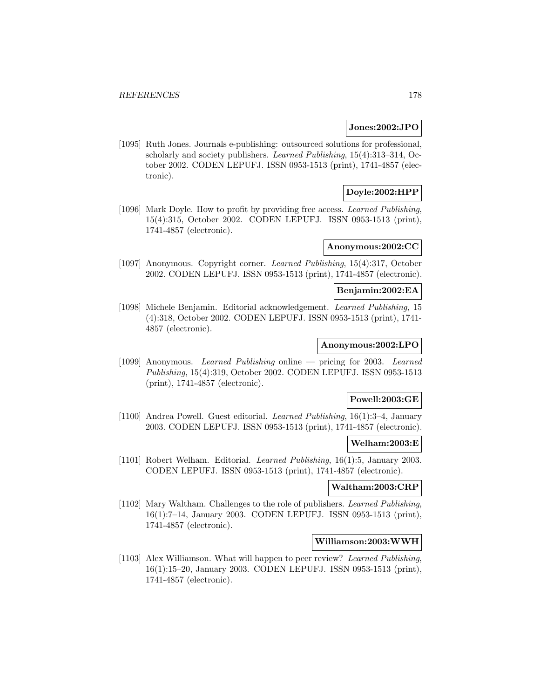#### **Jones:2002:JPO**

[1095] Ruth Jones. Journals e-publishing: outsourced solutions for professional, scholarly and society publishers. Learned Publishing, 15(4):313–314, October 2002. CODEN LEPUFJ. ISSN 0953-1513 (print), 1741-4857 (electronic).

# **Doyle:2002:HPP**

[1096] Mark Doyle. How to profit by providing free access. Learned Publishing, 15(4):315, October 2002. CODEN LEPUFJ. ISSN 0953-1513 (print), 1741-4857 (electronic).

# **Anonymous:2002:CC**

[1097] Anonymous. Copyright corner. Learned Publishing, 15(4):317, October 2002. CODEN LEPUFJ. ISSN 0953-1513 (print), 1741-4857 (electronic).

# **Benjamin:2002:EA**

[1098] Michele Benjamin. Editorial acknowledgement. Learned Publishing, 15 (4):318, October 2002. CODEN LEPUFJ. ISSN 0953-1513 (print), 1741- 4857 (electronic).

#### **Anonymous:2002:LPO**

[1099] Anonymous. Learned Publishing online — pricing for 2003. Learned Publishing, 15(4):319, October 2002. CODEN LEPUFJ. ISSN 0953-1513 (print), 1741-4857 (electronic).

#### **Powell:2003:GE**

[1100] Andrea Powell. Guest editorial. Learned Publishing, 16(1):3–4, January 2003. CODEN LEPUFJ. ISSN 0953-1513 (print), 1741-4857 (electronic).

# **Welham:2003:E**

[1101] Robert Welham. Editorial. Learned Publishing, 16(1):5, January 2003. CODEN LEPUFJ. ISSN 0953-1513 (print), 1741-4857 (electronic).

#### **Waltham:2003:CRP**

[1102] Mary Waltham. Challenges to the role of publishers. Learned Publishing, 16(1):7–14, January 2003. CODEN LEPUFJ. ISSN 0953-1513 (print), 1741-4857 (electronic).

#### **Williamson:2003:WWH**

[1103] Alex Williamson. What will happen to peer review? Learned Publishing, 16(1):15–20, January 2003. CODEN LEPUFJ. ISSN 0953-1513 (print), 1741-4857 (electronic).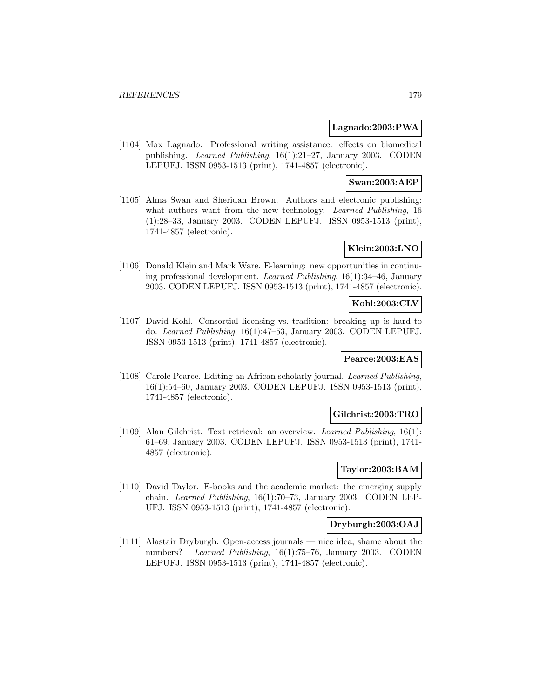#### **Lagnado:2003:PWA**

[1104] Max Lagnado. Professional writing assistance: effects on biomedical publishing. Learned Publishing, 16(1):21–27, January 2003. CODEN LEPUFJ. ISSN 0953-1513 (print), 1741-4857 (electronic).

# **Swan:2003:AEP**

[1105] Alma Swan and Sheridan Brown. Authors and electronic publishing: what authors want from the new technology. Learned Publishing, 16 (1):28–33, January 2003. CODEN LEPUFJ. ISSN 0953-1513 (print), 1741-4857 (electronic).

# **Klein:2003:LNO**

[1106] Donald Klein and Mark Ware. E-learning: new opportunities in continuing professional development. Learned Publishing, 16(1):34–46, January 2003. CODEN LEPUFJ. ISSN 0953-1513 (print), 1741-4857 (electronic).

#### **Kohl:2003:CLV**

[1107] David Kohl. Consortial licensing vs. tradition: breaking up is hard to do. Learned Publishing, 16(1):47–53, January 2003. CODEN LEPUFJ. ISSN 0953-1513 (print), 1741-4857 (electronic).

## **Pearce:2003:EAS**

[1108] Carole Pearce. Editing an African scholarly journal. Learned Publishing, 16(1):54–60, January 2003. CODEN LEPUFJ. ISSN 0953-1513 (print), 1741-4857 (electronic).

## **Gilchrist:2003:TRO**

[1109] Alan Gilchrist. Text retrieval: an overview. Learned Publishing, 16(1): 61–69, January 2003. CODEN LEPUFJ. ISSN 0953-1513 (print), 1741- 4857 (electronic).

## **Taylor:2003:BAM**

[1110] David Taylor. E-books and the academic market: the emerging supply chain. Learned Publishing, 16(1):70–73, January 2003. CODEN LEP-UFJ. ISSN 0953-1513 (print), 1741-4857 (electronic).

#### **Dryburgh:2003:OAJ**

[1111] Alastair Dryburgh. Open-access journals — nice idea, shame about the numbers? Learned Publishing, 16(1):75–76, January 2003. CODEN LEPUFJ. ISSN 0953-1513 (print), 1741-4857 (electronic).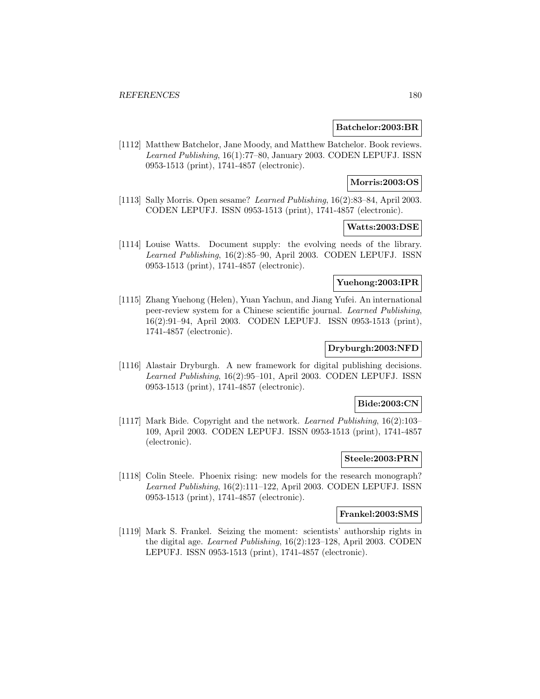#### **Batchelor:2003:BR**

[1112] Matthew Batchelor, Jane Moody, and Matthew Batchelor. Book reviews. Learned Publishing, 16(1):77–80, January 2003. CODEN LEPUFJ. ISSN 0953-1513 (print), 1741-4857 (electronic).

## **Morris:2003:OS**

[1113] Sally Morris. Open sesame? Learned Publishing, 16(2):83–84, April 2003. CODEN LEPUFJ. ISSN 0953-1513 (print), 1741-4857 (electronic).

# **Watts:2003:DSE**

[1114] Louise Watts. Document supply: the evolving needs of the library. Learned Publishing, 16(2):85–90, April 2003. CODEN LEPUFJ. ISSN 0953-1513 (print), 1741-4857 (electronic).

# **Yuehong:2003:IPR**

[1115] Zhang Yuehong (Helen), Yuan Yachun, and Jiang Yufei. An international peer-review system for a Chinese scientific journal. Learned Publishing, 16(2):91–94, April 2003. CODEN LEPUFJ. ISSN 0953-1513 (print), 1741-4857 (electronic).

## **Dryburgh:2003:NFD**

[1116] Alastair Dryburgh. A new framework for digital publishing decisions. Learned Publishing, 16(2):95–101, April 2003. CODEN LEPUFJ. ISSN 0953-1513 (print), 1741-4857 (electronic).

## **Bide:2003:CN**

[1117] Mark Bide. Copyright and the network. Learned Publishing, 16(2):103– 109, April 2003. CODEN LEPUFJ. ISSN 0953-1513 (print), 1741-4857 (electronic).

#### **Steele:2003:PRN**

[1118] Colin Steele. Phoenix rising: new models for the research monograph? Learned Publishing, 16(2):111–122, April 2003. CODEN LEPUFJ. ISSN 0953-1513 (print), 1741-4857 (electronic).

## **Frankel:2003:SMS**

[1119] Mark S. Frankel. Seizing the moment: scientists' authorship rights in the digital age. Learned Publishing, 16(2):123–128, April 2003. CODEN LEPUFJ. ISSN 0953-1513 (print), 1741-4857 (electronic).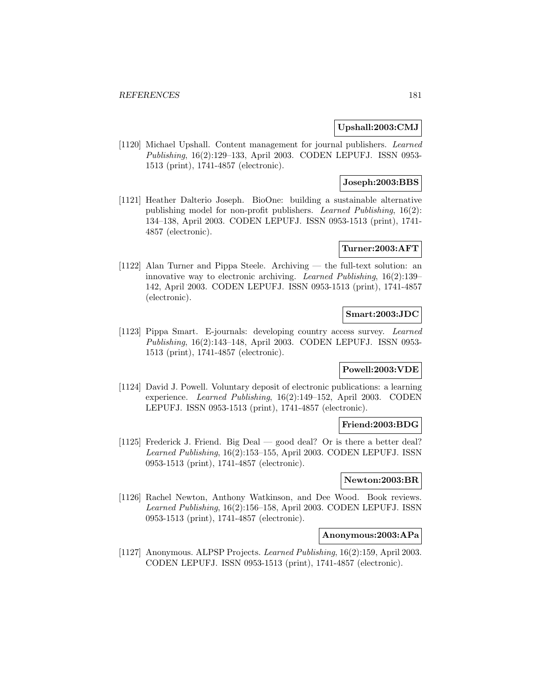# **Upshall:2003:CMJ**

[1120] Michael Upshall. Content management for journal publishers. Learned Publishing, 16(2):129–133, April 2003. CODEN LEPUFJ. ISSN 0953- 1513 (print), 1741-4857 (electronic).

# **Joseph:2003:BBS**

[1121] Heather Dalterio Joseph. BioOne: building a sustainable alternative publishing model for non-profit publishers. Learned Publishing, 16(2): 134–138, April 2003. CODEN LEPUFJ. ISSN 0953-1513 (print), 1741- 4857 (electronic).

## **Turner:2003:AFT**

[1122] Alan Turner and Pippa Steele. Archiving — the full-text solution: an innovative way to electronic archiving. Learned Publishing, 16(2):139– 142, April 2003. CODEN LEPUFJ. ISSN 0953-1513 (print), 1741-4857 (electronic).

# **Smart:2003:JDC**

[1123] Pippa Smart. E-journals: developing country access survey. Learned Publishing, 16(2):143–148, April 2003. CODEN LEPUFJ. ISSN 0953- 1513 (print), 1741-4857 (electronic).

## **Powell:2003:VDE**

[1124] David J. Powell. Voluntary deposit of electronic publications: a learning experience. Learned Publishing, 16(2):149–152, April 2003. CODEN LEPUFJ. ISSN 0953-1513 (print), 1741-4857 (electronic).

## **Friend:2003:BDG**

[1125] Frederick J. Friend. Big Deal — good deal? Or is there a better deal? Learned Publishing, 16(2):153–155, April 2003. CODEN LEPUFJ. ISSN 0953-1513 (print), 1741-4857 (electronic).

## **Newton:2003:BR**

[1126] Rachel Newton, Anthony Watkinson, and Dee Wood. Book reviews. Learned Publishing, 16(2):156–158, April 2003. CODEN LEPUFJ. ISSN 0953-1513 (print), 1741-4857 (electronic).

#### **Anonymous:2003:APa**

[1127] Anonymous. ALPSP Projects. Learned Publishing, 16(2):159, April 2003. CODEN LEPUFJ. ISSN 0953-1513 (print), 1741-4857 (electronic).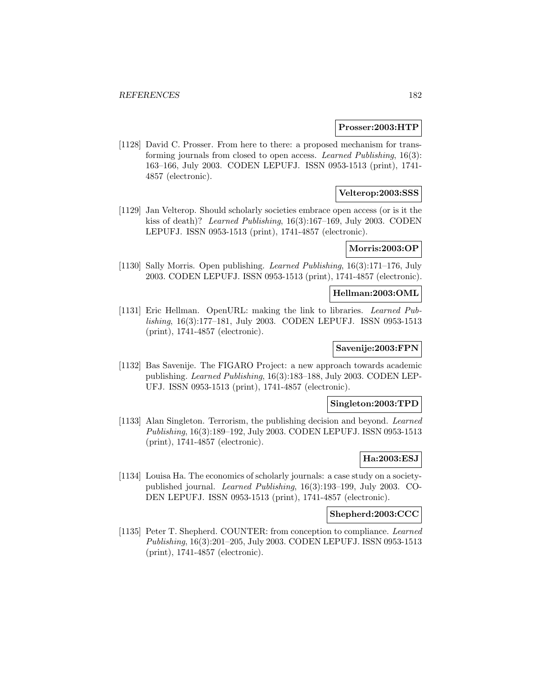#### **Prosser:2003:HTP**

[1128] David C. Prosser. From here to there: a proposed mechanism for transforming journals from closed to open access. Learned Publishing, 16(3): 163–166, July 2003. CODEN LEPUFJ. ISSN 0953-1513 (print), 1741- 4857 (electronic).

## **Velterop:2003:SSS**

[1129] Jan Velterop. Should scholarly societies embrace open access (or is it the kiss of death)? Learned Publishing, 16(3):167–169, July 2003. CODEN LEPUFJ. ISSN 0953-1513 (print), 1741-4857 (electronic).

#### **Morris:2003:OP**

[1130] Sally Morris. Open publishing. Learned Publishing, 16(3):171–176, July 2003. CODEN LEPUFJ. ISSN 0953-1513 (print), 1741-4857 (electronic).

### **Hellman:2003:OML**

[1131] Eric Hellman. OpenURL: making the link to libraries. Learned Publishing, 16(3):177–181, July 2003. CODEN LEPUFJ. ISSN 0953-1513 (print), 1741-4857 (electronic).

# **Savenije:2003:FPN**

[1132] Bas Savenije. The FIGARO Project: a new approach towards academic publishing. Learned Publishing, 16(3):183–188, July 2003. CODEN LEP-UFJ. ISSN 0953-1513 (print), 1741-4857 (electronic).

## **Singleton:2003:TPD**

[1133] Alan Singleton. Terrorism, the publishing decision and beyond. Learned Publishing, 16(3):189–192, July 2003. CODEN LEPUFJ. ISSN 0953-1513 (print), 1741-4857 (electronic).

## **Ha:2003:ESJ**

[1134] Louisa Ha. The economics of scholarly journals: a case study on a societypublished journal. Learned Publishing, 16(3):193–199, July 2003. CO-DEN LEPUFJ. ISSN 0953-1513 (print), 1741-4857 (electronic).

### **Shepherd:2003:CCC**

[1135] Peter T. Shepherd. COUNTER: from conception to compliance. Learned Publishing, 16(3):201–205, July 2003. CODEN LEPUFJ. ISSN 0953-1513 (print), 1741-4857 (electronic).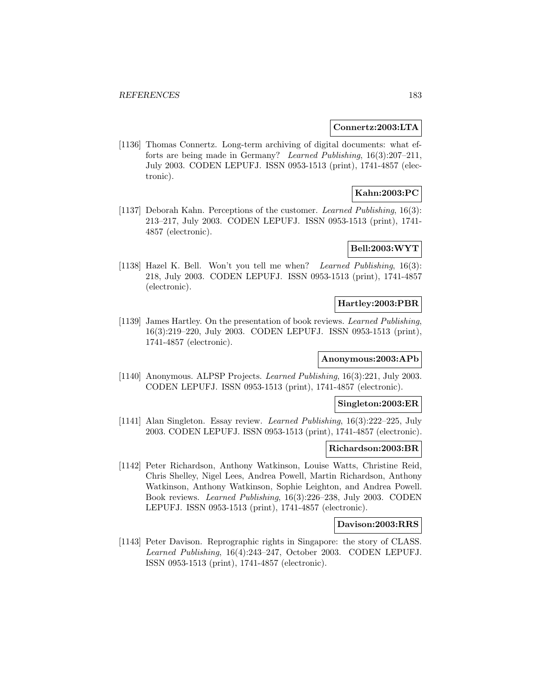#### **Connertz:2003:LTA**

[1136] Thomas Connertz. Long-term archiving of digital documents: what efforts are being made in Germany? Learned Publishing, 16(3):207–211, July 2003. CODEN LEPUFJ. ISSN 0953-1513 (print), 1741-4857 (electronic).

# **Kahn:2003:PC**

[1137] Deborah Kahn. Perceptions of the customer. Learned Publishing, 16(3): 213–217, July 2003. CODEN LEPUFJ. ISSN 0953-1513 (print), 1741- 4857 (electronic).

# **Bell:2003:WYT**

[1138] Hazel K. Bell. Won't you tell me when? Learned Publishing, 16(3): 218, July 2003. CODEN LEPUFJ. ISSN 0953-1513 (print), 1741-4857 (electronic).

## **Hartley:2003:PBR**

[1139] James Hartley. On the presentation of book reviews. Learned Publishing, 16(3):219–220, July 2003. CODEN LEPUFJ. ISSN 0953-1513 (print), 1741-4857 (electronic).

### **Anonymous:2003:APb**

[1140] Anonymous. ALPSP Projects. Learned Publishing, 16(3):221, July 2003. CODEN LEPUFJ. ISSN 0953-1513 (print), 1741-4857 (electronic).

# **Singleton:2003:ER**

[1141] Alan Singleton. Essay review. Learned Publishing, 16(3):222–225, July 2003. CODEN LEPUFJ. ISSN 0953-1513 (print), 1741-4857 (electronic).

#### **Richardson:2003:BR**

[1142] Peter Richardson, Anthony Watkinson, Louise Watts, Christine Reid, Chris Shelley, Nigel Lees, Andrea Powell, Martin Richardson, Anthony Watkinson, Anthony Watkinson, Sophie Leighton, and Andrea Powell. Book reviews. Learned Publishing, 16(3):226–238, July 2003. CODEN LEPUFJ. ISSN 0953-1513 (print), 1741-4857 (electronic).

### **Davison:2003:RRS**

[1143] Peter Davison. Reprographic rights in Singapore: the story of CLASS. Learned Publishing, 16(4):243–247, October 2003. CODEN LEPUFJ. ISSN 0953-1513 (print), 1741-4857 (electronic).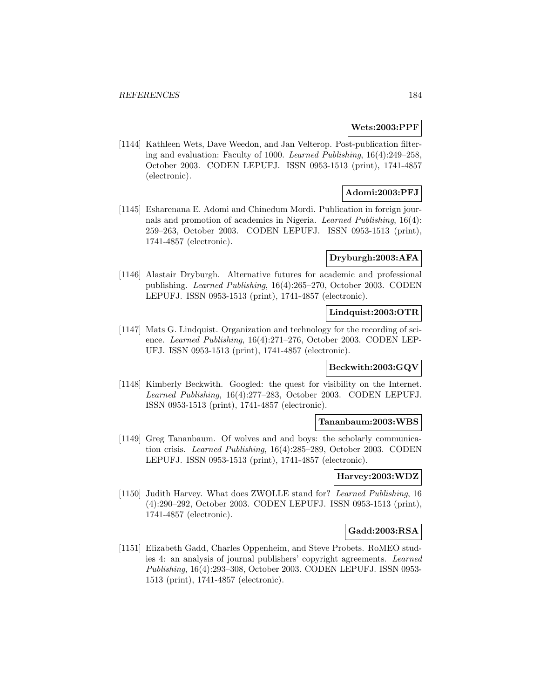#### **Wets:2003:PPF**

[1144] Kathleen Wets, Dave Weedon, and Jan Velterop. Post-publication filtering and evaluation: Faculty of 1000. Learned Publishing, 16(4):249–258, October 2003. CODEN LEPUFJ. ISSN 0953-1513 (print), 1741-4857 (electronic).

# **Adomi:2003:PFJ**

[1145] Esharenana E. Adomi and Chinedum Mordi. Publication in foreign journals and promotion of academics in Nigeria. Learned Publishing, 16(4): 259–263, October 2003. CODEN LEPUFJ. ISSN 0953-1513 (print), 1741-4857 (electronic).

#### **Dryburgh:2003:AFA**

[1146] Alastair Dryburgh. Alternative futures for academic and professional publishing. Learned Publishing, 16(4):265–270, October 2003. CODEN LEPUFJ. ISSN 0953-1513 (print), 1741-4857 (electronic).

## **Lindquist:2003:OTR**

[1147] Mats G. Lindquist. Organization and technology for the recording of science. Learned Publishing, 16(4):271–276, October 2003. CODEN LEP-UFJ. ISSN 0953-1513 (print), 1741-4857 (electronic).

## **Beckwith:2003:GQV**

[1148] Kimberly Beckwith. Googled: the quest for visibility on the Internet. Learned Publishing, 16(4):277–283, October 2003. CODEN LEPUFJ. ISSN 0953-1513 (print), 1741-4857 (electronic).

#### **Tananbaum:2003:WBS**

[1149] Greg Tananbaum. Of wolves and and boys: the scholarly communication crisis. Learned Publishing, 16(4):285–289, October 2003. CODEN LEPUFJ. ISSN 0953-1513 (print), 1741-4857 (electronic).

#### **Harvey:2003:WDZ**

[1150] Judith Harvey. What does ZWOLLE stand for? Learned Publishing, 16 (4):290–292, October 2003. CODEN LEPUFJ. ISSN 0953-1513 (print), 1741-4857 (electronic).

## **Gadd:2003:RSA**

[1151] Elizabeth Gadd, Charles Oppenheim, and Steve Probets. RoMEO studies 4: an analysis of journal publishers' copyright agreements. Learned Publishing, 16(4):293–308, October 2003. CODEN LEPUFJ. ISSN 0953- 1513 (print), 1741-4857 (electronic).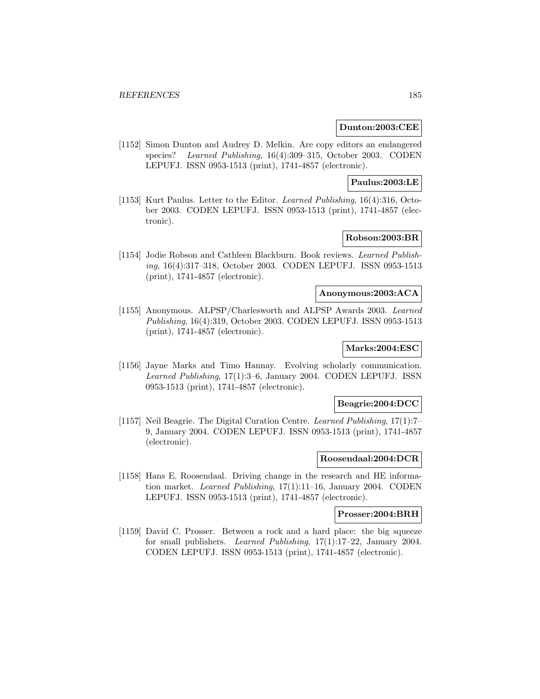#### **Dunton:2003:CEE**

[1152] Simon Dunton and Audrey D. Melkin. Are copy editors an endangered species? Learned Publishing, 16(4):309–315, October 2003. CODEN LEPUFJ. ISSN 0953-1513 (print), 1741-4857 (electronic).

## **Paulus:2003:LE**

[1153] Kurt Paulus. Letter to the Editor. Learned Publishing, 16(4):316, October 2003. CODEN LEPUFJ. ISSN 0953-1513 (print), 1741-4857 (electronic).

# **Robson:2003:BR**

[1154] Jodie Robson and Cathleen Blackburn. Book reviews. Learned Publishing, 16(4):317–318, October 2003. CODEN LEPUFJ. ISSN 0953-1513 (print), 1741-4857 (electronic).

### **Anonymous:2003:ACA**

[1155] Anonymous. ALPSP/Charlesworth and ALPSP Awards 2003. Learned Publishing, 16(4):319, October 2003. CODEN LEPUFJ. ISSN 0953-1513 (print), 1741-4857 (electronic).

# **Marks:2004:ESC**

[1156] Jayne Marks and Timo Hannay. Evolving scholarly communication. Learned Publishing, 17(1):3–6, January 2004. CODEN LEPUFJ. ISSN 0953-1513 (print), 1741-4857 (electronic).

### **Beagrie:2004:DCC**

[1157] Neil Beagrie. The Digital Curation Centre. Learned Publishing, 17(1):7– 9, January 2004. CODEN LEPUFJ. ISSN 0953-1513 (print), 1741-4857 (electronic).

#### **Roosendaal:2004:DCR**

[1158] Hans E. Roosendaal. Driving change in the research and HE information market. Learned Publishing, 17(1):11–16, January 2004. CODEN LEPUFJ. ISSN 0953-1513 (print), 1741-4857 (electronic).

#### **Prosser:2004:BRH**

[1159] David C. Prosser. Between a rock and a hard place: the big squeeze for small publishers. Learned Publishing, 17(1):17–22, January 2004. CODEN LEPUFJ. ISSN 0953-1513 (print), 1741-4857 (electronic).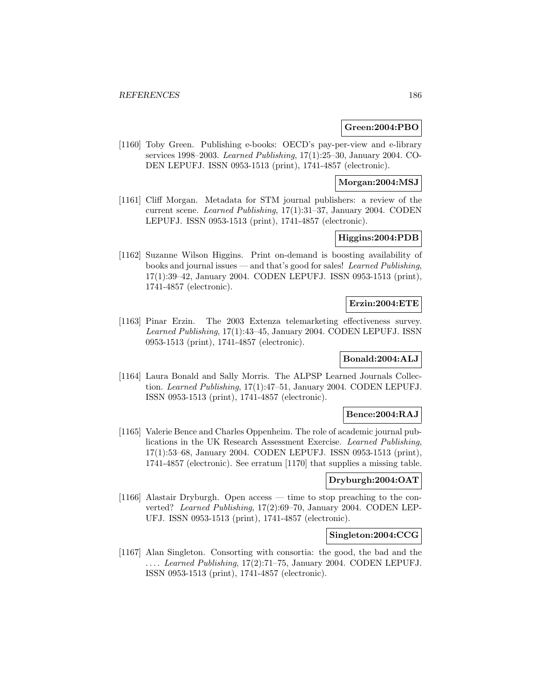## **Green:2004:PBO**

[1160] Toby Green. Publishing e-books: OECD's pay-per-view and e-library services 1998–2003. Learned Publishing, 17(1):25–30, January 2004. CO-DEN LEPUFJ. ISSN 0953-1513 (print), 1741-4857 (electronic).

# **Morgan:2004:MSJ**

[1161] Cliff Morgan. Metadata for STM journal publishers: a review of the current scene. Learned Publishing, 17(1):31–37, January 2004. CODEN LEPUFJ. ISSN 0953-1513 (print), 1741-4857 (electronic).

# **Higgins:2004:PDB**

[1162] Suzanne Wilson Higgins. Print on-demand is boosting availability of books and journal issues — and that's good for sales! Learned Publishing, 17(1):39–42, January 2004. CODEN LEPUFJ. ISSN 0953-1513 (print), 1741-4857 (electronic).

## **Erzin:2004:ETE**

[1163] Pinar Erzin. The 2003 Extenza telemarketing effectiveness survey. Learned Publishing, 17(1):43–45, January 2004. CODEN LEPUFJ. ISSN 0953-1513 (print), 1741-4857 (electronic).

# **Bonald:2004:ALJ**

[1164] Laura Bonald and Sally Morris. The ALPSP Learned Journals Collection. Learned Publishing, 17(1):47–51, January 2004. CODEN LEPUFJ. ISSN 0953-1513 (print), 1741-4857 (electronic).

## **Bence:2004:RAJ**

[1165] Valerie Bence and Charles Oppenheim. The role of academic journal publications in the UK Research Assessment Exercise. Learned Publishing, 17(1):53–68, January 2004. CODEN LEPUFJ. ISSN 0953-1513 (print), 1741-4857 (electronic). See erratum [1170] that supplies a missing table.

## **Dryburgh:2004:OAT**

[1166] Alastair Dryburgh. Open access — time to stop preaching to the converted? Learned Publishing, 17(2):69–70, January 2004. CODEN LEP-UFJ. ISSN 0953-1513 (print), 1741-4857 (electronic).

#### **Singleton:2004:CCG**

[1167] Alan Singleton. Consorting with consortia: the good, the bad and the ... . Learned Publishing, 17(2):71–75, January 2004. CODEN LEPUFJ. ISSN 0953-1513 (print), 1741-4857 (electronic).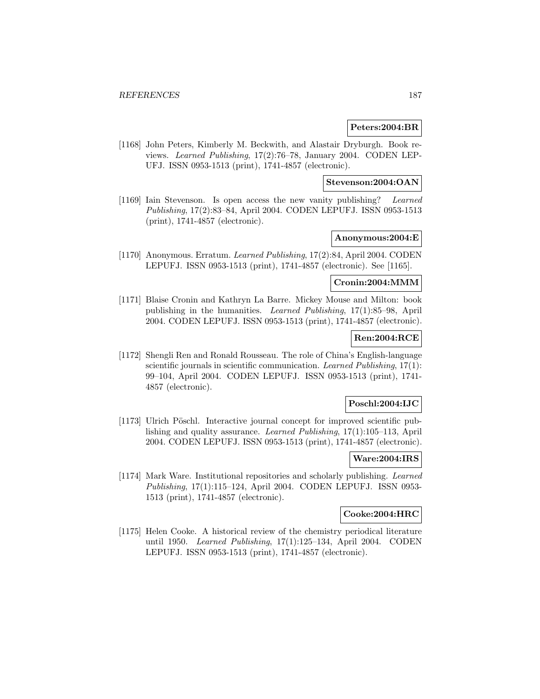## **Peters:2004:BR**

[1168] John Peters, Kimberly M. Beckwith, and Alastair Dryburgh. Book reviews. Learned Publishing, 17(2):76–78, January 2004. CODEN LEP-UFJ. ISSN 0953-1513 (print), 1741-4857 (electronic).

#### **Stevenson:2004:OAN**

[1169] Iain Stevenson. Is open access the new vanity publishing? Learned Publishing, 17(2):83–84, April 2004. CODEN LEPUFJ. ISSN 0953-1513 (print), 1741-4857 (electronic).

# **Anonymous:2004:E**

[1170] Anonymous. Erratum. Learned Publishing, 17(2):84, April 2004. CODEN LEPUFJ. ISSN 0953-1513 (print), 1741-4857 (electronic). See [1165].

### **Cronin:2004:MMM**

[1171] Blaise Cronin and Kathryn La Barre. Mickey Mouse and Milton: book publishing in the humanities. Learned Publishing, 17(1):85–98, April 2004. CODEN LEPUFJ. ISSN 0953-1513 (print), 1741-4857 (electronic).

## **Ren:2004:RCE**

[1172] Shengli Ren and Ronald Rousseau. The role of China's English-language scientific journals in scientific communication. Learned Publishing, 17(1): 99–104, April 2004. CODEN LEPUFJ. ISSN 0953-1513 (print), 1741- 4857 (electronic).

# **Poschl:2004:IJC**

[1173] Ulrich Pöschl. Interactive journal concept for improved scientific publishing and quality assurance. Learned Publishing, 17(1):105–113, April 2004. CODEN LEPUFJ. ISSN 0953-1513 (print), 1741-4857 (electronic).

#### **Ware:2004:IRS**

[1174] Mark Ware. Institutional repositories and scholarly publishing. Learned Publishing, 17(1):115–124, April 2004. CODEN LEPUFJ. ISSN 0953- 1513 (print), 1741-4857 (electronic).

# **Cooke:2004:HRC**

[1175] Helen Cooke. A historical review of the chemistry periodical literature until 1950. Learned Publishing, 17(1):125–134, April 2004. CODEN LEPUFJ. ISSN 0953-1513 (print), 1741-4857 (electronic).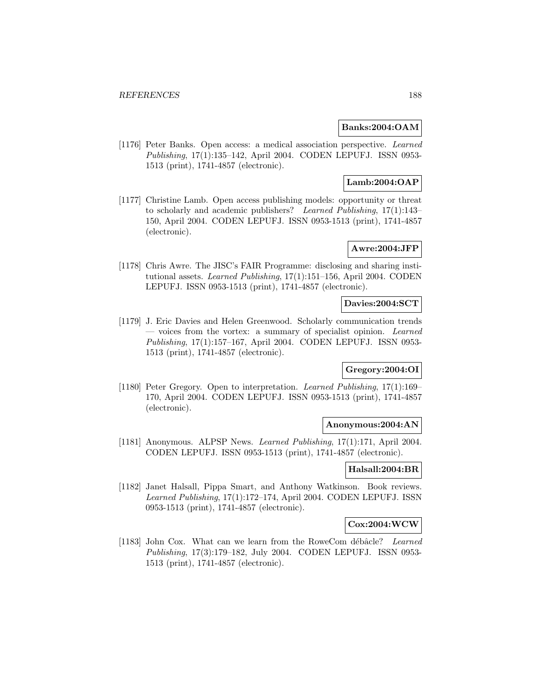## **Banks:2004:OAM**

[1176] Peter Banks. Open access: a medical association perspective. Learned Publishing, 17(1):135–142, April 2004. CODEN LEPUFJ. ISSN 0953- 1513 (print), 1741-4857 (electronic).

# **Lamb:2004:OAP**

[1177] Christine Lamb. Open access publishing models: opportunity or threat to scholarly and academic publishers? Learned Publishing, 17(1):143– 150, April 2004. CODEN LEPUFJ. ISSN 0953-1513 (print), 1741-4857 (electronic).

# **Awre:2004:JFP**

[1178] Chris Awre. The JISC's FAIR Programme: disclosing and sharing institutional assets. Learned Publishing, 17(1):151–156, April 2004. CODEN LEPUFJ. ISSN 0953-1513 (print), 1741-4857 (electronic).

# **Davies:2004:SCT**

[1179] J. Eric Davies and Helen Greenwood. Scholarly communication trends — voices from the vortex: a summary of specialist opinion. Learned Publishing, 17(1):157–167, April 2004. CODEN LEPUFJ. ISSN 0953- 1513 (print), 1741-4857 (electronic).

## **Gregory:2004:OI**

[1180] Peter Gregory. Open to interpretation. Learned Publishing, 17(1):169– 170, April 2004. CODEN LEPUFJ. ISSN 0953-1513 (print), 1741-4857 (electronic).

#### **Anonymous:2004:AN**

[1181] Anonymous. ALPSP News. Learned Publishing, 17(1):171, April 2004. CODEN LEPUFJ. ISSN 0953-1513 (print), 1741-4857 (electronic).

### **Halsall:2004:BR**

[1182] Janet Halsall, Pippa Smart, and Anthony Watkinson. Book reviews. Learned Publishing, 17(1):172–174, April 2004. CODEN LEPUFJ. ISSN 0953-1513 (print), 1741-4857 (electronic).

# **Cox:2004:WCW**

[1183] John Cox. What can we learn from the RoweCom débâcle? Learned Publishing, 17(3):179–182, July 2004. CODEN LEPUFJ. ISSN 0953- 1513 (print), 1741-4857 (electronic).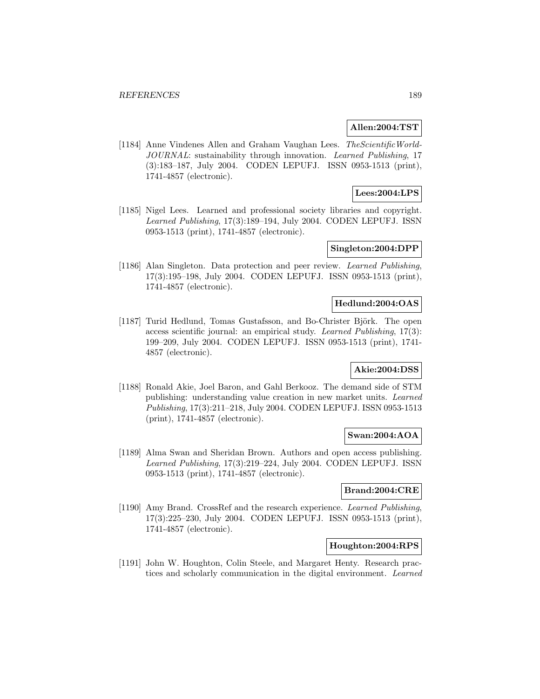### **Allen:2004:TST**

[1184] Anne Vindenes Allen and Graham Vaughan Lees. The Scientific World-JOURNAL: sustainability through innovation. Learned Publishing, 17 (3):183–187, July 2004. CODEN LEPUFJ. ISSN 0953-1513 (print), 1741-4857 (electronic).

# **Lees:2004:LPS**

[1185] Nigel Lees. Learned and professional society libraries and copyright. Learned Publishing, 17(3):189–194, July 2004. CODEN LEPUFJ. ISSN 0953-1513 (print), 1741-4857 (electronic).

### **Singleton:2004:DPP**

[1186] Alan Singleton. Data protection and peer review. Learned Publishing, 17(3):195–198, July 2004. CODEN LEPUFJ. ISSN 0953-1513 (print), 1741-4857 (electronic).

# **Hedlund:2004:OAS**

[1187] Turid Hedlund, Tomas Gustafsson, and Bo-Christer Björk. The open access scientific journal: an empirical study. Learned Publishing, 17(3): 199–209, July 2004. CODEN LEPUFJ. ISSN 0953-1513 (print), 1741- 4857 (electronic).

# **Akie:2004:DSS**

[1188] Ronald Akie, Joel Baron, and Gahl Berkooz. The demand side of STM publishing: understanding value creation in new market units. Learned Publishing, 17(3):211–218, July 2004. CODEN LEPUFJ. ISSN 0953-1513 (print), 1741-4857 (electronic).

### **Swan:2004:AOA**

[1189] Alma Swan and Sheridan Brown. Authors and open access publishing. Learned Publishing, 17(3):219–224, July 2004. CODEN LEPUFJ. ISSN 0953-1513 (print), 1741-4857 (electronic).

### **Brand:2004:CRE**

[1190] Amy Brand. CrossRef and the research experience. Learned Publishing, 17(3):225–230, July 2004. CODEN LEPUFJ. ISSN 0953-1513 (print), 1741-4857 (electronic).

### **Houghton:2004:RPS**

[1191] John W. Houghton, Colin Steele, and Margaret Henty. Research practices and scholarly communication in the digital environment. Learned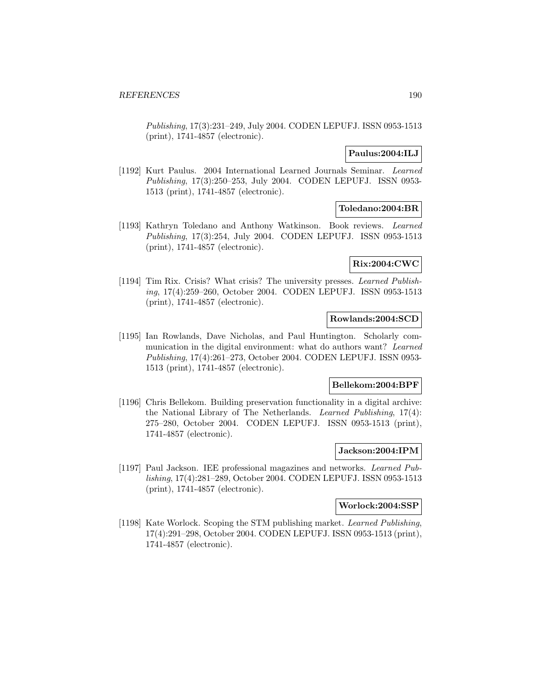Publishing, 17(3):231–249, July 2004. CODEN LEPUFJ. ISSN 0953-1513 (print), 1741-4857 (electronic).

# **Paulus:2004:ILJ**

[1192] Kurt Paulus. 2004 International Learned Journals Seminar. Learned Publishing, 17(3):250–253, July 2004. CODEN LEPUFJ. ISSN 0953- 1513 (print), 1741-4857 (electronic).

# **Toledano:2004:BR**

[1193] Kathryn Toledano and Anthony Watkinson. Book reviews. Learned Publishing, 17(3):254, July 2004. CODEN LEPUFJ. ISSN 0953-1513 (print), 1741-4857 (electronic).

# **Rix:2004:CWC**

[1194] Tim Rix. Crisis? What crisis? The university presses. Learned Publishing, 17(4):259–260, October 2004. CODEN LEPUFJ. ISSN 0953-1513 (print), 1741-4857 (electronic).

# **Rowlands:2004:SCD**

[1195] Ian Rowlands, Dave Nicholas, and Paul Huntington. Scholarly communication in the digital environment: what do authors want? Learned Publishing, 17(4):261–273, October 2004. CODEN LEPUFJ. ISSN 0953- 1513 (print), 1741-4857 (electronic).

## **Bellekom:2004:BPF**

[1196] Chris Bellekom. Building preservation functionality in a digital archive: the National Library of The Netherlands. Learned Publishing, 17(4): 275–280, October 2004. CODEN LEPUFJ. ISSN 0953-1513 (print), 1741-4857 (electronic).

# **Jackson:2004:IPM**

[1197] Paul Jackson. IEE professional magazines and networks. Learned Publishing, 17(4):281–289, October 2004. CODEN LEPUFJ. ISSN 0953-1513 (print), 1741-4857 (electronic).

#### **Worlock:2004:SSP**

[1198] Kate Worlock. Scoping the STM publishing market. Learned Publishing, 17(4):291–298, October 2004. CODEN LEPUFJ. ISSN 0953-1513 (print), 1741-4857 (electronic).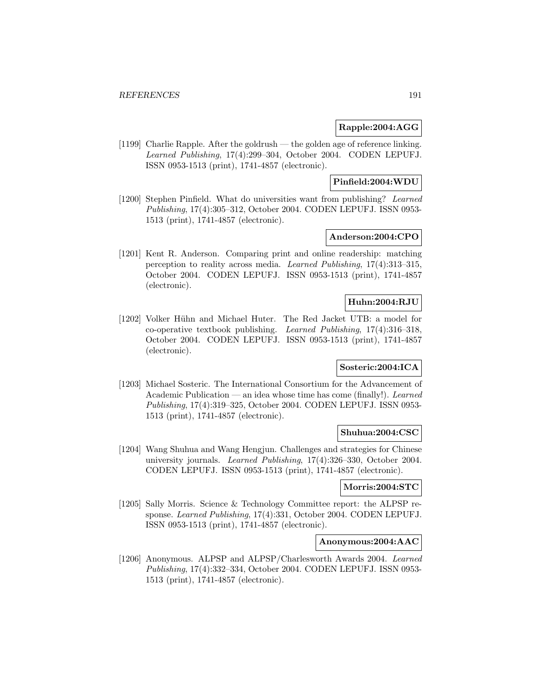## **Rapple:2004:AGG**

[1199] Charlie Rapple. After the goldrush — the golden age of reference linking. Learned Publishing, 17(4):299–304, October 2004. CODEN LEPUFJ. ISSN 0953-1513 (print), 1741-4857 (electronic).

# **Pinfield:2004:WDU**

[1200] Stephen Pinfield. What do universities want from publishing? Learned Publishing, 17(4):305–312, October 2004. CODEN LEPUFJ. ISSN 0953- 1513 (print), 1741-4857 (electronic).

# **Anderson:2004:CPO**

[1201] Kent R. Anderson. Comparing print and online readership: matching perception to reality across media. Learned Publishing, 17(4):313–315, October 2004. CODEN LEPUFJ. ISSN 0953-1513 (print), 1741-4857 (electronic).

# **Huhn:2004:RJU**

[1202] Volker Hühn and Michael Huter. The Red Jacket UTB: a model for co-operative textbook publishing. Learned Publishing, 17(4):316–318, October 2004. CODEN LEPUFJ. ISSN 0953-1513 (print), 1741-4857 (electronic).

# **Sosteric:2004:ICA**

[1203] Michael Sosteric. The International Consortium for the Advancement of Academic Publication — an idea whose time has come (finally!). Learned Publishing, 17(4):319–325, October 2004. CODEN LEPUFJ. ISSN 0953- 1513 (print), 1741-4857 (electronic).

#### **Shuhua:2004:CSC**

[1204] Wang Shuhua and Wang Hengjun. Challenges and strategies for Chinese university journals. Learned Publishing, 17(4):326–330, October 2004. CODEN LEPUFJ. ISSN 0953-1513 (print), 1741-4857 (electronic).

#### **Morris:2004:STC**

[1205] Sally Morris. Science & Technology Committee report: the ALPSP response. Learned Publishing, 17(4):331, October 2004. CODEN LEPUFJ. ISSN 0953-1513 (print), 1741-4857 (electronic).

## **Anonymous:2004:AAC**

[1206] Anonymous. ALPSP and ALPSP/Charlesworth Awards 2004. Learned Publishing, 17(4):332–334, October 2004. CODEN LEPUFJ. ISSN 0953- 1513 (print), 1741-4857 (electronic).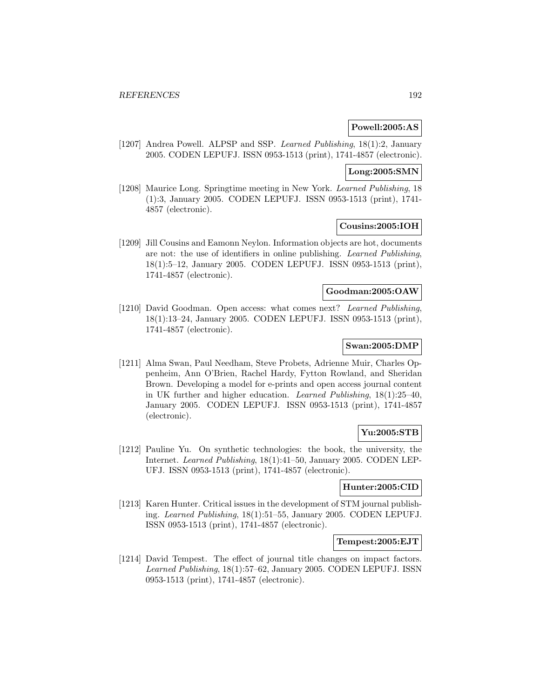### **Powell:2005:AS**

[1207] Andrea Powell. ALPSP and SSP. Learned Publishing, 18(1):2, January 2005. CODEN LEPUFJ. ISSN 0953-1513 (print), 1741-4857 (electronic).

# **Long:2005:SMN**

[1208] Maurice Long. Springtime meeting in New York. Learned Publishing, 18 (1):3, January 2005. CODEN LEPUFJ. ISSN 0953-1513 (print), 1741- 4857 (electronic).

## **Cousins:2005:IOH**

[1209] Jill Cousins and Eamonn Neylon. Information objects are hot, documents are not: the use of identifiers in online publishing. Learned Publishing, 18(1):5–12, January 2005. CODEN LEPUFJ. ISSN 0953-1513 (print), 1741-4857 (electronic).

# **Goodman:2005:OAW**

[1210] David Goodman. Open access: what comes next? Learned Publishing, 18(1):13–24, January 2005. CODEN LEPUFJ. ISSN 0953-1513 (print), 1741-4857 (electronic).

## **Swan:2005:DMP**

[1211] Alma Swan, Paul Needham, Steve Probets, Adrienne Muir, Charles Oppenheim, Ann O'Brien, Rachel Hardy, Fytton Rowland, and Sheridan Brown. Developing a model for e-prints and open access journal content in UK further and higher education. Learned Publishing, 18(1):25–40, January 2005. CODEN LEPUFJ. ISSN 0953-1513 (print), 1741-4857 (electronic).

## **Yu:2005:STB**

[1212] Pauline Yu. On synthetic technologies: the book, the university, the Internet. Learned Publishing, 18(1):41–50, January 2005. CODEN LEP-UFJ. ISSN 0953-1513 (print), 1741-4857 (electronic).

## **Hunter:2005:CID**

[1213] Karen Hunter. Critical issues in the development of STM journal publishing. Learned Publishing, 18(1):51–55, January 2005. CODEN LEPUFJ. ISSN 0953-1513 (print), 1741-4857 (electronic).

#### **Tempest:2005:EJT**

[1214] David Tempest. The effect of journal title changes on impact factors. Learned Publishing, 18(1):57–62, January 2005. CODEN LEPUFJ. ISSN 0953-1513 (print), 1741-4857 (electronic).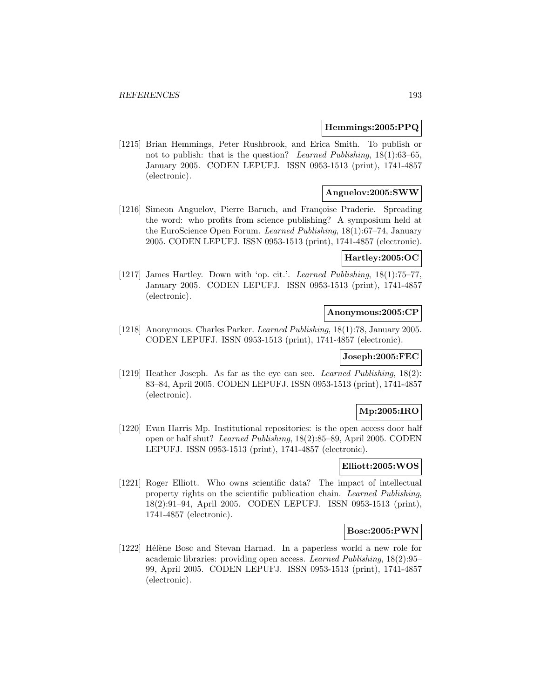## **Hemmings:2005:PPQ**

[1215] Brian Hemmings, Peter Rushbrook, and Erica Smith. To publish or not to publish: that is the question? Learned Publishing, 18(1):63–65, January 2005. CODEN LEPUFJ. ISSN 0953-1513 (print), 1741-4857 (electronic).

# **Anguelov:2005:SWW**

[1216] Simeon Anguelov, Pierre Baruch, and Françoise Praderie. Spreading the word: who profits from science publishing? A symposium held at the EuroScience Open Forum. Learned Publishing, 18(1):67–74, January 2005. CODEN LEPUFJ. ISSN 0953-1513 (print), 1741-4857 (electronic).

## **Hartley:2005:OC**

[1217] James Hartley. Down with 'op. cit.'. Learned Publishing, 18(1):75–77, January 2005. CODEN LEPUFJ. ISSN 0953-1513 (print), 1741-4857 (electronic).

## **Anonymous:2005:CP**

[1218] Anonymous. Charles Parker. Learned Publishing, 18(1):78, January 2005. CODEN LEPUFJ. ISSN 0953-1513 (print), 1741-4857 (electronic).

## **Joseph:2005:FEC**

[1219] Heather Joseph. As far as the eye can see. Learned Publishing, 18(2): 83–84, April 2005. CODEN LEPUFJ. ISSN 0953-1513 (print), 1741-4857 (electronic).

# **Mp:2005:IRO**

[1220] Evan Harris Mp. Institutional repositories: is the open access door half open or half shut? Learned Publishing, 18(2):85–89, April 2005. CODEN LEPUFJ. ISSN 0953-1513 (print), 1741-4857 (electronic).

# **Elliott:2005:WOS**

[1221] Roger Elliott. Who owns scientific data? The impact of intellectual property rights on the scientific publication chain. Learned Publishing, 18(2):91–94, April 2005. CODEN LEPUFJ. ISSN 0953-1513 (print), 1741-4857 (electronic).

## **Bosc:2005:PWN**

[1222] Hélène Bosc and Stevan Harnad. In a paperless world a new role for academic libraries: providing open access. Learned Publishing, 18(2):95– 99, April 2005. CODEN LEPUFJ. ISSN 0953-1513 (print), 1741-4857 (electronic).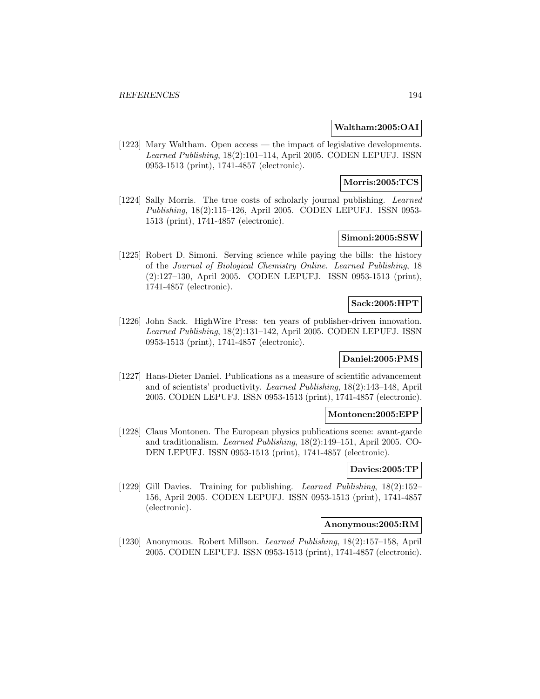## **Waltham:2005:OAI**

[1223] Mary Waltham. Open access — the impact of legislative developments. Learned Publishing, 18(2):101–114, April 2005. CODEN LEPUFJ. ISSN 0953-1513 (print), 1741-4857 (electronic).

# **Morris:2005:TCS**

[1224] Sally Morris. The true costs of scholarly journal publishing. Learned Publishing, 18(2):115–126, April 2005. CODEN LEPUFJ. ISSN 0953- 1513 (print), 1741-4857 (electronic).

# **Simoni:2005:SSW**

[1225] Robert D. Simoni. Serving science while paying the bills: the history of the Journal of Biological Chemistry Online. Learned Publishing, 18 (2):127–130, April 2005. CODEN LEPUFJ. ISSN 0953-1513 (print), 1741-4857 (electronic).

### **Sack:2005:HPT**

[1226] John Sack. HighWire Press: ten years of publisher-driven innovation. Learned Publishing, 18(2):131–142, April 2005. CODEN LEPUFJ. ISSN 0953-1513 (print), 1741-4857 (electronic).

# **Daniel:2005:PMS**

[1227] Hans-Dieter Daniel. Publications as a measure of scientific advancement and of scientists' productivity. Learned Publishing, 18(2):143–148, April 2005. CODEN LEPUFJ. ISSN 0953-1513 (print), 1741-4857 (electronic).

#### **Montonen:2005:EPP**

[1228] Claus Montonen. The European physics publications scene: avant-garde and traditionalism. Learned Publishing, 18(2):149–151, April 2005. CO-DEN LEPUFJ. ISSN 0953-1513 (print), 1741-4857 (electronic).

## **Davies:2005:TP**

[1229] Gill Davies. Training for publishing. Learned Publishing, 18(2):152– 156, April 2005. CODEN LEPUFJ. ISSN 0953-1513 (print), 1741-4857 (electronic).

# **Anonymous:2005:RM**

[1230] Anonymous. Robert Millson. Learned Publishing, 18(2):157–158, April 2005. CODEN LEPUFJ. ISSN 0953-1513 (print), 1741-4857 (electronic).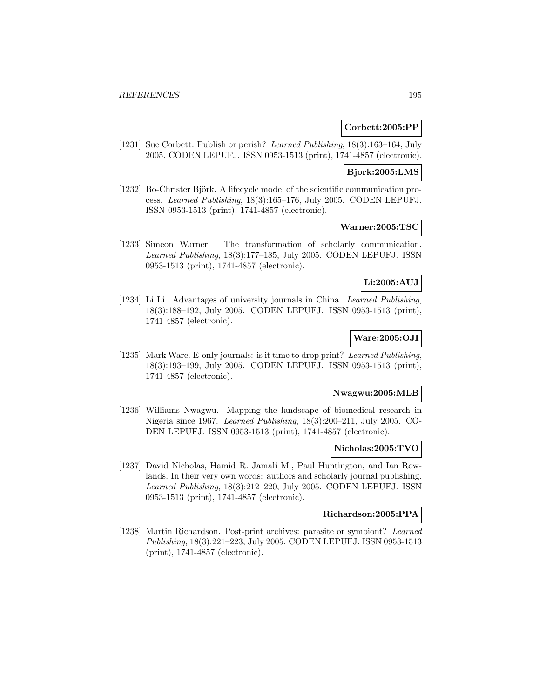### **Corbett:2005:PP**

[1231] Sue Corbett. Publish or perish? Learned Publishing, 18(3):163–164, July 2005. CODEN LEPUFJ. ISSN 0953-1513 (print), 1741-4857 (electronic).

#### **Bjork:2005:LMS**

[1232] Bo-Christer Björk. A lifecycle model of the scientific communication process. Learned Publishing, 18(3):165–176, July 2005. CODEN LEPUFJ. ISSN 0953-1513 (print), 1741-4857 (electronic).

### **Warner:2005:TSC**

[1233] Simeon Warner. The transformation of scholarly communication. Learned Publishing, 18(3):177–185, July 2005. CODEN LEPUFJ. ISSN 0953-1513 (print), 1741-4857 (electronic).

# **Li:2005:AUJ**

[1234] Li Li. Advantages of university journals in China. Learned Publishing, 18(3):188–192, July 2005. CODEN LEPUFJ. ISSN 0953-1513 (print), 1741-4857 (electronic).

## **Ware:2005:OJI**

[1235] Mark Ware. E-only journals: is it time to drop print? Learned Publishing, 18(3):193–199, July 2005. CODEN LEPUFJ. ISSN 0953-1513 (print), 1741-4857 (electronic).

# **Nwagwu:2005:MLB**

[1236] Williams Nwagwu. Mapping the landscape of biomedical research in Nigeria since 1967. Learned Publishing, 18(3):200–211, July 2005. CO-DEN LEPUFJ. ISSN 0953-1513 (print), 1741-4857 (electronic).

#### **Nicholas:2005:TVO**

[1237] David Nicholas, Hamid R. Jamali M., Paul Huntington, and Ian Rowlands. In their very own words: authors and scholarly journal publishing. Learned Publishing, 18(3):212–220, July 2005. CODEN LEPUFJ. ISSN 0953-1513 (print), 1741-4857 (electronic).

# **Richardson:2005:PPA**

[1238] Martin Richardson. Post-print archives: parasite or symbiont? Learned Publishing, 18(3):221–223, July 2005. CODEN LEPUFJ. ISSN 0953-1513 (print), 1741-4857 (electronic).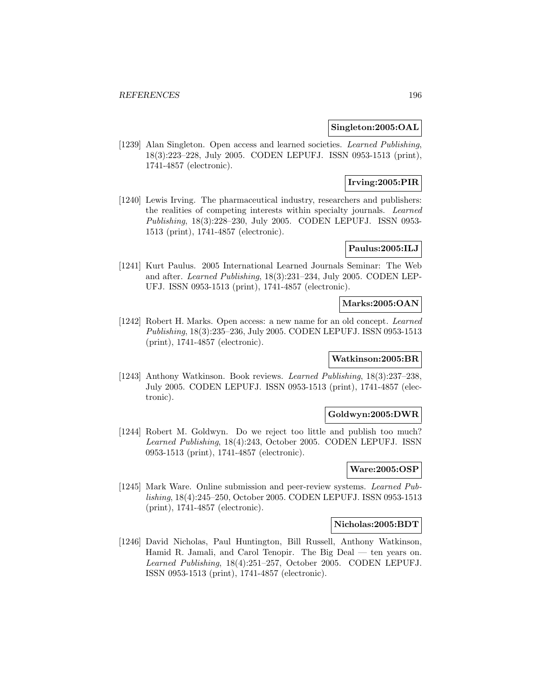## **Singleton:2005:OAL**

[1239] Alan Singleton. Open access and learned societies. Learned Publishing, 18(3):223–228, July 2005. CODEN LEPUFJ. ISSN 0953-1513 (print), 1741-4857 (electronic).

# **Irving:2005:PIR**

[1240] Lewis Irving. The pharmaceutical industry, researchers and publishers: the realities of competing interests within specialty journals. Learned Publishing, 18(3):228–230, July 2005. CODEN LEPUFJ. ISSN 0953- 1513 (print), 1741-4857 (electronic).

# **Paulus:2005:ILJ**

[1241] Kurt Paulus. 2005 International Learned Journals Seminar: The Web and after. Learned Publishing, 18(3):231–234, July 2005. CODEN LEP-UFJ. ISSN 0953-1513 (print), 1741-4857 (electronic).

# **Marks:2005:OAN**

[1242] Robert H. Marks. Open access: a new name for an old concept. Learned Publishing, 18(3):235–236, July 2005. CODEN LEPUFJ. ISSN 0953-1513 (print), 1741-4857 (electronic).

# **Watkinson:2005:BR**

[1243] Anthony Watkinson. Book reviews. Learned Publishing, 18(3):237–238, July 2005. CODEN LEPUFJ. ISSN 0953-1513 (print), 1741-4857 (electronic).

## **Goldwyn:2005:DWR**

[1244] Robert M. Goldwyn. Do we reject too little and publish too much? Learned Publishing, 18(4):243, October 2005. CODEN LEPUFJ. ISSN 0953-1513 (print), 1741-4857 (electronic).

# **Ware:2005:OSP**

[1245] Mark Ware. Online submission and peer-review systems. Learned Publishing, 18(4):245–250, October 2005. CODEN LEPUFJ. ISSN 0953-1513 (print), 1741-4857 (electronic).

# **Nicholas:2005:BDT**

[1246] David Nicholas, Paul Huntington, Bill Russell, Anthony Watkinson, Hamid R. Jamali, and Carol Tenopir. The Big Deal — ten years on. Learned Publishing, 18(4):251–257, October 2005. CODEN LEPUFJ. ISSN 0953-1513 (print), 1741-4857 (electronic).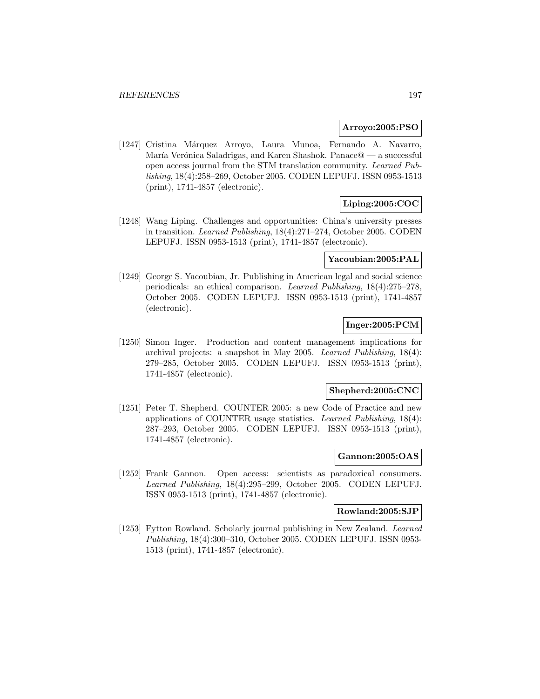### **Arroyo:2005:PSO**

[1247] Cristina Márquez Arroyo, Laura Munoa, Fernando A. Navarro, María Verónica Saladrigas, and Karen Shashok. Panace@ — a successful open access journal from the STM translation community. Learned Publishing, 18(4):258–269, October 2005. CODEN LEPUFJ. ISSN 0953-1513 (print), 1741-4857 (electronic).

# **Liping:2005:COC**

[1248] Wang Liping. Challenges and opportunities: China's university presses in transition. Learned Publishing, 18(4):271–274, October 2005. CODEN LEPUFJ. ISSN 0953-1513 (print), 1741-4857 (electronic).

# **Yacoubian:2005:PAL**

[1249] George S. Yacoubian, Jr. Publishing in American legal and social science periodicals: an ethical comparison. Learned Publishing, 18(4):275–278, October 2005. CODEN LEPUFJ. ISSN 0953-1513 (print), 1741-4857 (electronic).

# **Inger:2005:PCM**

[1250] Simon Inger. Production and content management implications for archival projects: a snapshot in May 2005. Learned Publishing, 18(4): 279–285, October 2005. CODEN LEPUFJ. ISSN 0953-1513 (print), 1741-4857 (electronic).

## **Shepherd:2005:CNC**

[1251] Peter T. Shepherd. COUNTER 2005: a new Code of Practice and new applications of COUNTER usage statistics. Learned Publishing, 18(4): 287–293, October 2005. CODEN LEPUFJ. ISSN 0953-1513 (print), 1741-4857 (electronic).

### **Gannon:2005:OAS**

[1252] Frank Gannon. Open access: scientists as paradoxical consumers. Learned Publishing, 18(4):295–299, October 2005. CODEN LEPUFJ. ISSN 0953-1513 (print), 1741-4857 (electronic).

#### **Rowland:2005:SJP**

[1253] Fytton Rowland. Scholarly journal publishing in New Zealand. Learned Publishing, 18(4):300–310, October 2005. CODEN LEPUFJ. ISSN 0953- 1513 (print), 1741-4857 (electronic).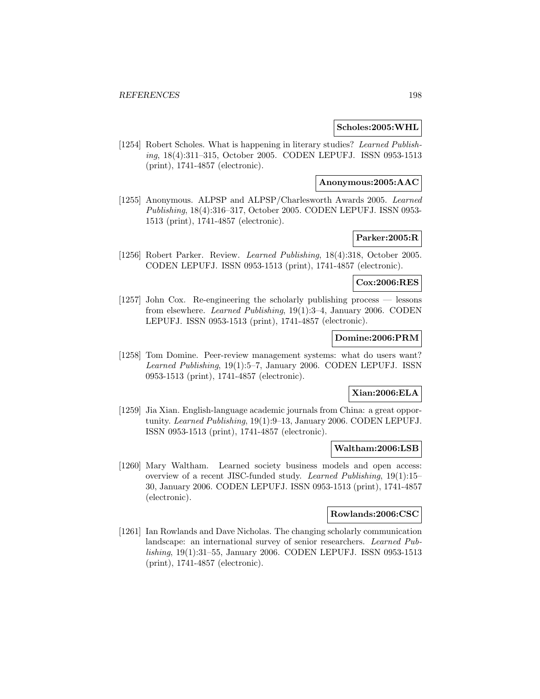### **Scholes:2005:WHL**

[1254] Robert Scholes. What is happening in literary studies? Learned Publishing, 18(4):311–315, October 2005. CODEN LEPUFJ. ISSN 0953-1513 (print), 1741-4857 (electronic).

#### **Anonymous:2005:AAC**

[1255] Anonymous. ALPSP and ALPSP/Charlesworth Awards 2005. Learned Publishing, 18(4):316–317, October 2005. CODEN LEPUFJ. ISSN 0953- 1513 (print), 1741-4857 (electronic).

# **Parker:2005:R**

[1256] Robert Parker. Review. Learned Publishing, 18(4):318, October 2005. CODEN LEPUFJ. ISSN 0953-1513 (print), 1741-4857 (electronic).

## **Cox:2006:RES**

[1257] John Cox. Re-engineering the scholarly publishing process — lessons from elsewhere. Learned Publishing, 19(1):3–4, January 2006. CODEN LEPUFJ. ISSN 0953-1513 (print), 1741-4857 (electronic).

## **Domine:2006:PRM**

[1258] Tom Domine. Peer-review management systems: what do users want? Learned Publishing, 19(1):5–7, January 2006. CODEN LEPUFJ. ISSN 0953-1513 (print), 1741-4857 (electronic).

## **Xian:2006:ELA**

[1259] Jia Xian. English-language academic journals from China: a great opportunity. Learned Publishing, 19(1):9–13, January 2006. CODEN LEPUFJ. ISSN 0953-1513 (print), 1741-4857 (electronic).

#### **Waltham:2006:LSB**

[1260] Mary Waltham. Learned society business models and open access: overview of a recent JISC-funded study. Learned Publishing, 19(1):15– 30, January 2006. CODEN LEPUFJ. ISSN 0953-1513 (print), 1741-4857 (electronic).

### **Rowlands:2006:CSC**

[1261] Ian Rowlands and Dave Nicholas. The changing scholarly communication landscape: an international survey of senior researchers. Learned Publishing, 19(1):31–55, January 2006. CODEN LEPUFJ. ISSN 0953-1513 (print), 1741-4857 (electronic).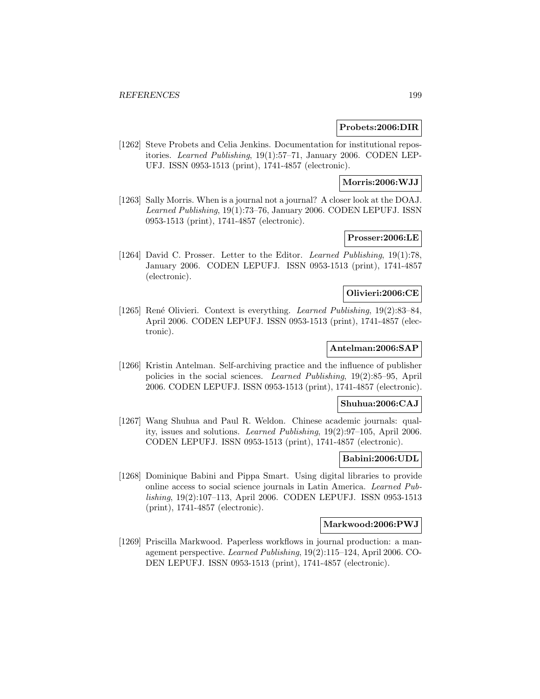#### **Probets:2006:DIR**

[1262] Steve Probets and Celia Jenkins. Documentation for institutional repositories. Learned Publishing, 19(1):57–71, January 2006. CODEN LEP-UFJ. ISSN 0953-1513 (print), 1741-4857 (electronic).

# **Morris:2006:WJJ**

[1263] Sally Morris. When is a journal not a journal? A closer look at the DOAJ. Learned Publishing, 19(1):73–76, January 2006. CODEN LEPUFJ. ISSN 0953-1513 (print), 1741-4857 (electronic).

# **Prosser:2006:LE**

[1264] David C. Prosser. Letter to the Editor. Learned Publishing, 19(1):78, January 2006. CODEN LEPUFJ. ISSN 0953-1513 (print), 1741-4857 (electronic).

### **Olivieri:2006:CE**

[1265] René Olivieri. Context is everything. Learned Publishing, 19(2):83–84, April 2006. CODEN LEPUFJ. ISSN 0953-1513 (print), 1741-4857 (electronic).

# **Antelman:2006:SAP**

[1266] Kristin Antelman. Self-archiving practice and the influence of publisher policies in the social sciences. Learned Publishing, 19(2):85–95, April 2006. CODEN LEPUFJ. ISSN 0953-1513 (print), 1741-4857 (electronic).

### **Shuhua:2006:CAJ**

[1267] Wang Shuhua and Paul R. Weldon. Chinese academic journals: quality, issues and solutions. Learned Publishing, 19(2):97–105, April 2006. CODEN LEPUFJ. ISSN 0953-1513 (print), 1741-4857 (electronic).

## **Babini:2006:UDL**

[1268] Dominique Babini and Pippa Smart. Using digital libraries to provide online access to social science journals in Latin America. Learned Publishing, 19(2):107–113, April 2006. CODEN LEPUFJ. ISSN 0953-1513 (print), 1741-4857 (electronic).

### **Markwood:2006:PWJ**

[1269] Priscilla Markwood. Paperless workflows in journal production: a management perspective. Learned Publishing, 19(2):115–124, April 2006. CO-DEN LEPUFJ. ISSN 0953-1513 (print), 1741-4857 (electronic).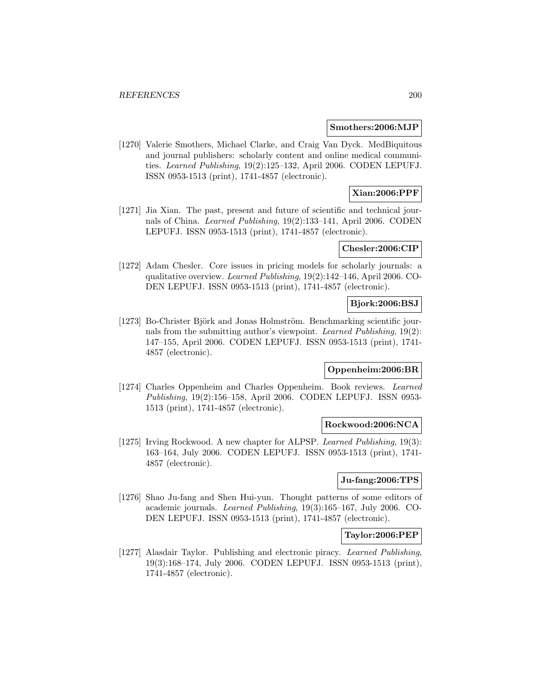#### **Smothers:2006:MJP**

[1270] Valerie Smothers, Michael Clarke, and Craig Van Dyck. MedBiquitous and journal publishers: scholarly content and online medical communities. Learned Publishing, 19(2):125–132, April 2006. CODEN LEPUFJ. ISSN 0953-1513 (print), 1741-4857 (electronic).

# **Xian:2006:PPF**

[1271] Jia Xian. The past, present and future of scientific and technical journals of China. Learned Publishing, 19(2):133–141, April 2006. CODEN LEPUFJ. ISSN 0953-1513 (print), 1741-4857 (electronic).

#### **Chesler:2006:CIP**

[1272] Adam Chesler. Core issues in pricing models for scholarly journals: a qualitative overview. Learned Publishing, 19(2):142–146, April 2006. CO-DEN LEPUFJ. ISSN 0953-1513 (print), 1741-4857 (electronic).

# **Bjork:2006:BSJ**

[1273] Bo-Christer Björk and Jonas Holmström. Benchmarking scientific journals from the submitting author's viewpoint. Learned Publishing, 19(2): 147–155, April 2006. CODEN LEPUFJ. ISSN 0953-1513 (print), 1741- 4857 (electronic).

#### **Oppenheim:2006:BR**

[1274] Charles Oppenheim and Charles Oppenheim. Book reviews. Learned Publishing, 19(2):156–158, April 2006. CODEN LEPUFJ. ISSN 0953- 1513 (print), 1741-4857 (electronic).

### **Rockwood:2006:NCA**

[1275] Irving Rockwood. A new chapter for ALPSP. Learned Publishing, 19(3): 163–164, July 2006. CODEN LEPUFJ. ISSN 0953-1513 (print), 1741- 4857 (electronic).

## **Ju-fang:2006:TPS**

[1276] Shao Ju-fang and Shen Hui-yun. Thought patterns of some editors of academic journals. Learned Publishing, 19(3):165–167, July 2006. CO-DEN LEPUFJ. ISSN 0953-1513 (print), 1741-4857 (electronic).

#### **Taylor:2006:PEP**

[1277] Alasdair Taylor. Publishing and electronic piracy. Learned Publishing, 19(3):168–174, July 2006. CODEN LEPUFJ. ISSN 0953-1513 (print), 1741-4857 (electronic).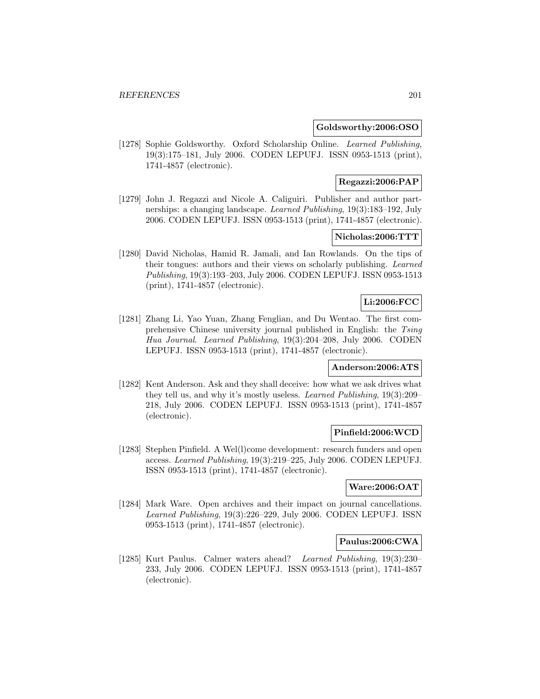### **Goldsworthy:2006:OSO**

[1278] Sophie Goldsworthy. Oxford Scholarship Online. Learned Publishing, 19(3):175–181, July 2006. CODEN LEPUFJ. ISSN 0953-1513 (print), 1741-4857 (electronic).

# **Regazzi:2006:PAP**

[1279] John J. Regazzi and Nicole A. Caliguiri. Publisher and author partnerships: a changing landscape. Learned Publishing, 19(3):183–192, July 2006. CODEN LEPUFJ. ISSN 0953-1513 (print), 1741-4857 (electronic).

# **Nicholas:2006:TTT**

[1280] David Nicholas, Hamid R. Jamali, and Ian Rowlands. On the tips of their tongues: authors and their views on scholarly publishing. Learned Publishing, 19(3):193–203, July 2006. CODEN LEPUFJ. ISSN 0953-1513 (print), 1741-4857 (electronic).

## **Li:2006:FCC**

[1281] Zhang Li, Yao Yuan, Zhang Fenglian, and Du Wentao. The first comprehensive Chinese university journal published in English: the Tsing Hua Journal. Learned Publishing, 19(3):204–208, July 2006. CODEN LEPUFJ. ISSN 0953-1513 (print), 1741-4857 (electronic).

#### **Anderson:2006:ATS**

[1282] Kent Anderson. Ask and they shall deceive: how what we ask drives what they tell us, and why it's mostly useless. Learned Publishing, 19(3):209– 218, July 2006. CODEN LEPUFJ. ISSN 0953-1513 (print), 1741-4857 (electronic).

## **Pinfield:2006:WCD**

[1283] Stephen Pinfield. A Wel(l)come development: research funders and open access. Learned Publishing, 19(3):219–225, July 2006. CODEN LEPUFJ. ISSN 0953-1513 (print), 1741-4857 (electronic).

# **Ware:2006:OAT**

[1284] Mark Ware. Open archives and their impact on journal cancellations. Learned Publishing, 19(3):226–229, July 2006. CODEN LEPUFJ. ISSN 0953-1513 (print), 1741-4857 (electronic).

# **Paulus:2006:CWA**

[1285] Kurt Paulus. Calmer waters ahead? Learned Publishing, 19(3):230– 233, July 2006. CODEN LEPUFJ. ISSN 0953-1513 (print), 1741-4857 (electronic).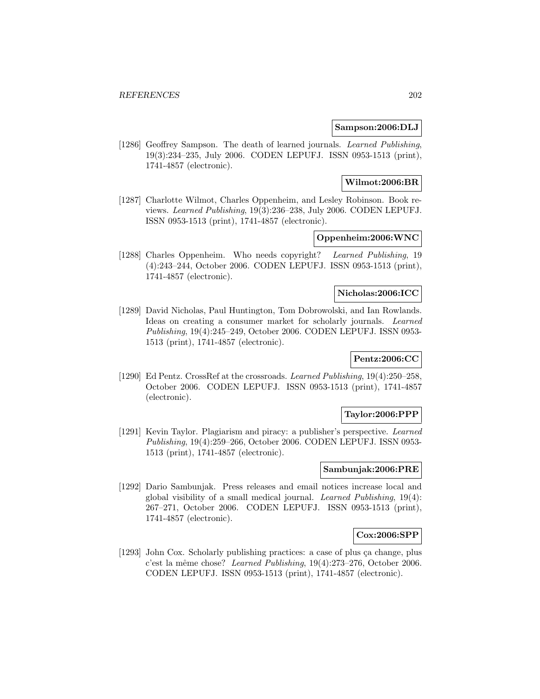### **Sampson:2006:DLJ**

[1286] Geoffrey Sampson. The death of learned journals. Learned Publishing, 19(3):234–235, July 2006. CODEN LEPUFJ. ISSN 0953-1513 (print), 1741-4857 (electronic).

# **Wilmot:2006:BR**

[1287] Charlotte Wilmot, Charles Oppenheim, and Lesley Robinson. Book reviews. Learned Publishing, 19(3):236–238, July 2006. CODEN LEPUFJ. ISSN 0953-1513 (print), 1741-4857 (electronic).

# **Oppenheim:2006:WNC**

[1288] Charles Oppenheim. Who needs copyright? Learned Publishing, 19 (4):243–244, October 2006. CODEN LEPUFJ. ISSN 0953-1513 (print), 1741-4857 (electronic).

#### **Nicholas:2006:ICC**

[1289] David Nicholas, Paul Huntington, Tom Dobrowolski, and Ian Rowlands. Ideas on creating a consumer market for scholarly journals. Learned Publishing, 19(4):245–249, October 2006. CODEN LEPUFJ. ISSN 0953- 1513 (print), 1741-4857 (electronic).

# **Pentz:2006:CC**

[1290] Ed Pentz. CrossRef at the crossroads. Learned Publishing, 19(4):250–258, October 2006. CODEN LEPUFJ. ISSN 0953-1513 (print), 1741-4857 (electronic).

## **Taylor:2006:PPP**

[1291] Kevin Taylor. Plagiarism and piracy: a publisher's perspective. Learned Publishing, 19(4):259–266, October 2006. CODEN LEPUFJ. ISSN 0953- 1513 (print), 1741-4857 (electronic).

# **Sambunjak:2006:PRE**

[1292] Dario Sambunjak. Press releases and email notices increase local and global visibility of a small medical journal. Learned Publishing, 19(4): 267–271, October 2006. CODEN LEPUFJ. ISSN 0953-1513 (print), 1741-4857 (electronic).

#### **Cox:2006:SPP**

[1293] John Cox. Scholarly publishing practices: a case of plus ça change, plus c'est la même chose? Learned Publishing, 19(4):273-276, October 2006. CODEN LEPUFJ. ISSN 0953-1513 (print), 1741-4857 (electronic).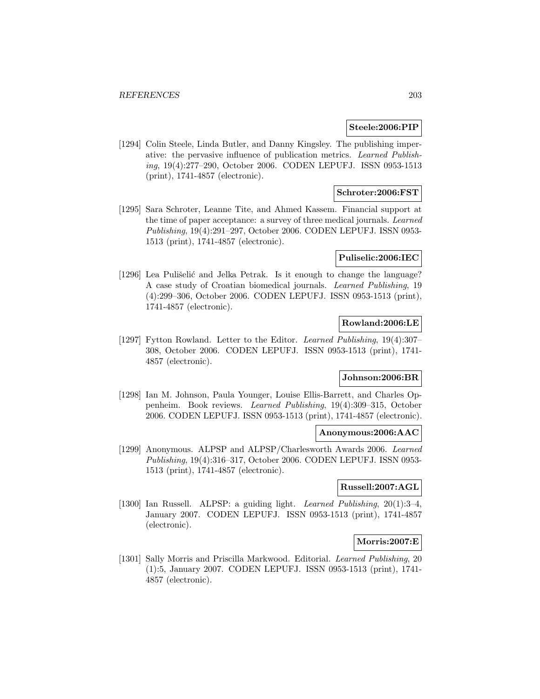### **Steele:2006:PIP**

[1294] Colin Steele, Linda Butler, and Danny Kingsley. The publishing imperative: the pervasive influence of publication metrics. Learned Publishing, 19(4):277–290, October 2006. CODEN LEPUFJ. ISSN 0953-1513 (print), 1741-4857 (electronic).

## **Schroter:2006:FST**

[1295] Sara Schroter, Leanne Tite, and Ahmed Kassem. Financial support at the time of paper acceptance: a survey of three medical journals. Learned Publishing, 19(4):291–297, October 2006. CODEN LEPUFJ. ISSN 0953- 1513 (print), 1741-4857 (electronic).

### **Puliselic:2006:IEC**

[1296] Lea Pulišelić and Jelka Petrak. Is it enough to change the language? A case study of Croatian biomedical journals. Learned Publishing, 19 (4):299–306, October 2006. CODEN LEPUFJ. ISSN 0953-1513 (print), 1741-4857 (electronic).

# **Rowland:2006:LE**

[1297] Fytton Rowland. Letter to the Editor. Learned Publishing, 19(4):307– 308, October 2006. CODEN LEPUFJ. ISSN 0953-1513 (print), 1741- 4857 (electronic).

# **Johnson:2006:BR**

[1298] Ian M. Johnson, Paula Younger, Louise Ellis-Barrett, and Charles Oppenheim. Book reviews. Learned Publishing, 19(4):309–315, October 2006. CODEN LEPUFJ. ISSN 0953-1513 (print), 1741-4857 (electronic).

## **Anonymous:2006:AAC**

[1299] Anonymous. ALPSP and ALPSP/Charlesworth Awards 2006. Learned Publishing, 19(4):316–317, October 2006. CODEN LEPUFJ. ISSN 0953- 1513 (print), 1741-4857 (electronic).

## **Russell:2007:AGL**

[1300] Ian Russell. ALPSP: a guiding light. Learned Publishing, 20(1):3–4, January 2007. CODEN LEPUFJ. ISSN 0953-1513 (print), 1741-4857 (electronic).

# **Morris:2007:E**

[1301] Sally Morris and Priscilla Markwood. Editorial. Learned Publishing, 20 (1):5, January 2007. CODEN LEPUFJ. ISSN 0953-1513 (print), 1741- 4857 (electronic).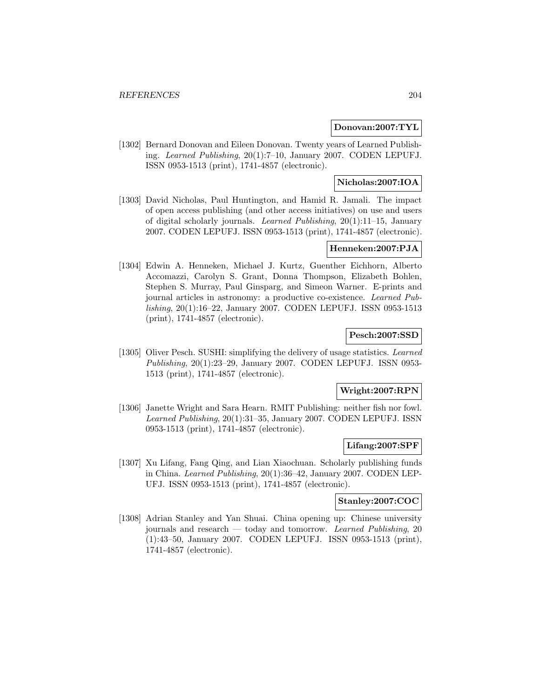## **Donovan:2007:TYL**

[1302] Bernard Donovan and Eileen Donovan. Twenty years of Learned Publishing. Learned Publishing, 20(1):7–10, January 2007. CODEN LEPUFJ. ISSN 0953-1513 (print), 1741-4857 (electronic).

## **Nicholas:2007:IOA**

[1303] David Nicholas, Paul Huntington, and Hamid R. Jamali. The impact of open access publishing (and other access initiatives) on use and users of digital scholarly journals. Learned Publishing,  $20(1)$ :11–15, January 2007. CODEN LEPUFJ. ISSN 0953-1513 (print), 1741-4857 (electronic).

## **Henneken:2007:PJA**

[1304] Edwin A. Henneken, Michael J. Kurtz, Guenther Eichhorn, Alberto Accomazzi, Carolyn S. Grant, Donna Thompson, Elizabeth Bohlen, Stephen S. Murray, Paul Ginsparg, and Simeon Warner. E-prints and journal articles in astronomy: a productive co-existence. Learned Publishing, 20(1):16–22, January 2007. CODEN LEPUFJ. ISSN 0953-1513 (print), 1741-4857 (electronic).

# **Pesch:2007:SSD**

[1305] Oliver Pesch. SUSHI: simplifying the delivery of usage statistics. Learned Publishing, 20(1):23–29, January 2007. CODEN LEPUFJ. ISSN 0953- 1513 (print), 1741-4857 (electronic).

#### **Wright:2007:RPN**

[1306] Janette Wright and Sara Hearn. RMIT Publishing: neither fish nor fowl. Learned Publishing, 20(1):31–35, January 2007. CODEN LEPUFJ. ISSN 0953-1513 (print), 1741-4857 (electronic).

#### **Lifang:2007:SPF**

[1307] Xu Lifang, Fang Qing, and Lian Xiaochuan. Scholarly publishing funds in China. Learned Publishing, 20(1):36–42, January 2007. CODEN LEP-UFJ. ISSN 0953-1513 (print), 1741-4857 (electronic).

### **Stanley:2007:COC**

[1308] Adrian Stanley and Yan Shuai. China opening up: Chinese university journals and research — today and tomorrow. Learned Publishing, 20 (1):43–50, January 2007. CODEN LEPUFJ. ISSN 0953-1513 (print), 1741-4857 (electronic).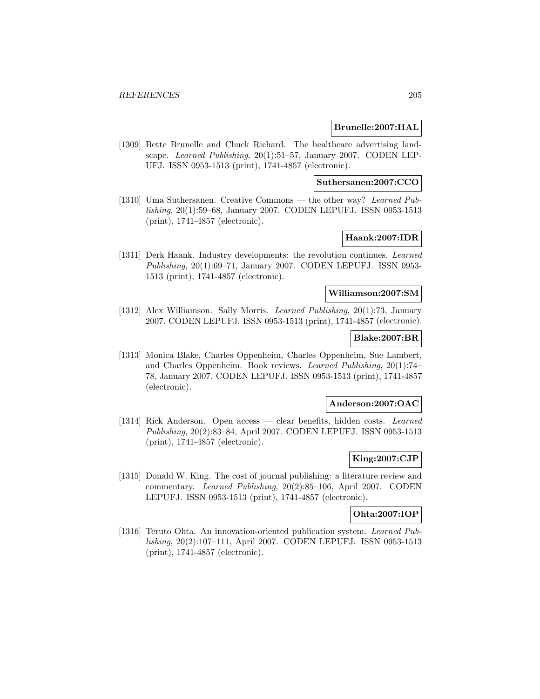## **Brunelle:2007:HAL**

[1309] Bette Brunelle and Chuck Richard. The healthcare advertising landscape. Learned Publishing, 20(1):51–57, January 2007. CODEN LEP-UFJ. ISSN 0953-1513 (print), 1741-4857 (electronic).

## **Suthersanen:2007:CCO**

[1310] Uma Suthersanen. Creative Commons — the other way? Learned Publishing, 20(1):59–68, January 2007. CODEN LEPUFJ. ISSN 0953-1513 (print), 1741-4857 (electronic).

# **Haank:2007:IDR**

[1311] Derk Haank. Industry developments: the revolution continues. Learned Publishing, 20(1):69–71, January 2007. CODEN LEPUFJ. ISSN 0953- 1513 (print), 1741-4857 (electronic).

#### **Williamson:2007:SM**

[1312] Alex Williamson. Sally Morris. Learned Publishing, 20(1):73, January 2007. CODEN LEPUFJ. ISSN 0953-1513 (print), 1741-4857 (electronic).

## **Blake:2007:BR**

[1313] Monica Blake, Charles Oppenheim, Charles Oppenheim, Sue Lambert, and Charles Oppenheim. Book reviews. Learned Publishing, 20(1):74– 78, January 2007. CODEN LEPUFJ. ISSN 0953-1513 (print), 1741-4857 (electronic).

#### **Anderson:2007:OAC**

[1314] Rick Anderson. Open access — clear benefits, hidden costs. Learned Publishing, 20(2):83–84, April 2007. CODEN LEPUFJ. ISSN 0953-1513 (print), 1741-4857 (electronic).

## **King:2007:CJP**

[1315] Donald W. King. The cost of journal publishing: a literature review and commentary. Learned Publishing, 20(2):85–106, April 2007. CODEN LEPUFJ. ISSN 0953-1513 (print), 1741-4857 (electronic).

### **Ohta:2007:IOP**

[1316] Teruto Ohta. An innovation-oriented publication system. Learned Publishing, 20(2):107–111, April 2007. CODEN LEPUFJ. ISSN 0953-1513 (print), 1741-4857 (electronic).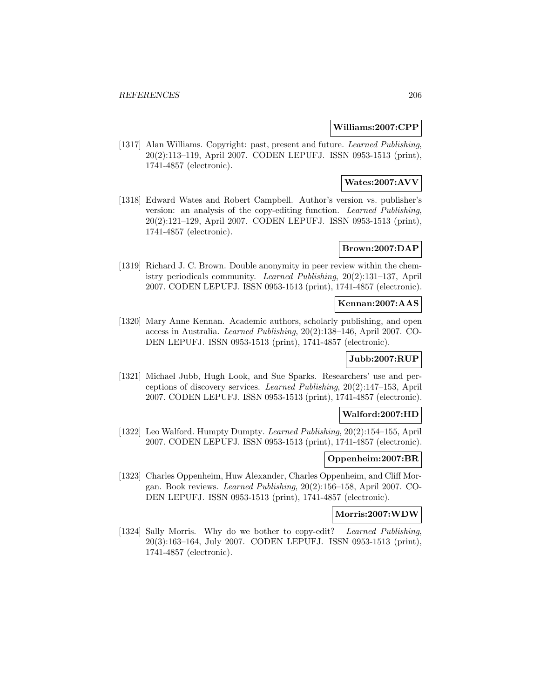## **Williams:2007:CPP**

[1317] Alan Williams. Copyright: past, present and future. Learned Publishing, 20(2):113–119, April 2007. CODEN LEPUFJ. ISSN 0953-1513 (print), 1741-4857 (electronic).

# **Wates:2007:AVV**

[1318] Edward Wates and Robert Campbell. Author's version vs. publisher's version: an analysis of the copy-editing function. Learned Publishing, 20(2):121–129, April 2007. CODEN LEPUFJ. ISSN 0953-1513 (print), 1741-4857 (electronic).

## **Brown:2007:DAP**

[1319] Richard J. C. Brown. Double anonymity in peer review within the chemistry periodicals community. Learned Publishing, 20(2):131–137, April 2007. CODEN LEPUFJ. ISSN 0953-1513 (print), 1741-4857 (electronic).

### **Kennan:2007:AAS**

[1320] Mary Anne Kennan. Academic authors, scholarly publishing, and open access in Australia. Learned Publishing, 20(2):138–146, April 2007. CO-DEN LEPUFJ. ISSN 0953-1513 (print), 1741-4857 (electronic).

# **Jubb:2007:RUP**

[1321] Michael Jubb, Hugh Look, and Sue Sparks. Researchers' use and perceptions of discovery services. Learned Publishing, 20(2):147–153, April 2007. CODEN LEPUFJ. ISSN 0953-1513 (print), 1741-4857 (electronic).

## **Walford:2007:HD**

[1322] Leo Walford. Humpty Dumpty. Learned Publishing, 20(2):154–155, April 2007. CODEN LEPUFJ. ISSN 0953-1513 (print), 1741-4857 (electronic).

## **Oppenheim:2007:BR**

[1323] Charles Oppenheim, Huw Alexander, Charles Oppenheim, and Cliff Morgan. Book reviews. Learned Publishing, 20(2):156–158, April 2007. CO-DEN LEPUFJ. ISSN 0953-1513 (print), 1741-4857 (electronic).

#### **Morris:2007:WDW**

[1324] Sally Morris. Why do we bother to copy-edit? Learned Publishing, 20(3):163–164, July 2007. CODEN LEPUFJ. ISSN 0953-1513 (print), 1741-4857 (electronic).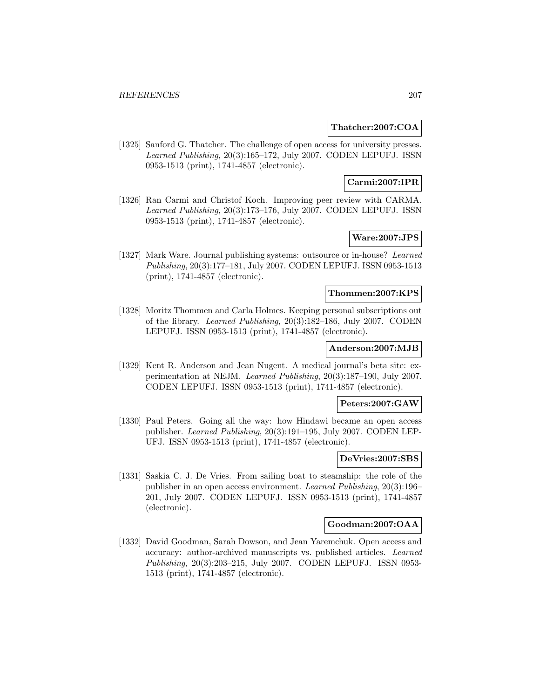### **Thatcher:2007:COA**

[1325] Sanford G. Thatcher. The challenge of open access for university presses. Learned Publishing, 20(3):165–172, July 2007. CODEN LEPUFJ. ISSN 0953-1513 (print), 1741-4857 (electronic).

# **Carmi:2007:IPR**

[1326] Ran Carmi and Christof Koch. Improving peer review with CARMA. Learned Publishing, 20(3):173–176, July 2007. CODEN LEPUFJ. ISSN 0953-1513 (print), 1741-4857 (electronic).

# **Ware:2007:JPS**

[1327] Mark Ware. Journal publishing systems: outsource or in-house? Learned Publishing, 20(3):177–181, July 2007. CODEN LEPUFJ. ISSN 0953-1513 (print), 1741-4857 (electronic).

#### **Thommen:2007:KPS**

[1328] Moritz Thommen and Carla Holmes. Keeping personal subscriptions out of the library. Learned Publishing, 20(3):182–186, July 2007. CODEN LEPUFJ. ISSN 0953-1513 (print), 1741-4857 (electronic).

### **Anderson:2007:MJB**

[1329] Kent R. Anderson and Jean Nugent. A medical journal's beta site: experimentation at NEJM. Learned Publishing, 20(3):187–190, July 2007. CODEN LEPUFJ. ISSN 0953-1513 (print), 1741-4857 (electronic).

#### **Peters:2007:GAW**

[1330] Paul Peters. Going all the way: how Hindawi became an open access publisher. Learned Publishing, 20(3):191–195, July 2007. CODEN LEP-UFJ. ISSN 0953-1513 (print), 1741-4857 (electronic).

#### **DeVries:2007:SBS**

[1331] Saskia C. J. De Vries. From sailing boat to steamship: the role of the publisher in an open access environment. Learned Publishing, 20(3):196– 201, July 2007. CODEN LEPUFJ. ISSN 0953-1513 (print), 1741-4857 (electronic).

# **Goodman:2007:OAA**

[1332] David Goodman, Sarah Dowson, and Jean Yaremchuk. Open access and accuracy: author-archived manuscripts vs. published articles. Learned Publishing, 20(3):203–215, July 2007. CODEN LEPUFJ. ISSN 0953- 1513 (print), 1741-4857 (electronic).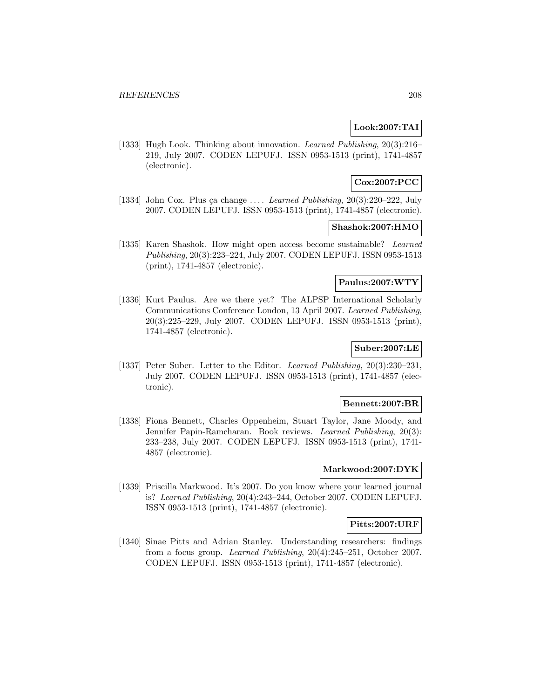# **Look:2007:TAI**

[1333] Hugh Look. Thinking about innovation. Learned Publishing, 20(3):216– 219, July 2007. CODEN LEPUFJ. ISSN 0953-1513 (print), 1741-4857 (electronic).

# **Cox:2007:PCC**

[1334] John Cox. Plus ça change .... *Learned Publishing*,  $20(3):220-222$ , July 2007. CODEN LEPUFJ. ISSN 0953-1513 (print), 1741-4857 (electronic).

#### **Shashok:2007:HMO**

[1335] Karen Shashok. How might open access become sustainable? Learned Publishing, 20(3):223–224, July 2007. CODEN LEPUFJ. ISSN 0953-1513 (print), 1741-4857 (electronic).

# **Paulus:2007:WTY**

[1336] Kurt Paulus. Are we there yet? The ALPSP International Scholarly Communications Conference London, 13 April 2007. Learned Publishing, 20(3):225–229, July 2007. CODEN LEPUFJ. ISSN 0953-1513 (print), 1741-4857 (electronic).

# **Suber:2007:LE**

[1337] Peter Suber. Letter to the Editor. Learned Publishing, 20(3):230–231, July 2007. CODEN LEPUFJ. ISSN 0953-1513 (print), 1741-4857 (electronic).

### **Bennett:2007:BR**

[1338] Fiona Bennett, Charles Oppenheim, Stuart Taylor, Jane Moody, and Jennifer Papin-Ramcharan. Book reviews. Learned Publishing, 20(3): 233–238, July 2007. CODEN LEPUFJ. ISSN 0953-1513 (print), 1741- 4857 (electronic).

## **Markwood:2007:DYK**

[1339] Priscilla Markwood. It's 2007. Do you know where your learned journal is? Learned Publishing, 20(4):243–244, October 2007. CODEN LEPUFJ. ISSN 0953-1513 (print), 1741-4857 (electronic).

# **Pitts:2007:URF**

[1340] Sinae Pitts and Adrian Stanley. Understanding researchers: findings from a focus group. Learned Publishing, 20(4):245–251, October 2007. CODEN LEPUFJ. ISSN 0953-1513 (print), 1741-4857 (electronic).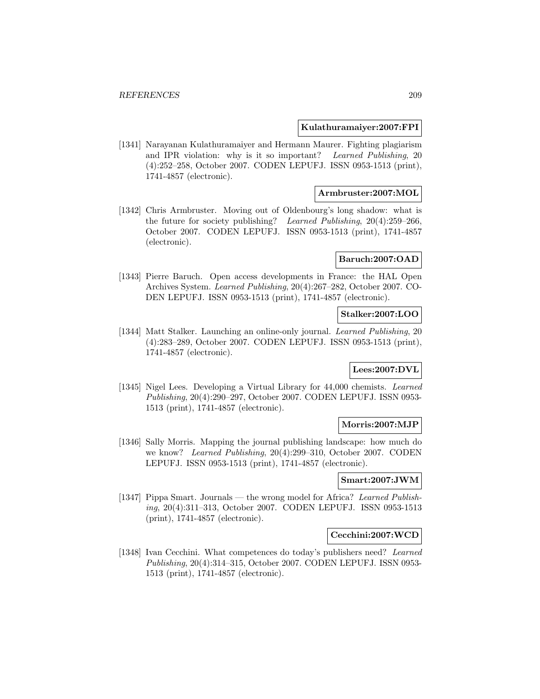#### **Kulathuramaiyer:2007:FPI**

[1341] Narayanan Kulathuramaiyer and Hermann Maurer. Fighting plagiarism and IPR violation: why is it so important? Learned Publishing, 20 (4):252–258, October 2007. CODEN LEPUFJ. ISSN 0953-1513 (print), 1741-4857 (electronic).

## **Armbruster:2007:MOL**

[1342] Chris Armbruster. Moving out of Oldenbourg's long shadow: what is the future for society publishing? Learned Publishing, 20(4):259–266, October 2007. CODEN LEPUFJ. ISSN 0953-1513 (print), 1741-4857 (electronic).

#### **Baruch:2007:OAD**

[1343] Pierre Baruch. Open access developments in France: the HAL Open Archives System. Learned Publishing, 20(4):267–282, October 2007. CO-DEN LEPUFJ. ISSN 0953-1513 (print), 1741-4857 (electronic).

### **Stalker:2007:LOO**

[1344] Matt Stalker. Launching an online-only journal. Learned Publishing, 20 (4):283–289, October 2007. CODEN LEPUFJ. ISSN 0953-1513 (print), 1741-4857 (electronic).

#### **Lees:2007:DVL**

[1345] Nigel Lees. Developing a Virtual Library for 44,000 chemists. Learned Publishing, 20(4):290–297, October 2007. CODEN LEPUFJ. ISSN 0953- 1513 (print), 1741-4857 (electronic).

#### **Morris:2007:MJP**

[1346] Sally Morris. Mapping the journal publishing landscape: how much do we know? Learned Publishing, 20(4):299–310, October 2007. CODEN LEPUFJ. ISSN 0953-1513 (print), 1741-4857 (electronic).

## **Smart:2007:JWM**

[1347] Pippa Smart. Journals — the wrong model for Africa? Learned Publishing, 20(4):311–313, October 2007. CODEN LEPUFJ. ISSN 0953-1513 (print), 1741-4857 (electronic).

#### **Cecchini:2007:WCD**

[1348] Ivan Cecchini. What competences do today's publishers need? Learned Publishing, 20(4):314–315, October 2007. CODEN LEPUFJ. ISSN 0953- 1513 (print), 1741-4857 (electronic).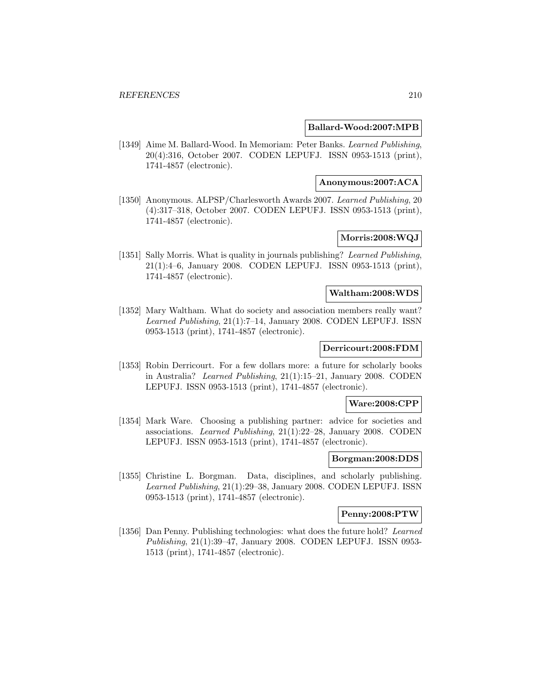### **Ballard-Wood:2007:MPB**

[1349] Aime M. Ballard-Wood. In Memoriam: Peter Banks. Learned Publishing, 20(4):316, October 2007. CODEN LEPUFJ. ISSN 0953-1513 (print), 1741-4857 (electronic).

# **Anonymous:2007:ACA**

[1350] Anonymous. ALPSP/Charlesworth Awards 2007. Learned Publishing, 20 (4):317–318, October 2007. CODEN LEPUFJ. ISSN 0953-1513 (print), 1741-4857 (electronic).

# **Morris:2008:WQJ**

[1351] Sally Morris. What is quality in journals publishing? Learned Publishing, 21(1):4–6, January 2008. CODEN LEPUFJ. ISSN 0953-1513 (print), 1741-4857 (electronic).

#### **Waltham:2008:WDS**

[1352] Mary Waltham. What do society and association members really want? Learned Publishing, 21(1):7–14, January 2008. CODEN LEPUFJ. ISSN 0953-1513 (print), 1741-4857 (electronic).

# **Derricourt:2008:FDM**

[1353] Robin Derricourt. For a few dollars more: a future for scholarly books in Australia? Learned Publishing, 21(1):15–21, January 2008. CODEN LEPUFJ. ISSN 0953-1513 (print), 1741-4857 (electronic).

### **Ware:2008:CPP**

[1354] Mark Ware. Choosing a publishing partner: advice for societies and associations. Learned Publishing, 21(1):22–28, January 2008. CODEN LEPUFJ. ISSN 0953-1513 (print), 1741-4857 (electronic).

#### **Borgman:2008:DDS**

[1355] Christine L. Borgman. Data, disciplines, and scholarly publishing. Learned Publishing, 21(1):29–38, January 2008. CODEN LEPUFJ. ISSN 0953-1513 (print), 1741-4857 (electronic).

# **Penny:2008:PTW**

[1356] Dan Penny. Publishing technologies: what does the future hold? Learned Publishing, 21(1):39–47, January 2008. CODEN LEPUFJ. ISSN 0953- 1513 (print), 1741-4857 (electronic).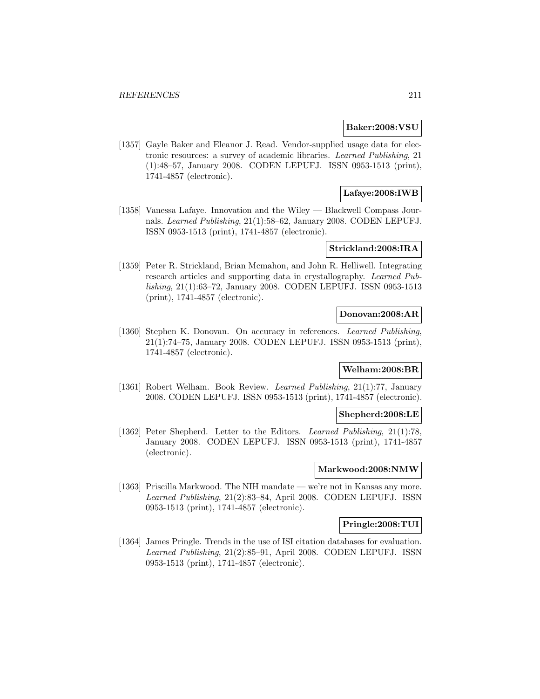#### **Baker:2008:VSU**

[1357] Gayle Baker and Eleanor J. Read. Vendor-supplied usage data for electronic resources: a survey of academic libraries. Learned Publishing, 21 (1):48–57, January 2008. CODEN LEPUFJ. ISSN 0953-1513 (print), 1741-4857 (electronic).

# **Lafaye:2008:IWB**

[1358] Vanessa Lafaye. Innovation and the Wiley — Blackwell Compass Journals. Learned Publishing, 21(1):58–62, January 2008. CODEN LEPUFJ. ISSN 0953-1513 (print), 1741-4857 (electronic).

### **Strickland:2008:IRA**

[1359] Peter R. Strickland, Brian Mcmahon, and John R. Helliwell. Integrating research articles and supporting data in crystallography. Learned Publishing, 21(1):63–72, January 2008. CODEN LEPUFJ. ISSN 0953-1513 (print), 1741-4857 (electronic).

### **Donovan:2008:AR**

[1360] Stephen K. Donovan. On accuracy in references. Learned Publishing, 21(1):74–75, January 2008. CODEN LEPUFJ. ISSN 0953-1513 (print), 1741-4857 (electronic).

## **Welham:2008:BR**

[1361] Robert Welham. Book Review. Learned Publishing, 21(1):77, January 2008. CODEN LEPUFJ. ISSN 0953-1513 (print), 1741-4857 (electronic).

### **Shepherd:2008:LE**

[1362] Peter Shepherd. Letter to the Editors. Learned Publishing, 21(1):78, January 2008. CODEN LEPUFJ. ISSN 0953-1513 (print), 1741-4857 (electronic).

#### **Markwood:2008:NMW**

[1363] Priscilla Markwood. The NIH mandate — we're not in Kansas any more. Learned Publishing, 21(2):83–84, April 2008. CODEN LEPUFJ. ISSN 0953-1513 (print), 1741-4857 (electronic).

### **Pringle:2008:TUI**

[1364] James Pringle. Trends in the use of ISI citation databases for evaluation. Learned Publishing, 21(2):85–91, April 2008. CODEN LEPUFJ. ISSN 0953-1513 (print), 1741-4857 (electronic).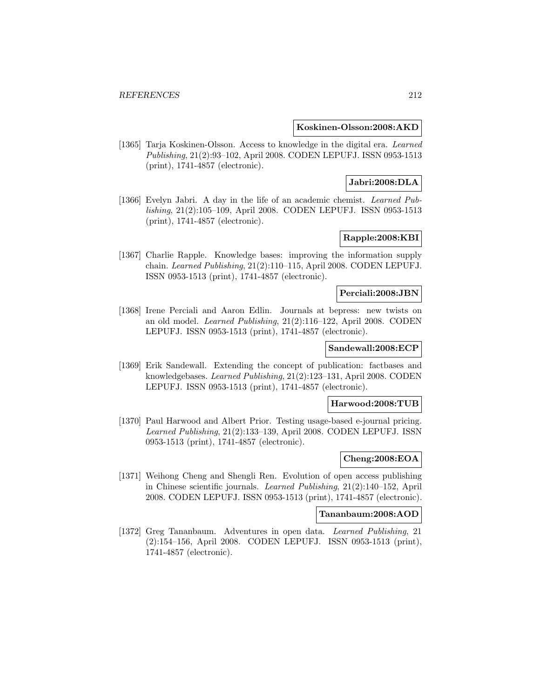**Koskinen-Olsson:2008:AKD**

[1365] Tarja Koskinen-Olsson. Access to knowledge in the digital era. Learned Publishing, 21(2):93–102, April 2008. CODEN LEPUFJ. ISSN 0953-1513 (print), 1741-4857 (electronic).

# **Jabri:2008:DLA**

[1366] Evelyn Jabri. A day in the life of an academic chemist. Learned Publishing, 21(2):105–109, April 2008. CODEN LEPUFJ. ISSN 0953-1513 (print), 1741-4857 (electronic).

# **Rapple:2008:KBI**

[1367] Charlie Rapple. Knowledge bases: improving the information supply chain. Learned Publishing, 21(2):110–115, April 2008. CODEN LEPUFJ. ISSN 0953-1513 (print), 1741-4857 (electronic).

#### **Perciali:2008:JBN**

[1368] Irene Perciali and Aaron Edlin. Journals at bepress: new twists on an old model. Learned Publishing, 21(2):116–122, April 2008. CODEN LEPUFJ. ISSN 0953-1513 (print), 1741-4857 (electronic).

### **Sandewall:2008:ECP**

[1369] Erik Sandewall. Extending the concept of publication: factbases and knowledgebases. Learned Publishing, 21(2):123–131, April 2008. CODEN LEPUFJ. ISSN 0953-1513 (print), 1741-4857 (electronic).

## **Harwood:2008:TUB**

[1370] Paul Harwood and Albert Prior. Testing usage-based e-journal pricing. Learned Publishing, 21(2):133–139, April 2008. CODEN LEPUFJ. ISSN 0953-1513 (print), 1741-4857 (electronic).

## **Cheng:2008:EOA**

[1371] Weihong Cheng and Shengli Ren. Evolution of open access publishing in Chinese scientific journals. Learned Publishing, 21(2):140–152, April 2008. CODEN LEPUFJ. ISSN 0953-1513 (print), 1741-4857 (electronic).

### **Tananbaum:2008:AOD**

[1372] Greg Tananbaum. Adventures in open data. Learned Publishing, 21 (2):154–156, April 2008. CODEN LEPUFJ. ISSN 0953-1513 (print), 1741-4857 (electronic).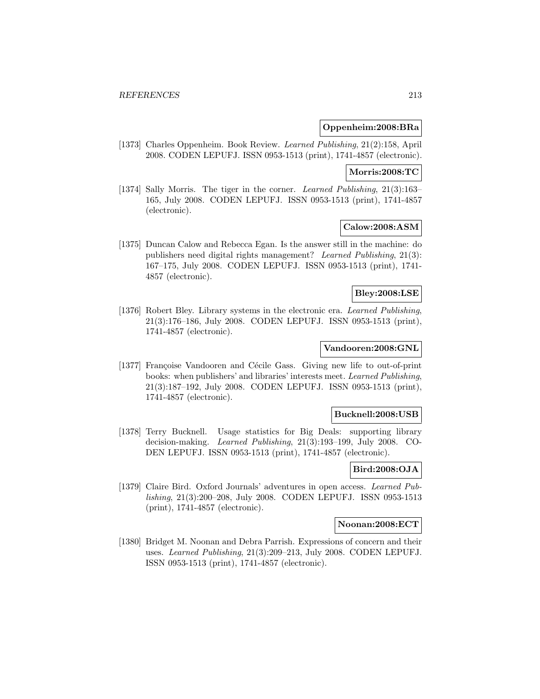### **Oppenheim:2008:BRa**

[1373] Charles Oppenheim. Book Review. Learned Publishing, 21(2):158, April 2008. CODEN LEPUFJ. ISSN 0953-1513 (print), 1741-4857 (electronic).

#### **Morris:2008:TC**

[1374] Sally Morris. The tiger in the corner. Learned Publishing, 21(3):163– 165, July 2008. CODEN LEPUFJ. ISSN 0953-1513 (print), 1741-4857 (electronic).

#### **Calow:2008:ASM**

[1375] Duncan Calow and Rebecca Egan. Is the answer still in the machine: do publishers need digital rights management? Learned Publishing, 21(3): 167–175, July 2008. CODEN LEPUFJ. ISSN 0953-1513 (print), 1741- 4857 (electronic).

# **Bley:2008:LSE**

[1376] Robert Bley. Library systems in the electronic era. Learned Publishing, 21(3):176–186, July 2008. CODEN LEPUFJ. ISSN 0953-1513 (print), 1741-4857 (electronic).

## **Vandooren:2008:GNL**

[1377] Françoise Vandooren and Cécile Gass. Giving new life to out-of-print books: when publishers' and libraries' interests meet. Learned Publishing, 21(3):187–192, July 2008. CODEN LEPUFJ. ISSN 0953-1513 (print), 1741-4857 (electronic).

#### **Bucknell:2008:USB**

[1378] Terry Bucknell. Usage statistics for Big Deals: supporting library decision-making. Learned Publishing, 21(3):193–199, July 2008. CO-DEN LEPUFJ. ISSN 0953-1513 (print), 1741-4857 (electronic).

## **Bird:2008:OJA**

[1379] Claire Bird. Oxford Journals' adventures in open access. Learned Publishing, 21(3):200–208, July 2008. CODEN LEPUFJ. ISSN 0953-1513 (print), 1741-4857 (electronic).

### **Noonan:2008:ECT**

[1380] Bridget M. Noonan and Debra Parrish. Expressions of concern and their uses. Learned Publishing, 21(3):209–213, July 2008. CODEN LEPUFJ. ISSN 0953-1513 (print), 1741-4857 (electronic).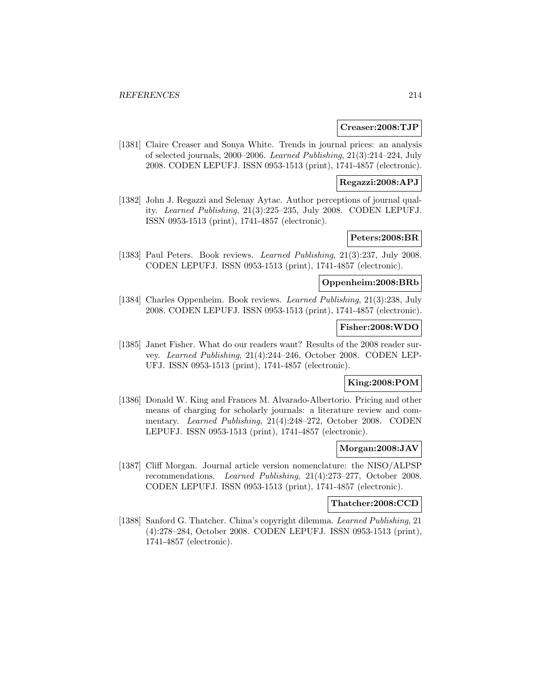#### **Creaser:2008:TJP**

[1381] Claire Creaser and Sonya White. Trends in journal prices: an analysis of selected journals, 2000–2006. Learned Publishing, 21(3):214–224, July 2008. CODEN LEPUFJ. ISSN 0953-1513 (print), 1741-4857 (electronic).

# **Regazzi:2008:APJ**

[1382] John J. Regazzi and Selenay Aytac. Author perceptions of journal quality. Learned Publishing, 21(3):225–235, July 2008. CODEN LEPUFJ. ISSN 0953-1513 (print), 1741-4857 (electronic).

# **Peters:2008:BR**

[1383] Paul Peters. Book reviews. Learned Publishing, 21(3):237, July 2008. CODEN LEPUFJ. ISSN 0953-1513 (print), 1741-4857 (electronic).

# **Oppenheim:2008:BRb**

[1384] Charles Oppenheim. Book reviews. Learned Publishing, 21(3):238, July 2008. CODEN LEPUFJ. ISSN 0953-1513 (print), 1741-4857 (electronic).

#### **Fisher:2008:WDO**

[1385] Janet Fisher. What do our readers want? Results of the 2008 reader survey. Learned Publishing, 21(4):244–246, October 2008. CODEN LEP-UFJ. ISSN 0953-1513 (print), 1741-4857 (electronic).

# **King:2008:POM**

[1386] Donald W. King and Frances M. Alvarado-Albertorio. Pricing and other means of charging for scholarly journals: a literature review and commentary. Learned Publishing, 21(4):248–272, October 2008. CODEN LEPUFJ. ISSN 0953-1513 (print), 1741-4857 (electronic).

#### **Morgan:2008:JAV**

[1387] Cliff Morgan. Journal article version nomenclature: the NISO/ALPSP recommendations. Learned Publishing, 21(4):273–277, October 2008. CODEN LEPUFJ. ISSN 0953-1513 (print), 1741-4857 (electronic).

#### **Thatcher:2008:CCD**

[1388] Sanford G. Thatcher. China's copyright dilemma. Learned Publishing, 21 (4):278–284, October 2008. CODEN LEPUFJ. ISSN 0953-1513 (print), 1741-4857 (electronic).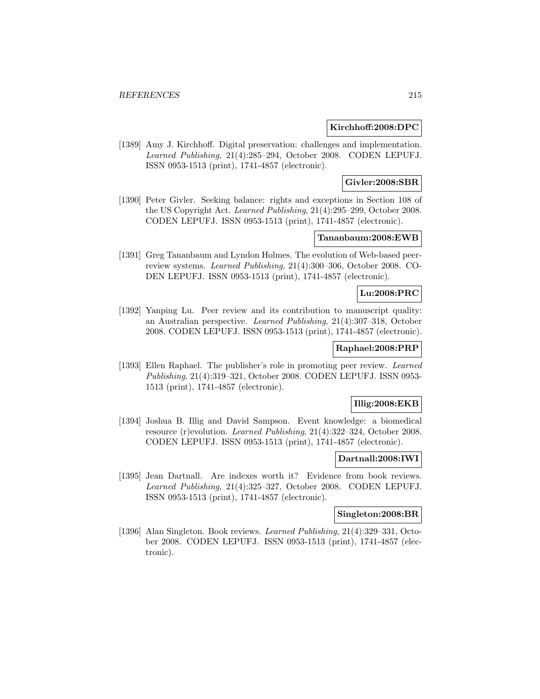## **Kirchhoff:2008:DPC**

[1389] Amy J. Kirchhoff. Digital preservation: challenges and implementation. Learned Publishing, 21(4):285–294, October 2008. CODEN LEPUFJ. ISSN 0953-1513 (print), 1741-4857 (electronic).

# **Givler:2008:SBR**

[1390] Peter Givler. Seeking balance: rights and exceptions in Section 108 of the US Copyright Act. Learned Publishing, 21(4):295–299, October 2008. CODEN LEPUFJ. ISSN 0953-1513 (print), 1741-4857 (electronic).

## **Tananbaum:2008:EWB**

[1391] Greg Tananbaum and Lyndon Holmes. The evolution of Web-based peerreview systems. Learned Publishing, 21(4):300–306, October 2008. CO-DEN LEPUFJ. ISSN 0953-1513 (print), 1741-4857 (electronic).

## **Lu:2008:PRC**

[1392] Yanping Lu. Peer review and its contribution to manuscript quality: an Australian perspective. Learned Publishing, 21(4):307–318, October 2008. CODEN LEPUFJ. ISSN 0953-1513 (print), 1741-4857 (electronic).

## **Raphael:2008:PRP**

[1393] Ellen Raphael. The publisher's role in promoting peer review. Learned Publishing, 21(4):319–321, October 2008. CODEN LEPUFJ. ISSN 0953- 1513 (print), 1741-4857 (electronic).

### **Illig:2008:EKB**

[1394] Joshua B. Illig and David Sampson. Event knowledge: a biomedical resource (r)evolution. Learned Publishing, 21(4):322–324, October 2008. CODEN LEPUFJ. ISSN 0953-1513 (print), 1741-4857 (electronic).

#### **Dartnall:2008:IWI**

[1395] Jean Dartnall. Are indexes worth it? Evidence from book reviews. Learned Publishing, 21(4):325–327, October 2008. CODEN LEPUFJ. ISSN 0953-1513 (print), 1741-4857 (electronic).

# **Singleton:2008:BR**

[1396] Alan Singleton. Book reviews. Learned Publishing, 21(4):329–331, October 2008. CODEN LEPUFJ. ISSN 0953-1513 (print), 1741-4857 (electronic).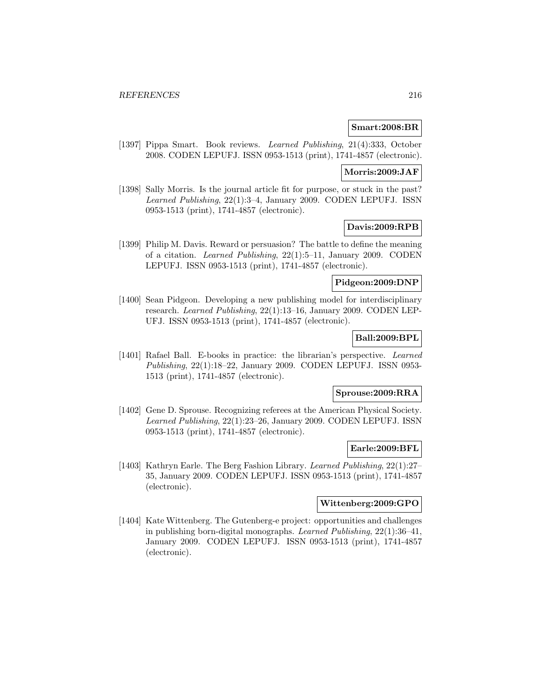#### **Smart:2008:BR**

[1397] Pippa Smart. Book reviews. Learned Publishing, 21(4):333, October 2008. CODEN LEPUFJ. ISSN 0953-1513 (print), 1741-4857 (electronic).

#### **Morris:2009:JAF**

[1398] Sally Morris. Is the journal article fit for purpose, or stuck in the past? Learned Publishing, 22(1):3–4, January 2009. CODEN LEPUFJ. ISSN 0953-1513 (print), 1741-4857 (electronic).

# **Davis:2009:RPB**

[1399] Philip M. Davis. Reward or persuasion? The battle to define the meaning of a citation. Learned Publishing, 22(1):5–11, January 2009. CODEN LEPUFJ. ISSN 0953-1513 (print), 1741-4857 (electronic).

### **Pidgeon:2009:DNP**

[1400] Sean Pidgeon. Developing a new publishing model for interdisciplinary research. Learned Publishing, 22(1):13–16, January 2009. CODEN LEP-UFJ. ISSN 0953-1513 (print), 1741-4857 (electronic).

# **Ball:2009:BPL**

[1401] Rafael Ball. E-books in practice: the librarian's perspective. Learned Publishing, 22(1):18–22, January 2009. CODEN LEPUFJ. ISSN 0953- 1513 (print), 1741-4857 (electronic).

# **Sprouse:2009:RRA**

[1402] Gene D. Sprouse. Recognizing referees at the American Physical Society. Learned Publishing, 22(1):23–26, January 2009. CODEN LEPUFJ. ISSN 0953-1513 (print), 1741-4857 (electronic).

#### **Earle:2009:BFL**

[1403] Kathryn Earle. The Berg Fashion Library. Learned Publishing, 22(1):27– 35, January 2009. CODEN LEPUFJ. ISSN 0953-1513 (print), 1741-4857 (electronic).

### **Wittenberg:2009:GPO**

[1404] Kate Wittenberg. The Gutenberg-e project: opportunities and challenges in publishing born-digital monographs. Learned Publishing, 22(1):36–41, January 2009. CODEN LEPUFJ. ISSN 0953-1513 (print), 1741-4857 (electronic).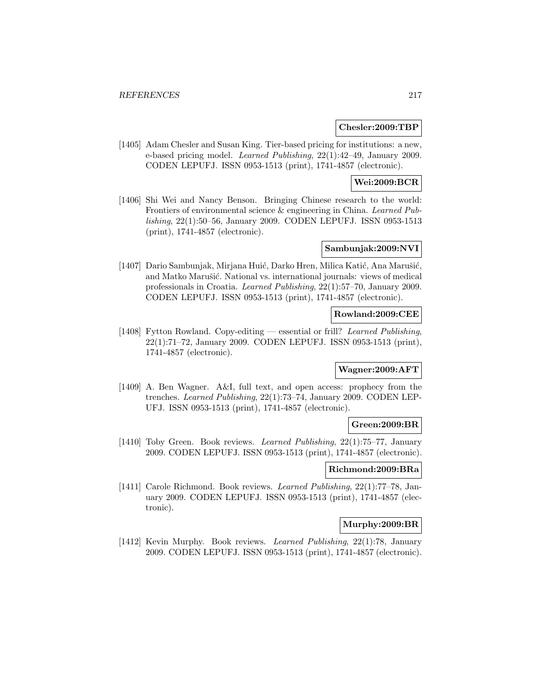#### **Chesler:2009:TBP**

[1405] Adam Chesler and Susan King. Tier-based pricing for institutions: a new, e-based pricing model. Learned Publishing, 22(1):42–49, January 2009. CODEN LEPUFJ. ISSN 0953-1513 (print), 1741-4857 (electronic).

# **Wei:2009:BCR**

[1406] Shi Wei and Nancy Benson. Bringing Chinese research to the world: Frontiers of environmental science & engineering in China. Learned Publishing, 22(1):50–56, January 2009. CODEN LEPUFJ. ISSN 0953-1513 (print), 1741-4857 (electronic).

## **Sambunjak:2009:NVI**

[1407] Dario Sambunjak, Mirjana Huić, Darko Hren, Milica Katić, Ana Marušić, and Matko Marušić. National vs. international journals: views of medical professionals in Croatia. Learned Publishing, 22(1):57–70, January 2009. CODEN LEPUFJ. ISSN 0953-1513 (print), 1741-4857 (electronic).

#### **Rowland:2009:CEE**

[1408] Fytton Rowland. Copy-editing — essential or frill? Learned Publishing, 22(1):71–72, January 2009. CODEN LEPUFJ. ISSN 0953-1513 (print), 1741-4857 (electronic).

#### **Wagner:2009:AFT**

[1409] A. Ben Wagner. A&I, full text, and open access: prophecy from the trenches. Learned Publishing, 22(1):73–74, January 2009. CODEN LEP-UFJ. ISSN 0953-1513 (print), 1741-4857 (electronic).

#### **Green:2009:BR**

[1410] Toby Green. Book reviews. Learned Publishing, 22(1):75–77, January 2009. CODEN LEPUFJ. ISSN 0953-1513 (print), 1741-4857 (electronic).

#### **Richmond:2009:BRa**

[1411] Carole Richmond. Book reviews. Learned Publishing, 22(1):77–78, January 2009. CODEN LEPUFJ. ISSN 0953-1513 (print), 1741-4857 (electronic).

## **Murphy:2009:BR**

[1412] Kevin Murphy. Book reviews. Learned Publishing, 22(1):78, January 2009. CODEN LEPUFJ. ISSN 0953-1513 (print), 1741-4857 (electronic).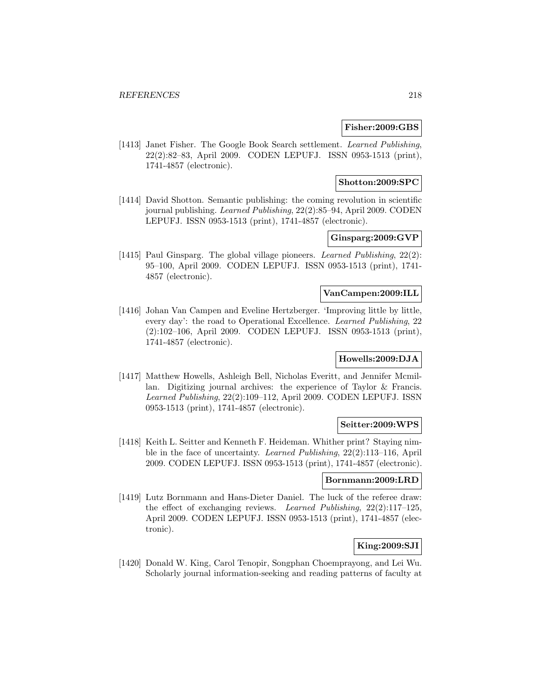#### **Fisher:2009:GBS**

[1413] Janet Fisher. The Google Book Search settlement. Learned Publishing, 22(2):82–83, April 2009. CODEN LEPUFJ. ISSN 0953-1513 (print), 1741-4857 (electronic).

## **Shotton:2009:SPC**

[1414] David Shotton. Semantic publishing: the coming revolution in scientific journal publishing. Learned Publishing, 22(2):85–94, April 2009. CODEN LEPUFJ. ISSN 0953-1513 (print), 1741-4857 (electronic).

## **Ginsparg:2009:GVP**

[1415] Paul Ginsparg. The global village pioneers. Learned Publishing, 22(2): 95–100, April 2009. CODEN LEPUFJ. ISSN 0953-1513 (print), 1741- 4857 (electronic).

#### **VanCampen:2009:ILL**

[1416] Johan Van Campen and Eveline Hertzberger. 'Improving little by little, every day': the road to Operational Excellence. Learned Publishing, 22 (2):102–106, April 2009. CODEN LEPUFJ. ISSN 0953-1513 (print), 1741-4857 (electronic).

### **Howells:2009:DJA**

[1417] Matthew Howells, Ashleigh Bell, Nicholas Everitt, and Jennifer Mcmillan. Digitizing journal archives: the experience of Taylor & Francis. Learned Publishing, 22(2):109–112, April 2009. CODEN LEPUFJ. ISSN 0953-1513 (print), 1741-4857 (electronic).

#### **Seitter:2009:WPS**

[1418] Keith L. Seitter and Kenneth F. Heideman. Whither print? Staying nimble in the face of uncertainty. Learned Publishing, 22(2):113–116, April 2009. CODEN LEPUFJ. ISSN 0953-1513 (print), 1741-4857 (electronic).

### **Bornmann:2009:LRD**

[1419] Lutz Bornmann and Hans-Dieter Daniel. The luck of the referee draw: the effect of exchanging reviews. Learned Publishing, 22(2):117–125, April 2009. CODEN LEPUFJ. ISSN 0953-1513 (print), 1741-4857 (electronic).

## **King:2009:SJI**

[1420] Donald W. King, Carol Tenopir, Songphan Choemprayong, and Lei Wu. Scholarly journal information-seeking and reading patterns of faculty at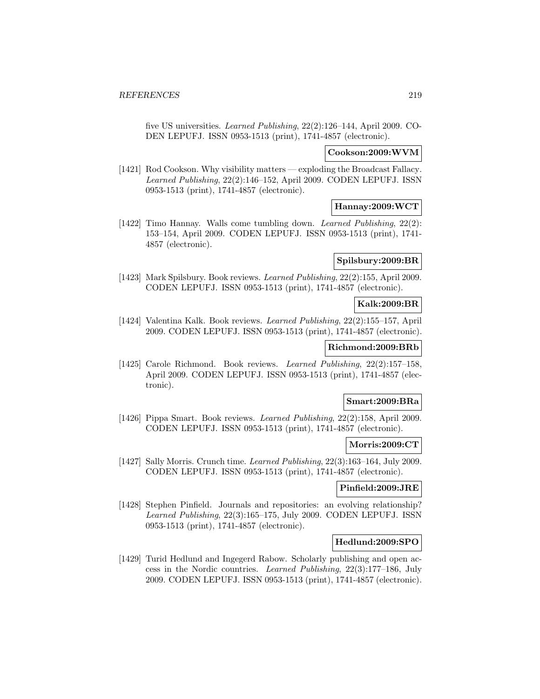five US universities. Learned Publishing, 22(2):126–144, April 2009. CO-DEN LEPUFJ. ISSN 0953-1513 (print), 1741-4857 (electronic).

### **Cookson:2009:WVM**

[1421] Rod Cookson. Why visibility matters — exploding the Broadcast Fallacy. Learned Publishing, 22(2):146–152, April 2009. CODEN LEPUFJ. ISSN 0953-1513 (print), 1741-4857 (electronic).

# **Hannay:2009:WCT**

[1422] Timo Hannay. Walls come tumbling down. *Learned Publishing*, 22(2): 153–154, April 2009. CODEN LEPUFJ. ISSN 0953-1513 (print), 1741- 4857 (electronic).

# **Spilsbury:2009:BR**

[1423] Mark Spilsbury. Book reviews. Learned Publishing, 22(2):155, April 2009. CODEN LEPUFJ. ISSN 0953-1513 (print), 1741-4857 (electronic).

## **Kalk:2009:BR**

[1424] Valentina Kalk. Book reviews. Learned Publishing, 22(2):155–157, April 2009. CODEN LEPUFJ. ISSN 0953-1513 (print), 1741-4857 (electronic).

### **Richmond:2009:BRb**

[1425] Carole Richmond. Book reviews. Learned Publishing, 22(2):157–158, April 2009. CODEN LEPUFJ. ISSN 0953-1513 (print), 1741-4857 (electronic).

### **Smart:2009:BRa**

[1426] Pippa Smart. Book reviews. Learned Publishing, 22(2):158, April 2009. CODEN LEPUFJ. ISSN 0953-1513 (print), 1741-4857 (electronic).

### **Morris:2009:CT**

[1427] Sally Morris. Crunch time. Learned Publishing, 22(3):163–164, July 2009. CODEN LEPUFJ. ISSN 0953-1513 (print), 1741-4857 (electronic).

### **Pinfield:2009:JRE**

[1428] Stephen Pinfield. Journals and repositories: an evolving relationship? Learned Publishing, 22(3):165–175, July 2009. CODEN LEPUFJ. ISSN 0953-1513 (print), 1741-4857 (electronic).

### **Hedlund:2009:SPO**

[1429] Turid Hedlund and Ingegerd Rabow. Scholarly publishing and open access in the Nordic countries. Learned Publishing, 22(3):177–186, July 2009. CODEN LEPUFJ. ISSN 0953-1513 (print), 1741-4857 (electronic).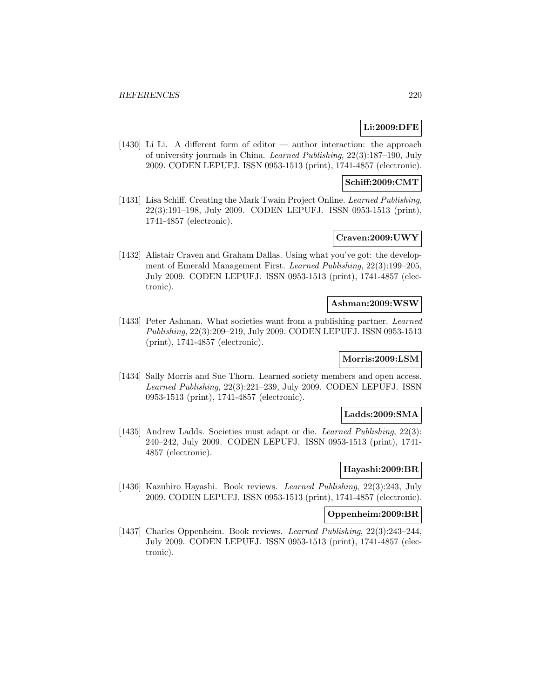# **Li:2009:DFE**

[1430] Li Li. A different form of editor — author interaction: the approach of university journals in China. Learned Publishing, 22(3):187–190, July 2009. CODEN LEPUFJ. ISSN 0953-1513 (print), 1741-4857 (electronic).

### **Schiff:2009:CMT**

[1431] Lisa Schiff. Creating the Mark Twain Project Online. Learned Publishing, 22(3):191–198, July 2009. CODEN LEPUFJ. ISSN 0953-1513 (print), 1741-4857 (electronic).

## **Craven:2009:UWY**

[1432] Alistair Craven and Graham Dallas. Using what you've got: the development of Emerald Management First. Learned Publishing, 22(3):199–205, July 2009. CODEN LEPUFJ. ISSN 0953-1513 (print), 1741-4857 (electronic).

#### **Ashman:2009:WSW**

[1433] Peter Ashman. What societies want from a publishing partner. Learned Publishing, 22(3):209–219, July 2009. CODEN LEPUFJ. ISSN 0953-1513 (print), 1741-4857 (electronic).

## **Morris:2009:LSM**

[1434] Sally Morris and Sue Thorn. Learned society members and open access. Learned Publishing, 22(3):221–239, July 2009. CODEN LEPUFJ. ISSN 0953-1513 (print), 1741-4857 (electronic).

### **Ladds:2009:SMA**

[1435] Andrew Ladds. Societies must adapt or die. Learned Publishing, 22(3): 240–242, July 2009. CODEN LEPUFJ. ISSN 0953-1513 (print), 1741- 4857 (electronic).

## **Hayashi:2009:BR**

[1436] Kazuhiro Hayashi. Book reviews. Learned Publishing, 22(3):243, July 2009. CODEN LEPUFJ. ISSN 0953-1513 (print), 1741-4857 (electronic).

### **Oppenheim:2009:BR**

[1437] Charles Oppenheim. Book reviews. Learned Publishing, 22(3):243–244, July 2009. CODEN LEPUFJ. ISSN 0953-1513 (print), 1741-4857 (electronic).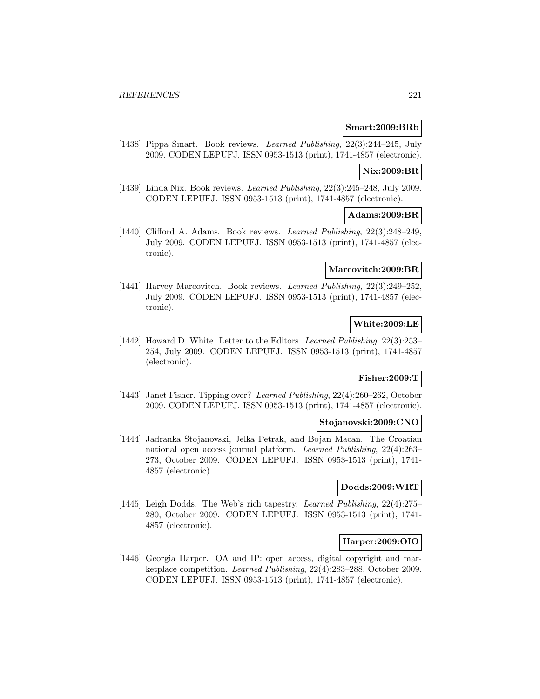#### **Smart:2009:BRb**

[1438] Pippa Smart. Book reviews. Learned Publishing, 22(3):244–245, July 2009. CODEN LEPUFJ. ISSN 0953-1513 (print), 1741-4857 (electronic).

#### **Nix:2009:BR**

[1439] Linda Nix. Book reviews. Learned Publishing, 22(3):245–248, July 2009. CODEN LEPUFJ. ISSN 0953-1513 (print), 1741-4857 (electronic).

#### **Adams:2009:BR**

[1440] Clifford A. Adams. Book reviews. Learned Publishing, 22(3):248–249, July 2009. CODEN LEPUFJ. ISSN 0953-1513 (print), 1741-4857 (electronic).

## **Marcovitch:2009:BR**

[1441] Harvey Marcovitch. Book reviews. Learned Publishing, 22(3):249–252, July 2009. CODEN LEPUFJ. ISSN 0953-1513 (print), 1741-4857 (electronic).

### **White:2009:LE**

[1442] Howard D. White. Letter to the Editors. Learned Publishing, 22(3):253– 254, July 2009. CODEN LEPUFJ. ISSN 0953-1513 (print), 1741-4857 (electronic).

# **Fisher:2009:T**

[1443] Janet Fisher. Tipping over? Learned Publishing, 22(4):260–262, October 2009. CODEN LEPUFJ. ISSN 0953-1513 (print), 1741-4857 (electronic).

### **Stojanovski:2009:CNO**

[1444] Jadranka Stojanovski, Jelka Petrak, and Bojan Macan. The Croatian national open access journal platform. Learned Publishing, 22(4):263– 273, October 2009. CODEN LEPUFJ. ISSN 0953-1513 (print), 1741- 4857 (electronic).

### **Dodds:2009:WRT**

[1445] Leigh Dodds. The Web's rich tapestry. Learned Publishing, 22(4):275– 280, October 2009. CODEN LEPUFJ. ISSN 0953-1513 (print), 1741- 4857 (electronic).

#### **Harper:2009:OIO**

[1446] Georgia Harper. OA and IP: open access, digital copyright and marketplace competition. Learned Publishing, 22(4):283–288, October 2009. CODEN LEPUFJ. ISSN 0953-1513 (print), 1741-4857 (electronic).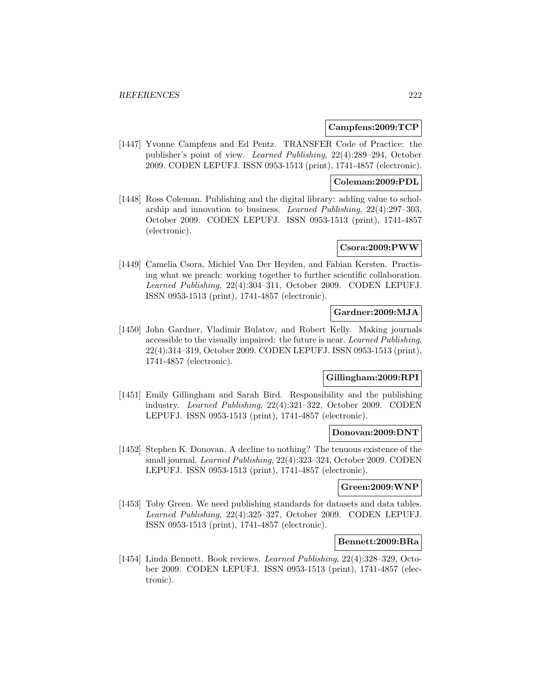#### **Campfens:2009:TCP**

[1447] Yvonne Campfens and Ed Pentz. TRANSFER Code of Practice: the publisher's point of view. Learned Publishing, 22(4):289–294, October 2009. CODEN LEPUFJ. ISSN 0953-1513 (print), 1741-4857 (electronic).

### **Coleman:2009:PDL**

[1448] Ross Coleman. Publishing and the digital library: adding value to scholarship and innovation to business. Learned Publishing, 22(4):297–303, October 2009. CODEN LEPUFJ. ISSN 0953-1513 (print), 1741-4857 (electronic).

# **Csora:2009:PWW**

[1449] Camelia Csora, Michiel Van Der Heyden, and Fabian Kersten. Practising what we preach: working together to further scientific collaboration. Learned Publishing, 22(4):304–311, October 2009. CODEN LEPUFJ. ISSN 0953-1513 (print), 1741-4857 (electronic).

## **Gardner:2009:MJA**

[1450] John Gardner, Vladimir Bulatov, and Robert Kelly. Making journals accessible to the visually impaired: the future is near. Learned Publishing, 22(4):314–319, October 2009. CODEN LEPUFJ. ISSN 0953-1513 (print), 1741-4857 (electronic).

### **Gillingham:2009:RPI**

[1451] Emily Gillingham and Sarah Bird. Responsibility and the publishing industry. Learned Publishing, 22(4):321–322, October 2009. CODEN LEPUFJ. ISSN 0953-1513 (print), 1741-4857 (electronic).

#### **Donovan:2009:DNT**

[1452] Stephen K. Donovan. A decline to nothing? The tenuous existence of the small journal. Learned Publishing, 22(4):323–324, October 2009. CODEN LEPUFJ. ISSN 0953-1513 (print), 1741-4857 (electronic).

#### **Green:2009:WNP**

[1453] Toby Green. We need publishing standards for datasets and data tables. Learned Publishing, 22(4):325–327, October 2009. CODEN LEPUFJ. ISSN 0953-1513 (print), 1741-4857 (electronic).

#### **Bennett:2009:BRa**

[1454] Linda Bennett. Book reviews. Learned Publishing, 22(4):328–329, October 2009. CODEN LEPUFJ. ISSN 0953-1513 (print), 1741-4857 (electronic).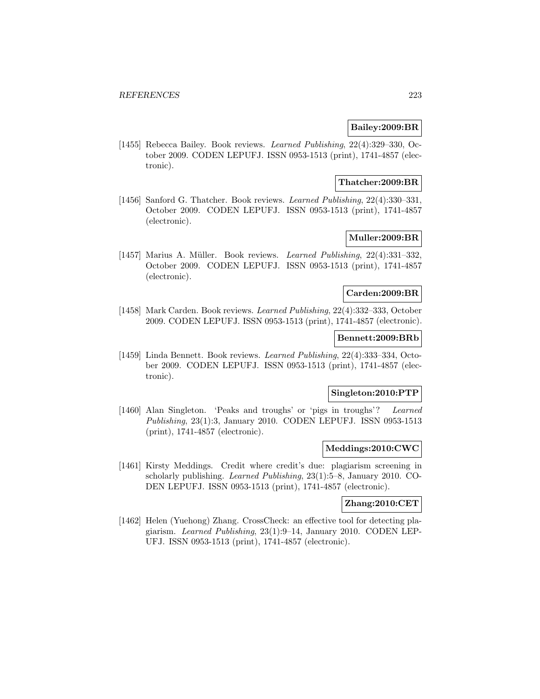### **Bailey:2009:BR**

[1455] Rebecca Bailey. Book reviews. Learned Publishing, 22(4):329–330, October 2009. CODEN LEPUFJ. ISSN 0953-1513 (print), 1741-4857 (electronic).

#### **Thatcher:2009:BR**

[1456] Sanford G. Thatcher. Book reviews. Learned Publishing, 22(4):330–331, October 2009. CODEN LEPUFJ. ISSN 0953-1513 (print), 1741-4857 (electronic).

## **Muller:2009:BR**

[1457] Marius A. Müller. Book reviews. Learned Publishing,  $22(4):331-332$ , October 2009. CODEN LEPUFJ. ISSN 0953-1513 (print), 1741-4857 (electronic).

#### **Carden:2009:BR**

[1458] Mark Carden. Book reviews. Learned Publishing, 22(4):332–333, October 2009. CODEN LEPUFJ. ISSN 0953-1513 (print), 1741-4857 (electronic).

### **Bennett:2009:BRb**

[1459] Linda Bennett. Book reviews. Learned Publishing, 22(4):333–334, October 2009. CODEN LEPUFJ. ISSN 0953-1513 (print), 1741-4857 (electronic).

### **Singleton:2010:PTP**

[1460] Alan Singleton. 'Peaks and troughs' or 'pigs in troughs'? Learned Publishing, 23(1):3, January 2010. CODEN LEPUFJ. ISSN 0953-1513 (print), 1741-4857 (electronic).

## **Meddings:2010:CWC**

[1461] Kirsty Meddings. Credit where credit's due: plagiarism screening in scholarly publishing. Learned Publishing, 23(1):5–8, January 2010. CO-DEN LEPUFJ. ISSN 0953-1513 (print), 1741-4857 (electronic).

#### **Zhang:2010:CET**

[1462] Helen (Yuehong) Zhang. CrossCheck: an effective tool for detecting plagiarism. Learned Publishing, 23(1):9–14, January 2010. CODEN LEP-UFJ. ISSN 0953-1513 (print), 1741-4857 (electronic).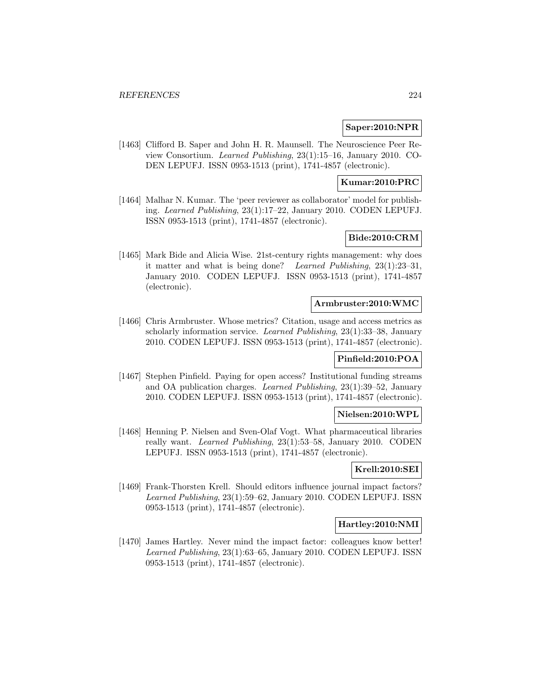### **Saper:2010:NPR**

[1463] Clifford B. Saper and John H. R. Maunsell. The Neuroscience Peer Review Consortium. Learned Publishing, 23(1):15–16, January 2010. CO-DEN LEPUFJ. ISSN 0953-1513 (print), 1741-4857 (electronic).

## **Kumar:2010:PRC**

[1464] Malhar N. Kumar. The 'peer reviewer as collaborator' model for publishing. Learned Publishing, 23(1):17–22, January 2010. CODEN LEPUFJ. ISSN 0953-1513 (print), 1741-4857 (electronic).

## **Bide:2010:CRM**

[1465] Mark Bide and Alicia Wise. 21st-century rights management: why does it matter and what is being done? Learned Publishing, 23(1):23–31, January 2010. CODEN LEPUFJ. ISSN 0953-1513 (print), 1741-4857 (electronic).

#### **Armbruster:2010:WMC**

[1466] Chris Armbruster. Whose metrics? Citation, usage and access metrics as scholarly information service. Learned Publishing, 23(1):33–38, January 2010. CODEN LEPUFJ. ISSN 0953-1513 (print), 1741-4857 (electronic).

### **Pinfield:2010:POA**

[1467] Stephen Pinfield. Paying for open access? Institutional funding streams and OA publication charges. Learned Publishing, 23(1):39–52, January 2010. CODEN LEPUFJ. ISSN 0953-1513 (print), 1741-4857 (electronic).

#### **Nielsen:2010:WPL**

[1468] Henning P. Nielsen and Sven-Olaf Vogt. What pharmaceutical libraries really want. Learned Publishing, 23(1):53–58, January 2010. CODEN LEPUFJ. ISSN 0953-1513 (print), 1741-4857 (electronic).

## **Krell:2010:SEI**

[1469] Frank-Thorsten Krell. Should editors influence journal impact factors? Learned Publishing, 23(1):59–62, January 2010. CODEN LEPUFJ. ISSN 0953-1513 (print), 1741-4857 (electronic).

## **Hartley:2010:NMI**

[1470] James Hartley. Never mind the impact factor: colleagues know better! Learned Publishing, 23(1):63–65, January 2010. CODEN LEPUFJ. ISSN 0953-1513 (print), 1741-4857 (electronic).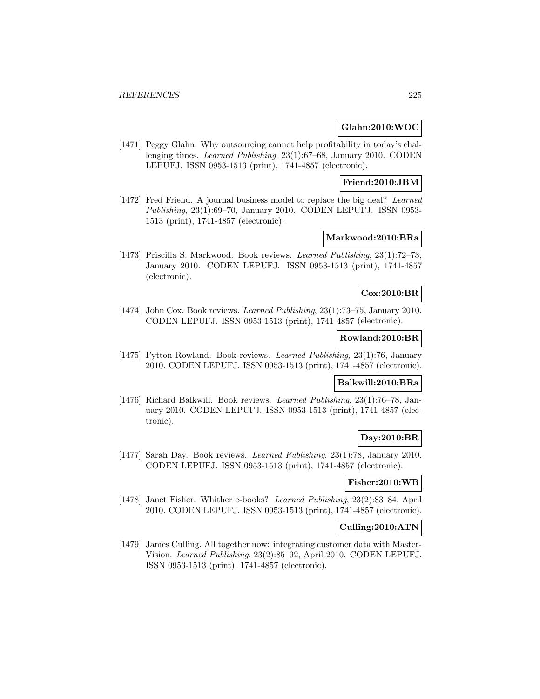### **Glahn:2010:WOC**

[1471] Peggy Glahn. Why outsourcing cannot help profitability in today's challenging times. Learned Publishing, 23(1):67–68, January 2010. CODEN LEPUFJ. ISSN 0953-1513 (print), 1741-4857 (electronic).

## **Friend:2010:JBM**

[1472] Fred Friend. A journal business model to replace the big deal? Learned Publishing, 23(1):69–70, January 2010. CODEN LEPUFJ. ISSN 0953- 1513 (print), 1741-4857 (electronic).

## **Markwood:2010:BRa**

[1473] Priscilla S. Markwood. Book reviews. Learned Publishing, 23(1):72–73, January 2010. CODEN LEPUFJ. ISSN 0953-1513 (print), 1741-4857 (electronic).

#### **Cox:2010:BR**

[1474] John Cox. Book reviews. Learned Publishing, 23(1):73–75, January 2010. CODEN LEPUFJ. ISSN 0953-1513 (print), 1741-4857 (electronic).

### **Rowland:2010:BR**

[1475] Fytton Rowland. Book reviews. Learned Publishing, 23(1):76, January 2010. CODEN LEPUFJ. ISSN 0953-1513 (print), 1741-4857 (electronic).

### **Balkwill:2010:BRa**

[1476] Richard Balkwill. Book reviews. Learned Publishing, 23(1):76–78, January 2010. CODEN LEPUFJ. ISSN 0953-1513 (print), 1741-4857 (electronic).

### **Day:2010:BR**

[1477] Sarah Day. Book reviews. Learned Publishing, 23(1):78, January 2010. CODEN LEPUFJ. ISSN 0953-1513 (print), 1741-4857 (electronic).

#### **Fisher:2010:WB**

[1478] Janet Fisher. Whither e-books? Learned Publishing, 23(2):83–84, April 2010. CODEN LEPUFJ. ISSN 0953-1513 (print), 1741-4857 (electronic).

### **Culling:2010:ATN**

[1479] James Culling. All together now: integrating customer data with Master-Vision. Learned Publishing, 23(2):85–92, April 2010. CODEN LEPUFJ. ISSN 0953-1513 (print), 1741-4857 (electronic).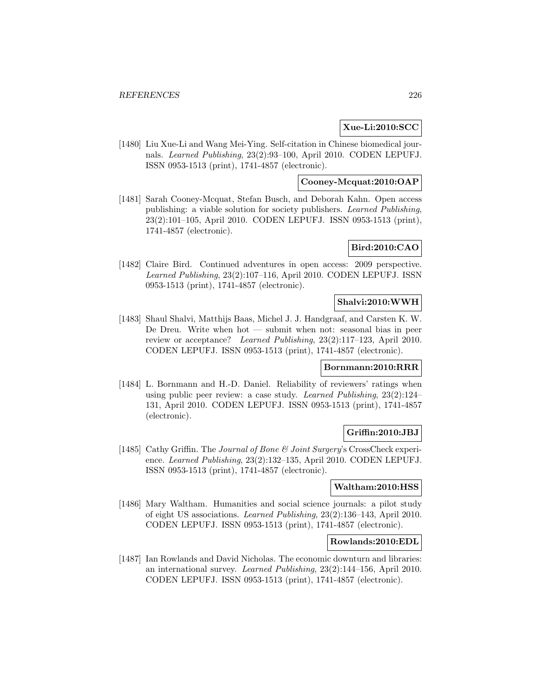### **Xue-Li:2010:SCC**

[1480] Liu Xue-Li and Wang Mei-Ying. Self-citation in Chinese biomedical journals. Learned Publishing, 23(2):93–100, April 2010. CODEN LEPUFJ. ISSN 0953-1513 (print), 1741-4857 (electronic).

### **Cooney-Mcquat:2010:OAP**

[1481] Sarah Cooney-Mcquat, Stefan Busch, and Deborah Kahn. Open access publishing: a viable solution for society publishers. Learned Publishing, 23(2):101–105, April 2010. CODEN LEPUFJ. ISSN 0953-1513 (print), 1741-4857 (electronic).

## **Bird:2010:CAO**

[1482] Claire Bird. Continued adventures in open access: 2009 perspective. Learned Publishing, 23(2):107–116, April 2010. CODEN LEPUFJ. ISSN 0953-1513 (print), 1741-4857 (electronic).

#### **Shalvi:2010:WWH**

[1483] Shaul Shalvi, Matthijs Baas, Michel J. J. Handgraaf, and Carsten K. W. De Dreu. Write when hot — submit when not: seasonal bias in peer review or acceptance? Learned Publishing, 23(2):117–123, April 2010. CODEN LEPUFJ. ISSN 0953-1513 (print), 1741-4857 (electronic).

## **Bornmann:2010:RRR**

[1484] L. Bornmann and H.-D. Daniel. Reliability of reviewers' ratings when using public peer review: a case study. Learned Publishing,  $23(2):124-$ 131, April 2010. CODEN LEPUFJ. ISSN 0953-1513 (print), 1741-4857 (electronic).

### **Griffin:2010:JBJ**

[1485] Cathy Griffin. The Journal of Bone & Joint Surgery's CrossCheck experience. Learned Publishing, 23(2):132–135, April 2010. CODEN LEPUFJ. ISSN 0953-1513 (print), 1741-4857 (electronic).

### **Waltham:2010:HSS**

[1486] Mary Waltham. Humanities and social science journals: a pilot study of eight US associations. Learned Publishing, 23(2):136–143, April 2010. CODEN LEPUFJ. ISSN 0953-1513 (print), 1741-4857 (electronic).

#### **Rowlands:2010:EDL**

[1487] Ian Rowlands and David Nicholas. The economic downturn and libraries: an international survey. Learned Publishing, 23(2):144–156, April 2010. CODEN LEPUFJ. ISSN 0953-1513 (print), 1741-4857 (electronic).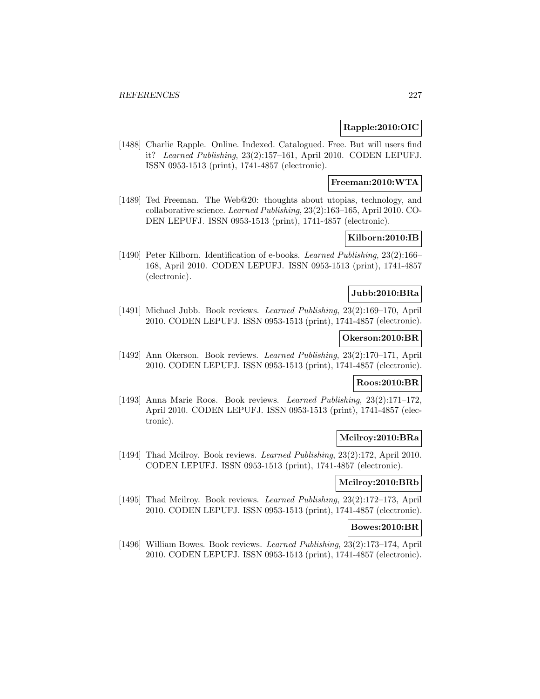### **Rapple:2010:OIC**

[1488] Charlie Rapple. Online. Indexed. Catalogued. Free. But will users find it? Learned Publishing, 23(2):157–161, April 2010. CODEN LEPUFJ. ISSN 0953-1513 (print), 1741-4857 (electronic).

### **Freeman:2010:WTA**

[1489] Ted Freeman. The Web@20: thoughts about utopias, technology, and collaborative science. Learned Publishing, 23(2):163–165, April 2010. CO-DEN LEPUFJ. ISSN 0953-1513 (print), 1741-4857 (electronic).

## **Kilborn:2010:IB**

[1490] Peter Kilborn. Identification of e-books. Learned Publishing, 23(2):166– 168, April 2010. CODEN LEPUFJ. ISSN 0953-1513 (print), 1741-4857 (electronic).

#### **Jubb:2010:BRa**

[1491] Michael Jubb. Book reviews. Learned Publishing, 23(2):169–170, April 2010. CODEN LEPUFJ. ISSN 0953-1513 (print), 1741-4857 (electronic).

### **Okerson:2010:BR**

[1492] Ann Okerson. Book reviews. Learned Publishing, 23(2):170–171, April 2010. CODEN LEPUFJ. ISSN 0953-1513 (print), 1741-4857 (electronic).

### **Roos:2010:BR**

[1493] Anna Marie Roos. Book reviews. Learned Publishing, 23(2):171–172, April 2010. CODEN LEPUFJ. ISSN 0953-1513 (print), 1741-4857 (electronic).

### **Mcilroy:2010:BRa**

[1494] Thad Mcilroy. Book reviews. Learned Publishing, 23(2):172, April 2010. CODEN LEPUFJ. ISSN 0953-1513 (print), 1741-4857 (electronic).

#### **Mcilroy:2010:BRb**

[1495] Thad Mcilroy. Book reviews. Learned Publishing, 23(2):172–173, April 2010. CODEN LEPUFJ. ISSN 0953-1513 (print), 1741-4857 (electronic).

#### **Bowes:2010:BR**

[1496] William Bowes. Book reviews. Learned Publishing, 23(2):173–174, April 2010. CODEN LEPUFJ. ISSN 0953-1513 (print), 1741-4857 (electronic).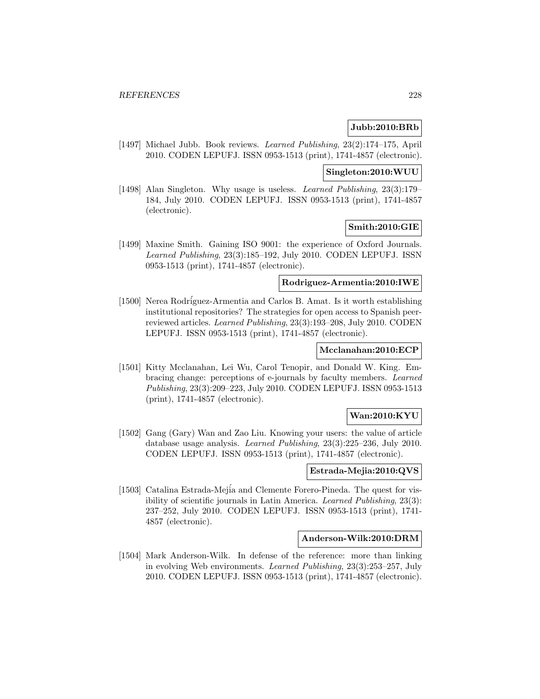### **Jubb:2010:BRb**

[1497] Michael Jubb. Book reviews. Learned Publishing, 23(2):174–175, April 2010. CODEN LEPUFJ. ISSN 0953-1513 (print), 1741-4857 (electronic).

#### **Singleton:2010:WUU**

[1498] Alan Singleton. Why usage is useless. Learned Publishing, 23(3):179– 184, July 2010. CODEN LEPUFJ. ISSN 0953-1513 (print), 1741-4857 (electronic).

### **Smith:2010:GIE**

[1499] Maxine Smith. Gaining ISO 9001: the experience of Oxford Journals. Learned Publishing, 23(3):185–192, July 2010. CODEN LEPUFJ. ISSN 0953-1513 (print), 1741-4857 (electronic).

### **Rodriguez-Armentia:2010:IWE**

[1500] Nerea Rodríguez-Armentia and Carlos B. Amat. Is it worth establishing institutional repositories? The strategies for open access to Spanish peerreviewed articles. Learned Publishing, 23(3):193–208, July 2010. CODEN LEPUFJ. ISSN 0953-1513 (print), 1741-4857 (electronic).

## **Mcclanahan:2010:ECP**

[1501] Kitty Mcclanahan, Lei Wu, Carol Tenopir, and Donald W. King. Embracing change: perceptions of e-journals by faculty members. Learned Publishing, 23(3):209–223, July 2010. CODEN LEPUFJ. ISSN 0953-1513 (print), 1741-4857 (electronic).

### **Wan:2010:KYU**

[1502] Gang (Gary) Wan and Zao Liu. Knowing your users: the value of article database usage analysis. Learned Publishing, 23(3):225–236, July 2010. CODEN LEPUFJ. ISSN 0953-1513 (print), 1741-4857 (electronic).

## **Estrada-Mejia:2010:QVS**

[1503] Catalina Estrada-Mejia and Clemente Forero-Pineda. The quest for visibility of scientific journals in Latin America. Learned Publishing, 23(3): 237–252, July 2010. CODEN LEPUFJ. ISSN 0953-1513 (print), 1741- 4857 (electronic).

## **Anderson-Wilk:2010:DRM**

[1504] Mark Anderson-Wilk. In defense of the reference: more than linking in evolving Web environments. Learned Publishing, 23(3):253–257, July 2010. CODEN LEPUFJ. ISSN 0953-1513 (print), 1741-4857 (electronic).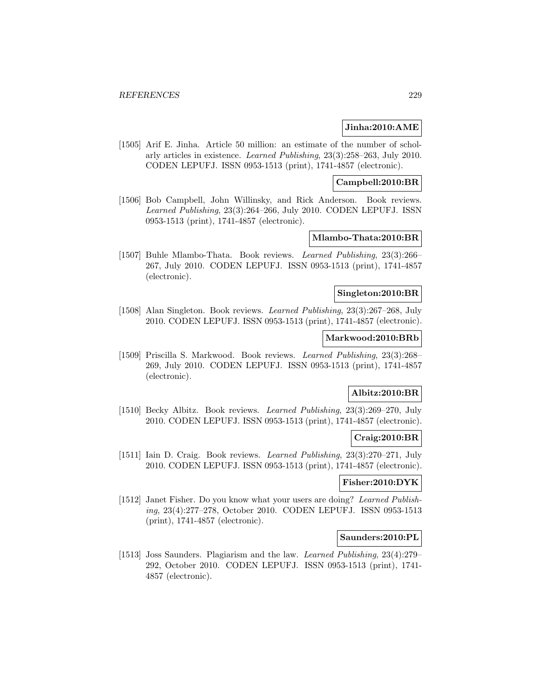#### **Jinha:2010:AME**

[1505] Arif E. Jinha. Article 50 million: an estimate of the number of scholarly articles in existence. Learned Publishing, 23(3):258–263, July 2010. CODEN LEPUFJ. ISSN 0953-1513 (print), 1741-4857 (electronic).

### **Campbell:2010:BR**

[1506] Bob Campbell, John Willinsky, and Rick Anderson. Book reviews. Learned Publishing, 23(3):264–266, July 2010. CODEN LEPUFJ. ISSN 0953-1513 (print), 1741-4857 (electronic).

### **Mlambo-Thata:2010:BR**

[1507] Buhle Mlambo-Thata. Book reviews. Learned Publishing, 23(3):266– 267, July 2010. CODEN LEPUFJ. ISSN 0953-1513 (print), 1741-4857 (electronic).

#### **Singleton:2010:BR**

[1508] Alan Singleton. Book reviews. Learned Publishing, 23(3):267–268, July 2010. CODEN LEPUFJ. ISSN 0953-1513 (print), 1741-4857 (electronic).

# **Markwood:2010:BRb**

[1509] Priscilla S. Markwood. Book reviews. Learned Publishing, 23(3):268– 269, July 2010. CODEN LEPUFJ. ISSN 0953-1513 (print), 1741-4857 (electronic).

## **Albitz:2010:BR**

[1510] Becky Albitz. Book reviews. Learned Publishing, 23(3):269–270, July 2010. CODEN LEPUFJ. ISSN 0953-1513 (print), 1741-4857 (electronic).

### **Craig:2010:BR**

[1511] Iain D. Craig. Book reviews. Learned Publishing, 23(3):270–271, July 2010. CODEN LEPUFJ. ISSN 0953-1513 (print), 1741-4857 (electronic).

#### **Fisher:2010:DYK**

[1512] Janet Fisher. Do you know what your users are doing? Learned Publishing, 23(4):277–278, October 2010. CODEN LEPUFJ. ISSN 0953-1513 (print), 1741-4857 (electronic).

### **Saunders:2010:PL**

[1513] Joss Saunders. Plagiarism and the law. Learned Publishing, 23(4):279– 292, October 2010. CODEN LEPUFJ. ISSN 0953-1513 (print), 1741- 4857 (electronic).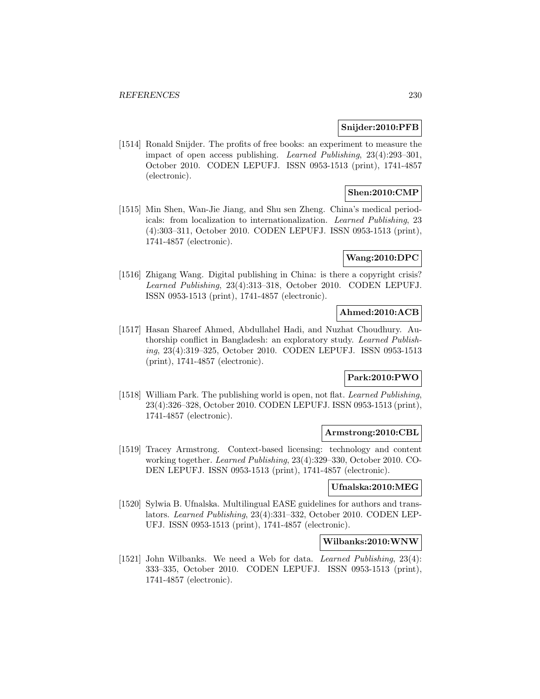### **Snijder:2010:PFB**

[1514] Ronald Snijder. The profits of free books: an experiment to measure the impact of open access publishing. Learned Publishing, 23(4):293–301, October 2010. CODEN LEPUFJ. ISSN 0953-1513 (print), 1741-4857 (electronic).

# **Shen:2010:CMP**

[1515] Min Shen, Wan-Jie Jiang, and Shu sen Zheng. China's medical periodicals: from localization to internationalization. Learned Publishing, 23 (4):303–311, October 2010. CODEN LEPUFJ. ISSN 0953-1513 (print), 1741-4857 (electronic).

## **Wang:2010:DPC**

[1516] Zhigang Wang. Digital publishing in China: is there a copyright crisis? Learned Publishing, 23(4):313–318, October 2010. CODEN LEPUFJ. ISSN 0953-1513 (print), 1741-4857 (electronic).

### **Ahmed:2010:ACB**

[1517] Hasan Shareef Ahmed, Abdullahel Hadi, and Nuzhat Choudhury. Authorship conflict in Bangladesh: an exploratory study. Learned Publishing, 23(4):319–325, October 2010. CODEN LEPUFJ. ISSN 0953-1513 (print), 1741-4857 (electronic).

# **Park:2010:PWO**

[1518] William Park. The publishing world is open, not flat. Learned Publishing, 23(4):326–328, October 2010. CODEN LEPUFJ. ISSN 0953-1513 (print), 1741-4857 (electronic).

### **Armstrong:2010:CBL**

[1519] Tracey Armstrong. Context-based licensing: technology and content working together. Learned Publishing, 23(4):329–330, October 2010. CO-DEN LEPUFJ. ISSN 0953-1513 (print), 1741-4857 (electronic).

#### **Ufnalska:2010:MEG**

[1520] Sylwia B. Ufnalska. Multilingual EASE guidelines for authors and translators. Learned Publishing, 23(4):331–332, October 2010. CODEN LEP-UFJ. ISSN 0953-1513 (print), 1741-4857 (electronic).

#### **Wilbanks:2010:WNW**

[1521] John Wilbanks. We need a Web for data. *Learned Publishing*, 23(4): 333–335, October 2010. CODEN LEPUFJ. ISSN 0953-1513 (print), 1741-4857 (electronic).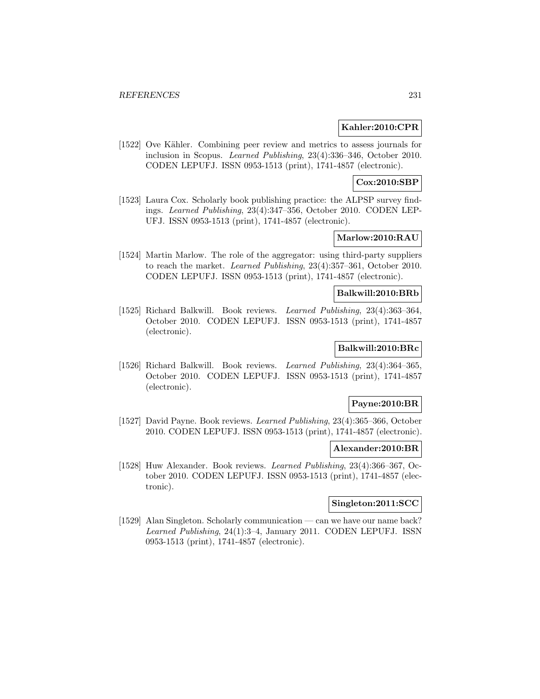#### **Kahler:2010:CPR**

[1522] Ove Kähler. Combining peer review and metrics to assess journals for inclusion in Scopus. Learned Publishing, 23(4):336–346, October 2010. CODEN LEPUFJ. ISSN 0953-1513 (print), 1741-4857 (electronic).

## **Cox:2010:SBP**

[1523] Laura Cox. Scholarly book publishing practice: the ALPSP survey findings. Learned Publishing, 23(4):347–356, October 2010. CODEN LEP-UFJ. ISSN 0953-1513 (print), 1741-4857 (electronic).

## **Marlow:2010:RAU**

[1524] Martin Marlow. The role of the aggregator: using third-party suppliers to reach the market. Learned Publishing, 23(4):357–361, October 2010. CODEN LEPUFJ. ISSN 0953-1513 (print), 1741-4857 (electronic).

#### **Balkwill:2010:BRb**

[1525] Richard Balkwill. Book reviews. Learned Publishing, 23(4):363–364, October 2010. CODEN LEPUFJ. ISSN 0953-1513 (print), 1741-4857 (electronic).

## **Balkwill:2010:BRc**

[1526] Richard Balkwill. Book reviews. Learned Publishing, 23(4):364–365, October 2010. CODEN LEPUFJ. ISSN 0953-1513 (print), 1741-4857 (electronic).

#### **Payne:2010:BR**

[1527] David Payne. Book reviews. Learned Publishing, 23(4):365–366, October 2010. CODEN LEPUFJ. ISSN 0953-1513 (print), 1741-4857 (electronic).

#### **Alexander:2010:BR**

[1528] Huw Alexander. Book reviews. Learned Publishing, 23(4):366–367, October 2010. CODEN LEPUFJ. ISSN 0953-1513 (print), 1741-4857 (electronic).

#### **Singleton:2011:SCC**

[1529] Alan Singleton. Scholarly communication — can we have our name back? Learned Publishing, 24(1):3–4, January 2011. CODEN LEPUFJ. ISSN 0953-1513 (print), 1741-4857 (electronic).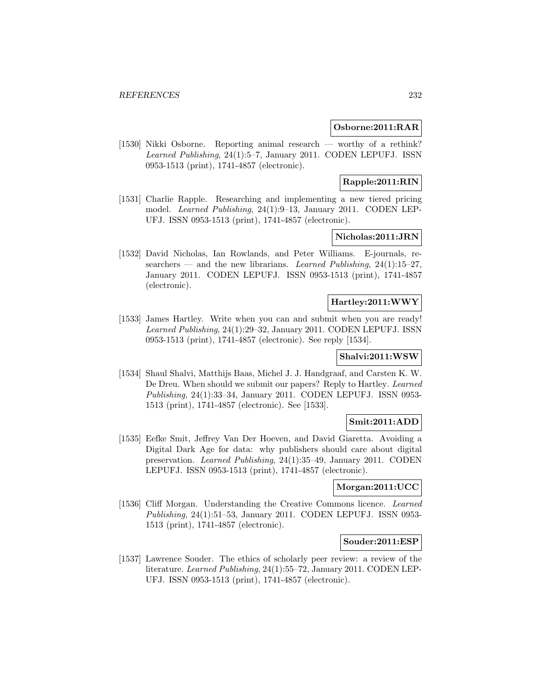### **Osborne:2011:RAR**

[1530] Nikki Osborne. Reporting animal research — worthy of a rethink? Learned Publishing, 24(1):5–7, January 2011. CODEN LEPUFJ. ISSN 0953-1513 (print), 1741-4857 (electronic).

# **Rapple:2011:RIN**

[1531] Charlie Rapple. Researching and implementing a new tiered pricing model. Learned Publishing, 24(1):9–13, January 2011. CODEN LEP-UFJ. ISSN 0953-1513 (print), 1741-4857 (electronic).

# **Nicholas:2011:JRN**

[1532] David Nicholas, Ian Rowlands, and Peter Williams. E-journals, researchers — and the new librarians. Learned Publishing,  $24(1):15-27$ , January 2011. CODEN LEPUFJ. ISSN 0953-1513 (print), 1741-4857 (electronic).

## **Hartley:2011:WWY**

[1533] James Hartley. Write when you can and submit when you are ready! Learned Publishing, 24(1):29–32, January 2011. CODEN LEPUFJ. ISSN 0953-1513 (print), 1741-4857 (electronic). See reply [1534].

### **Shalvi:2011:WSW**

[1534] Shaul Shalvi, Matthijs Baas, Michel J. J. Handgraaf, and Carsten K. W. De Dreu. When should we submit our papers? Reply to Hartley. Learned Publishing, 24(1):33–34, January 2011. CODEN LEPUFJ. ISSN 0953- 1513 (print), 1741-4857 (electronic). See [1533].

## **Smit:2011:ADD**

[1535] Eefke Smit, Jeffrey Van Der Hoeven, and David Giaretta. Avoiding a Digital Dark Age for data: why publishers should care about digital preservation. Learned Publishing, 24(1):35–49, January 2011. CODEN LEPUFJ. ISSN 0953-1513 (print), 1741-4857 (electronic).

### **Morgan:2011:UCC**

[1536] Cliff Morgan. Understanding the Creative Commons licence. Learned Publishing, 24(1):51–53, January 2011. CODEN LEPUFJ. ISSN 0953- 1513 (print), 1741-4857 (electronic).

### **Souder:2011:ESP**

[1537] Lawrence Souder. The ethics of scholarly peer review: a review of the literature. Learned Publishing, 24(1):55–72, January 2011. CODEN LEP-UFJ. ISSN 0953-1513 (print), 1741-4857 (electronic).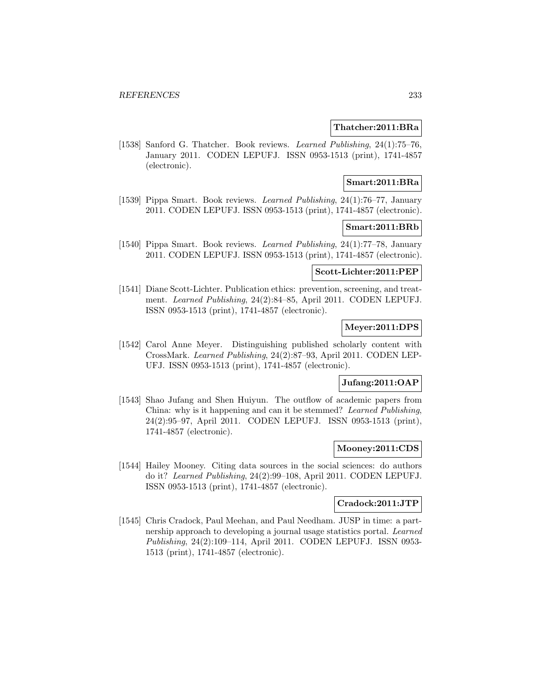### **Thatcher:2011:BRa**

[1538] Sanford G. Thatcher. Book reviews. Learned Publishing, 24(1):75-76, January 2011. CODEN LEPUFJ. ISSN 0953-1513 (print), 1741-4857 (electronic).

### **Smart:2011:BRa**

[1539] Pippa Smart. Book reviews. Learned Publishing, 24(1):76–77, January 2011. CODEN LEPUFJ. ISSN 0953-1513 (print), 1741-4857 (electronic).

#### **Smart:2011:BRb**

[1540] Pippa Smart. Book reviews. Learned Publishing, 24(1):77–78, January 2011. CODEN LEPUFJ. ISSN 0953-1513 (print), 1741-4857 (electronic).

#### **Scott-Lichter:2011:PEP**

[1541] Diane Scott-Lichter. Publication ethics: prevention, screening, and treatment. Learned Publishing, 24(2):84–85, April 2011. CODEN LEPUFJ. ISSN 0953-1513 (print), 1741-4857 (electronic).

## **Meyer:2011:DPS**

[1542] Carol Anne Meyer. Distinguishing published scholarly content with CrossMark. Learned Publishing, 24(2):87–93, April 2011. CODEN LEP-UFJ. ISSN 0953-1513 (print), 1741-4857 (electronic).

### **Jufang:2011:OAP**

[1543] Shao Jufang and Shen Huiyun. The outflow of academic papers from China: why is it happening and can it be stemmed? Learned Publishing, 24(2):95–97, April 2011. CODEN LEPUFJ. ISSN 0953-1513 (print), 1741-4857 (electronic).

#### **Mooney:2011:CDS**

[1544] Hailey Mooney. Citing data sources in the social sciences: do authors do it? Learned Publishing, 24(2):99–108, April 2011. CODEN LEPUFJ. ISSN 0953-1513 (print), 1741-4857 (electronic).

#### **Cradock:2011:JTP**

[1545] Chris Cradock, Paul Meehan, and Paul Needham. JUSP in time: a partnership approach to developing a journal usage statistics portal. Learned Publishing, 24(2):109–114, April 2011. CODEN LEPUFJ. ISSN 0953- 1513 (print), 1741-4857 (electronic).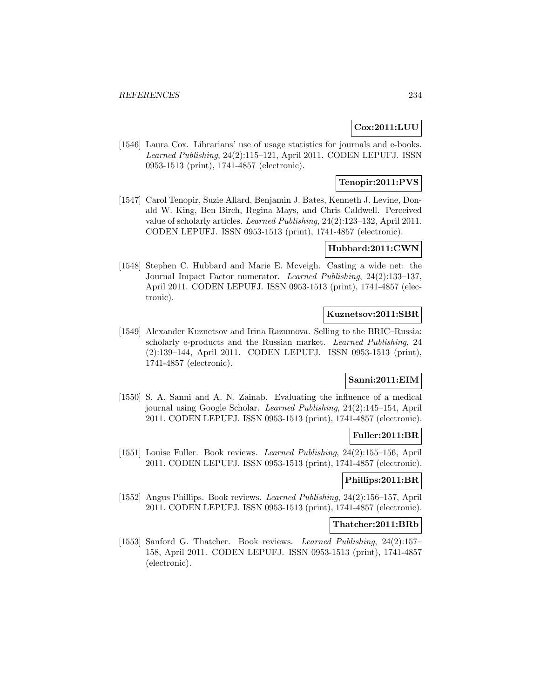# **Cox:2011:LUU**

[1546] Laura Cox. Librarians' use of usage statistics for journals and e-books. Learned Publishing, 24(2):115–121, April 2011. CODEN LEPUFJ. ISSN 0953-1513 (print), 1741-4857 (electronic).

## **Tenopir:2011:PVS**

[1547] Carol Tenopir, Suzie Allard, Benjamin J. Bates, Kenneth J. Levine, Donald W. King, Ben Birch, Regina Mays, and Chris Caldwell. Perceived value of scholarly articles. Learned Publishing, 24(2):123–132, April 2011. CODEN LEPUFJ. ISSN 0953-1513 (print), 1741-4857 (electronic).

### **Hubbard:2011:CWN**

[1548] Stephen C. Hubbard and Marie E. Mcveigh. Casting a wide net: the Journal Impact Factor numerator. Learned Publishing, 24(2):133–137, April 2011. CODEN LEPUFJ. ISSN 0953-1513 (print), 1741-4857 (electronic).

### **Kuznetsov:2011:SBR**

[1549] Alexander Kuznetsov and Irina Razumova. Selling to the BRIC–Russia: scholarly e-products and the Russian market. Learned Publishing, 24 (2):139–144, April 2011. CODEN LEPUFJ. ISSN 0953-1513 (print), 1741-4857 (electronic).

# **Sanni:2011:EIM**

[1550] S. A. Sanni and A. N. Zainab. Evaluating the influence of a medical journal using Google Scholar. Learned Publishing, 24(2):145–154, April 2011. CODEN LEPUFJ. ISSN 0953-1513 (print), 1741-4857 (electronic).

#### **Fuller:2011:BR**

[1551] Louise Fuller. Book reviews. Learned Publishing, 24(2):155–156, April 2011. CODEN LEPUFJ. ISSN 0953-1513 (print), 1741-4857 (electronic).

### **Phillips:2011:BR**

[1552] Angus Phillips. Book reviews. Learned Publishing, 24(2):156–157, April 2011. CODEN LEPUFJ. ISSN 0953-1513 (print), 1741-4857 (electronic).

### **Thatcher:2011:BRb**

[1553] Sanford G. Thatcher. Book reviews. Learned Publishing, 24(2):157– 158, April 2011. CODEN LEPUFJ. ISSN 0953-1513 (print), 1741-4857 (electronic).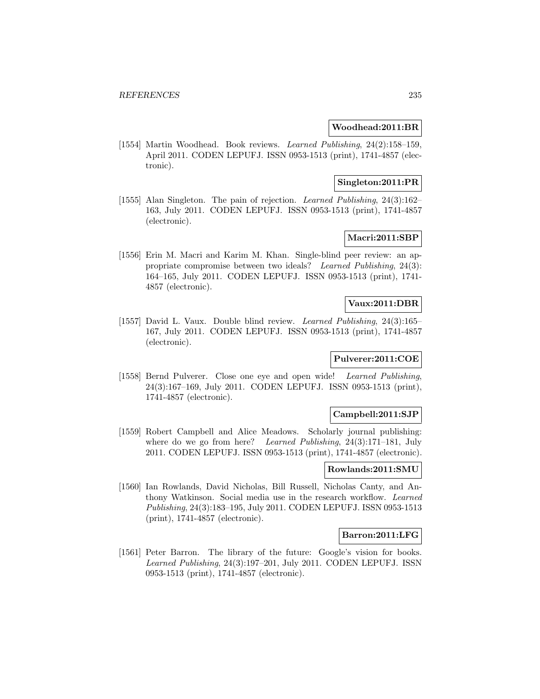#### **Woodhead:2011:BR**

[1554] Martin Woodhead. Book reviews. Learned Publishing, 24(2):158–159, April 2011. CODEN LEPUFJ. ISSN 0953-1513 (print), 1741-4857 (electronic).

## **Singleton:2011:PR**

[1555] Alan Singleton. The pain of rejection. Learned Publishing, 24(3):162– 163, July 2011. CODEN LEPUFJ. ISSN 0953-1513 (print), 1741-4857 (electronic).

## **Macri:2011:SBP**

[1556] Erin M. Macri and Karim M. Khan. Single-blind peer review: an appropriate compromise between two ideals? Learned Publishing, 24(3): 164–165, July 2011. CODEN LEPUFJ. ISSN 0953-1513 (print), 1741- 4857 (electronic).

## **Vaux:2011:DBR**

[1557] David L. Vaux. Double blind review. Learned Publishing, 24(3):165– 167, July 2011. CODEN LEPUFJ. ISSN 0953-1513 (print), 1741-4857 (electronic).

# **Pulverer:2011:COE**

[1558] Bernd Pulverer. Close one eye and open wide! Learned Publishing, 24(3):167–169, July 2011. CODEN LEPUFJ. ISSN 0953-1513 (print), 1741-4857 (electronic).

### **Campbell:2011:SJP**

[1559] Robert Campbell and Alice Meadows. Scholarly journal publishing: where do we go from here? Learned Publishing, 24(3):171-181, July 2011. CODEN LEPUFJ. ISSN 0953-1513 (print), 1741-4857 (electronic).

### **Rowlands:2011:SMU**

[1560] Ian Rowlands, David Nicholas, Bill Russell, Nicholas Canty, and Anthony Watkinson. Social media use in the research workflow. Learned Publishing, 24(3):183–195, July 2011. CODEN LEPUFJ. ISSN 0953-1513 (print), 1741-4857 (electronic).

### **Barron:2011:LFG**

[1561] Peter Barron. The library of the future: Google's vision for books. Learned Publishing, 24(3):197–201, July 2011. CODEN LEPUFJ. ISSN 0953-1513 (print), 1741-4857 (electronic).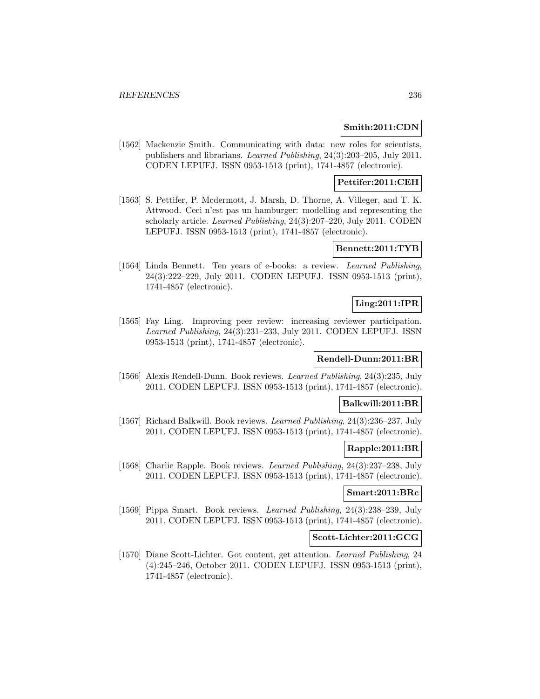#### **Smith:2011:CDN**

[1562] Mackenzie Smith. Communicating with data: new roles for scientists, publishers and librarians. Learned Publishing, 24(3):203–205, July 2011. CODEN LEPUFJ. ISSN 0953-1513 (print), 1741-4857 (electronic).

## **Pettifer:2011:CEH**

[1563] S. Pettifer, P. Mcdermott, J. Marsh, D. Thorne, A. Villeger, and T. K. Attwood. Ceci n'est pas un hamburger: modelling and representing the scholarly article. Learned Publishing, 24(3):207–220, July 2011. CODEN LEPUFJ. ISSN 0953-1513 (print), 1741-4857 (electronic).

#### **Bennett:2011:TYB**

[1564] Linda Bennett. Ten years of e-books: a review. Learned Publishing, 24(3):222–229, July 2011. CODEN LEPUFJ. ISSN 0953-1513 (print), 1741-4857 (electronic).

# **Ling:2011:IPR**

[1565] Fay Ling. Improving peer review: increasing reviewer participation. Learned Publishing, 24(3):231–233, July 2011. CODEN LEPUFJ. ISSN 0953-1513 (print), 1741-4857 (electronic).

### **Rendell-Dunn:2011:BR**

[1566] Alexis Rendell-Dunn. Book reviews. Learned Publishing, 24(3):235, July 2011. CODEN LEPUFJ. ISSN 0953-1513 (print), 1741-4857 (electronic).

### **Balkwill:2011:BR**

[1567] Richard Balkwill. Book reviews. Learned Publishing, 24(3):236–237, July 2011. CODEN LEPUFJ. ISSN 0953-1513 (print), 1741-4857 (electronic).

## **Rapple:2011:BR**

[1568] Charlie Rapple. Book reviews. Learned Publishing, 24(3):237–238, July 2011. CODEN LEPUFJ. ISSN 0953-1513 (print), 1741-4857 (electronic).

### **Smart:2011:BRc**

[1569] Pippa Smart. Book reviews. Learned Publishing, 24(3):238–239, July 2011. CODEN LEPUFJ. ISSN 0953-1513 (print), 1741-4857 (electronic).

## **Scott-Lichter:2011:GCG**

[1570] Diane Scott-Lichter. Got content, get attention. Learned Publishing, 24 (4):245–246, October 2011. CODEN LEPUFJ. ISSN 0953-1513 (print), 1741-4857 (electronic).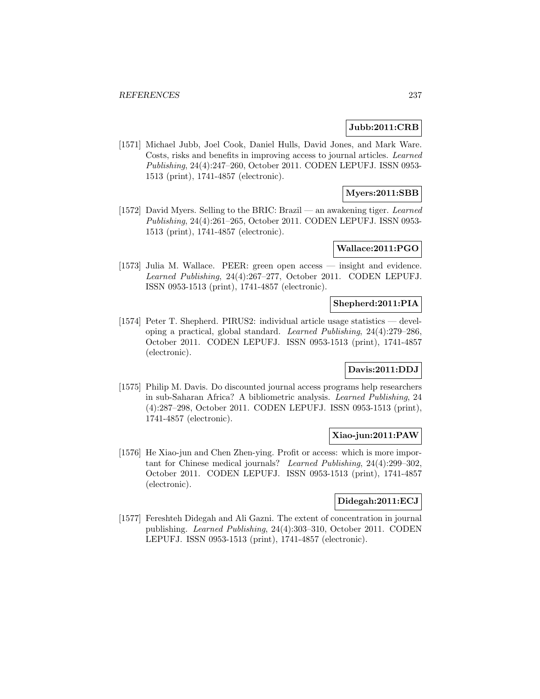### **Jubb:2011:CRB**

[1571] Michael Jubb, Joel Cook, Daniel Hulls, David Jones, and Mark Ware. Costs, risks and benefits in improving access to journal articles. Learned Publishing, 24(4):247–260, October 2011. CODEN LEPUFJ. ISSN 0953- 1513 (print), 1741-4857 (electronic).

# **Myers:2011:SBB**

[1572] David Myers. Selling to the BRIC: Brazil — an awakening tiger. Learned Publishing, 24(4):261–265, October 2011. CODEN LEPUFJ. ISSN 0953- 1513 (print), 1741-4857 (electronic).

### **Wallace:2011:PGO**

[1573] Julia M. Wallace. PEER: green open access — insight and evidence. Learned Publishing, 24(4):267–277, October 2011. CODEN LEPUFJ. ISSN 0953-1513 (print), 1741-4857 (electronic).

# **Shepherd:2011:PIA**

[1574] Peter T. Shepherd. PIRUS2: individual article usage statistics — developing a practical, global standard. Learned Publishing, 24(4):279–286, October 2011. CODEN LEPUFJ. ISSN 0953-1513 (print), 1741-4857 (electronic).

## **Davis:2011:DDJ**

[1575] Philip M. Davis. Do discounted journal access programs help researchers in sub-Saharan Africa? A bibliometric analysis. Learned Publishing, 24 (4):287–298, October 2011. CODEN LEPUFJ. ISSN 0953-1513 (print), 1741-4857 (electronic).

### **Xiao-jun:2011:PAW**

[1576] He Xiao-jun and Chen Zhen-ying. Profit or access: which is more important for Chinese medical journals? Learned Publishing, 24(4):299–302, October 2011. CODEN LEPUFJ. ISSN 0953-1513 (print), 1741-4857 (electronic).

### **Didegah:2011:ECJ**

[1577] Fereshteh Didegah and Ali Gazni. The extent of concentration in journal publishing. Learned Publishing, 24(4):303–310, October 2011. CODEN LEPUFJ. ISSN 0953-1513 (print), 1741-4857 (electronic).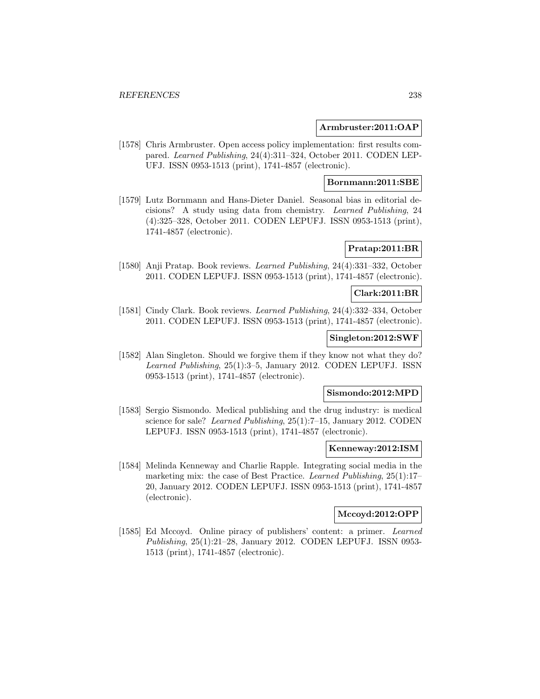### **Armbruster:2011:OAP**

[1578] Chris Armbruster. Open access policy implementation: first results compared. Learned Publishing, 24(4):311–324, October 2011. CODEN LEP-UFJ. ISSN 0953-1513 (print), 1741-4857 (electronic).

## **Bornmann:2011:SBE**

[1579] Lutz Bornmann and Hans-Dieter Daniel. Seasonal bias in editorial decisions? A study using data from chemistry. Learned Publishing, 24 (4):325–328, October 2011. CODEN LEPUFJ. ISSN 0953-1513 (print), 1741-4857 (electronic).

### **Pratap:2011:BR**

[1580] Anji Pratap. Book reviews. Learned Publishing, 24(4):331–332, October 2011. CODEN LEPUFJ. ISSN 0953-1513 (print), 1741-4857 (electronic).

#### **Clark:2011:BR**

[1581] Cindy Clark. Book reviews. Learned Publishing, 24(4):332–334, October 2011. CODEN LEPUFJ. ISSN 0953-1513 (print), 1741-4857 (electronic).

### **Singleton:2012:SWF**

[1582] Alan Singleton. Should we forgive them if they know not what they do? Learned Publishing, 25(1):3–5, January 2012. CODEN LEPUFJ. ISSN 0953-1513 (print), 1741-4857 (electronic).

### **Sismondo:2012:MPD**

[1583] Sergio Sismondo. Medical publishing and the drug industry: is medical science for sale? Learned Publishing, 25(1):7–15, January 2012. CODEN LEPUFJ. ISSN 0953-1513 (print), 1741-4857 (electronic).

#### **Kenneway:2012:ISM**

[1584] Melinda Kenneway and Charlie Rapple. Integrating social media in the marketing mix: the case of Best Practice. Learned Publishing, 25(1):17-20, January 2012. CODEN LEPUFJ. ISSN 0953-1513 (print), 1741-4857 (electronic).

### **Mccoyd:2012:OPP**

[1585] Ed Mccoyd. Online piracy of publishers' content: a primer. Learned Publishing, 25(1):21–28, January 2012. CODEN LEPUFJ. ISSN 0953- 1513 (print), 1741-4857 (electronic).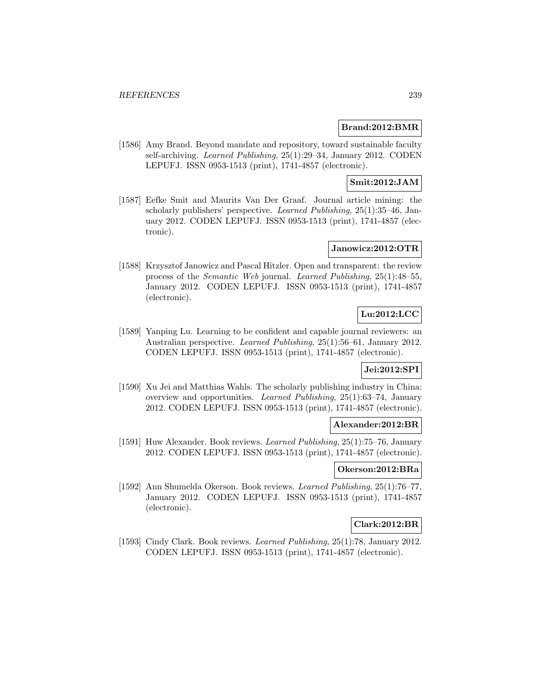### **Brand:2012:BMR**

[1586] Amy Brand. Beyond mandate and repository, toward sustainable faculty self-archiving. Learned Publishing, 25(1):29–34, January 2012. CODEN LEPUFJ. ISSN 0953-1513 (print), 1741-4857 (electronic).

## **Smit:2012:JAM**

[1587] Eefke Smit and Maurits Van Der Graaf. Journal article mining: the scholarly publishers' perspective. Learned Publishing, 25(1):35–46, January 2012. CODEN LEPUFJ. ISSN 0953-1513 (print), 1741-4857 (electronic).

## **Janowicz:2012:OTR**

[1588] Krzysztof Janowicz and Pascal Hitzler. Open and transparent: the review process of the Semantic Web journal. Learned Publishing, 25(1):48–55, January 2012. CODEN LEPUFJ. ISSN 0953-1513 (print), 1741-4857 (electronic).

## **Lu:2012:LCC**

[1589] Yanping Lu. Learning to be confident and capable journal reviewers: an Australian perspective. Learned Publishing, 25(1):56–61, January 2012. CODEN LEPUFJ. ISSN 0953-1513 (print), 1741-4857 (electronic).

### **Jei:2012:SPI**

[1590] Xu Jei and Matthias Wahls. The scholarly publishing industry in China: overview and opportunities. Learned Publishing, 25(1):63–74, January 2012. CODEN LEPUFJ. ISSN 0953-1513 (print), 1741-4857 (electronic).

### **Alexander:2012:BR**

[1591] Huw Alexander. Book reviews. Learned Publishing, 25(1):75–76, January 2012. CODEN LEPUFJ. ISSN 0953-1513 (print), 1741-4857 (electronic).

### **Okerson:2012:BRa**

[1592] Ann Shumelda Okerson. Book reviews. Learned Publishing, 25(1):76–77, January 2012. CODEN LEPUFJ. ISSN 0953-1513 (print), 1741-4857 (electronic).

## **Clark:2012:BR**

[1593] Cindy Clark. Book reviews. Learned Publishing, 25(1):78, January 2012. CODEN LEPUFJ. ISSN 0953-1513 (print), 1741-4857 (electronic).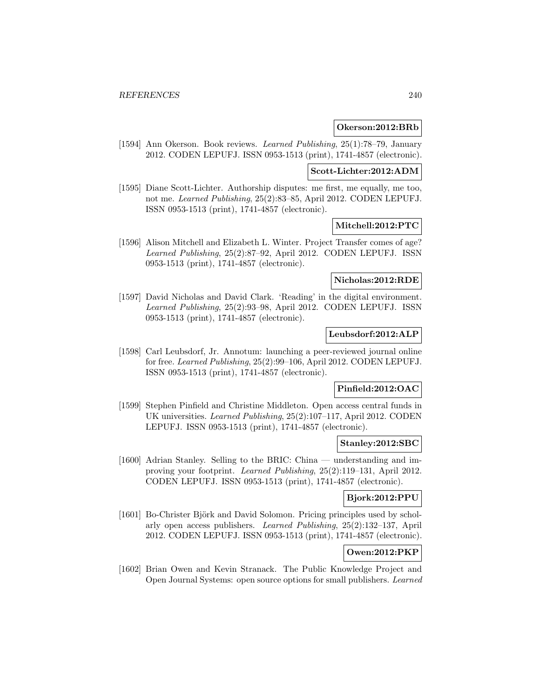#### **Okerson:2012:BRb**

[1594] Ann Okerson. Book reviews. Learned Publishing, 25(1):78–79, January 2012. CODEN LEPUFJ. ISSN 0953-1513 (print), 1741-4857 (electronic).

#### **Scott-Lichter:2012:ADM**

[1595] Diane Scott-Lichter. Authorship disputes: me first, me equally, me too, not me. Learned Publishing, 25(2):83–85, April 2012. CODEN LEPUFJ. ISSN 0953-1513 (print), 1741-4857 (electronic).

### **Mitchell:2012:PTC**

[1596] Alison Mitchell and Elizabeth L. Winter. Project Transfer comes of age? Learned Publishing, 25(2):87–92, April 2012. CODEN LEPUFJ. ISSN 0953-1513 (print), 1741-4857 (electronic).

## **Nicholas:2012:RDE**

[1597] David Nicholas and David Clark. 'Reading' in the digital environment. Learned Publishing, 25(2):93–98, April 2012. CODEN LEPUFJ. ISSN 0953-1513 (print), 1741-4857 (electronic).

### **Leubsdorf:2012:ALP**

[1598] Carl Leubsdorf, Jr. Annotum: launching a peer-reviewed journal online for free. Learned Publishing, 25(2):99–106, April 2012. CODEN LEPUFJ. ISSN 0953-1513 (print), 1741-4857 (electronic).

#### **Pinfield:2012:OAC**

[1599] Stephen Pinfield and Christine Middleton. Open access central funds in UK universities. Learned Publishing, 25(2):107–117, April 2012. CODEN LEPUFJ. ISSN 0953-1513 (print), 1741-4857 (electronic).

### **Stanley:2012:SBC**

[1600] Adrian Stanley. Selling to the BRIC: China — understanding and improving your footprint. Learned Publishing, 25(2):119–131, April 2012. CODEN LEPUFJ. ISSN 0953-1513 (print), 1741-4857 (electronic).

## **Bjork:2012:PPU**

[1601] Bo-Christer Björk and David Solomon. Pricing principles used by scholarly open access publishers. Learned Publishing, 25(2):132–137, April 2012. CODEN LEPUFJ. ISSN 0953-1513 (print), 1741-4857 (electronic).

## **Owen:2012:PKP**

[1602] Brian Owen and Kevin Stranack. The Public Knowledge Project and Open Journal Systems: open source options for small publishers. Learned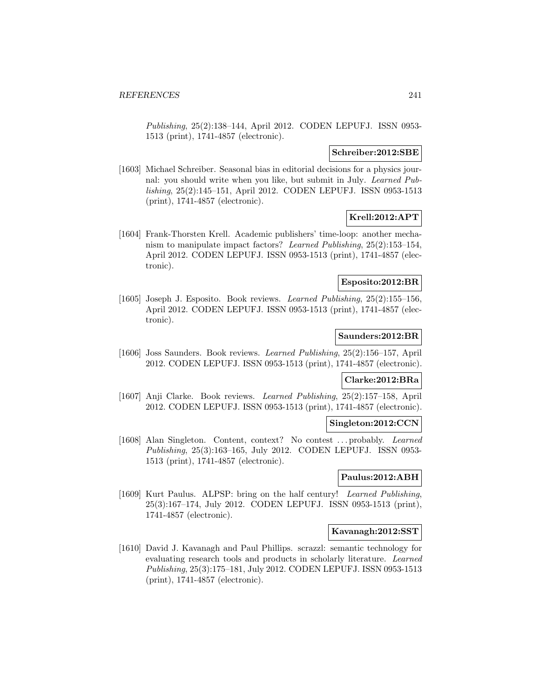Publishing, 25(2):138–144, April 2012. CODEN LEPUFJ. ISSN 0953- 1513 (print), 1741-4857 (electronic).

#### **Schreiber:2012:SBE**

[1603] Michael Schreiber. Seasonal bias in editorial decisions for a physics journal: you should write when you like, but submit in July. Learned Publishing, 25(2):145–151, April 2012. CODEN LEPUFJ. ISSN 0953-1513 (print), 1741-4857 (electronic).

# **Krell:2012:APT**

[1604] Frank-Thorsten Krell. Academic publishers' time-loop: another mechanism to manipulate impact factors? Learned Publishing, 25(2):153–154, April 2012. CODEN LEPUFJ. ISSN 0953-1513 (print), 1741-4857 (electronic).

## **Esposito:2012:BR**

[1605] Joseph J. Esposito. Book reviews. Learned Publishing, 25(2):155–156, April 2012. CODEN LEPUFJ. ISSN 0953-1513 (print), 1741-4857 (electronic).

## **Saunders:2012:BR**

[1606] Joss Saunders. Book reviews. Learned Publishing, 25(2):156–157, April 2012. CODEN LEPUFJ. ISSN 0953-1513 (print), 1741-4857 (electronic).

## **Clarke:2012:BRa**

[1607] Anji Clarke. Book reviews. Learned Publishing, 25(2):157–158, April 2012. CODEN LEPUFJ. ISSN 0953-1513 (print), 1741-4857 (electronic).

#### **Singleton:2012:CCN**

[1608] Alan Singleton. Content, context? No contest ... probably. Learned Publishing, 25(3):163–165, July 2012. CODEN LEPUFJ. ISSN 0953- 1513 (print), 1741-4857 (electronic).

#### **Paulus:2012:ABH**

[1609] Kurt Paulus. ALPSP: bring on the half century! Learned Publishing, 25(3):167–174, July 2012. CODEN LEPUFJ. ISSN 0953-1513 (print), 1741-4857 (electronic).

#### **Kavanagh:2012:SST**

[1610] David J. Kavanagh and Paul Phillips. scrazzl: semantic technology for evaluating research tools and products in scholarly literature. Learned Publishing, 25(3):175–181, July 2012. CODEN LEPUFJ. ISSN 0953-1513 (print), 1741-4857 (electronic).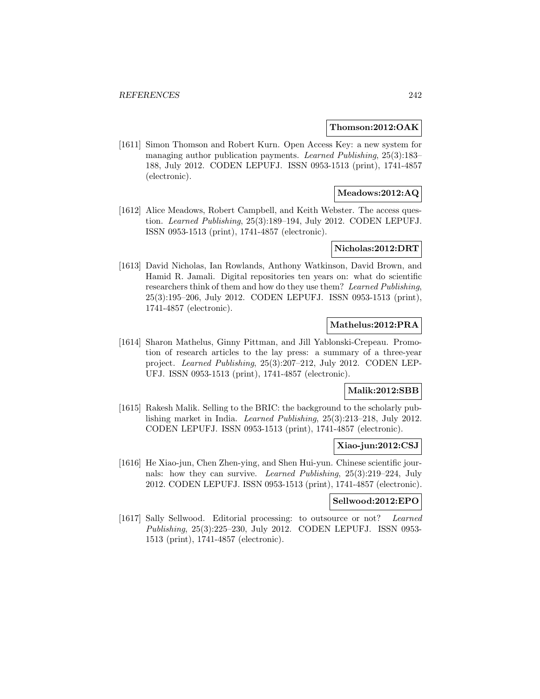#### **Thomson:2012:OAK**

[1611] Simon Thomson and Robert Kurn. Open Access Key: a new system for managing author publication payments. Learned Publishing, 25(3):183– 188, July 2012. CODEN LEPUFJ. ISSN 0953-1513 (print), 1741-4857 (electronic).

## **Meadows:2012:AQ**

[1612] Alice Meadows, Robert Campbell, and Keith Webster. The access question. Learned Publishing, 25(3):189–194, July 2012. CODEN LEPUFJ. ISSN 0953-1513 (print), 1741-4857 (electronic).

#### **Nicholas:2012:DRT**

[1613] David Nicholas, Ian Rowlands, Anthony Watkinson, David Brown, and Hamid R. Jamali. Digital repositories ten years on: what do scientific researchers think of them and how do they use them? Learned Publishing, 25(3):195–206, July 2012. CODEN LEPUFJ. ISSN 0953-1513 (print), 1741-4857 (electronic).

## **Mathelus:2012:PRA**

[1614] Sharon Mathelus, Ginny Pittman, and Jill Yablonski-Crepeau. Promotion of research articles to the lay press: a summary of a three-year project. Learned Publishing, 25(3):207–212, July 2012. CODEN LEP-UFJ. ISSN 0953-1513 (print), 1741-4857 (electronic).

### **Malik:2012:SBB**

[1615] Rakesh Malik. Selling to the BRIC: the background to the scholarly publishing market in India. Learned Publishing, 25(3):213–218, July 2012. CODEN LEPUFJ. ISSN 0953-1513 (print), 1741-4857 (electronic).

### **Xiao-jun:2012:CSJ**

[1616] He Xiao-jun, Chen Zhen-ying, and Shen Hui-yun. Chinese scientific journals: how they can survive. Learned Publishing, 25(3):219–224, July 2012. CODEN LEPUFJ. ISSN 0953-1513 (print), 1741-4857 (electronic).

#### **Sellwood:2012:EPO**

[1617] Sally Sellwood. Editorial processing: to outsource or not? Learned Publishing, 25(3):225–230, July 2012. CODEN LEPUFJ. ISSN 0953- 1513 (print), 1741-4857 (electronic).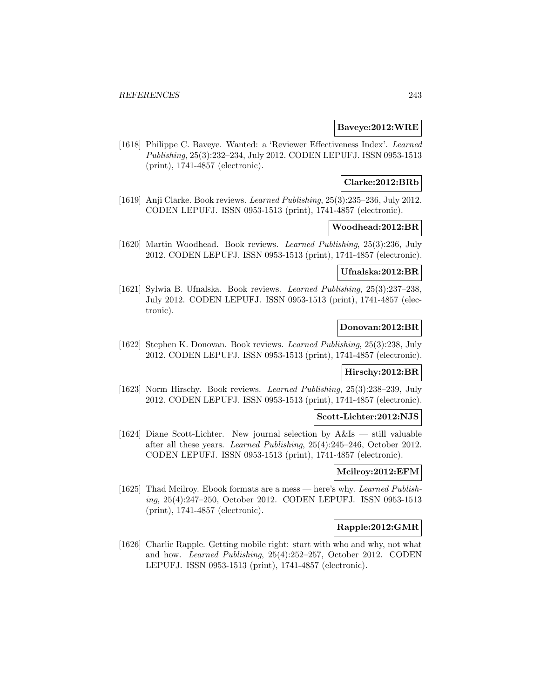#### **Baveye:2012:WRE**

[1618] Philippe C. Baveye. Wanted: a 'Reviewer Effectiveness Index'. Learned Publishing, 25(3):232–234, July 2012. CODEN LEPUFJ. ISSN 0953-1513 (print), 1741-4857 (electronic).

### **Clarke:2012:BRb**

[1619] Anji Clarke. Book reviews. Learned Publishing, 25(3):235–236, July 2012. CODEN LEPUFJ. ISSN 0953-1513 (print), 1741-4857 (electronic).

#### **Woodhead:2012:BR**

[1620] Martin Woodhead. Book reviews. Learned Publishing, 25(3):236, July 2012. CODEN LEPUFJ. ISSN 0953-1513 (print), 1741-4857 (electronic).

#### **Ufnalska:2012:BR**

[1621] Sylwia B. Ufnalska. Book reviews. Learned Publishing, 25(3):237–238, July 2012. CODEN LEPUFJ. ISSN 0953-1513 (print), 1741-4857 (electronic).

#### **Donovan:2012:BR**

[1622] Stephen K. Donovan. Book reviews. Learned Publishing, 25(3):238, July 2012. CODEN LEPUFJ. ISSN 0953-1513 (print), 1741-4857 (electronic).

### **Hirschy:2012:BR**

[1623] Norm Hirschy. Book reviews. Learned Publishing, 25(3):238–239, July 2012. CODEN LEPUFJ. ISSN 0953-1513 (print), 1741-4857 (electronic).

#### **Scott-Lichter:2012:NJS**

[1624] Diane Scott-Lichter. New journal selection by A&Is — still valuable after all these years. Learned Publishing, 25(4):245–246, October 2012. CODEN LEPUFJ. ISSN 0953-1513 (print), 1741-4857 (electronic).

### **Mcilroy:2012:EFM**

[1625] Thad Mcilroy. Ebook formats are a mess — here's why. Learned Publishing, 25(4):247–250, October 2012. CODEN LEPUFJ. ISSN 0953-1513 (print), 1741-4857 (electronic).

#### **Rapple:2012:GMR**

[1626] Charlie Rapple. Getting mobile right: start with who and why, not what and how. Learned Publishing, 25(4):252–257, October 2012. CODEN LEPUFJ. ISSN 0953-1513 (print), 1741-4857 (electronic).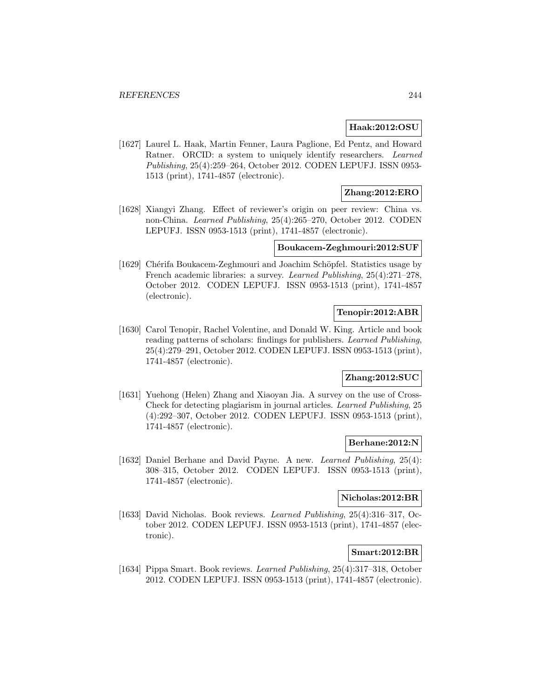### **Haak:2012:OSU**

[1627] Laurel L. Haak, Martin Fenner, Laura Paglione, Ed Pentz, and Howard Ratner. ORCID: a system to uniquely identify researchers. Learned Publishing, 25(4):259–264, October 2012. CODEN LEPUFJ. ISSN 0953- 1513 (print), 1741-4857 (electronic).

## **Zhang:2012:ERO**

[1628] Xiangyi Zhang. Effect of reviewer's origin on peer review: China vs. non-China. Learned Publishing, 25(4):265–270, October 2012. CODEN LEPUFJ. ISSN 0953-1513 (print), 1741-4857 (electronic).

## **Boukacem-Zeghmouri:2012:SUF**

[1629] Chérifa Boukacem-Zeghmouri and Joachim Schöpfel. Statistics usage by French academic libraries: a survey. Learned Publishing, 25(4):271–278, October 2012. CODEN LEPUFJ. ISSN 0953-1513 (print), 1741-4857 (electronic).

## **Tenopir:2012:ABR**

[1630] Carol Tenopir, Rachel Volentine, and Donald W. King. Article and book reading patterns of scholars: findings for publishers. Learned Publishing, 25(4):279–291, October 2012. CODEN LEPUFJ. ISSN 0953-1513 (print), 1741-4857 (electronic).

## **Zhang:2012:SUC**

[1631] Yuehong (Helen) Zhang and Xiaoyan Jia. A survey on the use of Cross-Check for detecting plagiarism in journal articles. Learned Publishing, 25 (4):292–307, October 2012. CODEN LEPUFJ. ISSN 0953-1513 (print), 1741-4857 (electronic).

### **Berhane:2012:N**

[1632] Daniel Berhane and David Payne. A new. Learned Publishing, 25(4): 308–315, October 2012. CODEN LEPUFJ. ISSN 0953-1513 (print), 1741-4857 (electronic).

## **Nicholas:2012:BR**

[1633] David Nicholas. Book reviews. Learned Publishing, 25(4):316–317, October 2012. CODEN LEPUFJ. ISSN 0953-1513 (print), 1741-4857 (electronic).

# **Smart:2012:BR**

[1634] Pippa Smart. Book reviews. Learned Publishing, 25(4):317–318, October 2012. CODEN LEPUFJ. ISSN 0953-1513 (print), 1741-4857 (electronic).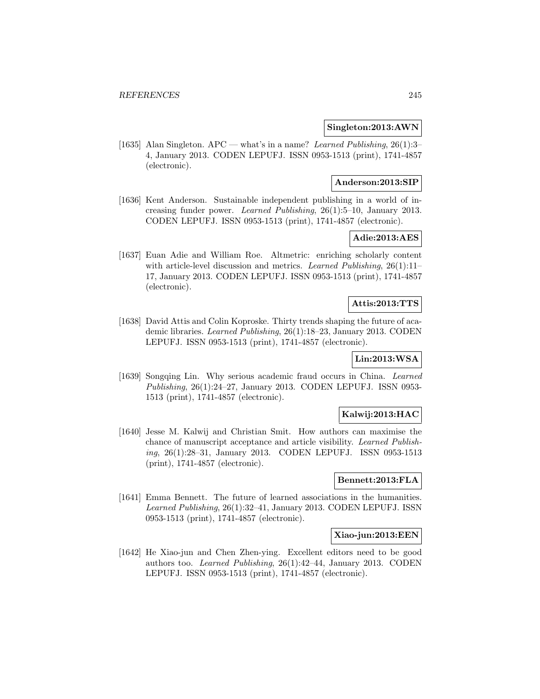#### **Singleton:2013:AWN**

[1635] Alan Singleton. APC — what's in a name? Learned Publishing, 26(1):3– 4, January 2013. CODEN LEPUFJ. ISSN 0953-1513 (print), 1741-4857 (electronic).

## **Anderson:2013:SIP**

[1636] Kent Anderson. Sustainable independent publishing in a world of increasing funder power. Learned Publishing, 26(1):5–10, January 2013. CODEN LEPUFJ. ISSN 0953-1513 (print), 1741-4857 (electronic).

## **Adie:2013:AES**

[1637] Euan Adie and William Roe. Altmetric: enriching scholarly content with article-level discussion and metrics. Learned Publishing, 26(1):11-17, January 2013. CODEN LEPUFJ. ISSN 0953-1513 (print), 1741-4857 (electronic).

## **Attis:2013:TTS**

[1638] David Attis and Colin Koproske. Thirty trends shaping the future of academic libraries. Learned Publishing, 26(1):18–23, January 2013. CODEN LEPUFJ. ISSN 0953-1513 (print), 1741-4857 (electronic).

# **Lin:2013:WSA**

[1639] Songqing Lin. Why serious academic fraud occurs in China. Learned Publishing, 26(1):24–27, January 2013. CODEN LEPUFJ. ISSN 0953- 1513 (print), 1741-4857 (electronic).

## **Kalwij:2013:HAC**

[1640] Jesse M. Kalwij and Christian Smit. How authors can maximise the chance of manuscript acceptance and article visibility. Learned Publishing, 26(1):28–31, January 2013. CODEN LEPUFJ. ISSN 0953-1513 (print), 1741-4857 (electronic).

### **Bennett:2013:FLA**

[1641] Emma Bennett. The future of learned associations in the humanities. Learned Publishing, 26(1):32–41, January 2013. CODEN LEPUFJ. ISSN 0953-1513 (print), 1741-4857 (electronic).

#### **Xiao-jun:2013:EEN**

[1642] He Xiao-jun and Chen Zhen-ying. Excellent editors need to be good authors too. Learned Publishing, 26(1):42–44, January 2013. CODEN LEPUFJ. ISSN 0953-1513 (print), 1741-4857 (electronic).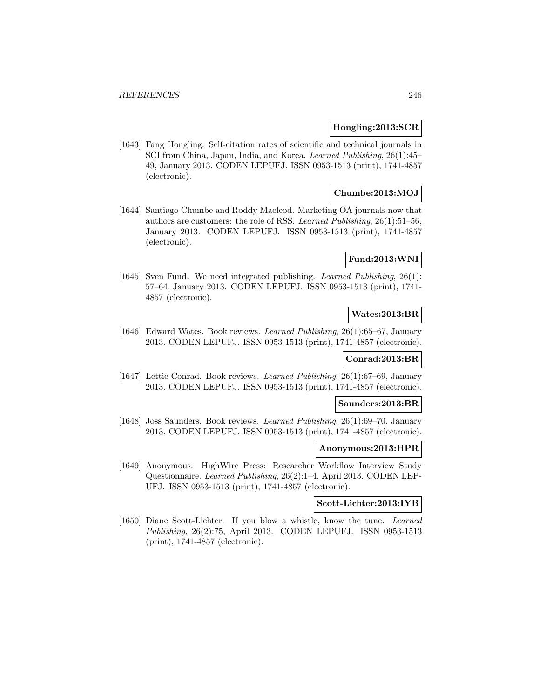#### **Hongling:2013:SCR**

[1643] Fang Hongling. Self-citation rates of scientific and technical journals in SCI from China, Japan, India, and Korea. Learned Publishing, 26(1):45– 49, January 2013. CODEN LEPUFJ. ISSN 0953-1513 (print), 1741-4857 (electronic).

## **Chumbe:2013:MOJ**

[1644] Santiago Chumbe and Roddy Macleod. Marketing OA journals now that authors are customers: the role of RSS. Learned Publishing,  $26(1):51-56$ , January 2013. CODEN LEPUFJ. ISSN 0953-1513 (print), 1741-4857 (electronic).

### **Fund:2013:WNI**

[1645] Sven Fund. We need integrated publishing. *Learned Publishing*, 26(1): 57–64, January 2013. CODEN LEPUFJ. ISSN 0953-1513 (print), 1741- 4857 (electronic).

## **Wates:2013:BR**

[1646] Edward Wates. Book reviews. Learned Publishing, 26(1):65–67, January 2013. CODEN LEPUFJ. ISSN 0953-1513 (print), 1741-4857 (electronic).

#### **Conrad:2013:BR**

[1647] Lettie Conrad. Book reviews. Learned Publishing, 26(1):67–69, January 2013. CODEN LEPUFJ. ISSN 0953-1513 (print), 1741-4857 (electronic).

#### **Saunders:2013:BR**

[1648] Joss Saunders. Book reviews. Learned Publishing, 26(1):69–70, January 2013. CODEN LEPUFJ. ISSN 0953-1513 (print), 1741-4857 (electronic).

#### **Anonymous:2013:HPR**

[1649] Anonymous. HighWire Press: Researcher Workflow Interview Study Questionnaire. Learned Publishing, 26(2):1–4, April 2013. CODEN LEP-UFJ. ISSN 0953-1513 (print), 1741-4857 (electronic).

## **Scott-Lichter:2013:IYB**

[1650] Diane Scott-Lichter. If you blow a whistle, know the tune. Learned Publishing, 26(2):75, April 2013. CODEN LEPUFJ. ISSN 0953-1513 (print), 1741-4857 (electronic).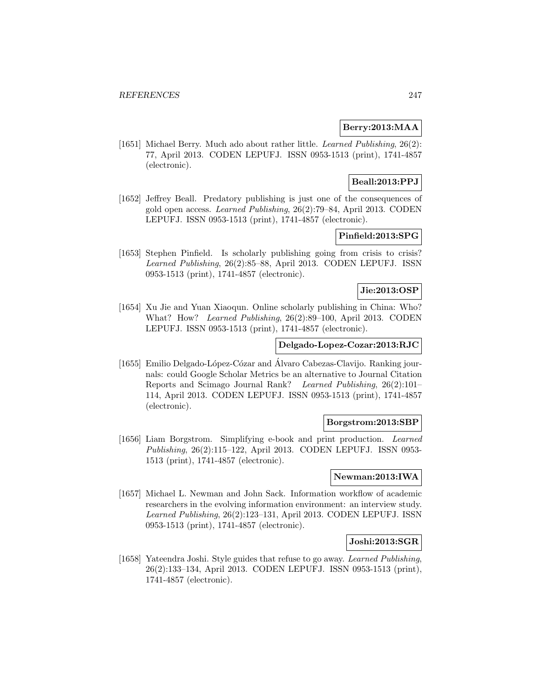### **Berry:2013:MAA**

[1651] Michael Berry. Much ado about rather little. Learned Publishing, 26(2): 77, April 2013. CODEN LEPUFJ. ISSN 0953-1513 (print), 1741-4857 (electronic).

# **Beall:2013:PPJ**

[1652] Jeffrey Beall. Predatory publishing is just one of the consequences of gold open access. Learned Publishing, 26(2):79–84, April 2013. CODEN LEPUFJ. ISSN 0953-1513 (print), 1741-4857 (electronic).

# **Pinfield:2013:SPG**

[1653] Stephen Pinfield. Is scholarly publishing going from crisis to crisis? Learned Publishing, 26(2):85–88, April 2013. CODEN LEPUFJ. ISSN 0953-1513 (print), 1741-4857 (electronic).

# **Jie:2013:OSP**

[1654] Xu Jie and Yuan Xiaoqun. Online scholarly publishing in China: Who? What? How? Learned Publishing, 26(2):89–100, April 2013. CODEN LEPUFJ. ISSN 0953-1513 (print), 1741-4857 (electronic).

### **Delgado-Lopez-Cozar:2013:RJC**

[1655] Emilio Delgado-López-Cózar and Álvaro Cabezas-Clavijo. Ranking journals: could Google Scholar Metrics be an alternative to Journal Citation Reports and Scimago Journal Rank? Learned Publishing, 26(2):101– 114, April 2013. CODEN LEPUFJ. ISSN 0953-1513 (print), 1741-4857 (electronic).

#### **Borgstrom:2013:SBP**

[1656] Liam Borgstrom. Simplifying e-book and print production. Learned Publishing, 26(2):115–122, April 2013. CODEN LEPUFJ. ISSN 0953- 1513 (print), 1741-4857 (electronic).

#### **Newman:2013:IWA**

[1657] Michael L. Newman and John Sack. Information workflow of academic researchers in the evolving information environment: an interview study. Learned Publishing, 26(2):123–131, April 2013. CODEN LEPUFJ. ISSN 0953-1513 (print), 1741-4857 (electronic).

#### **Joshi:2013:SGR**

[1658] Yateendra Joshi. Style guides that refuse to go away. Learned Publishing, 26(2):133–134, April 2013. CODEN LEPUFJ. ISSN 0953-1513 (print), 1741-4857 (electronic).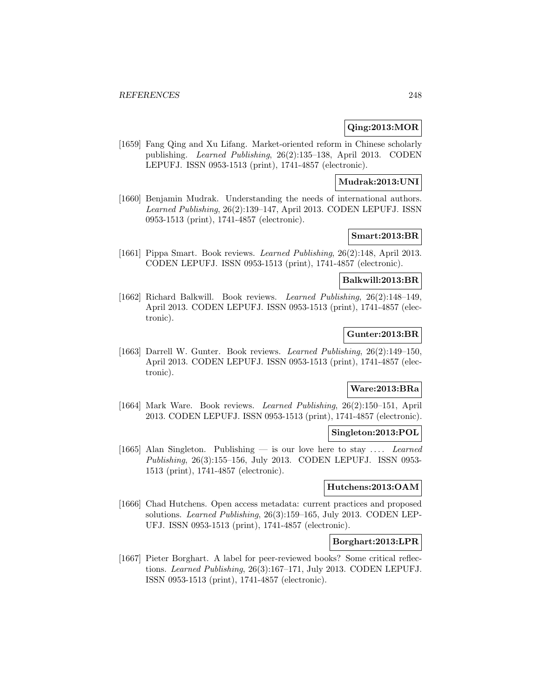## **Qing:2013:MOR**

[1659] Fang Qing and Xu Lifang. Market-oriented reform in Chinese scholarly publishing. Learned Publishing, 26(2):135–138, April 2013. CODEN LEPUFJ. ISSN 0953-1513 (print), 1741-4857 (electronic).

## **Mudrak:2013:UNI**

[1660] Benjamin Mudrak. Understanding the needs of international authors. Learned Publishing, 26(2):139–147, April 2013. CODEN LEPUFJ. ISSN 0953-1513 (print), 1741-4857 (electronic).

## **Smart:2013:BR**

[1661] Pippa Smart. Book reviews. Learned Publishing, 26(2):148, April 2013. CODEN LEPUFJ. ISSN 0953-1513 (print), 1741-4857 (electronic).

### **Balkwill:2013:BR**

[1662] Richard Balkwill. Book reviews. Learned Publishing, 26(2):148–149, April 2013. CODEN LEPUFJ. ISSN 0953-1513 (print), 1741-4857 (electronic).

## **Gunter:2013:BR**

[1663] Darrell W. Gunter. Book reviews. Learned Publishing, 26(2):149–150, April 2013. CODEN LEPUFJ. ISSN 0953-1513 (print), 1741-4857 (electronic).

### **Ware:2013:BRa**

[1664] Mark Ware. Book reviews. Learned Publishing, 26(2):150–151, April 2013. CODEN LEPUFJ. ISSN 0953-1513 (print), 1741-4857 (electronic).

#### **Singleton:2013:POL**

[1665] Alan Singleton. Publishing — is our love here to stay  $\dots$  Learned Publishing, 26(3):155–156, July 2013. CODEN LEPUFJ. ISSN 0953- 1513 (print), 1741-4857 (electronic).

### **Hutchens:2013:OAM**

[1666] Chad Hutchens. Open access metadata: current practices and proposed solutions. Learned Publishing, 26(3):159–165, July 2013. CODEN LEP-UFJ. ISSN 0953-1513 (print), 1741-4857 (electronic).

#### **Borghart:2013:LPR**

[1667] Pieter Borghart. A label for peer-reviewed books? Some critical reflections. Learned Publishing, 26(3):167–171, July 2013. CODEN LEPUFJ. ISSN 0953-1513 (print), 1741-4857 (electronic).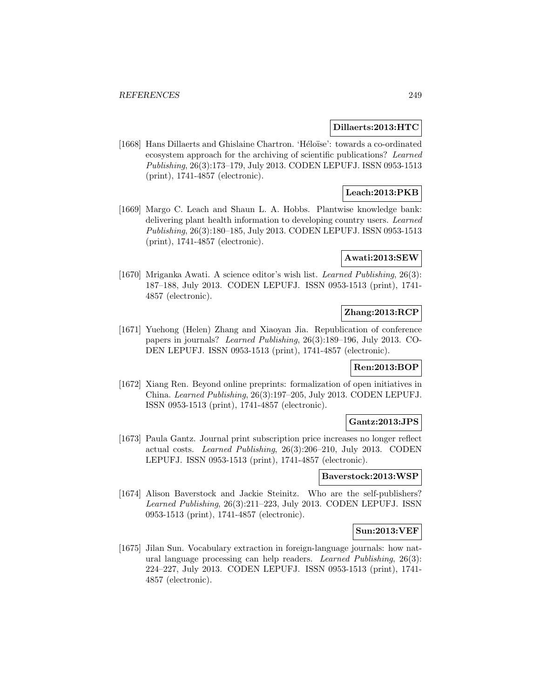### **Dillaerts:2013:HTC**

[1668] Hans Dillaerts and Ghislaine Chartron. 'Héloïse': towards a co-ordinated ecosystem approach for the archiving of scientific publications? Learned Publishing, 26(3):173–179, July 2013. CODEN LEPUFJ. ISSN 0953-1513 (print), 1741-4857 (electronic).

# **Leach:2013:PKB**

[1669] Margo C. Leach and Shaun L. A. Hobbs. Plantwise knowledge bank: delivering plant health information to developing country users. Learned Publishing, 26(3):180–185, July 2013. CODEN LEPUFJ. ISSN 0953-1513 (print), 1741-4857 (electronic).

### **Awati:2013:SEW**

[1670] Mriganka Awati. A science editor's wish list. Learned Publishing, 26(3): 187–188, July 2013. CODEN LEPUFJ. ISSN 0953-1513 (print), 1741- 4857 (electronic).

# **Zhang:2013:RCP**

[1671] Yuehong (Helen) Zhang and Xiaoyan Jia. Republication of conference papers in journals? Learned Publishing, 26(3):189–196, July 2013. CO-DEN LEPUFJ. ISSN 0953-1513 (print), 1741-4857 (electronic).

#### **Ren:2013:BOP**

[1672] Xiang Ren. Beyond online preprints: formalization of open initiatives in China. Learned Publishing, 26(3):197–205, July 2013. CODEN LEPUFJ. ISSN 0953-1513 (print), 1741-4857 (electronic).

## **Gantz:2013:JPS**

[1673] Paula Gantz. Journal print subscription price increases no longer reflect actual costs. Learned Publishing, 26(3):206–210, July 2013. CODEN LEPUFJ. ISSN 0953-1513 (print), 1741-4857 (electronic).

### **Baverstock:2013:WSP**

[1674] Alison Baverstock and Jackie Steinitz. Who are the self-publishers? Learned Publishing, 26(3):211–223, July 2013. CODEN LEPUFJ. ISSN 0953-1513 (print), 1741-4857 (electronic).

### **Sun:2013:VEF**

[1675] Jilan Sun. Vocabulary extraction in foreign-language journals: how natural language processing can help readers. Learned Publishing, 26(3): 224–227, July 2013. CODEN LEPUFJ. ISSN 0953-1513 (print), 1741- 4857 (electronic).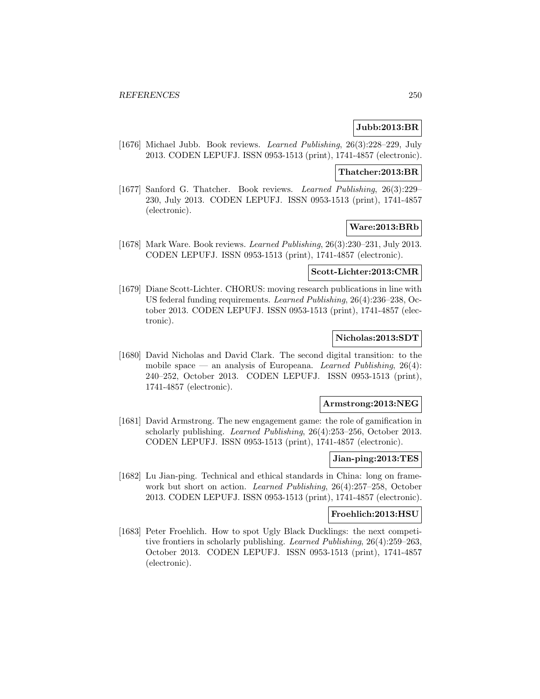## **Jubb:2013:BR**

[1676] Michael Jubb. Book reviews. Learned Publishing, 26(3):228–229, July 2013. CODEN LEPUFJ. ISSN 0953-1513 (print), 1741-4857 (electronic).

#### **Thatcher:2013:BR**

[1677] Sanford G. Thatcher. Book reviews. Learned Publishing, 26(3):229– 230, July 2013. CODEN LEPUFJ. ISSN 0953-1513 (print), 1741-4857 (electronic).

#### **Ware:2013:BRb**

[1678] Mark Ware. Book reviews. Learned Publishing, 26(3):230–231, July 2013. CODEN LEPUFJ. ISSN 0953-1513 (print), 1741-4857 (electronic).

#### **Scott-Lichter:2013:CMR**

[1679] Diane Scott-Lichter. CHORUS: moving research publications in line with US federal funding requirements. Learned Publishing, 26(4):236–238, October 2013. CODEN LEPUFJ. ISSN 0953-1513 (print), 1741-4857 (electronic).

## **Nicholas:2013:SDT**

[1680] David Nicholas and David Clark. The second digital transition: to the mobile space — an analysis of Europeana. Learned Publishing,  $26(4)$ : 240–252, October 2013. CODEN LEPUFJ. ISSN 0953-1513 (print), 1741-4857 (electronic).

#### **Armstrong:2013:NEG**

[1681] David Armstrong. The new engagement game: the role of gamification in scholarly publishing. Learned Publishing, 26(4):253–256, October 2013. CODEN LEPUFJ. ISSN 0953-1513 (print), 1741-4857 (electronic).

#### **Jian-ping:2013:TES**

[1682] Lu Jian-ping. Technical and ethical standards in China: long on framework but short on action. Learned Publishing, 26(4):257–258, October 2013. CODEN LEPUFJ. ISSN 0953-1513 (print), 1741-4857 (electronic).

#### **Froehlich:2013:HSU**

[1683] Peter Froehlich. How to spot Ugly Black Ducklings: the next competitive frontiers in scholarly publishing. Learned Publishing, 26(4):259–263, October 2013. CODEN LEPUFJ. ISSN 0953-1513 (print), 1741-4857 (electronic).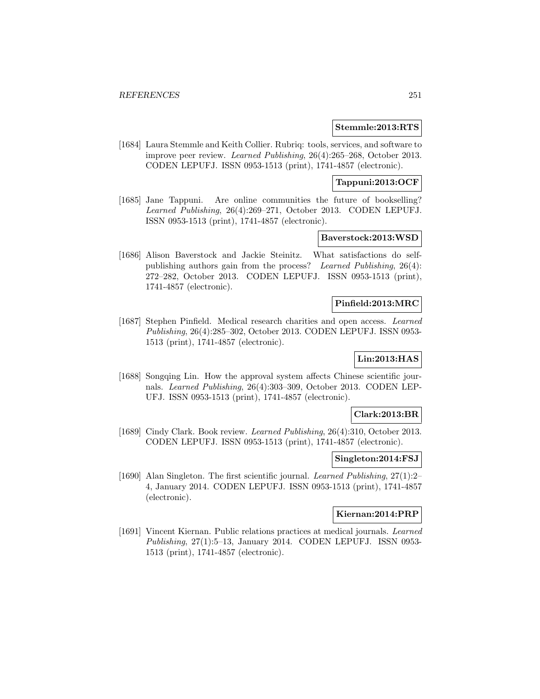#### **Stemmle:2013:RTS**

[1684] Laura Stemmle and Keith Collier. Rubriq: tools, services, and software to improve peer review. Learned Publishing, 26(4):265–268, October 2013. CODEN LEPUFJ. ISSN 0953-1513 (print), 1741-4857 (electronic).

## **Tappuni:2013:OCF**

[1685] Jane Tappuni. Are online communities the future of bookselling? Learned Publishing, 26(4):269–271, October 2013. CODEN LEPUFJ. ISSN 0953-1513 (print), 1741-4857 (electronic).

## **Baverstock:2013:WSD**

[1686] Alison Baverstock and Jackie Steinitz. What satisfactions do selfpublishing authors gain from the process? Learned Publishing, 26(4): 272–282, October 2013. CODEN LEPUFJ. ISSN 0953-1513 (print), 1741-4857 (electronic).

### **Pinfield:2013:MRC**

[1687] Stephen Pinfield. Medical research charities and open access. Learned Publishing, 26(4):285–302, October 2013. CODEN LEPUFJ. ISSN 0953- 1513 (print), 1741-4857 (electronic).

# **Lin:2013:HAS**

[1688] Songqing Lin. How the approval system affects Chinese scientific journals. Learned Publishing, 26(4):303–309, October 2013. CODEN LEP-UFJ. ISSN 0953-1513 (print), 1741-4857 (electronic).

### **Clark:2013:BR**

[1689] Cindy Clark. Book review. Learned Publishing, 26(4):310, October 2013. CODEN LEPUFJ. ISSN 0953-1513 (print), 1741-4857 (electronic).

#### **Singleton:2014:FSJ**

[1690] Alan Singleton. The first scientific journal. Learned Publishing, 27(1):2– 4, January 2014. CODEN LEPUFJ. ISSN 0953-1513 (print), 1741-4857 (electronic).

# **Kiernan:2014:PRP**

[1691] Vincent Kiernan. Public relations practices at medical journals. Learned Publishing, 27(1):5–13, January 2014. CODEN LEPUFJ. ISSN 0953- 1513 (print), 1741-4857 (electronic).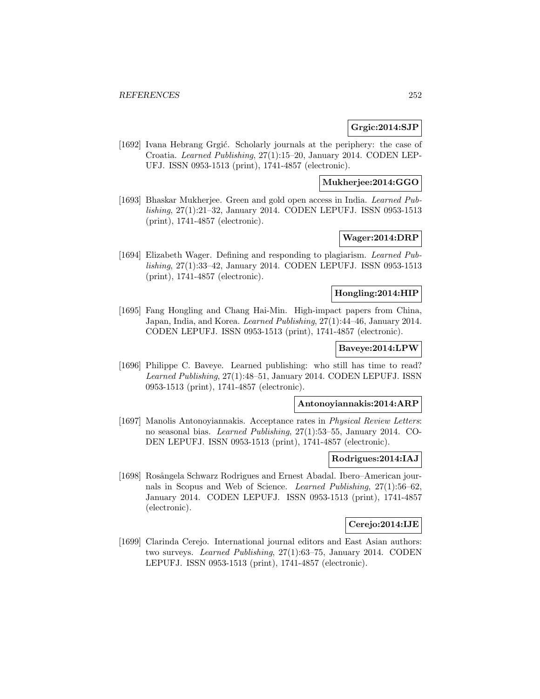#### **Grgic:2014:SJP**

[1692] Ivana Hebrang Grgić. Scholarly journals at the periphery: the case of Croatia. Learned Publishing, 27(1):15–20, January 2014. CODEN LEP-UFJ. ISSN 0953-1513 (print), 1741-4857 (electronic).

## **Mukherjee:2014:GGO**

[1693] Bhaskar Mukherjee. Green and gold open access in India. Learned Publishing, 27(1):21–32, January 2014. CODEN LEPUFJ. ISSN 0953-1513 (print), 1741-4857 (electronic).

# **Wager:2014:DRP**

[1694] Elizabeth Wager. Defining and responding to plagiarism. Learned Publishing, 27(1):33–42, January 2014. CODEN LEPUFJ. ISSN 0953-1513 (print), 1741-4857 (electronic).

#### **Hongling:2014:HIP**

[1695] Fang Hongling and Chang Hai-Min. High-impact papers from China, Japan, India, and Korea. Learned Publishing, 27(1):44–46, January 2014. CODEN LEPUFJ. ISSN 0953-1513 (print), 1741-4857 (electronic).

# **Baveye:2014:LPW**

[1696] Philippe C. Baveye. Learned publishing: who still has time to read? Learned Publishing, 27(1):48–51, January 2014. CODEN LEPUFJ. ISSN 0953-1513 (print), 1741-4857 (electronic).

#### **Antonoyiannakis:2014:ARP**

[1697] Manolis Antonoyiannakis. Acceptance rates in *Physical Review Letters*: no seasonal bias. Learned Publishing, 27(1):53–55, January 2014. CO-DEN LEPUFJ. ISSN 0953-1513 (print), 1741-4857 (electronic).

#### **Rodrigues:2014:IAJ**

[1698] Rosângela Schwarz Rodrigues and Ernest Abadal. Ibero–American journals in Scopus and Web of Science. Learned Publishing, 27(1):56–62, January 2014. CODEN LEPUFJ. ISSN 0953-1513 (print), 1741-4857 (electronic).

# **Cerejo:2014:IJE**

[1699] Clarinda Cerejo. International journal editors and East Asian authors: two surveys. Learned Publishing, 27(1):63–75, January 2014. CODEN LEPUFJ. ISSN 0953-1513 (print), 1741-4857 (electronic).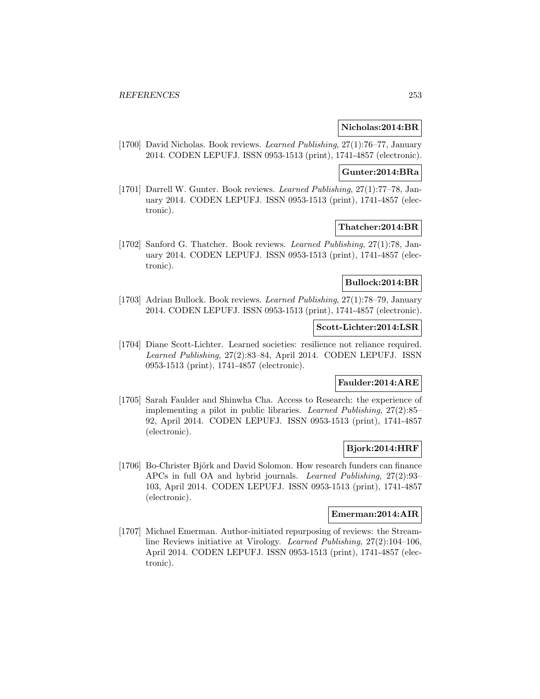### **Nicholas:2014:BR**

[1700] David Nicholas. Book reviews. Learned Publishing, 27(1):76–77, January 2014. CODEN LEPUFJ. ISSN 0953-1513 (print), 1741-4857 (electronic).

#### **Gunter:2014:BRa**

[1701] Darrell W. Gunter. Book reviews. Learned Publishing, 27(1):77–78, January 2014. CODEN LEPUFJ. ISSN 0953-1513 (print), 1741-4857 (electronic).

### **Thatcher:2014:BR**

[1702] Sanford G. Thatcher. Book reviews. Learned Publishing, 27(1):78, January 2014. CODEN LEPUFJ. ISSN 0953-1513 (print), 1741-4857 (electronic).

## **Bullock:2014:BR**

[1703] Adrian Bullock. Book reviews. Learned Publishing, 27(1):78–79, January 2014. CODEN LEPUFJ. ISSN 0953-1513 (print), 1741-4857 (electronic).

## **Scott-Lichter:2014:LSR**

[1704] Diane Scott-Lichter. Learned societies: resilience not reliance required. Learned Publishing, 27(2):83–84, April 2014. CODEN LEPUFJ. ISSN 0953-1513 (print), 1741-4857 (electronic).

# **Faulder:2014:ARE**

[1705] Sarah Faulder and Shinwha Cha. Access to Research: the experience of implementing a pilot in public libraries. Learned Publishing, 27(2):85– 92, April 2014. CODEN LEPUFJ. ISSN 0953-1513 (print), 1741-4857 (electronic).

## **Bjork:2014:HRF**

[1706] Bo-Christer Björk and David Solomon. How research funders can finance APCs in full OA and hybrid journals. Learned Publishing, 27(2):93– 103, April 2014. CODEN LEPUFJ. ISSN 0953-1513 (print), 1741-4857 (electronic).

### **Emerman:2014:AIR**

[1707] Michael Emerman. Author-initiated repurposing of reviews: the Streamline Reviews initiative at Virology. Learned Publishing, 27(2):104–106, April 2014. CODEN LEPUFJ. ISSN 0953-1513 (print), 1741-4857 (electronic).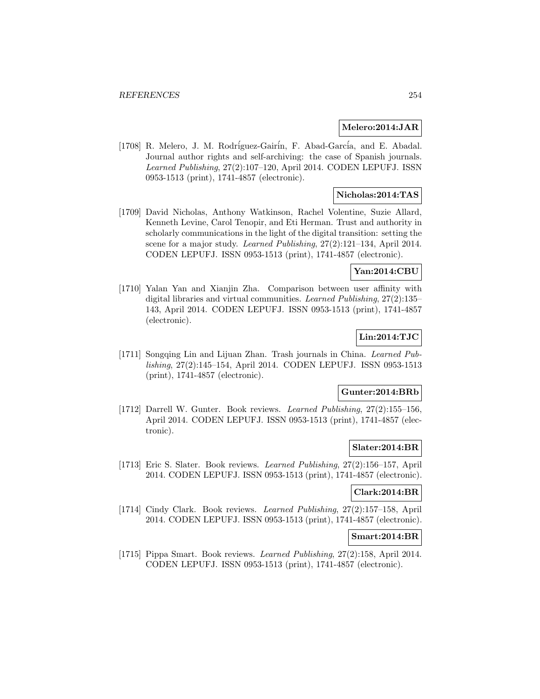### **Melero:2014:JAR**

[1708] R. Melero, J. M. Rodríguez-Gairín, F. Abad-García, and E. Abadal. Journal author rights and self-archiving: the case of Spanish journals. Learned Publishing, 27(2):107–120, April 2014. CODEN LEPUFJ. ISSN 0953-1513 (print), 1741-4857 (electronic).

### **Nicholas:2014:TAS**

[1709] David Nicholas, Anthony Watkinson, Rachel Volentine, Suzie Allard, Kenneth Levine, Carol Tenopir, and Eti Herman. Trust and authority in scholarly communications in the light of the digital transition: setting the scene for a major study. Learned Publishing,  $27(2):121-134$ , April 2014. CODEN LEPUFJ. ISSN 0953-1513 (print), 1741-4857 (electronic).

## **Yan:2014:CBU**

[1710] Yalan Yan and Xianjin Zha. Comparison between user affinity with digital libraries and virtual communities. Learned Publishing, 27(2):135– 143, April 2014. CODEN LEPUFJ. ISSN 0953-1513 (print), 1741-4857 (electronic).

## **Lin:2014:TJC**

[1711] Songqing Lin and Lijuan Zhan. Trash journals in China. Learned Publishing, 27(2):145–154, April 2014. CODEN LEPUFJ. ISSN 0953-1513 (print), 1741-4857 (electronic).

## **Gunter:2014:BRb**

[1712] Darrell W. Gunter. Book reviews. Learned Publishing, 27(2):155–156, April 2014. CODEN LEPUFJ. ISSN 0953-1513 (print), 1741-4857 (electronic).

#### **Slater:2014:BR**

[1713] Eric S. Slater. Book reviews. Learned Publishing, 27(2):156–157, April 2014. CODEN LEPUFJ. ISSN 0953-1513 (print), 1741-4857 (electronic).

### **Clark:2014:BR**

[1714] Cindy Clark. Book reviews. Learned Publishing, 27(2):157–158, April 2014. CODEN LEPUFJ. ISSN 0953-1513 (print), 1741-4857 (electronic).

#### **Smart:2014:BR**

[1715] Pippa Smart. Book reviews. Learned Publishing, 27(2):158, April 2014. CODEN LEPUFJ. ISSN 0953-1513 (print), 1741-4857 (electronic).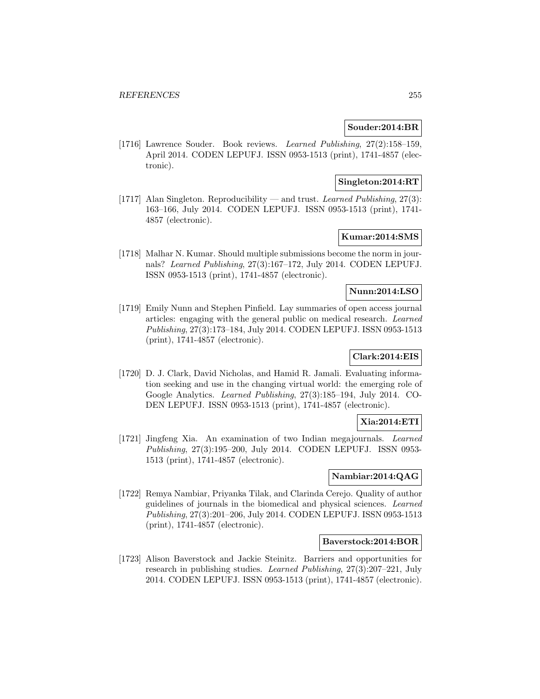## **Souder:2014:BR**

[1716] Lawrence Souder. Book reviews. Learned Publishing, 27(2):158–159, April 2014. CODEN LEPUFJ. ISSN 0953-1513 (print), 1741-4857 (electronic).

## **Singleton:2014:RT**

[1717] Alan Singleton. Reproducibility — and trust. Learned Publishing, 27(3): 163–166, July 2014. CODEN LEPUFJ. ISSN 0953-1513 (print), 1741- 4857 (electronic).

## **Kumar:2014:SMS**

[1718] Malhar N. Kumar. Should multiple submissions become the norm in journals? Learned Publishing, 27(3):167–172, July 2014. CODEN LEPUFJ. ISSN 0953-1513 (print), 1741-4857 (electronic).

## **Nunn:2014:LSO**

[1719] Emily Nunn and Stephen Pinfield. Lay summaries of open access journal articles: engaging with the general public on medical research. Learned Publishing, 27(3):173–184, July 2014. CODEN LEPUFJ. ISSN 0953-1513 (print), 1741-4857 (electronic).

## **Clark:2014:EIS**

[1720] D. J. Clark, David Nicholas, and Hamid R. Jamali. Evaluating information seeking and use in the changing virtual world: the emerging role of Google Analytics. Learned Publishing, 27(3):185–194, July 2014. CO-DEN LEPUFJ. ISSN 0953-1513 (print), 1741-4857 (electronic).

## **Xia:2014:ETI**

[1721] Jingfeng Xia. An examination of two Indian megajournals. Learned Publishing, 27(3):195–200, July 2014. CODEN LEPUFJ. ISSN 0953- 1513 (print), 1741-4857 (electronic).

## **Nambiar:2014:QAG**

[1722] Remya Nambiar, Priyanka Tilak, and Clarinda Cerejo. Quality of author guidelines of journals in the biomedical and physical sciences. Learned Publishing, 27(3):201–206, July 2014. CODEN LEPUFJ. ISSN 0953-1513 (print), 1741-4857 (electronic).

## **Baverstock:2014:BOR**

[1723] Alison Baverstock and Jackie Steinitz. Barriers and opportunities for research in publishing studies. Learned Publishing, 27(3):207–221, July 2014. CODEN LEPUFJ. ISSN 0953-1513 (print), 1741-4857 (electronic).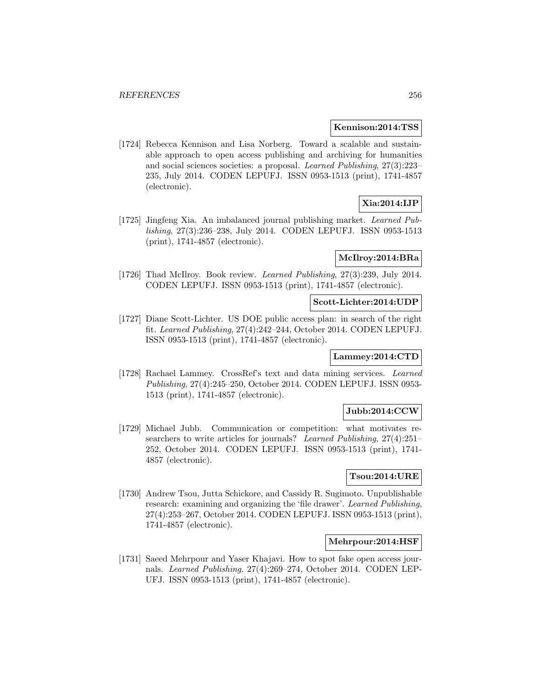#### **Kennison:2014:TSS**

[1724] Rebecca Kennison and Lisa Norberg. Toward a scalable and sustainable approach to open access publishing and archiving for humanities and social sciences societies: a proposal. Learned Publishing, 27(3):223– 235, July 2014. CODEN LEPUFJ. ISSN 0953-1513 (print), 1741-4857 (electronic).

## **Xia:2014:IJP**

[1725] Jingfeng Xia. An imbalanced journal publishing market. Learned Publishing, 27(3):236–238, July 2014. CODEN LEPUFJ. ISSN 0953-1513 (print), 1741-4857 (electronic).

## **McIlroy:2014:BRa**

[1726] Thad McIlroy. Book review. *Learned Publishing*, 27(3):239, July 2014. CODEN LEPUFJ. ISSN 0953-1513 (print), 1741-4857 (electronic).

### **Scott-Lichter:2014:UDP**

[1727] Diane Scott-Lichter. US DOE public access plan: in search of the right fit. Learned Publishing, 27(4):242–244, October 2014. CODEN LEPUFJ. ISSN 0953-1513 (print), 1741-4857 (electronic).

## **Lammey:2014:CTD**

[1728] Rachael Lammey. CrossRef's text and data mining services. Learned Publishing, 27(4):245–250, October 2014. CODEN LEPUFJ. ISSN 0953- 1513 (print), 1741-4857 (electronic).

### **Jubb:2014:CCW**

[1729] Michael Jubb. Communication or competition: what motivates researchers to write articles for journals? Learned Publishing, 27(4):251– 252, October 2014. CODEN LEPUFJ. ISSN 0953-1513 (print), 1741- 4857 (electronic).

## **Tsou:2014:URE**

[1730] Andrew Tsou, Jutta Schickore, and Cassidy R. Sugimoto. Unpublishable research: examining and organizing the 'file drawer'. Learned Publishing, 27(4):253–267, October 2014. CODEN LEPUFJ. ISSN 0953-1513 (print), 1741-4857 (electronic).

#### **Mehrpour:2014:HSF**

[1731] Saeed Mehrpour and Yaser Khajavi. How to spot fake open access journals. Learned Publishing, 27(4):269–274, October 2014. CODEN LEP-UFJ. ISSN 0953-1513 (print), 1741-4857 (electronic).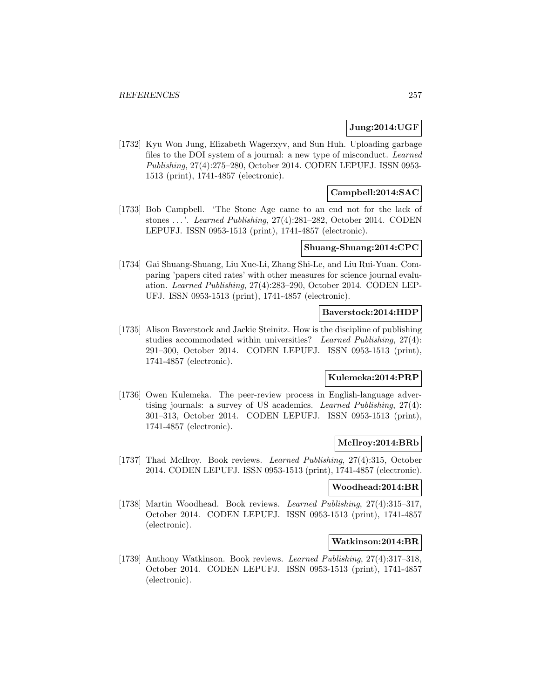## **Jung:2014:UGF**

[1732] Kyu Won Jung, Elizabeth Wagerxyv, and Sun Huh. Uploading garbage files to the DOI system of a journal: a new type of misconduct. Learned Publishing, 27(4):275–280, October 2014. CODEN LEPUFJ. ISSN 0953- 1513 (print), 1741-4857 (electronic).

## **Campbell:2014:SAC**

[1733] Bob Campbell. 'The Stone Age came to an end not for the lack of stones ... '. Learned Publishing, 27(4):281–282, October 2014. CODEN LEPUFJ. ISSN 0953-1513 (print), 1741-4857 (electronic).

## **Shuang-Shuang:2014:CPC**

[1734] Gai Shuang-Shuang, Liu Xue-Li, Zhang Shi-Le, and Liu Rui-Yuan. Comparing 'papers cited rates' with other measures for science journal evaluation. Learned Publishing, 27(4):283–290, October 2014. CODEN LEP-UFJ. ISSN 0953-1513 (print), 1741-4857 (electronic).

#### **Baverstock:2014:HDP**

[1735] Alison Baverstock and Jackie Steinitz. How is the discipline of publishing studies accommodated within universities? Learned Publishing, 27(4): 291–300, October 2014. CODEN LEPUFJ. ISSN 0953-1513 (print), 1741-4857 (electronic).

## **Kulemeka:2014:PRP**

[1736] Owen Kulemeka. The peer-review process in English-language advertising journals: a survey of US academics. Learned Publishing, 27(4): 301–313, October 2014. CODEN LEPUFJ. ISSN 0953-1513 (print), 1741-4857 (electronic).

# **McIlroy:2014:BRb**

[1737] Thad McIlroy. Book reviews. *Learned Publishing*, 27(4):315, October 2014. CODEN LEPUFJ. ISSN 0953-1513 (print), 1741-4857 (electronic).

## **Woodhead:2014:BR**

[1738] Martin Woodhead. Book reviews. Learned Publishing, 27(4):315–317, October 2014. CODEN LEPUFJ. ISSN 0953-1513 (print), 1741-4857 (electronic).

#### **Watkinson:2014:BR**

[1739] Anthony Watkinson. Book reviews. Learned Publishing, 27(4):317–318, October 2014. CODEN LEPUFJ. ISSN 0953-1513 (print), 1741-4857 (electronic).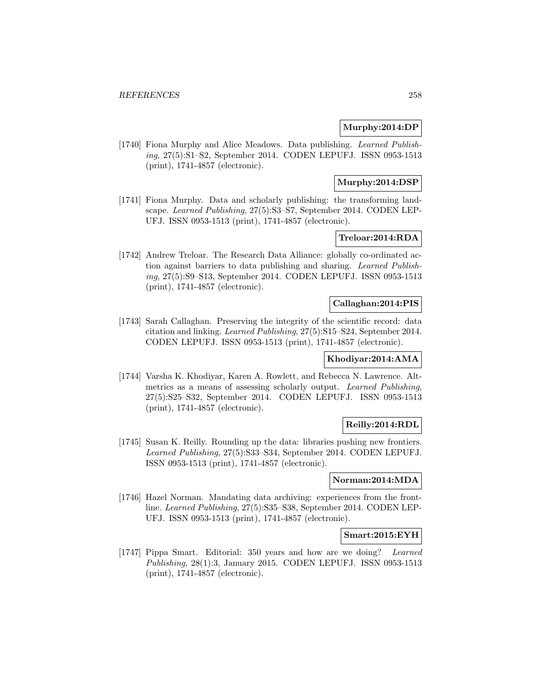## **Murphy:2014:DP**

[1740] Fiona Murphy and Alice Meadows. Data publishing. Learned Publishing, 27(5):S1–S2, September 2014. CODEN LEPUFJ. ISSN 0953-1513 (print), 1741-4857 (electronic).

## **Murphy:2014:DSP**

[1741] Fiona Murphy. Data and scholarly publishing: the transforming landscape. Learned Publishing, 27(5):S3–S7, September 2014. CODEN LEP-UFJ. ISSN 0953-1513 (print), 1741-4857 (electronic).

## **Treloar:2014:RDA**

[1742] Andrew Treloar. The Research Data Alliance: globally co-ordinated action against barriers to data publishing and sharing. Learned Publishing, 27(5):S9–S13, September 2014. CODEN LEPUFJ. ISSN 0953-1513 (print), 1741-4857 (electronic).

### **Callaghan:2014:PIS**

[1743] Sarah Callaghan. Preserving the integrity of the scientific record: data citation and linking. Learned Publishing, 27(5):S15–S24, September 2014. CODEN LEPUFJ. ISSN 0953-1513 (print), 1741-4857 (electronic).

## **Khodiyar:2014:AMA**

[1744] Varsha K. Khodiyar, Karen A. Rowlett, and Rebecca N. Lawrence. Altmetrics as a means of assessing scholarly output. Learned Publishing, 27(5):S25–S32, September 2014. CODEN LEPUFJ. ISSN 0953-1513 (print), 1741-4857 (electronic).

## **Reilly:2014:RDL**

[1745] Susan K. Reilly. Rounding up the data: libraries pushing new frontiers. Learned Publishing, 27(5):S33–S34, September 2014. CODEN LEPUFJ. ISSN 0953-1513 (print), 1741-4857 (electronic).

## **Norman:2014:MDA**

[1746] Hazel Norman. Mandating data archiving: experiences from the frontline. Learned Publishing, 27(5):S35–S38, September 2014. CODEN LEP-UFJ. ISSN 0953-1513 (print), 1741-4857 (electronic).

#### **Smart:2015:EYH**

[1747] Pippa Smart. Editorial: 350 years and how are we doing? Learned Publishing, 28(1):3, January 2015. CODEN LEPUFJ. ISSN 0953-1513 (print), 1741-4857 (electronic).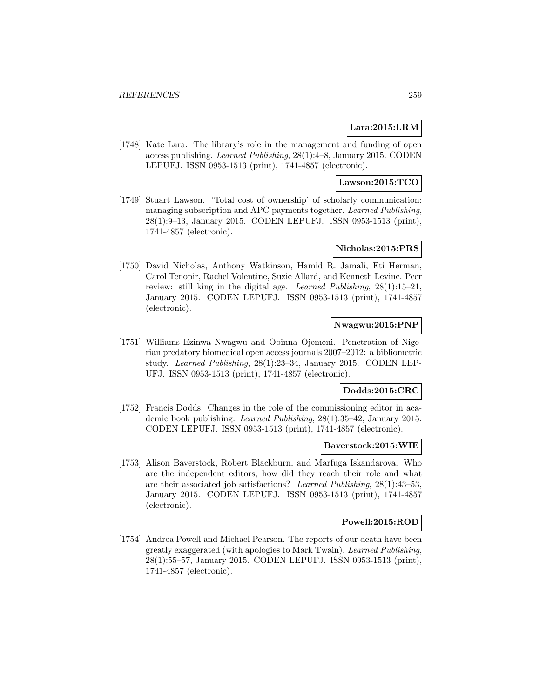## **Lara:2015:LRM**

[1748] Kate Lara. The library's role in the management and funding of open access publishing. Learned Publishing, 28(1):4–8, January 2015. CODEN LEPUFJ. ISSN 0953-1513 (print), 1741-4857 (electronic).

## **Lawson:2015:TCO**

[1749] Stuart Lawson. 'Total cost of ownership' of scholarly communication: managing subscription and APC payments together. Learned Publishing, 28(1):9–13, January 2015. CODEN LEPUFJ. ISSN 0953-1513 (print), 1741-4857 (electronic).

## **Nicholas:2015:PRS**

[1750] David Nicholas, Anthony Watkinson, Hamid R. Jamali, Eti Herman, Carol Tenopir, Rachel Volentine, Suzie Allard, and Kenneth Levine. Peer review: still king in the digital age. Learned Publishing, 28(1):15–21, January 2015. CODEN LEPUFJ. ISSN 0953-1513 (print), 1741-4857 (electronic).

# **Nwagwu:2015:PNP**

[1751] Williams Ezinwa Nwagwu and Obinna Ojemeni. Penetration of Nigerian predatory biomedical open access journals 2007–2012: a bibliometric study. Learned Publishing, 28(1):23–34, January 2015. CODEN LEP-UFJ. ISSN 0953-1513 (print), 1741-4857 (electronic).

## **Dodds:2015:CRC**

[1752] Francis Dodds. Changes in the role of the commissioning editor in academic book publishing. Learned Publishing, 28(1):35–42, January 2015. CODEN LEPUFJ. ISSN 0953-1513 (print), 1741-4857 (electronic).

#### **Baverstock:2015:WIE**

[1753] Alison Baverstock, Robert Blackburn, and Marfuga Iskandarova. Who are the independent editors, how did they reach their role and what are their associated job satisfactions? Learned Publishing, 28(1):43–53, January 2015. CODEN LEPUFJ. ISSN 0953-1513 (print), 1741-4857 (electronic).

### **Powell:2015:ROD**

[1754] Andrea Powell and Michael Pearson. The reports of our death have been greatly exaggerated (with apologies to Mark Twain). Learned Publishing, 28(1):55–57, January 2015. CODEN LEPUFJ. ISSN 0953-1513 (print), 1741-4857 (electronic).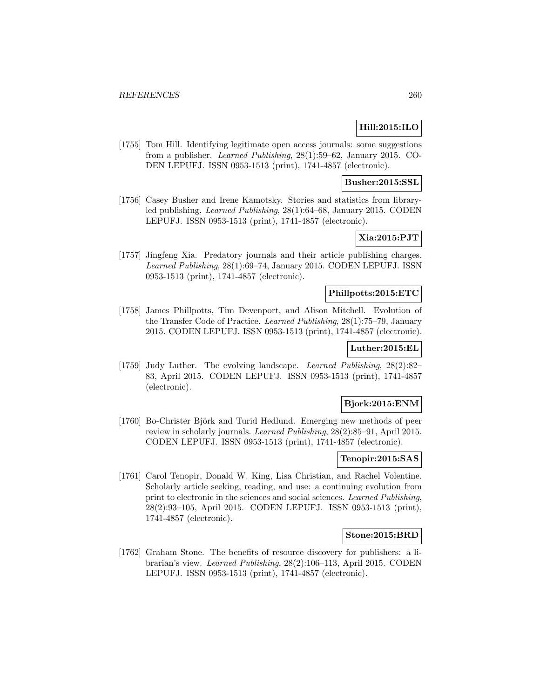# **Hill:2015:ILO**

[1755] Tom Hill. Identifying legitimate open access journals: some suggestions from a publisher. Learned Publishing, 28(1):59–62, January 2015. CO-DEN LEPUFJ. ISSN 0953-1513 (print), 1741-4857 (electronic).

## **Busher:2015:SSL**

[1756] Casey Busher and Irene Kamotsky. Stories and statistics from libraryled publishing. Learned Publishing, 28(1):64–68, January 2015. CODEN LEPUFJ. ISSN 0953-1513 (print), 1741-4857 (electronic).

# **Xia:2015:PJT**

[1757] Jingfeng Xia. Predatory journals and their article publishing charges. Learned Publishing, 28(1):69–74, January 2015. CODEN LEPUFJ. ISSN 0953-1513 (print), 1741-4857 (electronic).

## **Phillpotts:2015:ETC**

[1758] James Phillpotts, Tim Devenport, and Alison Mitchell. Evolution of the Transfer Code of Practice. Learned Publishing, 28(1):75–79, January 2015. CODEN LEPUFJ. ISSN 0953-1513 (print), 1741-4857 (electronic).

## **Luther:2015:EL**

[1759] Judy Luther. The evolving landscape. Learned Publishing, 28(2):82– 83, April 2015. CODEN LEPUFJ. ISSN 0953-1513 (print), 1741-4857 (electronic).

## **Bjork:2015:ENM**

[1760] Bo-Christer Björk and Turid Hedlund. Emerging new methods of peer review in scholarly journals. Learned Publishing, 28(2):85–91, April 2015. CODEN LEPUFJ. ISSN 0953-1513 (print), 1741-4857 (electronic).

#### **Tenopir:2015:SAS**

[1761] Carol Tenopir, Donald W. King, Lisa Christian, and Rachel Volentine. Scholarly article seeking, reading, and use: a continuing evolution from print to electronic in the sciences and social sciences. Learned Publishing, 28(2):93–105, April 2015. CODEN LEPUFJ. ISSN 0953-1513 (print), 1741-4857 (electronic).

#### **Stone:2015:BRD**

[1762] Graham Stone. The benefits of resource discovery for publishers: a librarian's view. Learned Publishing, 28(2):106–113, April 2015. CODEN LEPUFJ. ISSN 0953-1513 (print), 1741-4857 (electronic).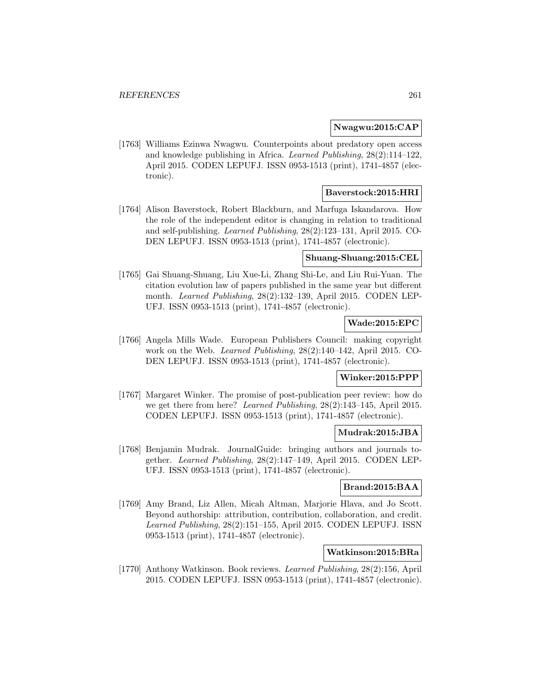### **Nwagwu:2015:CAP**

[1763] Williams Ezinwa Nwagwu. Counterpoints about predatory open access and knowledge publishing in Africa. Learned Publishing, 28(2):114–122, April 2015. CODEN LEPUFJ. ISSN 0953-1513 (print), 1741-4857 (electronic).

## **Baverstock:2015:HRI**

[1764] Alison Baverstock, Robert Blackburn, and Marfuga Iskandarova. How the role of the independent editor is changing in relation to traditional and self-publishing. Learned Publishing, 28(2):123–131, April 2015. CO-DEN LEPUFJ. ISSN 0953-1513 (print), 1741-4857 (electronic).

#### **Shuang-Shuang:2015:CEL**

[1765] Gai Shuang-Shuang, Liu Xue-Li, Zhang Shi-Le, and Liu Rui-Yuan. The citation evolution law of papers published in the same year but different month. Learned Publishing, 28(2):132–139, April 2015. CODEN LEP-UFJ. ISSN 0953-1513 (print), 1741-4857 (electronic).

## **Wade:2015:EPC**

[1766] Angela Mills Wade. European Publishers Council: making copyright work on the Web. Learned Publishing, 28(2):140–142, April 2015. CO-DEN LEPUFJ. ISSN 0953-1513 (print), 1741-4857 (electronic).

# **Winker:2015:PPP**

[1767] Margaret Winker. The promise of post-publication peer review: how do we get there from here? Learned Publishing, 28(2):143-145, April 2015. CODEN LEPUFJ. ISSN 0953-1513 (print), 1741-4857 (electronic).

## **Mudrak:2015:JBA**

[1768] Benjamin Mudrak. JournalGuide: bringing authors and journals together. Learned Publishing, 28(2):147–149, April 2015. CODEN LEP-UFJ. ISSN 0953-1513 (print), 1741-4857 (electronic).

## **Brand:2015:BAA**

[1769] Amy Brand, Liz Allen, Micah Altman, Marjorie Hlava, and Jo Scott. Beyond authorship: attribution, contribution, collaboration, and credit. Learned Publishing, 28(2):151–155, April 2015. CODEN LEPUFJ. ISSN 0953-1513 (print), 1741-4857 (electronic).

## **Watkinson:2015:BRa**

[1770] Anthony Watkinson. Book reviews. Learned Publishing, 28(2):156, April 2015. CODEN LEPUFJ. ISSN 0953-1513 (print), 1741-4857 (electronic).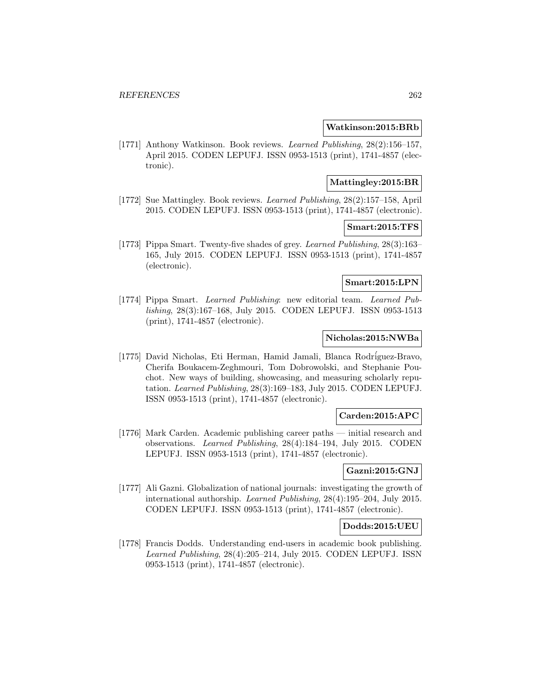### **Watkinson:2015:BRb**

[1771] Anthony Watkinson. Book reviews. Learned Publishing, 28(2):156–157, April 2015. CODEN LEPUFJ. ISSN 0953-1513 (print), 1741-4857 (electronic).

### **Mattingley:2015:BR**

[1772] Sue Mattingley. Book reviews. Learned Publishing, 28(2):157–158, April 2015. CODEN LEPUFJ. ISSN 0953-1513 (print), 1741-4857 (electronic).

### **Smart:2015:TFS**

[1773] Pippa Smart. Twenty-five shades of grey. Learned Publishing, 28(3):163– 165, July 2015. CODEN LEPUFJ. ISSN 0953-1513 (print), 1741-4857 (electronic).

## **Smart:2015:LPN**

[1774] Pippa Smart. Learned Publishing: new editorial team. Learned Publishing, 28(3):167–168, July 2015. CODEN LEPUFJ. ISSN 0953-1513 (print), 1741-4857 (electronic).

### **Nicholas:2015:NWBa**

[1775] David Nicholas, Eti Herman, Hamid Jamali, Blanca Rodríguez-Bravo, Cherifa Boukacem-Zeghmouri, Tom Dobrowolski, and Stephanie Pouchot. New ways of building, showcasing, and measuring scholarly reputation. Learned Publishing, 28(3):169–183, July 2015. CODEN LEPUFJ. ISSN 0953-1513 (print), 1741-4857 (electronic).

## **Carden:2015:APC**

[1776] Mark Carden. Academic publishing career paths — initial research and observations. Learned Publishing, 28(4):184–194, July 2015. CODEN LEPUFJ. ISSN 0953-1513 (print), 1741-4857 (electronic).

## **Gazni:2015:GNJ**

[1777] Ali Gazni. Globalization of national journals: investigating the growth of international authorship. Learned Publishing, 28(4):195–204, July 2015. CODEN LEPUFJ. ISSN 0953-1513 (print), 1741-4857 (electronic).

#### **Dodds:2015:UEU**

[1778] Francis Dodds. Understanding end-users in academic book publishing. Learned Publishing, 28(4):205–214, July 2015. CODEN LEPUFJ. ISSN 0953-1513 (print), 1741-4857 (electronic).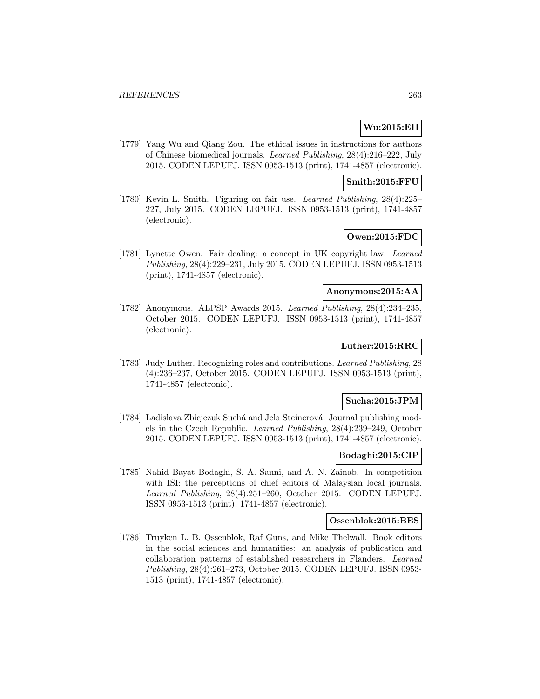## **Wu:2015:EII**

[1779] Yang Wu and Qiang Zou. The ethical issues in instructions for authors of Chinese biomedical journals. Learned Publishing, 28(4):216–222, July 2015. CODEN LEPUFJ. ISSN 0953-1513 (print), 1741-4857 (electronic).

## **Smith:2015:FFU**

[1780] Kevin L. Smith. Figuring on fair use. Learned Publishing, 28(4):225– 227, July 2015. CODEN LEPUFJ. ISSN 0953-1513 (print), 1741-4857 (electronic).

# **Owen:2015:FDC**

[1781] Lynette Owen. Fair dealing: a concept in UK copyright law. Learned Publishing, 28(4):229–231, July 2015. CODEN LEPUFJ. ISSN 0953-1513 (print), 1741-4857 (electronic).

### **Anonymous:2015:AA**

[1782] Anonymous. ALPSP Awards 2015. Learned Publishing, 28(4):234–235, October 2015. CODEN LEPUFJ. ISSN 0953-1513 (print), 1741-4857 (electronic).

## **Luther:2015:RRC**

[1783] Judy Luther. Recognizing roles and contributions. Learned Publishing, 28 (4):236–237, October 2015. CODEN LEPUFJ. ISSN 0953-1513 (print), 1741-4857 (electronic).

## **Sucha:2015:JPM**

[1784] Ladislava Zbiejczuk Suchá and Jela Steinerová. Journal publishing models in the Czech Republic. Learned Publishing, 28(4):239–249, October 2015. CODEN LEPUFJ. ISSN 0953-1513 (print), 1741-4857 (electronic).

### **Bodaghi:2015:CIP**

[1785] Nahid Bayat Bodaghi, S. A. Sanni, and A. N. Zainab. In competition with ISI: the perceptions of chief editors of Malaysian local journals. Learned Publishing, 28(4):251–260, October 2015. CODEN LEPUFJ. ISSN 0953-1513 (print), 1741-4857 (electronic).

#### **Ossenblok:2015:BES**

[1786] Truyken L. B. Ossenblok, Raf Guns, and Mike Thelwall. Book editors in the social sciences and humanities: an analysis of publication and collaboration patterns of established researchers in Flanders. Learned Publishing, 28(4):261–273, October 2015. CODEN LEPUFJ. ISSN 0953- 1513 (print), 1741-4857 (electronic).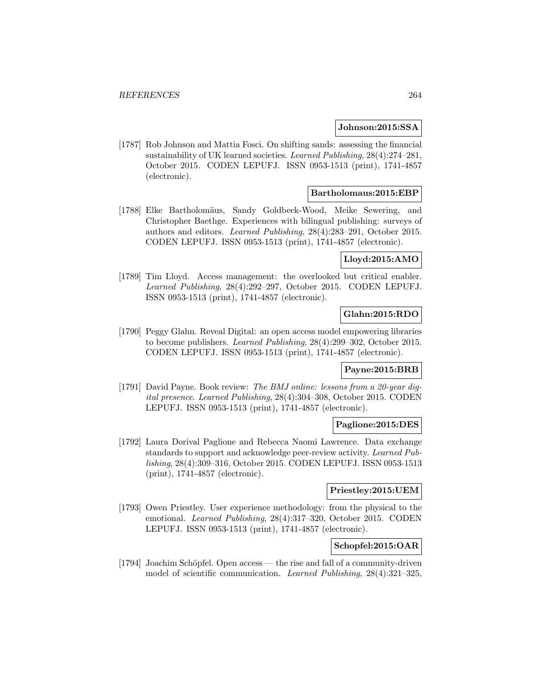### **Johnson:2015:SSA**

[1787] Rob Johnson and Mattia Fosci. On shifting sands: assessing the financial sustainability of UK learned societies. Learned Publishing, 28(4):274–281, October 2015. CODEN LEPUFJ. ISSN 0953-1513 (print), 1741-4857 (electronic).

## **Bartholomaus:2015:EBP**

[1788] Elke Bartholomäus, Sandy Goldbeck-Wood, Meike Sewering, and Christopher Baethge. Experiences with bilingual publishing: surveys of authors and editors. Learned Publishing, 28(4):283–291, October 2015. CODEN LEPUFJ. ISSN 0953-1513 (print), 1741-4857 (electronic).

## **Lloyd:2015:AMO**

[1789] Tim Lloyd. Access management: the overlooked but critical enabler. Learned Publishing, 28(4):292–297, October 2015. CODEN LEPUFJ. ISSN 0953-1513 (print), 1741-4857 (electronic).

## **Glahn:2015:RDO**

[1790] Peggy Glahn. Reveal Digital: an open access model empowering libraries to become publishers. Learned Publishing, 28(4):299–302, October 2015. CODEN LEPUFJ. ISSN 0953-1513 (print), 1741-4857 (electronic).

#### **Payne:2015:BRB**

[1791] David Payne. Book review: The BMJ online: lessons from a 20-year digital presence. Learned Publishing, 28(4):304–308, October 2015. CODEN LEPUFJ. ISSN 0953-1513 (print), 1741-4857 (electronic).

#### **Paglione:2015:DES**

[1792] Laura Dorival Paglione and Rebecca Naomi Lawrence. Data exchange standards to support and acknowledge peer-review activity. Learned Publishing, 28(4):309–316, October 2015. CODEN LEPUFJ. ISSN 0953-1513 (print), 1741-4857 (electronic).

### **Priestley:2015:UEM**

[1793] Owen Priestley. User experience methodology: from the physical to the emotional. Learned Publishing, 28(4):317–320, October 2015. CODEN LEPUFJ. ISSN 0953-1513 (print), 1741-4857 (electronic).

## **Schopfel:2015:OAR**

[1794] Joachim Schöpfel. Open access — the rise and fall of a community-driven model of scientific communication. Learned Publishing, 28(4):321–325,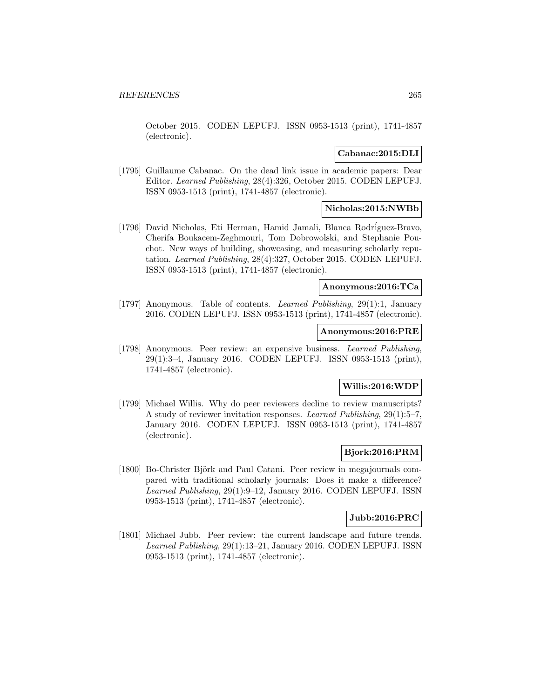October 2015. CODEN LEPUFJ. ISSN 0953-1513 (print), 1741-4857 (electronic).

## **Cabanac:2015:DLI**

[1795] Guillaume Cabanac. On the dead link issue in academic papers: Dear Editor. Learned Publishing, 28(4):326, October 2015. CODEN LEPUFJ. ISSN 0953-1513 (print), 1741-4857 (electronic).

## **Nicholas:2015:NWBb**

[1796] David Nicholas, Eti Herman, Hamid Jamali, Blanca Rodriguez-Bravo, Cherifa Boukacem-Zeghmouri, Tom Dobrowolski, and Stephanie Pouchot. New ways of building, showcasing, and measuring scholarly reputation. Learned Publishing, 28(4):327, October 2015. CODEN LEPUFJ. ISSN 0953-1513 (print), 1741-4857 (electronic).

### **Anonymous:2016:TCa**

[1797] Anonymous. Table of contents. Learned Publishing, 29(1):1, January 2016. CODEN LEPUFJ. ISSN 0953-1513 (print), 1741-4857 (electronic).

### **Anonymous:2016:PRE**

[1798] Anonymous. Peer review: an expensive business. Learned Publishing, 29(1):3–4, January 2016. CODEN LEPUFJ. ISSN 0953-1513 (print), 1741-4857 (electronic).

## **Willis:2016:WDP**

[1799] Michael Willis. Why do peer reviewers decline to review manuscripts? A study of reviewer invitation responses. Learned Publishing, 29(1):5–7, January 2016. CODEN LEPUFJ. ISSN 0953-1513 (print), 1741-4857 (electronic).

## **Bjork:2016:PRM**

[1800] Bo-Christer Björk and Paul Catani. Peer review in megajournals compared with traditional scholarly journals: Does it make a difference? Learned Publishing, 29(1):9–12, January 2016. CODEN LEPUFJ. ISSN 0953-1513 (print), 1741-4857 (electronic).

#### **Jubb:2016:PRC**

[1801] Michael Jubb. Peer review: the current landscape and future trends. Learned Publishing, 29(1):13–21, January 2016. CODEN LEPUFJ. ISSN 0953-1513 (print), 1741-4857 (electronic).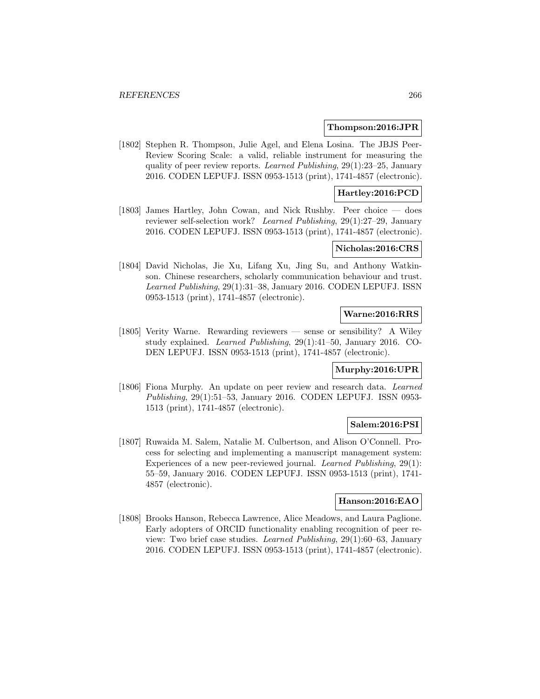#### **Thompson:2016:JPR**

[1802] Stephen R. Thompson, Julie Agel, and Elena Losina. The JBJS Peer-Review Scoring Scale: a valid, reliable instrument for measuring the quality of peer review reports. Learned Publishing, 29(1):23–25, January 2016. CODEN LEPUFJ. ISSN 0953-1513 (print), 1741-4857 (electronic).

## **Hartley:2016:PCD**

[1803] James Hartley, John Cowan, and Nick Rushby. Peer choice — does reviewer self-selection work? Learned Publishing, 29(1):27–29, January 2016. CODEN LEPUFJ. ISSN 0953-1513 (print), 1741-4857 (electronic).

#### **Nicholas:2016:CRS**

[1804] David Nicholas, Jie Xu, Lifang Xu, Jing Su, and Anthony Watkinson. Chinese researchers, scholarly communication behaviour and trust. Learned Publishing, 29(1):31–38, January 2016. CODEN LEPUFJ. ISSN 0953-1513 (print), 1741-4857 (electronic).

## **Warne:2016:RRS**

[1805] Verity Warne. Rewarding reviewers — sense or sensibility? A Wiley study explained. Learned Publishing, 29(1):41–50, January 2016. CO-DEN LEPUFJ. ISSN 0953-1513 (print), 1741-4857 (electronic).

#### **Murphy:2016:UPR**

[1806] Fiona Murphy. An update on peer review and research data. Learned Publishing, 29(1):51–53, January 2016. CODEN LEPUFJ. ISSN 0953- 1513 (print), 1741-4857 (electronic).

## **Salem:2016:PSI**

[1807] Ruwaida M. Salem, Natalie M. Culbertson, and Alison O'Connell. Process for selecting and implementing a manuscript management system: Experiences of a new peer-reviewed journal. Learned Publishing, 29(1): 55–59, January 2016. CODEN LEPUFJ. ISSN 0953-1513 (print), 1741- 4857 (electronic).

### **Hanson:2016:EAO**

[1808] Brooks Hanson, Rebecca Lawrence, Alice Meadows, and Laura Paglione. Early adopters of ORCID functionality enabling recognition of peer review: Two brief case studies. Learned Publishing, 29(1):60–63, January 2016. CODEN LEPUFJ. ISSN 0953-1513 (print), 1741-4857 (electronic).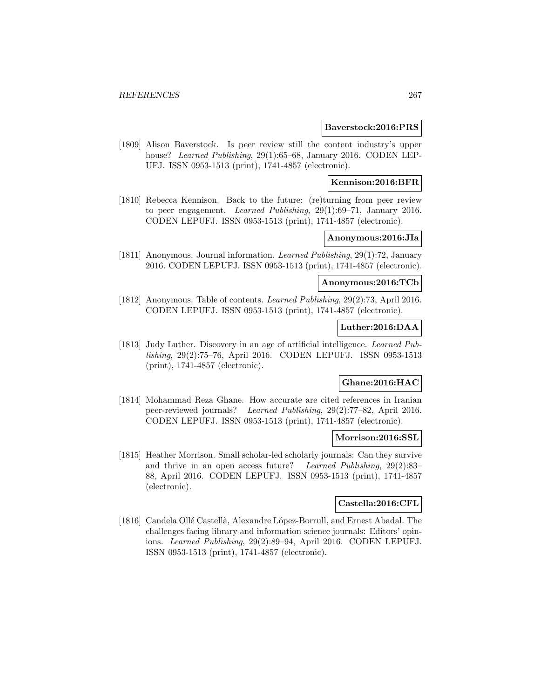### **Baverstock:2016:PRS**

[1809] Alison Baverstock. Is peer review still the content industry's upper house? Learned Publishing, 29(1):65–68, January 2016. CODEN LEP-UFJ. ISSN 0953-1513 (print), 1741-4857 (electronic).

## **Kennison:2016:BFR**

[1810] Rebecca Kennison. Back to the future: (re)turning from peer review to peer engagement. Learned Publishing, 29(1):69–71, January 2016. CODEN LEPUFJ. ISSN 0953-1513 (print), 1741-4857 (electronic).

## **Anonymous:2016:JIa**

[1811] Anonymous. Journal information. Learned Publishing, 29(1):72, January 2016. CODEN LEPUFJ. ISSN 0953-1513 (print), 1741-4857 (electronic).

## **Anonymous:2016:TCb**

[1812] Anonymous. Table of contents. Learned Publishing, 29(2):73, April 2016. CODEN LEPUFJ. ISSN 0953-1513 (print), 1741-4857 (electronic).

# **Luther:2016:DAA**

[1813] Judy Luther. Discovery in an age of artificial intelligence. Learned Publishing, 29(2):75–76, April 2016. CODEN LEPUFJ. ISSN 0953-1513 (print), 1741-4857 (electronic).

# **Ghane:2016:HAC**

[1814] Mohammad Reza Ghane. How accurate are cited references in Iranian peer-reviewed journals? Learned Publishing, 29(2):77–82, April 2016. CODEN LEPUFJ. ISSN 0953-1513 (print), 1741-4857 (electronic).

## **Morrison:2016:SSL**

[1815] Heather Morrison. Small scholar-led scholarly journals: Can they survive and thrive in an open access future? Learned Publishing, 29(2):83– 88, April 2016. CODEN LEPUFJ. ISSN 0953-1513 (print), 1741-4857 (electronic).

## **Castella:2016:CFL**

[1816] Candela Ollé Castellà, Alexandre López-Borrull, and Ernest Abadal. The challenges facing library and information science journals: Editors' opinions. Learned Publishing, 29(2):89–94, April 2016. CODEN LEPUFJ. ISSN 0953-1513 (print), 1741-4857 (electronic).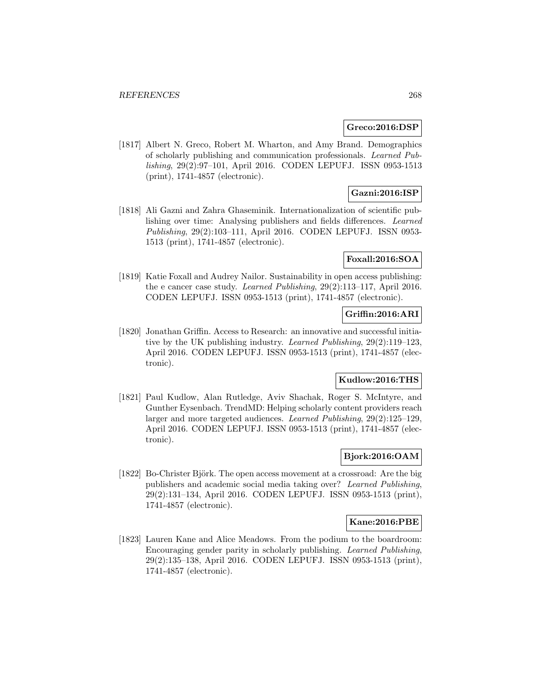## **Greco:2016:DSP**

[1817] Albert N. Greco, Robert M. Wharton, and Amy Brand. Demographics of scholarly publishing and communication professionals. Learned Publishing, 29(2):97–101, April 2016. CODEN LEPUFJ. ISSN 0953-1513 (print), 1741-4857 (electronic).

## **Gazni:2016:ISP**

[1818] Ali Gazni and Zahra Ghaseminik. Internationalization of scientific publishing over time: Analysing publishers and fields differences. Learned Publishing, 29(2):103–111, April 2016. CODEN LEPUFJ. ISSN 0953- 1513 (print), 1741-4857 (electronic).

## **Foxall:2016:SOA**

[1819] Katie Foxall and Audrey Nailor. Sustainability in open access publishing: the e cancer case study. Learned Publishing, 29(2):113–117, April 2016. CODEN LEPUFJ. ISSN 0953-1513 (print), 1741-4857 (electronic).

## **Griffin:2016:ARI**

[1820] Jonathan Griffin. Access to Research: an innovative and successful initiative by the UK publishing industry. Learned Publishing, 29(2):119–123, April 2016. CODEN LEPUFJ. ISSN 0953-1513 (print), 1741-4857 (electronic).

# **Kudlow:2016:THS**

[1821] Paul Kudlow, Alan Rutledge, Aviv Shachak, Roger S. McIntyre, and Gunther Eysenbach. TrendMD: Helping scholarly content providers reach larger and more targeted audiences. Learned Publishing, 29(2):125–129, April 2016. CODEN LEPUFJ. ISSN 0953-1513 (print), 1741-4857 (electronic).

## **Bjork:2016:OAM**

[1822] Bo-Christer Björk. The open access movement at a crossroad: Are the big publishers and academic social media taking over? Learned Publishing, 29(2):131–134, April 2016. CODEN LEPUFJ. ISSN 0953-1513 (print), 1741-4857 (electronic).

## **Kane:2016:PBE**

[1823] Lauren Kane and Alice Meadows. From the podium to the boardroom: Encouraging gender parity in scholarly publishing. Learned Publishing, 29(2):135–138, April 2016. CODEN LEPUFJ. ISSN 0953-1513 (print), 1741-4857 (electronic).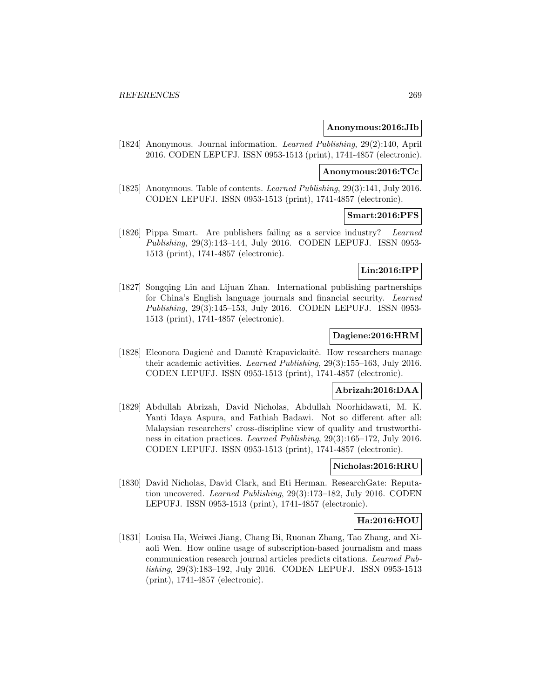### **Anonymous:2016:JIb**

[1824] Anonymous. Journal information. Learned Publishing, 29(2):140, April 2016. CODEN LEPUFJ. ISSN 0953-1513 (print), 1741-4857 (electronic).

### **Anonymous:2016:TCc**

[1825] Anonymous. Table of contents. Learned Publishing, 29(3):141, July 2016. CODEN LEPUFJ. ISSN 0953-1513 (print), 1741-4857 (electronic).

## **Smart:2016:PFS**

[1826] Pippa Smart. Are publishers failing as a service industry? Learned Publishing, 29(3):143–144, July 2016. CODEN LEPUFJ. ISSN 0953- 1513 (print), 1741-4857 (electronic).

## **Lin:2016:IPP**

[1827] Songqing Lin and Lijuan Zhan. International publishing partnerships for China's English language journals and financial security. Learned Publishing, 29(3):145–153, July 2016. CODEN LEPUFJ. ISSN 0953- 1513 (print), 1741-4857 (electronic).

## **Dagiene:2016:HRM**

[1828] Eleonora Dagienė and Danutė Krapavickaitė. How researchers manage their academic activities. Learned Publishing, 29(3):155–163, July 2016. CODEN LEPUFJ. ISSN 0953-1513 (print), 1741-4857 (electronic).

#### **Abrizah:2016:DAA**

[1829] Abdullah Abrizah, David Nicholas, Abdullah Noorhidawati, M. K. Yanti Idaya Aspura, and Fathiah Badawi. Not so different after all: Malaysian researchers' cross-discipline view of quality and trustworthiness in citation practices. Learned Publishing, 29(3):165–172, July 2016. CODEN LEPUFJ. ISSN 0953-1513 (print), 1741-4857 (electronic).

## **Nicholas:2016:RRU**

[1830] David Nicholas, David Clark, and Eti Herman. ResearchGate: Reputation uncovered. Learned Publishing, 29(3):173–182, July 2016. CODEN LEPUFJ. ISSN 0953-1513 (print), 1741-4857 (electronic).

## **Ha:2016:HOU**

[1831] Louisa Ha, Weiwei Jiang, Chang Bi, Ruonan Zhang, Tao Zhang, and Xiaoli Wen. How online usage of subscription-based journalism and mass communication research journal articles predicts citations. Learned Publishing, 29(3):183–192, July 2016. CODEN LEPUFJ. ISSN 0953-1513 (print), 1741-4857 (electronic).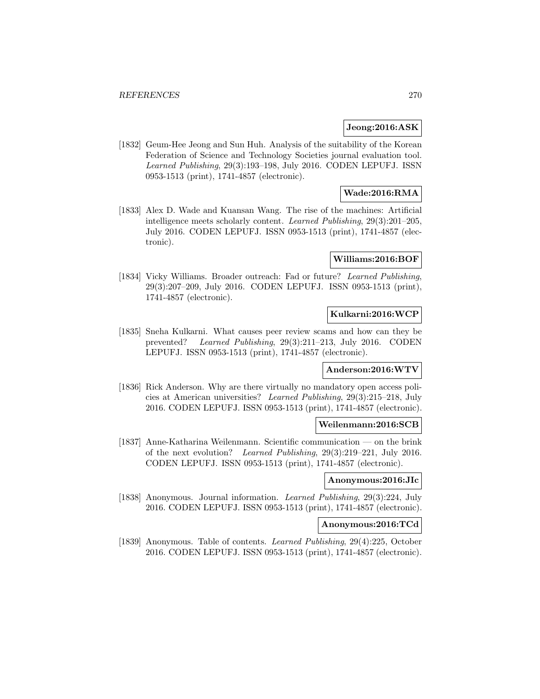### **Jeong:2016:ASK**

[1832] Geum-Hee Jeong and Sun Huh. Analysis of the suitability of the Korean Federation of Science and Technology Societies journal evaluation tool. Learned Publishing, 29(3):193–198, July 2016. CODEN LEPUFJ. ISSN 0953-1513 (print), 1741-4857 (electronic).

## **Wade:2016:RMA**

[1833] Alex D. Wade and Kuansan Wang. The rise of the machines: Artificial intelligence meets scholarly content. Learned Publishing, 29(3):201–205, July 2016. CODEN LEPUFJ. ISSN 0953-1513 (print), 1741-4857 (electronic).

### **Williams:2016:BOF**

[1834] Vicky Williams. Broader outreach: Fad or future? Learned Publishing, 29(3):207–209, July 2016. CODEN LEPUFJ. ISSN 0953-1513 (print), 1741-4857 (electronic).

## **Kulkarni:2016:WCP**

[1835] Sneha Kulkarni. What causes peer review scams and how can they be prevented? Learned Publishing, 29(3):211–213, July 2016. CODEN LEPUFJ. ISSN 0953-1513 (print), 1741-4857 (electronic).

## **Anderson:2016:WTV**

[1836] Rick Anderson. Why are there virtually no mandatory open access policies at American universities? Learned Publishing, 29(3):215–218, July 2016. CODEN LEPUFJ. ISSN 0953-1513 (print), 1741-4857 (electronic).

## **Weilenmann:2016:SCB**

[1837] Anne-Katharina Weilenmann. Scientific communication — on the brink of the next evolution? Learned Publishing, 29(3):219–221, July 2016. CODEN LEPUFJ. ISSN 0953-1513 (print), 1741-4857 (electronic).

## **Anonymous:2016:JIc**

[1838] Anonymous. Journal information. Learned Publishing, 29(3):224, July 2016. CODEN LEPUFJ. ISSN 0953-1513 (print), 1741-4857 (electronic).

## **Anonymous:2016:TCd**

[1839] Anonymous. Table of contents. Learned Publishing, 29(4):225, October 2016. CODEN LEPUFJ. ISSN 0953-1513 (print), 1741-4857 (electronic).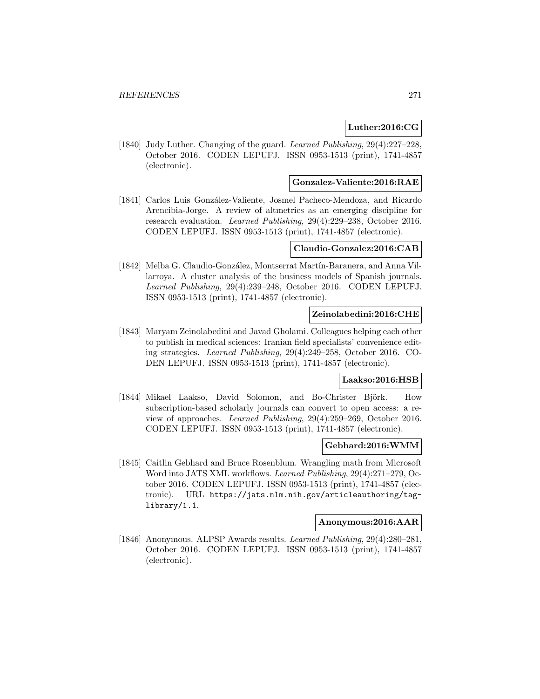## **Luther:2016:CG**

[1840] Judy Luther. Changing of the guard. Learned Publishing, 29(4):227–228, October 2016. CODEN LEPUFJ. ISSN 0953-1513 (print), 1741-4857 (electronic).

## **Gonzalez-Valiente:2016:RAE**

[1841] Carlos Luis González-Valiente, Josmel Pacheco-Mendoza, and Ricardo Arencibia-Jorge. A review of altmetrics as an emerging discipline for research evaluation. Learned Publishing, 29(4):229–238, October 2016. CODEN LEPUFJ. ISSN 0953-1513 (print), 1741-4857 (electronic).

### **Claudio-Gonzalez:2016:CAB**

[1842] Melba G. Claudio-González, Montserrat Martín-Baranera, and Anna Villarroya. A cluster analysis of the business models of Spanish journals. Learned Publishing, 29(4):239–248, October 2016. CODEN LEPUFJ. ISSN 0953-1513 (print), 1741-4857 (electronic).

## **Zeinolabedini:2016:CHE**

[1843] Maryam Zeinolabedini and Javad Gholami. Colleagues helping each other to publish in medical sciences: Iranian field specialists' convenience editing strategies. Learned Publishing, 29(4):249–258, October 2016. CO-DEN LEPUFJ. ISSN 0953-1513 (print), 1741-4857 (electronic).

## **Laakso:2016:HSB**

[1844] Mikael Laakso, David Solomon, and Bo-Christer Björk. How subscription-based scholarly journals can convert to open access: a review of approaches. Learned Publishing, 29(4):259–269, October 2016. CODEN LEPUFJ. ISSN 0953-1513 (print), 1741-4857 (electronic).

### **Gebhard:2016:WMM**

[1845] Caitlin Gebhard and Bruce Rosenblum. Wrangling math from Microsoft Word into JATS XML workflows. Learned Publishing, 29(4):271–279, October 2016. CODEN LEPUFJ. ISSN 0953-1513 (print), 1741-4857 (electronic). URL https://jats.nlm.nih.gov/articleauthoring/taglibrary/1.1.

#### **Anonymous:2016:AAR**

[1846] Anonymous. ALPSP Awards results. Learned Publishing, 29(4):280–281, October 2016. CODEN LEPUFJ. ISSN 0953-1513 (print), 1741-4857 (electronic).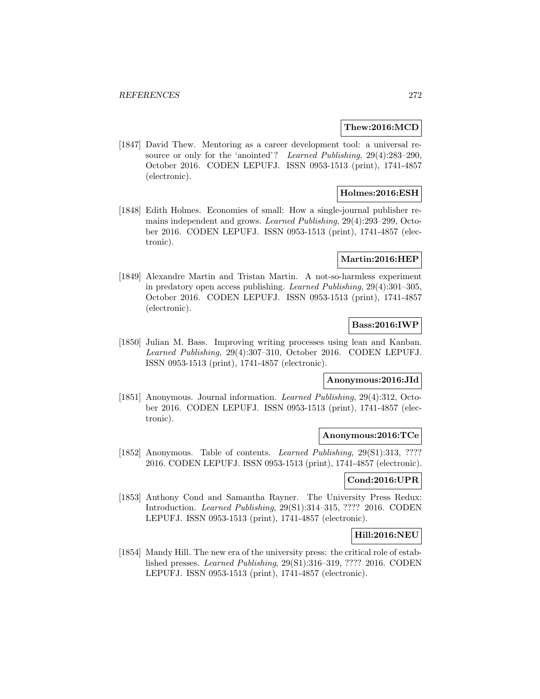### **Thew:2016:MCD**

[1847] David Thew. Mentoring as a career development tool: a universal resource or only for the 'anointed'? Learned Publishing, 29(4):283–290, October 2016. CODEN LEPUFJ. ISSN 0953-1513 (print), 1741-4857 (electronic).

## **Holmes:2016:ESH**

[1848] Edith Holmes. Economies of small: How a single-journal publisher remains independent and grows. Learned Publishing, 29(4):293–299, October 2016. CODEN LEPUFJ. ISSN 0953-1513 (print), 1741-4857 (electronic).

### **Martin:2016:HEP**

[1849] Alexandre Martin and Tristan Martin. A not-so-harmless experiment in predatory open access publishing. Learned Publishing, 29(4):301–305, October 2016. CODEN LEPUFJ. ISSN 0953-1513 (print), 1741-4857 (electronic).

## **Bass:2016:IWP**

[1850] Julian M. Bass. Improving writing processes using lean and Kanban. Learned Publishing, 29(4):307–310, October 2016. CODEN LEPUFJ. ISSN 0953-1513 (print), 1741-4857 (electronic).

## **Anonymous:2016:JId**

[1851] Anonymous. Journal information. *Learned Publishing*, 29(4):312, October 2016. CODEN LEPUFJ. ISSN 0953-1513 (print), 1741-4857 (electronic).

## **Anonymous:2016:TCe**

[1852] Anonymous. Table of contents. Learned Publishing, 29(S1):313, ???? 2016. CODEN LEPUFJ. ISSN 0953-1513 (print), 1741-4857 (electronic).

## **Cond:2016:UPR**

[1853] Anthony Cond and Samantha Rayner. The University Press Redux: Introduction. Learned Publishing, 29(S1):314–315, ???? 2016. CODEN LEPUFJ. ISSN 0953-1513 (print), 1741-4857 (electronic).

## **Hill:2016:NEU**

[1854] Mandy Hill. The new era of the university press: the critical role of established presses. Learned Publishing, 29(S1):316–319, ???? 2016. CODEN LEPUFJ. ISSN 0953-1513 (print), 1741-4857 (electronic).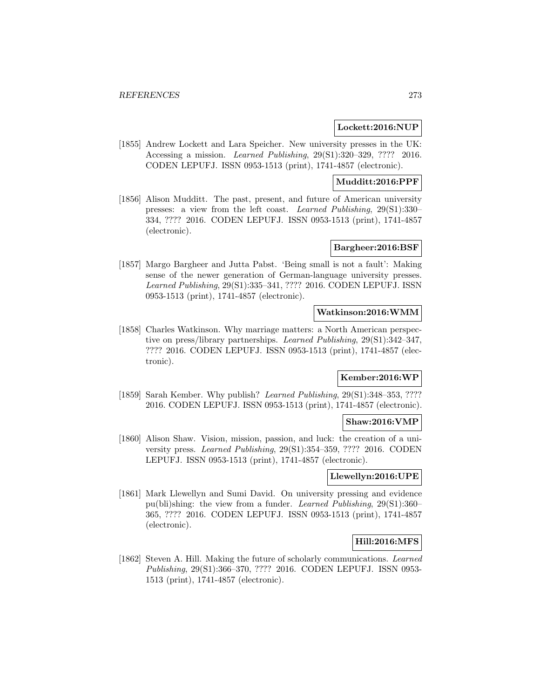### **Lockett:2016:NUP**

[1855] Andrew Lockett and Lara Speicher. New university presses in the UK: Accessing a mission. Learned Publishing, 29(S1):320–329, ???? 2016. CODEN LEPUFJ. ISSN 0953-1513 (print), 1741-4857 (electronic).

## **Mudditt:2016:PPF**

[1856] Alison Mudditt. The past, present, and future of American university presses: a view from the left coast. Learned Publishing, 29(S1):330– 334, ???? 2016. CODEN LEPUFJ. ISSN 0953-1513 (print), 1741-4857 (electronic).

## **Bargheer:2016:BSF**

[1857] Margo Bargheer and Jutta Pabst. 'Being small is not a fault': Making sense of the newer generation of German-language university presses. Learned Publishing, 29(S1):335–341, ???? 2016. CODEN LEPUFJ. ISSN 0953-1513 (print), 1741-4857 (electronic).

### **Watkinson:2016:WMM**

[1858] Charles Watkinson. Why marriage matters: a North American perspective on press/library partnerships. Learned Publishing, 29(S1):342–347, ???? 2016. CODEN LEPUFJ. ISSN 0953-1513 (print), 1741-4857 (electronic).

# **Kember:2016:WP**

[1859] Sarah Kember. Why publish? Learned Publishing, 29(S1):348–353, ???? 2016. CODEN LEPUFJ. ISSN 0953-1513 (print), 1741-4857 (electronic).

### **Shaw:2016:VMP**

[1860] Alison Shaw. Vision, mission, passion, and luck: the creation of a university press. Learned Publishing, 29(S1):354–359, ???? 2016. CODEN LEPUFJ. ISSN 0953-1513 (print), 1741-4857 (electronic).

### **Llewellyn:2016:UPE**

[1861] Mark Llewellyn and Sumi David. On university pressing and evidence pu(bli)shing: the view from a funder. Learned Publishing, 29(S1):360– 365, ???? 2016. CODEN LEPUFJ. ISSN 0953-1513 (print), 1741-4857 (electronic).

## **Hill:2016:MFS**

[1862] Steven A. Hill. Making the future of scholarly communications. Learned Publishing, 29(S1):366–370, ???? 2016. CODEN LEPUFJ. ISSN 0953- 1513 (print), 1741-4857 (electronic).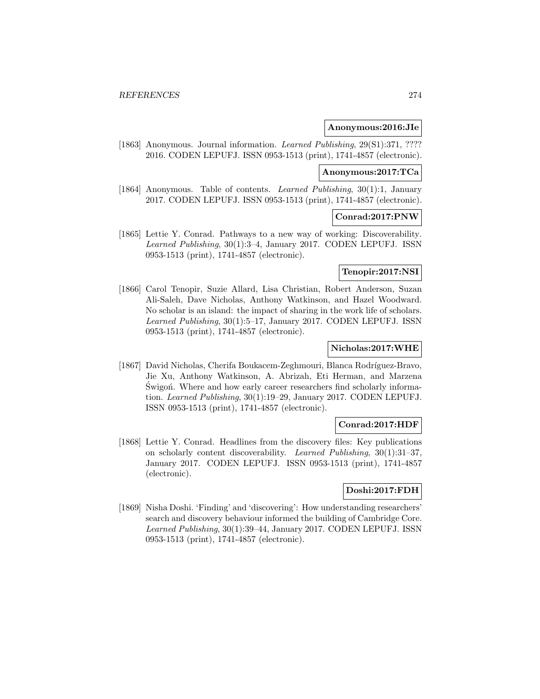### **Anonymous:2016:JIe**

[1863] Anonymous. Journal information. *Learned Publishing*, 29(S1):371, ???? 2016. CODEN LEPUFJ. ISSN 0953-1513 (print), 1741-4857 (electronic).

### **Anonymous:2017:TCa**

[1864] Anonymous. Table of contents. *Learned Publishing*, 30(1):1, January 2017. CODEN LEPUFJ. ISSN 0953-1513 (print), 1741-4857 (electronic).

### **Conrad:2017:PNW**

[1865] Lettie Y. Conrad. Pathways to a new way of working: Discoverability. Learned Publishing, 30(1):3–4, January 2017. CODEN LEPUFJ. ISSN 0953-1513 (print), 1741-4857 (electronic).

## **Tenopir:2017:NSI**

[1866] Carol Tenopir, Suzie Allard, Lisa Christian, Robert Anderson, Suzan Ali-Saleh, Dave Nicholas, Anthony Watkinson, and Hazel Woodward. No scholar is an island: the impact of sharing in the work life of scholars. Learned Publishing, 30(1):5–17, January 2017. CODEN LEPUFJ. ISSN 0953-1513 (print), 1741-4857 (electronic).

## **Nicholas:2017:WHE**

[1867] David Nicholas, Cherifa Boukacem-Zeghmouri, Blanca Rodríguez-Bravo, Jie Xu, Anthony Watkinson, A. Abrizah, Eti Herman, and Marzena Swigon. Where and how early career researchers find scholarly information. Learned Publishing, 30(1):19–29, January 2017. CODEN LEPUFJ. ISSN 0953-1513 (print), 1741-4857 (electronic).

#### **Conrad:2017:HDF**

[1868] Lettie Y. Conrad. Headlines from the discovery files: Key publications on scholarly content discoverability. Learned Publishing, 30(1):31–37, January 2017. CODEN LEPUFJ. ISSN 0953-1513 (print), 1741-4857 (electronic).

## **Doshi:2017:FDH**

[1869] Nisha Doshi. 'Finding' and 'discovering': How understanding researchers' search and discovery behaviour informed the building of Cambridge Core. Learned Publishing, 30(1):39–44, January 2017. CODEN LEPUFJ. ISSN 0953-1513 (print), 1741-4857 (electronic).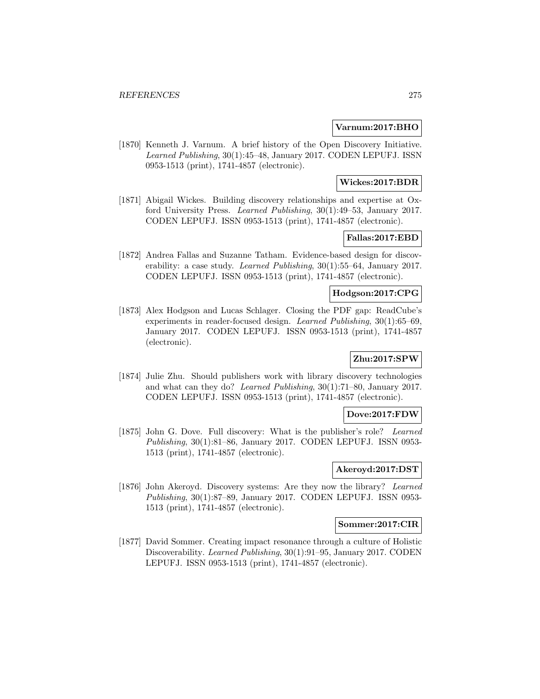## **Varnum:2017:BHO**

[1870] Kenneth J. Varnum. A brief history of the Open Discovery Initiative. Learned Publishing, 30(1):45–48, January 2017. CODEN LEPUFJ. ISSN 0953-1513 (print), 1741-4857 (electronic).

## **Wickes:2017:BDR**

[1871] Abigail Wickes. Building discovery relationships and expertise at Oxford University Press. Learned Publishing, 30(1):49–53, January 2017. CODEN LEPUFJ. ISSN 0953-1513 (print), 1741-4857 (electronic).

## **Fallas:2017:EBD**

[1872] Andrea Fallas and Suzanne Tatham. Evidence-based design for discoverability: a case study. Learned Publishing, 30(1):55–64, January 2017. CODEN LEPUFJ. ISSN 0953-1513 (print), 1741-4857 (electronic).

## **Hodgson:2017:CPG**

[1873] Alex Hodgson and Lucas Schlager. Closing the PDF gap: ReadCube's experiments in reader-focused design. Learned Publishing, 30(1):65–69, January 2017. CODEN LEPUFJ. ISSN 0953-1513 (print), 1741-4857 (electronic).

# **Zhu:2017:SPW**

[1874] Julie Zhu. Should publishers work with library discovery technologies and what can they do? Learned Publishing, 30(1):71–80, January 2017. CODEN LEPUFJ. ISSN 0953-1513 (print), 1741-4857 (electronic).

## **Dove:2017:FDW**

[1875] John G. Dove. Full discovery: What is the publisher's role? Learned Publishing, 30(1):81–86, January 2017. CODEN LEPUFJ. ISSN 0953- 1513 (print), 1741-4857 (electronic).

## **Akeroyd:2017:DST**

[1876] John Akeroyd. Discovery systems: Are they now the library? Learned Publishing, 30(1):87–89, January 2017. CODEN LEPUFJ. ISSN 0953- 1513 (print), 1741-4857 (electronic).

## **Sommer:2017:CIR**

[1877] David Sommer. Creating impact resonance through a culture of Holistic Discoverability. Learned Publishing, 30(1):91–95, January 2017. CODEN LEPUFJ. ISSN 0953-1513 (print), 1741-4857 (electronic).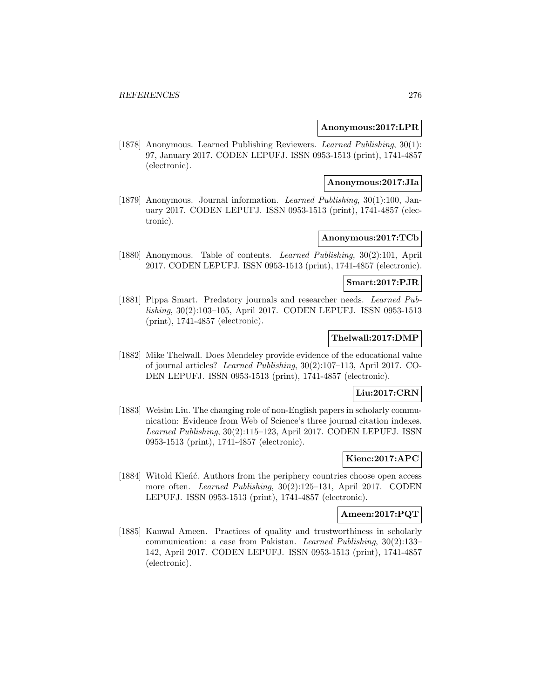## **Anonymous:2017:LPR**

[1878] Anonymous. Learned Publishing Reviewers. Learned Publishing, 30(1): 97, January 2017. CODEN LEPUFJ. ISSN 0953-1513 (print), 1741-4857 (electronic).

### **Anonymous:2017:JIa**

[1879] Anonymous. Journal information. Learned Publishing, 30(1):100, January 2017. CODEN LEPUFJ. ISSN 0953-1513 (print), 1741-4857 (electronic).

## **Anonymous:2017:TCb**

[1880] Anonymous. Table of contents. Learned Publishing, 30(2):101, April 2017. CODEN LEPUFJ. ISSN 0953-1513 (print), 1741-4857 (electronic).

## **Smart:2017:PJR**

[1881] Pippa Smart. Predatory journals and researcher needs. Learned Publishing, 30(2):103–105, April 2017. CODEN LEPUFJ. ISSN 0953-1513 (print), 1741-4857 (electronic).

## **Thelwall:2017:DMP**

[1882] Mike Thelwall. Does Mendeley provide evidence of the educational value of journal articles? Learned Publishing, 30(2):107–113, April 2017. CO-DEN LEPUFJ. ISSN 0953-1513 (print), 1741-4857 (electronic).

# **Liu:2017:CRN**

[1883] Weishu Liu. The changing role of non-English papers in scholarly communication: Evidence from Web of Science's three journal citation indexes. Learned Publishing, 30(2):115–123, April 2017. CODEN LEPUFJ. ISSN 0953-1513 (print), 1741-4857 (electronic).

## **Kienc:2017:APC**

[1884] Witold Kieńć. Authors from the periphery countries choose open access more often. Learned Publishing, 30(2):125–131, April 2017. CODEN LEPUFJ. ISSN 0953-1513 (print), 1741-4857 (electronic).

## **Ameen:2017:PQT**

[1885] Kanwal Ameen. Practices of quality and trustworthiness in scholarly communication: a case from Pakistan. Learned Publishing, 30(2):133– 142, April 2017. CODEN LEPUFJ. ISSN 0953-1513 (print), 1741-4857 (electronic).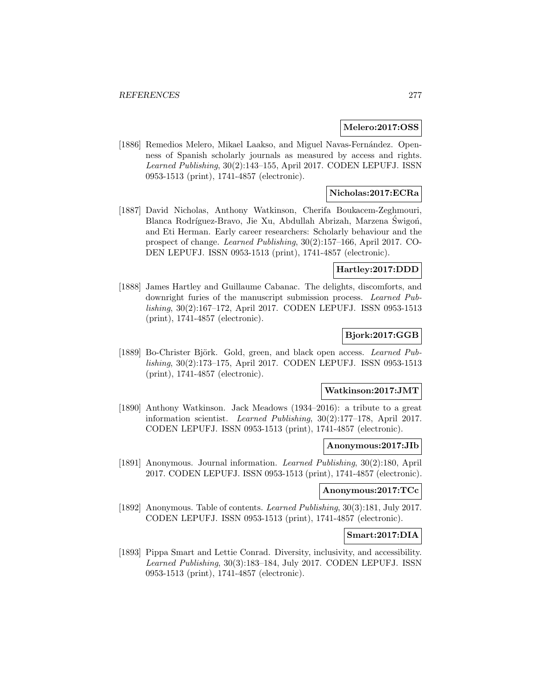### **Melero:2017:OSS**

[1886] Remedios Melero, Mikael Laakso, and Miguel Navas-Fernández. Openness of Spanish scholarly journals as measured by access and rights. Learned Publishing, 30(2):143–155, April 2017. CODEN LEPUFJ. ISSN 0953-1513 (print), 1741-4857 (electronic).

## **Nicholas:2017:ECRa**

[1887] David Nicholas, Anthony Watkinson, Cherifa Boukacem-Zeghmouri, Blanca Rodríguez-Bravo, Jie Xu, Abdullah Abrizah, Marzena Swigoń, and Eti Herman. Early career researchers: Scholarly behaviour and the prospect of change. Learned Publishing, 30(2):157–166, April 2017. CO-DEN LEPUFJ. ISSN 0953-1513 (print), 1741-4857 (electronic).

### **Hartley:2017:DDD**

[1888] James Hartley and Guillaume Cabanac. The delights, discomforts, and downright furies of the manuscript submission process. Learned Publishing, 30(2):167–172, April 2017. CODEN LEPUFJ. ISSN 0953-1513 (print), 1741-4857 (electronic).

## **Bjork:2017:GGB**

[1889] Bo-Christer Björk. Gold, green, and black open access. Learned Publishing, 30(2):173–175, April 2017. CODEN LEPUFJ. ISSN 0953-1513 (print), 1741-4857 (electronic).

#### **Watkinson:2017:JMT**

[1890] Anthony Watkinson. Jack Meadows (1934–2016): a tribute to a great information scientist. Learned Publishing, 30(2):177–178, April 2017. CODEN LEPUFJ. ISSN 0953-1513 (print), 1741-4857 (electronic).

#### **Anonymous:2017:JIb**

[1891] Anonymous. Journal information. Learned Publishing, 30(2):180, April 2017. CODEN LEPUFJ. ISSN 0953-1513 (print), 1741-4857 (electronic).

## **Anonymous:2017:TCc**

[1892] Anonymous. Table of contents. Learned Publishing, 30(3):181, July 2017. CODEN LEPUFJ. ISSN 0953-1513 (print), 1741-4857 (electronic).

#### **Smart:2017:DIA**

[1893] Pippa Smart and Lettie Conrad. Diversity, inclusivity, and accessibility. Learned Publishing, 30(3):183–184, July 2017. CODEN LEPUFJ. ISSN 0953-1513 (print), 1741-4857 (electronic).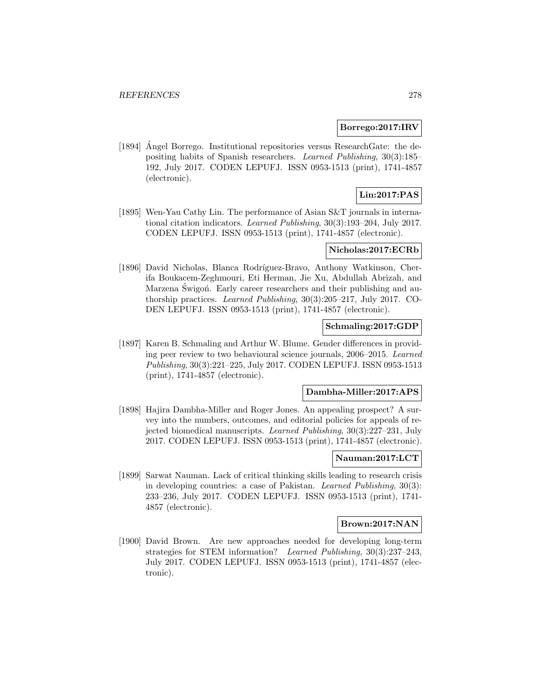### **Borrego:2017:IRV**

[1894] Angel Borrego. Institutional repositories versus ResearchGate: the depositing habits of Spanish researchers. Learned Publishing, 30(3):185– 192, July 2017. CODEN LEPUFJ. ISSN 0953-1513 (print), 1741-4857 (electronic).

## **Lin:2017:PAS**

[1895] Wen-Yau Cathy Lin. The performance of Asian S&T journals in international citation indicators. Learned Publishing, 30(3):193–204, July 2017. CODEN LEPUFJ. ISSN 0953-1513 (print), 1741-4857 (electronic).

## **Nicholas:2017:ECRb**

[1896] David Nicholas, Blanca Rodríguez-Bravo, Anthony Watkinson, Cherifa Boukacem-Zeghmouri, Eti Herman, Jie Xu, Abdullah Abrizah, and Marzena Świgoń. Early career researchers and their publishing and authorship practices. Learned Publishing, 30(3):205–217, July 2017. CO-DEN LEPUFJ. ISSN 0953-1513 (print), 1741-4857 (electronic).

## **Schmaling:2017:GDP**

[1897] Karen B. Schmaling and Arthur W. Blume. Gender differences in providing peer review to two behavioural science journals, 2006–2015. Learned Publishing, 30(3):221–225, July 2017. CODEN LEPUFJ. ISSN 0953-1513 (print), 1741-4857 (electronic).

## **Dambha-Miller:2017:APS**

[1898] Hajira Dambha-Miller and Roger Jones. An appealing prospect? A survey into the numbers, outcomes, and editorial policies for appeals of rejected biomedical manuscripts. Learned Publishing, 30(3):227–231, July 2017. CODEN LEPUFJ. ISSN 0953-1513 (print), 1741-4857 (electronic).

## **Nauman:2017:LCT**

[1899] Sarwat Nauman. Lack of critical thinking skills leading to research crisis in developing countries: a case of Pakistan. Learned Publishing, 30(3): 233–236, July 2017. CODEN LEPUFJ. ISSN 0953-1513 (print), 1741- 4857 (electronic).

## **Brown:2017:NAN**

[1900] David Brown. Are new approaches needed for developing long-term strategies for STEM information? Learned Publishing, 30(3):237–243, July 2017. CODEN LEPUFJ. ISSN 0953-1513 (print), 1741-4857 (electronic).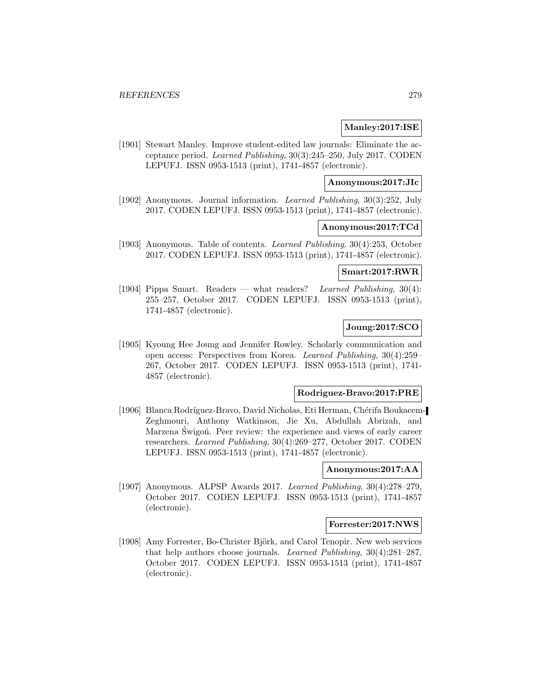## **Manley:2017:ISE**

[1901] Stewart Manley. Improve student-edited law journals: Eliminate the acceptance period. Learned Publishing, 30(3):245–250, July 2017. CODEN LEPUFJ. ISSN 0953-1513 (print), 1741-4857 (electronic).

### **Anonymous:2017:JIc**

[1902] Anonymous. Journal information. Learned Publishing, 30(3):252, July 2017. CODEN LEPUFJ. ISSN 0953-1513 (print), 1741-4857 (electronic).

#### **Anonymous:2017:TCd**

[1903] Anonymous. Table of contents. Learned Publishing, 30(4):253, October 2017. CODEN LEPUFJ. ISSN 0953-1513 (print), 1741-4857 (electronic).

#### **Smart:2017:RWR**

[1904] Pippa Smart. Readers — what readers? Learned Publishing, 30(4): 255–257, October 2017. CODEN LEPUFJ. ISSN 0953-1513 (print), 1741-4857 (electronic).

# **Joung:2017:SCO**

[1905] Kyoung Hee Joung and Jennifer Rowley. Scholarly communication and open access: Perspectives from Korea. Learned Publishing, 30(4):259– 267, October 2017. CODEN LEPUFJ. ISSN 0953-1513 (print), 1741- 4857 (electronic).

## **Rodriguez-Bravo:2017:PRE**

[1906] Blanca Rodríguez-Bravo, David Nicholas, Eti Herman, Chérifa Boukacem-Zeghmouri, Anthony Watkinson, Jie Xu, Abdullah Abrizah, and Marzena Świgoń. Peer review: the experience and views of early career researchers. Learned Publishing, 30(4):269–277, October 2017. CODEN LEPUFJ. ISSN 0953-1513 (print), 1741-4857 (electronic).

# **Anonymous:2017:AA**

[1907] Anonymous. ALPSP Awards 2017. Learned Publishing, 30(4):278–279, October 2017. CODEN LEPUFJ. ISSN 0953-1513 (print), 1741-4857 (electronic).

### **Forrester:2017:NWS**

[1908] Amy Forrester, Bo-Christer Björk, and Carol Tenopir. New web services that help authors choose journals. Learned Publishing, 30(4):281–287, October 2017. CODEN LEPUFJ. ISSN 0953-1513 (print), 1741-4857 (electronic).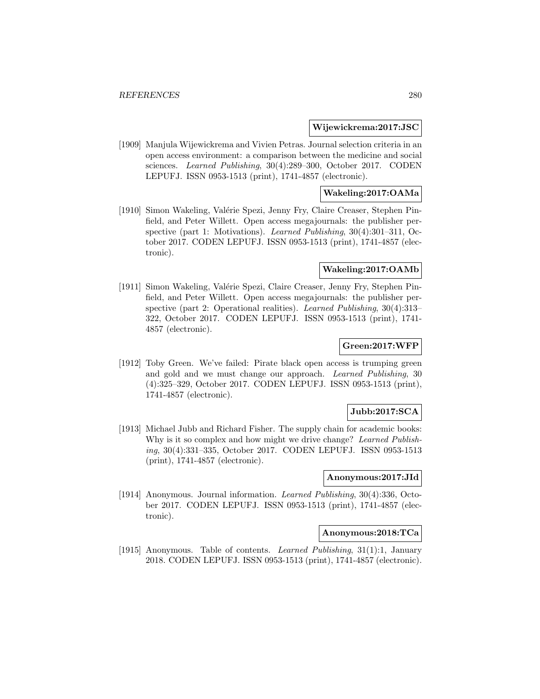#### **Wijewickrema:2017:JSC**

[1909] Manjula Wijewickrema and Vivien Petras. Journal selection criteria in an open access environment: a comparison between the medicine and social sciences. Learned Publishing, 30(4):289–300, October 2017. CODEN LEPUFJ. ISSN 0953-1513 (print), 1741-4857 (electronic).

## **Wakeling:2017:OAMa**

[1910] Simon Wakeling, Valérie Spezi, Jenny Fry, Claire Creaser, Stephen Pinfield, and Peter Willett. Open access megajournals: the publisher perspective (part 1: Motivations). Learned Publishing, 30(4):301–311, October 2017. CODEN LEPUFJ. ISSN 0953-1513 (print), 1741-4857 (electronic).

#### **Wakeling:2017:OAMb**

[1911] Simon Wakeling, Valérie Spezi, Claire Creaser, Jenny Fry, Stephen Pinfield, and Peter Willett. Open access megajournals: the publisher perspective (part 2: Operational realities). Learned Publishing, 30(4):313– 322, October 2017. CODEN LEPUFJ. ISSN 0953-1513 (print), 1741- 4857 (electronic).

## **Green:2017:WFP**

[1912] Toby Green. We've failed: Pirate black open access is trumping green and gold and we must change our approach. Learned Publishing, 30 (4):325–329, October 2017. CODEN LEPUFJ. ISSN 0953-1513 (print), 1741-4857 (electronic).

## **Jubb:2017:SCA**

[1913] Michael Jubb and Richard Fisher. The supply chain for academic books: Why is it so complex and how might we drive change? Learned Publishing, 30(4):331–335, October 2017. CODEN LEPUFJ. ISSN 0953-1513 (print), 1741-4857 (electronic).

### **Anonymous:2017:JId**

[1914] Anonymous. Journal information. Learned Publishing, 30(4):336, October 2017. CODEN LEPUFJ. ISSN 0953-1513 (print), 1741-4857 (electronic).

### **Anonymous:2018:TCa**

[1915] Anonymous. Table of contents. Learned Publishing, 31(1):1, January 2018. CODEN LEPUFJ. ISSN 0953-1513 (print), 1741-4857 (electronic).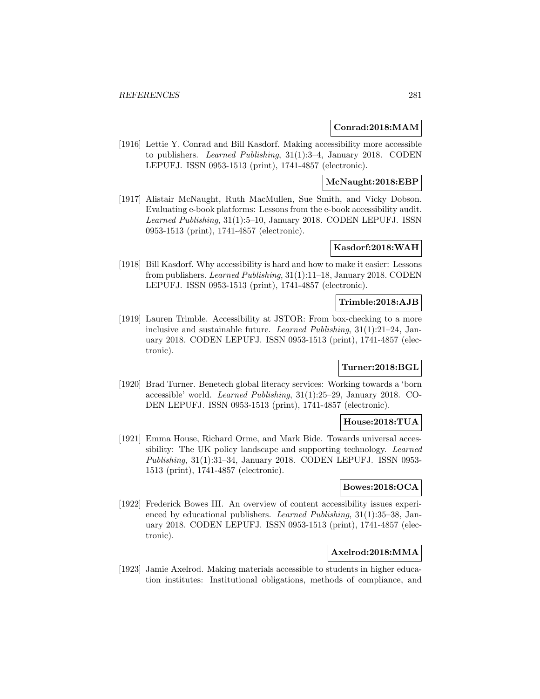## **Conrad:2018:MAM**

[1916] Lettie Y. Conrad and Bill Kasdorf. Making accessibility more accessible to publishers. Learned Publishing, 31(1):3–4, January 2018. CODEN LEPUFJ. ISSN 0953-1513 (print), 1741-4857 (electronic).

## **McNaught:2018:EBP**

[1917] Alistair McNaught, Ruth MacMullen, Sue Smith, and Vicky Dobson. Evaluating e-book platforms: Lessons from the e-book accessibility audit. Learned Publishing, 31(1):5–10, January 2018. CODEN LEPUFJ. ISSN 0953-1513 (print), 1741-4857 (electronic).

## **Kasdorf:2018:WAH**

[1918] Bill Kasdorf. Why accessibility is hard and how to make it easier: Lessons from publishers. Learned Publishing, 31(1):11–18, January 2018. CODEN LEPUFJ. ISSN 0953-1513 (print), 1741-4857 (electronic).

### **Trimble:2018:AJB**

[1919] Lauren Trimble. Accessibility at JSTOR: From box-checking to a more inclusive and sustainable future. Learned Publishing, 31(1):21–24, January 2018. CODEN LEPUFJ. ISSN 0953-1513 (print), 1741-4857 (electronic).

## **Turner:2018:BGL**

[1920] Brad Turner. Benetech global literacy services: Working towards a 'born accessible' world. Learned Publishing, 31(1):25–29, January 2018. CO-DEN LEPUFJ. ISSN 0953-1513 (print), 1741-4857 (electronic).

## **House:2018:TUA**

[1921] Emma House, Richard Orme, and Mark Bide. Towards universal accessibility: The UK policy landscape and supporting technology. Learned Publishing, 31(1):31–34, January 2018. CODEN LEPUFJ. ISSN 0953- 1513 (print), 1741-4857 (electronic).

## **Bowes:2018:OCA**

[1922] Frederick Bowes III. An overview of content accessibility issues experienced by educational publishers. Learned Publishing, 31(1):35–38, January 2018. CODEN LEPUFJ. ISSN 0953-1513 (print), 1741-4857 (electronic).

# **Axelrod:2018:MMA**

[1923] Jamie Axelrod. Making materials accessible to students in higher education institutes: Institutional obligations, methods of compliance, and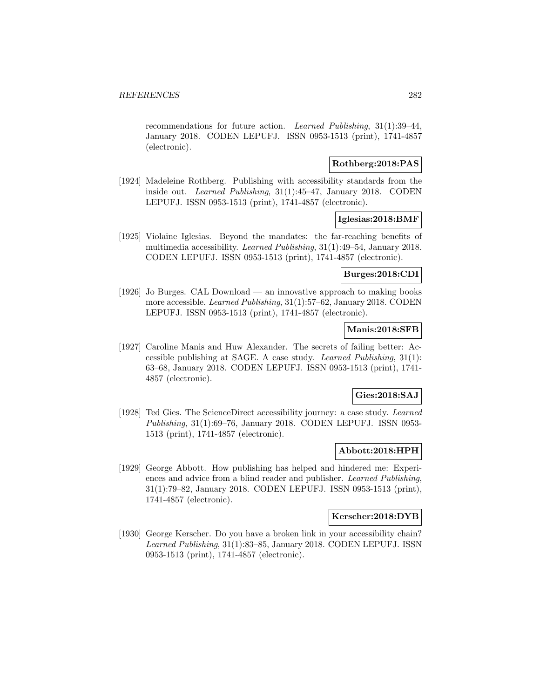recommendations for future action. Learned Publishing, 31(1):39–44, January 2018. CODEN LEPUFJ. ISSN 0953-1513 (print), 1741-4857 (electronic).

## **Rothberg:2018:PAS**

[1924] Madeleine Rothberg. Publishing with accessibility standards from the inside out. Learned Publishing, 31(1):45–47, January 2018. CODEN LEPUFJ. ISSN 0953-1513 (print), 1741-4857 (electronic).

## **Iglesias:2018:BMF**

[1925] Violaine Iglesias. Beyond the mandates: the far-reaching benefits of multimedia accessibility. Learned Publishing, 31(1):49–54, January 2018. CODEN LEPUFJ. ISSN 0953-1513 (print), 1741-4857 (electronic).

## **Burges:2018:CDI**

[1926] Jo Burges. CAL Download — an innovative approach to making books more accessible. Learned Publishing, 31(1):57–62, January 2018. CODEN LEPUFJ. ISSN 0953-1513 (print), 1741-4857 (electronic).

## **Manis:2018:SFB**

[1927] Caroline Manis and Huw Alexander. The secrets of failing better: Accessible publishing at SAGE. A case study. Learned Publishing, 31(1): 63–68, January 2018. CODEN LEPUFJ. ISSN 0953-1513 (print), 1741- 4857 (electronic).

## **Gies:2018:SAJ**

[1928] Ted Gies. The ScienceDirect accessibility journey: a case study. Learned Publishing, 31(1):69–76, January 2018. CODEN LEPUFJ. ISSN 0953- 1513 (print), 1741-4857 (electronic).

## **Abbott:2018:HPH**

[1929] George Abbott. How publishing has helped and hindered me: Experiences and advice from a blind reader and publisher. Learned Publishing, 31(1):79–82, January 2018. CODEN LEPUFJ. ISSN 0953-1513 (print), 1741-4857 (electronic).

### **Kerscher:2018:DYB**

[1930] George Kerscher. Do you have a broken link in your accessibility chain? Learned Publishing, 31(1):83–85, January 2018. CODEN LEPUFJ. ISSN 0953-1513 (print), 1741-4857 (electronic).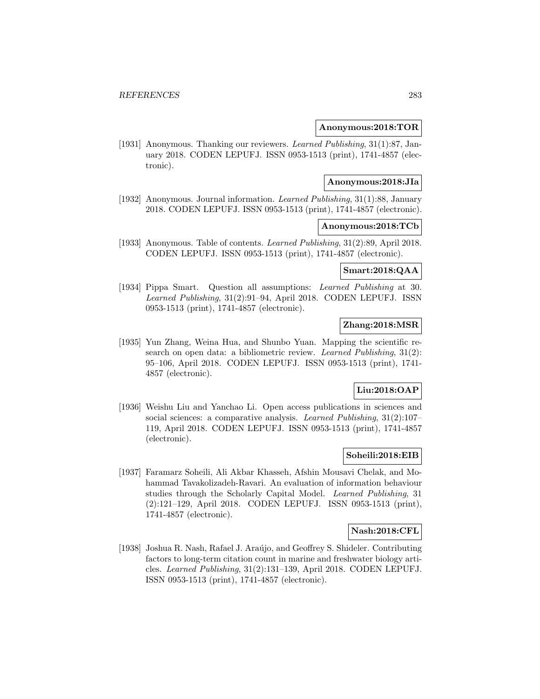### **Anonymous:2018:TOR**

[1931] Anonymous. Thanking our reviewers. Learned Publishing, 31(1):87, January 2018. CODEN LEPUFJ. ISSN 0953-1513 (print), 1741-4857 (electronic).

#### **Anonymous:2018:JIa**

[1932] Anonymous. Journal information. Learned Publishing, 31(1):88, January 2018. CODEN LEPUFJ. ISSN 0953-1513 (print), 1741-4857 (electronic).

### **Anonymous:2018:TCb**

[1933] Anonymous. Table of contents. Learned Publishing, 31(2):89, April 2018. CODEN LEPUFJ. ISSN 0953-1513 (print), 1741-4857 (electronic).

### **Smart:2018:QAA**

[1934] Pippa Smart. Question all assumptions: Learned Publishing at 30. Learned Publishing, 31(2):91–94, April 2018. CODEN LEPUFJ. ISSN 0953-1513 (print), 1741-4857 (electronic).

# **Zhang:2018:MSR**

[1935] Yun Zhang, Weina Hua, and Shunbo Yuan. Mapping the scientific research on open data: a bibliometric review. Learned Publishing, 31(2): 95–106, April 2018. CODEN LEPUFJ. ISSN 0953-1513 (print), 1741- 4857 (electronic).

## **Liu:2018:OAP**

[1936] Weishu Liu and Yanchao Li. Open access publications in sciences and social sciences: a comparative analysis. Learned Publishing, 31(2):107-119, April 2018. CODEN LEPUFJ. ISSN 0953-1513 (print), 1741-4857 (electronic).

## **Soheili:2018:EIB**

[1937] Faramarz Soheili, Ali Akbar Khasseh, Afshin Mousavi Chelak, and Mohammad Tavakolizadeh-Ravari. An evaluation of information behaviour studies through the Scholarly Capital Model. Learned Publishing, 31 (2):121–129, April 2018. CODEN LEPUFJ. ISSN 0953-1513 (print), 1741-4857 (electronic).

## **Nash:2018:CFL**

[1938] Joshua R. Nash, Rafael J. Araújo, and Geoffrey S. Shideler. Contributing factors to long-term citation count in marine and freshwater biology articles. Learned Publishing, 31(2):131–139, April 2018. CODEN LEPUFJ. ISSN 0953-1513 (print), 1741-4857 (electronic).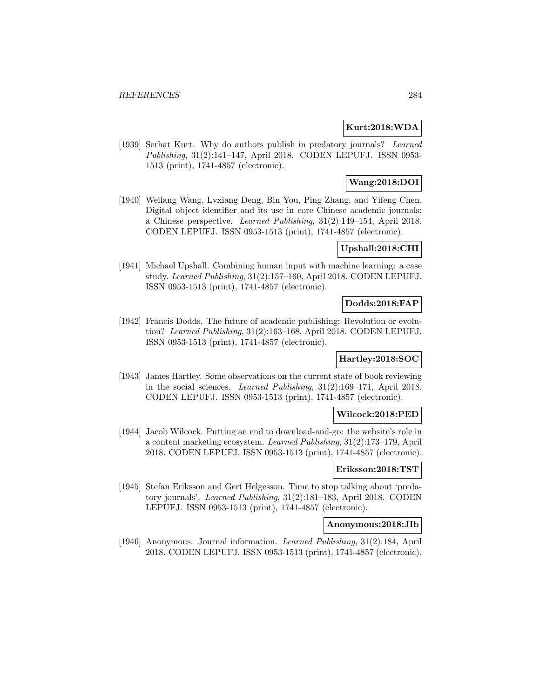## **Kurt:2018:WDA**

[1939] Serhat Kurt. Why do authors publish in predatory journals? Learned Publishing, 31(2):141–147, April 2018. CODEN LEPUFJ. ISSN 0953- 1513 (print), 1741-4857 (electronic).

# **Wang:2018:DOI**

[1940] Weilang Wang, Lvxiang Deng, Bin You, Ping Zhang, and Yifeng Chen. Digital object identifier and its use in core Chinese academic journals: a Chinese perspective. Learned Publishing, 31(2):149–154, April 2018. CODEN LEPUFJ. ISSN 0953-1513 (print), 1741-4857 (electronic).

## **Upshall:2018:CHI**

[1941] Michael Upshall. Combining human input with machine learning: a case study. Learned Publishing, 31(2):157–160, April 2018. CODEN LEPUFJ. ISSN 0953-1513 (print), 1741-4857 (electronic).

### **Dodds:2018:FAP**

[1942] Francis Dodds. The future of academic publishing: Revolution or evolution? Learned Publishing, 31(2):163–168, April 2018. CODEN LEPUFJ. ISSN 0953-1513 (print), 1741-4857 (electronic).

## **Hartley:2018:SOC**

[1943] James Hartley. Some observations on the current state of book reviewing in the social sciences. Learned Publishing, 31(2):169–171, April 2018. CODEN LEPUFJ. ISSN 0953-1513 (print), 1741-4857 (electronic).

## **Wilcock:2018:PED**

[1944] Jacob Wilcock. Putting an end to download-and-go: the website's role in a content marketing ecosystem. Learned Publishing, 31(2):173–179, April 2018. CODEN LEPUFJ. ISSN 0953-1513 (print), 1741-4857 (electronic).

## **Eriksson:2018:TST**

[1945] Stefan Eriksson and Gert Helgesson. Time to stop talking about 'predatory journals'. Learned Publishing, 31(2):181–183, April 2018. CODEN LEPUFJ. ISSN 0953-1513 (print), 1741-4857 (electronic).

## **Anonymous:2018:JIb**

[1946] Anonymous. Journal information. Learned Publishing, 31(2):184, April 2018. CODEN LEPUFJ. ISSN 0953-1513 (print), 1741-4857 (electronic).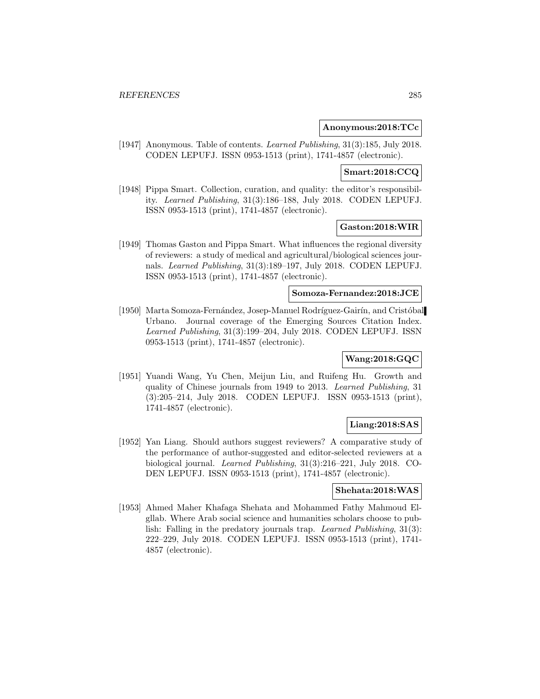### **Anonymous:2018:TCc**

[1947] Anonymous. Table of contents. Learned Publishing, 31(3):185, July 2018. CODEN LEPUFJ. ISSN 0953-1513 (print), 1741-4857 (electronic).

### **Smart:2018:CCQ**

[1948] Pippa Smart. Collection, curation, and quality: the editor's responsibility. Learned Publishing, 31(3):186–188, July 2018. CODEN LEPUFJ. ISSN 0953-1513 (print), 1741-4857 (electronic).

## **Gaston:2018:WIR**

[1949] Thomas Gaston and Pippa Smart. What influences the regional diversity of reviewers: a study of medical and agricultural/biological sciences journals. Learned Publishing, 31(3):189–197, July 2018. CODEN LEPUFJ. ISSN 0953-1513 (print), 1741-4857 (electronic).

### **Somoza-Fernandez:2018:JCE**

[1950] Marta Somoza-Fernández, Josep-Manuel Rodríguez-Gairín, and Cristóbal Urbano. Journal coverage of the Emerging Sources Citation Index. Learned Publishing, 31(3):199–204, July 2018. CODEN LEPUFJ. ISSN 0953-1513 (print), 1741-4857 (electronic).

## **Wang:2018:GQC**

[1951] Yuandi Wang, Yu Chen, Meijun Liu, and Ruifeng Hu. Growth and quality of Chinese journals from 1949 to 2013. Learned Publishing, 31 (3):205–214, July 2018. CODEN LEPUFJ. ISSN 0953-1513 (print), 1741-4857 (electronic).

## **Liang:2018:SAS**

[1952] Yan Liang. Should authors suggest reviewers? A comparative study of the performance of author-suggested and editor-selected reviewers at a biological journal. Learned Publishing, 31(3):216–221, July 2018. CO-DEN LEPUFJ. ISSN 0953-1513 (print), 1741-4857 (electronic).

#### **Shehata:2018:WAS**

[1953] Ahmed Maher Khafaga Shehata and Mohammed Fathy Mahmoud Elgllab. Where Arab social science and humanities scholars choose to publish: Falling in the predatory journals trap. Learned Publishing, 31(3): 222–229, July 2018. CODEN LEPUFJ. ISSN 0953-1513 (print), 1741- 4857 (electronic).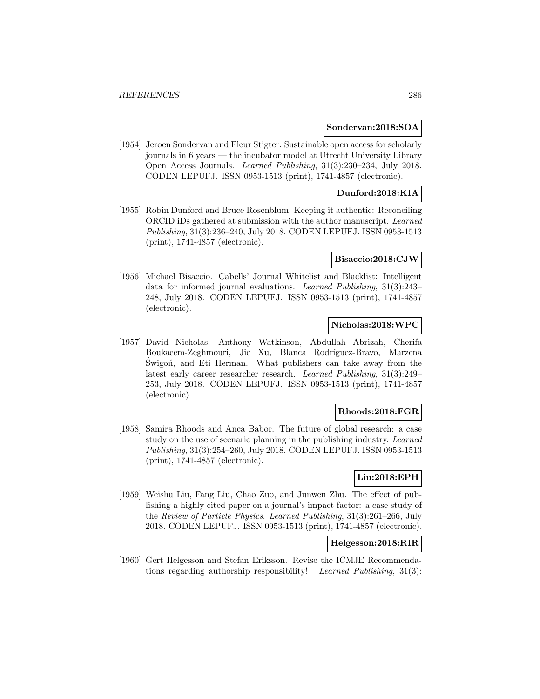#### **Sondervan:2018:SOA**

[1954] Jeroen Sondervan and Fleur Stigter. Sustainable open access for scholarly journals in 6 years — the incubator model at Utrecht University Library Open Access Journals. Learned Publishing, 31(3):230–234, July 2018. CODEN LEPUFJ. ISSN 0953-1513 (print), 1741-4857 (electronic).

# **Dunford:2018:KIA**

[1955] Robin Dunford and Bruce Rosenblum. Keeping it authentic: Reconciling ORCID iDs gathered at submission with the author manuscript. Learned Publishing, 31(3):236–240, July 2018. CODEN LEPUFJ. ISSN 0953-1513 (print), 1741-4857 (electronic).

#### **Bisaccio:2018:CJW**

[1956] Michael Bisaccio. Cabells' Journal Whitelist and Blacklist: Intelligent data for informed journal evaluations. Learned Publishing, 31(3):243– 248, July 2018. CODEN LEPUFJ. ISSN 0953-1513 (print), 1741-4857 (electronic).

# **Nicholas:2018:WPC**

[1957] David Nicholas, Anthony Watkinson, Abdullah Abrizah, Cherifa Boukacem-Zeghmouri, Jie Xu, Blanca Rodríguez-Bravo, Marzena Swigon, and Eti Herman. What publishers can take away from the latest early career researcher research. Learned Publishing, 31(3):249– 253, July 2018. CODEN LEPUFJ. ISSN 0953-1513 (print), 1741-4857 (electronic).

## **Rhoods:2018:FGR**

[1958] Samira Rhoods and Anca Babor. The future of global research: a case study on the use of scenario planning in the publishing industry. Learned Publishing, 31(3):254–260, July 2018. CODEN LEPUFJ. ISSN 0953-1513 (print), 1741-4857 (electronic).

## **Liu:2018:EPH**

[1959] Weishu Liu, Fang Liu, Chao Zuo, and Junwen Zhu. The effect of publishing a highly cited paper on a journal's impact factor: a case study of the Review of Particle Physics. Learned Publishing, 31(3):261–266, July 2018. CODEN LEPUFJ. ISSN 0953-1513 (print), 1741-4857 (electronic).

## **Helgesson:2018:RIR**

[1960] Gert Helgesson and Stefan Eriksson. Revise the ICMJE Recommendations regarding authorship responsibility! Learned Publishing, 31(3):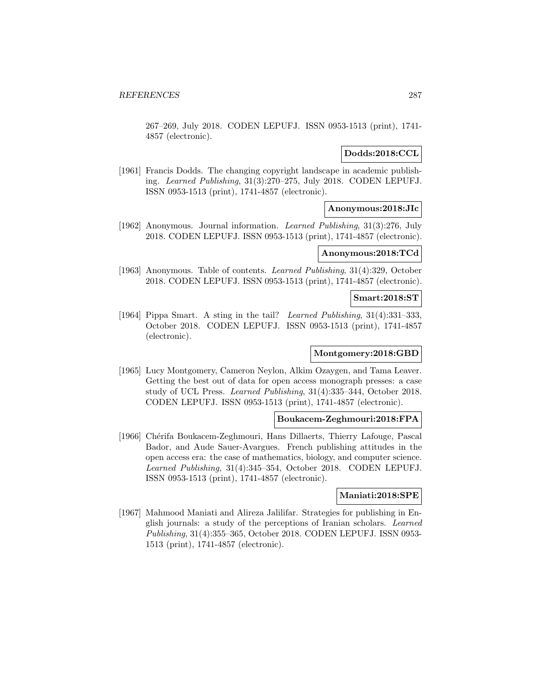267–269, July 2018. CODEN LEPUFJ. ISSN 0953-1513 (print), 1741- 4857 (electronic).

## **Dodds:2018:CCL**

[1961] Francis Dodds. The changing copyright landscape in academic publishing. Learned Publishing, 31(3):270–275, July 2018. CODEN LEPUFJ. ISSN 0953-1513 (print), 1741-4857 (electronic).

## **Anonymous:2018:JIc**

[1962] Anonymous. Journal information. Learned Publishing, 31(3):276, July 2018. CODEN LEPUFJ. ISSN 0953-1513 (print), 1741-4857 (electronic).

### **Anonymous:2018:TCd**

[1963] Anonymous. Table of contents. Learned Publishing, 31(4):329, October 2018. CODEN LEPUFJ. ISSN 0953-1513 (print), 1741-4857 (electronic).

#### **Smart:2018:ST**

[1964] Pippa Smart. A sting in the tail? Learned Publishing, 31(4):331–333, October 2018. CODEN LEPUFJ. ISSN 0953-1513 (print), 1741-4857 (electronic).

## **Montgomery:2018:GBD**

[1965] Lucy Montgomery, Cameron Neylon, Alkim Ozaygen, and Tama Leaver. Getting the best out of data for open access monograph presses: a case study of UCL Press. Learned Publishing, 31(4):335–344, October 2018. CODEN LEPUFJ. ISSN 0953-1513 (print), 1741-4857 (electronic).

### **Boukacem-Zeghmouri:2018:FPA**

[1966] Chérifa Boukacem-Zeghmouri, Hans Dillaerts, Thierry Lafouge, Pascal Bador, and Aude Sauer-Avargues. French publishing attitudes in the open access era: the case of mathematics, biology, and computer science. Learned Publishing, 31(4):345–354, October 2018. CODEN LEPUFJ. ISSN 0953-1513 (print), 1741-4857 (electronic).

### **Maniati:2018:SPE**

[1967] Mahmood Maniati and Alireza Jalilifar. Strategies for publishing in English journals: a study of the perceptions of Iranian scholars. Learned Publishing, 31(4):355–365, October 2018. CODEN LEPUFJ. ISSN 0953- 1513 (print), 1741-4857 (electronic).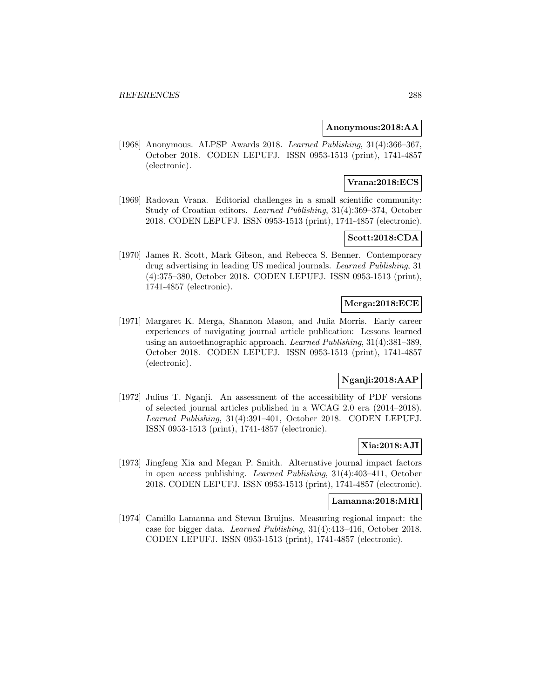## **Anonymous:2018:AA**

[1968] Anonymous. ALPSP Awards 2018. Learned Publishing, 31(4):366–367, October 2018. CODEN LEPUFJ. ISSN 0953-1513 (print), 1741-4857 (electronic).

# **Vrana:2018:ECS**

[1969] Radovan Vrana. Editorial challenges in a small scientific community: Study of Croatian editors. Learned Publishing, 31(4):369–374, October 2018. CODEN LEPUFJ. ISSN 0953-1513 (print), 1741-4857 (electronic).

## **Scott:2018:CDA**

[1970] James R. Scott, Mark Gibson, and Rebecca S. Benner. Contemporary drug advertising in leading US medical journals. Learned Publishing, 31 (4):375–380, October 2018. CODEN LEPUFJ. ISSN 0953-1513 (print), 1741-4857 (electronic).

## **Merga:2018:ECE**

[1971] Margaret K. Merga, Shannon Mason, and Julia Morris. Early career experiences of navigating journal article publication: Lessons learned using an autoethnographic approach. Learned Publishing, 31(4):381–389, October 2018. CODEN LEPUFJ. ISSN 0953-1513 (print), 1741-4857 (electronic).

# **Nganji:2018:AAP**

[1972] Julius T. Nganji. An assessment of the accessibility of PDF versions of selected journal articles published in a WCAG 2.0 era (2014–2018). Learned Publishing, 31(4):391–401, October 2018. CODEN LEPUFJ. ISSN 0953-1513 (print), 1741-4857 (electronic).

## **Xia:2018:AJI**

[1973] Jingfeng Xia and Megan P. Smith. Alternative journal impact factors in open access publishing. Learned Publishing, 31(4):403–411, October 2018. CODEN LEPUFJ. ISSN 0953-1513 (print), 1741-4857 (electronic).

## **Lamanna:2018:MRI**

[1974] Camillo Lamanna and Stevan Bruijns. Measuring regional impact: the case for bigger data. Learned Publishing, 31(4):413–416, October 2018. CODEN LEPUFJ. ISSN 0953-1513 (print), 1741-4857 (electronic).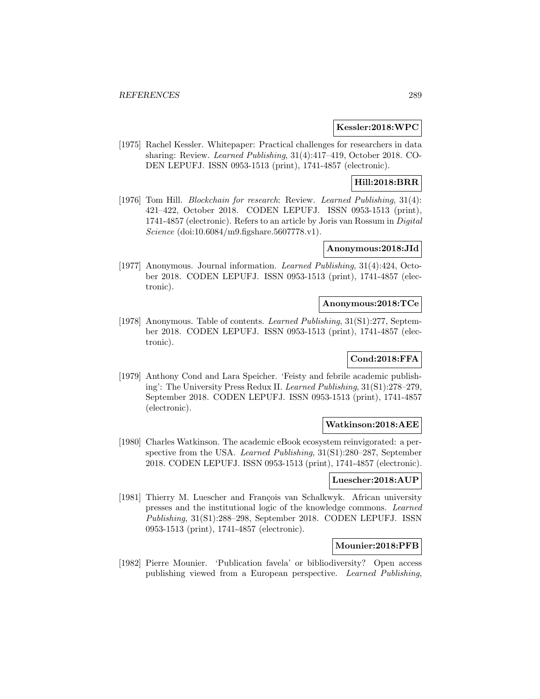### **Kessler:2018:WPC**

[1975] Rachel Kessler. Whitepaper: Practical challenges for researchers in data sharing: Review. Learned Publishing, 31(4):417–419, October 2018. CO-DEN LEPUFJ. ISSN 0953-1513 (print), 1741-4857 (electronic).

# **Hill:2018:BRR**

[1976] Tom Hill. *Blockchain for research*: Review. *Learned Publishing*, 31(4): 421–422, October 2018. CODEN LEPUFJ. ISSN 0953-1513 (print), 1741-4857 (electronic). Refers to an article by Joris van Rossum in Digital Science (doi:10.6084/m9.figshare.5607778.v1).

### **Anonymous:2018:JId**

[1977] Anonymous. Journal information. *Learned Publishing*, 31(4):424, October 2018. CODEN LEPUFJ. ISSN 0953-1513 (print), 1741-4857 (electronic).

## **Anonymous:2018:TCe**

[1978] Anonymous. Table of contents. Learned Publishing, 31(S1):277, September 2018. CODEN LEPUFJ. ISSN 0953-1513 (print), 1741-4857 (electronic).

## **Cond:2018:FFA**

[1979] Anthony Cond and Lara Speicher. 'Feisty and febrile academic publishing': The University Press Redux II. Learned Publishing, 31(S1):278–279, September 2018. CODEN LEPUFJ. ISSN 0953-1513 (print), 1741-4857 (electronic).

## **Watkinson:2018:AEE**

[1980] Charles Watkinson. The academic eBook ecosystem reinvigorated: a perspective from the USA. Learned Publishing, 31(S1):280–287, September 2018. CODEN LEPUFJ. ISSN 0953-1513 (print), 1741-4857 (electronic).

## **Luescher:2018:AUP**

[1981] Thierry M. Luescher and François van Schalkwyk. African university presses and the institutional logic of the knowledge commons. Learned Publishing, 31(S1):288–298, September 2018. CODEN LEPUFJ. ISSN 0953-1513 (print), 1741-4857 (electronic).

## **Mounier:2018:PFB**

[1982] Pierre Mounier. 'Publication favela' or bibliodiversity? Open access publishing viewed from a European perspective. Learned Publishing,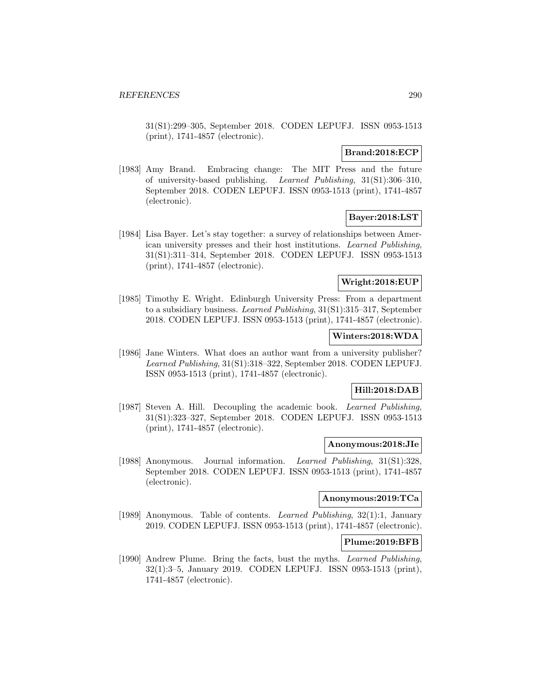31(S1):299–305, September 2018. CODEN LEPUFJ. ISSN 0953-1513 (print), 1741-4857 (electronic).

## **Brand:2018:ECP**

[1983] Amy Brand. Embracing change: The MIT Press and the future of university-based publishing. Learned Publishing, 31(S1):306–310, September 2018. CODEN LEPUFJ. ISSN 0953-1513 (print), 1741-4857 (electronic).

## **Bayer:2018:LST**

[1984] Lisa Bayer. Let's stay together: a survey of relationships between American university presses and their host institutions. Learned Publishing, 31(S1):311–314, September 2018. CODEN LEPUFJ. ISSN 0953-1513 (print), 1741-4857 (electronic).

## **Wright:2018:EUP**

[1985] Timothy E. Wright. Edinburgh University Press: From a department to a subsidiary business. Learned Publishing, 31(S1):315–317, September 2018. CODEN LEPUFJ. ISSN 0953-1513 (print), 1741-4857 (electronic).

## **Winters:2018:WDA**

[1986] Jane Winters. What does an author want from a university publisher? Learned Publishing, 31(S1):318–322, September 2018. CODEN LEPUFJ. ISSN 0953-1513 (print), 1741-4857 (electronic).

## **Hill:2018:DAB**

[1987] Steven A. Hill. Decoupling the academic book. Learned Publishing, 31(S1):323–327, September 2018. CODEN LEPUFJ. ISSN 0953-1513 (print), 1741-4857 (electronic).

#### **Anonymous:2018:JIe**

[1988] Anonymous. Journal information. Learned Publishing, 31(S1):328. September 2018. CODEN LEPUFJ. ISSN 0953-1513 (print), 1741-4857 (electronic).

## **Anonymous:2019:TCa**

[1989] Anonymous. Table of contents. Learned Publishing, 32(1):1, January 2019. CODEN LEPUFJ. ISSN 0953-1513 (print), 1741-4857 (electronic).

### **Plume:2019:BFB**

[1990] Andrew Plume. Bring the facts, bust the myths. Learned Publishing, 32(1):3–5, January 2019. CODEN LEPUFJ. ISSN 0953-1513 (print), 1741-4857 (electronic).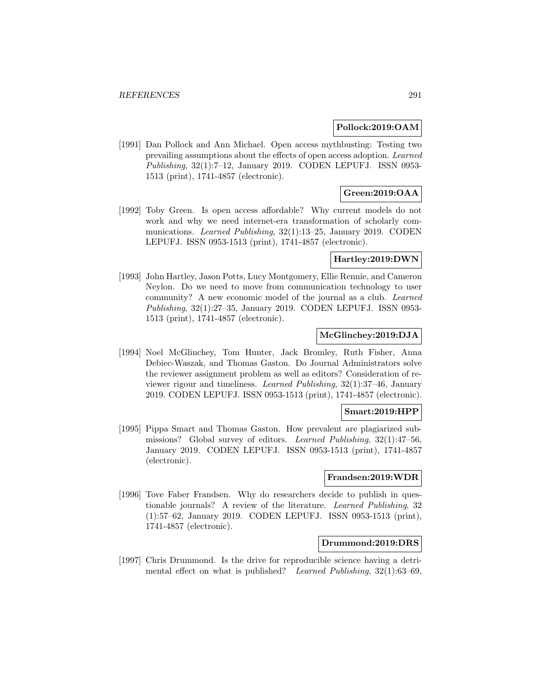### **Pollock:2019:OAM**

[1991] Dan Pollock and Ann Michael. Open access mythbusting: Testing two prevailing assumptions about the effects of open access adoption. Learned Publishing, 32(1):7–12, January 2019. CODEN LEPUFJ. ISSN 0953- 1513 (print), 1741-4857 (electronic).

# **Green:2019:OAA**

[1992] Toby Green. Is open access affordable? Why current models do not work and why we need internet-era transformation of scholarly communications. Learned Publishing, 32(1):13–25, January 2019. CODEN LEPUFJ. ISSN 0953-1513 (print), 1741-4857 (electronic).

## **Hartley:2019:DWN**

[1993] John Hartley, Jason Potts, Lucy Montgomery, Ellie Rennie, and Cameron Neylon. Do we need to move from communication technology to user community? A new economic model of the journal as a club. Learned Publishing, 32(1):27–35, January 2019. CODEN LEPUFJ. ISSN 0953- 1513 (print), 1741-4857 (electronic).

## **McGlinchey:2019:DJA**

[1994] Noel McGlinchey, Tom Hunter, Jack Bromley, Ruth Fisher, Anna Debiec-Waszak, and Thomas Gaston. Do Journal Administrators solve the reviewer assignment problem as well as editors? Consideration of reviewer rigour and timeliness. Learned Publishing, 32(1):37–46, January 2019. CODEN LEPUFJ. ISSN 0953-1513 (print), 1741-4857 (electronic).

# **Smart:2019:HPP**

[1995] Pippa Smart and Thomas Gaston. How prevalent are plagiarized submissions? Global survey of editors. Learned Publishing, 32(1):47–56, January 2019. CODEN LEPUFJ. ISSN 0953-1513 (print), 1741-4857 (electronic).

### **Frandsen:2019:WDR**

[1996] Tove Faber Frandsen. Why do researchers decide to publish in questionable journals? A review of the literature. Learned Publishing, 32 (1):57–62, January 2019. CODEN LEPUFJ. ISSN 0953-1513 (print), 1741-4857 (electronic).

### **Drummond:2019:DRS**

[1997] Chris Drummond. Is the drive for reproducible science having a detrimental effect on what is published? Learned Publishing,  $32(1):63-69$ ,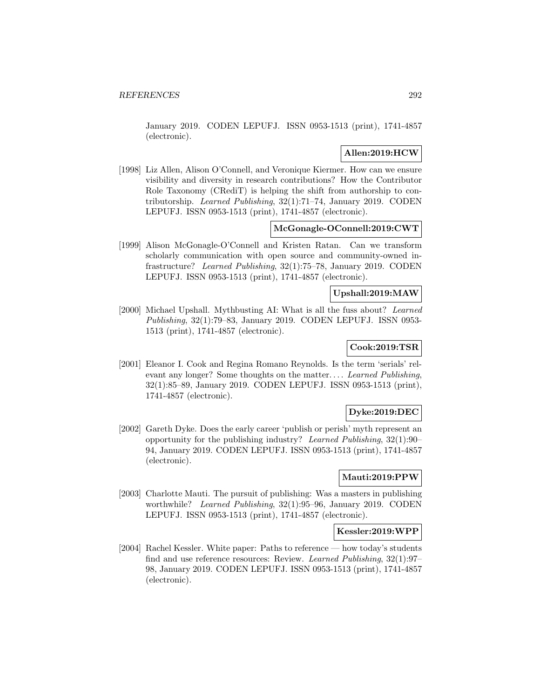January 2019. CODEN LEPUFJ. ISSN 0953-1513 (print), 1741-4857 (electronic).

## **Allen:2019:HCW**

[1998] Liz Allen, Alison O'Connell, and Veronique Kiermer. How can we ensure visibility and diversity in research contributions? How the Contributor Role Taxonomy (CRediT) is helping the shift from authorship to contributorship. Learned Publishing, 32(1):71–74, January 2019. CODEN LEPUFJ. ISSN 0953-1513 (print), 1741-4857 (electronic).

## **McGonagle-OConnell:2019:CWT**

[1999] Alison McGonagle-O'Connell and Kristen Ratan. Can we transform scholarly communication with open source and community-owned infrastructure? Learned Publishing, 32(1):75–78, January 2019. CODEN LEPUFJ. ISSN 0953-1513 (print), 1741-4857 (electronic).

## **Upshall:2019:MAW**

[2000] Michael Upshall. Mythbusting AI: What is all the fuss about? Learned Publishing, 32(1):79–83, January 2019. CODEN LEPUFJ. ISSN 0953- 1513 (print), 1741-4857 (electronic).

## **Cook:2019:TSR**

[2001] Eleanor I. Cook and Regina Romano Reynolds. Is the term 'serials' relevant any longer? Some thoughts on the matter... . Learned Publishing, 32(1):85–89, January 2019. CODEN LEPUFJ. ISSN 0953-1513 (print), 1741-4857 (electronic).

## **Dyke:2019:DEC**

[2002] Gareth Dyke. Does the early career 'publish or perish' myth represent an opportunity for the publishing industry? Learned Publishing, 32(1):90– 94, January 2019. CODEN LEPUFJ. ISSN 0953-1513 (print), 1741-4857 (electronic).

### **Mauti:2019:PPW**

[2003] Charlotte Mauti. The pursuit of publishing: Was a masters in publishing worthwhile? Learned Publishing, 32(1):95-96, January 2019. CODEN LEPUFJ. ISSN 0953-1513 (print), 1741-4857 (electronic).

#### **Kessler:2019:WPP**

[2004] Rachel Kessler. White paper: Paths to reference — how today's students find and use reference resources: Review. Learned Publishing, 32(1):97– 98, January 2019. CODEN LEPUFJ. ISSN 0953-1513 (print), 1741-4857 (electronic).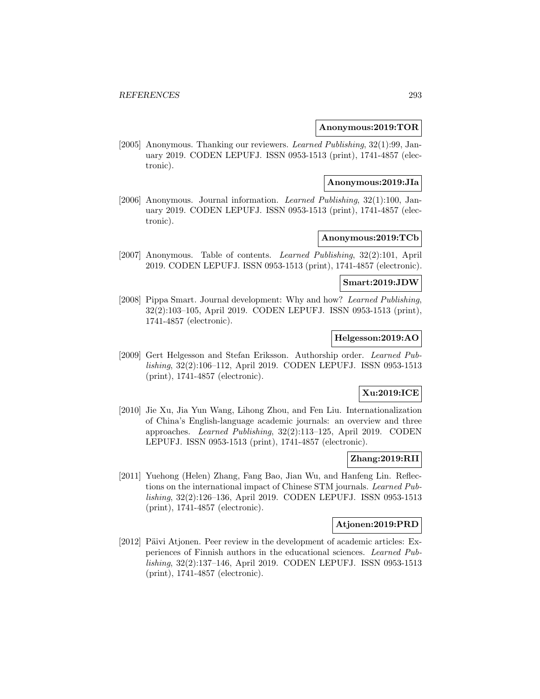### **Anonymous:2019:TOR**

[2005] Anonymous. Thanking our reviewers. Learned Publishing, 32(1):99, January 2019. CODEN LEPUFJ. ISSN 0953-1513 (print), 1741-4857 (electronic).

### **Anonymous:2019:JIa**

[2006] Anonymous. Journal information. Learned Publishing, 32(1):100, January 2019. CODEN LEPUFJ. ISSN 0953-1513 (print), 1741-4857 (electronic).

## **Anonymous:2019:TCb**

[2007] Anonymous. Table of contents. Learned Publishing, 32(2):101, April 2019. CODEN LEPUFJ. ISSN 0953-1513 (print), 1741-4857 (electronic).

## **Smart:2019:JDW**

[2008] Pippa Smart. Journal development: Why and how? Learned Publishing, 32(2):103–105, April 2019. CODEN LEPUFJ. ISSN 0953-1513 (print), 1741-4857 (electronic).

## **Helgesson:2019:AO**

[2009] Gert Helgesson and Stefan Eriksson. Authorship order. Learned Publishing, 32(2):106–112, April 2019. CODEN LEPUFJ. ISSN 0953-1513 (print), 1741-4857 (electronic).

# **Xu:2019:ICE**

[2010] Jie Xu, Jia Yun Wang, Lihong Zhou, and Fen Liu. Internationalization of China's English-language academic journals: an overview and three approaches. Learned Publishing, 32(2):113–125, April 2019. CODEN LEPUFJ. ISSN 0953-1513 (print), 1741-4857 (electronic).

### **Zhang:2019:RII**

[2011] Yuehong (Helen) Zhang, Fang Bao, Jian Wu, and Hanfeng Lin. Reflections on the international impact of Chinese STM journals. Learned Publishing, 32(2):126–136, April 2019. CODEN LEPUFJ. ISSN 0953-1513 (print), 1741-4857 (electronic).

## **Atjonen:2019:PRD**

 $[2012]$  Päivi Atjonen. Peer review in the development of academic articles: Experiences of Finnish authors in the educational sciences. Learned Publishing, 32(2):137–146, April 2019. CODEN LEPUFJ. ISSN 0953-1513 (print), 1741-4857 (electronic).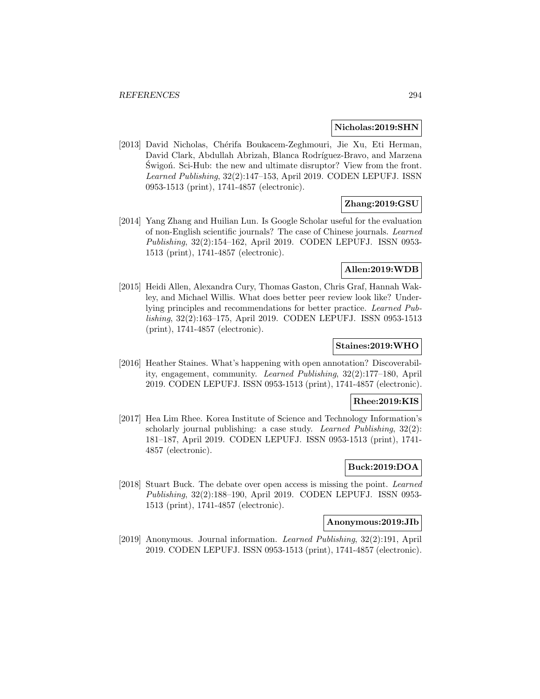#### **Nicholas:2019:SHN**

[2013] David Nicholas, Chérifa Boukacem-Zeghmouri, Jie Xu, Eti Herman, David Clark, Abdullah Abrizah, Blanca Rodríguez-Bravo, and Marzena Swigon. Sci-Hub: the new and ultimate disruptor? View from the front. Learned Publishing, 32(2):147–153, April 2019. CODEN LEPUFJ. ISSN 0953-1513 (print), 1741-4857 (electronic).

# **Zhang:2019:GSU**

[2014] Yang Zhang and Huilian Lun. Is Google Scholar useful for the evaluation of non-English scientific journals? The case of Chinese journals. Learned Publishing, 32(2):154–162, April 2019. CODEN LEPUFJ. ISSN 0953- 1513 (print), 1741-4857 (electronic).

# **Allen:2019:WDB**

[2015] Heidi Allen, Alexandra Cury, Thomas Gaston, Chris Graf, Hannah Wakley, and Michael Willis. What does better peer review look like? Underlying principles and recommendations for better practice. Learned Publishing, 32(2):163–175, April 2019. CODEN LEPUFJ. ISSN 0953-1513 (print), 1741-4857 (electronic).

## **Staines:2019:WHO**

[2016] Heather Staines. What's happening with open annotation? Discoverability, engagement, community. Learned Publishing, 32(2):177–180, April 2019. CODEN LEPUFJ. ISSN 0953-1513 (print), 1741-4857 (electronic).

## **Rhee:2019:KIS**

[2017] Hea Lim Rhee. Korea Institute of Science and Technology Information's scholarly journal publishing: a case study. Learned Publishing, 32(2): 181–187, April 2019. CODEN LEPUFJ. ISSN 0953-1513 (print), 1741- 4857 (electronic).

# **Buck:2019:DOA**

[2018] Stuart Buck. The debate over open access is missing the point. Learned Publishing, 32(2):188–190, April 2019. CODEN LEPUFJ. ISSN 0953- 1513 (print), 1741-4857 (electronic).

#### **Anonymous:2019:JIb**

[2019] Anonymous. Journal information. Learned Publishing, 32(2):191, April 2019. CODEN LEPUFJ. ISSN 0953-1513 (print), 1741-4857 (electronic).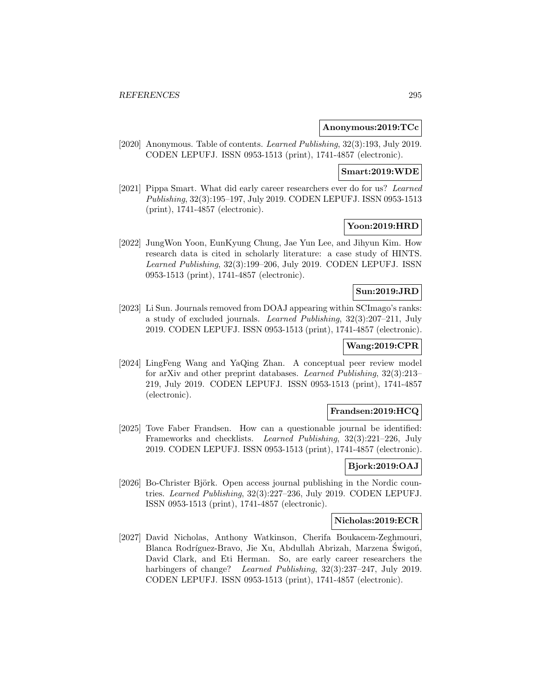### **Anonymous:2019:TCc**

[2020] Anonymous. Table of contents. Learned Publishing, 32(3):193, July 2019. CODEN LEPUFJ. ISSN 0953-1513 (print), 1741-4857 (electronic).

## **Smart:2019:WDE**

[2021] Pippa Smart. What did early career researchers ever do for us? Learned Publishing, 32(3):195–197, July 2019. CODEN LEPUFJ. ISSN 0953-1513 (print), 1741-4857 (electronic).

## **Yoon:2019:HRD**

[2022] JungWon Yoon, EunKyung Chung, Jae Yun Lee, and Jihyun Kim. How research data is cited in scholarly literature: a case study of HINTS. Learned Publishing, 32(3):199–206, July 2019. CODEN LEPUFJ. ISSN 0953-1513 (print), 1741-4857 (electronic).

## **Sun:2019:JRD**

[2023] Li Sun. Journals removed from DOAJ appearing within SCImago's ranks: a study of excluded journals. Learned Publishing, 32(3):207–211, July 2019. CODEN LEPUFJ. ISSN 0953-1513 (print), 1741-4857 (electronic).

## **Wang:2019:CPR**

[2024] LingFeng Wang and YaQing Zhan. A conceptual peer review model for arXiv and other preprint databases. Learned Publishing, 32(3):213– 219, July 2019. CODEN LEPUFJ. ISSN 0953-1513 (print), 1741-4857 (electronic).

## **Frandsen:2019:HCQ**

[2025] Tove Faber Frandsen. How can a questionable journal be identified: Frameworks and checklists. Learned Publishing, 32(3):221–226, July 2019. CODEN LEPUFJ. ISSN 0953-1513 (print), 1741-4857 (electronic).

## **Bjork:2019:OAJ**

[2026] Bo-Christer Björk. Open access journal publishing in the Nordic countries. Learned Publishing, 32(3):227–236, July 2019. CODEN LEPUFJ. ISSN 0953-1513 (print), 1741-4857 (electronic).

#### **Nicholas:2019:ECR**

[2027] David Nicholas, Anthony Watkinson, Cherifa Boukacem-Zeghmouri, Blanca Rodríguez-Bravo, Jie Xu, Abdullah Abrizah, Marzena Świgoń, David Clark, and Eti Herman. So, are early career researchers the harbingers of change? Learned Publishing, 32(3):237–247, July 2019. CODEN LEPUFJ. ISSN 0953-1513 (print), 1741-4857 (electronic).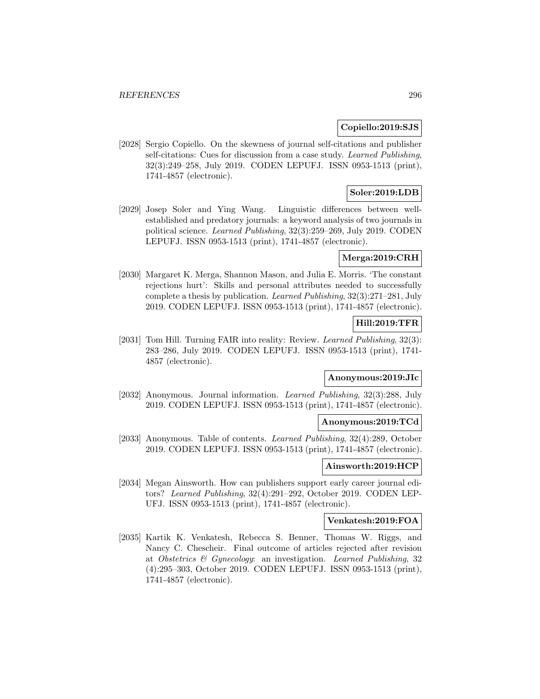### **Copiello:2019:SJS**

[2028] Sergio Copiello. On the skewness of journal self-citations and publisher self-citations: Cues for discussion from a case study. Learned Publishing, 32(3):249–258, July 2019. CODEN LEPUFJ. ISSN 0953-1513 (print), 1741-4857 (electronic).

## **Soler:2019:LDB**

[2029] Josep Soler and Ying Wang. Linguistic differences between wellestablished and predatory journals: a keyword analysis of two journals in political science. Learned Publishing, 32(3):259–269, July 2019. CODEN LEPUFJ. ISSN 0953-1513 (print), 1741-4857 (electronic).

## **Merga:2019:CRH**

[2030] Margaret K. Merga, Shannon Mason, and Julia E. Morris. 'The constant rejections hurt': Skills and personal attributes needed to successfully complete a thesis by publication. Learned Publishing, 32(3):271–281, July 2019. CODEN LEPUFJ. ISSN 0953-1513 (print), 1741-4857 (electronic).

# **Hill:2019:TFR**

[2031] Tom Hill. Turning FAIR into reality: Review. Learned Publishing, 32(3): 283–286, July 2019. CODEN LEPUFJ. ISSN 0953-1513 (print), 1741- 4857 (electronic).

# **Anonymous:2019:JIc**

[2032] Anonymous. Journal information. Learned Publishing, 32(3):288, July 2019. CODEN LEPUFJ. ISSN 0953-1513 (print), 1741-4857 (electronic).

## **Anonymous:2019:TCd**

[2033] Anonymous. Table of contents. Learned Publishing, 32(4):289, October 2019. CODEN LEPUFJ. ISSN 0953-1513 (print), 1741-4857 (electronic).

### **Ainsworth:2019:HCP**

[2034] Megan Ainsworth. How can publishers support early career journal editors? Learned Publishing, 32(4):291–292, October 2019. CODEN LEP-UFJ. ISSN 0953-1513 (print), 1741-4857 (electronic).

#### **Venkatesh:2019:FOA**

[2035] Kartik K. Venkatesh, Rebecca S. Benner, Thomas W. Riggs, and Nancy C. Chescheir. Final outcome of articles rejected after revision at Obstetrics & Gynecology: an investigation. Learned Publishing, 32 (4):295–303, October 2019. CODEN LEPUFJ. ISSN 0953-1513 (print), 1741-4857 (electronic).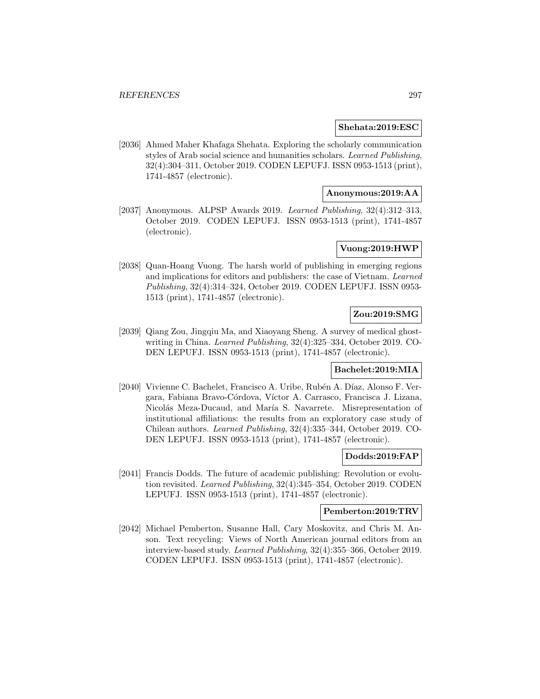### **Shehata:2019:ESC**

[2036] Ahmed Maher Khafaga Shehata. Exploring the scholarly communication styles of Arab social science and humanities scholars. Learned Publishing, 32(4):304–311, October 2019. CODEN LEPUFJ. ISSN 0953-1513 (print), 1741-4857 (electronic).

## **Anonymous:2019:AA**

[2037] Anonymous. ALPSP Awards 2019. Learned Publishing, 32(4):312–313, October 2019. CODEN LEPUFJ. ISSN 0953-1513 (print), 1741-4857 (electronic).

# **Vuong:2019:HWP**

[2038] Quan-Hoang Vuong. The harsh world of publishing in emerging regions and implications for editors and publishers: the case of Vietnam. Learned Publishing, 32(4):314–324, October 2019. CODEN LEPUFJ. ISSN 0953- 1513 (print), 1741-4857 (electronic).

# **Zou:2019:SMG**

[2039] Qiang Zou, Jingqiu Ma, and Xiaoyang Sheng. A survey of medical ghostwriting in China. Learned Publishing, 32(4):325–334, October 2019. CO-DEN LEPUFJ. ISSN 0953-1513 (print), 1741-4857 (electronic).

#### **Bachelet:2019:MIA**

[2040] Vivienne C. Bachelet, Francisco A. Uribe, Rubén A. Díaz, Alonso F. Vergara, Fabiana Bravo-Córdova, Víctor A. Carrasco, Francisca J. Lizana, Nicolás Meza-Ducaud, and María S. Navarrete. Misrepresentation of institutional affiliations: the results from an exploratory case study of Chilean authors. Learned Publishing, 32(4):335–344, October 2019. CO-DEN LEPUFJ. ISSN 0953-1513 (print), 1741-4857 (electronic).

## **Dodds:2019:FAP**

[2041] Francis Dodds. The future of academic publishing: Revolution or evolution revisited. Learned Publishing, 32(4):345–354, October 2019. CODEN LEPUFJ. ISSN 0953-1513 (print), 1741-4857 (electronic).

## **Pemberton:2019:TRV**

[2042] Michael Pemberton, Susanne Hall, Cary Moskovitz, and Chris M. Anson. Text recycling: Views of North American journal editors from an interview-based study. Learned Publishing, 32(4):355–366, October 2019. CODEN LEPUFJ. ISSN 0953-1513 (print), 1741-4857 (electronic).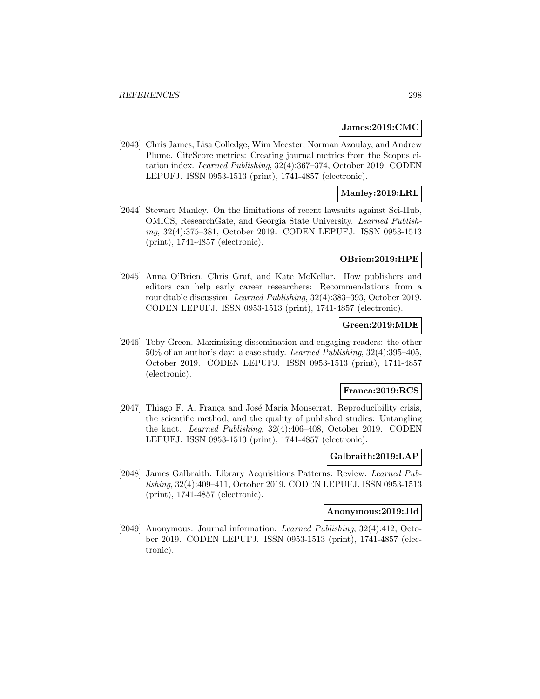### **James:2019:CMC**

[2043] Chris James, Lisa Colledge, Wim Meester, Norman Azoulay, and Andrew Plume. CiteScore metrics: Creating journal metrics from the Scopus citation index. Learned Publishing, 32(4):367–374, October 2019. CODEN LEPUFJ. ISSN 0953-1513 (print), 1741-4857 (electronic).

## **Manley:2019:LRL**

[2044] Stewart Manley. On the limitations of recent lawsuits against Sci-Hub, OMICS, ResearchGate, and Georgia State University. Learned Publishing, 32(4):375–381, October 2019. CODEN LEPUFJ. ISSN 0953-1513 (print), 1741-4857 (electronic).

#### **OBrien:2019:HPE**

[2045] Anna O'Brien, Chris Graf, and Kate McKellar. How publishers and editors can help early career researchers: Recommendations from a roundtable discussion. Learned Publishing, 32(4):383–393, October 2019. CODEN LEPUFJ. ISSN 0953-1513 (print), 1741-4857 (electronic).

## **Green:2019:MDE**

[2046] Toby Green. Maximizing dissemination and engaging readers: the other 50% of an author's day: a case study. Learned Publishing, 32(4):395–405, October 2019. CODEN LEPUFJ. ISSN 0953-1513 (print), 1741-4857 (electronic).

#### **Franca:2019:RCS**

[2047] Thiago F. A. França and José Maria Monserrat. Reproducibility crisis, the scientific method, and the quality of published studies: Untangling the knot. Learned Publishing, 32(4):406–408, October 2019. CODEN LEPUFJ. ISSN 0953-1513 (print), 1741-4857 (electronic).

### **Galbraith:2019:LAP**

[2048] James Galbraith. Library Acquisitions Patterns: Review. Learned Publishing, 32(4):409–411, October 2019. CODEN LEPUFJ. ISSN 0953-1513 (print), 1741-4857 (electronic).

## **Anonymous:2019:JId**

[2049] Anonymous. Journal information. Learned Publishing, 32(4):412, October 2019. CODEN LEPUFJ. ISSN 0953-1513 (print), 1741-4857 (electronic).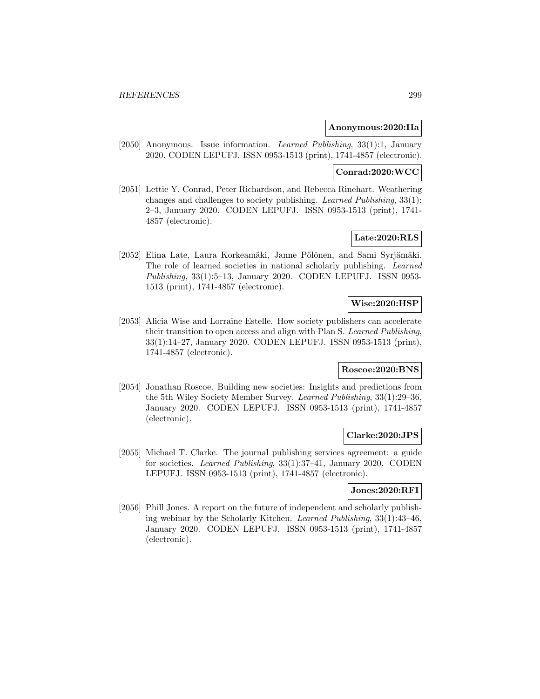### **Anonymous:2020:IIa**

[2050] Anonymous. Issue information. Learned Publishing, 33(1):1, January 2020. CODEN LEPUFJ. ISSN 0953-1513 (print), 1741-4857 (electronic).

### **Conrad:2020:WCC**

[2051] Lettie Y. Conrad, Peter Richardson, and Rebecca Rinehart. Weathering changes and challenges to society publishing. Learned Publishing, 33(1): 2–3, January 2020. CODEN LEPUFJ. ISSN 0953-1513 (print), 1741- 4857 (electronic).

# **Late:2020:RLS**

[2052] Elina Late, Laura Korkeamäki, Janne Pölönen, and Sami Syrjämäki. The role of learned societies in national scholarly publishing. Learned Publishing, 33(1):5–13, January 2020. CODEN LEPUFJ. ISSN 0953- 1513 (print), 1741-4857 (electronic).

### **Wise:2020:HSP**

[2053] Alicia Wise and Lorraine Estelle. How society publishers can accelerate their transition to open access and align with Plan S. Learned Publishing, 33(1):14–27, January 2020. CODEN LEPUFJ. ISSN 0953-1513 (print), 1741-4857 (electronic).

#### **Roscoe:2020:BNS**

[2054] Jonathan Roscoe. Building new societies: Insights and predictions from the 5th Wiley Society Member Survey. Learned Publishing, 33(1):29–36, January 2020. CODEN LEPUFJ. ISSN 0953-1513 (print), 1741-4857 (electronic).

## **Clarke:2020:JPS**

[2055] Michael T. Clarke. The journal publishing services agreement: a guide for societies. Learned Publishing, 33(1):37–41, January 2020. CODEN LEPUFJ. ISSN 0953-1513 (print), 1741-4857 (electronic).

### **Jones:2020:RFI**

[2056] Phill Jones. A report on the future of independent and scholarly publishing webinar by the Scholarly Kitchen. Learned Publishing, 33(1):43–46, January 2020. CODEN LEPUFJ. ISSN 0953-1513 (print), 1741-4857 (electronic).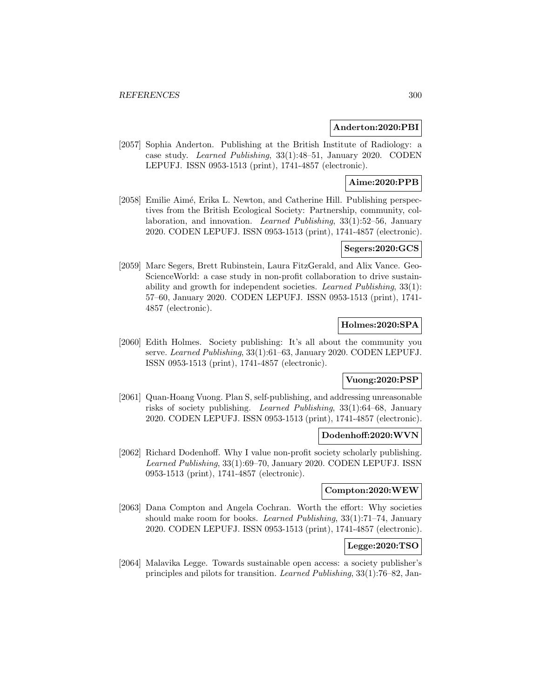### **Anderton:2020:PBI**

[2057] Sophia Anderton. Publishing at the British Institute of Radiology: a case study. Learned Publishing, 33(1):48–51, January 2020. CODEN LEPUFJ. ISSN 0953-1513 (print), 1741-4857 (electronic).

# **Aime:2020:PPB**

[2058] Emilie Aimé, Erika L. Newton, and Catherine Hill. Publishing perspectives from the British Ecological Society: Partnership, community, collaboration, and innovation. Learned Publishing, 33(1):52–56, January 2020. CODEN LEPUFJ. ISSN 0953-1513 (print), 1741-4857 (electronic).

### **Segers:2020:GCS**

[2059] Marc Segers, Brett Rubinstein, Laura FitzGerald, and Alix Vance. Geo-ScienceWorld: a case study in non-profit collaboration to drive sustainability and growth for independent societies. Learned Publishing, 33(1): 57–60, January 2020. CODEN LEPUFJ. ISSN 0953-1513 (print), 1741- 4857 (electronic).

## **Holmes:2020:SPA**

[2060] Edith Holmes. Society publishing: It's all about the community you serve. Learned Publishing, 33(1):61–63, January 2020. CODEN LEPUFJ. ISSN 0953-1513 (print), 1741-4857 (electronic).

# **Vuong:2020:PSP**

[2061] Quan-Hoang Vuong. Plan S, self-publishing, and addressing unreasonable risks of society publishing. Learned Publishing, 33(1):64–68, January 2020. CODEN LEPUFJ. ISSN 0953-1513 (print), 1741-4857 (electronic).

### **Dodenhoff:2020:WVN**

[2062] Richard Dodenhoff. Why I value non-profit society scholarly publishing. Learned Publishing, 33(1):69–70, January 2020. CODEN LEPUFJ. ISSN 0953-1513 (print), 1741-4857 (electronic).

#### **Compton:2020:WEW**

[2063] Dana Compton and Angela Cochran. Worth the effort: Why societies should make room for books. Learned Publishing, 33(1):71–74, January 2020. CODEN LEPUFJ. ISSN 0953-1513 (print), 1741-4857 (electronic).

## **Legge:2020:TSO**

[2064] Malavika Legge. Towards sustainable open access: a society publisher's principles and pilots for transition. Learned Publishing, 33(1):76–82, Jan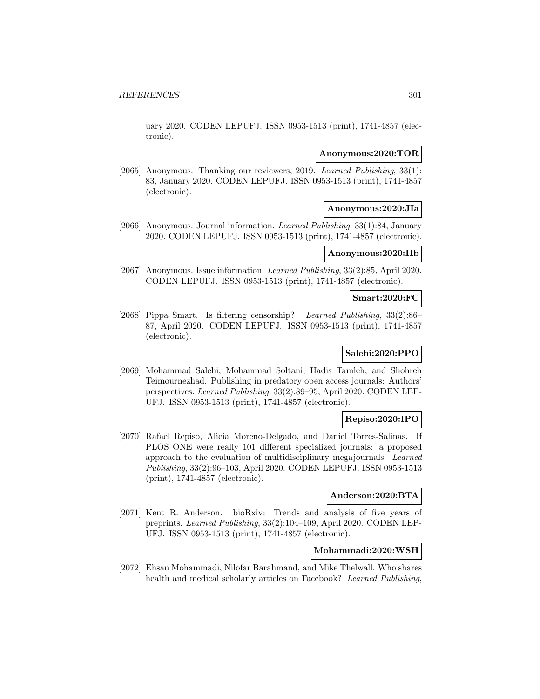uary 2020. CODEN LEPUFJ. ISSN 0953-1513 (print), 1741-4857 (electronic).

#### **Anonymous:2020:TOR**

[2065] Anonymous. Thanking our reviewers, 2019. Learned Publishing, 33(1): 83, January 2020. CODEN LEPUFJ. ISSN 0953-1513 (print), 1741-4857 (electronic).

### **Anonymous:2020:JIa**

[2066] Anonymous. Journal information. Learned Publishing, 33(1):84, January 2020. CODEN LEPUFJ. ISSN 0953-1513 (print), 1741-4857 (electronic).

### **Anonymous:2020:IIb**

[2067] Anonymous. Issue information. Learned Publishing, 33(2):85, April 2020. CODEN LEPUFJ. ISSN 0953-1513 (print), 1741-4857 (electronic).

#### **Smart:2020:FC**

[2068] Pippa Smart. Is filtering censorship? Learned Publishing, 33(2):86– 87, April 2020. CODEN LEPUFJ. ISSN 0953-1513 (print), 1741-4857 (electronic).

## **Salehi:2020:PPO**

[2069] Mohammad Salehi, Mohammad Soltani, Hadis Tamleh, and Shohreh Teimournezhad. Publishing in predatory open access journals: Authors' perspectives. Learned Publishing, 33(2):89–95, April 2020. CODEN LEP-UFJ. ISSN 0953-1513 (print), 1741-4857 (electronic).

## **Repiso:2020:IPO**

[2070] Rafael Repiso, Alicia Moreno-Delgado, and Daniel Torres-Salinas. If PLOS ONE were really 101 different specialized journals: a proposed approach to the evaluation of multidisciplinary megajournals. Learned Publishing, 33(2):96–103, April 2020. CODEN LEPUFJ. ISSN 0953-1513 (print), 1741-4857 (electronic).

# **Anderson:2020:BTA**

[2071] Kent R. Anderson. bioRxiv: Trends and analysis of five years of preprints. Learned Publishing, 33(2):104–109, April 2020. CODEN LEP-UFJ. ISSN 0953-1513 (print), 1741-4857 (electronic).

### **Mohammadi:2020:WSH**

[2072] Ehsan Mohammadi, Nilofar Barahmand, and Mike Thelwall. Who shares health and medical scholarly articles on Facebook? Learned Publishing,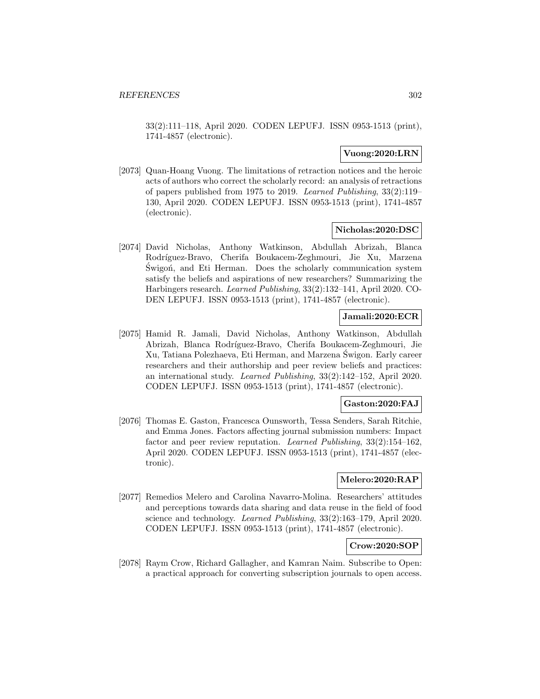33(2):111–118, April 2020. CODEN LEPUFJ. ISSN 0953-1513 (print), 1741-4857 (electronic).

## **Vuong:2020:LRN**

[2073] Quan-Hoang Vuong. The limitations of retraction notices and the heroic acts of authors who correct the scholarly record: an analysis of retractions of papers published from 1975 to 2019. Learned Publishing, 33(2):119– 130, April 2020. CODEN LEPUFJ. ISSN 0953-1513 (print), 1741-4857 (electronic).

### **Nicholas:2020:DSC**

[2074] David Nicholas, Anthony Watkinson, Abdullah Abrizah, Blanca Rodríguez-Bravo, Cherifa Boukacem-Zeghmouri, Jie Xu, Marzena Swigon, and Eti Herman. Does the scholarly communication system satisfy the beliefs and aspirations of new researchers? Summarizing the Harbingers research. Learned Publishing, 33(2):132–141, April 2020. CO-DEN LEPUFJ. ISSN 0953-1513 (print), 1741-4857 (electronic).

## **Jamali:2020:ECR**

[2075] Hamid R. Jamali, David Nicholas, Anthony Watkinson, Abdullah Abrizah, Blanca Rodríguez-Bravo, Cherifa Boukacem-Zeghmouri, Jie Xu, Tatiana Polezhaeva, Eti Herman, and Marzena Swigon. Early career ´ researchers and their authorship and peer review beliefs and practices: an international study. Learned Publishing, 33(2):142–152, April 2020. CODEN LEPUFJ. ISSN 0953-1513 (print), 1741-4857 (electronic).

### **Gaston:2020:FAJ**

[2076] Thomas E. Gaston, Francesca Ounsworth, Tessa Senders, Sarah Ritchie, and Emma Jones. Factors affecting journal submission numbers: Impact factor and peer review reputation. Learned Publishing, 33(2):154–162, April 2020. CODEN LEPUFJ. ISSN 0953-1513 (print), 1741-4857 (electronic).

### **Melero:2020:RAP**

[2077] Remedios Melero and Carolina Navarro-Molina. Researchers' attitudes and perceptions towards data sharing and data reuse in the field of food science and technology. Learned Publishing, 33(2):163–179, April 2020. CODEN LEPUFJ. ISSN 0953-1513 (print), 1741-4857 (electronic).

## **Crow:2020:SOP**

[2078] Raym Crow, Richard Gallagher, and Kamran Naim. Subscribe to Open: a practical approach for converting subscription journals to open access.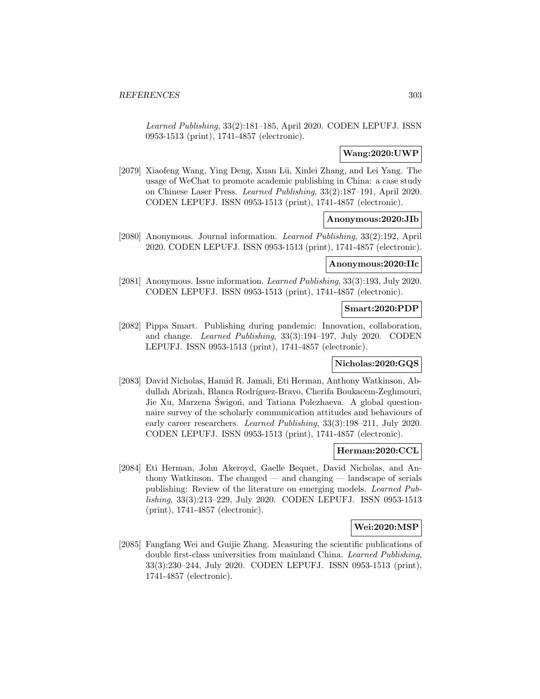Learned Publishing, 33(2):181–185, April 2020. CODEN LEPUFJ. ISSN 0953-1513 (print), 1741-4857 (electronic).

## **Wang:2020:UWP**

[2079] Xiaofeng Wang, Ying Deng, Xuan Lü, Xinlei Zhang, and Lei Yang. The usage of WeChat to promote academic publishing in China: a case study on Chinese Laser Press. Learned Publishing, 33(2):187–191, April 2020. CODEN LEPUFJ. ISSN 0953-1513 (print), 1741-4857 (electronic).

## **Anonymous:2020:JIb**

[2080] Anonymous. Journal information. Learned Publishing, 33(2):192, April 2020. CODEN LEPUFJ. ISSN 0953-1513 (print), 1741-4857 (electronic).

## **Anonymous:2020:IIc**

[2081] Anonymous. Issue information. Learned Publishing, 33(3):193, July 2020. CODEN LEPUFJ. ISSN 0953-1513 (print), 1741-4857 (electronic).

## **Smart:2020:PDP**

[2082] Pippa Smart. Publishing during pandemic: Innovation, collaboration, and change. Learned Publishing, 33(3):194–197, July 2020. CODEN LEPUFJ. ISSN 0953-1513 (print), 1741-4857 (electronic).

# **Nicholas:2020:GQS**

[2083] David Nicholas, Hamid R. Jamali, Eti Herman, Anthony Watkinson, Abdullah Abrizah, Blanca Rodríguez-Bravo, Cherifa Boukacem-Zeghmouri, Jie Xu, Marzena Świgoń, and Tatiana Polezhaeva. A global questionnaire survey of the scholarly communication attitudes and behaviours of early career researchers. Learned Publishing, 33(3):198–211, July 2020. CODEN LEPUFJ. ISSN 0953-1513 (print), 1741-4857 (electronic).

## **Herman:2020:CCL**

[2084] Eti Herman, John Akeroyd, Gaelle Bequet, David Nicholas, and Anthony Watkinson. The changed — and changing — landscape of serials publishing: Review of the literature on emerging models. Learned Publishing, 33(3):213–229, July 2020. CODEN LEPUFJ. ISSN 0953-1513 (print), 1741-4857 (electronic).

## **Wei:2020:MSP**

[2085] Fangfang Wei and Guijie Zhang. Measuring the scientific publications of double first-class universities from mainland China. Learned Publishing, 33(3):230–244, July 2020. CODEN LEPUFJ. ISSN 0953-1513 (print), 1741-4857 (electronic).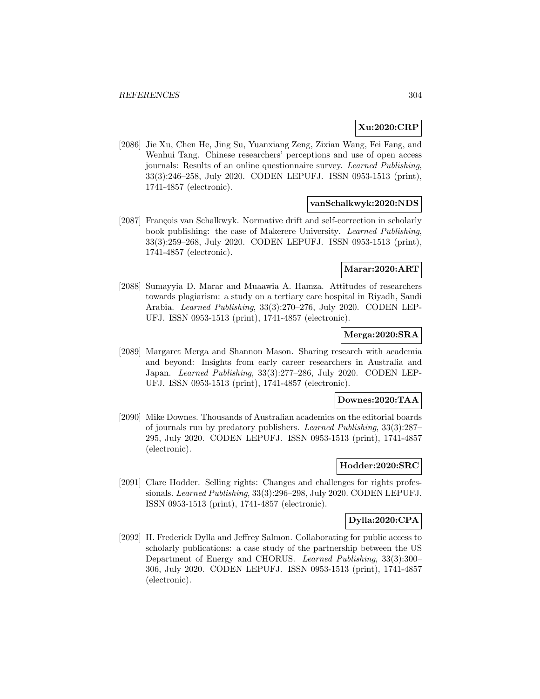# **Xu:2020:CRP**

[2086] Jie Xu, Chen He, Jing Su, Yuanxiang Zeng, Zixian Wang, Fei Fang, and Wenhui Tang. Chinese researchers' perceptions and use of open access journals: Results of an online questionnaire survey. Learned Publishing, 33(3):246–258, July 2020. CODEN LEPUFJ. ISSN 0953-1513 (print), 1741-4857 (electronic).

## **vanSchalkwyk:2020:NDS**

[2087] François van Schalkwyk. Normative drift and self-correction in scholarly book publishing: the case of Makerere University. Learned Publishing, 33(3):259–268, July 2020. CODEN LEPUFJ. ISSN 0953-1513 (print), 1741-4857 (electronic).

### **Marar:2020:ART**

[2088] Sumayyia D. Marar and Muaawia A. Hamza. Attitudes of researchers towards plagiarism: a study on a tertiary care hospital in Riyadh, Saudi Arabia. Learned Publishing, 33(3):270–276, July 2020. CODEN LEP-UFJ. ISSN 0953-1513 (print), 1741-4857 (electronic).

## **Merga:2020:SRA**

[2089] Margaret Merga and Shannon Mason. Sharing research with academia and beyond: Insights from early career researchers in Australia and Japan. Learned Publishing, 33(3):277–286, July 2020. CODEN LEP-UFJ. ISSN 0953-1513 (print), 1741-4857 (electronic).

#### **Downes:2020:TAA**

[2090] Mike Downes. Thousands of Australian academics on the editorial boards of journals run by predatory publishers. Learned Publishing, 33(3):287– 295, July 2020. CODEN LEPUFJ. ISSN 0953-1513 (print), 1741-4857 (electronic).

### **Hodder:2020:SRC**

[2091] Clare Hodder. Selling rights: Changes and challenges for rights professionals. Learned Publishing, 33(3):296–298, July 2020. CODEN LEPUFJ. ISSN 0953-1513 (print), 1741-4857 (electronic).

## **Dylla:2020:CPA**

[2092] H. Frederick Dylla and Jeffrey Salmon. Collaborating for public access to scholarly publications: a case study of the partnership between the US Department of Energy and CHORUS. Learned Publishing, 33(3):300– 306, July 2020. CODEN LEPUFJ. ISSN 0953-1513 (print), 1741-4857 (electronic).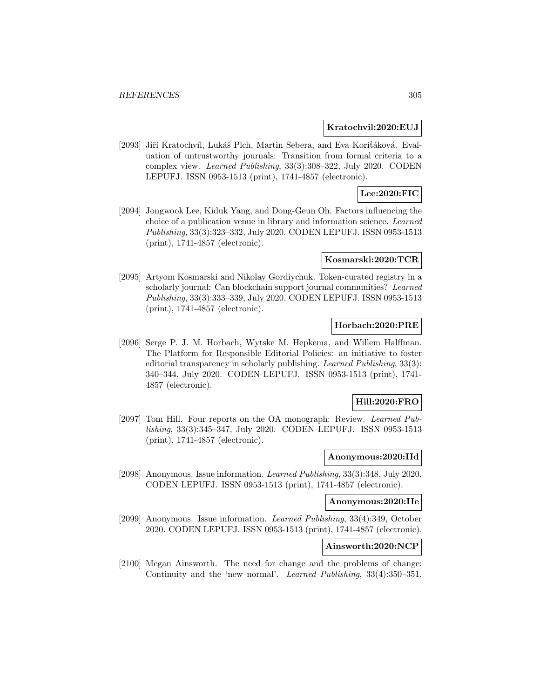#### **Kratochvil:2020:EUJ**

[2093] Jiří Kratochvíl, Lukáš Plch, Martin Sebera, and Eva Koritáková. Evaluation of untrustworthy journals: Transition from formal criteria to a complex view. Learned Publishing, 33(3):308–322, July 2020. CODEN LEPUFJ. ISSN 0953-1513 (print), 1741-4857 (electronic).

# **Lee:2020:FIC**

[2094] Jongwook Lee, Kiduk Yang, and Dong-Geun Oh. Factors influencing the choice of a publication venue in library and information science. Learned Publishing, 33(3):323–332, July 2020. CODEN LEPUFJ. ISSN 0953-1513 (print), 1741-4857 (electronic).

#### **Kosmarski:2020:TCR**

[2095] Artyom Kosmarski and Nikolay Gordiychuk. Token-curated registry in a scholarly journal: Can blockchain support journal communities? Learned Publishing, 33(3):333–339, July 2020. CODEN LEPUFJ. ISSN 0953-1513 (print), 1741-4857 (electronic).

## **Horbach:2020:PRE**

[2096] Serge P. J. M. Horbach, Wytske M. Hepkema, and Willem Halffman. The Platform for Responsible Editorial Policies: an initiative to foster editorial transparency in scholarly publishing. Learned Publishing, 33(3): 340–344, July 2020. CODEN LEPUFJ. ISSN 0953-1513 (print), 1741- 4857 (electronic).

## **Hill:2020:FRO**

[2097] Tom Hill. Four reports on the OA monograph: Review. Learned Publishing, 33(3):345–347, July 2020. CODEN LEPUFJ. ISSN 0953-1513 (print), 1741-4857 (electronic).

#### **Anonymous:2020:IId**

[2098] Anonymous. Issue information. Learned Publishing, 33(3):348, July 2020. CODEN LEPUFJ. ISSN 0953-1513 (print), 1741-4857 (electronic).

#### **Anonymous:2020:IIe**

[2099] Anonymous. Issue information. Learned Publishing, 33(4):349, October 2020. CODEN LEPUFJ. ISSN 0953-1513 (print), 1741-4857 (electronic).

#### **Ainsworth:2020:NCP**

[2100] Megan Ainsworth. The need for change and the problems of change: Continuity and the 'new normal'. Learned Publishing, 33(4):350–351,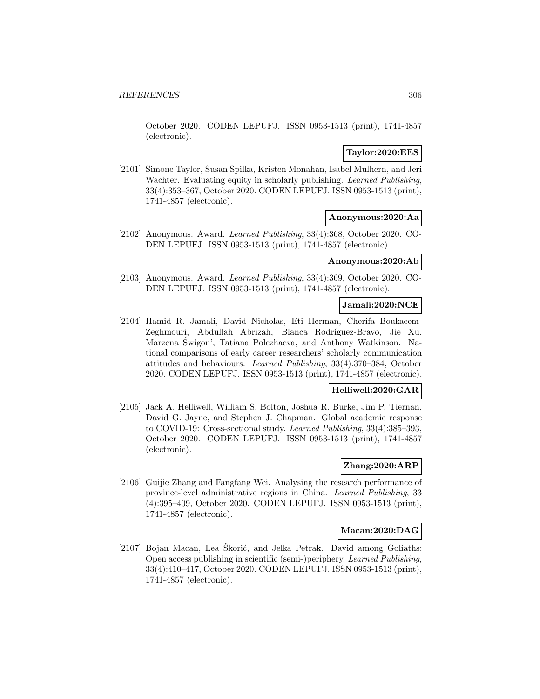October 2020. CODEN LEPUFJ. ISSN 0953-1513 (print), 1741-4857 (electronic).

## **Taylor:2020:EES**

[2101] Simone Taylor, Susan Spilka, Kristen Monahan, Isabel Mulhern, and Jeri Wachter. Evaluating equity in scholarly publishing. Learned Publishing, 33(4):353–367, October 2020. CODEN LEPUFJ. ISSN 0953-1513 (print), 1741-4857 (electronic).

## **Anonymous:2020:Aa**

[2102] Anonymous. Award. Learned Publishing, 33(4):368, October 2020. CO-DEN LEPUFJ. ISSN 0953-1513 (print), 1741-4857 (electronic).

# **Anonymous:2020:Ab**

[2103] Anonymous. Award. Learned Publishing, 33(4):369, October 2020. CO-DEN LEPUFJ. ISSN 0953-1513 (print), 1741-4857 (electronic).

## **Jamali:2020:NCE**

[2104] Hamid R. Jamali, David Nicholas, Eti Herman, Cherifa Boukacem-Zeghmouri, Abdullah Abrizah, Blanca Rodríguez-Bravo, Jie Xu, Marzena Swigon', Tatiana Polezhaeva, and Anthony Watkinson. Na- ´ tional comparisons of early career researchers' scholarly communication attitudes and behaviours. Learned Publishing, 33(4):370–384, October 2020. CODEN LEPUFJ. ISSN 0953-1513 (print), 1741-4857 (electronic).

#### **Helliwell:2020:GAR**

[2105] Jack A. Helliwell, William S. Bolton, Joshua R. Burke, Jim P. Tiernan, David G. Jayne, and Stephen J. Chapman. Global academic response to COVID-19: Cross-sectional study. Learned Publishing, 33(4):385–393, October 2020. CODEN LEPUFJ. ISSN 0953-1513 (print), 1741-4857 (electronic).

# **Zhang:2020:ARP**

[2106] Guijie Zhang and Fangfang Wei. Analysing the research performance of province-level administrative regions in China. Learned Publishing, 33 (4):395–409, October 2020. CODEN LEPUFJ. ISSN 0953-1513 (print), 1741-4857 (electronic).

## **Macan:2020:DAG**

[2107] Bojan Macan, Lea Škorić, and Jelka Petrak. David among Goliaths: Open access publishing in scientific (semi-)periphery. Learned Publishing, 33(4):410–417, October 2020. CODEN LEPUFJ. ISSN 0953-1513 (print), 1741-4857 (electronic).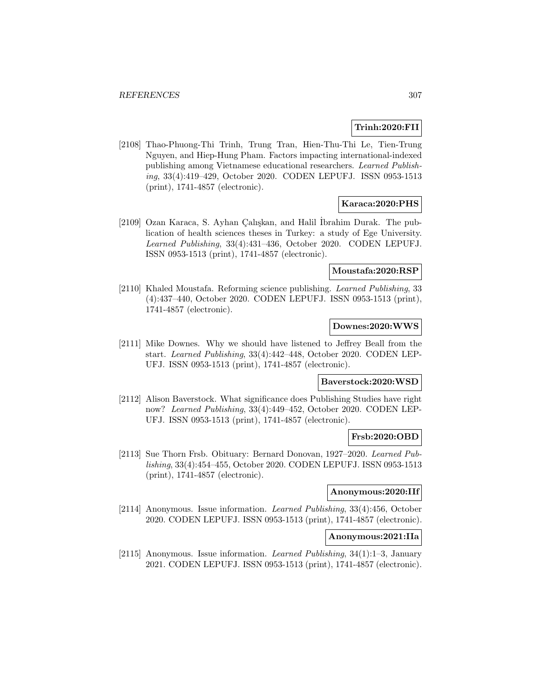## **Trinh:2020:FII**

[2108] Thao-Phuong-Thi Trinh, Trung Tran, Hien-Thu-Thi Le, Tien-Trung Nguyen, and Hiep-Hung Pham. Factors impacting international-indexed publishing among Vietnamese educational researchers. Learned Publishing, 33(4):419–429, October 2020. CODEN LEPUFJ. ISSN 0953-1513 (print), 1741-4857 (electronic).

## **Karaca:2020:PHS**

[2109] Ozan Karaca, S. Ayhan Çalışkan, and Halil İbrahim Durak. The publication of health sciences theses in Turkey: a study of Ege University. Learned Publishing, 33(4):431–436, October 2020. CODEN LEPUFJ. ISSN 0953-1513 (print), 1741-4857 (electronic).

# **Moustafa:2020:RSP**

[2110] Khaled Moustafa. Reforming science publishing. Learned Publishing, 33 (4):437–440, October 2020. CODEN LEPUFJ. ISSN 0953-1513 (print), 1741-4857 (electronic).

## **Downes:2020:WWS**

[2111] Mike Downes. Why we should have listened to Jeffrey Beall from the start. Learned Publishing, 33(4):442–448, October 2020. CODEN LEP-UFJ. ISSN 0953-1513 (print), 1741-4857 (electronic).

### **Baverstock:2020:WSD**

[2112] Alison Baverstock. What significance does Publishing Studies have right now? Learned Publishing, 33(4):449–452, October 2020. CODEN LEP-UFJ. ISSN 0953-1513 (print), 1741-4857 (electronic).

## **Frsb:2020:OBD**

[2113] Sue Thorn Frsb. Obituary: Bernard Donovan, 1927–2020. Learned Publishing, 33(4):454–455, October 2020. CODEN LEPUFJ. ISSN 0953-1513 (print), 1741-4857 (electronic).

#### **Anonymous:2020:IIf**

[2114] Anonymous. Issue information. Learned Publishing, 33(4):456, October 2020. CODEN LEPUFJ. ISSN 0953-1513 (print), 1741-4857 (electronic).

#### **Anonymous:2021:IIa**

[2115] Anonymous. Issue information. Learned Publishing, 34(1):1–3, January 2021. CODEN LEPUFJ. ISSN 0953-1513 (print), 1741-4857 (electronic).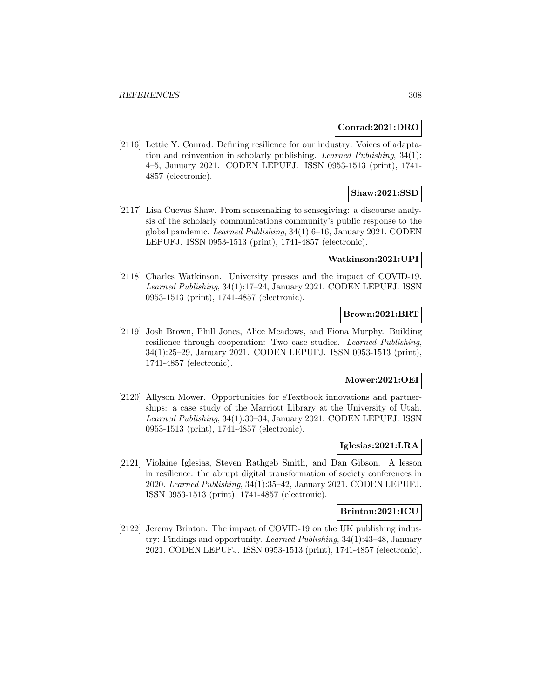### **Conrad:2021:DRO**

[2116] Lettie Y. Conrad. Defining resilience for our industry: Voices of adaptation and reinvention in scholarly publishing. Learned Publishing, 34(1): 4–5, January 2021. CODEN LEPUFJ. ISSN 0953-1513 (print), 1741- 4857 (electronic).

## **Shaw:2021:SSD**

[2117] Lisa Cuevas Shaw. From sensemaking to sensegiving: a discourse analysis of the scholarly communications community's public response to the global pandemic. Learned Publishing, 34(1):6–16, January 2021. CODEN LEPUFJ. ISSN 0953-1513 (print), 1741-4857 (electronic).

#### **Watkinson:2021:UPI**

[2118] Charles Watkinson. University presses and the impact of COVID-19. Learned Publishing, 34(1):17–24, January 2021. CODEN LEPUFJ. ISSN 0953-1513 (print), 1741-4857 (electronic).

## **Brown:2021:BRT**

[2119] Josh Brown, Phill Jones, Alice Meadows, and Fiona Murphy. Building resilience through cooperation: Two case studies. Learned Publishing, 34(1):25–29, January 2021. CODEN LEPUFJ. ISSN 0953-1513 (print), 1741-4857 (electronic).

# **Mower:2021:OEI**

[2120] Allyson Mower. Opportunities for eTextbook innovations and partnerships: a case study of the Marriott Library at the University of Utah. Learned Publishing, 34(1):30–34, January 2021. CODEN LEPUFJ. ISSN 0953-1513 (print), 1741-4857 (electronic).

#### **Iglesias:2021:LRA**

[2121] Violaine Iglesias, Steven Rathgeb Smith, and Dan Gibson. A lesson in resilience: the abrupt digital transformation of society conferences in 2020. Learned Publishing, 34(1):35–42, January 2021. CODEN LEPUFJ. ISSN 0953-1513 (print), 1741-4857 (electronic).

#### **Brinton:2021:ICU**

[2122] Jeremy Brinton. The impact of COVID-19 on the UK publishing industry: Findings and opportunity. Learned Publishing, 34(1):43–48, January 2021. CODEN LEPUFJ. ISSN 0953-1513 (print), 1741-4857 (electronic).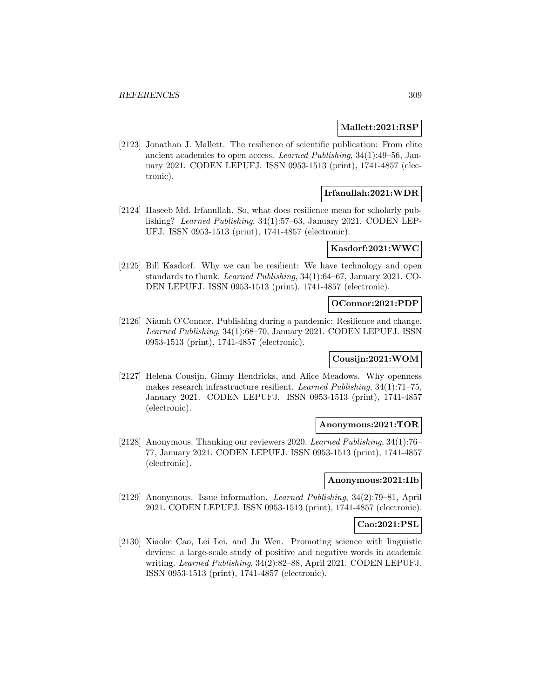### **Mallett:2021:RSP**

[2123] Jonathan J. Mallett. The resilience of scientific publication: From elite ancient academies to open access. Learned Publishing, 34(1):49–56, January 2021. CODEN LEPUFJ. ISSN 0953-1513 (print), 1741-4857 (electronic).

## **Irfanullah:2021:WDR**

[2124] Haseeb Md. Irfanullah. So, what does resilience mean for scholarly publishing? Learned Publishing, 34(1):57–63, January 2021. CODEN LEP-UFJ. ISSN 0953-1513 (print), 1741-4857 (electronic).

## **Kasdorf:2021:WWC**

[2125] Bill Kasdorf. Why we can be resilient: We have technology and open standards to thank. Learned Publishing, 34(1):64–67, January 2021. CO-DEN LEPUFJ. ISSN 0953-1513 (print), 1741-4857 (electronic).

## **OConnor:2021:PDP**

[2126] Niamh O'Connor. Publishing during a pandemic: Resilience and change. Learned Publishing, 34(1):68–70, January 2021. CODEN LEPUFJ. ISSN 0953-1513 (print), 1741-4857 (electronic).

## **Cousijn:2021:WOM**

[2127] Helena Cousijn, Ginny Hendricks, and Alice Meadows. Why openness makes research infrastructure resilient. Learned Publishing, 34(1):71–75, January 2021. CODEN LEPUFJ. ISSN 0953-1513 (print), 1741-4857 (electronic).

#### **Anonymous:2021:TOR**

[2128] Anonymous. Thanking our reviewers 2020. Learned Publishing, 34(1):76– 77, January 2021. CODEN LEPUFJ. ISSN 0953-1513 (print), 1741-4857 (electronic).

## **Anonymous:2021:IIb**

[2129] Anonymous. Issue information. Learned Publishing, 34(2):79–81, April 2021. CODEN LEPUFJ. ISSN 0953-1513 (print), 1741-4857 (electronic).

## **Cao:2021:PSL**

[2130] Xiaoke Cao, Lei Lei, and Ju Wen. Promoting science with linguistic devices: a large-scale study of positive and negative words in academic writing. Learned Publishing, 34(2):82–88, April 2021. CODEN LEPUFJ. ISSN 0953-1513 (print), 1741-4857 (electronic).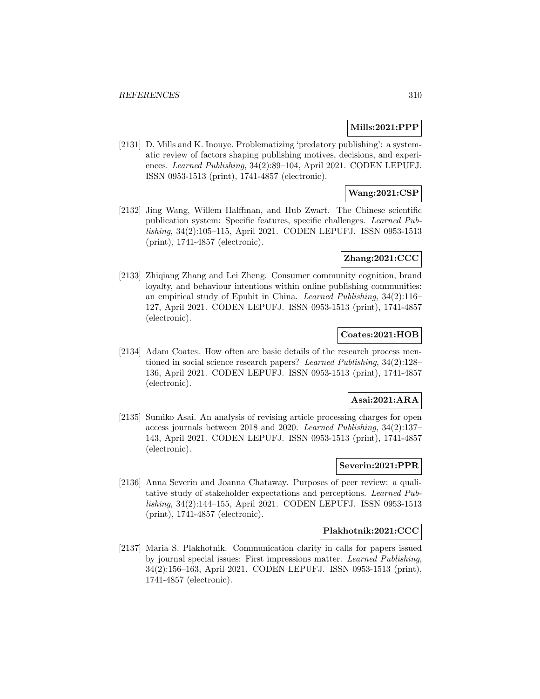## **Mills:2021:PPP**

[2131] D. Mills and K. Inouye. Problematizing 'predatory publishing': a systematic review of factors shaping publishing motives, decisions, and experiences. Learned Publishing, 34(2):89–104, April 2021. CODEN LEPUFJ. ISSN 0953-1513 (print), 1741-4857 (electronic).

# **Wang:2021:CSP**

[2132] Jing Wang, Willem Halffman, and Hub Zwart. The Chinese scientific publication system: Specific features, specific challenges. Learned Publishing, 34(2):105–115, April 2021. CODEN LEPUFJ. ISSN 0953-1513 (print), 1741-4857 (electronic).

## **Zhang:2021:CCC**

[2133] Zhiqiang Zhang and Lei Zheng. Consumer community cognition, brand loyalty, and behaviour intentions within online publishing communities: an empirical study of Epubit in China. Learned Publishing, 34(2):116– 127, April 2021. CODEN LEPUFJ. ISSN 0953-1513 (print), 1741-4857 (electronic).

## **Coates:2021:HOB**

[2134] Adam Coates. How often are basic details of the research process mentioned in social science research papers? Learned Publishing, 34(2):128– 136, April 2021. CODEN LEPUFJ. ISSN 0953-1513 (print), 1741-4857 (electronic).

## **Asai:2021:ARA**

[2135] Sumiko Asai. An analysis of revising article processing charges for open access journals between 2018 and 2020. Learned Publishing, 34(2):137– 143, April 2021. CODEN LEPUFJ. ISSN 0953-1513 (print), 1741-4857 (electronic).

## **Severin:2021:PPR**

[2136] Anna Severin and Joanna Chataway. Purposes of peer review: a qualitative study of stakeholder expectations and perceptions. Learned Publishing, 34(2):144–155, April 2021. CODEN LEPUFJ. ISSN 0953-1513 (print), 1741-4857 (electronic).

## **Plakhotnik:2021:CCC**

[2137] Maria S. Plakhotnik. Communication clarity in calls for papers issued by journal special issues: First impressions matter. Learned Publishing, 34(2):156–163, April 2021. CODEN LEPUFJ. ISSN 0953-1513 (print), 1741-4857 (electronic).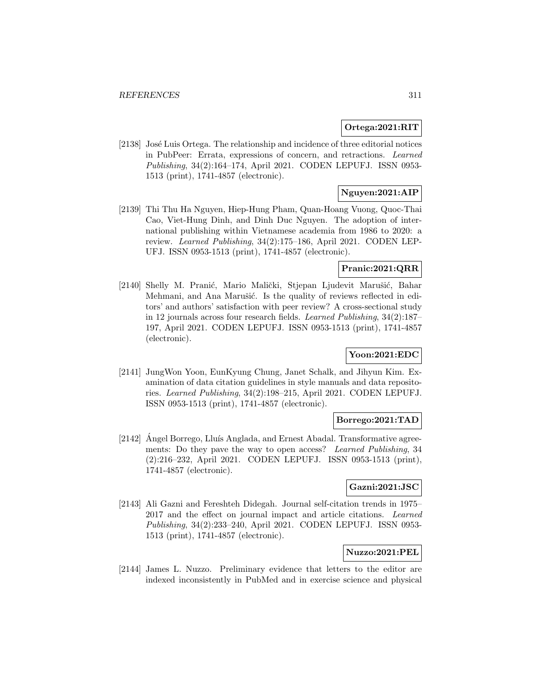## **Ortega:2021:RIT**

[2138] José Luis Ortega. The relationship and incidence of three editorial notices in PubPeer: Errata, expressions of concern, and retractions. Learned Publishing, 34(2):164–174, April 2021. CODEN LEPUFJ. ISSN 0953- 1513 (print), 1741-4857 (electronic).

## **Nguyen:2021:AIP**

[2139] Thi Thu Ha Nguyen, Hiep-Hung Pham, Quan-Hoang Vuong, Quoc-Thai Cao, Viet-Hung Dinh, and Dinh Duc Nguyen. The adoption of international publishing within Vietnamese academia from 1986 to 2020: a review. Learned Publishing, 34(2):175–186, April 2021. CODEN LEP-UFJ. ISSN 0953-1513 (print), 1741-4857 (electronic).

## **Pranic:2021:QRR**

[2140] Shelly M. Pranić, Mario Malički, Stjepan Ljudevit Marušić, Bahar Mehmani, and Ana Marušić. Is the quality of reviews reflected in editors' and authors' satisfaction with peer review? A cross-sectional study in 12 journals across four research fields. Learned Publishing, 34(2):187– 197, April 2021. CODEN LEPUFJ. ISSN 0953-1513 (print), 1741-4857 (electronic).

## **Yoon:2021:EDC**

[2141] JungWon Yoon, EunKyung Chung, Janet Schalk, and Jihyun Kim. Examination of data citation guidelines in style manuals and data repositories. Learned Publishing, 34(2):198–215, April 2021. CODEN LEPUFJ. ISSN 0953-1513 (print), 1741-4857 (electronic).

## **Borrego:2021:TAD**

[2142] Angel Borrego, Lluís Anglada, and Ernest Abadal. Transformative agreements: Do they pave the way to open access? Learned Publishing, 34 (2):216–232, April 2021. CODEN LEPUFJ. ISSN 0953-1513 (print), 1741-4857 (electronic).

# **Gazni:2021:JSC**

[2143] Ali Gazni and Fereshteh Didegah. Journal self-citation trends in 1975– 2017 and the effect on journal impact and article citations. Learned Publishing, 34(2):233–240, April 2021. CODEN LEPUFJ. ISSN 0953- 1513 (print), 1741-4857 (electronic).

## **Nuzzo:2021:PEL**

[2144] James L. Nuzzo. Preliminary evidence that letters to the editor are indexed inconsistently in PubMed and in exercise science and physical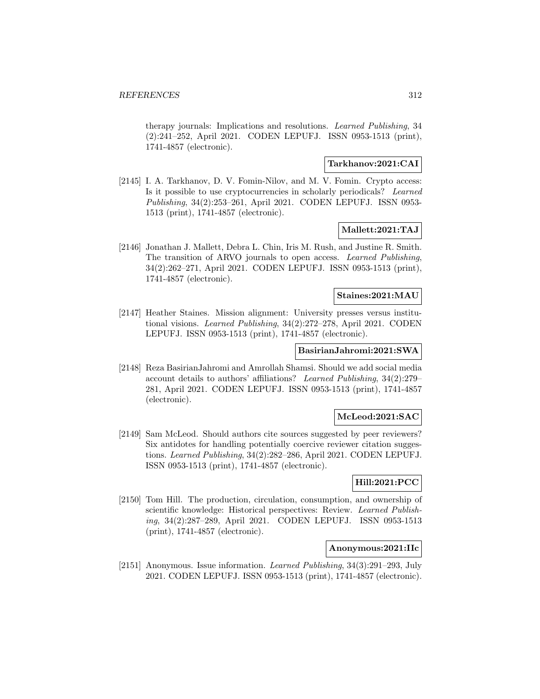therapy journals: Implications and resolutions. Learned Publishing, 34 (2):241–252, April 2021. CODEN LEPUFJ. ISSN 0953-1513 (print), 1741-4857 (electronic).

## **Tarkhanov:2021:CAI**

[2145] I. A. Tarkhanov, D. V. Fomin-Nilov, and M. V. Fomin. Crypto access: Is it possible to use cryptocurrencies in scholarly periodicals? Learned Publishing, 34(2):253–261, April 2021. CODEN LEPUFJ. ISSN 0953- 1513 (print), 1741-4857 (electronic).

### **Mallett:2021:TAJ**

[2146] Jonathan J. Mallett, Debra L. Chin, Iris M. Rush, and Justine R. Smith. The transition of ARVO journals to open access. Learned Publishing, 34(2):262–271, April 2021. CODEN LEPUFJ. ISSN 0953-1513 (print), 1741-4857 (electronic).

### **Staines:2021:MAU**

[2147] Heather Staines. Mission alignment: University presses versus institutional visions. Learned Publishing, 34(2):272–278, April 2021. CODEN LEPUFJ. ISSN 0953-1513 (print), 1741-4857 (electronic).

# **BasirianJahromi:2021:SWA**

[2148] Reza BasirianJahromi and Amrollah Shamsi. Should we add social media account details to authors' affiliations? Learned Publishing, 34(2):279– 281, April 2021. CODEN LEPUFJ. ISSN 0953-1513 (print), 1741-4857 (electronic).

#### **McLeod:2021:SAC**

[2149] Sam McLeod. Should authors cite sources suggested by peer reviewers? Six antidotes for handling potentially coercive reviewer citation suggestions. Learned Publishing, 34(2):282–286, April 2021. CODEN LEPUFJ. ISSN 0953-1513 (print), 1741-4857 (electronic).

## **Hill:2021:PCC**

[2150] Tom Hill. The production, circulation, consumption, and ownership of scientific knowledge: Historical perspectives: Review. Learned Publishing, 34(2):287–289, April 2021. CODEN LEPUFJ. ISSN 0953-1513 (print), 1741-4857 (electronic).

## **Anonymous:2021:IIc**

[2151] Anonymous. Issue information. Learned Publishing, 34(3):291–293, July 2021. CODEN LEPUFJ. ISSN 0953-1513 (print), 1741-4857 (electronic).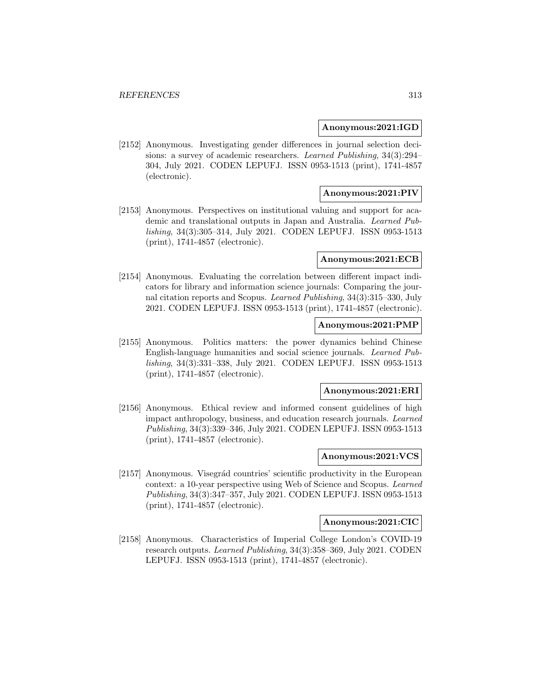#### **Anonymous:2021:IGD**

[2152] Anonymous. Investigating gender differences in journal selection decisions: a survey of academic researchers. Learned Publishing, 34(3):294– 304, July 2021. CODEN LEPUFJ. ISSN 0953-1513 (print), 1741-4857 (electronic).

## **Anonymous:2021:PIV**

[2153] Anonymous. Perspectives on institutional valuing and support for academic and translational outputs in Japan and Australia. Learned Publishing, 34(3):305–314, July 2021. CODEN LEPUFJ. ISSN 0953-1513 (print), 1741-4857 (electronic).

#### **Anonymous:2021:ECB**

[2154] Anonymous. Evaluating the correlation between different impact indicators for library and information science journals: Comparing the journal citation reports and Scopus. Learned Publishing, 34(3):315–330, July 2021. CODEN LEPUFJ. ISSN 0953-1513 (print), 1741-4857 (electronic).

## **Anonymous:2021:PMP**

[2155] Anonymous. Politics matters: the power dynamics behind Chinese English-language humanities and social science journals. Learned Publishing, 34(3):331–338, July 2021. CODEN LEPUFJ. ISSN 0953-1513 (print), 1741-4857 (electronic).

#### **Anonymous:2021:ERI**

[2156] Anonymous. Ethical review and informed consent guidelines of high impact anthropology, business, and education research journals. Learned Publishing, 34(3):339–346, July 2021. CODEN LEPUFJ. ISSN 0953-1513 (print), 1741-4857 (electronic).

## **Anonymous:2021:VCS**

[2157] Anonymous. Visegrád countries' scientific productivity in the European context: a 10-year perspective using Web of Science and Scopus. Learned Publishing, 34(3):347–357, July 2021. CODEN LEPUFJ. ISSN 0953-1513 (print), 1741-4857 (electronic).

#### **Anonymous:2021:CIC**

[2158] Anonymous. Characteristics of Imperial College London's COVID-19 research outputs. Learned Publishing, 34(3):358–369, July 2021. CODEN LEPUFJ. ISSN 0953-1513 (print), 1741-4857 (electronic).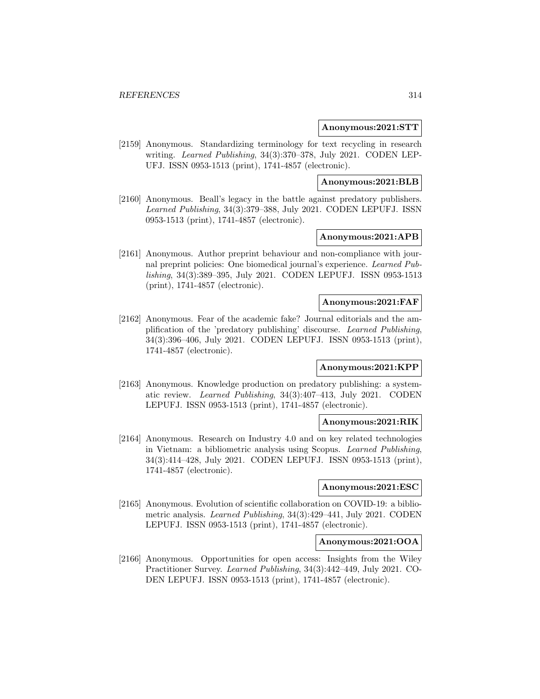#### **Anonymous:2021:STT**

[2159] Anonymous. Standardizing terminology for text recycling in research writing. Learned Publishing, 34(3):370–378, July 2021. CODEN LEP-UFJ. ISSN 0953-1513 (print), 1741-4857 (electronic).

#### **Anonymous:2021:BLB**

[2160] Anonymous. Beall's legacy in the battle against predatory publishers. Learned Publishing, 34(3):379–388, July 2021. CODEN LEPUFJ. ISSN 0953-1513 (print), 1741-4857 (electronic).

# **Anonymous:2021:APB**

[2161] Anonymous. Author preprint behaviour and non-compliance with journal preprint policies: One biomedical journal's experience. Learned Publishing, 34(3):389–395, July 2021. CODEN LEPUFJ. ISSN 0953-1513 (print), 1741-4857 (electronic).

### **Anonymous:2021:FAF**

[2162] Anonymous. Fear of the academic fake? Journal editorials and the amplification of the 'predatory publishing' discourse. Learned Publishing, 34(3):396–406, July 2021. CODEN LEPUFJ. ISSN 0953-1513 (print), 1741-4857 (electronic).

## **Anonymous:2021:KPP**

[2163] Anonymous. Knowledge production on predatory publishing: a systematic review. Learned Publishing, 34(3):407–413, July 2021. CODEN LEPUFJ. ISSN 0953-1513 (print), 1741-4857 (electronic).

## **Anonymous:2021:RIK**

[2164] Anonymous. Research on Industry 4.0 and on key related technologies in Vietnam: a bibliometric analysis using Scopus. Learned Publishing, 34(3):414–428, July 2021. CODEN LEPUFJ. ISSN 0953-1513 (print), 1741-4857 (electronic).

### **Anonymous:2021:ESC**

[2165] Anonymous. Evolution of scientific collaboration on COVID-19: a bibliometric analysis. Learned Publishing, 34(3):429–441, July 2021. CODEN LEPUFJ. ISSN 0953-1513 (print), 1741-4857 (electronic).

#### **Anonymous:2021:OOA**

[2166] Anonymous. Opportunities for open access: Insights from the Wiley Practitioner Survey. Learned Publishing, 34(3):442–449, July 2021. CO-DEN LEPUFJ. ISSN 0953-1513 (print), 1741-4857 (electronic).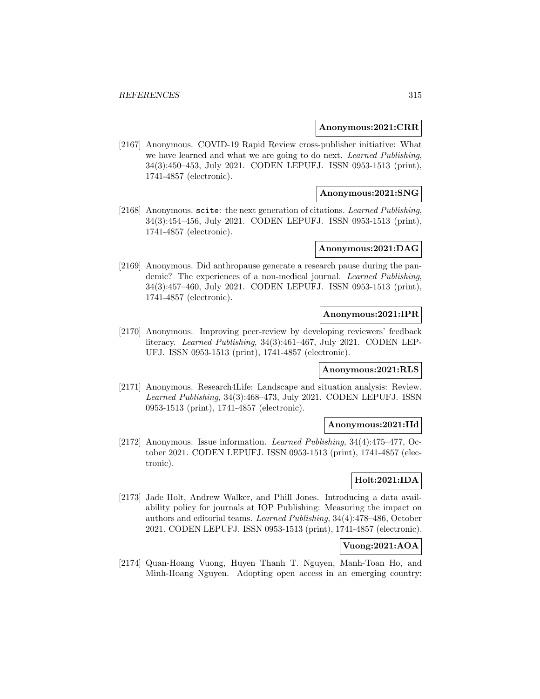### **Anonymous:2021:CRR**

[2167] Anonymous. COVID-19 Rapid Review cross-publisher initiative: What we have learned and what we are going to do next. Learned Publishing, 34(3):450–453, July 2021. CODEN LEPUFJ. ISSN 0953-1513 (print), 1741-4857 (electronic).

## **Anonymous:2021:SNG**

[2168] Anonymous. scite: the next generation of citations. Learned Publishing, 34(3):454–456, July 2021. CODEN LEPUFJ. ISSN 0953-1513 (print), 1741-4857 (electronic).

### **Anonymous:2021:DAG**

[2169] Anonymous. Did anthropause generate a research pause during the pandemic? The experiences of a non-medical journal. Learned Publishing, 34(3):457–460, July 2021. CODEN LEPUFJ. ISSN 0953-1513 (print), 1741-4857 (electronic).

### **Anonymous:2021:IPR**

[2170] Anonymous. Improving peer-review by developing reviewers' feedback literacy. Learned Publishing, 34(3):461–467, July 2021. CODEN LEP-UFJ. ISSN 0953-1513 (print), 1741-4857 (electronic).

#### **Anonymous:2021:RLS**

[2171] Anonymous. Research4Life: Landscape and situation analysis: Review. Learned Publishing, 34(3):468–473, July 2021. CODEN LEPUFJ. ISSN 0953-1513 (print), 1741-4857 (electronic).

#### **Anonymous:2021:IId**

[2172] Anonymous. Issue information. Learned Publishing, 34(4):475–477, October 2021. CODEN LEPUFJ. ISSN 0953-1513 (print), 1741-4857 (electronic).

# **Holt:2021:IDA**

[2173] Jade Holt, Andrew Walker, and Phill Jones. Introducing a data availability policy for journals at IOP Publishing: Measuring the impact on authors and editorial teams. Learned Publishing, 34(4):478–486, October 2021. CODEN LEPUFJ. ISSN 0953-1513 (print), 1741-4857 (electronic).

## **Vuong:2021:AOA**

[2174] Quan-Hoang Vuong, Huyen Thanh T. Nguyen, Manh-Toan Ho, and Minh-Hoang Nguyen. Adopting open access in an emerging country: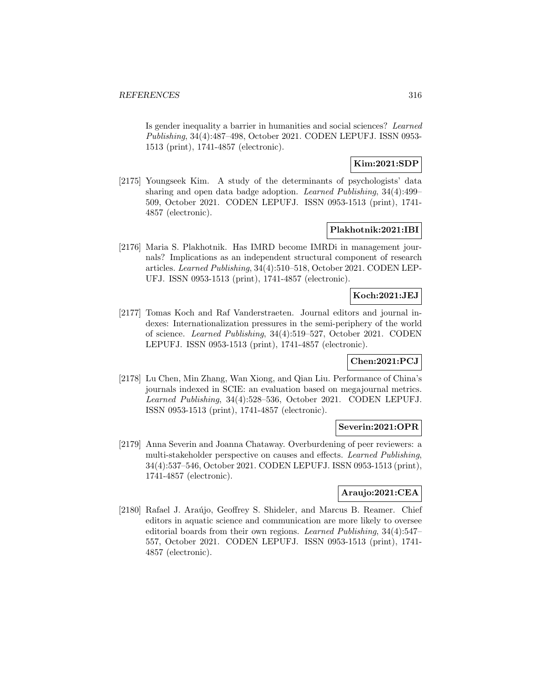Is gender inequality a barrier in humanities and social sciences? Learned Publishing, 34(4):487–498, October 2021. CODEN LEPUFJ. ISSN 0953- 1513 (print), 1741-4857 (electronic).

## **Kim:2021:SDP**

[2175] Youngseek Kim. A study of the determinants of psychologists' data sharing and open data badge adoption. Learned Publishing, 34(4):499– 509, October 2021. CODEN LEPUFJ. ISSN 0953-1513 (print), 1741- 4857 (electronic).

### **Plakhotnik:2021:IBI**

[2176] Maria S. Plakhotnik. Has IMRD become IMRDi in management journals? Implications as an independent structural component of research articles. Learned Publishing, 34(4):510–518, October 2021. CODEN LEP-UFJ. ISSN 0953-1513 (print), 1741-4857 (electronic).

## **Koch:2021:JEJ**

[2177] Tomas Koch and Raf Vanderstraeten. Journal editors and journal indexes: Internationalization pressures in the semi-periphery of the world of science. Learned Publishing, 34(4):519–527, October 2021. CODEN LEPUFJ. ISSN 0953-1513 (print), 1741-4857 (electronic).

## **Chen:2021:PCJ**

[2178] Lu Chen, Min Zhang, Wan Xiong, and Qian Liu. Performance of China's journals indexed in SCIE: an evaluation based on megajournal metrics. Learned Publishing, 34(4):528–536, October 2021. CODEN LEPUFJ. ISSN 0953-1513 (print), 1741-4857 (electronic).

## **Severin:2021:OPR**

[2179] Anna Severin and Joanna Chataway. Overburdening of peer reviewers: a multi-stakeholder perspective on causes and effects. Learned Publishing, 34(4):537–546, October 2021. CODEN LEPUFJ. ISSN 0953-1513 (print), 1741-4857 (electronic).

## **Araujo:2021:CEA**

[2180] Rafael J. Araújo, Geoffrey S. Shideler, and Marcus B. Reamer. Chief editors in aquatic science and communication are more likely to oversee editorial boards from their own regions. Learned Publishing, 34(4):547– 557, October 2021. CODEN LEPUFJ. ISSN 0953-1513 (print), 1741- 4857 (electronic).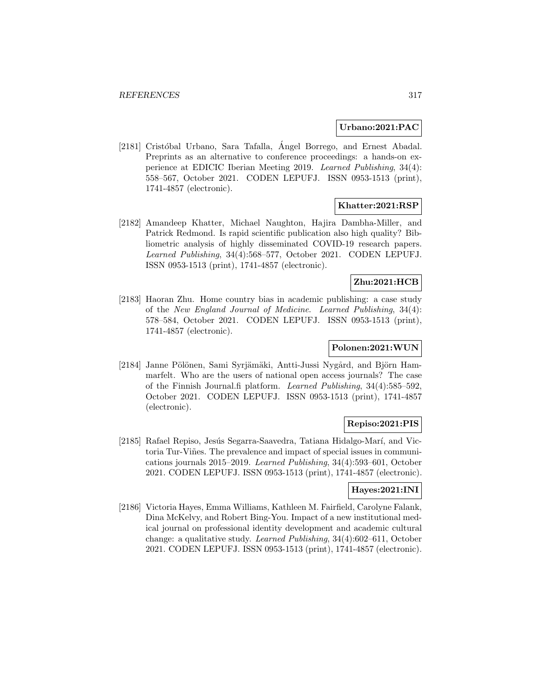### **Urbano:2021:PAC**

[2181] Cristóbal Urbano, Sara Tafalla, Ángel Borrego, and Ernest Abadal. Preprints as an alternative to conference proceedings: a hands-on experience at EDICIC Iberian Meeting 2019. Learned Publishing, 34(4): 558–567, October 2021. CODEN LEPUFJ. ISSN 0953-1513 (print), 1741-4857 (electronic).

## **Khatter:2021:RSP**

[2182] Amandeep Khatter, Michael Naughton, Hajira Dambha-Miller, and Patrick Redmond. Is rapid scientific publication also high quality? Bibliometric analysis of highly disseminated COVID-19 research papers. Learned Publishing, 34(4):568–577, October 2021. CODEN LEPUFJ. ISSN 0953-1513 (print), 1741-4857 (electronic).

## **Zhu:2021:HCB**

[2183] Haoran Zhu. Home country bias in academic publishing: a case study of the New England Journal of Medicine. Learned Publishing, 34(4): 578–584, October 2021. CODEN LEPUFJ. ISSN 0953-1513 (print), 1741-4857 (electronic).

## **Polonen:2021:WUN**

[2184] Janne Pölönen, Sami Syrjämäki, Antti-Jussi Nygård, and Björn Hammarfelt. Who are the users of national open access journals? The case of the Finnish Journal.fi platform. Learned Publishing, 34(4):585–592, October 2021. CODEN LEPUFJ. ISSN 0953-1513 (print), 1741-4857 (electronic).

## **Repiso:2021:PIS**

[2185] Rafael Repiso, Jesús Segarra-Saavedra, Tatiana Hidalgo-Marí, and Victoria Tur-Viñes. The prevalence and impact of special issues in communications journals 2015–2019. Learned Publishing, 34(4):593–601, October 2021. CODEN LEPUFJ. ISSN 0953-1513 (print), 1741-4857 (electronic).

## **Hayes:2021:INI**

[2186] Victoria Hayes, Emma Williams, Kathleen M. Fairfield, Carolyne Falank, Dina McKelvy, and Robert Bing-You. Impact of a new institutional medical journal on professional identity development and academic cultural change: a qualitative study. Learned Publishing, 34(4):602–611, October 2021. CODEN LEPUFJ. ISSN 0953-1513 (print), 1741-4857 (electronic).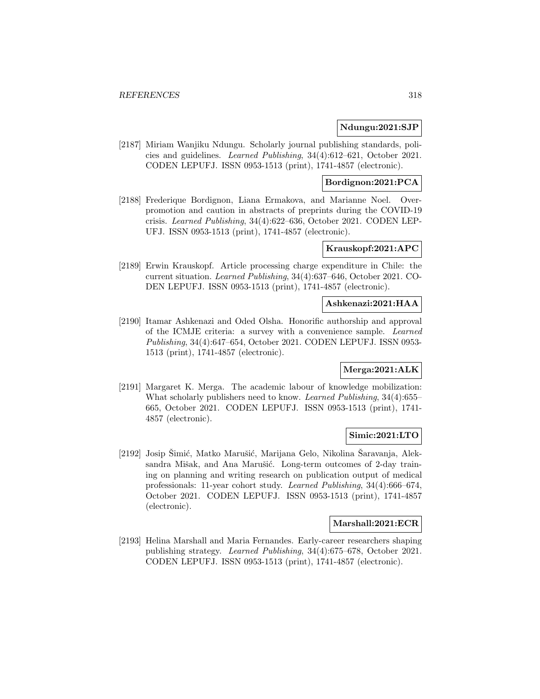### **Ndungu:2021:SJP**

[2187] Miriam Wanjiku Ndungu. Scholarly journal publishing standards, policies and guidelines. Learned Publishing, 34(4):612–621, October 2021. CODEN LEPUFJ. ISSN 0953-1513 (print), 1741-4857 (electronic).

# **Bordignon:2021:PCA**

[2188] Frederique Bordignon, Liana Ermakova, and Marianne Noel. Overpromotion and caution in abstracts of preprints during the COVID-19 crisis. Learned Publishing, 34(4):622–636, October 2021. CODEN LEP-UFJ. ISSN 0953-1513 (print), 1741-4857 (electronic).

### **Krauskopf:2021:APC**

[2189] Erwin Krauskopf. Article processing charge expenditure in Chile: the current situation. Learned Publishing, 34(4):637–646, October 2021. CO-DEN LEPUFJ. ISSN 0953-1513 (print), 1741-4857 (electronic).

## **Ashkenazi:2021:HAA**

[2190] Itamar Ashkenazi and Oded Olsha. Honorific authorship and approval of the ICMJE criteria: a survey with a convenience sample. Learned Publishing, 34(4):647–654, October 2021. CODEN LEPUFJ. ISSN 0953- 1513 (print), 1741-4857 (electronic).

#### **Merga:2021:ALK**

[2191] Margaret K. Merga. The academic labour of knowledge mobilization: What scholarly publishers need to know. Learned Publishing, 34(4):655– 665, October 2021. CODEN LEPUFJ. ISSN 0953-1513 (print), 1741- 4857 (electronic).

#### **Simic:2021:LTO**

[2192] Josip Simić, Matko Marušić, Marijana Gelo, Nikolina Saravanja, Aleksandra Mišak, and Ana Marušić. Long-term outcomes of 2-day training on planning and writing research on publication output of medical professionals: 11-year cohort study. Learned Publishing, 34(4):666–674, October 2021. CODEN LEPUFJ. ISSN 0953-1513 (print), 1741-4857 (electronic).

### **Marshall:2021:ECR**

[2193] Helina Marshall and Maria Fernandes. Early-career researchers shaping publishing strategy. Learned Publishing, 34(4):675–678, October 2021. CODEN LEPUFJ. ISSN 0953-1513 (print), 1741-4857 (electronic).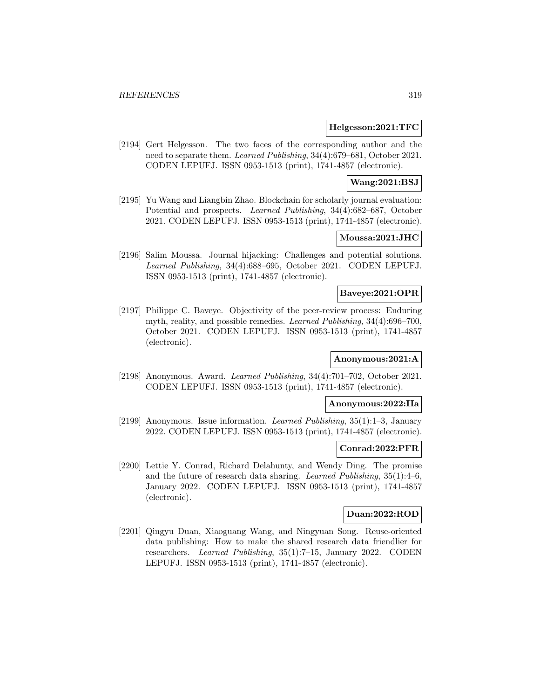### **Helgesson:2021:TFC**

[2194] Gert Helgesson. The two faces of the corresponding author and the need to separate them. Learned Publishing, 34(4):679–681, October 2021. CODEN LEPUFJ. ISSN 0953-1513 (print), 1741-4857 (electronic).

## **Wang:2021:BSJ**

[2195] Yu Wang and Liangbin Zhao. Blockchain for scholarly journal evaluation: Potential and prospects. Learned Publishing, 34(4):682–687, October 2021. CODEN LEPUFJ. ISSN 0953-1513 (print), 1741-4857 (electronic).

## **Moussa:2021:JHC**

[2196] Salim Moussa. Journal hijacking: Challenges and potential solutions. Learned Publishing, 34(4):688–695, October 2021. CODEN LEPUFJ. ISSN 0953-1513 (print), 1741-4857 (electronic).

### **Baveye:2021:OPR**

[2197] Philippe C. Baveye. Objectivity of the peer-review process: Enduring myth, reality, and possible remedies. Learned Publishing, 34(4):696–700, October 2021. CODEN LEPUFJ. ISSN 0953-1513 (print), 1741-4857 (electronic).

## **Anonymous:2021:A**

[2198] Anonymous. Award. Learned Publishing, 34(4):701–702, October 2021. CODEN LEPUFJ. ISSN 0953-1513 (print), 1741-4857 (electronic).

## **Anonymous:2022:IIa**

[2199] Anonymous. Issue information. Learned Publishing, 35(1):1–3, January 2022. CODEN LEPUFJ. ISSN 0953-1513 (print), 1741-4857 (electronic).

#### **Conrad:2022:PFR**

[2200] Lettie Y. Conrad, Richard Delahunty, and Wendy Ding. The promise and the future of research data sharing. Learned Publishing, 35(1):4–6, January 2022. CODEN LEPUFJ. ISSN 0953-1513 (print), 1741-4857 (electronic).

# **Duan:2022:ROD**

[2201] Qingyu Duan, Xiaoguang Wang, and Ningyuan Song. Reuse-oriented data publishing: How to make the shared research data friendlier for researchers. Learned Publishing, 35(1):7–15, January 2022. CODEN LEPUFJ. ISSN 0953-1513 (print), 1741-4857 (electronic).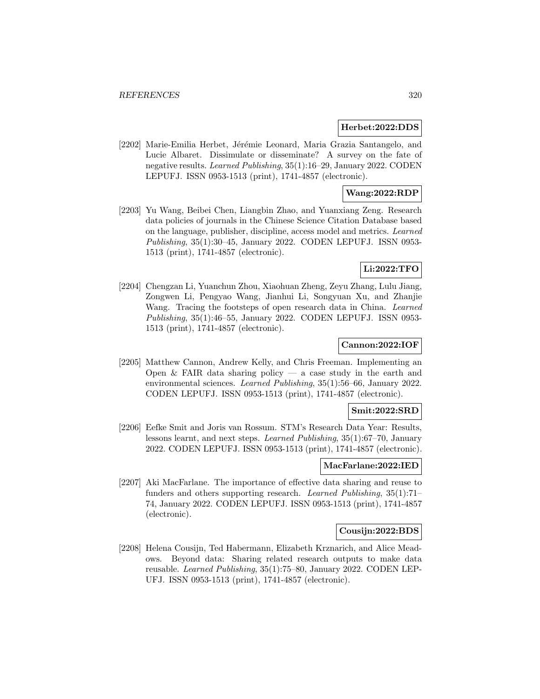### **Herbet:2022:DDS**

[2202] Marie-Emilia Herbet, Jérémie Leonard, Maria Grazia Santangelo, and Lucie Albaret. Dissimulate or disseminate? A survey on the fate of negative results. Learned Publishing, 35(1):16–29, January 2022. CODEN LEPUFJ. ISSN 0953-1513 (print), 1741-4857 (electronic).

## **Wang:2022:RDP**

[2203] Yu Wang, Beibei Chen, Liangbin Zhao, and Yuanxiang Zeng. Research data policies of journals in the Chinese Science Citation Database based on the language, publisher, discipline, access model and metrics. Learned Publishing, 35(1):30–45, January 2022. CODEN LEPUFJ. ISSN 0953- 1513 (print), 1741-4857 (electronic).

# **Li:2022:TFO**

[2204] Chengzan Li, Yuanchun Zhou, Xiaohuan Zheng, Zeyu Zhang, Lulu Jiang, Zongwen Li, Pengyao Wang, Jianhui Li, Songyuan Xu, and Zhanjie Wang. Tracing the footsteps of open research data in China. Learned Publishing, 35(1):46–55, January 2022. CODEN LEPUFJ. ISSN 0953- 1513 (print), 1741-4857 (electronic).

## **Cannon:2022:IOF**

[2205] Matthew Cannon, Andrew Kelly, and Chris Freeman. Implementing an Open & FAIR data sharing policy — a case study in the earth and environmental sciences. Learned Publishing, 35(1):56–66, January 2022. CODEN LEPUFJ. ISSN 0953-1513 (print), 1741-4857 (electronic).

### **Smit:2022:SRD**

[2206] Eefke Smit and Joris van Rossum. STM's Research Data Year: Results, lessons learnt, and next steps. Learned Publishing, 35(1):67–70, January 2022. CODEN LEPUFJ. ISSN 0953-1513 (print), 1741-4857 (electronic).

## **MacFarlane:2022:IED**

[2207] Aki MacFarlane. The importance of effective data sharing and reuse to funders and others supporting research. Learned Publishing, 35(1):71– 74, January 2022. CODEN LEPUFJ. ISSN 0953-1513 (print), 1741-4857 (electronic).

### **Cousijn:2022:BDS**

[2208] Helena Cousijn, Ted Habermann, Elizabeth Krznarich, and Alice Meadows. Beyond data: Sharing related research outputs to make data reusable. Learned Publishing, 35(1):75–80, January 2022. CODEN LEP-UFJ. ISSN 0953-1513 (print), 1741-4857 (electronic).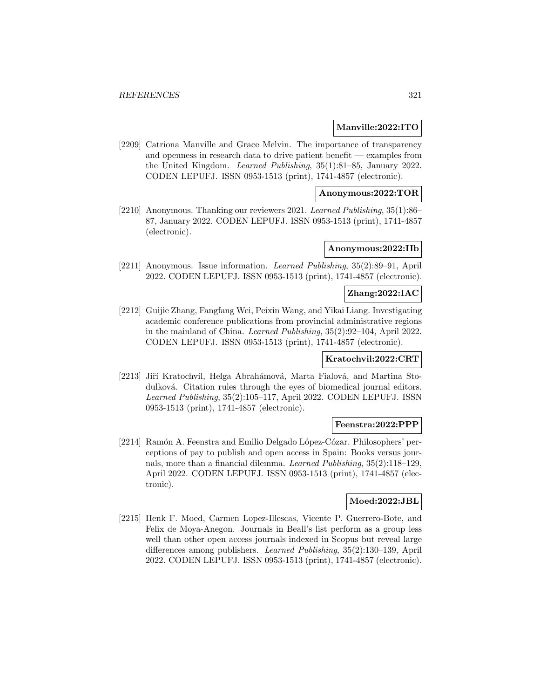### **Manville:2022:ITO**

[2209] Catriona Manville and Grace Melvin. The importance of transparency and openness in research data to drive patient benefit — examples from the United Kingdom. Learned Publishing, 35(1):81–85, January 2022. CODEN LEPUFJ. ISSN 0953-1513 (print), 1741-4857 (electronic).

## **Anonymous:2022:TOR**

[2210] Anonymous. Thanking our reviewers 2021. Learned Publishing, 35(1):86– 87, January 2022. CODEN LEPUFJ. ISSN 0953-1513 (print), 1741-4857 (electronic).

## **Anonymous:2022:IIb**

[2211] Anonymous. Issue information. Learned Publishing, 35(2):89–91, April 2022. CODEN LEPUFJ. ISSN 0953-1513 (print), 1741-4857 (electronic).

### **Zhang:2022:IAC**

[2212] Guijie Zhang, Fangfang Wei, Peixin Wang, and Yikai Liang. Investigating academic conference publications from provincial administrative regions in the mainland of China. Learned Publishing, 35(2):92–104, April 2022. CODEN LEPUFJ. ISSN 0953-1513 (print), 1741-4857 (electronic).

## **Kratochvil:2022:CRT**

[2213] Jiří Kratochvíl, Helga Abrahámová, Marta Fialová, and Martina Stodulková. Citation rules through the eyes of biomedical journal editors. Learned Publishing, 35(2):105–117, April 2022. CODEN LEPUFJ. ISSN 0953-1513 (print), 1741-4857 (electronic).

#### **Feenstra:2022:PPP**

[2214] Ramón A. Feenstra and Emilio Delgado López-Cózar. Philosophers' perceptions of pay to publish and open access in Spain: Books versus journals, more than a financial dilemma. Learned Publishing, 35(2):118–129, April 2022. CODEN LEPUFJ. ISSN 0953-1513 (print), 1741-4857 (electronic).

## **Moed:2022:JBL**

[2215] Henk F. Moed, Carmen Lopez-Illescas, Vicente P. Guerrero-Bote, and Felix de Moya-Anegon. Journals in Beall's list perform as a group less well than other open access journals indexed in Scopus but reveal large differences among publishers. Learned Publishing, 35(2):130–139, April 2022. CODEN LEPUFJ. ISSN 0953-1513 (print), 1741-4857 (electronic).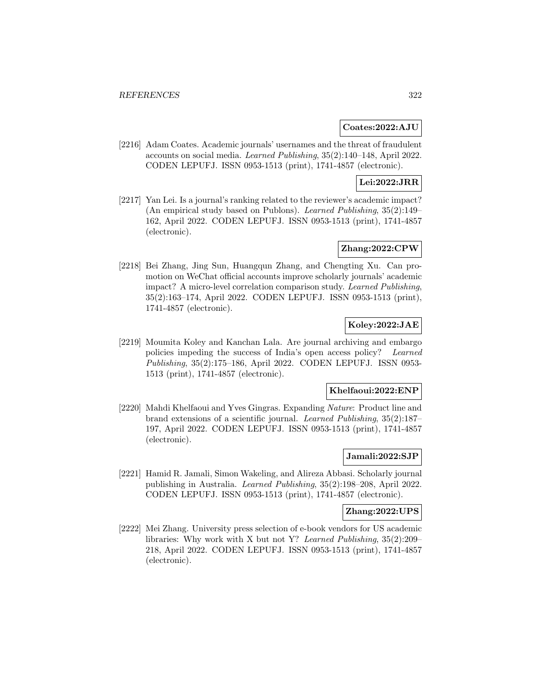### **Coates:2022:AJU**

[2216] Adam Coates. Academic journals' usernames and the threat of fraudulent accounts on social media. Learned Publishing, 35(2):140–148, April 2022. CODEN LEPUFJ. ISSN 0953-1513 (print), 1741-4857 (electronic).

## **Lei:2022:JRR**

[2217] Yan Lei. Is a journal's ranking related to the reviewer's academic impact? (An empirical study based on Publons). Learned Publishing, 35(2):149– 162, April 2022. CODEN LEPUFJ. ISSN 0953-1513 (print), 1741-4857 (electronic).

## **Zhang:2022:CPW**

[2218] Bei Zhang, Jing Sun, Huangqun Zhang, and Chengting Xu. Can promotion on WeChat official accounts improve scholarly journals' academic impact? A micro-level correlation comparison study. Learned Publishing, 35(2):163–174, April 2022. CODEN LEPUFJ. ISSN 0953-1513 (print), 1741-4857 (electronic).

# **Koley:2022:JAE**

[2219] Moumita Koley and Kanchan Lala. Are journal archiving and embargo policies impeding the success of India's open access policy? Learned Publishing, 35(2):175–186, April 2022. CODEN LEPUFJ. ISSN 0953- 1513 (print), 1741-4857 (electronic).

#### **Khelfaoui:2022:ENP**

[2220] Mahdi Khelfaoui and Yves Gingras. Expanding Nature: Product line and brand extensions of a scientific journal. Learned Publishing, 35(2):187– 197, April 2022. CODEN LEPUFJ. ISSN 0953-1513 (print), 1741-4857 (electronic).

### **Jamali:2022:SJP**

[2221] Hamid R. Jamali, Simon Wakeling, and Alireza Abbasi. Scholarly journal publishing in Australia. Learned Publishing, 35(2):198–208, April 2022. CODEN LEPUFJ. ISSN 0953-1513 (print), 1741-4857 (electronic).

#### **Zhang:2022:UPS**

[2222] Mei Zhang. University press selection of e-book vendors for US academic libraries: Why work with X but not Y? Learned Publishing, 35(2):209– 218, April 2022. CODEN LEPUFJ. ISSN 0953-1513 (print), 1741-4857 (electronic).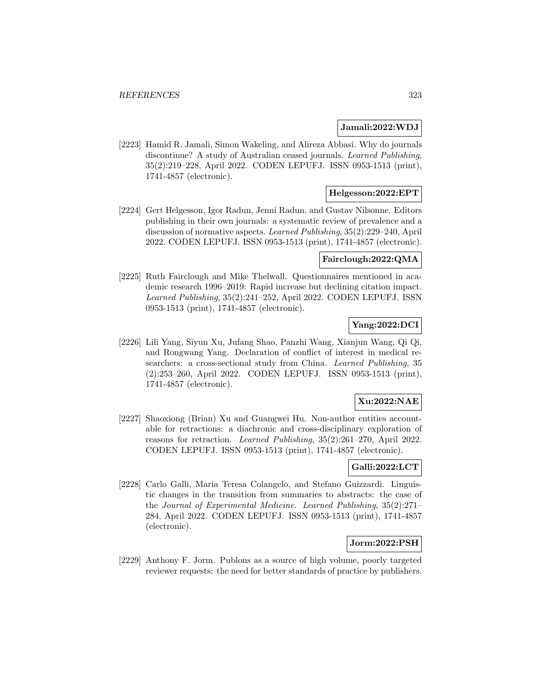### **Jamali:2022:WDJ**

[2223] Hamid R. Jamali, Simon Wakeling, and Alireza Abbasi. Why do journals discontinue? A study of Australian ceased journals. Learned Publishing, 35(2):219–228, April 2022. CODEN LEPUFJ. ISSN 0953-1513 (print), 1741-4857 (electronic).

## **Helgesson:2022:EPT**

[2224] Gert Helgesson, Igor Radun, Jenni Radun, and Gustav Nilsonne. Editors publishing in their own journals: a systematic review of prevalence and a discussion of normative aspects. Learned Publishing, 35(2):229–240, April 2022. CODEN LEPUFJ. ISSN 0953-1513 (print), 1741-4857 (electronic).

## **Fairclough:2022:QMA**

[2225] Ruth Fairclough and Mike Thelwall. Questionnaires mentioned in academic research 1996–2019: Rapid increase but declining citation impact. Learned Publishing, 35(2):241–252, April 2022. CODEN LEPUFJ. ISSN 0953-1513 (print), 1741-4857 (electronic).

## **Yang:2022:DCI**

[2226] Lili Yang, Siyun Xu, Jufang Shao, Panzhi Wang, Xianjun Wang, Qi Qi, and Rongwang Yang. Declaration of conflict of interest in medical researchers: a cross-sectional study from China. *Learned Publishing*, 35 (2):253–260, April 2022. CODEN LEPUFJ. ISSN 0953-1513 (print), 1741-4857 (electronic).

## **Xu:2022:NAE**

[2227] Shaoxiong (Brian) Xu and Guangwei Hu. Non-author entities accountable for retractions: a diachronic and cross-disciplinary exploration of reasons for retraction. Learned Publishing, 35(2):261–270, April 2022. CODEN LEPUFJ. ISSN 0953-1513 (print), 1741-4857 (electronic).

# **Galli:2022:LCT**

[2228] Carlo Galli, Maria Teresa Colangelo, and Stefano Guizzardi. Linguistic changes in the transition from summaries to abstracts: the case of the Journal of Experimental Medicine. Learned Publishing, 35(2):271– 284, April 2022. CODEN LEPUFJ. ISSN 0953-1513 (print), 1741-4857 (electronic).

## **Jorm:2022:PSH**

[2229] Anthony F. Jorm. Publons as a source of high volume, poorly targeted reviewer requests: the need for better standards of practice by publishers.